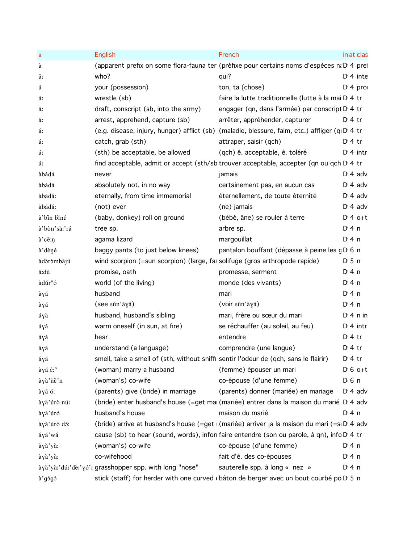| a                   | English                                                                                 | French                                                                                               | in at clas       |
|---------------------|-----------------------------------------------------------------------------------------|------------------------------------------------------------------------------------------------------|------------------|
| à                   |                                                                                         | (apparent prefix on some flora-fauna ter (préfixe pour certains noms d'espèces n; D'4 pre            |                  |
| ă:                  | who?                                                                                    | qui?                                                                                                 | $Di$ 4 inte      |
| á                   | your (possession)                                                                       | ton, ta (chose)                                                                                      | $Dt 4$ pro       |
| á:                  | wrestle (sb)                                                                            | faire la lutte traditionnelle (lutte à la mai D <sub>14</sub> tr                                     |                  |
| á:                  | draft, conscript (sb, into the army)                                                    | engager (qn, dans l'armée) par conscript D <sub>1</sub> 4 tr                                         |                  |
| á:                  | arrest, apprehend, capture (sb)                                                         | arrêter, appréhender, capturer                                                                       | $D:4$ tr         |
| á:                  |                                                                                         | (e.g. disease, injury, hunger) afflict (sb) (maladie, blessure, faim, etc.) affliger (qI D'4 tr      |                  |
| á:                  | catch, grab (sth)                                                                       | attraper, saisir (qch)                                                                               | $Di4$ tr         |
| á:                  | (sth) be acceptable, be allowed                                                         | (qch) ê. acceptable, ê. toléré                                                                       | $Dt$ 4 intr      |
| á:                  |                                                                                         | find acceptable, admit or accept (sth/sb trouver acceptable, accepter (qn ou qch D'4 tr              |                  |
| àbádá               | never                                                                                   | jamais                                                                                               | $D \cdot 4$ adv  |
| àbádá               | absolutely not, in no way                                                               | certainement pas, en aucun cas                                                                       | $D \cdot 4$ adv  |
| àbádá:              | eternally, from time immemorial                                                         | éternellement, de toute éternité                                                                     | $D \cdot 4$ adv  |
| àbádá:              | (not) ever                                                                              | (ne) jamais                                                                                          | $D \cdot 4$ adv  |
| à'bin biné          | (baby, donkey) roll on ground                                                           | (bébé, âne) se rouler à terre                                                                        | $D:4$ o+t        |
| à'bòn'sà:'rá        | tree sp.                                                                                | arbre sp.                                                                                            | $Di$ 4 n         |
| à'cě:n              | agama lizard                                                                            | margouillat                                                                                          | $Di$ 4 n         |
| à' dèné             | baggy pants (to just below knees)                                                       | pantalon bouffant (dépasse à peine les gDG n                                                         |                  |
| àdòròmbàjú          | wind scorpion (=sun scorpion) (large, fas solifuge (gros arthropode rapide)             |                                                                                                      | $D \cdot 5$ n    |
| á:dù                | promise, oath                                                                           | promesse, serment                                                                                    | $Di$ 4 n         |
| àdúr <sup>n</sup> ó | world (of the living)                                                                   | monde (des vivants)                                                                                  | $Di$ 4 n         |
| àyá                 | husband                                                                                 | mari                                                                                                 | $Di$ 4 n         |
| àyá                 | (see sùn'àyá)                                                                           | (voir sùn'àyá)                                                                                       | $Di$ 4 n         |
| áyà                 | husband, husband's sibling                                                              | mari, frère ou sœur du mari                                                                          | $Dt$ 4 n in      |
| áyá                 | warm oneself (in sun, at fire)                                                          | se réchauffer (au soleil, au feu)                                                                    | $Dt$ 4 intr      |
| áyá                 | hear                                                                                    | entendre                                                                                             | $D \cdot 4$ tr   |
| áγá                 | understand (a language)                                                                 | comprendre (une langue)                                                                              | $D:4$ tr         |
| áyá                 | smell, take a smell of (sth, without snifflisentir l'odeur de (qch, sans le flairir)    |                                                                                                      | $D \cdot 4$ tr   |
| àyá é: <sup>n</sup> | (woman) marry a husband                                                                 | (femme) épouser un mari                                                                              | $D \nvert 6$ o+t |
| àyà'ñě'n            | (woman's) co-wife                                                                       | co-épouse (d'une femme)                                                                              | $D \cdot 6$ n    |
| àyá ó:              | (parents) give (bride) in marriage                                                      | (parents) donner (mariée) en mariage                                                                 | $D \cdot 4$ adv  |
| àyà'úrò nú:         |                                                                                         | (bride) enter husband's house (=get mai (mariée) entrer dans la maison du marié D <sub>1</sub> 4 adv |                  |
| àyà'úró             | husband's house                                                                         | maison du marié                                                                                      | $Di$ 4 n         |
| àyà'úrò dó:         |                                                                                         | (bride) arrive at husband's house (=get i (mariée) arriver ja la maison du mari (=si Di 4 adv        |                  |
| áyá'wá              |                                                                                         | cause (sb) to hear (sound, words), inform faire entendre (son ou parole, à qn), info D'4 tr          |                  |
| àyà'yǎ:             | (woman's) co-wife                                                                       | co-épouse (d'une femme)                                                                              | $Di$ 4 n         |
| àyà'yǎ:             | co-wifehood                                                                             | fait d'ê. des co-épouses                                                                             | D:4n             |
|                     | àyà'yà:'dú:'dè:'yó'r grasshopper spp. with long "nose"                                  | sauterelle spp. à long « nez »                                                                       | $Di$ 4 n         |
| à'gógó              | stick (staff) for herder with one curved « bâton de berger avec un bout courbé po D 5 n |                                                                                                      |                  |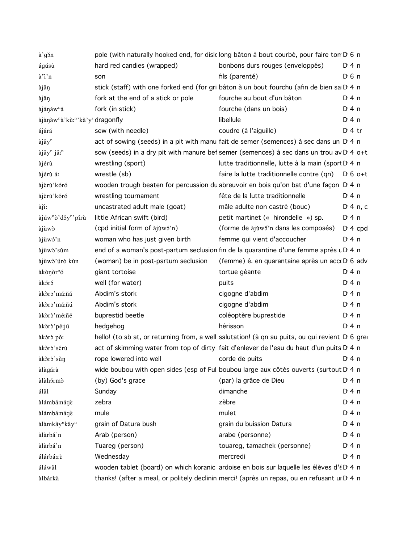| à'gǒn                                                               |                                     | pole (with naturally hooked end, for dislclong bâton à bout courbé, pour faire ton D <sub>16</sub> n |                    |
|---------------------------------------------------------------------|-------------------------------------|------------------------------------------------------------------------------------------------------|--------------------|
| ágúsù                                                               | hard red candies (wrapped)          | bonbons durs rouges (enveloppés)                                                                     | D:4n               |
| à'i'n                                                               | son                                 | fils (parenté)                                                                                       | D <sup>i</sup> 6 n |
| àjǎŋ                                                                |                                     | stick (staff) with one forked end (for gri bâton à un bout fourchu (afin de bien sa D 4 n            |                    |
| àjǎŋ                                                                | fork at the end of a stick or pole  | fourche au bout d'un bâton                                                                           | $Di$ 4 n           |
| àjánáw <sup>n</sup> á                                               | fork (in stick)                     | fourche (dans un bois)                                                                               | $Di$ 4 n           |
| àjànàw <sup>n</sup> à'kù: <sup>n'</sup> kǎ'y <sup>r</sup> dragonfly |                                     | libellule                                                                                            | $Di$ 4 n           |
| ájárá                                                               | sew (with needle)                   | coudre (à l'aiguille)                                                                                | $D:4$ tr           |
| àjǎy <sup>n</sup>                                                   |                                     | act of sowing (seeds) in a pit with manul fait de semer (semences) à sec dans un D 4 n               |                    |
| àjăy <sup>n</sup> jă: <sup>n</sup>                                  |                                     | sow (seeds) in a dry pit with manure bef semer (semences) à sec dans un trou av D <sub>14</sub> o+t  |                    |
| àjérù                                                               | wrestling (sport)                   | lutte traditionnelle, lutte à la main (sport D <sub>14</sub> n                                       |                    |
| àjérù á:                                                            | wrestle (sb)                        | faire la lutte traditionnelle contre (qn)                                                            | $D \cdot 6$ o+t    |
| àjèrù'kóró                                                          |                                     | wooden trough beaten for percussion du abreuvoir en bois qu'on bat d'une façon D 4 n                 |                    |
| àjèrù'kóró                                                          | wrestling tournament                | fête de la lutte traditionnelle                                                                      | $Di$ 4 n           |
| àjí:                                                                | uncastrated adult male (goat)       | mâle adulte non castré (bouc)                                                                        | $Di$ 4 n, c        |
| àjúw <sup>n</sup> ò'dǒy <sup>n</sup> 'pírù                          | little African swift (bird)         | petit martinet (« hirondelle ») sp.                                                                  | $Di$ 4 n           |
| àjùwò                                                               | (cpd initial form of àjùwó'n)       | (forme de àjuwő'n dans les composés)                                                                 | $Di$ 4 cpd         |
| àjùwó'n                                                             | woman who has just given birth      | femme qui vient d'accoucher                                                                          | $Di$ 4 n           |
| àjùwò'sǔm                                                           |                                     | end of a woman's post-partum seclusion fin de la quarantine d'une femme après u D 4 n                |                    |
| àjùwò'úrò kùn                                                       | (woman) be in post-partum seclusion | (femme) ê. en quarantaine après un acc D 6 adv                                                       |                    |
| àkònòr <sup>n</sup> ó                                               | giant tortoise                      | tortue géante                                                                                        | $Di$ 4 n           |
| àkóró                                                               | well (for water)                    | puits                                                                                                | $Di$ 4 n           |
| àkòro'má:ñá                                                         | Abdim's stork                       | cigogne d'abdim                                                                                      | $Di$ 4 n           |
| àkòro'má:ñú                                                         | Abdim's stork                       | cigogne d'abdim                                                                                      | $Di$ 4 n           |
| àkòrò'mé:ñé                                                         | buprestid beetle                    | coléoptère buprestide                                                                                | $Di$ 4 n           |
| àkòrò'pé:jú                                                         | hedgehog                            | hérisson                                                                                             | $Di$ 4 n           |
| àkórò pǒ:                                                           |                                     | hello! (to sb at, or returning from, a well salutation! (à qn au puits, ou qui revient D 6 gre       |                    |
| àkòrò'sérù                                                          |                                     | act of skimming water from top of dirty fait d'enlever de l'eau du haut d'un puits D <sub>1</sub> n  |                    |
| àkòrò'sǔŋ                                                           | rope lowered into well              | corde de puits                                                                                       | D: 4n              |
| àlàgárà                                                             |                                     | wide boubou with open sides (esp of Full boubou large aux côtés ouverts (surtout D'4 n               |                    |
| àlàhórmò                                                            | (by) God's grace                    | (par) la grâce de Dieu                                                                               | $Dt$ 4 n           |
| álâl                                                                | Sunday                              | dimanche                                                                                             | $Di$ 4 n           |
| àlámbá:ná:jè                                                        | zebra                               | zèbre                                                                                                | $Di$ 4 n           |
| àlámbá:ná:jè                                                        | mule                                | mulet                                                                                                | $Di$ 4 n           |
| àlàmkây <sup>n</sup> kây <sup>n</sup>                               | grain of Datura bush                | grain du buission Datura                                                                             | $Di$ 4 n           |
| àlàrbá'n                                                            | Arab (person)                       | arabe (personne)                                                                                     | $Di$ 4 n           |
| àlàrbá'n                                                            | Tuareg (person)                     | touareg, tamachek (personne)                                                                         | $Di$ 4 n           |
| álárbá:rè                                                           | Wednesday                           | mercredi                                                                                             | $Di$ 4 n           |
| áláwâl                                                              |                                     | wooden tablet (board) on which koranic ardoise en bois sur laquelle les élèves d'é D 4 n             |                    |
|                                                                     |                                     |                                                                                                      |                    |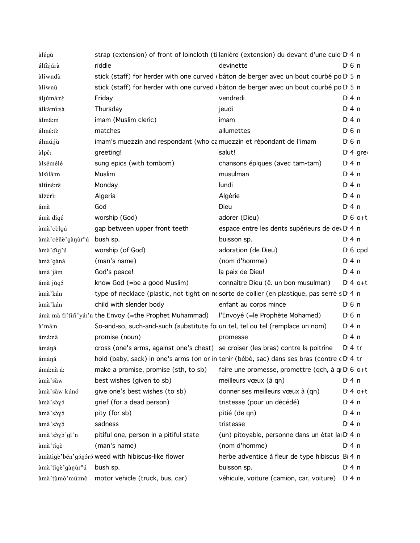| àlégù                                  |                                                                                        | strap (extension) of front of loincloth (ti lanière (extension) du devant d'une culo D 4 n   |                       |
|----------------------------------------|----------------------------------------------------------------------------------------|----------------------------------------------------------------------------------------------|-----------------------|
| álfajára                               | riddle                                                                                 | devinette                                                                                    | $D \nvert 6 \nvert n$ |
| àlíwndù                                |                                                                                        | stick (staff) for herder with one curved « bâton de berger avec un bout courbé po D' 5 n     |                       |
| àlíwnù                                 |                                                                                        | stick (staff) for herder with one curved « bâton de berger avec un bout courbé po D' 5 n     |                       |
| áljúmá:rè                              | Friday                                                                                 | vendredi                                                                                     | $Di$ 4 n              |
| álkámí:sà                              | Thursday                                                                               | jeudi                                                                                        | $Di$ 4 n              |
| álmâ:m                                 | imam (Muslim cleric)                                                                   | imam                                                                                         | $Di$ 4 n              |
| álmé:tè                                | matches                                                                                | allumettes                                                                                   | $D0$ 6 n              |
| álmú:jù                                | imam's muezzin and respondant (who camuezzin et répondant de l'imam                    |                                                                                              | $D \nvert 6 \nvert n$ |
| àlpê:                                  | greeting!                                                                              | salut!                                                                                       | $Di$ 4 gre            |
| àlsémélé                               | sung epics (with tombom)                                                               | chansons épiques (avec tam-tam)                                                              | $Di$ 4 n              |
| àlsilâ:m                               | Muslim                                                                                 | musulman                                                                                     | $Di$ 4 n              |
| áltíné:rè                              | Monday                                                                                 | lundi                                                                                        | $Di$ 4 n              |
| álžérî:                                | Algeria                                                                                | Algérie                                                                                      | $Di$ 4 n              |
| ámà                                    | God                                                                                    | Dieu                                                                                         | $Di$ 4 n              |
| ámà digé                               | worship (God)                                                                          | adorer (Dieu)                                                                                | $D \nvert 6$ o+t      |
| àmà cèlgú                              | gap between upper front teeth                                                          | espace entre les dents supérieurs de dev D 4 n                                               |                       |
| àmà cèñè gànur <sup>n</sup> ú bush sp. |                                                                                        | buisson sp.                                                                                  | $Di$ 4 n              |
| àmà' dig'ú                             | worship (of God)                                                                       | adoration (de Dieu)                                                                          | $D \nvert 6$ cpd      |
| àmà 'gàná                              | (man's name)                                                                           | (nom d'homme)                                                                                | $Di$ 4 n              |
| àmà'jâm                                | God's peace!                                                                           | la paix de Dieu!                                                                             | $Di$ 4 n              |
| ámà jùgó                               | know God (=be a good Muslim)                                                           | connaître Dieu (ê. un bon musulman)                                                          | $D:4$ o+t             |
| àmà'kán                                |                                                                                        | type of necklace (plastic, not tight on ne sorte de collier (en plastique, pas serré s D 4 n |                       |
| àmà'kán                                | child with slender body                                                                | enfant au corps mince                                                                        | $D0$ n                |
|                                        | ámà mà fi'firi'yá:'n the Envoy (=the Prophet Muhammad) l'Envoyé (=le Prophète Mohamed) |                                                                                              | $D0$ n                |
| à'mâːn                                 | So-and-so, such-and-such (substitute for un tel, tel ou tel (remplace un nom)          |                                                                                              | $Dt$ 4 n              |
| ámá:nà                                 | promise (noun)                                                                         | promesse                                                                                     | D:4n                  |
| ámáná                                  | cross (one's arms, against one's chest) se croiser (les bras) contre la poitrine       |                                                                                              | $D:4$ tr              |
| ámáná                                  |                                                                                        | hold (baby, sack) in one's arms (on or in tenir (bébé, sac) dans ses bras (contre cD.4 tr    |                       |
| ámá:nà á:                              | make a promise, promise (sth, to sb)                                                   | faire une promesse, promettre (qch, à qi D $\overline{6}$ o+t                                |                       |
| àmà'sǎw                                | best wishes (given to sb)                                                              | meilleurs vœux (à qn)                                                                        | $Di$ 4 n              |
| àmà'sǎw kúnó                           | give one's best wishes (to sb)                                                         | donner ses meilleurs vœux à (qn)                                                             | $D:4$ o+t             |
| àmà'sòyó                               | grief (for a dead person)                                                              | tristesse (pour un décédé)                                                                   | D: 4n                 |
| àmà'sòyó                               | pity (for sb)                                                                          | pitié (de qn)                                                                                | $Di$ 4 n              |
| àmà'sòyó                               | sadness                                                                                | tristesse                                                                                    | $Di$ 4 n              |
| àmà'sòγò'gí'n                          | pitiful one, person in a pitiful state                                                 | (un) pitoyable, personne dans un état la D 4 n                                               |                       |
| àmà'tígè                               | (man's name)                                                                           | (nom d'homme)                                                                                | $Di$ 4 n              |
|                                        | àmàtigè bén gón fró weed with hibiscus-like flower                                     | herbe adventice à fleur de type hibiscus Br 4 n                                              |                       |
| àmà 'tigè 'gànùr <sup>n</sup> ú        | bush sp.                                                                               | buisson sp.                                                                                  | $Di$ 4 n              |
|                                        | àmà'tùmò'mú:mò motor vehicle (truck, bus, car)                                         | véhicule, voiture (camion, car, voiture) D <sub>14</sub> n                                   |                       |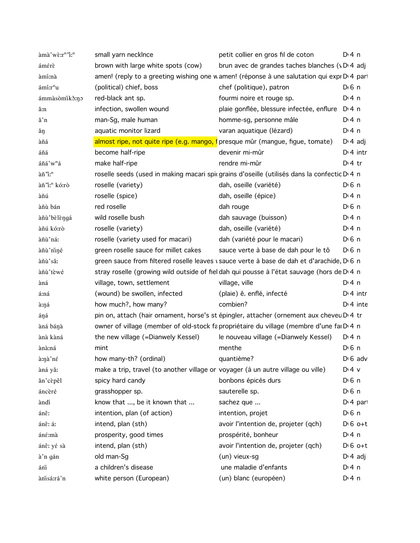| àmà'wè:r <sup>n</sup> 'i: <sup>n</sup> | small yarn necklnce                                                              | petit collier en gros fil de coton                                                                        | $Di$ 4 n              |
|----------------------------------------|----------------------------------------------------------------------------------|-----------------------------------------------------------------------------------------------------------|-----------------------|
| ámérè                                  | brown with large white spots (cow)                                               | brun avec de grandes taches blanches (vD.4 adj                                                            |                       |
| àmí:nà                                 |                                                                                  | amen! (reply to a greeting wishing one wamen! (réponse à une salutation qui expi D'4 par                  |                       |
| ámí:r <sup>n</sup> u                   | (political) chief, boss                                                          | chef (politique), patron                                                                                  | $D \cdot 6$ n         |
| ámmàsòmikǒ:no                          | red-black ant sp.                                                                | fourmi noire et rouge sp.                                                                                 | $Di$ 4 n              |
| ă:n                                    | infection, swollen wound                                                         | plaie gonflée, blessure infectée, enflure D <sub>14</sub> n                                               |                       |
| ă'n                                    | man-Sg, male human                                                               | homme-sg, personne mâle                                                                                   | $Di$ 4 n              |
| ăŋ                                     | aquatic monitor lizard                                                           | varan aquatique (lézard)                                                                                  | $Di$ 4 n              |
| àñá                                    |                                                                                  | almost ripe, not quite ripe (e.g. mango, f presque mûr (mangue, figue, tomate)                            | $D \n4$ adj           |
| áñá                                    | become half-ripe                                                                 | devenir mi-mûr                                                                                            | $Di$ 4 intr           |
| áñá'w <sup>n</sup> á                   | make half-ripe                                                                   | rendre mi-mûr                                                                                             | $Di4$ tr              |
| àñ'i: <sup>n</sup>                     |                                                                                  | roselle seeds (used in making macari spir grains d'oseille (utilisés dans la confectic D <sup>1</sup> 4 n |                       |
| àñ'i: <sup>n</sup> kó:rò               | roselle (variety)                                                                | dah, oseille (variété)                                                                                    | $D \n6$ n             |
| àñú                                    | roselle (spice)                                                                  | dah, oseille (épice)                                                                                      | $Di$ 4 n              |
| àñù bán                                | red roselle                                                                      | dah rouge                                                                                                 | $D \nvert 6 \nvert n$ |
| àñù' bèlèngá                           | wild roselle bush                                                                | dah sauvage (buisson)                                                                                     | $Di$ 4 n              |
| àñú kó:rò                              | roselle (variety)                                                                | dah, oseille (variété)                                                                                    | $Di$ 4 n              |
| àñù'ná:                                | roselle (variety used for macari)                                                | dah (variété pour le macari)                                                                              | $D \n6$ n             |
| àñù'niné                               | green roselle sauce for millet cakes                                             | sauce verte à base de dah pour le tô                                                                      | $D \n6$ n             |
| àñù'sǎ:                                |                                                                                  | green sauce from filtered roselle leaves vsauce verte à base de dah et d'arachide, D 6 n                  |                       |
| àñù'tèwé                               |                                                                                  | stray roselle (growing wild outside of fiel dah qui pousse à l'état sauvage (hors de D <sub>14</sub> n    |                       |
| àná                                    | village, town, settlement                                                        | village, ville                                                                                            | $Di$ 4 n              |
| á:ná                                   | (wound) be swollen, infected                                                     | (plaie) ê. enflé, infecté                                                                                 | $Di$ 4 intr           |
| à:ŋá                                   | how much?, how many?                                                             | combien?                                                                                                  | $D:4$ inte            |
| áŋá                                    |                                                                                  | pin on, attach (hair ornament, horse's st épingler, attacher (ornement aux cheveu D'4 tr                  |                       |
| àná bánà                               |                                                                                  | owner of village (member of old-stock fa propriétaire du village (membre d'une fai Di 4 n                 |                       |
| ànà kàná                               | the new village (=Dianwely Kessel)                                               | le nouveau village (=Dianwely Kessel)                                                                     | $Di$ 4 n              |
| ànà:ná                                 | mint                                                                             | menthe                                                                                                    | $D \nvert 6 \nvert n$ |
| à:nà'né                                | how many-th? (ordinal)                                                           | quantième?                                                                                                | $D \nvert 6$ adv      |
| àná yǎ:                                | make a trip, travel (to another village or voyager (à un autre village ou ville) |                                                                                                           | $D:4$ v               |
| ăn'cèpêl                               | spicy hard candy                                                                 | bonbons épicés durs                                                                                       | $D \nvert 6 \nvert n$ |
| áncèré                                 | grasshopper sp.                                                                  | sauterelle sp.                                                                                            | D <sub>1</sub> 6n     |
| àndí                                   | know that , be it known that                                                     | sachez que                                                                                                | $Di$ 4 part           |
| ánê:                                   | intention, plan (of action)                                                      | intention, projet                                                                                         | $D \n6$ n             |
| ánê: á:                                | intend, plan (sth)                                                               | avoir l'intention de, projeter (qch)                                                                      | $D \cdot 6$ o+t       |
| áné:mà                                 | prosperity, good times                                                           | prospérité, bonheur                                                                                       | $Di$ 4 n              |
| ánê: yé sà                             | intend, plan (sth)                                                               | avoir l'intention de, projeter (qch)                                                                      | $D \n6$ o+t           |
| à'n gán                                | old man-Sg                                                                       | (un) vieux-sg                                                                                             | $D \cdot 4$ adj       |
| ánì                                    | a children's disease                                                             | une maladie d'enfants                                                                                     | $Di$ 4 n              |
| ànisá:rá'n                             | white person (European)                                                          | (un) blanc (européen)                                                                                     | $Di$ 4 n              |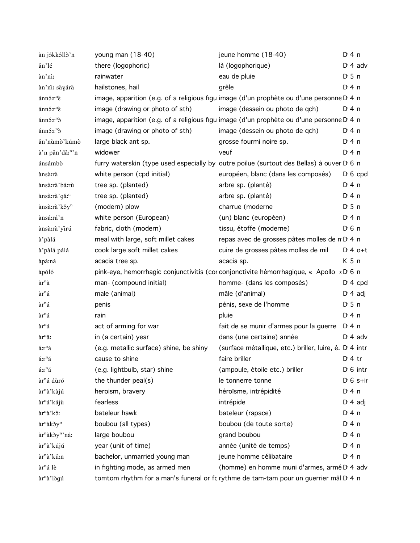| àn jókkóllò'n                                 | young man $(18-40)$                     | jeune homme (18-40)                                                                                                                                                                                                            | $Di$ 4 n              |
|-----------------------------------------------|-----------------------------------------|--------------------------------------------------------------------------------------------------------------------------------------------------------------------------------------------------------------------------------|-----------------------|
| ăn'lé                                         | there (logophoric)                      | là (logophorique)                                                                                                                                                                                                              | $Dt$ 4 adv            |
| àn'ni:                                        | rainwater                               | eau de pluie                                                                                                                                                                                                                   | $D \cdot 5$ n         |
| àn'ni: sàyárà                                 | hailstones, hail                        | grêle                                                                                                                                                                                                                          | $Di$ 4 n              |
| $aninir^n\tilde{\varepsilon}$                 |                                         | image, apparition (e.g. of a religious figu image (d'un prophète ou d'une personne D 4 n                                                                                                                                       |                       |
| ánnó:r <sup>n</sup> è                         | image (drawing or photo of sth)         | image (dessein ou photo de qch)                                                                                                                                                                                                | $Dt$ 4 n              |
| $ánn$ ; $rn$ $\delta$                         |                                         | image, apparition (e.g. of a religious figu image (d'un prophète ou d'une personne D 4 n                                                                                                                                       |                       |
| $ánn$ ; $rn$ $\delta$                         | image (drawing or photo of sth)         | image (dessein ou photo de qch)                                                                                                                                                                                                | $Di$ 4 n              |
| ăn'nùmò'kúmò                                  | large black ant sp.                     | grosse fourmi noire sp.                                                                                                                                                                                                        | $Di$ 4 n              |
| à'n păn'dâ: <sup>n</sup> 'n                   | widower                                 | veuf                                                                                                                                                                                                                           | $Di$ 4 n              |
| ánsámbò                                       |                                         | furry waterskin (type used especially by outre poilue (surtout des Bellas) à ouver D 6 n                                                                                                                                       |                       |
| ànsà:rà                                       | white person (cpd initial)              | européen, blanc (dans les composés)                                                                                                                                                                                            | $D \nvert 6$ cpd      |
| ànsà:rà'bá:rù                                 | tree sp. (planted)                      | arbre sp. (planté)                                                                                                                                                                                                             | $Dt$ 4 n              |
| ànsà:rà'gǎ: <sup>n</sup>                      | tree sp. (planted)                      | arbre sp. (planté)                                                                                                                                                                                                             | $Di$ 4 n              |
| ànsà:rà'kǒy <sup>n</sup>                      | (modern) plow                           | charrue (moderne                                                                                                                                                                                                               | $D \cdot 5$ n         |
| ànsá:rá'n                                     | white person (European)                 | (un) blanc (européen)                                                                                                                                                                                                          | $Di$ 4 n              |
| ànsà:rà'yìrú                                  | fabric, cloth (modern)                  | tissu, étoffe (moderne)                                                                                                                                                                                                        | $D \nvert 6 \nvert n$ |
| à'pàlá                                        | meal with large, soft millet cakes      | repas avec de grosses pâtes molles de n D 4 n                                                                                                                                                                                  |                       |
| à'pàlá pálá                                   | cook large soft millet cakes            | cuire de grosses pâtes molles de mil                                                                                                                                                                                           | $D:4$ o+t             |
| àpá:ná                                        | acacia tree sp.                         | acacia sp.                                                                                                                                                                                                                     | K <sub>5</sub> n      |
| àpóló                                         |                                         | pink-eye, hemorrhagic conjunctivitis (cor conjonctivite hémorrhagique, « Apollo » D 6 n                                                                                                                                        |                       |
| àr <sup>n</sup> à                             | man- (compound initial)                 | homme- (dans les composés)                                                                                                                                                                                                     | $D: 4$ cpd            |
| àr <sup>n</sup> á                             | male (animal)                           | mâle (d'animal)                                                                                                                                                                                                                | $D \nmid 4$ adj       |
| àr <sup>n</sup> á                             | penis                                   | pénis, sexe de l'homme                                                                                                                                                                                                         | $D \cdot 5$ n         |
| $\grave{\rm a} {\rm r}^{\rm n} \acute{\rm a}$ | rain                                    | pluie                                                                                                                                                                                                                          | $Di$ 4 n              |
| àr <sup>n</sup> á                             | act of arming for war                   | fait de se munir d'armes pour la guerre                                                                                                                                                                                        | D: 4n                 |
| àr <sup>n</sup> âː                            | in (a certain) year                     | dans (une certaine) année                                                                                                                                                                                                      | $Di$ 4 adv            |
| á:r <sup>n</sup> á                            | (e.g. metallic surface) shine, be shiny | (surface métallique, etc.) briller, luire, ê. D. 4 intr                                                                                                                                                                        |                       |
| $ar^n a$                                      | cause to shine                          | faire briller and the state of the state of the state of the state of the state of the state of the state of the state of the state of the state of the state of the state of the state of the state of the state of the state | $D \cdot 4$ tr        |
| á:r <sup>n</sup> á                            | (e.g. lightbulb, star) shine            | (ampoule, étoile etc.) briller                                                                                                                                                                                                 | $D1 6$ intr           |
| àr <sup>n</sup> á dùró                        | the thunder peal(s)                     | le tonnerre tonne                                                                                                                                                                                                              | $D \cdot 6$ s+ir      |
| àr <sup>n</sup> à'kàjú                        | heroism, bravery                        | héroïsme, intrépidité                                                                                                                                                                                                          | $Di$ 4 n              |
| àr <sup>n</sup> á'kájù                        | fearless                                | intrépide                                                                                                                                                                                                                      | $D \cdot 4$ adj       |
| àr <sup>n</sup> à'kô:                         | bateleur hawk                           | bateleur (rapace)                                                                                                                                                                                                              | $Di$ 4 n              |
| àr <sup>n</sup> àkǒy <sup>n</sup>             | boubou (all types)                      | boubou (de toute sorte)                                                                                                                                                                                                        | $Di$ 4 n              |
| àr <sup>n</sup> àkòy <sup>n</sup> 'ná:        | large boubou                            | grand boubou                                                                                                                                                                                                                   | $Di$ 4 n              |
| àr <sup>n</sup> à' kújú                       | year (unit of time)                     | année (unité de temps)                                                                                                                                                                                                         | $Di$ 4 n              |
| àr <sup>n</sup> à'kû:n                        | bachelor, unmarried young man           | jeune homme célibataire                                                                                                                                                                                                        | $Di$ 4 n              |
| àr <sup>n</sup> á lè                          | in fighting mode, as armed men          | (homme) en homme muni d'armes, armé D <sub>14</sub> adv                                                                                                                                                                        |                       |
| àr <sup>n</sup> à'lògú                        |                                         | tomtom rhythm for a man's funeral or fc rythme de tam-tam pour un guerrier mâl D 4 n                                                                                                                                           |                       |
|                                               |                                         |                                                                                                                                                                                                                                |                       |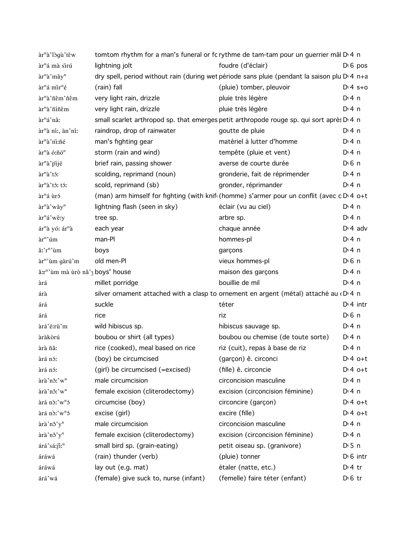| àr <sup>n</sup> à'lògù'těw                               |                                       | tomtom rhythm for a man's funeral or fc rythme de tam-tam pour un guerrier mâl D' 4 n                |                       |
|----------------------------------------------------------|---------------------------------------|------------------------------------------------------------------------------------------------------|-----------------------|
| àr <sup>n</sup> á mà sirú                                | lightning jolt                        | foudre (d'éclair)                                                                                    | $D \cdot 6$ pos       |
| àr <sup>n</sup> à'mǎy <sup>n</sup>                       |                                       | dry spell, period without rain (during wet période sans pluie (pendant la saison plu D 4 n+a         |                       |
| àr <sup>n</sup> á mir <sup>n</sup> é                     | (rain) fall                           | (pluie) tomber, pleuvoir                                                                             | $Dt 4 s + c$          |
| àr <sup>n</sup> à'ñêm'ñêm                                | very light rain, drizzle              | pluie très légère                                                                                    | $Di$ 4 n              |
| àr <sup>n</sup> à'ñíñêm                                  | very light rain, drizzle              | pluie très légère                                                                                    | $Di$ 4 n              |
| àr <sup>n</sup> á'nâː                                    |                                       | small scarlet arthropod sp. that emerges petit arthropode rouge sp. qui sort après D <sub>'4</sub> n |                       |
| àr <sup>n</sup> à ní:, àn'ní:                            | raindrop, drop of rainwater           | goutte de pluie                                                                                      | $Di$ 4 n              |
| àr <sup>n</sup> à'nì:ñé                                  | man's fighting gear                   | matériel à lutter d'homme                                                                            | $Di$ 4 n              |
| àr <sup>n</sup> à ó:ñó <sup>n</sup>                      | storm (rain and wind)                 | tempête (pluie et vent)                                                                              | $Di$ 4 n              |
| àr <sup>n</sup> à pijé                                   | brief rain, passing shower            | averse de courte durée                                                                               | $D0$ 6 n              |
| àr <sup>n</sup> à'tó:                                    | scolding, reprimand (noun)            | gronderie, fait de réprimender                                                                       | $Di$ 4 n              |
| àr <sup>n</sup> à'tó: tó:                                | scold, reprimand (sb)                 | gronder, réprimander                                                                                 | $Di$ 4 n              |
| àr <sup>n</sup> á ùró                                    |                                       | (man) arm himself for fighting (with knif (homme) s'armer pour un conflit (avec c D 4 o+t            |                       |
| àr <sup>n</sup> à'wǎy <sup>n</sup>                       | lightning flash (seen in sky)         | éclair (vu au ciel)                                                                                  | $Di$ 4 n              |
| àr <sup>n</sup> á'wê:y                                   | tree sp.                              | arbre sp.                                                                                            | $Di$ 4 n              |
| ár <sup>n</sup> à yó: ár <sup>n</sup> à                  | each year                             | chaque année                                                                                         | $Di$ 4 adv            |
| àr <sup>n</sup> 'úm                                      | man-Pl                                | hommes-pl                                                                                            | $Di$ 4 n              |
| ă:'r <sup>n</sup> 'ùm                                    | boys                                  | garçons                                                                                              | $Di$ 4 n              |
| àr <sup>n</sup> 'ùm gàrú'm                               | old men-Pl                            | vieux hommes-pl                                                                                      | $D0$ 6 n              |
| ă:r <sup>n</sup> 'ùm mà ùrò nă' <sub>)</sub> boys' house |                                       | maison des garçons                                                                                   | $Di$ 4 n              |
| àrá                                                      | millet porridge                       | bouillie de mil                                                                                      | $Di$ 4 n              |
| árà                                                      |                                       | silver ornament attached with a clasp to ornement en argent (métal) attaché au «D'4 n                |                       |
| árá                                                      | suckle                                | téter                                                                                                | $Di$ 4 intr           |
| árá                                                      | rice                                  | riz                                                                                                  | $D \nvert 6 \nvert n$ |
| àrá'é:rù'm                                               | wild hibiscus sp.                     | hibiscus sauvage sp.                                                                                 | $Di$ 4 n              |
| àràkòrú                                                  | boubou or shirt (all types)           | boubou ou chemise (de toute sorte)                                                                   | $Di$ 4 n              |
| àrà ñă:                                                  | rice (cooked), meal based on rice     | riz (cuit), repas à base de riz                                                                      | $Di$ 4 n              |
| àrá nó:                                                  | (boy) be circumcised                  | (garçon) ê. circonci                                                                                 | $D:4$ o+t             |
| àrá nó:                                                  | (girl) be circumcised (=excised)      | (fille) ê. circoncie                                                                                 | $D:4$ o+t             |
| àrà'nǒ:'w <sup>n</sup>                                   | male circumcision                     | circoncision masculine                                                                               | $Di$ 4 n              |
| àrà'nǒ:'w <sup>n</sup>                                   | female excision (cliterodectomy)      | excision (circoncision féminine)                                                                     | $Di$ 4 n              |
| àrá nò:'w <sup>n</sup> ó                                 | circumcise (boy)                      | circoncire (garçon)                                                                                  | $Dt 4 0+t$            |
| àrá nò:'w <sup>n</sup> ó                                 | excise (girl)                         | excire (fille)                                                                                       | $D:4$ o+t             |
| àrà'nǒ'y <sup>n</sup>                                    | male circumcision                     | circoncision masculine                                                                               | $Di$ 4 n              |
| àrà'nǒ'y <sup>n</sup>                                    | female excision (cliterodectomy)      | excision (circoncision féminine)                                                                     | $Dt$ 4 n              |
| árá'sá:jî: <sup>n</sup>                                  | small bird sp. (grain-eating)         | petit oiseau sp. (granivore)                                                                         | $D \cdot 5$ n         |
| áráwá                                                    | (rain) thunder (verb)                 | (pluie) tonner                                                                                       | $D \cdot 6$ intr      |
| áráwá                                                    | lay out (e.g. mat)                    | étaler (natte, etc.)                                                                                 | $Di4$ tr              |
| árá'wá                                                   | (female) give suck to, nurse (infant) | (femelle) faire téter (enfant)                                                                       | $D \nvert 6$ tr       |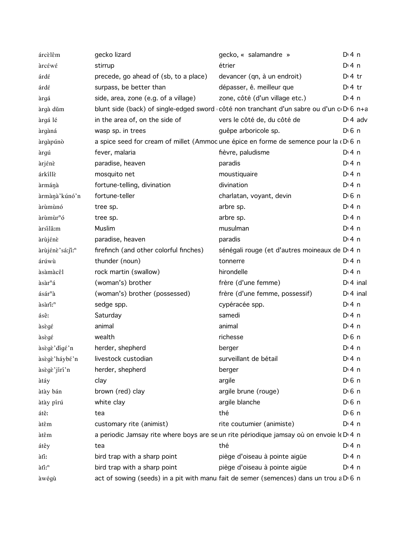| árcèlêm                     | gecko lizard                                                                                       | gecko, « salamandre »                                     | $Di$ 4 n              |
|-----------------------------|----------------------------------------------------------------------------------------------------|-----------------------------------------------------------|-----------------------|
| àrcέwέ                      | stirrup                                                                                            | étrier                                                    | $Di$ 4 n              |
| árdé                        | precede, go ahead of (sb, to a place)                                                              | devancer (qn, à un endroit)                               | $Di4$ tr              |
| árdé                        | surpass, be better than                                                                            | dépasser, ê. meilleur que                                 | $Di4$ tr              |
| àrgá                        | side, area, zone (e.g. of a village)                                                               | zone, côté (d'un village etc.)                            | $Di$ 4 n              |
| àrgà dùm                    | blunt side (back) of single-edged sword côté non tranchant d'un sabre ou d'un c D 6 n+a            |                                                           |                       |
| àrgá lé                     | in the area of, on the side of                                                                     | vers le côté de, du côté de                               | $D \cdot 4$ adv       |
| àrgàná                      | wasp sp. in trees                                                                                  | guêpe arboricole sp.                                      | $D \nvert 6 \nvert n$ |
| àrgàpúnò                    | a spice seed for cream of millet (Ammodune épice en forme de semence pour la $(D \ 6 \ n)$         |                                                           |                       |
| àrgú                        | fever, malaria                                                                                     | fièvre, paludisme                                         | $Di$ 4 n              |
| àrjénè                      | paradise, heaven                                                                                   | paradis                                                   | $Di$ 4 n              |
| árkíllè                     | mosquito net                                                                                       | moustiquaire                                              | $Di$ 4 n              |
| àrmánà                      | fortune-telling, divination                                                                        | divination                                                | $Di$ 4 n              |
| àrmànà' kúnó'n              | fortune-teller                                                                                     | charlatan, voyant, devin                                  | $D \n6$ n             |
| àrùmùnó                     | tree sp.                                                                                           | arbre sp.                                                 | $Di$ 4 n              |
| àrùmùr <sup>n</sup> ó       | tree sp.                                                                                           | arbre sp.                                                 | $Di$ 4 n              |
| àrsilâ:m                    | Muslim                                                                                             | musulman                                                  | $Di$ 4 n              |
| àrùjénè                     | paradise, heaven                                                                                   | paradis                                                   | $Di$ 4 n              |
| àrùjénè'sá:ji: <sup>n</sup> | firefinch (and other colorful finches)                                                             | sénégali rouge (et d'autres moineaux de D <sub>14</sub> n |                       |
| árúwù                       | thunder (noun)                                                                                     | tonnerre                                                  | $Di$ 4 n              |
| àsàmàcêl                    | rock martin (swallow)                                                                              | hirondelle                                                | $Di$ 4 n              |
| àsàr <sup>n</sup> á         | (woman's) brother                                                                                  | frère (d'une femme)                                       | $D14$ inal            |
| ásár <sup>n</sup> à         | (woman's) brother (possessed)                                                                      | frère (d'une femme, possessif)                            | $D14$ inal            |
| àsàri: <sup>n</sup>         | sedge spp.                                                                                         | cypéracée spp.                                            | $Di$ 4 n              |
| ásê:                        | Saturday                                                                                           | samedi                                                    | $Di$ 4 n              |
| àsègé                       | animal                                                                                             | animal                                                    | $Di$ 4 n              |
| àsègé                       | wealth                                                                                             | richesse                                                  | D <sub>1</sub> 6n     |
| àsègè'dígé'n                | herder, shepherd                                                                                   | berger                                                    | $Di$ 4 n              |
| àsègè'háybé'n               | livestock custodian                                                                                | surveillant de bétail                                     | $Di$ 4 n              |
| àsègè'jírí'n                | herder, shepherd                                                                                   | berger                                                    | $Di$ 4 n              |
| àtáy                        | clay                                                                                               | argile                                                    | D <sub>1</sub> 6n     |
| àtày bán                    | brown (red) clay                                                                                   | argile brune (rouge)                                      | D <sup>i</sup> 6 n    |
| àtày pírú                   | white clay                                                                                         | argile blanche                                            | $D \nvert 6 \nvert n$ |
| átê:                        | tea                                                                                                | thé                                                       | $D0$ 6 n              |
| àtêm                        | customary rite (animist)                                                                           | rite coutumier (animiste)                                 | $Di$ 4 n              |
| àtêm                        | a periodic Jamsay rite where boys are se un rite périodique jamsay où on envoie le D 4 n           |                                                           |                       |
| átêy                        | tea                                                                                                | thé                                                       | $Di$ 4 n              |
| àti:                        | bird trap with a sharp point                                                                       | piège d'oiseau à pointe aigüe                             | $Di$ 4 n              |
| àti: <sup>n</sup>           | bird trap with a sharp point                                                                       | piège d'oiseau à pointe aigüe                             | $Di$ 4 n              |
| àwégù                       | act of sowing (seeds) in a pit with manu fait de semer (semences) dans un trou a D <sub>16</sub> n |                                                           |                       |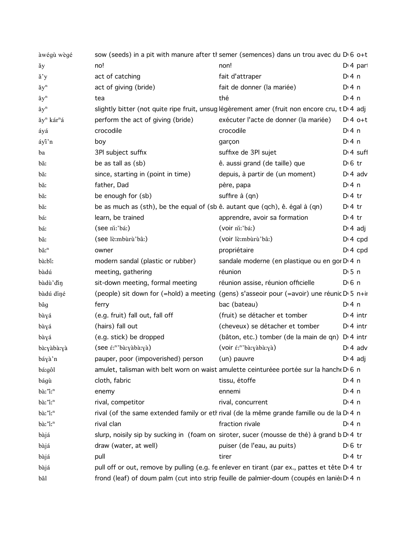| àwégù wègé                         |                                                                              | sow (seeds) in a pit with manure after th semer (semences) dans un trou avec du $Di$ 6 o+t    |                       |
|------------------------------------|------------------------------------------------------------------------------|-----------------------------------------------------------------------------------------------|-----------------------|
| ăу                                 | no!                                                                          | non!                                                                                          | $Di$ 4 part           |
| ă'y                                | act of catching                                                              | fait d'attraper                                                                               | $Di$ 4 n              |
| ăy <sup>n</sup>                    | act of giving (bride)                                                        | fait de donner (la mariée)                                                                    | $Di$ 4 n              |
| $\mathbf{\hat{a}}\mathbf{y}^n$     | tea                                                                          | thé                                                                                           | $Di$ 4 n              |
| $\mathbf{\hat{a}}\mathbf{y}^n$     |                                                                              | slightly bitter (not quite ripe fruit, unsug légèrement amer (fruit non encore cru, t D'4 adj |                       |
| ăy <sup>n</sup> kár <sup>n</sup> á | perform the act of giving (bride)                                            | exécuter l'acte de donner (la mariée)                                                         | $D:4$ o+t             |
| áyá                                | crocodile                                                                    | crocodile                                                                                     | $Di$ 4 n              |
| áyî'n                              | boy                                                                          | garçon                                                                                        | $Di$ 4 n              |
| ba                                 | 3PI subject suffix                                                           | suffixe de 3Pl sujet                                                                          | $Di$ 4 suff           |
| băː                                | be as tall as (sb)                                                           | ê. aussi grand (de taille) que                                                                | $D \n6$ tr            |
| bă:                                | since, starting in (point in time)                                           | depuis, à partir de (un moment)                                                               | $Di$ 4 adv            |
| bă:                                | father, Dad                                                                  | père, papa                                                                                    | $Di$ 4 n              |
| băː                                | be enough for (sb)                                                           | suffire à (qn)                                                                                | $Di4$ tr              |
| bă:                                | be as much as (sth), be the equal of (sb ê. autant que (qch), ê. égal à (qn) |                                                                                               | $Di4$ tr              |
| báː                                | learn, be trained                                                            | apprendre, avoir sa formation                                                                 | $Di4$ tr              |
| báː                                | (see ni:'bá:)                                                                | (voir ni:'bá:)                                                                                | $Di 4$ adj            |
| bâː                                | (see lè:mbùrù'bâ:)                                                           | (voir lè:mbùrù'bâ:)                                                                           | $Di$ 4 cpd            |
| $b\hat{a}$ : $^n$                  | owner                                                                        | propriétaire                                                                                  | $D: 4$ cpd            |
| bà:bî:                             | modern sandal (plastic or rubber)                                            | sandale moderne (en plastique ou en gor D 4 n                                                 |                       |
| bàdú                               | meeting, gathering                                                           | réunion                                                                                       | $D \cdot 5$ n         |
| bàdù'din                           | sit-down meeting, formal meeting                                             | réunion assise, réunion officielle                                                            | $D \nvert 6 \nvert n$ |
| bàdú díné                          |                                                                              | (people) sit down for (=hold) a meeting (gens) s'asseoir pour (=avoir) une réunic D' 5 n+ir   |                       |
| bâg                                | ferry                                                                        | bac (bateau)                                                                                  | $Di$ 4 n              |
| bàyá                               | (e.g. fruit) fall out, fall off                                              | (fruit) se détacher et tomber                                                                 | $Di$ 4 intr           |
| bàyá                               | (hairs) fall out                                                             | (cheveux) se détacher et tomber                                                               | $Di$ 4 intr           |
| bàyá                               | (e.g. stick) be dropped                                                      | (bâton, etc.) tomber (de la main de qn) D 4 intr                                              |                       |
| bà:yàbà:yà                         | (see <i>é</i> : <sup>n</sup> 'bà:yàbà:yà)                                    | (voir é:"'bà:yàbà:yà)                                                                         | $Di$ 4 adv            |
| báyà'n                             | pauper, poor (impoverished) person                                           | (un) pauvre                                                                                   | $D \cdot 4$ adj       |
| bá:gôl                             |                                                                              | amulet, talisman with belt worn on waist amulette ceinturéee portée sur la hanche D 6 n       |                       |
| bágù                               | cloth, fabric                                                                | tissu, étoffe                                                                                 | $Di$ 4 n              |
| bà:"i:"                            | enemy                                                                        | ennemi                                                                                        | $Di$ 4 n              |
| bà:"i:"                            | rival, competitor                                                            | rival, concurrent                                                                             | $Di$ 4 n              |
| bà:"i:"                            |                                                                              | rival (of the same extended family or eth rival (de la même grande famille ou de la D 4 n     |                       |
| bà:"i:"                            | rival clan                                                                   | fraction rivale                                                                               | $Di$ 4 n              |
| bàjá                               |                                                                              | slurp, noisily sip by sucking in (foam on siroter, sucer (mousse de thé) à grand b D'4 tr     |                       |
| bàjá                               | draw (water, at well)                                                        | puiser (de l'eau, au puits)                                                                   | $D \n6$ tr            |
| bàjá                               | pull                                                                         | tirer                                                                                         | $Di4$ tr              |
| bàjá                               |                                                                              | pull off or out, remove by pulling (e.g. feenlever en tirant (par ex., pattes et tête D'4 tr  |                       |
| bâl                                |                                                                              | frond (leaf) of doum palm (cut into strip feuille de palmier-doum (coupés en lanièr D 4 n     |                       |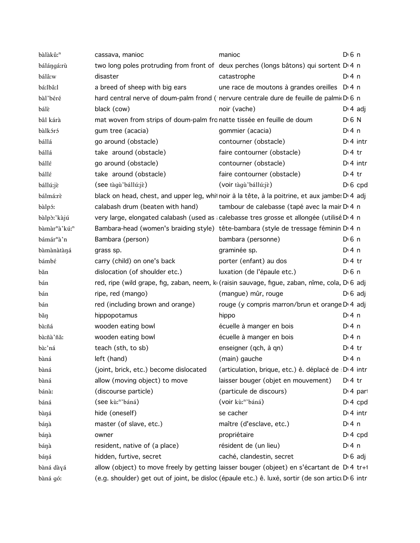| bàlàkû: <sup>n</sup>                  | cassava, manioc                                                        | manioc                                                                                                 | $D \n6$ n             |
|---------------------------------------|------------------------------------------------------------------------|--------------------------------------------------------------------------------------------------------|-----------------------|
| bálángá:rù                            |                                                                        | two long poles protruding from front of deux perches (longs bâtons) qui sortent D <sub>14</sub> n      |                       |
| bálâ:w                                | disaster                                                               | catastrophe                                                                                            | $Di$ 4 n              |
| bá:lbâ:l                              | a breed of sheep with big ears                                         | une race de moutons à grandes oreilles D <sub>14</sub> n                                               |                       |
| bàl'béré                              |                                                                        | hard central nerve of doum-palm frond (nervure centrale dure de feuille de palmi D 6 n                 |                       |
| bálè                                  | black (cow)                                                            | noir (vache)                                                                                           | $D \cdot 4$ adj       |
| bâl kárà                              | mat woven from strips of doum-palm fro natte tissée en feuille de doum |                                                                                                        | $D \nvert 6 N$        |
| bàlkóró                               | gum tree (acacia)                                                      | gommier (acacia)                                                                                       | $Di$ 4 n              |
| bállá                                 | go around (obstacle)                                                   | contourner (obstacle)                                                                                  | $Di$ 4 intr           |
| bállá                                 | take around (obstacle)                                                 | faire contourner (obstacle)                                                                            | $Di4$ tr              |
| bállé                                 | go around (obstacle)                                                   | contourner (obstacle)                                                                                  | $Dt$ 4 intr           |
| bállé                                 | take around (obstacle)                                                 | faire contourner (obstacle)                                                                            | $D \cdot 4$ tr        |
| bállú:jè                              | (see tàgù'bállú:jè)                                                    | (voir tàgù'bállú:jè)                                                                                   | $D \cdot 6$ cpd       |
| bálmá:rè                              |                                                                        | black on head, chest, and upper leg, whil noir à la tête, à la poitrine, et aux jambe: D'4 adj         |                       |
| bàlpó:                                | calabash drum (beaten with hand)                                       | tambour de calebasse (tapé avec la mair D 4 n                                                          |                       |
| bàlpò:'kàjú                           |                                                                        | very large, elongated calabash (used as calebasse tres grosse et allongée (utilisé D 4 n               |                       |
| bàmàr <sup>n</sup> à'kú: <sup>n</sup> |                                                                        | Bambara-head (women's braiding style) tête-bambara (style de tressage féminin D'4 n                    |                       |
| bámár <sup>n</sup> à'n                | Bambara (person)                                                       | bambara (personne)                                                                                     | $D \n6$ n             |
| bàmànàtàná                            | grass sp.                                                              | graminée sp.                                                                                           | $Di$ 4 n              |
| bámbé                                 | carry (child) on one's back                                            | porter (enfant) au dos                                                                                 | $D \cdot 4$ tr        |
| băn                                   | dislocation (of shoulder etc.)                                         | luxation (de l'épaule etc.)                                                                            | $D \nvert 6 \nvert n$ |
| bán                                   |                                                                        | red, ripe (wild grape, fig, zaban, neem, k (raisin sauvage, figue, zaban, nîme, cola, D 6 adj          |                       |
| bán                                   | ripe, red (mango)                                                      | (mangue) mûr, rouge                                                                                    | $D \cdot 6$ adj       |
| bán                                   | red (including brown and orange)                                       | rouge (y compris marron/brun et orange D 4 adj                                                         |                       |
| bǎŋ                                   | hippopotamus                                                           | hippo                                                                                                  | $Dt$ 4 n              |
| bà:ñá                                 | wooden eating bowl                                                     | écuelle à manger en bois                                                                               | $Di$ 4 n              |
| bà:ñà'ñăː                             | wooden eating bowl                                                     | écuelle à manger en bois                                                                               | $Dt$ 4 n              |
| bàː'ná                                | teach (sth, to sb)                                                     | enseigner (qch, à qn)                                                                                  | $Di4$ tr              |
| bàná                                  | left (hand)                                                            | (main) gauche                                                                                          | $Di$ 4 n              |
| bàná                                  | (joint, brick, etc.) become dislocated                                 | (articulation, brique, etc.) ê. déplacé de D 4 intr                                                    |                       |
| bàná                                  | allow (moving object) to move                                          | laisser bouger (objet en mouvement)                                                                    | $D \cdot 4$ tr        |
| bánà:                                 | (discourse particle)                                                   | (particule de discours)                                                                                | $Di$ 4 part           |
| báná                                  | (see kù: <sup>n</sup> 'báná)                                           | (voir kù:"'báná)                                                                                       | $D: 4$ cpd            |
| bàŋá                                  | hide (oneself)                                                         | se cacher                                                                                              | $Di$ 4 intr           |
| báŋà                                  | master (of slave, etc.)                                                | maître (d'esclave, etc.)                                                                               | $Di$ 4 n              |
| báŋà                                  | owner                                                                  | propriétaire                                                                                           | $Di 4$ cpd            |
| báŋà                                  | resident, native of (a place)                                          | résident de (un lieu)                                                                                  | $Di$ 4 n              |
| báŋá                                  | hidden, furtive, secret                                                | caché, clandestin, secret                                                                              | $D \cdot 6$ adj       |
| bàná dàyá                             |                                                                        | allow (object) to move freely by getting laisser bouger (objeet) en s'écartant de D <sub>'4</sub> tr+1 |                       |
| bàná gó:                              |                                                                        | (e.g. shoulder) get out of joint, be disloc (épaule etc.) ê. luxé, sortir (de son artici D'6 intr      |                       |
|                                       |                                                                        |                                                                                                        |                       |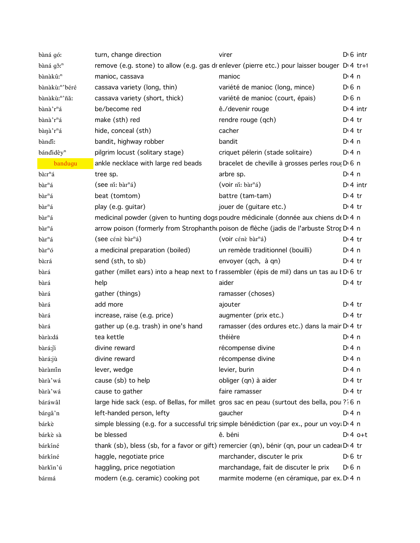| bàná gó:                 | turn, change direction               | virer                                                                                         | $D0$ intr   |
|--------------------------|--------------------------------------|-----------------------------------------------------------------------------------------------|-------------|
| bàná gǒ: <sup>n</sup>    |                                      | remove (e.g. stone) to allow (e.g. gas dr enlever (pierre etc.) pour laisser bouger D.4 tr+1  |             |
| bànàkû: <sup>n</sup>     | manioc, cassava                      | manioc                                                                                        | $Di$ 4 n    |
| bànàkù:"'béré            | cassava variety (long, thin)         | variété de manioc (long, mince)                                                               | $D0$ n      |
| bànàkù:"'ñă:             | cassava variety (short, thick)       | variété de manioc (court, épais)                                                              | $D \n6$ n   |
| bànà'r <sup>n</sup> á    | be/become red                        | ê./devenir rouge                                                                              | $Di$ 4 intr |
| bànà'r <sup>n</sup> á    | make (sth) red                       | rendre rouge (qch)                                                                            | $Di4$ tr    |
| bànà'r <sup>n</sup> á    | hide, conceal (sth)                  | cacher                                                                                        | $D:4$ tr    |
| bàndi:                   | bandit, highway robber               | bandit                                                                                        | $Di$ 4 n    |
| bándidêy <sup>n</sup>    | pilgrim locust (solitary stage)      | criquet pélerin (stade solitaire)                                                             | $Di$ 4 n    |
| bandugu                  | ankle necklace with large red beads  | bracelet de cheville à grosses perles rouç D 6 n                                              |             |
| bà:r <sup>n</sup> á      | tree sp.                             | arbre sp.                                                                                     | $Di$ 4 n    |
| bàr <sup>n</sup> á       | (see ni: bàr <sup>n</sup> á)         | (voir ni: bàr <sup>n</sup> á)                                                                 | $Di$ 4 intr |
| bàr <sup>n</sup> á       | beat (tomtom)                        | battre (tam-tam)                                                                              | $Di4$ tr    |
| bàr <sup>n</sup> á       | play (e.g. guitar)                   | jouer de (guitare etc.)                                                                       | $D:4$ tr    |
| bàr <sup>n</sup> á       |                                      | medicinal powder (given to hunting dogs poudre médicinale (donnée aux chiens de D 4 n         |             |
| bàr <sup>n</sup> á       |                                      | arrow poison (formerly from Strophanth poison de flèche (jadis de l'arbuste Strop D.4 n       |             |
| $b\grave{a}r^n\acute{a}$ | (see cénè bàr <sup>n</sup> á)        | (voir cénè bàr <sup>n</sup> á)                                                                | $Di4$ tr    |
| $bar^n$ ó                | a medicinal preparation (boiled)     | un remède traditionnel (bouilli)                                                              | D:4n        |
| bà:rá                    | send (sth, to sb)                    | envoyer (qch, à qn)                                                                           | $Dt$ + tr   |
| bàrá                     |                                      | gather (millet ears) into a heap next to f rassembler (épis de mil) dans un tas au l D 6 tr   |             |
| bàrá                     | help                                 | aider                                                                                         | $Di4$ tr    |
| bàrá                     | gather (things)                      | ramasser (choses)                                                                             |             |
| bàrá                     | add more                             | ajouter                                                                                       | $Di4$ tr    |
| bàrá                     | increase, raise (e.g. price)         | augmenter (prix etc.)                                                                         | $Di4$ tr    |
| bàrá                     | gather up (e.g. trash) in one's hand | ramasser (des ordures etc.) dans la mair D <sub>1</sub> 4 tr                                  |             |
| bàrà:dá                  | tea kettle                           | théière                                                                                       | $Di$ 4 n    |
| bàrá:ji                  | divine reward                        | récompense divine                                                                             | $Di$ 4 n    |
| bàrá:jù                  | divine reward                        | récompense divine                                                                             | $Di$ 4 n    |
| bàràmin                  | lever, wedge                         | levier, burin                                                                                 | $Di$ 4 n    |
| bàrà'wá                  | cause (sb) to help                   | obliger (qn) à aider                                                                          | $Dt$ 4 tr   |
| bàrà'wá                  | cause to gather                      | faire ramasser                                                                                | $Di4$ tr    |
| báráwâl                  |                                      | large hide sack (esp. of Bellas, for millet gros sac en peau (surtout des bella, pou ? 6 n    |             |
| bárgâ'n                  | left-handed person, lefty            | gaucher                                                                                       | $Di$ 4 n    |
| bárkè                    |                                      | simple blessing (e.g. for a successful trip simple bénédiction (par ex., pour un voy. D. 4 n  |             |
| bárkè sà                 | be blessed                           | ê. béni                                                                                       | $D:4$ o+t   |
| bárkíné                  |                                      | thank (sb), bless (sb, for a favor or gift) remercier (qn), bénir (qn, pour un cadea $D$ 4 tr |             |
| bárkíné                  | haggle, negotiate price              | marchander, discuter le prix                                                                  | $D \n6$ tr  |
| bàrkin'ú                 | haggling, price negotiation          | marchandage, fait de discuter le prix                                                         | $D \n6$ n   |
| bármá                    | modern (e.g. ceramic) cooking pot    | marmite moderne (en céramique, par ex. D. 4 n                                                 |             |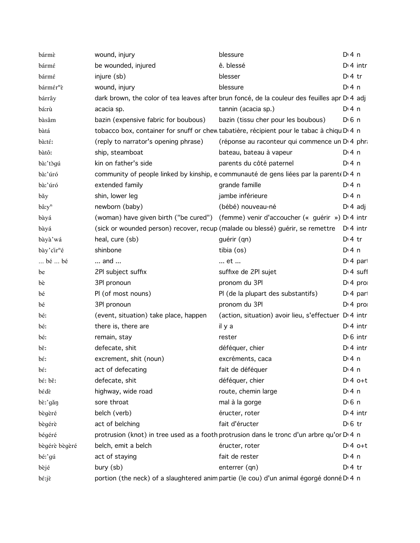| bármè                      | wound, injury                         | blessure                                                                                              | $Di$ 4 n              |
|----------------------------|---------------------------------------|-------------------------------------------------------------------------------------------------------|-----------------------|
| bármé                      | be wounded, injured                   | ê. blessé                                                                                             | $Di$ 4 intr           |
| bármé                      | injure (sb)                           | blesser                                                                                               | $Dt$ 4 tr             |
| bármér <sup>n</sup> è      | wound, injury                         | blessure                                                                                              | $Dt$ 4 n              |
| bárrây                     |                                       | dark brown, the color of tea leaves after brun foncé, de la couleur des feuilles apr D 4 adj          |                       |
| bá:rù                      | acacia sp.                            | tannin (acacia sp.)                                                                                   | $Di$ 4 n              |
| bàsâm                      | bazin (expensive fabric for boubous)  | bazin (tissu cher pour les boubous)                                                                   | $D0$ n                |
| bàtá                       |                                       | tobacco box, container for snuff or chew tabatière, récipient pour le tabac à chiqu D 4 n             |                       |
| bà:té:                     | (reply to narrator's opening phrase)  | (réponse au raconteur qui commence un D <sub>14</sub> phr                                             |                       |
| bàtô:                      | ship, steamboat                       | bateau, bateau à vapeur                                                                               | $Di$ 4 n              |
| bà:'tògú                   | kin on father's side                  | parents du côté paternel                                                                              | $Di$ 4 n              |
| bà:'úró                    |                                       | community of people linked by kinship, e communauté de gens liées par la parent D 4 n                 |                       |
| bà:'úró                    | extended family                       | grande famille                                                                                        | $Di$ 4 n              |
| băy                        | shin, lower leg                       | jambe inférieure                                                                                      | $Di$ 4 n              |
| $b\hat{a}$ :y <sup>n</sup> | newborn (baby)                        | (bébé) nouveau-né                                                                                     | $D \cdot 4$ adj       |
| bàyá                       |                                       | (woman) have given birth ("be cured") (femme) venir d'accoucher (« guérir ») D'4 intr                 |                       |
| bàyá                       |                                       | (sick or wounded person) recover, recup (malade ou blessé) guérir, se remettre D'4 intr               |                       |
| bàyà'wá                    | heal, cure (sb)                       | guérir (qn)                                                                                           | $Di4$ tr              |
| bày' cir <sup>n</sup> é    | shinbone                              | tibia (os)                                                                                            | $Di$ 4 n              |
| bé  bé                     | and                                   | et                                                                                                    | $D14$ part            |
| be                         | 2PI subject suffix                    | suffixe de 2Pl sujet                                                                                  | $Dt$ 4 suff           |
| bè                         | 3PI pronoun                           | pronom du 3Pl                                                                                         | $Di$ 4 pro            |
| bé                         | PI (of most nouns)                    | PI (de la plupart des substantifs)                                                                    | $D14$ part            |
| bé                         | 3PI pronoun                           | pronom du 3Pl                                                                                         | $Dt 4$ pro            |
| bé:                        | (event, situation) take place, happen | (action, situation) avoir lieu, s'effectuer D <sub>'</sub> 4 intr                                     |                       |
| bé:                        | there is, there are                   | il y a                                                                                                | $Di$ 4 intr           |
| bé:                        | remain, stay                          | rester                                                                                                | $D \cdot 6$ intr      |
| $b\tilde{\epsilon}$        | defecate, shit                        | déféquer, chier                                                                                       | $Di$ 4 intr           |
| bέ:                        | excrement, shit (noun)                | excréments, caca                                                                                      | $Dt$ 4 n              |
| $b\acute{\epsilon}$        | act of defecating                     | fait de déféquer                                                                                      | $Di$ 4 n              |
| bé: bě:                    | defecate, shit                        | déféquer, chier                                                                                       | $Dt4$ o+t             |
| bédè                       | highway, wide road                    | route, chemin large                                                                                   | $Di$ 4 n              |
| bè:'gǎŋ                    | sore throat                           | mal à la gorge                                                                                        | $D \nvert 6 \nvert n$ |
| bègèré                     | belch (verb)                          | éructer, roter                                                                                        | $Di$ 4 intr           |
| bègérè                     | act of belching                       | fait d'éructer                                                                                        | $D0$ fr               |
| bégéré                     |                                       | protrusion (knot) in tree used as a footh protrusion dans le tronc d'un arbre qu'or D <sub>14</sub> n |                       |
| bègérè bègèré              | belch, emit a belch                   | éructer, roter                                                                                        | $Dt 4 0+t$            |
| bé:'gú                     | act of staying                        | fait de rester                                                                                        | $Dt$ 4 n              |
| bèjé                       | bury (sb)                             | enterrer (qn)                                                                                         | $Di4$ tr              |
| bé:jè                      |                                       | portion (the neck) of a slaughtered anim partie (le cou) d'un animal égorgé donné D <sub>14</sub> n   |                       |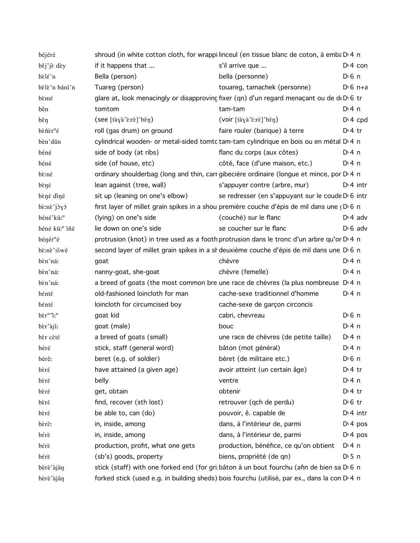| béjéré                                                                       |                                                                        | shroud (in white cotton cloth, for wrappi linceul (en tissue blanc de coton, à emba D 4 n    |                       |
|------------------------------------------------------------------------------|------------------------------------------------------------------------|----------------------------------------------------------------------------------------------|-----------------------|
| běj'jè dèy                                                                   | if it happens that                                                     | s'il arrive que                                                                              | $D: 4$ con            |
| bèlé'n                                                                       | Bella (person)                                                         | bella (personne)                                                                             | D <sup>i</sup> 6 n    |
| bèlè'n bání'n                                                                | Tuareg (person)                                                        | touareg, tamachek (personne)                                                                 | $D \cdot 6$ n+a       |
| bèmé                                                                         |                                                                        | glare at, look menacingly or disapproving fixer (qn) d'un regard menaçant ou de deD 6 tr     |                       |
| běn                                                                          | tomtom                                                                 | tam-tam                                                                                      | $Di$ 4 n              |
| $b \check{\epsilon}$ ŋ                                                       | $($ see $[t\ddot{a}\ddot{a}\ddot{c}\ddot{c}\ddot{r}\ddot{c}]$ 'běn $)$ | (voir [tàyà'è:rè]'běn)                                                                       | $D: 4$ cpd            |
| $b\tilde{\varepsilon} \tilde{n} \tilde{\varepsilon} r^n \tilde{\varepsilon}$ | roll (gas drum) on ground                                              | faire rouler (barique) à terre                                                               | $Di4$ tr              |
| bèn'dǔn                                                                      |                                                                        | cylindrical wooden- or metal-sided tomtc tam-tam cylindrique en bois ou en métal D 4 n       |                       |
| béné                                                                         | side of body (at ribs)                                                 | flanc du corps (aux côtes)                                                                   | D:4n                  |
| béné                                                                         | side (of house, etc)                                                   | côté, face (d'une maison, etc.)                                                              | $Di$ 4 n              |
| bè:né                                                                        |                                                                        | ordinary shoulderbag (long and thin, carr gibecière ordinaire (longue et mince, por D 4 n    |                       |
| $b$ èné                                                                      | lean against (tree, wall)                                              | s'appuyer contre (arbre, mur)                                                                | $D \cdot 4$ intr      |
| bèné diné                                                                    | sit up (leaning on one's elbow)                                        | se redresser (en s'appuyant sur le coude D'6 intr                                            |                       |
| bè:nè'jòyó                                                                   |                                                                        | first layer of millet grain spikes in a shou première couche d'épis de mil dans une (D 6 n   |                       |
| béné'kû: <sup>n</sup>                                                        | (lying) on one's side                                                  | (couché) sur le flanc                                                                        | $D \cdot 4$ adv       |
| béné kû: <sup>n</sup> iñé                                                    | lie down on one's side                                                 | se coucher sur le flanc                                                                      | $D \cdot 6$ adv       |
| $b$ énér <sup>n</sup> é                                                      |                                                                        | protrusion (knot) in tree used as a footh protrusion dans le tronc d'un arbre qu'or D 4 n    |                       |
| bè:nè'siwé                                                                   |                                                                        | second layer of millet grain spikes in a si deuxième couche d'épis de mil dans une D 6 n     |                       |
| bèn'ná:                                                                      | goat                                                                   | chèvre                                                                                       | $Di$ 4 n              |
| bèn'ná:                                                                      | nanny-goat, she-goat                                                   | chèvre (femelle)                                                                             | $Di$ 4 n              |
| bèn'ná:                                                                      |                                                                        | a breed of goats (the most common bre une race de chèvres (la plus nombreuse $Di$ 4 n        |                       |
| bénté                                                                        | old-fashioned loincloth for man                                        | cache-sexe traditionnel d'homme                                                              | $Di$ 4 n              |
| bénté                                                                        | loincloth for circumcised boy                                          | cache-sexe de garçon circoncis                                                               |                       |
| $b\grave{\epsilon}r^n\acute{\gamma}r^n$                                      | goat kid                                                               | cabri, chevreau                                                                              | D <sup>i</sup> 6 n    |
| bèr'àjí:                                                                     | goat (male)                                                            | bouc                                                                                         | $Di$ 4 n              |
| bèr cèté                                                                     | a breed of goats (small)                                               | une race de chèvres (de petite taille)                                                       | D:4n                  |
| béré                                                                         | stick, staff (general word)                                            | bâton (mot général)                                                                          | $Di$ 4 n              |
| bérê:                                                                        | beret (e.g. of soldier)                                                | béret (de militaire etc.)                                                                    | $D \nvert 6 \nvert n$ |
| bèré                                                                         | have attained (a given age)                                            | avoir atteint (un certain âge)                                                               | $Di4$ tr              |
| bèré                                                                         | belly                                                                  | ventre                                                                                       | $Di$ 4 n              |
| bèré                                                                         | get, obtain                                                            | obtenir                                                                                      | $Di4$ tr              |
| bèré                                                                         | find, recover (sth lost)                                               | retrouver (qch de perdu)                                                                     | $D0$ fr               |
| bèré                                                                         | be able to, can (do)                                                   | pouvoir, ê. capable de                                                                       | $Dt$ 4 intr           |
| bèrê:                                                                        | in, inside, among                                                      | dans, à l'intérieur de, parmi                                                                | D <sup>i</sup> 4 pos  |
| bérè                                                                         | in, inside, among                                                      | dans, à l'intérieur de, parmi                                                                | D <sup>i</sup> 4 pos  |
| bérè                                                                         | production, profit, what one gets                                      | production, bénéfice, ce qu'on obtient                                                       | D:4n                  |
| bérè                                                                         | (sb's) goods, property                                                 | biens, propriété (de qn)                                                                     | $D \cdot 5$ n         |
| bèrè'àjǎn                                                                    |                                                                        | stick (staff) with one forked end (for gri bâton à un bout fourchu (afin de bien sa D 6 n    |                       |
| bèrè'àjǎŋ                                                                    |                                                                        | forked stick (used e.g. in building sheds) bois fourchu (utilisé, par ex., dans la con D 4 n |                       |
|                                                                              |                                                                        |                                                                                              |                       |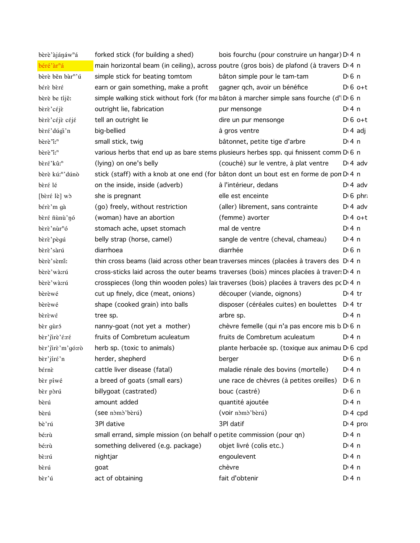| bèrè'àjánáw <sup>n</sup> á   | forked stick (for building a shed)                                    | bois fourchu (pour construire un hangar) D <sub>1</sub> 4 n                                         |                       |
|------------------------------|-----------------------------------------------------------------------|-----------------------------------------------------------------------------------------------------|-----------------------|
| béré'àr <sup>n</sup> á       |                                                                       | main horizontal beam (in ceiling), across poutre (gros bois) de plafond (à travers D.4 n            |                       |
| bèrè běn bàr <sup>n</sup> 'ú | simple stick for beating tomtom                                       | bâton simple pour le tam-tam                                                                        | $D0$ n                |
| bérè bèré                    | earn or gain something, make a profit                                 | gagner qch, avoir un bénéfice                                                                       | $D \nvert 6$ o+t      |
| bèrè be tíjê:                |                                                                       | simple walking stick without fork (for mabâton à marcher simple sans fourche (d'IDG n               |                       |
| bèrè'céjè                    | outright lie, fabrication                                             | pur mensonge                                                                                        | $Di$ 4 n              |
| bèrè'céjè céjé               | tell an outright lie                                                  | dire un pur mensonge                                                                                | $D \nvert 6$ o+t      |
| bèré'dúgi'n                  | big-bellied                                                           | à gros ventre                                                                                       | $D: 4$ adj            |
| bèrè "i: <sup>n</sup>        | small stick, twig                                                     | bâtonnet, petite tige d'arbre                                                                       | $Dt$ 4 n              |
| bèrè "i: <sup>n</sup>        |                                                                       | various herbs that end up as bare stems plusieurs herbes spp. qui finissent comm D 6 n              |                       |
| bèré'kû: <sup>n</sup>        | (lying) on one's belly                                                | (couché) sur le ventre, à plat ventre                                                               | $D \cdot 4$ adv       |
| bèrè kú: <sup>n</sup> 'dúnò  |                                                                       | stick (staff) with a knob at one end (for bâton dont un bout est en forme de pon D'4 n              |                       |
| bèré lé                      | on the inside, inside (adverb)                                        | à l'intérieur, dedans                                                                               | $D \cdot 4$ adv       |
| [bèré lè] wò                 | she is pregnant                                                       | elle est enceinte                                                                                   | $D \setminus 6$ phr.  |
| bérè'm gà                    | (go) freely, without restriction                                      | (aller) librement, sans contrainte                                                                  | $D \cdot 4$ adv       |
| bèré ñùnù'nó                 | (woman) have an abortion                                              | (femme) avorter                                                                                     | $Dt 4 0+t$            |
| bèrè'nùr <sup>n</sup> ó      | stomach ache, upset stomach                                           | mal de ventre                                                                                       | $Dt$ 4 n              |
| bèrè'pègú                    | belly strap (horse, camel)                                            | sangle de ventre (cheval, chameau)                                                                  | $Di$ 4 n              |
| bèrè'sàrú                    | diarrhoea                                                             | diarrhée                                                                                            | $D \n6$ n             |
| bèrè'sèmi:                   |                                                                       | thin cross beams (laid across other bean traverses minces (placées à travers des D <sub>1</sub> 4 n |                       |
| bèrè'wà:rú                   |                                                                       | cross-sticks laid across the outer beams traverses (bois) minces placées à traver: D 4 n            |                       |
| bèrè'wà:rú                   |                                                                       | crosspieces (long thin wooden poles) laid traverses (bois) placées à travers des pc D 4 n           |                       |
| bèrèwé                       | cut up finely, dice (meat, onions)                                    | découper (viande, oignons)                                                                          | $D:4$ tr              |
| bèrèwé                       | shape (cooked grain) into balls                                       | disposer (céréales cuites) en boulettes D <sub>1</sub> 4 tr                                         |                       |
| bèrèwé                       | tree sp.                                                              | arbre sp.                                                                                           | $Di$ 4 n              |
| bèr gùró                     | nanny-goat (not yet a mother)                                         | chèvre femelle (qui n'a pas encore mis b D 6 n                                                      |                       |
| bèr'jirè'é:ré                | fruits of Combretum aculeatum                                         | fruits de Combretum aculeatum                                                                       | $Di$ 4 n              |
| bèr'jirè'm'gó:rò             | herb sp. (toxic to animals)                                           | plante herbacée sp. (toxique aux animau D 6 cpd                                                     |                       |
| bèr'jíré'n                   | herder, shepherd                                                      | berger                                                                                              | $D0$ n                |
| bérnè                        | cattle liver disease (fatal)                                          | maladie rénale des bovins (mortelle)                                                                | $Di$ 4 n              |
| bèr piwé                     | a breed of goats (small ears)                                         | une race de chèvres (à petites oreilles)                                                            | $D \nvert 6 \nvert n$ |
| bèr pòrú                     | billygoat (castrated)                                                 | bouc (castré)                                                                                       | $D \nvert 6 \nvert n$ |
| bèrú                         | amount added                                                          | quantité ajoutée                                                                                    | $Dt$ 4 n              |
| bèrú                         | (see nómó'bèrú)                                                       | (voir nómó'bèrú)                                                                                    | $Di$ 4 cpd            |
| bè'rú                        | 3PI dative                                                            | 3Pl datif                                                                                           | $Di$ 4 pro            |
| bé:rù                        | small errand, simple mission (on behalf o petite commission (pour qn) |                                                                                                     | $Di$ 4 n              |
| bé:rù                        | something delivered (e.g. package)                                    | objet livré (colis etc.)                                                                            | $Di$ 4 n              |
| bè:rú                        | nightjar                                                              | engoulevent                                                                                         | $Di$ 4 n              |
| bèrú                         | goat                                                                  | chèvre                                                                                              | $Di$ 4 n              |
| bèr'ú                        | act of obtaining                                                      | fait d'obtenir                                                                                      | $Di$ 4 n              |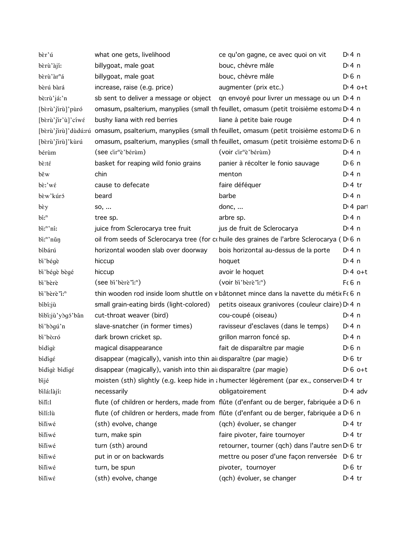| bèr'ú                                           | what one gets, livelihood                                                                                  | ce qu'on gagne, ce avec quoi on vit                                                        | $Di$ 4 n              |
|-------------------------------------------------|------------------------------------------------------------------------------------------------------------|--------------------------------------------------------------------------------------------|-----------------------|
| bèrù'àjí:                                       | billygoat, male goat                                                                                       | bouc, chèvre mâle                                                                          | $Di$ 4 n              |
| bèrù'àr <sup>n</sup> á                          | billygoat, male goat                                                                                       | bouc, chèvre mâle                                                                          | $D \nvert 6 \nvert n$ |
| bèrú bàrá                                       | increase, raise (e.g. price)                                                                               | augmenter (prix etc.)                                                                      | $D:4$ o+t             |
| bè:rù'já:'n                                     | sb sent to deliver a message or object qn envoyé pour livrer un message ou un D 4 n                        |                                                                                            |                       |
| [bɛ̀rù'jirù]'pùró                               | omasum, psalterium, manyplies (small th feuillet, omasum (petit troisième estoma D 4 n                     |                                                                                            |                       |
| [bèrù'jir'ù]'cíwé                               | bushy liana with red berries                                                                               | liane à petite baie rouge                                                                  | $Dt$ n                |
|                                                 | [bɛrù'jirù]'dùdú:rú omasum, psalterium, manyplies (small th feuillet, omasum (petit troisième estoma D 6 n |                                                                                            |                       |
| [bèrù'jirù]'kùrú                                | omasum, psalterium, manyplies (small th feuillet, omasum (petit troisième estoma D 6 n                     |                                                                                            |                       |
| bérùm                                           | (see cir <sup>n</sup> è'bérùm)                                                                             | (voir cir <sup>n</sup> è'bérùm)                                                            | $Di$ 4 n              |
| $b\tilde{\varepsilon}$ :t $\tilde{\varepsilon}$ | basket for reaping wild fonio grains                                                                       | panier à récolter le fonio sauvage                                                         | D <sup>i</sup> 6 n    |
| běw                                             | chin                                                                                                       | menton                                                                                     | $Di$ 4 n              |
| $b\hat{\varepsilon}$ :' $w\hat{\varepsilon}$    | cause to defecate                                                                                          | faire déféquer                                                                             | $D:4$ tr              |
| bèw'kúró                                        | beard                                                                                                      | barbe                                                                                      | $Di$ 4 n              |
| bèy                                             | SO,                                                                                                        | donc, $\dots$                                                                              | $Di$ 4 part           |
| $\mathbf{b}$ i: $\mathbf{a}$                    | tree sp.                                                                                                   | arbre sp.                                                                                  | $Di$ 4 n              |
| $\overline{\text{bi}}$ "ní:                     | juice from Sclerocarya tree fruit                                                                          | jus de fruit de Sclerocarya                                                                | $Di$ 4 n              |
| bi: <sup>n</sup> 'nǔn                           | oil from seeds of Sclerocarya tree (for cohuile des graines de l'arbre Sclerocarya (D) 6 n                 |                                                                                            |                       |
| bíbárú                                          | horizontal wooden slab over doorway                                                                        | bois horizontal au-dessus de la porte                                                      | D:4n                  |
| bi'bégè                                         | hiccup                                                                                                     | hoquet                                                                                     | $Di$ 4 n              |
| bi'bégè bègé                                    | hiccup                                                                                                     | avoir le hoquet                                                                            | $D:4$ o+t             |
| bi'bèrè                                         | $($ see bi'bèrè'i: <sup>n</sup> )                                                                          | (voir bi'bèrè'i: <sup>n</sup> )                                                            | $F6$ n                |
| bi'bèrè'i: <sup>n</sup>                         | thin wooden rod inside loom shuttle on v bâtonnet mince dans la navette du métik F(6 n                     |                                                                                            |                       |
| bíbi:jù                                         | small grain-eating birds (light-colored)                                                                   | petits oiseaux granivores (couleur claire) D <sub>1</sub> 4 n                              |                       |
| bibi:jù'yògó'bân                                | cut-throat weaver (bird)                                                                                   | cou-coupé (oiseau)                                                                         | $Di$ 4 n              |
| bi'bògú'n                                       | slave-snatcher (in former times)                                                                           | ravisseur d'esclaves (dans le temps)                                                       | $Di$ 4 n              |
| bi'bò:ró                                        | dark brown cricket sp.                                                                                     | grillon marron foncé sp.                                                                   | $Di$ 4 n              |
| bidige                                          | magical disappearance                                                                                      | fait de disparaître par magie                                                              | $D0$ 6 n              |
| bídígé                                          | disappear (magically), vanish into thin ai disparaître (par magie)                                         |                                                                                            | $D \n6$ tr            |
| bídígè bídígé                                   | disappear (magically), vanish into thin airdisparaître (par magie)                                         |                                                                                            | $D \cdot 6$ o+t       |
| bijé                                            |                                                                                                            | moisten (sth) slightly (e.g. keep hide in a humecter légèrement (par ex., conserver D'4 tr |                       |
| bilá:làjí:                                      | necessarily                                                                                                | obligatoirement                                                                            | $D \cdot 4$ adv       |
| bili:1                                          | flute (of children or herders, made from flûte (d'enfant ou de berger, fabriquée a D 6 n                   |                                                                                            |                       |
| bilí:lù                                         | flute (of children or herders, made from flûte (d'enfant ou de berger, fabriquée a D 6 n                   |                                                                                            |                       |
| biliwé                                          | (sth) evolve, change                                                                                       | (qch) évoluer, se changer                                                                  | $Di4$ tr              |
| biliwé                                          | turn, make spin                                                                                            | faire pivoter, faire tournoyer                                                             | $Di4$ tr              |
| biliwé                                          | turn (sth) around                                                                                          | retourner, tourner (qch) dans l'autre sen D <sub>'6</sub> tr                               |                       |
| biliwé                                          | put in or on backwards                                                                                     | mettre ou poser d'une façon renversée DG tr                                                |                       |
| biliwé                                          | turn, be spun                                                                                              | pivoter, tournoyer                                                                         | $D \n6$ tr            |
| biliwé                                          | (sth) evolve, change                                                                                       | (qch) évoluer, se changer                                                                  | $Di4$ tr              |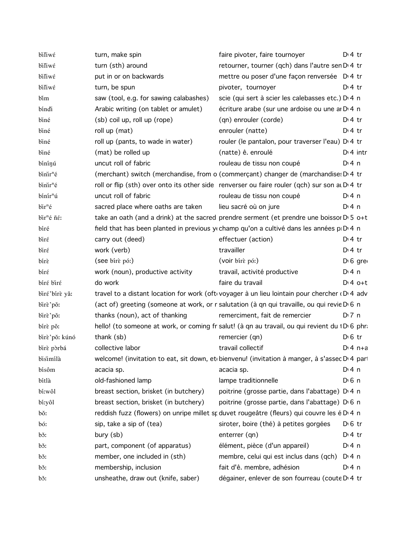| biliwé                 | turn, make spin                        | faire pivoter, faire tournoyer                                                                   | $D \cdot 4$ tr       |
|------------------------|----------------------------------------|--------------------------------------------------------------------------------------------------|----------------------|
| biliwé                 | turn (sth) around                      | retourner, tourner (qch) dans l'autre sen D <sub>1</sub> 4 tr                                    |                      |
| biliwé                 | put in or on backwards                 | mettre ou poser d'une façon renversée D <sub>'4</sub> tr                                         |                      |
| biliwé                 | turn, be spun                          | pivoter, tournoyer                                                                               | $Dt$ 4 tr            |
| bim                    | saw (tool, e.g. for sawing calabashes) | scie (qui sert à scier les calebasses etc.) D <sub>14</sub> n                                    |                      |
| bíndi                  | Arabic writing (on tablet or amulet)   | écriture arabe (sur une ardoise ou une ar D 4 n                                                  |                      |
| biné                   | (sb) coil up, roll up (rope)           | (qn) enrouler (corde)                                                                            | $Dt$ 4 tr            |
| biné                   | roll up (mat)                          | enrouler (natte)                                                                                 | $Di4$ tr             |
| biné                   | roll up (pants, to wade in water)      | rouler (le pantalon, pour traverser l'eau) D <sub>1</sub> 4 tr                                   |                      |
| biné                   | (mat) be rolled up                     | (natte) ê. enroulé                                                                               | $Di$ 4 intr          |
| bínínú                 | uncut roll of fabric                   | rouleau de tissu non coupé                                                                       | $Di$ 4 n             |
| binir <sup>n</sup> é   |                                        | (merchant) switch (merchandise, from o (commerçant) changer de (marchandise: D'4 tr              |                      |
| binir <sup>n</sup> é   |                                        | roll or flip (sth) over onto its other side renverser ou faire rouler (qch) sur son at D'4 tr    |                      |
| bínír <sup>n</sup> ú   | uncut roll of fabric                   | rouleau de tissu non coupé                                                                       | D:4n                 |
| bir <sup>n</sup> é     | sacred place where oaths are taken     | lieu sacré où on jure                                                                            | D:4n                 |
| bir <sup>n</sup> é ñé: |                                        | take an oath (and a drink) at the sacred prendre serment (et prendre une boissor $D \cdot 5$ o+t |                      |
| bíré                   |                                        | field that has been planted in previous y champ qu'on a cultivé dans les années p $D^4$ n        |                      |
| biré                   | carry out (deed)                       | effectuer (action)                                                                               | $Di4$ tr             |
| birέ                   | work (verb)                            | travailler                                                                                       | $Di4$ tr             |
| birè                   | (see bire pó:)                         | (voir birè pó:)                                                                                  | D <sub>1</sub> 6 gre |
| biré                   | work (noun), productive activity       | travail, activité productive                                                                     | $Di$ 4 n             |
| bíré biré              | do work                                | faire du travail                                                                                 | $D:4$ o+t            |
| biré'birè yǎ:          |                                        | travel to a distant location for work (oft voyager à un lieu lointain pour chercher (D) 4 adv    |                      |
| birè'pǒ:               |                                        | (act of) greeting (someone at work, or r salutation (à qn qui travaille, ou qui revie D 6 n      |                      |
| birè'pǒ:               | thanks (noun), act of thanking         | remerciment, fait de remercier                                                                   | $D'$ 7 n             |
| bírè pǒ:               |                                        | hello! (to someone at work, or coming fr salut! (à qn au travail, ou qui revient du 1D16 phr.    |                      |
| birè'pǒ: kúnó          | thank (sb)                             | remercier (qn)                                                                                   | $D \n6$ tr           |
| birè pòrbá             | collective labor                       | travail collectif                                                                                | $Di 4 n+a$           |
| bisimilà               |                                        | welcome! (invitation to eat, sit down, et bienvenu! (invitation à manger, à s'assec D'4 par      |                      |
| bísôm                  | acacia sp.                             | acacia sp.                                                                                       | $Di$ 4 n             |
| bítlà                  | old-fashioned lamp                     | lampe traditionnelle                                                                             | $D0$ n               |
| bi:wôl                 | breast section, brisket (in butchery)  | poitrine (grosse partie, dans l'abattage) D <sub>4</sub> n                                       |                      |
| bí:yôl                 | breast section, brisket (in butchery)  | poitrine (grosse partie, dans l'abattage) D 6 n                                                  |                      |
| bǒ:                    |                                        | reddish fuzz (flowers) on unripe millet st duvet rougeâtre (fleurs) qui couvre les é D 4 n       |                      |
| bó:                    | sip, take a sip of (tea)               | siroter, boire (thé) à petites gorgées                                                           | $D \n6$ tr           |
| bš:                    | bury (sb)                              | enterrer (qn)                                                                                    | $Di4$ tr             |
| bš:                    | part, component (of apparatus)         | élément, pièce (d'un appareil)                                                                   | $Di$ 4 n             |
| bš:                    | member, one included in (sth)          | membre, celui qui est inclus dans (qch)                                                          | $Di$ 4 n             |
| bš:                    | membership, inclusion                  | fait d'ê. membre, adhésion                                                                       | $Di$ 4 n             |
| bš:                    | unsheathe, draw out (knife, saber)     | dégainer, enlever de son fourreau (coute D <sub>14</sub> tr                                      |                      |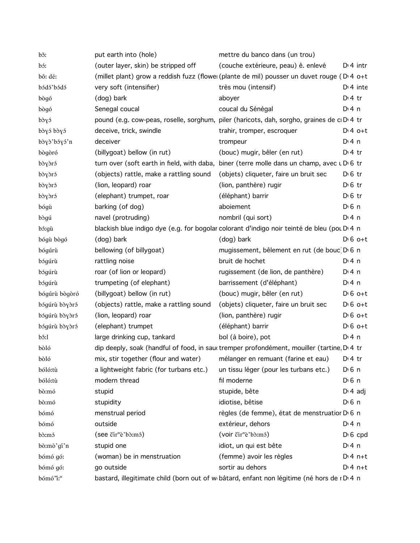| bš:                  | put earth into (hole)                                                    | mettre du banco dans (un trou)                                                              |                       |
|----------------------|--------------------------------------------------------------------------|---------------------------------------------------------------------------------------------|-----------------------|
| bó:                  | (outer layer, skin) be stripped off                                      | (couche extérieure, peau) ê. enlevé                                                         | $Di$ 4 intr           |
| bǒ: dé:              |                                                                          | (millet plant) grow a reddish fuzz (flowei (plante de mil) pousser un duvet rouge (Di 4 o+t |                       |
| bódó'bódó            | very soft (intensifier)                                                  | très mou (intensif)                                                                         | $Di$ 4 inte           |
| bògó                 | (dog) bark                                                               | aboyer                                                                                      | $Dt$ 4 tr             |
| bògó                 | Senegal coucal                                                           | coucal du Sénégal                                                                           | $Di$ 4 n              |
| bòyó                 |                                                                          | pound (e.g. cow-peas, roselle, sorghum, piler (haricots, dah, sorgho, graines de cD 4 tr    |                       |
| bòyó bòyó            | deceive, trick, swindle                                                  | trahir, tromper, escroquer                                                                  | $D:4$ o+t             |
| bòyò'bóyó'n          | deceiver                                                                 | trompeur                                                                                    | $Di$ 4 n              |
| bògòró               | (billygoat) bellow (in rut)                                              | (bouc) mugir, bêler (en rut)                                                                | $D \cdot 4$ tr        |
| bòyòró               |                                                                          | turn over (soft earth in field, with daba, biner (terre molle dans un champ, avec LDG tr    |                       |
| bòyòró               | (objects) rattle, make a rattling sound                                  | (objets) cliqueter, faire un bruit sec                                                      | $D \n6$ tr            |
| bòyòró               | (lion, leopard) roar                                                     | (lion, panthère) rugir                                                                      | $D \n6$ tr            |
| bòyòró               | (elephant) trumpet, roar                                                 | (éléphant) barrir                                                                           | $D \n6$ tr            |
| bógù                 | barking (of dog)                                                         | aboiement                                                                                   | $D \n6$ n             |
| bògú                 | navel (protruding)                                                       | nombril (qui sort)                                                                          | $Dt$ 4 n              |
| bó:gù                |                                                                          | blackish blue indigo dye (e.g. for bogolar colorant d'indigo noir teinté de bleu (pou D'4 n |                       |
| bógù bògó            | (dog) bark                                                               | (dog) bark                                                                                  | $D \nvert 6$ o+t      |
| bógúrù               | bellowing (of billygoat)                                                 | mugissement, bêlement en rut (de bouc) D 6 n                                                |                       |
| bógúrù               | rattling noise                                                           | bruit de hochet                                                                             | $Di$ 4 n              |
| bógúrù               | roar (of lion or leopard)                                                | rugissement (de lion, de panthère)                                                          | $Di$ 4 n              |
| bógúrù               | trumpeting (of elephant)                                                 | barrissement (d'éléphant)                                                                   | $Di$ 4 n              |
| bógúrù bògòró        | (billygoat) bellow (in rut)                                              | (bouc) mugir, bêler (en rut)                                                                | $D \nvert 6$ o+t      |
| bógúrù bòyòró        | (objects) rattle, make a rattling sound                                  | (objets) cliqueter, faire un bruit sec                                                      | $D \nvert 6$ o+t      |
| bógúrù bòyòró        | (lion, leopard) roar                                                     | (lion, panthère) rugir                                                                      | $D \nvert 6$ o+t      |
| bógúrù bòyòró        | (elephant) trumpet                                                       | (éléphant) barrir                                                                           | $D \nvert 6$ o+t      |
| bô:l                 | large drinking cup, tankard                                              | bol (à boire), pot                                                                          | $Di$ 4 n              |
| bòló                 |                                                                          | dip deeply, soak (handful of food, in sau tremper profondément, mouiller (tartine D 4 tr    |                       |
| bòló                 | mix, stir together (flour and water) mélanger en remuant (farine et eau) |                                                                                             | $Di4$ tr              |
| bóló:tù              | a lightweight fabric (for turbans etc.)                                  | un tissu léger (pour les turbans etc.)                                                      | D <sup>i</sup> 6 n    |
| bóló:tù              | modern thread                                                            | fil moderne                                                                                 | $D \nvert 6 \nvert n$ |
| bò:mó                | stupid                                                                   | stupide, bête                                                                               | $D \cdot 4$ adj       |
| bò:mó                | stupidity                                                                | idiotise, bêtise                                                                            | D <sup>i</sup> 6 n    |
| bómó                 | menstrual period                                                         | règles (de femme), état de menstruatior D <sub>0</sub> 6 n                                  |                       |
| bómó                 | outside                                                                  | extérieur, dehors                                                                           | $Di$ 4 n              |
| b <sub>o</sub> :mó   | (see čir <sup>n</sup> è'bò:mó)                                           | (voir čir <sup>n</sup> è'bò:mó)                                                             | $D \nvert 6$ cpd      |
| bò:mò'gí'n           | stupid one                                                               | idiot, un qui est bête                                                                      | $Di$ 4 n              |
| bómó gó:             | (woman) be in menstruation                                               | (femme) avoir les règles                                                                    | $Dt$ 4 n+t            |
| bómó gó:             | go outside                                                               | sortir au dehors                                                                            | $Di4n+t$              |
| bómó'i: <sup>n</sup> |                                                                          | bastard, illegitimate child (born out of w bâtard, enfant non légitime (né hors de rD 4 n   |                       |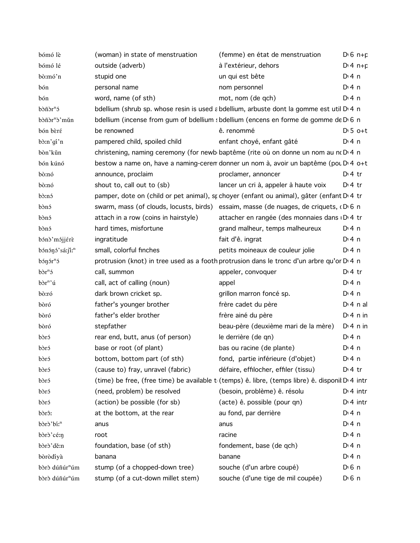| bómó lè                    | (woman) in state of menstruation     | (femme) en état de menstruation                                                                       | $D \cdot 6$ n+p       |
|----------------------------|--------------------------------------|-------------------------------------------------------------------------------------------------------|-----------------------|
| bómó lé                    | outside (adverb)                     | à l'extérieur, dehors                                                                                 | $Di 4 n + p$          |
| bò:mó'n                    | stupid one                           | un qui est bête                                                                                       | $Di$ 4 n              |
| bón                        | personal name                        | nom personnel                                                                                         | $Di$ 4 n              |
| bón                        | word, name (of sth)                  | mot, nom (de qch)                                                                                     | $Di$ 4 n              |
| bòñòr <sup>n</sup> ó       |                                      | bdellium (shrub sp. whose resin is used a bdellium, arbuste dont la gomme est util D 4 n              |                       |
| bòñòr <sup>n</sup> ò'mǔn   |                                      | bdellium (incense from gum of bdellium sbdellium (encens en forme de gomme de D 6 n                   |                       |
| bón bèré                   | be renowned                          | ê. renommé                                                                                            | $D \cdot 5$ o+t       |
| bò:n'gi'n                  | pampered child, spoiled child        | enfant choyé, enfant gâté                                                                             | D:4n                  |
| bòn'kǔn                    |                                      | christening, naming ceremony (for newb baptême (rite où on donne un nom au no D 4 n                   |                       |
| bón kúnó                   |                                      | bestow a name on, have a naming-ceren donner un nom à, avoir un baptême (pou D'4 o+t                  |                       |
| bò:nó                      | announce, proclaim                   | proclamer, annoncer                                                                                   | $D:4$ tr              |
| bò:nó                      | shout to, call out to (sb)           | lancer un cri à, appeler à haute voix                                                                 | $Dt$ 4 tr             |
| bò:nó                      |                                      | pamper, dote on (child or pet animal), sr choyer (enfant ou animal), gâter (enfant D'4 tr             |                       |
| bònó                       |                                      | swarm, mass (of clouds, locusts, birds) essaim, masse (de nuages, de criquets, $(D \ 6 \ n)$          |                       |
| bònó                       | attach in a row (coins in hairstyle) | attacher en rangée (des monnaies dans D. 4 tr                                                         |                       |
| bònó                       | hard times, misfortune               | grand malheur, temps malheureux                                                                       | D:4n                  |
| bónò'mójjérè               | ingratitude                          | fait d'ê. ingrat                                                                                      | $Di$ 4 n              |
| bónónó'sá:ji: <sup>n</sup> | small, colorful finches              | petits moineaux de couleur jolie                                                                      | $Di$ 4 n              |
| $b$ ón ór $n$ ó            |                                      | protrusion (knot) in tree used as a footh protrusion dans le tronc d'un arbre qu'or D <sub>14</sub> n |                       |
| bòr <sup>n</sup> ó         | call, summon                         | appeler, convoquer                                                                                    | $Di4$ tr              |
| bòr <sup>n</sup> 'ú        | call, act of calling (noun)          | appel                                                                                                 | $Di$ 4 n              |
| bò:ró                      | dark brown cricket sp.               | grillon marron foncé sp.                                                                              | $Di$ 4 n              |
| bòró                       | father's younger brother             | frère cadet du père                                                                                   | $Di$ 4 n al           |
| bòró                       | father's elder brother               | frère ainé du père                                                                                    | $Di$ 4 n in           |
| bòró                       | stepfather                           | beau-père (deuxième mari de la mère)                                                                  | $Di$ 4 n in           |
| bòró                       | rear end, butt, anus (of person)     | le derrière (de qn)                                                                                   | $Di$ 4 n              |
| bòró                       | base or root (of plant)              | bas ou racine (de plante)                                                                             | D:4n                  |
| bòró                       | bottom, bottom part (of sth)         | fond, partie inférieure (d'objet)                                                                     | $Dt$ 4 n              |
| bòró                       | (cause to) fray, unravel (fabric)    | défaire, effilocher, effiler (tissu)                                                                  | $Dt$ 4 tr             |
| bòró                       |                                      | (time) be free, (free time) be available t (temps) ê. libre, (temps libre) ê. disponil D 4 intr       |                       |
| bòró                       | (need, problem) be resolved          | (besoin, problème) ê. résolu                                                                          | $D:4$ intr            |
| bòró                       | (action) be possible (for sb)        | (acte) ê. possible (pour qn)                                                                          | $Di$ 4 intr           |
| bòrô:                      | at the bottom, at the rear           | au fond, par derrière                                                                                 | $Di$ 4 n              |
| bòrò'bíː <sup>n</sup>      | anus                                 | anus                                                                                                  | $Di$ 4 n              |
| bòrò'cé:n                  | root                                 | racine                                                                                                | $Di$ 4 n              |
| bòrò'dě:n                  | foundation, base (of sth)            | fondement, base (de qch)                                                                              | $Di$ 4 n              |
| bòròdíyà                   | banana                               | banane                                                                                                | $Dt$ 4 n              |
| bòrò dúñúr <sup>n</sup> úm | stump (of a chopped-down tree)       | souche (d'un arbre coupé)                                                                             | $D \nvert 6 \nvert n$ |
| bòrò dúñúr <sup>n</sup> úm | stump (of a cut-down millet stem)    | souche (d'une tige de mil coupée)                                                                     | $D \nvert 6 \nvert n$ |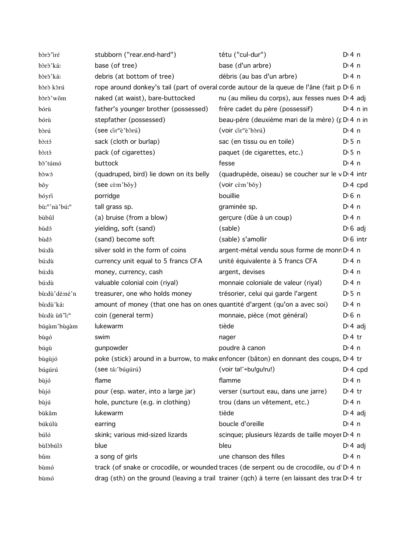| bòrò iré                  | stubborn ("rear.end-hard")                                                 | têtu ("cul-dur")                                                                            | $Di$ 4 n         |
|---------------------------|----------------------------------------------------------------------------|---------------------------------------------------------------------------------------------|------------------|
| bòrò'ká:                  | base (of tree)                                                             | base (d'un arbre)                                                                           | $Di$ 4 n         |
| bòrò'ká:                  | debris (at bottom of tree)                                                 | débris (au bas d'un arbre)                                                                  | $Di$ 4 n         |
| bòrò kòrú                 |                                                                            | rope around donkey's tail (part of overal corde autour de la queue de l'âne (fait p D 6 n   |                  |
| bòrò'wôm                  | naked (at waist), bare-buttocked                                           | nu (au milieu du corps), aux fesses nues D <sub>1</sub> 4 adj                               |                  |
| bórù                      | father's younger brother (possessed)                                       | frère cadet du père (possessif)                                                             | $Di$ 4 n in      |
| bórù                      | stepfather (possessed)                                                     | beau-père (deuxième mari de la mère) (p D 4 n in                                            |                  |
| bòrú                      | (see cir <sup>n</sup> è'bòrú)                                              | (voir cir <sup>n</sup> è'bòrú)                                                              | $Di$ 4 n         |
| bò:tó                     | sack (cloth or burlap)                                                     | sac (en tissu ou en toile)                                                                  | $D \cdot 5$ n    |
| b <sub>o</sub> :tó        | pack (of cigarettes)                                                       | paquet (de cigarettes, etc.)                                                                | $D \cdot 5$ n    |
| bò'túmó                   | buttock                                                                    | fesse                                                                                       | $Di$ 4 n         |
| bòwó                      | (quadruped, bird) lie down on its belly                                    | (quadrupède, oiseau) se coucher sur le vD 4 intr                                            |                  |
| bǒy                       | (see cèm'bǒy)                                                              | (voir cèm'bǒy)                                                                              | $Di$ 4 cpd       |
| bóyri                     | porridge                                                                   | bouillie                                                                                    | $D \n6$ n        |
| bù:"'nà'bú:"              | tall grass sp.                                                             | graminée sp.                                                                                | $Di$ 4 n         |
| bùbûl                     | (a) bruise (from a blow)                                                   | gerçure (dûe à un coup)                                                                     | $Di$ 4 n         |
| bùdó                      | yielding, soft (sand)                                                      | (sable)                                                                                     | $D \cdot 6$ adj  |
| bùdó                      | (sand) become soft                                                         | (sable) s'amollir                                                                           | $D \cdot 6$ intr |
| bú:dù                     | silver sold in the form of coins                                           | argent-métal vendu sous forme de monn D <sub>14</sub> n                                     |                  |
| bú:dù                     | currency unit equal to 5 francs CFA                                        | unité équivalente à 5 francs CFA                                                            | $Di$ 4 n         |
| bú:dù                     | money, currency, cash                                                      | argent, devises                                                                             | $Di$ 4 n         |
| bú:dù                     | valuable colonial coin (riyal)                                             | monnaie coloniale de valeur (riyal)                                                         | $Di$ 4 n         |
| bù:dù'dé:né'n             | treasurer, one who holds money                                             | trésorier, celui qui garde l'argent                                                         | $D \cdot 5$ n    |
| bù:dù'ká:                 | amount of money (that one has on ones quantité d'argent (qu'on a avec soi) |                                                                                             | $Di$ 4 n         |
| bù:dù ùñ "i: <sup>n</sup> | coin (general term)                                                        | monnaie, pièce (mot général)                                                                | $D \n6$ n        |
| búgàm' bùgàm              | lukewarm                                                                   | tiède                                                                                       | $D \cdot 4$ adj  |
| bùgó                      | swim                                                                       | nager                                                                                       | $Dt$ 4 tr        |
| búgù                      | gunpowder                                                                  | poudre à canon                                                                              | $Di$ 4 n         |
| bùgùjó                    |                                                                            | poke (stick) around in a burrow, to make enfoncer (bâton) en donnant des coups, D'4 tr      |                  |
| búgúrú                    | (see tá:'búgúrú)                                                           | (voir ta! - bu!gu!ru!)                                                                      | $Di$ 4 cpd       |
| bùjó                      | flame                                                                      | flamme                                                                                      | $Dt$ 4 n         |
| bùjó                      | pour (esp. water, into a large jar)                                        | verser (surtout eau, dans une jarre)                                                        | $Di4$ tr         |
| bùjú                      | hole, puncture (e.g. in clothing)                                          | trou (dans un vêtement, etc.)                                                               | $Dt$ 4 n         |
| bùkâm                     | lukewarm                                                                   | tiède                                                                                       | $D \cdot 4$ adj  |
| búkúlù                    | earring                                                                    | boucle d'oreille                                                                            | $Di$ 4 n         |
| búló                      | skink; various mid-sized lizards                                           | scinque; plusieurs lézards de taille moyer D 4 n                                            |                  |
| bùlòbúló                  | blue                                                                       | bleu                                                                                        | $D \cdot 4$ adj  |
| bûm                       | a song of girls                                                            | une chanson des filles                                                                      | $Di$ 4 n         |
| bùmó                      |                                                                            | track (of snake or crocodile, or wounded traces (de serpent ou de crocodile, ou d'DI4 n     |                  |
| bùmó                      |                                                                            | drag (sth) on the ground (leaving a trail trainer (qch) à terre (en laissant des tracD'4 tr |                  |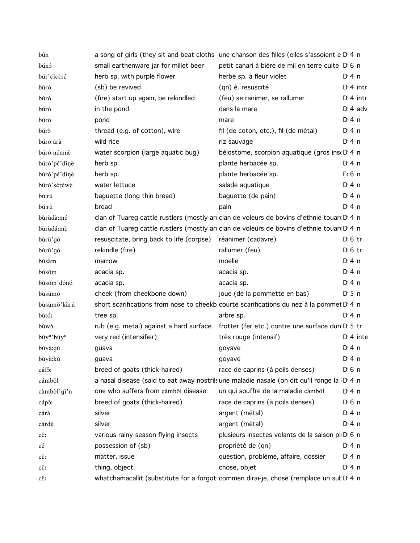| bûn                                |                                                             | a song of girls (they sit and beat cloths june chanson des filles (elles s'assoient e D <sub>14</sub> n |                    |
|------------------------------------|-------------------------------------------------------------|---------------------------------------------------------------------------------------------------------|--------------------|
| búnó                               | small earthenware jar for millet beer                       | petit canari à bière de mil en terre cuite D 6 n                                                        |                    |
| búr'cicèré                         | herb sp. with purple flower                                 | herbe sp. à fleur violet                                                                                | $Di$ 4 n           |
| bùró                               | (sb) be revived                                             | (qn) ê. resuscité                                                                                       | $Di$ 4 intr        |
| bùró                               | (fire) start up again, be rekindled                         | (feu) se ranimer, se rallumer                                                                           | $Di$ 4 intr        |
| búrò                               | in the pond                                                 | dans la mare                                                                                            | $Di$ 4 adv         |
| búró                               | pond                                                        | mare                                                                                                    | $Di$ 4 n           |
| búrð                               | thread (e.g. of cotton), wire                               | fil (de coton, etc.), fil (de métal)                                                                    | $Di$ 4 n           |
| búró árà                           | wild rice                                                   | riz sauvage                                                                                             | $Di$ 4 n           |
| búró némnè                         | water scorpion (large aquatic bug)                          | bélostome, scorpion aquatique (gros ins DD 4 n                                                          |                    |
| búró'pé'dínè                       | herb sp.                                                    | plante herbacée sp.                                                                                     | $Di$ 4 n           |
| búró'pé'dínè                       | herb sp.                                                    | plante herbacée sp.                                                                                     | $F6$ n             |
| búró'séréwè                        | water lettuce                                               | salade aquatique                                                                                        | $Di$ 4 n           |
| bú:rù                              | baguette (long thin bread)                                  | baguette (de pain)                                                                                      | $Di$ 4 n           |
| bú:rù                              | bread                                                       | pain                                                                                                    | $Di$ 4 n           |
| bùrùdà:mé                          |                                                             | clan of Tuareg cattle rustlers (mostly arcclan de voleurs de bovins d'ethnie touard D 4 n               |                    |
| bùrùdá:mè                          |                                                             | clan of Tuareg cattle rustlers (mostly arcclan de voleurs de bovins d'ethnie touard D 4 n               |                    |
| bùrù'gó                            | resuscitate, bring back to life (corpse) réanimer (cadavre) |                                                                                                         | $D \n6$ tr         |
| bùrù'gó                            | rekindle (fire)                                             | rallumer (feu)                                                                                          | $D \n6$ tr         |
| búsâm                              | marrow                                                      | moelle                                                                                                  | $Di$ 4 n           |
| búsôm                              | acacia sp.                                                  | acacia sp.                                                                                              | $Di$ 4 n           |
| bùsòm'dónó                         | acacia sp.                                                  | acacia sp.                                                                                              | $Di$ 4 n           |
| bùsùmó                             | cheek (from cheekbone down)                                 | joue (de la pommette en bas)                                                                            | $D \cdot 5$ n      |
| bùsùmò'kàrú                        |                                                             | short scarifications from nose to cheekb courte scarifications du nez à la pommet D 4 n                 |                    |
| bùtó:                              | tree sp.                                                    | arbre sp.                                                                                               | $Di$ 4 n           |
| bùwó                               | rub (e.g. metal) against a hard surface                     | frotter (fer etc.) contre une surface dure D 5 tr                                                       |                    |
| búy <sup>n</sup> 'búy <sup>n</sup> | very red (intensifier)                                      | très rouge (intensif)                                                                                   | $Di$ 4 inte        |
| bùyà:gú                            | guava                                                       | goyave                                                                                                  | $Di$ 4 n           |
| bùyà:kú                            | guava                                                       | goyave                                                                                                  | $Di$ 4 n           |
| cáf <sub>ô</sub> :                 | breed of goats (thick-haired)                               | race de caprins (à poils denses)                                                                        | D <sub>1</sub> 6 n |
| cámbôl                             |                                                             | a nasal disease (said to eat away nostrils une maladie nasale (on dit qu'il ronge la D 4 n              |                    |
| càmbòl'gí'n                        | one who suffers from cámbôl disease                         | un qui souffre de la maladie cámbôl                                                                     | $Di$ 4 n           |
| cápô:                              | breed of goats (thick-haired)                               | race de caprins (à poils denses)                                                                        | D <sub>1</sub> 6n  |
| cárà                               | silver                                                      | argent (métal)                                                                                          | $Di$ 4 n           |
| cárdù                              | silver                                                      | argent (métal)                                                                                          | $Di$ 4 n           |
| cě:                                | various rainy-season flying insects                         | plusieurs insectes volants de la saison pl D 6 n                                                        |                    |
| cé                                 | possession of (sb)                                          | propriété de (qn)                                                                                       | D:4n               |
| $c\check{\epsilon}$ :              | matter, issue                                               | question, problème, affaire, dossier                                                                    | $Di$ 4 n           |
| $c\check{\epsilon}$ :              | thing, object                                               | chose, objet                                                                                            | D: 4n              |
| $c\check{\epsilon}$ :              |                                                             | whatchamacallit (substitute for a forgoti commen dirai-je, chose (remplace un sul D <sub>14</sub> n     |                    |
|                                    |                                                             |                                                                                                         |                    |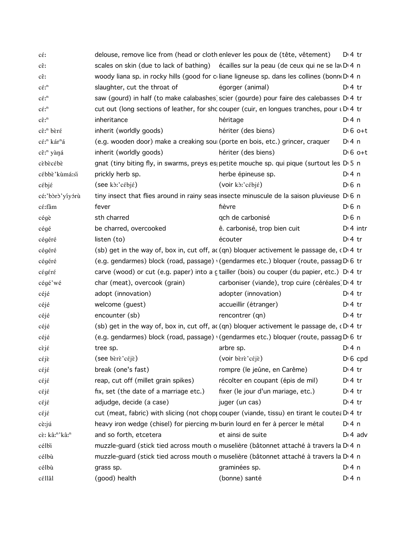| $c\acute{\epsilon}$ :                      |                                                                               | delouse, remove lice from (head or cloth enlever les poux de (tête, vêtement)                                       | $D:4$ tr         |
|--------------------------------------------|-------------------------------------------------------------------------------|---------------------------------------------------------------------------------------------------------------------|------------------|
| $c\hat{\epsilon}$ :                        |                                                                               | scales on skin (due to lack of bathing) écailles sur la peau (de ceux qui ne se la D 4 n                            |                  |
| cε:                                        |                                                                               | woody liana sp. in rocky hills (good for coliane ligneuse sp. dans les collines (bonno D.4 n                        |                  |
| $c\acute{\epsilon}$ <sup>n</sup>           | slaughter, cut the throat of                                                  | égorger (animal)                                                                                                    | $Di4$ tr         |
| $c\acute{\epsilon}$ <sup>n</sup>           |                                                                               | saw (gourd) in half (to make calabashes) scier (gourde) pour faire des calebasses D.4 tr                            |                  |
| $c\acute{\epsilon}$ <sup>n</sup>           |                                                                               | cut out (long sections of leather, for shc couper (cuir, en longues tranches, pour uD 4 tr                          |                  |
| $c\hat{\epsilon}$ : <sup>n</sup>           | inheritance                                                                   | héritage                                                                                                            | $Dt$ 4 n         |
| cê: <sup>n</sup> bèré                      | inherit (worldly goods)                                                       | hériter (des biens)                                                                                                 | $D \nvert 6$ o+t |
| cé: <sup>n</sup> kár <sup>n</sup> á        |                                                                               | (e.g. wooden door) make a creaking sou (porte en bois, etc.) grincer, craquer                                       | D: 4n            |
| cê: <sup>n</sup> yàná                      | inherit (worldly goods)                                                       | hériter (des biens)                                                                                                 | $D:6$ o+t        |
| cèbècébè                                   |                                                                               | gnat (tiny biting fly, in swarms, preys es petite mouche sp. qui pique (surtout les $D \cdot 5$ n                   |                  |
| cébbè'kùmá:si                              | prickly herb sp.                                                              | herbe épineuse sp.                                                                                                  | $Di$ 4 n         |
| cébjé                                      | $($ see k $\delta$ :' $c$ ébjé)                                               | (voir kò:'cébjé)                                                                                                    | $D0$ n           |
| cé:'bòrò'yíyórù                            |                                                                               | tiny insect that flies around in rainy seas insecte minuscule de la saison pluvieuse D 6 n                          |                  |
| cé:fâm                                     | fever                                                                         | fièvre                                                                                                              | $D0$ n           |
| cégè                                       | sth charred                                                                   | qch de carbonisé                                                                                                    | $D \n6$ n        |
| cégé                                       | be charred, overcooked                                                        | ê. carbonisé, trop bien cuit                                                                                        | $Di$ 4 intr      |
| cégéré                                     | listen (to)                                                                   | écouter                                                                                                             | $Di4$ tr         |
| cégéré                                     |                                                                               | (sb) get in the way of, box in, cut off, ac (qn) bloquer activement le passage de, $\mathfrak{c} \mathsf{D}$ 4 tr   |                  |
| cégéré                                     |                                                                               | (e.g. gendarmes) block (road, passage) (gendarmes etc.) bloquer (route, passag D 6 tr                               |                  |
| cégéré                                     |                                                                               | carve (wood) or cut (e.g. paper) into a c tailler (bois) ou couper (du papier, etc.) D.4 tr                         |                  |
| cégé'wé                                    | char (meat), overcook (grain)                                                 | carboniser (viande), trop cuire (céréales D 4 tr                                                                    |                  |
| céjé                                       | adopt (innovation)                                                            | adopter (innovation)                                                                                                | $Di4$ tr         |
| céjé                                       | welcome (guest)                                                               | accueillir (étranger)                                                                                               | $Di4$ tr         |
| céjé                                       | encounter (sb)                                                                | rencontrer (qn)                                                                                                     | $Di4$ tr         |
| céjé                                       |                                                                               | (sb) get in the way of, box in, cut off, ac (qn) bloquer activement le passage de, $\mathfrak{c} \mathsf{D}^1 4$ tr |                  |
| céjé                                       |                                                                               | (e.g. gendarmes) block (road, passage) (gendarmes etc.) bloquer (route, passag D 6 tr                               |                  |
| $c\grave{\varepsilon}j\acute{\varepsilon}$ | tree sp.                                                                      | arbre sp.                                                                                                           | $Dt$ 4 n         |
| céjè                                       | (see $\vec{b}$ rè'céjè)                                                       | (voir bèrè'céjè)                                                                                                    | $D \nvert 6$ cpd |
| céjé                                       | break (one's fast)                                                            | rompre (le jeûne, en Carême)                                                                                        | $Di 4$ tr        |
| céjé                                       | reap, cut off (millet grain spikes)                                           | récolter en coupant (épis de mil)                                                                                   | $Di4$ tr         |
| cέjέ                                       | fix, set (the date of a marriage etc.)                                        | fixer (le jour d'un mariage, etc.)                                                                                  | $Di4$ tr         |
| cέjέ                                       | adjudge, decide (a case)                                                      | juger (un cas)                                                                                                      | $Di4$ tr         |
| $c \epsilon j \epsilon$                    |                                                                               | cut (meat, fabric) with slicing (not chop couper (viande, tissu) en tirant le coute: D.4 tr                         |                  |
| cè:jú                                      | heavy iron wedge (chisel) for piercing moburin lourd en fer à percer le métal |                                                                                                                     | $Di$ 4 n         |
| cè: kâ:"'kâ:"                              | and so forth, etcetera                                                        | et ainsi de suite                                                                                                   | $D \cdot 4$ adv  |
| célbi                                      |                                                                               | muzzle-guard (stick tied across mouth o muselière (bâtonnet attaché à travers la D'4 n                              |                  |
| célbù                                      |                                                                               | muzzle-guard (stick tied across mouth o muselière (bâtonnet attaché à travers la D'4 n                              |                  |
| célbù                                      | grass sp.                                                                     | graminées sp.                                                                                                       | $Di$ 4 n         |
| céllâl                                     | (good) health                                                                 | (bonne) santé                                                                                                       | $Di$ 4 n         |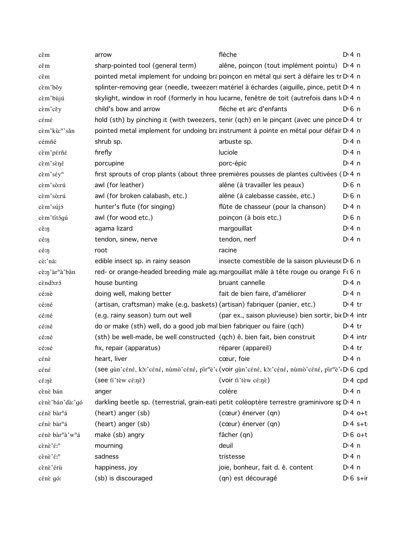| cěm                        | arrow                                                                       | flèche                                                                                                                                 | $Di$ 4 n                 |
|----------------------------|-----------------------------------------------------------------------------|----------------------------------------------------------------------------------------------------------------------------------------|--------------------------|
| cěm                        | sharp-pointed tool (general term)                                           | alêne, poinçon (tout implément pointu) D <sub>14</sub> n                                                                               |                          |
| cěm                        |                                                                             | pointed metal implement for undoing brapoinçon en métal qui sert à défaire les tr D <sub>14</sub> n                                    |                          |
| cèm'bǒy                    |                                                                             | splinter-removing gear (needle, tweezers matériel à échardes (aiguille, pince, petit D'4 n                                             |                          |
| cèm'bùjú                   |                                                                             | skylight, window in roof (formerly in hou lucarne, fenêtre de toit (autrefois dans k D 4 n                                             |                          |
| cèm'cěy                    | child's bow and arrow                                                       | fléche et arc d'enfants                                                                                                                | $Di$ 6 n                 |
| cémé                       |                                                                             | hold (sth) by pinching it (with tweezers, tenir (qch) en le pinçant (avec une pince D'4 tr                                             |                          |
| cèm'kù:"'sǎn               |                                                                             | pointed metal implement for undoing brainstrument à pointe en métal pour défair D <sub>14</sub> n                                      |                          |
| cémñé                      | shrub sp.                                                                   | arbuste sp.                                                                                                                            | D:4n                     |
| cèm'pérñé                  | firefly                                                                     | luciole                                                                                                                                | $Di$ 4 n                 |
| cèm'sèné                   | porcupine                                                                   | porc-épic                                                                                                                              | D:4n                     |
| cèm'séy <sup>n</sup>       |                                                                             | first sprouts of crop plants (about three premières pousses de plantes cultivées (D.4 n                                                |                          |
| cèm'sò:rú                  | awl (for leather)                                                           | alêne (à travailler les peaux)                                                                                                         | $D0$ n                   |
| cèm'sò:rú                  | awl (for broken calabash, etc.)                                             | alêne (à calebasse cassée, etc.)                                                                                                       | $D \nvert 6 \nvert n$    |
| cèm'sújó                   | hunter's flute (for singing)                                                | flûte de chasseur (pour la chanson)                                                                                                    | $Di$ 4 n                 |
| cèm'títógú                 | awl (for wood etc.)                                                         | poinçon (à bois etc.)                                                                                                                  | $D \n6$ n                |
| $c \check{e}$ : $\eta$     | agama lizard                                                                | margouillat                                                                                                                            | $Dt$ 4 n                 |
| cé:ŋ                       | tendon, sinew, nerve                                                        | tendon, nerf                                                                                                                           | $Di$ 4 n                 |
| $c \in \eta$               | root                                                                        | racine                                                                                                                                 |                          |
| cè:'ná:                    | edible insect sp. in rainy season                                           | insecte comestible de la saison pluvieuse D 6 n                                                                                        |                          |
| cè:n'àr <sup>n</sup> à'bân |                                                                             | red- or orange-headed breeding male agamargouillat mâle à tête rouge ou orange Fc 6 n                                                  |                          |
| cèndò:ró                   | house bunting                                                               | bruant cannelle                                                                                                                        | $Di$ 4 n                 |
| cé:nè                      | doing well, making better                                                   | fait de bien faire, d'améliorer                                                                                                        | D:4n                     |
| cé:né                      | (artisan, craftsman) make (e.g. baskets) (artisan) fabriquer (panier, etc.) |                                                                                                                                        | $D \cdot 4$ tr           |
| cé:né                      | (e.g. rainy season) turn out well                                           | (par ex., saison pluvieuse) bien sortir, bie D 4 intr                                                                                  |                          |
| cé:né                      | do or make (sth) well, do a good job mal bien fabriquer ou faire (qch)      |                                                                                                                                        | $D \cdot 4$ tr           |
| cé:né                      | (sth) be well-made, be well constructed (qch) ê. bien fait, bien construit  |                                                                                                                                        | $Di$ 4 intr              |
| cé:né                      | fix, repair (apparatus)                                                     | réparer (appareil)                                                                                                                     | $Dt$ 4 tr                |
| cénè                       | heart, liver                                                                | cœur, foie                                                                                                                             | $Dt$ 4 n                 |
| céné                       |                                                                             | (see gùn'céné, kò:'céné, nùmò'céné, pir <sup>n</sup> è'c (voir gùn'céné, kò:'céné, nùmò'céné, pir <sup>n</sup> è' <sub>'</sub> D'6 cpd |                          |
| cénè                       | (see fi'tèw cé:nè)                                                          | (voir ti'tèw cé:nè)                                                                                                                    | $Di$ 4 cpd               |
| cènè bán                   | anger                                                                       | colère                                                                                                                                 | $Di$ 4 n                 |
| cènè 'bán' dà: 'gó         |                                                                             | darkling beetle sp. (terrestrial, grain-eati petit coléoptère terrestre graminivore sp D 4 n                                           |                          |
| cénè bàr <sup>n</sup> á    | (heart) anger (sb)                                                          | (cœur) énerver (qn)                                                                                                                    | $Di4$ o+t                |
| cénè bàr <sup>n</sup> á    | (heart) anger (sb)                                                          | (cœur) énerver (qn)                                                                                                                    | $Dt$ s+t                 |
| cénè bàr"à'w"á             | make (sb) angry                                                             | fâcher (qn)                                                                                                                            | $D \cdot 6$ o+t          |
| cènè'é: <sup>n</sup>       | mourning                                                                    | deuil                                                                                                                                  | $Di$ 4 n                 |
| cènè'é: <sup>n</sup>       | sadness                                                                     | tristesse                                                                                                                              | $Di$ 4 n                 |
| cènè'érù                   | happiness, joy                                                              | joie, bonheur, fait d. ê. content                                                                                                      | $Dt$ 4 n                 |
| cénè gó:                   | (sb) is discouraged                                                         | (qn) est découragé                                                                                                                     | $D \nvert 6 \nvert$ s+ir |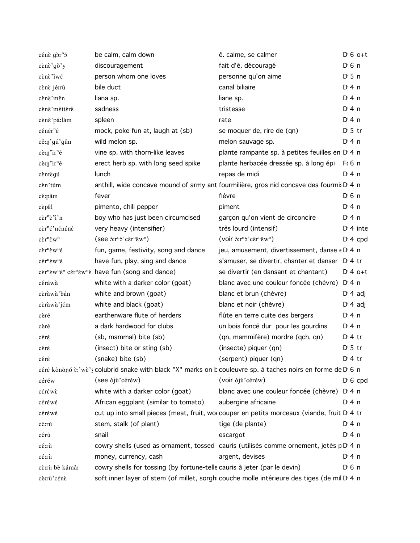| cénè gòr <sup>n</sup> ó                                       | be calm, calm down                                                                                           | ê. calme, se calmer                                                                          | $D \nvert 6$ o+t   |
|---------------------------------------------------------------|--------------------------------------------------------------------------------------------------------------|----------------------------------------------------------------------------------------------|--------------------|
| cènè'gǒ'y                                                     | discouragement                                                                                               | fait d'ê. découragé                                                                          | D <sup>i</sup> 6 n |
| cènè iwé                                                      | person whom one loves                                                                                        | personne qu'on aime                                                                          | D:5n               |
| cènè jé:rù                                                    | bile duct                                                                                                    | canal biliaire                                                                               | D:4n               |
| cènè měn                                                      | liana sp.                                                                                                    | liane sp.                                                                                    | D:4n               |
| cènè méttérè                                                  | sadness                                                                                                      | tristesse                                                                                    | $Dt$ 4 n           |
| cènè pá:làm                                                   | spleen                                                                                                       | rate                                                                                         | D:4n               |
| cénér <sup>n</sup> é                                          | mock, poke fun at, laugh at (sb)                                                                             | se moquer de, rire de (qn)                                                                   | $D \cdot 5$ tr     |
| cěnj'gú'gûn                                                   | wild melon sp.                                                                                               | melon sauvage sp.                                                                            | D:4n               |
| $c$ è:n $\text{Tr}^{\text{n}}$ é                              | vine sp. with thorn-like leaves                                                                              | plante rampante sp. à petites feuilles en D <sub>14</sub> n                                  |                    |
| $c$ è:n $\text{Tr}^{\text{n}}$ é                              | erect herb sp. with long seed spike                                                                          | plante herbacée dressée sp. à long épi F(6 n                                                 |                    |
| cèntègú                                                       | lunch                                                                                                        | repas de midi                                                                                | D:4n               |
| cèn'túm                                                       | anthill, wide concave mound of army ant fourmilière, gros nid concave des fourmis D 4 n                      |                                                                                              |                    |
| cé:pâm                                                        | fever                                                                                                        | fièvre                                                                                       | $D0$ n             |
| cèpêl                                                         | pimento, chili pepper                                                                                        | piment                                                                                       | $Di$ 4 n           |
| $c\grave{\epsilon}r^{n}\grave{\epsilon}$ "i'n                 | boy who has just been circumcised                                                                            | garçon qu'on vient de circoncire                                                             | $Di$ 4 n           |
| cèr <sup>n</sup> é'nénéné                                     | very heavy (intensifier)                                                                                     | très lourd (intensif)                                                                        | $Dt$ 4 inte        |
| $c\grave{\epsilon}r^n\hat{\epsilon}w^n$                       | $($ see $\frac{\partial \ln^n}{\partial \ln^n \cdot \partial x^n}$                                           | $(voir \delta x^n \delta' c \epsilon r^n \hat{\epsilon} w^n)$                                | $Dt 4$ cpd         |
| $c\grave{\epsilon}r^{n}\grave{\epsilon}w^{n}\acute{\epsilon}$ | fun, game, festivity, song and dance                                                                         | jeu, amusement, divertissement, danse $\epsilon$ D 4 n                                       |                    |
| $c\acute{\epsilon}r^{n}\acute{\epsilon}w^{n}\acute{\epsilon}$ | have fun, play, sing and dance                                                                               | s'amuser, se divertir, chanter et danser D <sub>14</sub> tr                                  |                    |
|                                                               | cèr <sup>n</sup> èw <sup>n</sup> é <sup>n</sup> cér <sup>n</sup> éw <sup>n</sup> é have fun (song and dance) | se divertir (en dansant et chantant)                                                         | $D:4$ o+t          |
| céráwà                                                        | white with a darker color (goat)                                                                             | blanc avec une couleur foncée (chèvre) D <sub>14</sub> n                                     |                    |
| cèràwà'bán                                                    | white and brown (goat)                                                                                       | blanc et brun (chèvre)                                                                       | $D \cdot 4$ adj    |
| cèràwà'jém                                                    | white and black (goat)                                                                                       | blanc et noir (chèvre)                                                                       | $D \cdot 4$ adj    |
| cèré                                                          | earthenware flute of herders                                                                                 | flûte en terre cuite des bergers                                                             | D:4n               |
| cèré                                                          | a dark hardwood for clubs                                                                                    | un bois foncé dur pour les gourdins                                                          | D:4n               |
| céré                                                          | (sb, mammal) bite (sb)                                                                                       | (qn, mammifère) mordre (qch, qn)                                                             | $Dt$ 4 tr          |
| céré                                                          | (insect) bite or sting (sb)                                                                                  | (insecte) piquer (qn)                                                                        | $D \cdot 5$ tr     |
| céré                                                          | (snake) bite (sb)                                                                                            | (serpent) piquer (qn)                                                                        | $Di4$ tr           |
|                                                               | céré kònònó è:'wè's colubrid snake with black "X" marks on b couleuvre sp. à taches noirs en forme de D'6 n  |                                                                                              |                    |
| céréw                                                         | (see oju'céréw)                                                                                              | (voir òjù'céréw)                                                                             | $D \nvert 6$ cpd   |
| céréwè                                                        | white with a darker color (goat)                                                                             | blanc avec une couleur foncée (chèvre) D <sub>14</sub> n                                     |                    |
| céréwé                                                        | African eggplant (similar to tomato)                                                                         | aubergine africaine                                                                          | D:4n               |
| céréwé                                                        |                                                                                                              | cut up into small pieces (meat, fruit, wor couper en petits morceaux (viande, fruit D 4 tr   |                    |
| cènú                                                          | stem, stalk (of plant)                                                                                       | tige (de plante)                                                                             | $Di$ 4 n           |
| cérù                                                          | snail                                                                                                        | escargot                                                                                     | $Di$ 4 n           |
| cέ:rù                                                         |                                                                                                              | cowry shells (used as ornament, tossed cauris (utilisés comme ornement, jetés p D 4 n        |                    |
| cέ:rù                                                         | money, currency, cash                                                                                        | argent, devises                                                                              | $Di$ 4 n           |
| cè:rù bè kámâ:                                                | cowry shells for tossing (by fortune-telle cauris à jeter (par le devin)                                     |                                                                                              | $D0$ 6 n           |
| cè:rù'cénè                                                    |                                                                                                              | soft inner layer of stem (of millet, sorghi couche molle intérieure des tiges (de mil Di 4 n |                    |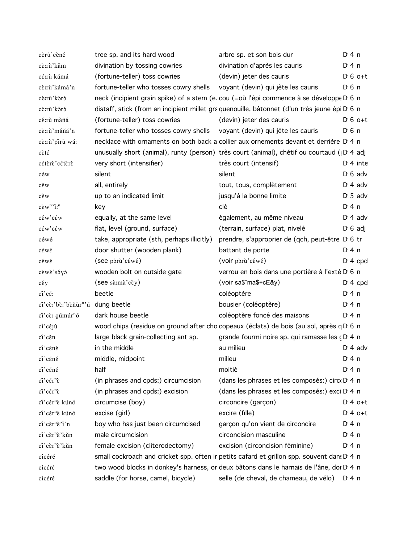| cèrù'cèné                                                                     | tree sp. and its hard wood                                                | arbre sp. et son bois dur                                                                           | $Di$ 4 n          |
|-------------------------------------------------------------------------------|---------------------------------------------------------------------------|-----------------------------------------------------------------------------------------------------|-------------------|
| cè:rù'kǎm                                                                     | divination by tossing cowries                                             | divination d'après les cauris                                                                       | $Di$ 4 n          |
| cé:rù kámá                                                                    | (fortune-teller) toss cowries                                             | (devin) jeter des cauris                                                                            | $D \n6$ o+t       |
| cè:rù'kámá'n                                                                  | fortune-teller who tosses cowry shells voyant (devin) qui jète les cauris |                                                                                                     | $D0$ n            |
| cè:rù'kòró                                                                    |                                                                           | neck (incipient grain spike) of a stem (e. cou (=où l'épi commence à se développe D 6 n             |                   |
| cè:rù'kòró                                                                    |                                                                           | distaff, stick (from an incipient millet gra quenouille, bâtonnet (d'un très jeune épi D 6 n        |                   |
| cé:rù màñá                                                                    | (fortune-teller) toss cowries                                             | (devin) jeter des cauris                                                                            | $D \n6$ o+t       |
| cè:rù'máñá'n                                                                  | fortune-teller who tosses cowry shells voyant (devin) qui jète les cauris |                                                                                                     | D <sub>1</sub> 6n |
| cè:rù'pirù wá:                                                                |                                                                           | necklace with ornaments on both back a collier aux ornements devant et derrière D'4 n               |                   |
| cèté                                                                          |                                                                           | unusually short (animal), runty (person) très court (animal), chétif ou courtaud ( $ D $ 4 adj      |                   |
| cétèrè'cétèrè                                                                 | very short (intensifier)                                                  | très court (intensif)                                                                               | $Di$ 4 inte       |
| céw                                                                           | silent                                                                    | silent                                                                                              | $D \cdot 6$ adv   |
| $c\hat{\epsilon}$ w                                                           | all, entirely                                                             | tout, tous, complètement                                                                            | $D \cdot 4$ adv   |
| $c\hat{\epsilon}$ w                                                           | up to an indicated limit                                                  | jusqu'à la bonne limite                                                                             | $D \cdot 5$ adv   |
| $c\grave{\epsilon}w^n\acute{\gamma}$ :"                                       | key                                                                       | clé                                                                                                 | $Di$ 4 n          |
| céw'céw                                                                       | equally, at the same level                                                | également, au même niveau                                                                           | $D \cdot 4$ adv   |
| céw'céw                                                                       | flat, level (ground, surface)                                             | (terrain, surface) plat, nivelé                                                                     | $D \cdot 6$ adj   |
| céwé                                                                          | take, appropriate (sth, perhaps illicitly)                                | prendre, s'approprier de (qch, peut-être D <sub>0</sub> 6 tr                                        |                   |
| cέwέ                                                                          | door shutter (wooden plank)                                               | battant de porte                                                                                    | D: 4 n            |
| cέwέ                                                                          | $($ see pòrù' $c$ $\epsilon$ w $\epsilon$ $)$                             | (voir pòrù'céwé)                                                                                    | $Di$ 4 cpd        |
| cèwè'sóyó                                                                     | wooden bolt on outside gate                                               | verrou en bois dans une portière à l'exté D <sub>0</sub> n                                          |                   |
| $c \check{\epsilon}$ y                                                        | (see sà:mà'cěy)                                                           | $(voir sa$\text{ma$+cE$y})$                                                                         | $Di$ 4 cpd        |
| ci'cé:                                                                        | beetle                                                                    | coléoptère                                                                                          | $Di$ 4 n          |
| ci'cè:'bè:'bèñùr"ú dung beetle                                                |                                                                           | bousier (coléoptère)                                                                                | D: 4 n            |
| ci'cè: gúmúr <sup>n</sup> ó                                                   | dark house beetle                                                         | coléoptère foncé des maisons                                                                        | D: 4n             |
| $c1'$ céjù                                                                    |                                                                           | wood chips (residue on ground after cho copeaux (éclats) de bois (au sol, après q D 6 n             |                   |
| ci'cěn                                                                        | large black grain-collecting ant sp.                                      | grande fourmi noire sp. qui ramasse les cD 4 n                                                      |                   |
| ci'cénè                                                                       | in the middle                                                             | au milieu                                                                                           | $D \cdot 4$ adv   |
| ci'céné                                                                       | middle, midpoint                                                          | milieu                                                                                              | D: 4 n            |
| ci'céné                                                                       | half                                                                      | moitié                                                                                              | $Dt$ 4 n          |
| $\tilde{\rm ci}' c \tilde{\rm \epsilon} {\rm r}^{\rm n} \tilde{\rm \epsilon}$ | (in phrases and cpds:) circumcision                                       | (dans les phrases et les composés:) circ D'4 n                                                      |                   |
| ci'cér <sup>n</sup> è                                                         | (in phrases and cpds:) excision                                           | (dans les phrases et les composés:) exci D <sub>14</sub> n                                          |                   |
| ci'cér <sup>n</sup> è kúnó                                                    | circumcise (boy)                                                          | circoncire (garçon)                                                                                 | $Di4$ o+t         |
| ci'cér <sup>n</sup> è kúnó                                                    | excise (girl)                                                             | excire (fille)                                                                                      | $Dt 4 0+t$        |
| ci'cer <sup>n</sup> e'i'n                                                     | boy who has just been circumcised                                         | garçon qu'on vient de circoncire                                                                    | $Di$ 4 n          |
| ci'cèr <sup>n</sup> è'kǔn                                                     | male circumcision                                                         | circoncision masculine                                                                              | $Di$ 4 n          |
| ci'cèr <sup>n</sup> è'kǔn                                                     | female excision (cliterodectomy)                                          | excision (circoncision féminine)                                                                    | $Dt$ 4 n          |
| cícéré                                                                        |                                                                           | small cockroach and cricket spp. often ir petits cafard et grillon spp. souvent dan! D' 4 n         |                   |
| cicéré                                                                        |                                                                           | two wood blocks in donkey's harness, or deux bâtons dans le harnais de l'âne, dor D <sub>14</sub> n |                   |
| cicéré                                                                        | saddle (for horse, camel, bicycle)                                        | selle (de cheval, de chameau, de vélo) D <sub>14</sub> n                                            |                   |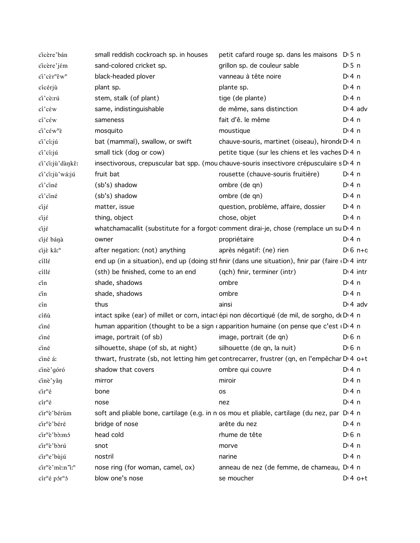| cicère'bán                                                                                    | small reddish cockroach sp. in houses | petit cafard rouge sp. dans les maisons D 5 n                                                      |                   |
|-----------------------------------------------------------------------------------------------|---------------------------------------|----------------------------------------------------------------------------------------------------|-------------------|
| cicère'jém                                                                                    | sand-colored cricket sp.              | grillon sp. de couleur sable                                                                       | $D \cdot 5$ n     |
| ci'cèr <sup>n</sup> êw <sup>n</sup>                                                           | black-headed plover                   | vanneau à tête noire                                                                               | $Di$ 4 n          |
| cícérjù                                                                                       | plant sp.                             | plante sp.                                                                                         | D:4n              |
| ci'cè:rú                                                                                      | stem, stalk (of plant)                | tige (de plante)                                                                                   | $Dt$ 4 n          |
| $c1c$ $\varepsilon$ w                                                                         | same, indistinguishable               | de même, sans distinction                                                                          | $Di$ 4 adv        |
| cí' cέw                                                                                       | sameness                              | fait d'ê. le même                                                                                  | D:4n              |
| $\tilde{\text{ci}}$ ' $\tilde{\text{c}}$ $\tilde{\text{c}}$ w <sup>n</sup> $\tilde{\text{c}}$ | mosquito                              | moustique                                                                                          | D:4n              |
| ci'cí:jú                                                                                      | bat (mammal), swallow, or swift       | chauve-souris, martinet (oiseau), hironde D <sub>1</sub> 4 n                                       |                   |
| ci'ci:jú                                                                                      | small tick (dog or cow)               | petite tique (sur les chiens et les vaches D <sub>1</sub> 4 n                                      |                   |
| ci'ci:jù'dànkê:                                                                               |                                       | insectivorous, crepuscular bat spp. (mou chauve-souris insectivore crépusculaire s D 4 n           |                   |
| ci'ci:jù'wá:jú                                                                                | fruit bat                             | rousette (chauve-souris fruitière)                                                                 | D: 4 n            |
| ci'ciné                                                                                       | (sb's) shadow                         | ombre (de qn)                                                                                      | D:4n              |
| ci'ciné                                                                                       | (sb's) shadow                         | ombre (de qn)                                                                                      | $Di$ 4 n          |
| $\tilde{\text{c}}$ ijé                                                                        | matter, issue                         | question, problème, affaire, dossier                                                               | $Di$ 4 n          |
| $c$ ij $\acute{\epsilon}$                                                                     | thing, object                         | chose, objet                                                                                       | $Di$ 4 n          |
| cijé                                                                                          |                                       | whatchamacallit (substitute for a forgoti comment dirai-je, chose (remplace un su Di 4 n           |                   |
| cijé bánà                                                                                     | owner                                 | propriétaire                                                                                       | D <sup>i</sup> 4n |
| cijè kâ: <sup>n</sup>                                                                         | after negation: (not) anything        | après négatif: (ne) rien                                                                           | $D \cdot 6$ n+c   |
| cillé                                                                                         |                                       | end up (in a situation), end up (doing sth finir (dans une situation), finir par (faire D 4 intr   |                   |
| cillé                                                                                         | (sth) be finished, come to an end     | (qch) finir, terminer (intr)                                                                       | $Di$ 4 intr       |
| cin                                                                                           | shade, shadows                        | ombre                                                                                              | $Di$ 4 n          |
| cin                                                                                           | shade, shadows                        | ombre                                                                                              | $Di$ 4 n          |
| cín                                                                                           | thus                                  | ainsi                                                                                              | $D \cdot 4$ adv   |
| cíñù                                                                                          |                                       | intact spike (ear) of millet or corn, intactépi non décortiqué (de mil, de sorgho, de D 4 n        |                   |
| ciné                                                                                          |                                       | human apparition (thought to be a sign capparition humaine (on pense que c'est $\overline{1D}$ 4 n |                   |
| ciné                                                                                          | image, portrait (of sb)               | image, portrait (de qn)                                                                            | $D0$ n            |
| ciné                                                                                          | silhouette, shape (of sb, at night)   | silhouette (de qn, la nuit)                                                                        | $D0$ 6 n          |
| ciné á:                                                                                       |                                       | thwart, frustrate (sb, not letting him get contrecarrer, frustrer (qn, en l'empêchar D'4 o+t       |                   |
| cinè'góró                                                                                     | shadow that covers                    | ombre qui couvre                                                                                   | $Di$ 4 n          |
| cinè'yǎn                                                                                      | mirror                                | miroir                                                                                             | $Di$ 4 n          |
| $\tilde{\text{cir}}^n$ é                                                                      | bone                                  | <b>OS</b>                                                                                          | $Di$ 4 n          |
| $\operatorname{cir}^n\acute{\mathrm{e}}$                                                      | nose                                  | nez                                                                                                | $Di$ 4 n          |
| cir <sup>n</sup> è'bérùm                                                                      |                                       | soft and pliable bone, cartilage (e.g. in n os mou et pliable, cartilage (du nez, par D 4 n        |                   |
| cir <sup>n</sup> è'béré                                                                       | bridge of nose                        | arête du nez                                                                                       | $Di$ 4 n          |
| cir <sup>n</sup> è'bò:mó                                                                      | head cold                             | rhume de tête                                                                                      | $D0$ n            |
| cir <sup>n</sup> è'bòrú                                                                       | snot                                  | morve                                                                                              | $Di$ 4 n          |
| cir <sup>n</sup> e'bùjú                                                                       | nostril                               | narine                                                                                             | $Di$ 4 n          |
| cir <sup>n</sup> è'mè:n'i: <sup>n</sup>                                                       | nose ring (for woman, camel, ox)      | anneau de nez (de femme, de chameau, DI4 n                                                         |                   |
| $\operatorname{c\acute{a}}\nolimits^{\rm n}$ é pór $\operatorname{r\acute{o}}\nolimits$       | blow one's nose                       | se moucher                                                                                         | $D:4$ o+t         |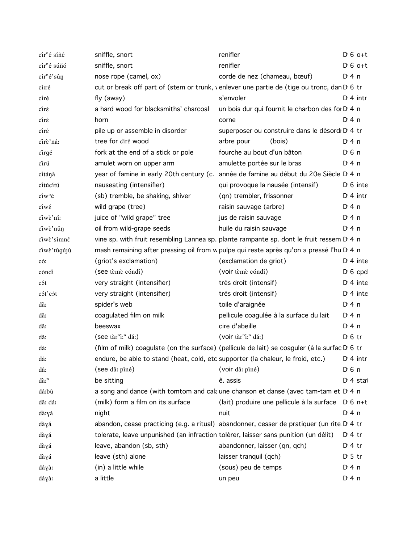| cír <sup>n</sup> é síñé     | sniffle, snort                                                                      | renifler                                                                                               | $D \nvert 6$ o+t      |
|-----------------------------|-------------------------------------------------------------------------------------|--------------------------------------------------------------------------------------------------------|-----------------------|
| cír <sup>n</sup> é súñó     | sniffle, snort                                                                      | renifler                                                                                               | $D \nvert 6$ o+t      |
| cír <sup>n</sup> é'sûn      | nose rope (camel, ox)                                                               | corde de nez (chameau, bœuf)                                                                           | $Di$ 4 n              |
| cí:ré                       |                                                                                     | cut or break off part of (stem or trunk, venlever une partie de (tige ou tronc, dan D <sub>'6</sub> tr |                       |
| círé                        | fly (away)                                                                          | s'envoler                                                                                              | $Di$ 4 intr           |
| ciré                        | a hard wood for blacksmiths' charcoal                                               | un bois dur qui fournit le charbon des for D <sub>1</sub> 4 n                                          |                       |
| círé                        | horn                                                                                | corne                                                                                                  | D:4n                  |
| círé                        | pile up or assemble in disorder                                                     | superposer ou construire dans le désordi Di 4 tr                                                       |                       |
| cirè'ná:                    | tree for ciré wood                                                                  | arbre pour<br>(bois)                                                                                   | $Di$ 4 n              |
| cirgé                       | fork at the end of a stick or pole                                                  | fourche au bout d'un bâton                                                                             | $D \nvert 6 \nvert n$ |
| cirú                        | amulet worn on upper arm                                                            | amulette portée sur le bras                                                                            | $Di$ 4 n              |
| cítánà                      |                                                                                     | year of famine in early 20th century (c. année de famine au début du 20e Siècle D'4 n                  |                       |
| cítúcítú                    | nauseating (intensifier)                                                            | qui provoque la nausée (intensif)                                                                      | $D \cdot 6$ inte      |
| $c1w^n$ é                   | (sb) tremble, be shaking, shiver                                                    | (qn) trembler, frissonner                                                                              | $Di$ 4 intr           |
| ciwé                        | wild grape (tree)                                                                   | raisin sauvage (arbre)                                                                                 | $Di$ 4 n              |
| ciwè'ni:                    | juice of "wild grape" tree                                                          | jus de raisin sauvage                                                                                  | $Di$ 4 n              |
| ciwè'nǔn                    | oil from wild-grape seeds                                                           | huile du raisin sauvage                                                                                | $Di$ 4 n              |
| ciwè'simné                  |                                                                                     | vine sp. with fruit resembling Lannea sp. plante rampante sp. dont le fruit ressem D <sub>1</sub> 4 n  |                       |
| ciwè'tùgújù                 |                                                                                     | mash remaining after pressing oil from w pulpe qui reste après qu'on a pressé l'hu D <sub>'</sub> 4 n  |                       |
| có:                         | (griot's exclamation)                                                               | (exclamation de griot)                                                                                 | $Di$ 4 inte           |
| cóndi                       | (see tèmè cóndi)                                                                    | (voir tèmè cóndi)                                                                                      | $D16$ cpd             |
| cót                         | very straight (intensifier)                                                         | très droit (intensif)                                                                                  | $Di$ 4 inte           |
| cót'cót                     | very straight (intensifier)                                                         | très droit (intensif)                                                                                  | $Di$ 4 inte           |
| dă:                         | spider's web                                                                        | toile d'araignée                                                                                       | $Di$ 4 n              |
| dă:                         | coagulated film on milk                                                             | pellicule coagulée à la surface du lait                                                                | $Di$ 4 n              |
| dă:                         | beeswax                                                                             | cire d'abeille                                                                                         | $Di$ 4 n              |
| dă:                         | (see tàr"i: <sup>n</sup> dǎ:)                                                       | (voir tàr <sup>m</sup> i: <sup>n</sup> dǎ:)                                                            | $D16$ tr              |
| dá:                         |                                                                                     | (film of milk) coagulate (on the surface) (pellicule de lait) se coaguler (à la surfac D 6 tr          |                       |
| dá:                         | endure, be able to stand (heat, cold, etc supporter (la chaleur, le froid, etc.)    |                                                                                                        | $Di$ 4 intr           |
| dâ:                         | (see dâ: píné)                                                                      | (voir dâ: píné)                                                                                        | $D0$ 6 n              |
| $d\tilde{a}$ : <sup>n</sup> | be sitting                                                                          | ê. assis                                                                                               | D <sub>1</sub> 4 stat |
| dá:bù                       |                                                                                     | a song and dance (with tomtom and calaune chanson et danse (avec tam-tam et D.4 n                      |                       |
| dă: dá:                     | (milk) form a film on its surface                                                   | (lait) produire une pellicule à la surface D <sub>'6</sub> n+t                                         |                       |
| dà:yá                       | night                                                                               | nuit                                                                                                   | D:4n                  |
| dàyá                        |                                                                                     | abandon, cease practicing (e.g. a ritual) abandonner, cesser de pratiquer (un rite $D \cdot 4$ tr      |                       |
| dàyá                        | tolerate, leave unpunished (an infraction tolérer, laisser sans punition (un délit) |                                                                                                        | $D \cdot 4$ tr        |
| dàyá                        | leave, abandon (sb, sth)                                                            | abandonner, laisser (qn, qch)                                                                          | $D \cdot 4$ tr        |
| dàyá                        | leave (sth) alone                                                                   | laisser tranquil (qch)                                                                                 | $D \cdot 5$ tr        |
| dáyà:                       | (in) a little while                                                                 | (sous) peu de temps                                                                                    | $Dt$ 4 n              |
| dáyà:                       | a little                                                                            | un peu                                                                                                 | $Di$ 4 n              |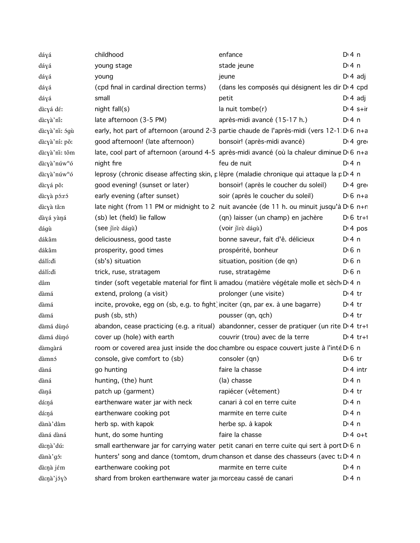| dáyá                     | childhood                                                                       | enfance                                                                                                          | $Dt$ 4 n         |
|--------------------------|---------------------------------------------------------------------------------|------------------------------------------------------------------------------------------------------------------|------------------|
| dáyá                     | young stage                                                                     | stade jeune                                                                                                      | $Dt$ 4 n         |
| dáyá                     | young                                                                           | jeune                                                                                                            | $D \cdot 4$ adj  |
| dáyá                     | (cpd final in cardinal direction terms)                                         | (dans les composés qui désignent les dir D 4 cpd                                                                 |                  |
| dáyá                     | small                                                                           | petit                                                                                                            | $D \cdot 4$ adj  |
| dà:yá dé:                | $night$ fall $(s)$                                                              | $la$ nuit tombe(r)                                                                                               | $Dt$ 4 s+ir      |
| dà:yà'nî:                | late afternoon (3-5 PM)                                                         | après-midi avancé (15-17 h.)                                                                                     | D: 4 n           |
| dà:yà'ni: 5gù            |                                                                                 | early, hot part of afternoon (around 2-3 partie chaude de l'après-midi (vers 12-1 D 6 n+a                        |                  |
| dà:yà'ní: pǒ:            | good afternoon! (late afternoon)                                                | bonsoir! (après-midi avancé)                                                                                     | $Di 4$ gre       |
| dà:yà'ni: tôm            |                                                                                 | late, cool part of afternoon (around 4-5 après-midi avancé (où la chaleur diminue D <sub>16 n+a</sub>            |                  |
| dà:yà'núw <sup>n</sup> ó | night fire                                                                      | feu de nuit                                                                                                      | D: 4 n           |
| dà:yà'núw <sup>n</sup> ó |                                                                                 | leprosy (chronic disease affecting skin, plèpre (maladie chronique qui attaque la pD 4 n                         |                  |
| dà:yá pǒ:                | good evening! (sunset or later)                                                 | bonsoir! (après le coucher du soleil)                                                                            | $DT4$ gre        |
| dà:yà pó:ró              | early evening (after sunset)                                                    | soir (après le coucher du soleil)                                                                                | $D \cdot 6$ n+a  |
| dà:yà tă:n               |                                                                                 | late night (from 11 PM or midnight to 2 nuit avancée (de 11 h. ou minuit jusqu'à D <sub>'6 n+n</sub>             |                  |
| dàyá yàná                | (sb) let (field) lie fallow                                                     | (qn) laisser (un champ) en jachère                                                                               | $D \cdot 6$ tr+1 |
| dágù                     | (see jirè dágù)                                                                 | (voir jirè dágù)                                                                                                 | $Di$ 4 pos       |
| dákâm                    | deliciousness, good taste                                                       | bonne saveur, fait d'ê. délicieux                                                                                | $Dt$ 4 n         |
| dákâm                    | prosperity, good times                                                          | prospérité, bonheur                                                                                              | $D \n6$ n        |
| dálí:di                  | (sb's) situation                                                                | situation, position (de qn)                                                                                      | $D0$ n           |
| dálí:di                  | trick, ruse, stratagem                                                          | ruse, stratagème                                                                                                 | $D0$ n           |
| dâm                      |                                                                                 | tinder (soft vegetable material for flint li amadou (matière végétale molle et sèch D'4 n                        |                  |
| dàmá                     | extend, prolong (a visit)                                                       | prolonger (une visite)                                                                                           | $Di4$ tr         |
| dàmá                     | incite, provoke, egg on (sb, e.g. to fight) inciter (qn, par ex. à une bagarre) |                                                                                                                  | $Di4$ tr         |
| dàmá                     | push (sb, sth)                                                                  | pousser (qn, qch)                                                                                                | $Di4$ tr         |
| dàmá dùnó                |                                                                                 | abandon, cease practicing (e.g. a ritual) abandonner, cesser de pratiquer (un rite D <sub>14</sub> tr+1          |                  |
| dàmá dùnó                | cover up (hole) with earth                                                      | couvrir (trou) avec de la terre                                                                                  | $Di 4$ tr+1      |
| dàmgàrá                  |                                                                                 | room or covered area just inside the doc chambre ou espace couvert juste à l'inté D 6 n                          |                  |
| dàmnó                    | console, give comfort to (sb)                                                   | consoler (qn) and the consoler of the consoler of the consoler of the constant of the constant of the constant o | $D \cdot 6$ tr   |
| dàná                     | go hunting                                                                      | faire la chasse                                                                                                  | $Di$ 4 intr      |
| dàná                     | hunting, (the) hunt                                                             | (la) chasse                                                                                                      | $Dt$ 4 n         |
| dàŋá                     | patch up (garment)                                                              | rapiécer (vêtement)                                                                                              | $Di4$ tr         |
| dá:ŋá                    | earthenware water jar with neck                                                 | canari à col en terre cuite                                                                                      | $Di$ 4 n         |
| dá:ná                    | earthenware cooking pot                                                         | marmite en terre cuite                                                                                           | $Di$ 4 n         |
| dànà' dâm                | herb sp. with kapok                                                             | herbe sp. à kapok                                                                                                | $Dt$ 4 n         |
| dàná dàná                | hunt, do some hunting                                                           | faire la chasse                                                                                                  | $D:4$ o+t        |
| dà:nà' dú:               |                                                                                 | small earthenware jar for carrying water petit canari en terre cuite qui sert à port D 6 n                       |                  |
| dànà'gó:                 |                                                                                 | hunters' song and dance (tomtom, drum chanson et danse des chasseurs (avec ti D 4 n                              |                  |
| dà:nà jém                | earthenware cooking pot                                                         | marmite en terre cuite                                                                                           | D: 4 n           |
| dà:ŋà'jóɣò               | shard from broken earthenware water ja morceau cassé de canari                  |                                                                                                                  | $Di$ 4 n         |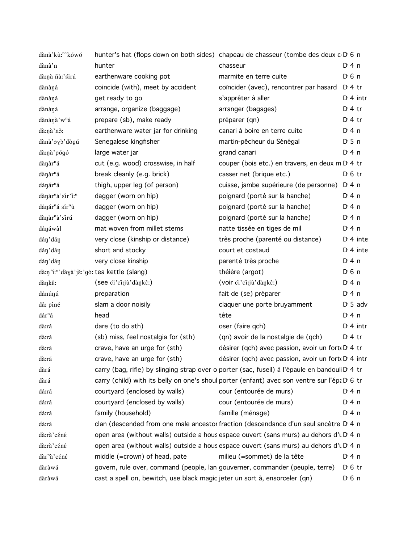| dànà'kù:"'kówó                           |                                                                              | hunter's hat (flops down on both sides) chapeau de chasseur (tombe des deux c D 6 n              |                       |  |
|------------------------------------------|------------------------------------------------------------------------------|--------------------------------------------------------------------------------------------------|-----------------------|--|
| dànâ'n                                   | hunter                                                                       | chasseur                                                                                         | $Di$ 4 n              |  |
| dà:nà ñà:'sìrú                           | earthenware cooking pot                                                      | marmite en terre cuite                                                                           | D <sub>1</sub> 6n     |  |
| dànàná                                   | coincide (with), meet by accident                                            | coïncider (avec), rencontrer par hasard                                                          | $Di4$ tr              |  |
| dànàná                                   | get ready to go                                                              | s'apprêter à aller                                                                               | $Di$ 4 intr           |  |
| dànàná                                   | arrange, organize (baggage)                                                  | arranger (bagages)                                                                               | $D \cdot 4$ tr        |  |
| dànànà'w <sup>n</sup> á                  | prepare (sb), make ready                                                     | préparer (qn)                                                                                    | $D \cdot 4$ tr        |  |
| dà:nà'nǒ:                                | earthenware water jar for drinking                                           | canari à boire en terre cuite                                                                    | $Di$ 4 n              |  |
| dànà' yò' dògú                           | Senegalese kingfisher                                                        | martin-pêcheur du Sénégal                                                                        | $D \cdot 5$ n         |  |
| dà:nà'pógó                               | large water jar                                                              | grand canari                                                                                     | $Dt$ 4 n              |  |
| dànàr <sup>n</sup> á                     | cut (e.g. wood) crosswise, in half                                           | couper (bois etc.) en travers, en deux m D 4 tr                                                  |                       |  |
| dànàr <sup>n</sup> á                     | break cleanly (e.g. brick)                                                   | casser net (brique etc.)                                                                         | $D \n6$ tr            |  |
| dánár <sup>n</sup> á                     | thigh, upper leg (of person)                                                 | cuisse, jambe supérieure (de personne)                                                           | D:4n                  |  |
| dànàr <sup>n</sup> à'sir'i: <sup>n</sup> | dagger (worn on hip)                                                         | poignard (porté sur la hanche)                                                                   | $Di$ 4 n              |  |
| dánár <sup>n</sup> á sír <sup>n</sup> ù  | dagger (worn on hip)                                                         | poignard (porté sur la hanche)                                                                   | $Di$ 4 n              |  |
| dànàr <sup>n</sup> à'sirú                | dagger (worn on hip)                                                         | poignard (porté sur la hanche)                                                                   | $Di$ 4 n              |  |
| dánáwâl                                  | mat woven from millet stems                                                  | natte tissée en tiges de mil                                                                     | $Di$ 4 n              |  |
| dán' dán                                 | very close (kinship or distance)                                             | très proche (parenté ou distance)                                                                | $Di$ 4 inte           |  |
| dán'dán                                  | short and stocky                                                             | court et costaud                                                                                 | $Di$ 4 inte           |  |
| dán'dán                                  | very close kinship                                                           | parenté très proche                                                                              | $Di$ 4 n              |  |
|                                          | dàny"i:"'dàyà'jě:'gò: tea kettle (slang)                                     | théière (argot)                                                                                  | $D \n6$ n             |  |
| dànkê:                                   | (see ci'ci:jù'dànkê:)                                                        | (voir ci'ci:jù'dànkê:)                                                                           | $Di$ 4 n              |  |
| dánúnú                                   | preparation                                                                  | fait de (se) préparer                                                                            | $Di$ 4 n              |  |
| dâ: píné                                 | slam a door noisily                                                          | claquer une porte bruyamment                                                                     | $D \cdot 5$ adv       |  |
| dár <sup>n</sup> á                       | head                                                                         | tête                                                                                             | $Di$ 4 n              |  |
| dà:rá                                    | dare (to do sth)                                                             | oser (faire qch)                                                                                 | $Di$ 4 intr           |  |
| dà:rá                                    | (sb) miss, feel nostalgia for (sth)                                          | (qn) avoir de la nostalgie de (qch)                                                              | $D \cdot 4$ tr        |  |
| dà:rá                                    | crave, have an urge for (sth)                                                | désirer (qch) avec passion, avoir un fort D' 4 tr                                                |                       |  |
| dà:rá                                    | crave, have an urge for (sth)                                                | désirer (qch) avec passion, avoir un fort D 4 intr                                               |                       |  |
| dàrá                                     |                                                                              | carry (bag, rifle) by slinging strap over o porter (sac, fuseil) à l'épaule en bandoul D'4 tr    |                       |  |
| dàrá                                     |                                                                              | carry (child) with its belly on one's shoul porter (enfant) avec son ventre sur l'épa D 6 tr     |                       |  |
| dá:rá                                    | courtyard (enclosed by walls)                                                | cour (entourée de murs)                                                                          | D: 4n                 |  |
| dá:rá                                    | courtyard (enclosed by walls)                                                | cour (entourée de murs)                                                                          | $Di$ 4 n              |  |
| dá:rá                                    | family (household)                                                           | famille (ménage)                                                                                 | $Di$ 4 n              |  |
| dá:rá                                    |                                                                              | clan (descended from one male ancestor fraction (descendance d'un seul ancêtre D <sub>14</sub> n |                       |  |
| dà:rà'céné                               |                                                                              | open area (without walls) outside a hous espace ouvert (sans murs) au dehors d'u D 4 n           |                       |  |
| dà:rà'céné                               |                                                                              | open area (without walls) outside a hous espace ouvert (sans murs) au dehors d'u D 4 n           |                       |  |
| dàr <sup>n</sup> à'céné                  | middle (=crown) of head, pate                                                | milieu (=sommet) de la tête                                                                      | $Di$ 4 n              |  |
| dàràwá                                   | govern, rule over, command (people, lan gouverner, commander (peuple, terre) |                                                                                                  | $D \nvert 6$ tr       |  |
| dàràwá                                   | cast a spell on, bewitch, use black magic jeter un sort à, ensorceler (qn)   |                                                                                                  | $D \nvert 6 \nvert n$ |  |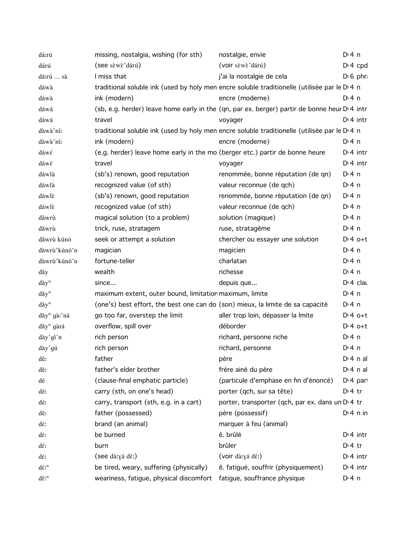| dá:rú                              | missing, nostalgia, wishing (for sth)                                          | nostalgie, envie                                                                              | $Di$ 4 n             |
|------------------------------------|--------------------------------------------------------------------------------|-----------------------------------------------------------------------------------------------|----------------------|
| dárú                               | (see sèwè'dárú)                                                                | (voir sèwè'dárú)                                                                              | $D: 4$ cpd           |
| dá:rú  sà                          | I miss that                                                                    | j'ai la nostalgie de cela                                                                     | $D \setminus 6$ phr. |
| dáwà                               |                                                                                | traditional soluble ink (used by holy men encre soluble traditionelle (utilisée par le D 4 n  |                      |
| dáwà                               | ink (modern)                                                                   | encre (moderne)                                                                               | D: 4n                |
| dáwá                               |                                                                                | (sb, e.g. herder) leave home early in the (qn, par ex. berger) partir de bonne heur D' 4 intr |                      |
| dáwá                               | travel                                                                         | voyager                                                                                       | $Di$ 4 intr          |
| dàwà'ní:                           |                                                                                | traditional soluble ink (used by holy men encre soluble traditionelle (utilisée par le D 4 n  |                      |
| dàwà'ní:                           | ink (modern)                                                                   | encre (moderne)                                                                               | $Di$ 4 n             |
| dáwé                               | (e.g. herder) leave home early in the mo (berger etc.) partir de bonne heure   |                                                                                               | $Dt$ 4 intr          |
| dáwé                               | travel                                                                         | voyager                                                                                       | $Dt$ 4 intr          |
| dáwlà                              | (sb's) renown, good reputation                                                 | renommée, bonne réputation (de qn)                                                            | $Di$ 4 n             |
| dáwlà                              | recognized value (of sth)                                                      | valeur reconnue (de qch)                                                                      | $Di$ 4 n             |
| dáwlè                              | (sb's) renown, good reputation                                                 | renommée, bonne réputation (de qn)                                                            | $Di$ 4 n             |
| dáwlè                              | recognized value (of sth)                                                      | valeur reconnue (de qch)                                                                      | $Di$ 4 n             |
| dăwrù                              | magical solution (to a problem)                                                | solution (magique)                                                                            | $Di$ 4 n             |
| dăwrù                              | trick, ruse, stratagem                                                         | ruse, stratagème                                                                              | $Di$ 4 n             |
| dăwrù kúnó                         | seek or attempt a solution                                                     | chercher ou essayer une solution                                                              | $D:4$ o+t            |
| dàwrù'kúnó'n                       | magician                                                                       | magicien                                                                                      | $Di$ 4 n             |
| dàwrù'kúnó'n                       | fortune-teller                                                                 | charlatan                                                                                     | $Di$ 4 n             |
| dây                                | wealth                                                                         | richesse                                                                                      | $Di$ 4 n             |
| $d\check{a}y^n$                    | since                                                                          | depuis que                                                                                    | $Di$ 4 clau          |
| $d\check{a}y^n$                    | maximum extent, outer bound, limitation maximum, limite                        |                                                                                               | $Di$ 4 n             |
| $d$ ăy <sup>n</sup>                | (one's) best effort, the best one can do (son) mieux, la limite de sa capacité |                                                                                               | $Di$ 4 n             |
| $d\check{a}y^n$ gà:'ná             | go too far, overstep the limit                                                 | aller trop loin, dépasser la Imite                                                            | $Di4$ o+t            |
| dăy <sup>n</sup> gàrá              | overflow, spill over                                                           | déborder                                                                                      | $D:4$ o+t            |
| dày'gí'n                           | rich person                                                                    | richard, personne riche                                                                       | $Di$ 4 n             |
| dày'gú                             | rich person                                                                    | richard, personne                                                                             | $Di$ 4 n             |
| dě:                                | father                                                                         | père                                                                                          | $Di$ 4 n al          |
| dě:                                | father's elder brother                                                         | frère ainé du père                                                                            | $Di$ 4 n al          |
| dé                                 | (clause-final emphatic particle)                                               | (particule d'emphase en fin d'énoncé)                                                         | $Dt$ 4 part          |
| dé:                                | carry (sth, on one's head)                                                     | porter (qch, sur sa tête)                                                                     | $Di4$ tr             |
| dé:                                | carry, transport (sth, e.g. in a cart)                                         | porter, transporter (qch, par ex. dans un D 4 tr                                              |                      |
| dê:                                | father (possessed)                                                             | père (possessif)                                                                              | $Di$ 4 n in          |
| dέ:                                | brand (an animal)                                                              | marquer à feu (animal)                                                                        |                      |
| dέ:                                | be burned                                                                      | ê. brûlé                                                                                      | $D:4$ intr           |
| dέ:                                | burn                                                                           | brûler                                                                                        | $Di4$ tr             |
| dέ:                                | (see dà:yá dé:)                                                                | (voir dà:yá dé:)                                                                              | $Di$ 4 intr          |
| $d\acute{\epsilon}$ : <sup>n</sup> | be tired, weary, suffering (physically)                                        | ê. fatigué, souffrir (physiquement)                                                           | $Dt$ 4 intr          |
| $d\hat{\epsilon}$ : <sup>n</sup>   | weariness, fatigue, physical discomfort fatigue, souffrance physique           |                                                                                               | D: 4 n               |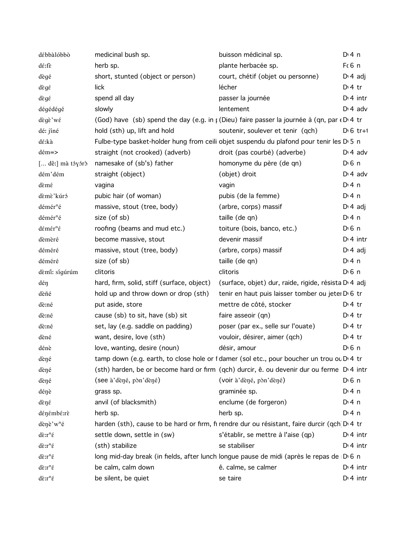| débbàlóbbò                                        | medicinal bush sp.                         | buisson médicinal sp.                                                                                    | $Di$ 4 n              |
|---------------------------------------------------|--------------------------------------------|----------------------------------------------------------------------------------------------------------|-----------------------|
| dé:fè                                             | herb sp.                                   | plante herbacée sp.                                                                                      | F(6 n)                |
| dègé                                              | short, stunted (object or person)          | court, chétif (objet ou personne)                                                                        | $D \cdot 4$ adj       |
| dègé                                              | lick                                       | lécher                                                                                                   | $Di4$ tr              |
| dègé                                              | spend all day                              | passer la journée                                                                                        | $Di$ 4 intr           |
| dégédégé                                          | slowly                                     | lentement                                                                                                | $D \cdot 4$ adv       |
| dègè'wé                                           |                                            | (God) have (sb) spend the day (e.g. in $\mu$ (Dieu) faire passer la journée à (qn, par $\epsilon$ D'4 tr |                       |
| dé: jíné                                          | hold (sth) up, lift and hold               | soutenir, soulever et tenir (qch)                                                                        | $D \cdot 6$ tr+1      |
| dé:kà                                             |                                            | Fulbe-type basket-holder hung from ceili objet suspendu du plafond pour tenir les D 5 n                  |                       |
| $d \epsilon m = >$                                | straight (not crooked) (adverb)            | droit (pas courbé) (adverbe)                                                                             | $D \n4$ adv           |
| [ dê:] mà tóyórò                                  | namesake of (sb's) father                  | homonyme du père (de qn)                                                                                 | $D0$ n                |
| dém'dém                                           | straight (object)                          | (objet) droit                                                                                            | $D \cdot 4$ adv       |
| dèmé                                              | vagina                                     | vagin                                                                                                    | $Di$ 4 n              |
| dèmè'kúró                                         | pubic hair (of woman)                      | pubis (de la femme)                                                                                      | $Di$ 4 n              |
| démér <sup>n</sup> é                              | massive, stout (tree, body)                | (arbre, corps) massif                                                                                    | $D \nmid 4$ adj       |
| démér <sup>n</sup> é                              | size (of sb)                               | taille (de qn)                                                                                           | $Di$ 4 n              |
| démér <sup>n</sup> é                              | roofing (beams and mud etc.)               | toiture (bois, banco, etc.)                                                                              | $D0$ n                |
| dèmèré                                            | become massive, stout                      | devenir massif                                                                                           | $Di$ 4 intr           |
| déméré                                            | massive, stout (tree, body)                | (arbre, corps) massif                                                                                    | $D \cdot 4$ adj       |
| déméré                                            | size (of sb)                               | taille (de qn)                                                                                           | $Di$ 4 n              |
| dèmi: sígúrúm                                     | clitoris                                   | clitoris                                                                                                 | $D0$ n                |
| déŋ                                               | hard, firm, solid, stiff (surface, object) | (surface, objet) dur, raide, rigide, résista D <sub>1</sub> 4 adj                                        |                       |
| dèñé                                              | hold up and throw down or drop (sth)       | tenir en haut puis laisser tomber ou jeter D 6 tr                                                        |                       |
| dè:né                                             | put aside, store                           | mettre de côté, stocker                                                                                  | $Di4$ tr              |
| dè:né                                             | cause (sb) to sit, have (sb) sit           | faire asseoir (qn)                                                                                       | $D:4$ tr              |
| dè:né                                             | set, lay (e.g. saddle on padding)          | poser (par ex., selle sur l'ouate)                                                                       | $Di4$ tr              |
| dèné                                              | want, desire, love (sth)                   | vouloir, désirer, aimer (qch)                                                                            | $D \cdot 4$ tr        |
| dénè                                              | love, wanting, desire (noun)               | désir, amour                                                                                             | D <sub>1</sub> 6n     |
| dèné                                              |                                            | tamp down (e.g. earth, to close hole or f damer (sol etc., pour boucher un trou ou D'4 tr                |                       |
| dèné                                              |                                            | (sth) harden, be or become hard or firm (qch) durcir, ê. ou devenir dur ou ferme D'4 intr                |                       |
| dèné                                              | (see à'dèné, pòn'dèné)                     | (voir à dèné, pòn dèné)                                                                                  | $D \nvert 6 \nvert n$ |
| dénè                                              | grass sp.                                  | graminée sp.                                                                                             | $Di$ 4 n              |
| dèné                                              | anvil (of blacksmith)                      | enclume (de forgeron)                                                                                    | $Di$ 4 n              |
| dénémbé:rè                                        | herb sp.                                   | herb sp.                                                                                                 | D: 4 n                |
| dènè'w <sup>n</sup> é                             |                                            | harden (sth), cause to be hard or firm, fi rendre dur ou résistant, faire durcir (qch D 4 tr             |                       |
| $d\tilde{\varepsilon}$ : $r^n\tilde{\varepsilon}$ | settle down, settle in (sw)                | s'établir, se mettre à l'aise (qp)                                                                       | $Di$ 4 intr           |
| $d\tilde{\epsilon}$ : $r^n\tilde{\epsilon}$       | (sth) stabilize                            | se stabiliser                                                                                            | $Di$ 4 intr           |
| $d\tilde{\epsilon}$ : $r^n\tilde{\epsilon}$       |                                            | long mid-day break (in fields, after lunch longue pause de midi (après le repas de D 6 n                 |                       |
| $d\tilde{\varepsilon}$ : $r^n\tilde{\varepsilon}$ | be calm, calm down                         | ê. calme, se calmer                                                                                      | $Di$ 4 intr           |
| $d\tilde{\epsilon}$ : $r^n\tilde{\epsilon}$       | be silent, be quiet                        | se taire                                                                                                 | $Di$ 4 intr           |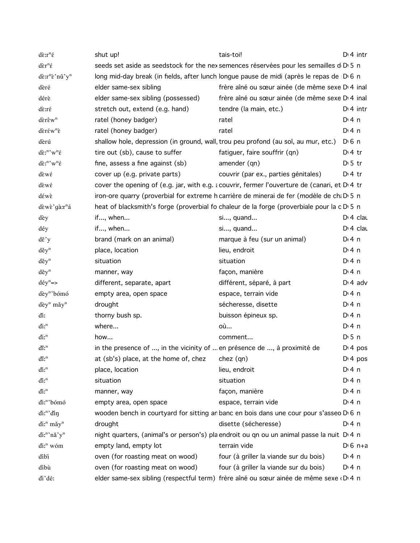| $d\tilde{\varepsilon}$ : $r^n\tilde{\varepsilon}$           | shut up!                                                                           | tais-toi!                                                                                           | $Di$ 4 intr           |
|-------------------------------------------------------------|------------------------------------------------------------------------------------|-----------------------------------------------------------------------------------------------------|-----------------------|
| $d\tilde{\epsilon}r^n\tilde{\epsilon}$                      |                                                                                    | seeds set aside as seedstock for the nex semences réservées pour les semailles d D 5 n              |                       |
| dè:r <sup>n</sup> è'nǔ'y <sup>n</sup>                       |                                                                                    | long mid-day break (in fields, after lunch longue pause de midi (après le repas de D <sub>6</sub> n |                       |
| dèré                                                        | elder same-sex sibling                                                             | frère aîné ou sœur ainée (de même sexe D'4 inal                                                     |                       |
| dérè                                                        | elder same-sex sibling (possessed)                                                 | frère aîné ou sœur ainée (de même sexe D'4 inal                                                     |                       |
| dè:ré                                                       | stretch out, extend (e.g. hand)                                                    | tendre (la main, etc.)                                                                              | $Di$ 4 intr           |
| $d\hat{\epsilon}$ rêw <sup>n</sup>                          | ratel (honey badger)                                                               | ratel                                                                                               | $Di$ 4 n              |
| dèréw <sup>n</sup> è                                        | ratel (honey badger)                                                               | ratel                                                                                               | $Dt$ 4 n              |
| dèrú                                                        | shallow hole, depression (in ground, wall, trou peu profond (au sol, au mur, etc.) |                                                                                                     | $D \n6$ n             |
| $d\tilde{\epsilon}$ :"' $w$ <sup>n</sup> $\tilde{\epsilon}$ | tire out (sb), cause to suffer                                                     | fatiguer, faire souffrir (qn)                                                                       | $Di4$ tr              |
| $d\tilde{\epsilon}$ :"' $w$ <sup>n</sup> $\tilde{\epsilon}$ | fine, assess a fine against (sb)                                                   | amender (qn)                                                                                        | $D \cdot 5$ tr        |
| dèwé                                                        | cover up (e.g. private parts)                                                      | couvrir (par ex., parties génitales)                                                                | $Di4$ tr              |
| dèwé                                                        |                                                                                    | cover the opening of (e.g. jar, with e.g. a couvrir, fermer l'ouverture de (canari, et D.4 tr       |                       |
| déwè                                                        |                                                                                    | iron-ore quarry (proverbial for extreme h carrière de minerai de fer (modèle de ch: D 5 n           |                       |
| dèwè'gà:r <sup>n</sup> á                                    |                                                                                    | heat of blacksmith's forge (proverbial fo chaleur de la forge (proverbiale pour la c D 5 n          |                       |
| dèy                                                         | if, when                                                                           | si, quand                                                                                           | $Di$ 4 clau           |
| déy                                                         | if, when                                                                           | si, quand                                                                                           | D <sub>1</sub> 4 clau |
| $d\check{\epsilon}$ 'y                                      | brand (mark on an animal)                                                          | marque à feu (sur un animal)                                                                        | D:4n                  |
| $d$ ěy <sup>n</sup>                                         | place, location                                                                    | lieu, endroit                                                                                       | $Di$ 4 n              |
| $d$ ěy <sup>n</sup>                                         | situation                                                                          | situation                                                                                           | $Dt$ 4 n              |
| $d$ ěy <sup>n</sup>                                         | manner, way                                                                        | façon, manière                                                                                      | $Di$ 4 n              |
| $d \acute{e} y^n =$                                         | different, separate, apart                                                         | différent, séparé, à part                                                                           | $D \cdot 4$ adv       |
| dèy <sup>n</sup> 'bómó                                      | empty area, open space                                                             | espace, terrain vide                                                                                | $Di$ 4 n              |
| dèy <sup>n</sup> mǎy <sup>n</sup>                           | drought                                                                            | sécheresse, disette                                                                                 | $Di$ 4 n              |
| ďi:                                                         | thorny bush sp.                                                                    | buisson épineux sp.                                                                                 | $Di$ 4 n              |
| $\dim^n$                                                    | where                                                                              | où                                                                                                  | $Di$ 4 n              |
| $\dim^n$                                                    | how                                                                                | comment                                                                                             | $D \cdot 5$ n         |
| $\dim^n$                                                    | in the presence of , in the vicinity of  en présence de , à proximité de           |                                                                                                     | D <sup>t</sup> 4 pos  |
| $\mathbf{d}\hat{\mathbf{n}}$                                | at (sb's) place, at the home of, chez                                              | chez (qn)                                                                                           | $Di$ 4 pos            |
| $\dim^n$                                                    | place, location                                                                    | lieu, endroit                                                                                       | $Di$ 4 n              |
| $\dim^n$                                                    | situation                                                                          | situation                                                                                           | $Di$ 4 n              |
| $\dim^n$                                                    | manner, way                                                                        | façon, manière                                                                                      | $Di$ 4 n              |
| di: <sup>n</sup> 'bómó                                      | empty area, open space                                                             | espace, terrain vide                                                                                | $Di$ 4 n              |
| di:"'din                                                    |                                                                                    | wooden bench in courtyard for sitting an banc en bois dans une cour pour s'asseo D 6 n              |                       |
| di: <sup>n</sup> mǎy <sup>n</sup>                           | drought                                                                            | disette (sécheresse)                                                                                | $Di$ 4 n              |
| di:"'nă'y"                                                  |                                                                                    | night quarters, (animal's or person's) pla endroit ou qn ou un animal passe la nuit D.4 n           |                       |
| di: <sup>n</sup> wóm                                        | empty land, empty lot                                                              | terrain vide                                                                                        | $D \cdot 6$ n+a       |
| díbi                                                        | oven (for roasting meat on wood)                                                   | four (à griller la viande sur du bois)                                                              | $Di$ 4 n              |
| díbù                                                        | oven (for roasting meat on wood)                                                   | four (à griller la viande sur du bois)                                                              | $Di$ 4 n              |
| di'dé:                                                      |                                                                                    | elder same-sex sibling (respectful term) frère aîné ou sœur ainée de même sexe D 4 n                |                       |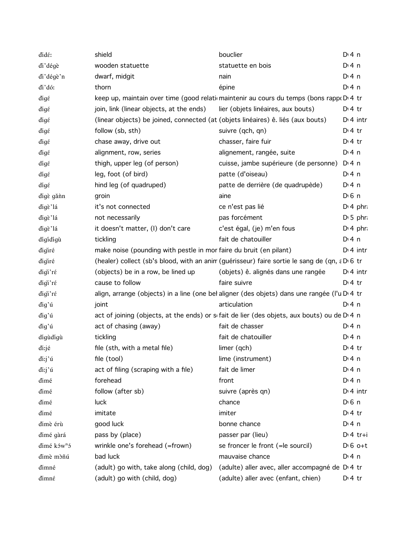| didé:                   | shield                                                                           | bouclier                                                                                                  | $Di$ 4 n              |
|-------------------------|----------------------------------------------------------------------------------|-----------------------------------------------------------------------------------------------------------|-----------------------|
| di'dégè                 | wooden statuette                                                                 | statuette en bois                                                                                         | $Di$ 4 n              |
| di'dégè'n               | dwarf, midgit                                                                    | nain                                                                                                      | $Di$ 4 n              |
| ďi'dó:                  | thorn                                                                            | épine                                                                                                     | $Di$ 4 n              |
| digé                    |                                                                                  | keep up, maintain over time (good relationaintenir au cours du temps (bons rappo D.4 tr                   |                       |
| digé                    | join, link (linear objects, at the ends)                                         | lier (objets linéaires, aux bouts)                                                                        | $D \cdot 4$ tr        |
| digé                    | (linear objects) be joined, connected (at (objets linéaires) ê. liés (aux bouts) |                                                                                                           | $Di$ 4 intr           |
| digé                    | follow (sb, sth)                                                                 | suivre (qch, qn)                                                                                          | $Di4$ tr              |
| digé                    | chase away, drive out                                                            | chasser, faire fuir                                                                                       | $Di4$ tr              |
| digé                    | alignment, row, series                                                           | alignement, rangée, suite                                                                                 | D: 4n                 |
| dígé                    | thigh, upper leg (of person)                                                     | cuisse, jambe supérieure (de personne)                                                                    | $Di$ 4 n              |
| dígé                    | leg, foot (of bird)                                                              | patte (d'oiseau)                                                                                          | $Di$ 4 n              |
| dígé                    | hind leg (of quadruped)                                                          | patte de derrière (de quadrupède)                                                                         | $Di$ 4 n              |
| đigè gănn               | groin                                                                            | aine                                                                                                      | $D \nvert 6 \nvert n$ |
| digè'lá                 | it's not connected                                                               | ce n'est pas lié                                                                                          | $D: 4$ phr.           |
| digè'lá                 | not necessarily                                                                  | pas forcément                                                                                             | $D:5$ phr             |
| digè'lá                 | it doesn't matter, (I) don't care                                                | c'est égal, (je) m'en fous                                                                                | $Di$ 4 phr.           |
| dígídígù                | tickling                                                                         | fait de chatouiller                                                                                       | $Di$ 4 n              |
| digiré                  | make noise (pounding with pestle in mor faire du bruit (en pilant)               |                                                                                                           | $Di$ 4 intr           |
| digiré                  |                                                                                  | (healer) collect (sb's blood, with an anim (guérisseur) faire sortie le sang de (qn, a D 6 tr             |                       |
| digi'ré                 | (objects) be in a row, be lined up                                               | (objets) ê. alignés dans une rangée                                                                       | $Di$ 4 intr           |
| digi'ré                 | cause to follow                                                                  | faire suivre                                                                                              | $Di4$ tr              |
| digi'ré                 |                                                                                  | align, arrange (objects) in a line (one bel aligner (des objets) dans une rangée (l'u D <sub>'</sub> 4 tr |                       |
| đig'ú                   | joint                                                                            | articulation                                                                                              | $Di$ 4 n              |
| dig'ú                   |                                                                                  | act of joining (objects, at the ends) or sifait de lier (des objets, aux bouts) ou de D 4 n               |                       |
| đig'ú                   | act of chasing (away)                                                            | fait de chasser                                                                                           | $Di$ 4 n              |
| dígùdígù                | tickling                                                                         | fait de chatouiller                                                                                       | $Di$ 4 n              |
| di:jé                   | file (sth, with a metal file)                                                    | limer (qch)                                                                                               | $Di 4$ tr             |
| di:j'ú                  | file (tool)                                                                      | lime (instrument)                                                                                         | $Di$ 4 n              |
| di:j'ú                  | act of filing (scraping with a file)                                             | fait de limer                                                                                             | $Di$ 4 n              |
| dimé                    | forehead                                                                         | front                                                                                                     | $Di$ 4 n              |
| dimé                    | follow (after sb)                                                                | suivre (après qn)                                                                                         | $Dt$ 4 intr           |
| dimé                    | luck                                                                             | chance                                                                                                    | D <sub>1</sub> 6n     |
| dimé                    | imitate                                                                          | imiter                                                                                                    | $Di4$ tr              |
| dimè érù                | good luck                                                                        | bonne chance                                                                                              | $Di$ 4 n              |
| dimé gàrá               | pass by (place)                                                                  | passer par (lieu)                                                                                         | $Di 4$ tr+i           |
| dimé ków <sup>n</sup> ó | wrinkle one's forehead (=frown)                                                  | se froncer le front (=le sourcil)                                                                         | $D \nvert 6$ o+t      |
| dimè mòñú               | bad luck                                                                         | mauvaise chance                                                                                           | $Di$ 4 n              |
| dimné                   | (adult) go with, take along (child, dog)                                         | (adulte) aller avec, aller accompagné de D <sub>14</sub> tr                                               |                       |
| dimné                   | (adult) go with (child, dog)                                                     | (adulte) aller avec (enfant, chien)                                                                       | $D:4$ tr              |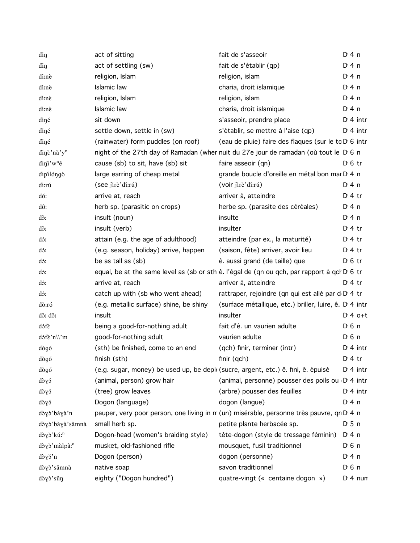| diŋ                       | act of sitting                                                                                  | fait de s'asseoir                                             | $Di$ 4 n              |
|---------------------------|-------------------------------------------------------------------------------------------------|---------------------------------------------------------------|-----------------------|
| diŋ                       | act of settling (sw)                                                                            | fait de s'établir (qp)                                        | $Di$ 4 n              |
| dí:nè                     | religion, Islam                                                                                 | religion, islam                                               | D:4n                  |
| dí:nè                     | Islamic law                                                                                     | charia, droit islamique                                       | D:4n                  |
| dí:nè                     | religion, Islam                                                                                 | religion, islam                                               | $Di$ 4 n              |
| dí:nè                     | Islamic law                                                                                     | charia, droit islamique                                       | $Di$ 4 n              |
| diné                      | sit down                                                                                        | s'asseoir, prendre place                                      | $Di$ 4 intr           |
| diné                      | settle down, settle in (sw)                                                                     | s'établir, se mettre à l'aise (qp)                            | $Di$ 4 intr           |
| diné                      | (rainwater) form puddles (on roof)                                                              | (eau de pluie) faire des flaques (sur le to D'6 intr          |                       |
| dinè'nǎ'y <sup>n</sup>    | night of the 27th day of Ramadan (wher nuit du 27e jour de ramadan (où tout le D <sub>6</sub> n |                                                               |                       |
| $d$ in'i w <sup>n</sup> é | cause (sb) to sit, have (sb) sit                                                                | faire asseoir (qn)                                            | $D \n6$ tr            |
| dipilóngò                 | large earring of cheap metal                                                                    | grande boucle d'oreille en métal bon mar D <sub>14</sub> n    |                       |
| di:rú                     | (see jirè'di:rú)                                                                                | (voir jirè'di:rú)                                             | $Di$ 4 n              |
| dó:                       | arrive at, reach                                                                                | arriver à, atteindre                                          | $Di4$ tr              |
| dô:                       | herb sp. (parasitic on crops)                                                                   | herbe sp. (parasite des céréales)                             | D:4n                  |
| dž:                       | insult (noun)                                                                                   | insulte                                                       | $Di$ 4 n              |
| dž:                       | insult (verb)                                                                                   | insulter                                                      | $Dt$ 4 tr             |
| dó:                       | attain (e.g. the age of adulthood)                                                              | atteindre (par ex., la maturité)                              | $D \cdot 4$ tr        |
| dó:                       | (e.g. season, holiday) arrive, happen                                                           | (saison, fête) arriver, avoir lieu                            | $D \cdot 4$ tr        |
| dó:                       | be as tall as (sb)                                                                              | ê. aussi grand (de taille) que                                | $D \cdot 6$ tr        |
| dó:                       | equal, be at the same level as (sb or sth ê. l'égal de (qn ou qch, par rapport à qcl D 6 tr     |                                                               |                       |
| dó:                       | arrive at, reach                                                                                | arriver à, atteindre                                          | $Dt$ 4 tr             |
| dó:                       | catch up with (sb who went ahead)                                                               | rattraper, rejoindre (qn qui est allé par d D 4 tr            |                       |
| dò:ró                     | (e.g. metallic surface) shine, be shiny                                                         | (surface métallique, etc.) briller, luire, ê. D. 4 intr       |                       |
| dž: dž:                   | insult                                                                                          | insulter                                                      | $Di4$ o+t             |
| dófè                      | being a good-for-nothing adult                                                                  | fait d'ê. un vaurien adulte                                   | $D \nvert 6 \nvert n$ |
| dɔ́fɛ̀'n\\'m              | good-for-nothing adult                                                                          | vaurien adulte                                                | D <sub>1</sub> 6n     |
| dògó                      | (sth) be finished, come to an end                                                               | (qch) finir, terminer (intr)                                  | $Di$ 4 intr           |
| dògó                      | finish (sth)                                                                                    | finir $(qch)$                                                 | $Dt$ 4 tr             |
| dògó                      | (e.g. sugar, money) be used up, be depl (sucre, argent, etc.) ê. fini, ê. épuisé                |                                                               | $Di$ 4 intr           |
| dòyó                      | (animal, person) grow hair                                                                      | (animal, personne) pousser des poils ou D <sub>'</sub> 4 intr |                       |
| dòyó                      | (tree) grow leaves                                                                              | (arbre) pousser des feuilles                                  | $Di$ 4 intr           |
| dòyó                      | Dogon (language)                                                                                | dogon (langue)                                                | $Di$ 4 n              |
| dòyò'báyà'n               | pauper, very poor person, one living in m (un) misérable, personne très pauvre, qn D 4 n        |                                                               |                       |
| dòyò'bàyà'sǎmnà           | small herb sp.                                                                                  | petite plante herbacée sp.                                    | $D \cdot 5$ n         |
| dòyò'kú: <sup>n</sup>     | Dogon-head (women's braiding style)                                                             | tête-dogon (style de tressage féminin)                        | $Di$ 4 n              |
| dòyò'màlpâ: <sup>n</sup>  | musket, old-fashioned rifle                                                                     | mousquet, fusil traditionnel                                  | $D \nvert 6 \nvert n$ |
| dòyǒ'n                    | Dogon (person)                                                                                  | dogon (personne)                                              | $Di$ 4 n              |
| dòyò'sǎmnà                | native soap                                                                                     | savon traditionnel                                            | $D \nvert 6 \nvert n$ |
| dòyò'sǔn                  | eighty ("Dogon hundred")                                                                        | quatre-vingt (« centaine dogon »)                             | $D: 4$ nun            |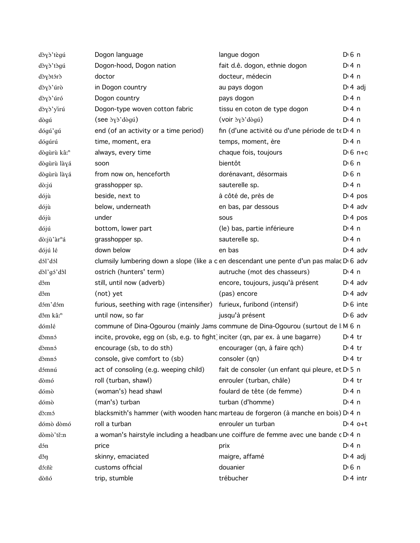| dòyò'tègú               | Dogon language                                                                           | langue dogon                                     | $D0$ n               |
|-------------------------|------------------------------------------------------------------------------------------|--------------------------------------------------|----------------------|
| dòyò'tògú               | Dogon-hood, Dogon nation                                                                 | fait d.ê. dogon, ethnie dogon                    | $Di$ 4 n             |
| dòyòtórò                | doctor                                                                                   | docteur, médecin                                 | $Di$ 4 n             |
| dòyò'úrò                | in Dogon country                                                                         | au pays dogon                                    | $D \cdot 4$ adj      |
| dòyò'úró                | Dogon country                                                                            | pays dogon                                       | $Di$ 4 n             |
| dòyò'yìrú               | Dogon-type woven cotton fabric                                                           | tissu en coton de type dogon                     | $Di$ 4 n             |
| dògú                    | $($ see $\partial y \partial d\partial g$ ú $)$                                          | (voir $\partial y \partial' d \partial g \mu$ )  | $Di$ 4 n             |
| dógú'gú                 | end (of an activity or a time period)                                                    | fin (d'une activité ou d'une période de te D 4 n |                      |
| dógúrú                  | time, moment, era                                                                        | temps, moment, ère                               | D: 4 n               |
| dògùrù kâ: <sup>n</sup> | always, every time                                                                       | chaque fois, toujours                            | $D \cdot 6$ n+c      |
| dògùrù làyá             | soon                                                                                     | bientôt                                          | $D0$ 6 n             |
| dògùrù làyá             | from now on, henceforth                                                                  | dorénavant, désormais                            | $D0$ n               |
| dò:jú                   | grasshopper sp.                                                                          | sauterelle sp.                                   | $Di$ 4 n             |
| dójù                    | beside, next to                                                                          | à côté de, près de                               | D <sup>i</sup> 4 pos |
| dójù                    | below, underneath                                                                        | en bas, par dessous                              | $D \cdot 4$ adv      |
| dójù                    | under                                                                                    | sous                                             | $Di$ 4 pos           |
| dójú                    | bottom, lower part                                                                       | (le) bas, partie inférieure                      | $Di$ 4 n             |
| dò:jù'àr <sup>n</sup> á | grasshopper sp.                                                                          | sauterelle sp.                                   | $Dt$ 4 n             |
| dójú lé                 | down below                                                                               | en bas                                           | $D \cdot 4$ adv      |
| dól'dól                 | clumsily lumbering down a slope (like a c en descendant une pente d'un pas malac D 6 adv |                                                  |                      |
| dòl'gó'dôl              | ostrich (hunters' term)                                                                  | autruche (mot des chasseurs)                     | $Di$ 4 n             |
| dôm                     | still, until now (adverb)                                                                | encore, toujours, jusqu'à présent                | $D \cdot 4$ adv      |
| dôm                     | (not) yet                                                                                | (pas) encore                                     | $Di$ 4 adv           |
| dóm'dóm                 | furious, seething with rage (intensifier) furieux, furibond (intensif)                   |                                                  | $D \cdot 6$ inte     |
| dôm kâ: <sup>n</sup>    | until now, so far                                                                        | jusqu'à présent                                  | $D \cdot 6$ adv      |
| dómlé                   | commune of Dina-Ogourou (mainly Jams commune de Dina-Ogourou (surtout de I M 6 n         |                                                  |                      |
| dòmnó                   | incite, provoke, egg on (sb, e.g. to fight) inciter (qn, par ex. à une bagarre)          |                                                  | $Dt$ 4 tr            |
| dòmnó                   | encourage (sb, to do sth)                                                                | encourager (qn, à faire qch)                     | $Di4$ tr             |
| dòmnó                   | console, give comfort to (sb) consoler (qn)                                              |                                                  | $Dt$ 4 tr            |
| dómnú                   | act of consoling (e.g. weeping child)                                                    | fait de consoler (un enfant qui pleure, et D 5 n |                      |
| dòmó                    | roll (turban, shawl)                                                                     | enrouler (turban, châle)                         | $Dt$ 4 tr            |
| dómò                    | (woman's) head shawl                                                                     | foulard de tête (de femme)                       | $Di$ 4 n             |
| dómò                    | (man's) turban                                                                           | turban (d'homme)                                 | $Di$ 4 n             |
| dò:mó                   | blacksmith's hammer (with wooden hand marteau de forgeron (à manche en bois) D 4 n       |                                                  |                      |
| dómò dòmó               | roll a turban                                                                            | enrouler un turban                               | $Di4$ o+t            |
| dòmò'tě:n               | a woman's hairstyle including a headban une coiffure de femme avec une bande c D 4 n     |                                                  |                      |
| dón                     | price                                                                                    | prix                                             | $Di$ 4 n             |
| děn                     | skinny, emaciated                                                                        | maigre, affamé                                   | $D \cdot 4$ adj      |
| dó:ñè                   | customs official                                                                         | douanier                                         | $D0$ n               |
| dòñó                    | trip, stumble                                                                            | trébucher                                        | $Dt$ 4 intr          |
|                         |                                                                                          |                                                  |                      |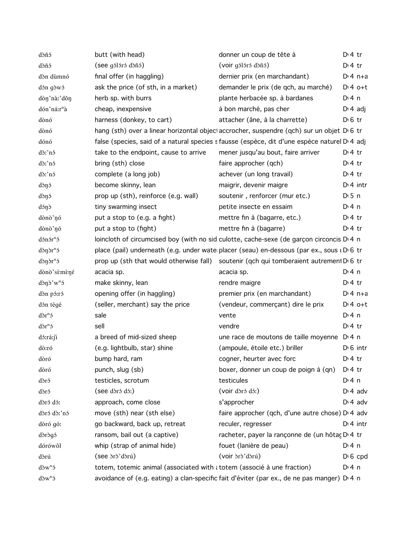| dòñó                      | butt (with head)                                                        | donner un coup de tête à                                                                            | $Dt$ 4 tr        |
|---------------------------|-------------------------------------------------------------------------|-----------------------------------------------------------------------------------------------------|------------------|
| dòñó                      | (see gálárá dàñá)                                                       | (voir gólóró dòñó)                                                                                  | $Di4$ tr         |
| dòn dùmnó                 | final offer (in haggling)                                               | dernier prix (en marchandant)                                                                       | $Di 4 n+a$       |
| dớn gòwó                  | ask the price (of sth, in a market)                                     | demander le prix (de qch, au marché)                                                                | $D:4$ o+t        |
| dòn'nà:'dǒn               | herb sp. with burrs                                                     | plante herbacée sp. à bardanes                                                                      | $Di$ 4 n         |
| dón'ná:r <sup>n</sup> à   | cheap, inexpensive                                                      | à bon marché, pas cher                                                                              | $D \cdot 4$ adj  |
| dònó                      | harness (donkey, to cart)                                               | attacher (âne, à la charrette)                                                                      | $D \n6$ tr       |
| dònó                      |                                                                         | hang (sth) over a linear horizontal object accrocher, suspendre (qch) sur un objet D 6 tr           |                  |
| dónó                      |                                                                         | false (species, said of a natural species s fausse (espèce, dit d'une espèce naturel D 4 adj        |                  |
| dò:'nó                    | take to the endpoint, cause to arrive                                   | mener jusqu'au bout, faire arriver                                                                  | $D:4$ tr         |
| dò:'nó                    | bring (sth) close                                                       | faire approcher (qch)                                                                               | $Dt$ 4 tr        |
| dò:'nó                    | complete (a long job)                                                   | achever (un long travail)                                                                           | $Di4$ tr         |
| dònó                      | become skinny, lean                                                     | maigrir, devenir maigre                                                                             | $Dt$ 4 intr      |
| dònó                      | prop up (sth), reinforce (e.g. wall)                                    | soutenir, renforcer (mur etc.)                                                                      | $D \cdot 5$ n    |
| dánd                      | tiny swarming insect                                                    | petite insecte en essaim                                                                            | $Di$ 4 n         |
| dònò'nó                   | put a stop to (e.g. a fight)                                            | mettre fin à (bagarre, etc.)                                                                        | $D:4$ tr         |
| dònò'nó                   | put a stop to (fight)                                                   | mettre fin à (bagarre)                                                                              | $D:4$ tr         |
| dónór <sup>n</sup> ó      |                                                                         | loincloth of circumcised boy (with no sid culotte, cache-sexe (de garçon circoncis D.4 n            |                  |
| $d$ òn $\delta r^n$       |                                                                         | place (pail) underneath (e.g. under wate placer (seau) en-dessous (par ex., sous i D 6 tr           |                  |
| $d$ òn $\delta r^n$       |                                                                         | prop up (sth that would otherwise fall) soutenir (qch qui tomberaient autrement D <sub>0</sub> 6 tr |                  |
| dònò'sèmèné               | acacia sp.                                                              | acacia sp.                                                                                          | $Di$ 4 n         |
| $d$ ờn s'w <sup>n</sup> s | make skinny, lean                                                       | rendre maigre                                                                                       | $Dt$ 4 tr        |
| dòn pó:ró                 | opening offer (in haggling)                                             | premier prix (en marchandant)                                                                       | $Di 4 n+a$       |
| dón tégé                  | (seller, merchant) say the price                                        | (vendeur, commerçant) dire le prix                                                                  | $Di4$ o+t        |
| $d\delta r^n$             | sale                                                                    | vente                                                                                               | $Dt$ 4 n         |
| $d\delta r^n$             | sell                                                                    | vendre                                                                                              | $Dt$ 4 tr        |
| dó:rá:ji                  | a breed of mid-sized sheep                                              | une race de moutons de taille moyenne D <sub>14</sub> n                                             |                  |
| dò:ró                     | (e.g. lightbulb, star) shine                                            | (ampoule, étoile etc.) briller                                                                      | $D \cdot 6$ intr |
| dòró                      | bump hard, ram                                                          | cogner, heurter avec forc                                                                           | $D \cdot 4$ tr   |
| dòró                      | punch, slug (sb)                                                        | boxer, donner un coup de poign à (qn)                                                               | $D:4$ tr         |
| dòró                      | testicles, scrotum                                                      | testicules                                                                                          | $Di$ 4 n         |
| dòró                      | (see dòró dó:)                                                          | (voir dòró dó:)                                                                                     | $Di$ 4 adv       |
| dòró dó:                  | approach, come close                                                    | s'approcher                                                                                         | $Di$ 4 adv       |
| dòró dò:'nó               | move (sth) near (sth else)                                              | faire approcher (qch, d'une autre chose) D' 4 adv                                                   |                  |
| dòró gó:                  | go backward, back up, retreat                                           | reculer, regresser                                                                                  | $Di$ 4 intr      |
| dòrògó                    | ransom, bail out (a captive)                                            | racheter, payer la rançonne de (un hôtaç D 4 tr                                                     |                  |
| dórówôl                   | whip (strap of animal hide)                                             | fouet (lanière de peau)                                                                             | $Di$ 4 n         |
| dòrú                      | (see dro'dorú)                                                          | (voir <i>dord</i> )                                                                                 | $D \cdot 6$ cpd  |
| $d\delta w^n$             | totem, totemic animal (associated with a totem (associé à une fraction) |                                                                                                     | $Dt$ 4 n         |
| $d\delta w^n$             |                                                                         | avoidance of (e.g. eating) a clan-specific fait d'éviter (par ex., de ne pas manger) D 4 n          |                  |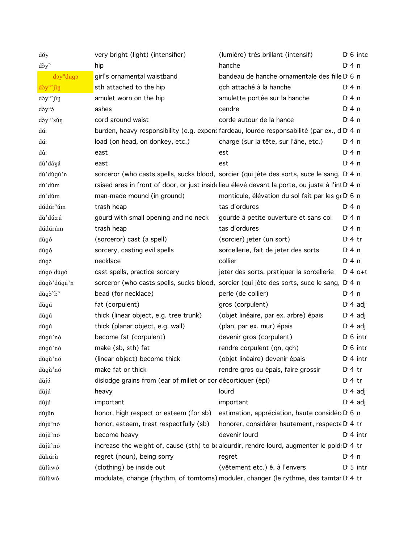| dǒy                                     | very bright (light) (intensifier)                            | (lumière) très brillant (intensif)                                                                         | $D \cdot 6$ inte |
|-----------------------------------------|--------------------------------------------------------------|------------------------------------------------------------------------------------------------------------|------------------|
| $d\check{\sigma}y^n$                    | hip                                                          | hanche                                                                                                     | $Dt$ 4 n         |
| doy <sup>n</sup> dugo                   | girl's ornamental waistband                                  | bandeau de hanche ornamentale des fille D 6 n                                                              |                  |
| dòy <sup>n</sup> 'jin                   | sth attached to the hip                                      | qch attaché à la hanche                                                                                    | $Di$ 4 n         |
| dòy <sup>n</sup> 'jíŋ                   | amulet worn on the hip                                       | amulette portée sur la hanche                                                                              | $Di$ 4 n         |
| $\mathrm{d}\mathfrak{d}y^n\mathfrak{d}$ | ashes                                                        | cendre                                                                                                     | $Di$ 4 n         |
| dòy <sup>n</sup> 'sǔŋ                   | cord around waist                                            | corde autour de la hance                                                                                   | $Di$ 4 n         |
| dú:                                     |                                                              | burden, heavy responsibility (e.g. expens fardeau, lourde responsabilité (par ex., d D 4 n                 |                  |
| dú:                                     | load (on head, on donkey, etc.)                              | charge (sur la tête, sur l'âne, etc.)                                                                      | $Di$ 4 n         |
| dû:                                     | east                                                         | est                                                                                                        | $Di$ 4 n         |
| dù' dáyá                                | east                                                         | est                                                                                                        | $Di$ 4 n         |
| dù' dùgú'n                              |                                                              | sorceror (who casts spells, sucks blood, sorcier (qui jète des sorts, suce le sang, D 4 n                  |                  |
| dù'dŭm                                  |                                                              | raised area in front of door, or just insidelieu élevé devant la porte, ou juste à l'int D <sub>14</sub> n |                  |
| dù'dŭm                                  | man-made mound (in ground)                                   | monticule, élévation du sol fait par les geD 6 n                                                           |                  |
| dúdúr <sup>n</sup> úm                   | trash heap                                                   | tas d'ordures                                                                                              | $Di$ 4 n         |
| dù'dú:rú                                | gourd with small opening and no neck                         | gourde à petite ouverture et sans col                                                                      | $Di$ 4 n         |
| dúdúrúm                                 | trash heap                                                   | tas d'ordures                                                                                              | $Di$ 4 n         |
| dùgó                                    | (sorceror) cast (a spell)                                    | (sorcier) jeter (un sort)                                                                                  | $D:4$ tr         |
| dúgó                                    | sorcery, casting evil spells                                 | sorcellerie, fait de jeter des sorts                                                                       | $Di$ 4 n         |
| dúgó                                    | necklace                                                     | collier                                                                                                    | $Di$ 4 n         |
| dúgó dùgó                               | cast spells, practice sorcery                                | jeter des sorts, pratiquer la sorcellerie                                                                  | $D:4$ o+t        |
| dùgò' dúgú'n                            |                                                              | sorceror (who casts spells, sucks blood, sorcier (qui jète des sorts, suce le sang, D <sub>'4</sub> n      |                  |
| dùgò'i: <sup>n</sup>                    | bead (for necklace)                                          | perle (de collier)                                                                                         | $Di$ 4 n         |
| dùgú                                    | fat (corpulent)                                              | gros (corpulent)                                                                                           | $D \cdot 4$ adj  |
| dùgú                                    | thick (linear object, e.g. tree trunk)                       | (objet linéaire, par ex. arbre) épais                                                                      | $D: 4$ adj       |
| dùgú                                    | thick (planar object, e.g. wall)                             | (plan, par ex. mur) épais                                                                                  | $D \cdot 4$ adj  |
| dùgù'nó                                 | become fat (corpulent)                                       | devenir gros (corpulent)                                                                                   | $D \cdot 6$ intr |
| dùgù'nó                                 | make (sb, sth) fat                                           | rendre corpulent (qn, qch)                                                                                 | $D0$ intr        |
| dùgù'nó                                 | (linear object) become thick                                 | (objet linéaire) devenir épais                                                                             | $Di$ 4 intr      |
| dùgù'nó                                 | make fat or thick                                            | rendre gros ou épais, faire grossir                                                                        | $Di4$ tr         |
| dùjó                                    | dislodge grains from (ear of millet or cor décortiquer (épi) |                                                                                                            | $Dt$ 4 tr        |
| dùjú                                    | heavy                                                        | lourd                                                                                                      | $D \cdot 4$ adj  |
| dùjú                                    | important                                                    | important                                                                                                  | $D: 4$ adj       |
| dùjǔn                                   | honor, high respect or esteem (for sb)                       | estimation, appréciation, haute considéra D 6 n                                                            |                  |
| dùjù'nó                                 | honor, esteem, treat respectfully (sb)                       | honorer, considérer hautement, respecte D <sub>1</sub> 4 tr                                                |                  |
| dùjù'nó                                 | become heavy                                                 | devenir lourd                                                                                              | $Di$ 4 intr      |
| dùjù'nó                                 |                                                              | increase the weight of, cause (sth) to be alourdir, rendre lourd, augmenter le poid: D' 4 tr               |                  |
| dùkúrù                                  | regret (noun), being sorry                                   | regret                                                                                                     | $Di$ 4 n         |
| dùlùwó                                  | (clothing) be inside out                                     | (vêtement etc.) ê. à l'envers                                                                              | $D \cdot 5$ intr |
| dùlùwó                                  |                                                              | modulate, change (rhythm, of tomtoms) moduler, changer (le rythme, des tamtar D'4 tr                       |                  |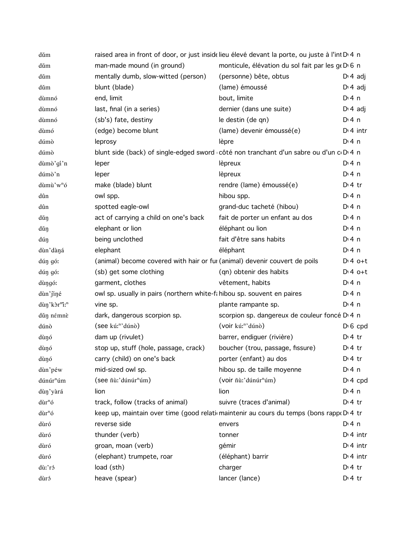| dŭm                                  | raised area in front of door, or just insidelieu élevé devant la porte, ou juste à l'int D <sub>14</sub> n |                                                           |                      |
|--------------------------------------|------------------------------------------------------------------------------------------------------------|-----------------------------------------------------------|----------------------|
| dŭm                                  | man-made mound (in ground)                                                                                 | monticule, élévation du sol fait par les geDG n           |                      |
| dŭm                                  | mentally dumb, slow-witted (person)                                                                        | (personne) bête, obtus                                    | $D \nmid$ adj        |
| dŭm                                  | blunt (blade)                                                                                              | (lame) émoussé                                            | $Di 4$ adj           |
| dùmnó                                | end, limit                                                                                                 | bout, limite                                              | $Di$ 4 n             |
| dùmnó                                | last, final (in a series)                                                                                  | dernier (dans une suite)                                  | $D \nmid 4$ adj      |
| dùmnó                                | (sb's) fate, destiny                                                                                       | le destin (de qn)                                         | $Di$ 4 n             |
| dùmó                                 | (edge) become blunt                                                                                        | (lame) devenir émoussé(e)                                 | $D:4$ intr           |
| dúmò                                 | leprosy                                                                                                    | lèpre                                                     | $Di$ 4 n             |
| dúmò                                 | blunt side (back) of single-edged sword côté non tranchant d'un sabre ou d'un cD 4 n                       |                                                           |                      |
| dùmò'gí'n                            | leper                                                                                                      | lèpreux                                                   | $Di$ 4 n             |
| dúmò'n                               | leper                                                                                                      | lèpreux                                                   | $Di$ 4 n             |
| dùmù'w <sup>n</sup> ó                | make (blade) blunt                                                                                         | rendre (lame) émoussé(e)                                  | $Di4$ tr             |
| dûn                                  | owl spp.                                                                                                   | hibou spp.                                                | $Di$ 4 n             |
| dûn                                  | spotted eagle-owl                                                                                          | grand-duc tacheté (hibou)                                 | $Di$ 4 n             |
| dùn                                  | act of carrying a child on one's back                                                                      | fait de porter un enfant au dos                           | $Di$ 4 n             |
| dùŋ                                  | elephant or lion                                                                                           | éléphant ou lion                                          | $Di$ 4 n             |
| dúŋ                                  | being unclothed                                                                                            | fait d'être sans habits                                   | $Di$ 4 n             |
| dùn'dàná                             | elephant                                                                                                   | éléphant                                                  | $Di$ 4 n             |
| dún gó:                              | (animal) become covered with hair or fur (animal) devenir couvert de poils                                 |                                                           | $D:4$ o+t            |
| dún gó:                              | (sb) get some clothing                                                                                     | (qn) obtenir des habits                                   | $D:4$ o+t            |
| dùngó:                               | garment, clothes                                                                                           | vêtement, habits                                          | $Di$ 4 n             |
| dùn'jiné                             | owl sp. usually in pairs (northern white-fa hibou sp. souvent en paires                                    |                                                           | $Di$ 4 n             |
| dùn'kòr <sup>m</sup> i: <sup>n</sup> | vine sp.                                                                                                   | plante rampante sp.                                       | $Di$ 4 n             |
| dùn némnè                            | dark, dangerous scorpion sp.                                                                               | scorpion sp. dangereux de couleur foncé D <sub>14</sub> n |                      |
| dúnò                                 | (see kú: <sup>n</sup> 'dúnò)                                                                               | (voir kú: <sup>n</sup> 'dúnò)                             | $D \nvert 6$ cpd     |
| dùŋó                                 | dam up (rivulet)                                                                                           | barrer, endiguer (rivière)                                | $D:4$ tr             |
| dùŋó                                 | stop up, stuff (hole, passage, crack)                                                                      | boucher (trou, passage, fissure)                          | $Di4$ tr             |
| dùnó                                 | carry (child) on one's back                                                                                | porter (enfant) au dos                                    | $Di 4$ tr            |
| dùn'péw                              | mid-sized owl sp.                                                                                          | hibou sp. de taille moyenne                               | $Di$ 4 n             |
| dúnúr <sup>n</sup> úm                | (see ñù:'dúnúr <sup>n</sup> úm)                                                                            | (voir ñù:'dúnúr <sup>n</sup> úm)                          | D <sup>i</sup> 4 cpd |
| dùn'yàrá                             | lion                                                                                                       | lion                                                      | $Di$ 4 n             |
| dùr <sup>n</sup> ó                   | track, follow (tracks of animal)                                                                           | suivre (traces d'animal)                                  | $Di4$ tr             |
| dùr <sup>n</sup> ó                   | keep up, maintain over time (good relationaintenir au cours du temps (bons rappo D 4 tr                    |                                                           |                      |
| dùró                                 | reverse side                                                                                               | envers                                                    | $Di$ 4 n             |
| dùró                                 | thunder (verb)                                                                                             | tonner                                                    | $Dt$ 4 intr          |
| dùró                                 | groan, moan (verb)                                                                                         | gémir                                                     | $Di$ 4 intr          |
| dùró                                 | (elephant) trumpete, roar                                                                                  | (éléphant) barrir                                         | $Di$ 4 intr          |
| dù:'ró                               | load (sth)                                                                                                 | charger                                                   | $Di4$ tr             |
| dùró                                 | heave (spear)                                                                                              | lancer (lance)                                            | $Di 4$ tr            |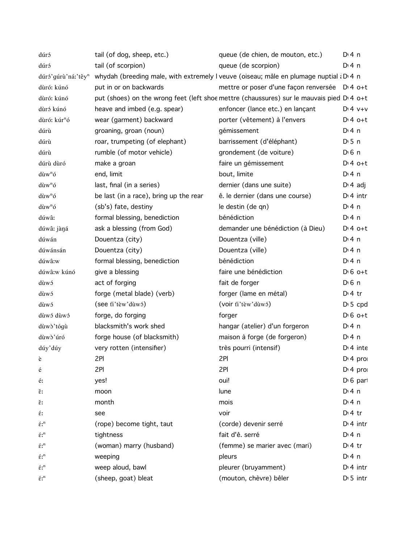| dúró                                          | tail (of dog, sheep, etc.)             | queue (de chien, de mouton, etc.)                                                                    | $Di$ 4 n              |
|-----------------------------------------------|----------------------------------------|------------------------------------------------------------------------------------------------------|-----------------------|
| dúró                                          | tail (of scorpion)                     | queue (de scorpion)                                                                                  | $Dt$ 4 n              |
| dúró'gúrù'ná:'têy <sup>n</sup>                |                                        | whydah (breeding male, with extremely I veuve (oiseau; mâle en plumage nuptial $i$ D'4 n             |                       |
| dùró: kúnó                                    | put in or on backwards                 | mettre or poser d'une façon renversée D <sub>1</sub> 4 o+t                                           |                       |
| dùró: kúnó                                    |                                        | put (shoes) on the wrong feet (left shoe mettre (chaussures) sur le mauvais pied D <sub>14</sub> o+t |                       |
| dùró kúnó                                     | heave and imbed (e.g. spear)           | enfoncer (lance etc.) en lançant                                                                     | $D:4$ $V+V$           |
| dùró: kúr <sup>n</sup> ó                      | wear (garment) backward                | porter (vêtement) à l'envers                                                                         | $D:4$ o+t             |
| dúrù                                          | groaning, groan (noun)                 | gémissement                                                                                          | $Di$ 4 n              |
| dúrù                                          | roar, trumpeting (of elephant)         | barrissement (d'éléphant)                                                                            | $D \cdot 5$ n         |
| dúrù                                          | rumble (of motor vehicle)              | grondement (de voiture)                                                                              | $D \n6$ n             |
| dúrù dùró                                     | make a groan                           | faire un gémissement                                                                                 | $Dt 4 0+t$            |
| $\mathrm{d} \tilde{u} w^n$ ó                  | end, limit                             | bout, limite                                                                                         | $Di$ 4 n              |
| $\mathrm{div}^{\mathrm{n}}\mathrm{\acute{o}}$ | last, final (in a series)              | dernier (dans une suite)                                                                             | $D \cdot 4$ adj       |
| dùw <sup>n</sup> ó                            | be last (in a race), bring up the rear | ê. le dernier (dans une course)                                                                      | $Di$ 4 intr           |
| dùw <sup>n</sup> ó                            | (sb's) fate, destiny                   | le destin (de qn)                                                                                    | $Di$ 4 n              |
| dúwâ:                                         | formal blessing, benediction           | bénédiction                                                                                          | $Di$ 4 n              |
| dúwâ: jàŋá                                    | ask a blessing (from God)              | demander une bénédiction (à Dieu)                                                                    | $Dt 4 0+t$            |
| dúwán                                         | Douentza (city)                        | Douentza (ville)                                                                                     | $Di$ 4 n              |
| dúwánsán                                      | Douentza (city)                        | Douentza (ville)                                                                                     | $Di$ 4 n              |
| dúwâ:w                                        | formal blessing, benediction           | bénédiction                                                                                          | $Di$ 4 n              |
| dúwâ:w kúnó                                   | give a blessing                        | faire une bénédiction                                                                                | $D \cdot 6$ o+t       |
| dùwó                                          | act of forging                         | fait de forger                                                                                       | $D \nvert 6 \nvert n$ |
| dùwó                                          | forge (metal blade) (verb)             | forger (lame en métal)                                                                               | $Di4$ tr              |
| dùwó                                          | (see fi'tew'duwó)                      | (voir ti'tèw'dùwó)                                                                                   | $D \cdot 5$ cpd       |
| dùwó dùwó                                     | forge, do forging                      | forger                                                                                               | $D \cdot 6$ o+t       |
| dùwò'tógù                                     | blacksmith's work shed                 | hangar (atelier) d'un forgeron                                                                       | $Di$ 4 n              |
| dùwò'úró                                      | forge house (of blacksmith)            | maison à forge (de forgeron)                                                                         | $Di$ 4 n              |
| dúy'dúy                                       | very rotten (intensifier)              | très pourri (intensif)                                                                               | $Dt$ 4 inte           |
| è                                             | 2PI                                    | 2PI                                                                                                  | D <sub>1</sub> 4 pro  |
| é                                             | 2PI                                    | 2PI                                                                                                  | D <sub>1</sub> 4 pro  |
| é:                                            | yes!                                   | oui!                                                                                                 | $D \nvert 6$ part     |
| Ě.                                            | moon                                   | lune                                                                                                 | $Di$ 4 n              |
| ě:                                            | month                                  | mois                                                                                                 | $Di$ 4 n              |
| έ:                                            | see                                    | voir                                                                                                 | $Dt$ 4 tr             |
| $\acute{\epsilon}$ : <sup>n</sup>             | (rope) become tight, taut              | (corde) devenir serré                                                                                | $Di$ 4 intr           |
| $\acute{\epsilon}$ : <sup>n</sup>             | tightness                              | fait d'ê. serré                                                                                      | $Di$ 4 n              |
| $\acute{\epsilon}$ : <sup>n</sup>             | (woman) marry (husband)                | (femme) se marier avec (mari)                                                                        | $Dt$ 4 tr             |
| $\acute{\epsilon}$ : <sup>n</sup>             | weeping                                | pleurs                                                                                               | $Di$ 4 n              |
| $\acute{\epsilon}$ : <sup>n</sup>             | weep aloud, bawl                       | pleurer (bruyamment)                                                                                 | $Di$ 4 intr           |
| $\acute{\epsilon}\mathbf{r}^{\mathrm{n}}$     | (sheep, goat) bleat                    | (mouton, chèvre) bêler                                                                               | $D \cdot 5$ intr      |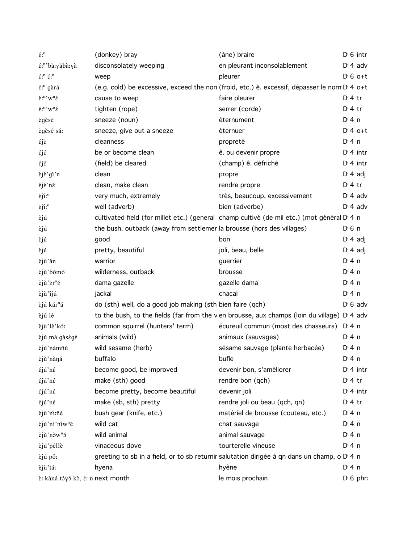| $\acute{\epsilon}\mathrm{r}^{\mathrm{n}}$                          | (donkey) bray                                                         | (âne) braire                                                                                              | $D16$ intr            |
|--------------------------------------------------------------------|-----------------------------------------------------------------------|-----------------------------------------------------------------------------------------------------------|-----------------------|
| έ: <sup>n</sup> 'bà:yàbà:yà                                        | disconsolately weeping                                                | en pleurant inconsolablement                                                                              | $D \cdot 4$ adv       |
| $\acute{\epsilon}$ ;" $\acute{\epsilon}$ ;"                        | weep                                                                  | pleurer                                                                                                   | $D \nvert 6$ o+t      |
| έ: <sup>n</sup> gàrá                                               |                                                                       | (e.g. cold) be excessive, exceed the norr (froid, etc.) ê. excessif, dépasser le norn D <sub>14 o+t</sub> |                       |
| $\tilde{\epsilon}$ <sup>n</sup> 'w <sup>n</sup> $\tilde{\epsilon}$ | cause to weep                                                         | faire pleurer                                                                                             | $Di4$ tr              |
| $\acute{\epsilon} \mathbf{r}^n \mathbf{w}^n \acute{\epsilon}$      | tighten (rope)                                                        | serrer (corde)                                                                                            | $Di4$ tr              |
| ègèsé                                                              | sneeze (noun)                                                         | éternument                                                                                                | $Di$ 4 n              |
| ègèsé sá:                                                          | sneeze, give out a sneeze                                             | éternuer                                                                                                  | $Dt 4 0+t$            |
| έjε                                                                | cleanness                                                             | propreté                                                                                                  | $Di$ 4 n              |
| έjέ                                                                | be or become clean                                                    | ê. ou devenir propre                                                                                      | $Di$ 4 intr           |
| έjέ                                                                | (field) be cleared                                                    | (champ) ê. défriché                                                                                       | $D:4$ intr            |
| εjε'gí'n                                                           | clean                                                                 | propre                                                                                                    | $D \cdot 4$ adj       |
| $\epsilon$ j $\epsilon$ 'n $\epsilon$                              | clean, make clean                                                     | rendre propre                                                                                             | $Di4$ tr              |
| $\tilde{\epsilon}$ jí:"                                            | very much, extremely                                                  | très, beaucoup, excessivement                                                                             | $D \cdot 4$ adv       |
| $\tilde{\epsilon}$ jí: <sup>n</sup>                                | well (adverb)                                                         | bien (adverbe)                                                                                            | $Di$ 4 adv            |
| èjú                                                                |                                                                       | cultivated field (for millet etc.) (general champ cultivé (de mil etc.) (mot général D 4 n                |                       |
| èjú                                                                | the bush, outback (away from settlemer la brousse (hors des villages) |                                                                                                           | $D \nvert 6 \nvert n$ |
| εjú                                                                | good                                                                  | bon                                                                                                       | $D \cdot 4$ adj       |
| εjú                                                                | pretty, beautiful                                                     | joli, beau, belle                                                                                         | $D \cdot 4$ adj       |
| èjù'ǎn                                                             | warrior                                                               | guerrier                                                                                                  | $Di$ 4 n              |
| èjù'bómó                                                           | wilderness, outback                                                   | brousse                                                                                                   | $Di$ 4 n              |
| $e^{\mathrm{i}\hat{\mu} \cdot \hat{\epsilon}r^n \hat{\epsilon}}$   | dama gazelle                                                          | gazelle dama                                                                                              | $Di$ 4 n              |
| èjù ijú                                                            | jackal                                                                | chacal                                                                                                    | $Di$ 4 n              |
| èjú kár <sup>n</sup> á                                             | do (sth) well, do a good job making (sth bien faire (qch)             |                                                                                                           | $D \cdot 6$ adv       |
| èjú lé                                                             |                                                                       | to the bush, to the fields (far from the v en brousse, aux champs (loin du village) D'4 adv               |                       |
| èjù'lè'kó:                                                         | common squirrel (hunters' term)                                       | écureuil commun (most des chasseurs)                                                                      | $Di$ 4 n              |
| èjú mà gàsègé                                                      | animals (wild)                                                        | animaux (sauvages)                                                                                        | $Di$ 4 n              |
| èjú'námñù                                                          | wild sesame (herb)                                                    | sésame sauvage (plante herbacée)                                                                          | D: 4 n                |
| èjù'nàná                                                           | buffalo                                                               | bufle                                                                                                     | $Di$ 4 n              |
| έjú'nέ                                                             | become good, be improved                                              | devenir bon, s'améliorer                                                                                  | $D:4$ intr            |
| έjú'nέ                                                             | make (sth) good                                                       | rendre bon (qch)                                                                                          | $Di4$ tr              |
| έjú'nέ                                                             | become pretty, become beautiful                                       | devenir joli                                                                                              | $Di$ 4 intr           |
| έjú'nέ                                                             | make (sb, sth) pretty                                                 | rendre joli ou beau (qch, qn)                                                                             | $Di4$ tr              |
| èjù'ni:ñé                                                          | bush gear (knife, etc.)                                               | matériel de brousse (couteau, etc.)                                                                       | $Di$ 4 n              |
| èjú'ní'níw <sup>n</sup> è                                          | wild cat                                                              | chat sauvage                                                                                              | $Di$ 4 n              |
| èjù'nòw <sup>n</sup> ó                                             | wild animal                                                           | animal sauvage                                                                                            | $Di$ 4 n              |
| èjú'péllè                                                          | vinaceous dove                                                        | tourterelle vineuse                                                                                       | $Dt$ 4 n              |
| èjú pǒ:                                                            |                                                                       | greeting to sb in a field, or to sb returnir salutation dirigée à qn dans un champ, o D 4 n               |                       |
| èjù'tá:                                                            | hyena                                                                 | hyène                                                                                                     | $Di$ 4 n              |
| È: kàná tóγó kò, è: n next month                                   |                                                                       | le mois prochain                                                                                          | $D \nvert 6$ phr      |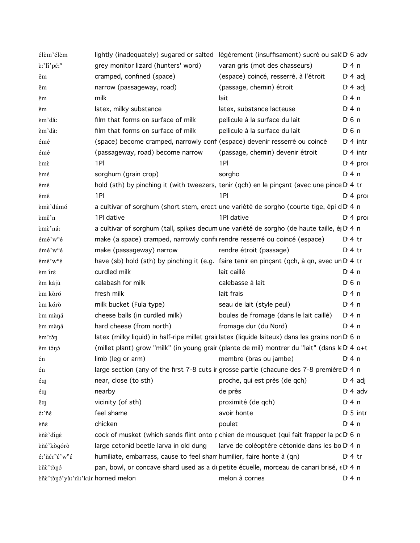| élèm'élèm                                 |                                                                            | lightly (inadequately) sugared or salted légèrement (insuffisament) sucré ou salé D <sub>1</sub> 6 adv       |                       |
|-------------------------------------------|----------------------------------------------------------------------------|--------------------------------------------------------------------------------------------------------------|-----------------------|
| ε:'li'pέ: <sup>n</sup>                    | grey monitor lizard (hunters' word)                                        | varan gris (mot des chasseurs)                                                                               | $Dt$ 4 n              |
| ěm                                        | cramped, confined (space)                                                  | (espace) coincé, resserré, à l'étroit                                                                        | $D \n4$ adj           |
| ěm                                        | narrow (passageway, road)                                                  | (passage, chemin) étroit                                                                                     | $D \n4$ adj           |
| êm                                        | milk                                                                       | lait                                                                                                         | $Di$ 4 n              |
| êm                                        | latex, milky substance                                                     | latex, substance lacteuse                                                                                    | $Di$ 4 n              |
| èm'dǎ:                                    | film that forms on surface of milk                                         | pellicule à la surface du lait                                                                               | $D \n6$ n             |
| êm'dâ:                                    | film that forms on surface of milk                                         | pellicule à la surface du lait                                                                               | $D \nvert 6 \nvert n$ |
| émé                                       | (space) become cramped, narrowly confi (espace) devenir resserré ou coincé |                                                                                                              | $Dt$ 4 intr           |
| émé                                       | (passageway, road) become narrow                                           | (passage, chemin) devenir étroit                                                                             | $Di$ 4 intr           |
| εmε                                       | 1PI                                                                        | 1PI                                                                                                          | $Di$ 4 pro            |
| εmέ                                       | sorghum (grain crop)                                                       | sorgho                                                                                                       | $Di$ 4 n              |
| έmέ                                       |                                                                            | hold (sth) by pinching it (with tweezers, tenir (qch) en le pinçant (avec une pince D'4 tr                   |                       |
| έmέ                                       | 1PI                                                                        | 1PI                                                                                                          | $Di$ 4 pro            |
| èmè'dúmó                                  |                                                                            | a cultivar of sorghum (short stem, erect une variété de sorgho (courte tige, épi d D 4 n                     |                       |
| Èmě'n                                     | 1Pl dative                                                                 | 1Pl dative                                                                                                   | $Di$ 4 pro            |
| èmè'ná:                                   |                                                                            | a cultivar of sorghum (tall, spikes decum une variété de sorgho (de haute taille, é D 4 n                    |                       |
| émé'w <sup>n</sup> é                      | make (a space) cramped, narrowly confir rendre resserré ou coincé (espace) |                                                                                                              | $D:4$ tr              |
| émé'w <sup>n</sup> é                      | make (passageway) narrow                                                   | rendre étroit (passage)                                                                                      | $D:4$ tr              |
| έmέ'w <sup>n</sup> έ                      |                                                                            | have (sb) hold (sth) by pinching it (e.g. ifaire tenir en pinçant (qch, à qn, avec un D'4 tr                 |                       |
| Èm írέ                                    | curdled milk                                                               | lait caillé                                                                                                  | $Di$ 4 n              |
| êm kájù                                   | calabash for milk                                                          | calebasse à lait                                                                                             | $D \n6$ n             |
| èm kòró                                   | fresh milk                                                                 | lait frais                                                                                                   | $Di$ 4 n              |
| êm kórò                                   | milk bucket (Fula type)                                                    | seau de lait (style peul)                                                                                    | $Di$ 4 n              |
| èm màná                                   | cheese balls (in curdled milk)                                             | boules de fromage (dans le lait caillé)                                                                      | $Di$ 4 n              |
| èm màná                                   | hard cheese (from north)                                                   | fromage dur (du Nord)                                                                                        | $Di$ 4 n              |
| $\text{em}'$ těn                          |                                                                            | latex (milky liquid) in half-ripe millet grair latex (liquide laiteux) dans les grains non D <sub>16</sub> n |                       |
| êm tónó                                   |                                                                            | (millet plant) grow "milk" (in young grair (plante de mil) montrer du "lait" (dans le D 4 o+t                |                       |
| én                                        | limb (leg or arm) membre (bras ou jambe)                                   |                                                                                                              | $Dt$ n                |
| én                                        |                                                                            | large section (any of the first 7-8 cuts ir grosse partie (chacune des 7-8 première D'4 n                    |                       |
| é:ŋ                                       | near, close (to sth)                                                       | proche, qui est près (de qch)                                                                                | $D \cdot 4$ adj       |
| é:ŋ                                       | nearby                                                                     | de près                                                                                                      | $D \cdot 4$ adv       |
| ê:ŋ                                       | vicinity (of sth)                                                          | proximité (de qch)                                                                                           | $Di$ 4 n              |
| $\acute{\text{e}}$ :'ñ $\acute{\text{e}}$ | feel shame                                                                 | avoir honte                                                                                                  | $D \cdot 5$ intr      |
| èñέ                                       | chicken                                                                    | poulet                                                                                                       | $Di$ 4 n              |
| èñè'dígé                                  |                                                                            | cock of musket (which sends flint onto p chien de mousquet (qui fait frapper la pc D 6 n                     |                       |
| èñé'kògórò                                | large cetonid beetle larva in old dung                                     | larve de coléoptère cétonide dans les bo D <sub>14</sub> n                                                   |                       |
| é:'ñér <sup>n</sup> é'w <sup>n</sup> é    | humiliate, embarrass, cause to feel sham humilier, faire honte à (qn)      |                                                                                                              | $D \cdot 4$ tr        |
| èñè'tònó                                  |                                                                            | pan, bowl, or concave shard used as a dr petite écuelle, morceau de canari brisé, « D' 4 n                   |                       |
| èñè'tònó'yà:'ni:'kún horned melon         |                                                                            | melon à cornes                                                                                               | $Di$ 4 n              |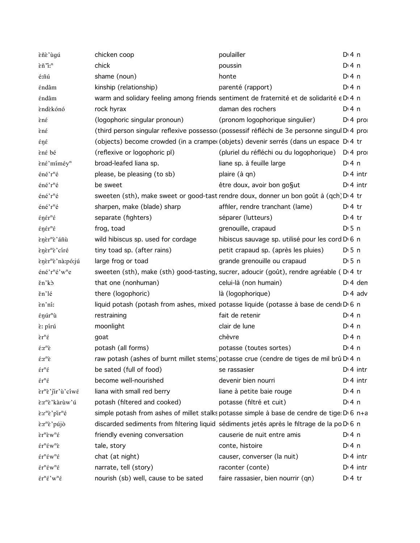| èñè'ùgú                                                                              | chicken coop                       | poulailler                                                                                             | D:4n              |
|--------------------------------------------------------------------------------------|------------------------------------|--------------------------------------------------------------------------------------------------------|-------------------|
| εñ <sup>"</sup> i: <sup>n</sup>                                                      | chick                              | poussin                                                                                                | D <sup>i</sup> 4n |
| é:ñú                                                                                 | shame (noun)                       | honte                                                                                                  | D <sup>i</sup> 4n |
| έndâm                                                                                | kinship (relationship)             | parenté (rapport)                                                                                      | $Di$ 4 n          |
| έndâm                                                                                |                                    | warm and solidary feeling among friends sentiment de fraternité et de solidarité e D 4 n               |                   |
| èndèkónó                                                                             | rock hyrax                         | daman des rochers                                                                                      | D:4n              |
| ènέ                                                                                  | (logophoric singular pronoun)      | (pronom logophorique singulier)                                                                        | $D'$ 4 pro        |
| εnέ                                                                                  |                                    | (third person singular reflexive possessoi (possessif réfléchi de 3e personne singul D' 4 pro          |                   |
| έŋέ                                                                                  |                                    | (objects) become crowded (in a cramper (objets) devenir serrés (dans un espace D'4 tr                  |                   |
| èné bé                                                                               | (reflexive or logophoric pl)       | (pluriel du réfléchi ou du logophorique) D <sub>'</sub> 4 pro                                          |                   |
| εnέ'miméy <sup>n</sup>                                                               | broad-leafed liana sp.             | liane sp. à feuille large                                                                              | D <sup>i</sup> 4n |
| éné'r <sup>n</sup> é                                                                 | please, be pleasing (to sb)        | plaire (à qn)                                                                                          | $Dt$ 4 intr       |
| éné'r <sup>n</sup> é                                                                 | be sweet                           | être doux, avoir bon go§ut                                                                             | $Di$ 4 intr       |
| éné'r <sup>n</sup> é                                                                 |                                    | sweeten (sth), make sweet or good-tast rendre doux, donner un bon goût à (qch) D'4 tr                  |                   |
| éné'r <sup>n</sup> é                                                                 | sharpen, make (blade) sharp        | affiler, rendre tranchant (lame)                                                                       | $Di4$ tr          |
| $\epsilon$ nér <sup>n</sup> é                                                        | separate (fighters)                | séparer (lutteurs)                                                                                     | $Di4$ tr          |
| $\epsilon$ ŋ $\epsilon$ r <sup>n</sup> $\epsilon$                                    | frog, toad                         | grenouille, crapaud                                                                                    | $D \cdot 5$ n     |
| ènèr <sup>n</sup> è'áñù                                                              | wild hibiscus sp. used for cordage | hibiscus sauvage sp. utilisé pour les cord D 6 n                                                       |                   |
| εηετ <sup>η</sup> ε ciré                                                             | tiny toad sp. (after rains)        | petit crapaud sp. (après les pluies)                                                                   | $D \cdot 5$ n     |
| εηετ <sup>η</sup> ε' na:pó:jú                                                        | large frog or toad                 | grande grenouille ou crapaud                                                                           | $D \cdot 5$ n     |
| éné'r <sup>n</sup> é'w <sup>n</sup> e                                                |                                    | sweeten (sth), make (sth) good-tasting, sucrer, adoucir (goût), rendre agréable (D.4 tr                |                   |
| ěn'kò                                                                                | that one (nonhuman)                | celui-là (non humain)                                                                                  | $D \cdot 4$ den   |
| ěn'lé                                                                                | there (logophoric)                 | là (logophorique)                                                                                      | $D \cdot 4$ adv   |
| εn'ni:                                                                               |                                    | liquid potash (potash from ashes, mixed potasse liquide (potasse à base de cendi D 6 n                 |                   |
| $\epsilon$ ŋúr <sup>n</sup> ù                                                        | restraining                        | fait de retenir                                                                                        | D:4n              |
| È: pírú                                                                              | moonlight                          | clair de lune                                                                                          | D <sup>i</sup> 4n |
| $\grave{\epsilon}r^n\acute{\epsilon}$                                                | goat                               | chèvre                                                                                                 | D:4n              |
| $\hat{\epsilon}$ : $r^n\grave{\epsilon}$                                             | potash (all forms)                 | potasse (toutes sortes)                                                                                | D <sup>i</sup> 4n |
| $\hat{\epsilon}$ : $r^n\grave{\epsilon}$                                             |                                    | raw potash (ashes of burnt millet stems) potasse crue (cendre de tiges de mil brû D'4 n                |                   |
| $\mathrm{\acute{e}r}^{\mathrm{n}}\mathrm{\acute{e}}$                                 | be sated (full of food)            | se rassasier                                                                                           | $D \cdot 4$ intr  |
| $\acute{\epsilon}r^n\acute{\epsilon}$                                                | become well-nourished              | devenir bien nourri                                                                                    | $Dt$ 4 intr       |
| $\tilde{\epsilon}$ r <sup>n</sup> $\tilde{\epsilon}$ 'jir'ù'ciwé                     | liana with small red berry         | liane à petite baie rouge                                                                              | $Di$ 4 n          |
| È:r <sup>n</sup> ὲ'kàrùw'ú                                                           | potash (filtered and cooked)       | potasse (filtré et cuit)                                                                               | $Dt$ 4 n          |
| $\epsilon$ : $r^n\epsilon$ 'pir <sup>n</sup> é                                       |                                    | simple potash from ashes of millet stalks potasse simple à base de cendre de tige D 6 n+a              |                   |
| È:r <sup>n</sup> ὲ' pújò                                                             |                                    | discarded sediments from filtering liquid sédiments jetés après le filtrage de la po D <sub>16</sub> n |                   |
| $\epsilon r^n \epsilon w^n \epsilon$                                                 | friendly evening conversation      | causerie de nuit entre amis                                                                            | D:4n              |
| $\mathbf{\acute{e}r}^n\mathbf{\acute{e}w}^n\mathbf{\grave{e}}$                       | tale, story                        | conte, histoire                                                                                        | $Di$ 4 n          |
| $\mathrm{\acute{e}r}^n\mathrm{\acute{e}w}^n\mathrm{\acute{e}}$                       | chat (at night)                    | causer, converser (la nuit)                                                                            | $Dt$ 4 intr       |
| $\mathrm{\acute{e}r}^{\mathrm{n}}\mathrm{\acute{e}w}^{\mathrm{n}}\mathrm{\acute{e}}$ | narrate, tell (story)              | raconter (conte)                                                                                       | $D \cdot 4$ intr  |
|                                                                                      |                                    |                                                                                                        |                   |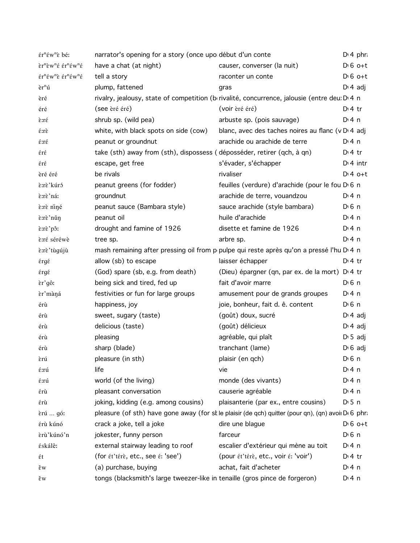| $\mathbf{\hat{\varepsilon}}$ r <sup>n</sup> $\mathbf{\hat{\varepsilon}}$ w <sup>n</sup> $\mathbf{\hat{\varepsilon}}$ bé: | narrator's opening for a story (once upo début d'un conte                   |                                                                                                     |                       | D: 4 phr            |
|--------------------------------------------------------------------------------------------------------------------------|-----------------------------------------------------------------------------|-----------------------------------------------------------------------------------------------------|-----------------------|---------------------|
| ετ <sup>n</sup> εw <sup>n</sup> έ έτ <sup>n</sup> έw <sup>n</sup> έ                                                      | have a chat (at night)                                                      | causer, converser (la nuit)                                                                         |                       | $D \nvert 6$ o+t    |
| $\hat{\epsilon}r^n\hat{\epsilon}w^n\hat{\epsilon}$ $\hat{\epsilon}r^n\hat{\epsilon}w^n\hat{\epsilon}$                    | tell a story                                                                | raconter un conte                                                                                   |                       | $D \n6$ o+t         |
| $\mathrm{e} \mathrm{r}^{\mathrm{n}}$ ú                                                                                   | plump, fattened                                                             | gras                                                                                                |                       | $D \n4$ adj         |
| èré                                                                                                                      |                                                                             | rivalry, jealousy, state of competition (brivalité, concurrence, jalousie (entre deu: D'4 n         |                       |                     |
| éré                                                                                                                      | (see èré éré)                                                               | (voir èré éré)                                                                                      | $Dt$ 4 tr             |                     |
| ε:rέ                                                                                                                     | shrub sp. (wild pea)                                                        | arbuste sp. (pois sauvage)                                                                          | $Di$ 4 n              |                     |
| $\hat{\epsilon}$ :rè                                                                                                     | white, with black spots on side (cow)                                       | blanc, avec des taches noires au flanc (v D 4 adj                                                   |                       |                     |
| έ:rέ                                                                                                                     | peanut or groundnut                                                         | arachide ou arachide de terre                                                                       | $Di$ 4 n              |                     |
| έrέ                                                                                                                      | take (sth) away from (sth), dispossess (déposséder, retirer (qch, à qn)     |                                                                                                     | $Di4$ tr              |                     |
| έrέ                                                                                                                      | escape, get free                                                            | s'évader, s'échapper                                                                                |                       | $Di$ 4 intr         |
| èré éré                                                                                                                  | be rivals                                                                   | rivaliser                                                                                           |                       | $Dt 4 0+t$          |
| è:rè'kúró                                                                                                                | peanut greens (for fodder)                                                  | feuilles (verdure) d'arachide (pour le fou D 6 n                                                    |                       |                     |
| è:rè'ná:                                                                                                                 | groundnut                                                                   | arachide de terre, vouandzou                                                                        | $Di$ 4 n              |                     |
| è:rè niné                                                                                                                | peanut sauce (Bambara style)                                                | sauce arachide (style bambara)                                                                      | $D \n6$ n             |                     |
| ειτε' nǔ η                                                                                                               | peanut oil                                                                  | huile d'arachide                                                                                    | $Di$ 4 n              |                     |
| rê pô:                                                                                                                   | drought and famine of 1926                                                  | disette et famine de 1926                                                                           | $Di$ 4 n              |                     |
| è:ré séréwè                                                                                                              | tree sp.                                                                    | arbre sp.                                                                                           | $Di$ 4 n              |                     |
| è:rè'tùgújù                                                                                                              |                                                                             | mash remaining after pressing oil from p pulpe qui reste après qu'on a pressé l'hu D 4 n            |                       |                     |
| έrgέ                                                                                                                     | allow (sb) to escape                                                        | laisser échapper                                                                                    | $Dt$ 4 tr             |                     |
| έrgέ                                                                                                                     | (God) spare (sb, e.g. from death)                                           | (Dieu) épargner (qn, par ex. de la mort) D <sub>'4</sub> tr                                         |                       |                     |
| εr'gô:                                                                                                                   | being sick and tired, fed up                                                | fait d'avoir marre                                                                                  | $D \n6$ n             |                     |
| èr'màná                                                                                                                  | festivities or fun for large groups                                         | amusement pour de grands groupes                                                                    | $Di$ 4 n              |                     |
| érù                                                                                                                      | happiness, joy                                                              | joie, bonheur, fait d. ê. content                                                                   | $D \nvert 6 \nvert n$ |                     |
| érù                                                                                                                      | sweet, sugary (taste)                                                       | (goût) doux, sucré                                                                                  |                       | $D \cdot 4$ adj     |
| érù                                                                                                                      | delicious (taste)                                                           | (goût) délicieux                                                                                    |                       | $D \cdot 4$ adj     |
| érù                                                                                                                      | pleasing                                                                    | agréable, qui plaît                                                                                 |                       | $D \cdot 5$ adj     |
| érù                                                                                                                      | sharp (blade)                                                               | tranchant (lame)                                                                                    |                       | $D \setminus 6$ adj |
| èrú                                                                                                                      | pleasure (in sth)                                                           | plaisir (en qch)                                                                                    | $D \setminus 6$ n     |                     |
| έ:rú                                                                                                                     | life                                                                        | vie                                                                                                 | $Dt$ 4 n              |                     |
| έ:rú                                                                                                                     | world (of the living)                                                       | monde (des vivants)                                                                                 | $Di$ 4 n              |                     |
| έrù                                                                                                                      | pleasant conversation                                                       | causerie agréable                                                                                   | $Di$ 4 n              |                     |
| έrù                                                                                                                      | joking, kidding (e.g. among cousins)                                        | plaisanterie (par ex., entre cousins)                                                               | D:5n                  |                     |
| èrú  gó:                                                                                                                 |                                                                             | pleasure (of sth) have gone away (for st le plaisir (de qch) quitter (pour qn), (qn) avoii Di 6 phr |                       |                     |
| érù kúnó                                                                                                                 | crack a joke, tell a joke                                                   | dire une blague                                                                                     |                       | $D \nvert 6$ o+t    |
| èrù'kúnó'n                                                                                                               | jokester, funny person                                                      | farceur                                                                                             | $D0$ n                |                     |
| éskálê:                                                                                                                  | external stairway leading to roof                                           | escalier d'extérieur qui mène au toit                                                               | $Di$ 4 n              |                     |
| έt                                                                                                                       | (for ét'térè, etc., see é: 'see')                                           | (pour ét'térè, etc., voir é: 'voir')                                                                | $Dt$ 4 tr             |                     |
| ěw                                                                                                                       | (a) purchase, buying                                                        | achat, fait d'acheter                                                                               | $Di$ 4 n              |                     |
| ěw                                                                                                                       | tongs (blacksmith's large tweezer-like in tenaille (gros pince de forgeron) |                                                                                                     | $Di$ 4 n              |                     |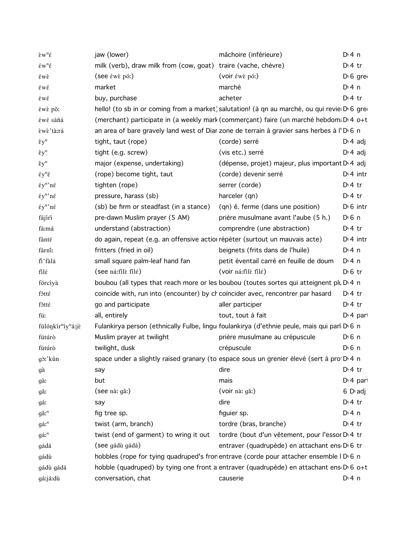| $\tilde{\epsilon} w^n \tilde{\epsilon}$    | jaw (lower)                                                                     | mâchoire (inférieure)                                                                                | $Di$ 4 n              |
|--------------------------------------------|---------------------------------------------------------------------------------|------------------------------------------------------------------------------------------------------|-----------------------|
| $\acute{\epsilon}w^n\acute{\epsilon}$      | milk (verb), draw milk from (cow, goat) traire (vache, chèvre)                  |                                                                                                      | $D \cdot 4$ tr        |
| $\epsilon$ wè                              | $($ see $\epsilon$ we pó: $)$                                                   | (voir éwè pó:)                                                                                       | D <sub>1</sub> 6 gre  |
| έwέ                                        | market                                                                          | marché                                                                                               | $Di$ 4 n              |
| έwέ                                        | buy, purchase                                                                   | acheter                                                                                              | $Dt$ 4 tr             |
| έwε po:                                    |                                                                                 | hello! (to sb in or coming from a market) salutation! (à qn au marché, ou qui revie D 6 gre          |                       |
| éwé sáñá                                   |                                                                                 | (merchant) participate in (a weekly mark (commerçant) faire (un marché hebdom; D'4 o+t               |                       |
| èwè'tà:rá                                  |                                                                                 | an area of bare gravely land west of Diar zone de terrain à gravier sans herbes à l'D <sub>6</sub> n |                       |
| $\xi y^n$                                  | tight, taut (rope)                                                              | (corde) serré                                                                                        | $D \nvert 4$ adj      |
| $\xi y^n$                                  | tight (e.g. screw)                                                              | (vis etc.) serré                                                                                     | $D \cdot 4$ adj       |
| $\xi y^n$                                  | major (expense, undertaking)                                                    | (dépense, projet) majeur, plus important D <sub>1</sub> 4 adj                                        |                       |
| $\xi y^n \xi$                              | (rope) become tight, taut                                                       | (corde) devenir serré                                                                                | $Dt$ 4 intr           |
| $\xi y^n$ 'né                              | tighten (rope)                                                                  | serrer (corde)                                                                                       | $Di4$ tr              |
| $\xi y^n$ 'né                              | pressure, harass (sb)                                                           | harceler (qn)                                                                                        | $Di4$ tr              |
| $\mathrm{E} \mathrm{y}^{\mathrm{n}}$ 'né   | (sb) be firm or steadfast (in a stance)                                         | (qn) ê. ferme (dans une position)                                                                    | $D16$ intr            |
| fájíri                                     | pre-dawn Muslim prayer (5 AM)                                                   | prière musulmane avant l'aube (5 h.)                                                                 | D <sup>i</sup> 6 n    |
| fá:má                                      | understand (abstraction)                                                        | comprendre (une abstraction)                                                                         | $Di4$ tr              |
| fánté                                      | do again, repeat (e.g. an offensive actior répéter (surtout un mauvais acte)    |                                                                                                      | $Di$ 4 intr           |
| fárnî:                                     | fritters (fried in oil)                                                         | beignets (frits dans de l'huile)                                                                     | $Di$ 4 n              |
| fi'fàlá                                    | small square palm-leaf hand fan                                                 | petit éventail carré en feuille de doum                                                              | $Di$ 4 n              |
| filέ                                       | (see ná:file filé)                                                              | (voir ná:filè filé)                                                                                  | $D \n6$ tr            |
| fórcíyà                                    |                                                                                 | boubou (all types that reach more or les boubou (toutes sortes qui atteignent plu D <sub>14</sub> n  |                       |
| fótté                                      | coincide with, run into (encounter) by cr coincider avec, rencontrer par hasard |                                                                                                      | $D:4$ tr              |
| fótté                                      | go and participate                                                              | aller participer                                                                                     | $D \cdot 4$ tr        |
| fú:                                        | all, entirely                                                                   | tout, tout à fait                                                                                    | $Di$ 4 part           |
| fúlónkír <sup>n</sup> íy <sup>n</sup> á:jè |                                                                                 | Fulankirya person (ethnically Fulbe, lingui foulankirya (d'ethnie peule, mais qui parl D 6 n         |                       |
| fútúrð                                     | Muslim prayer at twilight                                                       | prière musulmane au crépuscule                                                                       | $D \n6$ n             |
| fútúrð                                     | twilight, dusk                                                                  | crépuscule                                                                                           | D <sup>i</sup> 6 n    |
| gò:'kûn                                    |                                                                                 | space under a slightly raised granary (to espace sous un grenier élevé (sert à pro D 4 n             |                       |
| gà                                         | say                                                                             | dire                                                                                                 | $D \cdot 4$ tr        |
| gà:                                        | but                                                                             | mais                                                                                                 | D <sub>1</sub> 4 part |
| gă:                                        | (see nà: gǎ:)                                                                   | (voir nà: gǎ:)                                                                                       | 6 D <sub>'</sub> adj  |
| gáː                                        | say                                                                             | dire                                                                                                 | $D \cdot 4$ tr        |
| $g\check{a}$ : <sup>n</sup>                | fig tree sp.                                                                    | figuier sp.                                                                                          | $Di$ 4 n              |
| gá: <sup>n</sup>                           | twist (arm, branch)                                                             | tordre (bras, branche)                                                                               | $D \cdot 4$ tr        |
| gá: <sup>n</sup>                           | twist (end of garment) to wring it out                                          | tordre (bout d'un vêtement, pour l'essor D <sub>14</sub> tr                                          |                       |
| gádá                                       | (see gádù gádá)                                                                 | entraver (quadrupède) en attachant ens D <sub>'6</sub> tr                                            |                       |
| gádù                                       |                                                                                 | hobbles (rope for tying quadruped's fron entrave (corde pour attacher ensemble I D 6 n               |                       |
| gádù gádá                                  |                                                                                 | hobble (quadruped) by tying one front a entraver (quadrupède) en attachant ens D <sub>16</sub> o+t   |                       |
| gá:já:dù                                   | conversation, chat                                                              | causerie                                                                                             | $Di$ 4 n              |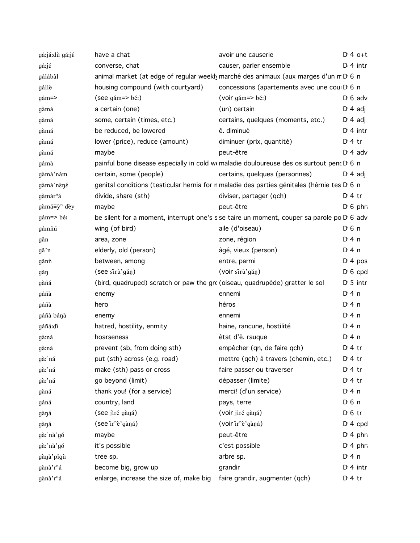| gá:já:dù gá:jé          | have a chat                                                                  | avoir une causerie                                                                                     | $D:4$ o+t             |
|-------------------------|------------------------------------------------------------------------------|--------------------------------------------------------------------------------------------------------|-----------------------|
| gá:jé                   | converse, chat                                                               | causer, parler ensemble                                                                                | $D \cdot 4$ intr      |
| gálábâl                 |                                                                              | animal market (at edge of regular weekly marché des animaux (aux marges d'un m D 6 n                   |                       |
| gállè                   | housing compound (with courtyard)                                            | concessions (apartements avec une coul D 6 n                                                           |                       |
| $gá m =$                | (see qám=> bé:)                                                              | (voir gám=> bé:)                                                                                       | $D \nvert 6$ adv      |
| gàmá                    | a certain (one)                                                              | (un) certain                                                                                           | $D \cdot 4$ adj       |
| gàmá                    | some, certain (times, etc.)                                                  | certains, quelques (moments, etc.)                                                                     | $D \cdot 4$ adj       |
| gàmá                    | be reduced, be lowered                                                       | ê. diminué                                                                                             | $Dt$ 4 intr           |
| gàmá                    | lower (price), reduce (amount)                                               | diminuer (prix, quantité)                                                                              | $D:4$ tr              |
| gàmá                    | maybe                                                                        | peut-être                                                                                              | $D \cdot 4$ adv       |
| gámà                    |                                                                              | painful bone disease especially in cold we maladie douloureuse des os surtout penc D 6 n               |                       |
| gàmà nám                | certain, some (people)                                                       | certains, quelques (personnes)                                                                         | $D \ 4$ adj           |
| gàmà nèné               |                                                                              | genital conditions (testicular hernia for n maladie des parties génitales (hérnie tes D 6 n            |                       |
| gàmàr <sup>n</sup> á    | divide, share (sth)                                                          | diviser, partager (qch)                                                                                | $D:4$ tr              |
| gàmá≡ỳ <sup>n</sup> dèy | maybe                                                                        | peut-être                                                                                              | $D \, 6$ phr.         |
| $gá m = > b \neq$       |                                                                              | be silent for a moment, interrupt one's s se taire un moment, couper sa parole po D <sub>'</sub> 6 adv |                       |
| gámñú                   | wing (of bird)                                                               | aile (d'oiseau)                                                                                        | $D0$ 6 n              |
| găn                     | area, zone                                                                   | zone, région                                                                                           | $Di$ 4 n              |
| gă'n                    | elderly, old (person)                                                        | âgé, vieux (person)                                                                                    | $Di$ 4 n              |
| gănn                    | between, among                                                               | entre, parmi                                                                                           | D <sup>t</sup> 4 pos  |
| găŋ                     | (see sirù'gǎn)                                                               | (voir sirù'gǎn)                                                                                        | D <sub>'6</sub> cpd   |
| gàñá                    | (bird, quadruped) scratch or paw the grc (oiseau, quadrupède) gratter le sol |                                                                                                        | $D \cdot 5$ intr      |
| gáñà                    | enemy                                                                        | ennemi                                                                                                 | $Di$ 4 n              |
| gáñà                    | hero                                                                         | héros                                                                                                  | $Di$ 4 n              |
| gáñà bánà               | enemy                                                                        | ennemi                                                                                                 | $Di$ 4 n              |
| gáñá:di                 | hatred, hostility, enmity                                                    | haine, rancune, hostilité                                                                              | $Di$ 4 n              |
| gà:ná                   | hoarseness                                                                   | êtat d'ê. rauque                                                                                       | $Di$ 4 n              |
| gà:ná                   | prevent (sb, from doing sth)                                                 | empêcher (qn, de faire qch)                                                                            | $D:4$ tr              |
| gà:'ná                  | put (sth) across (e.g. road)                                                 | mettre (qch) à travers (chemin, etc.)                                                                  | $D:4$ tr              |
| gà:'ná                  | make (sth) pass or cross                                                     | faire passer ou traverser                                                                              | $D:4$ tr              |
| gà:'ná                  | go beyond (limit)                                                            | dépasser (limite)                                                                                      | $D:4$ tr              |
| gàná                    | thank you! (for a service)                                                   | merci! (d'un service)                                                                                  | $Di$ 4 n              |
| gáná                    | country, land                                                                | pays, terre                                                                                            | $D \nvert 6 \nvert n$ |
| gàŋá                    | (see jiré gàná)                                                              | (voir jíré gàná)                                                                                       | $D \n6$ tr            |
| gàná                    | $($ see 'ir <sup>n</sup> è' gàna $)$                                         | (voir ir <sup>n</sup> è 'gàná)                                                                         | $Di 4$ cpd            |
| gà:'nà'gó               | maybe                                                                        | peut-être                                                                                              | $D \cdot 4$ phr.      |
| gà:'nà'gó               | it's possible                                                                | c'est possible                                                                                         | D <sup>t</sup> 4 phr  |
| gànà pigù               | tree sp.                                                                     | arbre sp.                                                                                              | $Di$ 4 n              |
| gànà 'r <sup>n</sup> á  | become big, grow up                                                          | grandir                                                                                                | $Di$ 4 intr           |
| gànà 'r <sup>n</sup> á  | enlarge, increase the size of, make big faire grandir, augmenter (qch)       |                                                                                                        | $D:4$ tr              |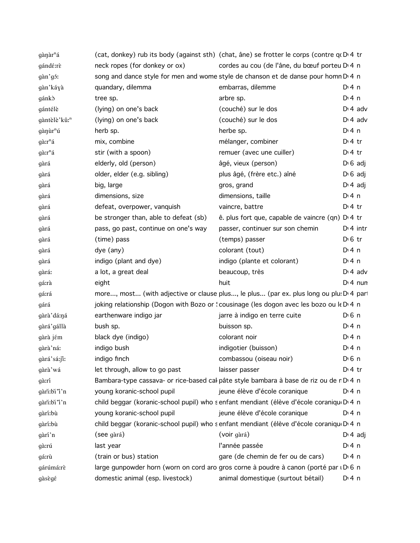| $g$ àn à r $a$           |                                       | (cat, donkey) rub its body (against sth) (chat, âne) se frotter le corps (contre q(D) 4 tr         |                       |  |
|--------------------------|---------------------------------------|----------------------------------------------------------------------------------------------------|-----------------------|--|
| gándé:rè                 | neck ropes (for donkey or ox)         | cordes au cou (de l'âne, du bœuf porteu D <sub>14</sub> n                                          |                       |  |
| gàn'gó:                  |                                       | song and dance style for men and wome style de chanson et de danse pour homn D 4 n                 |                       |  |
| gàn'káyà                 | quandary, dilemma                     | embarras, dilemme                                                                                  | $Di$ 4 n              |  |
| gánkò                    | tree sp.                              | arbre sp.                                                                                          | $Di$ 4 n              |  |
| gántélè                  | (lying) on one's back                 | (couché) sur le dos                                                                                | $D \cdot 4$ adv       |  |
| gàntèlè'kû: <sup>n</sup> | (lying) on one's back                 | (couché) sur le dos                                                                                | $D \cdot 4$ adv       |  |
| gànùr <sup>n</sup> ú     | herb sp.                              | herbe sp.                                                                                          | $Di$ 4 n              |  |
| gà:r <sup>n</sup> á      | mix, combine                          | mélanger, combiner                                                                                 | $Di4$ tr              |  |
| gà:r <sup>n</sup> á      | stir (with a spoon)                   | remuer (avec une cuiller)                                                                          | $Di4$ tr              |  |
| gàrá                     | elderly, old (person)                 | âgé, vieux (person)                                                                                | $D \cdot 6$ adj       |  |
| gàrá                     | older, elder (e.g. sibling)           | plus âgé, (frère etc.) aîné                                                                        | $D \setminus 6$ adj   |  |
| gàrá                     | big, large                            | gros, grand                                                                                        | $D \cdot 4$ adj       |  |
| gàrá                     | dimensions, size                      | dimensions, taille                                                                                 | $Di$ 4 n              |  |
| gàrá                     | defeat, overpower, vanquish           | vaincre, battre                                                                                    | $Di4$ tr              |  |
| gàrá                     | be stronger than, able to defeat (sb) | ê. plus fort que, capable de vaincre (qn) D' 4 tr                                                  |                       |  |
| gàrá                     | pass, go past, continue on one's way  | passer, continuer sur son chemin                                                                   | $Dt$ 4 intr           |  |
| gàrá                     | (time) pass                           | (temps) passer                                                                                     | $D \n6$ tr            |  |
| gàrá                     | dye (any)                             | colorant (tout)                                                                                    | $Di$ 4 n              |  |
| gàrá                     | indigo (plant and dye)                | indigo (plante et colorant)                                                                        | $Di$ 4 n              |  |
| gàrá:                    | a lot, a great deal                   | beaucoup, très                                                                                     | $D \cdot 4$ adv       |  |
| gá:rà                    | eight                                 | huit                                                                                               | $Di$ 4 nun            |  |
| gá:rá                    |                                       | more, most (with adjective or clause plus, le plus (par ex. plus long ou plu: D <sub>1</sub> 4 par |                       |  |
| gárá                     |                                       | joking relationship (Dogon with Bozo or 'cousinage (les dogon avec les bozo ou le D 4 n            |                       |  |
| gàrà' dá:ná              | earthenware indigo jar                | jarre à indigo en terre cuite                                                                      | $D0$ 6 n              |  |
| gàrá'gállà               | bush sp.                              | buisson sp.                                                                                        | $Di$ 4 n              |  |
| gàrà jém                 | black dye (indigo)                    | colorant noir                                                                                      | $Di$ 4 n              |  |
| gàrà'ná:                 | indigo bush                           | indigotier (buisson)                                                                               | $Di$ 4 n              |  |
| gàrá'sá:ji:              | indigo finch                          | combassou (oiseau noir)                                                                            | $D \nvert 6 \nvert n$ |  |
| gàrà'wá                  | let through, allow to go past         | laisser passer                                                                                     | $Dt$ 4 tr             |  |
| gàːrí                    |                                       | Bambara-type cassava- or rice-based cal pâte style bambara à base de riz ou de r D 4 n             |                       |  |
| gàri:bi "i'n             | young koranic-school pupil            | jeune élève d'école coranique                                                                      | $Dt$ 4 n              |  |
| gàrì:bì "ì n             |                                       | child beggar (koranic-school pupil) who senfant mendiant (élève d'école coranique De 4 n           |                       |  |
| gàrí:bù                  | young koranic-school pupil            | jeune élève d'école coranique                                                                      | $Di$ 4 n              |  |
| gàrí:bù                  |                                       | child beggar (koranic-school pupil) who senfant mendiant (élève d'école coranique De 4 n           |                       |  |
| gàrí'n                   | (see gàrá)                            | (voir gàrá)                                                                                        | $D \n4$ adj           |  |
| gà:rú                    | last year                             | l'année passée                                                                                     | $Di$ 4 n              |  |
| gá:rù                    | (train or bus) station                | gare (de chemin de fer ou de cars)                                                                 | $Di$ 4 n              |  |
| gárúmá:rè                |                                       | large gunpowder horn (worn on cord aro gros corne à poudre à canon (porté par i DG n               |                       |  |
| gàsègé                   | domestic animal (esp. livestock)      | animal domestique (surtout bétail)                                                                 | $Di$ 4 n              |  |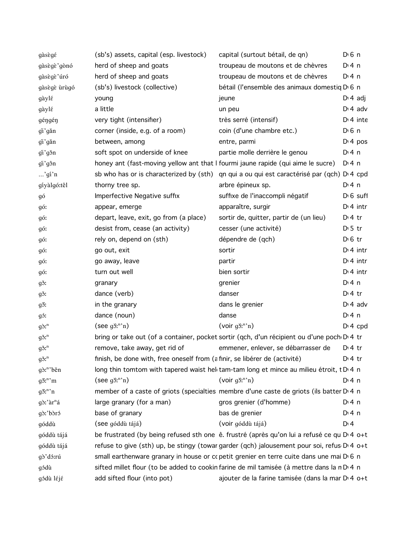| gàsègé                      | (sb's) assets, capital (esp. livestock)                                          | capital (surtout bétail, de qn)                                                                     | $D \nvert 6 \nvert n$ |
|-----------------------------|----------------------------------------------------------------------------------|-----------------------------------------------------------------------------------------------------|-----------------------|
| gàsègè'gònó                 | herd of sheep and goats                                                          | troupeau de moutons et de chèvres                                                                   | $Di$ 4 n              |
| gàsègè'úró                  | herd of sheep and goats                                                          | troupeau de moutons et de chèvres                                                                   | $Di$ 4 n              |
| gàsègè ùrùgó                | (sb's) livestock (collective)                                                    | bétail (l'ensemble des animaux domestiq D 6 n                                                       |                       |
| gàylé                       | young                                                                            | jeune                                                                                               | $D \cdot 4$ adj       |
| gàylé                       | a little                                                                         | un peu                                                                                              | $Di$ 4 adv            |
| géngén                      | very tight (intensifier)                                                         | très serré (intensif)                                                                               | $Di$ 4 inte           |
| gi'gǎn                      | corner (inside, e.g. of a room)                                                  | coin (d'une chambre etc.)                                                                           | $D \nvert 6 \nvert n$ |
| gi'gǎn                      | between, among                                                                   | entre, parmi                                                                                        | D <sup>i</sup> 4 pos  |
| gi'gšn                      | soft spot on underside of knee                                                   | partie molle derrière le genou                                                                      | $Di$ 4 n              |
| gi'gôn                      | honey ant (fast-moving yellow ant that I fourmi jaune rapide (qui aime le sucre) |                                                                                                     | D: 4n                 |
| $\ldots$ 'gi'n              |                                                                                  | sb who has or is characterized by (sth) qn qui a ou qui est caractérisé par (qch) D'4 cpd           |                       |
| gíyàlgó:têl                 | thorny tree sp.                                                                  | arbre épineux sp.                                                                                   | $Di$ 4 n              |
| gó                          | Imperfective Negative suffix                                                     | suffixe de l'inaccompli négatif                                                                     | $D0$ suff             |
| gó:                         | appear, emerge                                                                   | apparaître, surgir                                                                                  | $Dt$ 4 intr           |
| gó:                         | depart, leave, exit, go from (a place)                                           | sortir de, quitter, partir de (un lieu)                                                             | $D:4$ tr              |
| gó:                         | desist from, cease (an activity)                                                 | cesser (une activité)                                                                               | $D \cdot 5$ tr        |
| gó:                         | rely on, depend on (sth)                                                         | dépendre de (qch)                                                                                   | $D \nvert 6$ tr       |
| gó:                         | go out, exit                                                                     | sortir                                                                                              | $Di$ 4 intr           |
| gó:                         | go away, leave                                                                   | partir                                                                                              | $Di$ 4 intr           |
| gó:                         | turn out well                                                                    | bien sortir                                                                                         | $Di$ 4 intr           |
| gš:                         | granary                                                                          | grenier                                                                                             | $Di$ 4 n              |
| gš:                         | dance (verb)                                                                     | danser                                                                                              | $D \cdot 4$ tr        |
| gõ:                         | in the granary                                                                   | dans le grenier                                                                                     | $Di$ 4 adv            |
| gó:                         | dance (noun)                                                                     | danse                                                                                               | $Di$ 4 n              |
| $g\delta$ <sup>n</sup>      | $($ see g $\tilde{S}$ : <sup>n</sup> 'n)                                         | $(voir g\deltan n)$                                                                                 | $Di$ 4 cpd            |
| $g\delta$ : <sup>n</sup>    |                                                                                  | bring or take out (of a container, pocket sortir (qch, d'un récipient ou d'une poch D'4 tr          |                       |
| $g\delta$ : <sup>n</sup>    | remove, take away, get rid of                                                    | emmener, enlever, se débarrasser de                                                                 | $D \cdot 4$ tr        |
| $q\delta$ : <sup>n</sup>    | finish, be done with, free oneself from (a finir, se libérer de (activité)       |                                                                                                     | $D \cdot 4$ tr        |
| $g\delta$ <sup>n</sup> 'běn |                                                                                  | long thin tomtom with tapered waist helitam-tam long et mince au milieu étroit, t D 4 n             |                       |
| $g\tilde{\sigma}^n$ 'm      | $($ see g $\tilde{S}$ : <sup>n</sup> 'n)                                         | $(voir g\delta: n)$                                                                                 | $Di$ 4 n              |
| $g\delta r^n$ 'n            |                                                                                  | member of a caste of griots (specialties membre d'une caste de griots (ils batter D <sub>'4</sub> n |                       |
| gò:'àr <sup>n</sup> á       | large granary (for a man)                                                        | gros grenier (d'homme)                                                                              | $Di$ 4 n              |
| gò:'bòró                    | base of granary                                                                  | bas de grenier                                                                                      | $Di$ 4 n              |
| góddù                       | (see góddù tájá)                                                                 | (voir góddù tájá)                                                                                   | D: 4                  |
| góddù tájá                  |                                                                                  | be frustrated (by being refused sth one ê. frustré (après qu'on lui a refusé ce qu D 4 o+t          |                       |
| góddù tájá                  |                                                                                  | refuse to give (sth) up, be stingy (towar garder (qch) jalousement pour soi, refus D'4 o+t          |                       |
| gò'dó:rú                    |                                                                                  | small earthenware granary in house or copetit grenier en terre cuite dans une mai D 6 n             |                       |
| gódù                        |                                                                                  | sifted millet flour (to be added to cookin farine de mil tamisée (à mettre dans la n D 4 n          |                       |
| gódù léjé                   | add sifted flour (into pot)                                                      | ajouter de la farine tamisée (dans la mar D 4 o+t                                                   |                       |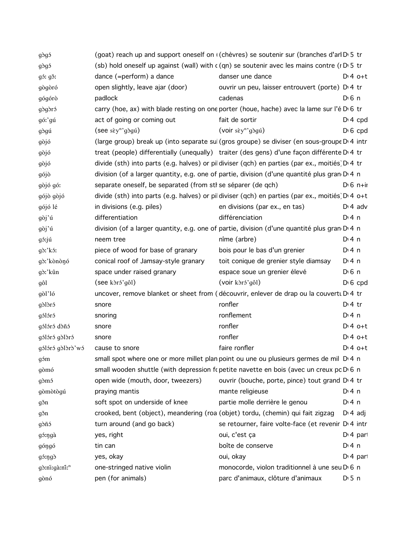| gògó                      |                                                              | (goat) reach up and support oneself on ((chèvres) se soutenir sur (branches d'arl D'5 tr        |                   |
|---------------------------|--------------------------------------------------------------|-------------------------------------------------------------------------------------------------|-------------------|
| gògó                      |                                                              | (sb) hold oneself up against (wall) with $c$ (qn) se soutenir avec les mains contre ( $nD$ 5 tr |                   |
| gó: gǒ:                   | dance (=perform) a dance                                     | danser une dance                                                                                | $D:4$ o+t         |
| gògòró                    | open slightly, leave ajar (door)                             | ouvrir un peu, laisser entrouvert (porte) D <sub>'</sub> 4 tr                                   |                   |
| gógórò                    | padlock                                                      | cadenas                                                                                         | D <sub>1</sub> 6n |
| gògòró                    |                                                              | carry (hoe, ax) with blade resting on one porter (houe, hache) avec la lame sur l'é D 6 tr      |                   |
| gó:'gú                    | act of going or coming out                                   | fait de sortir                                                                                  | $D: 4$ cpd        |
| gògú                      | (see sèy <sup>n</sup> 'gògú)                                 | (voir sèy <sup>n</sup> gògú)                                                                    | $D \nvert 6$ cpd  |
| gòjó                      |                                                              | (large group) break up (into separate sul (gros groupe) se diviser (en sous-groupe D'4 intr     |                   |
| gòjó                      |                                                              | treat (people) differentially (unequally) traiter (des gens) d'une façon différente D'4 tr      |                   |
| gòjó                      |                                                              | divide (sth) into parts (e.g. halves) or pildiviser (qch) en parties (par ex., moitiés) D'4 tr  |                   |
| gójò                      |                                                              | division (of a larger quantity, e.g. one of partie, division (d'une quantité plus gran D 4 n    |                   |
| gòjó gó:                  | separate oneself, be separated (from stl se séparer (de qch) |                                                                                                 | $D \cdot 6$ n+ii  |
| gójò gòjó                 |                                                              | divide (sth) into parts (e.g. halves) or pil diviser (qch) en parties (par ex., moitiés D'4 o+t |                   |
| gójó lé                   | in divisions (e.g. piles)                                    | en divisions (par ex., en tas)                                                                  | $D \cdot 4$ adv   |
| gòj'ú                     | differentiation                                              | différenciation                                                                                 | $Di$ 4 n          |
| gòj'ú                     |                                                              | division (of a larger quantity, e.g. one of partie, division (d'une quantité plus gran D 4 n    |                   |
| gó:jú                     | neem tree                                                    | nîme (arbre)                                                                                    | $Di$ 4 n          |
| $g\delta$ :'k $\delta$ :  | piece of wood for base of granary                            | bois pour le bas d'un grenier                                                                   | $Di$ 4 n          |
| gò:'kònònó                | conical roof of Jamsay-style granary                         | toit conique de grenier style diamsay                                                           | $Di$ 4 n          |
| gò:'kûn                   | space under raised granary                                   | espace soue un grenier élevé                                                                    | $D \n6$ n         |
| gôl                       | $($ see k $\delta$ ró'gôl $)$                                | (voir kòró'gôl)                                                                                 | $D \nvert 6$ cpd  |
| $g\delta$ l' $16$         |                                                              | uncover, remove blanket or sheet from (découvrir, enlever de drap ou la couvertu D'4 tr         |                   |
| gòlòró                    | snore                                                        | ronfler                                                                                         | $Dt$ 4 tr         |
| gólóró                    | snoring                                                      | ronflement                                                                                      | $Di$ 4 n          |
| gólóró dòñó               | snore                                                        | ronfler                                                                                         | $Dt 4 0+t$        |
| gólóró gòlòró             | snore                                                        | ronfler                                                                                         | $Dt 4 0+t$        |
| gólóró gólóró wó          | cause to snore                                               | faire ronfler                                                                                   | $Dt 4 0+t$        |
| góm                       |                                                              | small spot where one or more millet plan point ou une ou plusieurs germes de mil D 4 n          |                   |
| gòmó                      |                                                              | small wooden shuttle (with depression fo petite navette en bois (avec un creux pc D 6 n         |                   |
| gòmó                      | open wide (mouth, door, tweezers)                            | ouvrir (bouche, porte, pince) tout grand D <sub>1</sub> 4 tr                                    |                   |
| gòmòtògú                  | praying mantis                                               | mante religieuse                                                                                | $Di$ 4 n          |
| gšn                       | soft spot on underside of knee                               | partie molle derrière le genou                                                                  | $Di$ 4 n          |
| gšn                       |                                                              | crooked, bent (object), meandering (roa (objet) tordu, (chemin) qui fait zigzag                 | $D \cdot 4$ adj   |
| gòñó                      | turn around (and go back)                                    | se retourner, faire volte-face (et revenir D <sub>'</sub> 4 intr                                |                   |
| gó:ŋgà                    | yes, right                                                   | oui, c'est ça                                                                                   | $Di$ 4 part       |
| góŋgó                     | tin can                                                      | boîte de conserve                                                                               | $Di$ 4 n          |
| gó:ŋgò                    | yes, okay                                                    | oui, okay                                                                                       | $Dt$ 4 part       |
| gò:ni:gà:ni: <sup>n</sup> | one-stringed native violin                                   | monocorde, violon traditionnel à une seu D 6 n                                                  |                   |
| gònó                      | pen (for animals)                                            | parc d'animaux, clôture d'animaux                                                               | $D \cdot 5$ n     |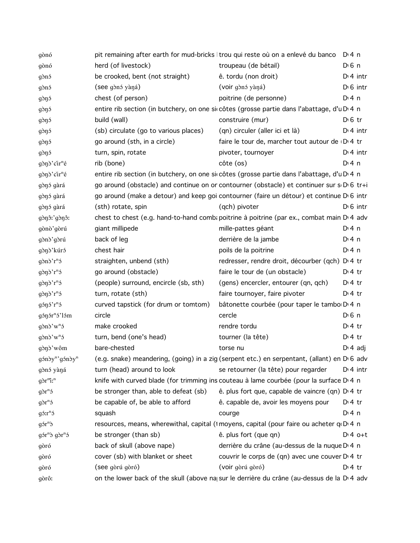| gònó                                                        | pit remaining after earth for mud-bricks   trou qui reste où on a enlevé du banco |                                                                                                         | D:4n                 |
|-------------------------------------------------------------|-----------------------------------------------------------------------------------|---------------------------------------------------------------------------------------------------------|----------------------|
| gònó                                                        | herd (of livestock)                                                               | troupeau (de bétail)                                                                                    | $D0$ 6 n             |
| gònó                                                        | be crooked, bent (not straight)                                                   | ê. tordu (non droit)                                                                                    | $Di$ 4 intr          |
| gònó                                                        | (see gònó yàná)                                                                   | (voir gònó yàná)                                                                                        | $D16$ intr           |
| gònó                                                        | chest (of person)                                                                 | poitrine (de personne)                                                                                  | $Di$ 4 n             |
| gònó                                                        |                                                                                   | entire rib section (in butchery, on one siccôtes (grosse partie dans l'abattage, d'u D <sub>'</sub> 4 n |                      |
| gònó                                                        | build (wall)                                                                      | construire (mur)                                                                                        | $D \n6$ tr           |
| gòŋó                                                        | (sb) circulate (go to various places)                                             | (qn) circuler (aller ici et là)                                                                         | $Di$ 4 intr          |
| gònó                                                        | go around (sth, in a circle)                                                      | faire le tour de, marcher tout autour de D 4 tr                                                         |                      |
| gònó                                                        | turn, spin, rotate                                                                | pivoter, tournoyer                                                                                      | $Di$ 4 intr          |
| gònò'cir <sup>n</sup> é                                     | rib (bone)                                                                        | côte (os)                                                                                               | D:4n                 |
| gònò'cir <sup>n</sup> é                                     |                                                                                   | entire rib section (in butchery, on one sircôtes (grosse partie dans l'abattage, d'u D 4 n              |                      |
| gònó gàrá                                                   |                                                                                   | go around (obstacle) and continue on or contourner (obstacle) et continuer sur s D 6 tr+i               |                      |
| gònó gàrá                                                   |                                                                                   | go around (make a detour) and keep goi contourner (faire un détour) et continue D'6 intr                |                      |
| gònó gàrá                                                   | (sth) rotate, spin                                                                | (qch) pivoter                                                                                           | $D \setminus 6$ intr |
| gònô: gònô:                                                 |                                                                                   | chest to chest (e.g. hand-to-hand comb: poitrine à poitrine (par ex., combat main D' 4 adv              |                      |
| gònò'gòrú                                                   | giant millipede                                                                   | mille-pattes géant                                                                                      | D:4n                 |
| gònò'gòrú                                                   | back of leg                                                                       | derrière de la jambe                                                                                    | $Di$ 4 n             |
| gònò'kúró                                                   | chest hair                                                                        | poils de la poitrine                                                                                    | $Di$ 4 n             |
| $g\delta n\delta' r^n\delta$                                | straighten, unbend (sth)                                                          | redresser, rendre droit, décourber (qch) D 4 tr                                                         |                      |
| $g\delta\eta\delta'$ r <sup>n</sup> $\delta$                | go around (obstacle)                                                              | faire le tour de (un obstacle)                                                                          | $D:4$ tr             |
| $g\delta\eta\delta'$ r <sup>n</sup> $\delta$                | (people) surround, encircle (sb, sth)                                             | (gens) encercler, entourer (qn, qch)                                                                    | $D:4$ tr             |
| $g\delta\eta\delta'$ r <sup>n</sup> $\delta$                | turn, rotate (sth)                                                                | faire tournoyer, faire pivoter                                                                          | $Di4$ tr             |
| $g5 \eta 5$ 'r <sup>n</sup> 5                               | curved tapstick (for drum or tomtom)                                              | bâtonette courbée (pour taper le tambo D 4 n                                                            |                      |
| $g$ on $\sinh$ <sup>n</sup> $\sinh$                         | circle                                                                            | cercle                                                                                                  | $D0$ 6 n             |
| $g\delta n\delta' w^n\delta$                                | make crooked                                                                      | rendre tordu                                                                                            | $D \cdot 4$ tr       |
| $g\delta n\delta' w^n\delta$                                | turn, bend (one's head)                                                           | tourner (la tête)                                                                                       | $Di4$ tr             |
| gònò'wôm                                                    | bare-chested                                                                      | torse nu                                                                                                | $D \cdot 4$ adj      |
| $\text{g}$ óndy <sup>n</sup> ' $\text{g}$ óndy <sup>n</sup> |                                                                                   | (e.g. snake) meandering, (going) in a zig (serpent etc.) en serpentant, (allant) en D <sub>'6</sub> adv |                      |
| gònó yàná                                                   | turn (head) around to look                                                        | se retourner (la tête) pour regarder                                                                    | $Di$ 4 intr          |
| $g\delta r^{m}i^{n}$                                        |                                                                                   | knife with curved blade (for trimming ins couteau à lame courbée (pour la surface D <sub>14</sub> n     |                      |
| $g\delta r^n$                                               | be stronger than, able to defeat (sb)                                             | ê. plus fort que, capable de vaincre (qn) D' 4 tr                                                       |                      |
| $g\delta r^n$                                               | be capable of, be able to afford                                                  | ê. capable de, avoir les moyens pour                                                                    | $Di4$ tr             |
| $g5r^n5$                                                    | squash                                                                            | courge                                                                                                  | $Di$ 4 n             |
| $g5r^n$                                                     |                                                                                   | resources, means, wherewithal, capital (1 moyens, capital (pour faire ou acheter qu D 4 n               |                      |
| gór <sup>n</sup> ò gòr <sup>n</sup> ó                       | be stronger (than sb)                                                             | ê. plus fort (que qn)                                                                                   | $Di4$ o+t            |
| gòró                                                        | back of skull (above nape)                                                        | derrière du crâne (au-dessus de la nuque D <sub>14</sub> n                                              |                      |
| gòró                                                        | cover (sb) with blanket or sheet                                                  | couvrir le corps de (qn) avec une couver D' 4 tr                                                        |                      |
| gòró                                                        | (see gòrú gòró)                                                                   | (voir gòrú gòró)                                                                                        | $D:4$ tr             |
| gòrô:                                                       |                                                                                   | on the lower back of the skull (above na sur le derrière du crâne (au-dessus de la D <sub>1</sub> 4 adv |                      |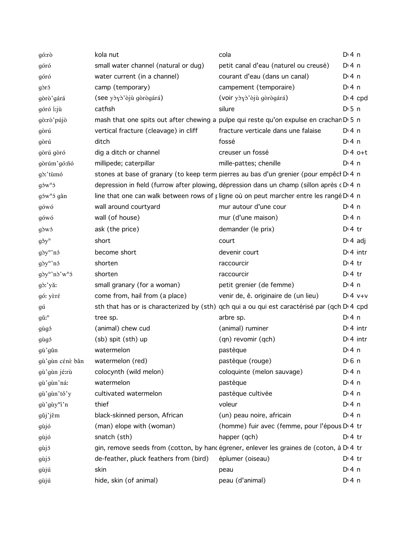| gó:rò                            | kola nut                               | cola                                                                                        | $Dt$ 4 n        |
|----------------------------------|----------------------------------------|---------------------------------------------------------------------------------------------|-----------------|
| góró                             | small water channel (natural or dug)   | petit canal d'eau (naturel ou creusé)                                                       | $Di$ 4 n        |
| góró                             | water current (in a channel)           | courant d'eau (dans un canal)                                                               | $Di$ 4 n        |
| gòró                             | camp (temporary)                       | campement (temporaire)                                                                      | $Di$ 4 n        |
| gòrò'gárá                        | (see yòyò'òjù gòrògárá)                | (voir yòyò'òjù gòrògárá)                                                                    | $Dt 4$ cpd      |
| góró í:jù                        | catfish                                | silure                                                                                      | $D \cdot 5$ n   |
| gò:rò'pújò                       |                                        | mash that one spits out after chewing a pulpe qui reste qu'on expulse en crachan D 5 n      |                 |
| gòrú                             | vertical fracture (cleavage) in cliff  | fracture verticale dans une falaise                                                         | $Di$ 4 n        |
| gòrú                             | ditch                                  | fossé                                                                                       | $Dt$ 4 n        |
| gòrú gòró                        | dig a ditch or channel                 | creuser un fossé                                                                            | $D:4$ o+t       |
| gòrúm'gó:ñó                      | millipede; caterpillar                 | mille-pattes; chenille                                                                      | $Di$ 4 n        |
| gò:'tùmó                         |                                        | stones at base of granary (to keep term pierres au bas d'un grenier (pour empêcl D 4 n      |                 |
| $g_0$ s w <sup>n</sup> s         |                                        | depression in field (furrow after plowing, dépression dans un champ (sillon après cD.4 n    |                 |
| gów <sup>n</sup> ó gân           |                                        | line that one can walk between rows of pligne où on peut marcher entre les rangé D 4 n      |                 |
| gówó                             | wall around courtyard                  | mur autour d'une cour                                                                       | $Di$ 4 n        |
| gówó                             | wall (of house)                        | mur (d'une maison)                                                                          | $Di$ 4 n        |
| gòwó                             | ask (the price)                        | demander (le prix)                                                                          | $Di4$ tr        |
| $g\check{\sigma}y^n$             | short                                  | court                                                                                       | $D \cdot 4$ adj |
| $g\delta y^n$ 'nó                | become short                           | devenir court                                                                               | $Dt$ 4 intr     |
| $g\delta y^n$ 'nó                | shorten                                | raccourcir                                                                                  | $Di4$ tr        |
| $q\delta y^n \delta' w^n \delta$ | shorten                                | raccourcir                                                                                  | $Di4$ tr        |
| gò:'yǎː                          | small granary (for a woman)            | petit grenier (de femme)                                                                    | $Dt$ 4 n        |
| gó: yèré                         | come from, hail from (a place)         | venir de, ê. originaire de (un lieu)                                                        | $Dt 4 v+v$      |
| gú                               |                                        | sth that has or is characterized by (sth) qch qui a ou qui est caractérisé par (qch D'4 cpd |                 |
| $g\check{u}$ : <sup>n</sup>      | tree sp.                               | arbre sp.                                                                                   | $Dt$ 4 n        |
| gùgó                             | (animal) chew cud                      | (animal) ruminer                                                                            | $Dt$ 4 intr     |
| gùgó                             | $(sb)$ spit $(sth)$ up                 | (qn) revomir (qch)                                                                          | $Di$ 4 intr     |
| gù'gûn                           | watermelon                             | pastèque                                                                                    | $Di$ 4 n        |
| gù'gùn cénè bân                  | watermelon (red)                       | pastèque (rouge)                                                                            | $D0$ 6 n        |
| gù'gùn jé:rù                     | colocynth (wild melon)                 | coloquinte (melon sauvage)                                                                  | $Di$ 4 n        |
| gù'gùn'ná:                       | watermelon                             | pastèque                                                                                    | $Di$ 4 n        |
| gù'gùn'tǒ'y                      | cultivated watermelon                  | pastèque cultivée                                                                           | $Di$ 4 n        |
| gù'gùy <sup>n</sup> í'n          | thief                                  | voleur                                                                                      | $Di$ 4 n        |
| gǔj'jêm                          | black-skinned person, African          | (un) peau noire, africain                                                                   | $Di$ 4 n        |
| gùjó                             | (man) elope with (woman)               | (homme) fuir avec (femme, pour l'épous D <sub>'</sub> 4 tr                                  |                 |
| gùjó                             | snatch (sth)                           | happer (qch)                                                                                | $Di4$ tr        |
| gùjó                             |                                        | gin, remove seeds from (cotton, by hancégrener, enlever les graines de (coton, à D 4 tr     |                 |
| gùjó                             | de-feather, pluck feathers from (bird) | éplumer (oiseau)                                                                            | $Dt$ 4 tr       |
| gùjú                             | skin                                   | peau                                                                                        | $Dt$ 4 n        |
| gùjú                             | hide, skin (of animal)                 | peau (d'animal)                                                                             | $Dt$ 4 n        |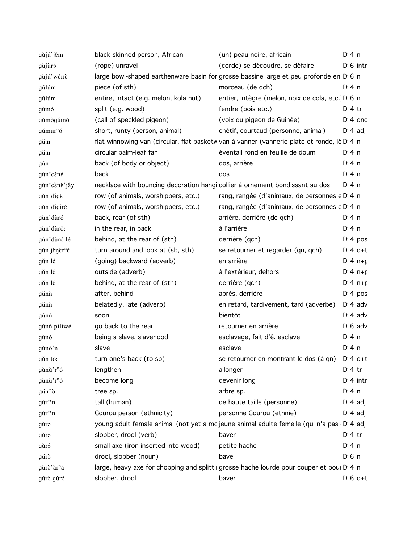| gùjú'jêm                 | black-skinned person, African         | (un) peau noire, africain                                                                  | $Di$ 4 n         |
|--------------------------|---------------------------------------|--------------------------------------------------------------------------------------------|------------------|
| gùjùró                   | (rope) unravel                        | (corde) se découdre, se défaire                                                            | $D1 6$ intr      |
| gùjú'wé:rè               |                                       | large bowl-shaped earthenware basin for grosse bassine large et peu profonde en D 6 n      |                  |
| gúlúm                    | piece (of sth)                        | morceau (de qch)                                                                           | D:4n             |
| gúlúm                    | entire, intact (e.g. melon, kola nut) | entier, intègre (melon, noix de cola, etc. D 6 n                                           |                  |
| gùmó                     | split (e.g. wood)                     | fendre (bois etc.)                                                                         | $Dt$ 4 tr        |
| gùmògúmò                 | (call of speckled pigeon)             | (voix du pigeon de Guinée)                                                                 | $Di$ 4 ond       |
| $g$ úmúr <sup>n</sup> ó  | short, runty (person, animal)         | chétif, courtaud (personne, animal)                                                        | $D \cdot 4$ adj  |
| gŭ:n                     |                                       | flat winnowing van (circular, flat basketw van à vanner (vannerie plate et ronde, lé D 4 n |                  |
| gů:n                     | circular palm-leaf fan                | éventail rond en feuille de doum                                                           | $Dt$ 4 n         |
| gŭn                      | back (of body or object)              | dos, arrière                                                                               | $Di$ 4 n         |
| gùn'céné                 | back                                  | dos                                                                                        | $Di$ 4 n         |
| gùn'cènè'jây             |                                       | necklace with bouncing decoration hangi collier à ornement bondissant au dos               | $Dt$ n           |
| gùn'digé                 | row (of animals, worshippers, etc.)   | rang, rangée (d'animaux, de personnes e D 4 n                                              |                  |
| gùn'digiré               | row (of animals, worshippers, etc.)   | rang, rangée (d'animaux, de personnes e D <sub>'</sub> 4 n                                 |                  |
| gùn'dùró                 | back, rear (of sth)                   | arrière, derrière (de qch)                                                                 | $Dt$ 4 n         |
| gùn'dùrô:                | in the rear, in back                  | à l'arrière                                                                                | $Di$ 4 n         |
| gùn'dùró lé              | behind, at the rear of (sth)          | derrière (qch)                                                                             | $D: 4$ pos       |
| gǔn jènèr <sup>n</sup> é | turn around and look at (sb, sth)     | se retourner et regarder (qn, qch)                                                         | $D:4$ o+t        |
| gǔn lé                   | (going) backward (adverb)             | en arrière                                                                                 | $D: 4 n + p$     |
| gǔn lé                   | outside (adverb)                      | à l'extérieur, dehors                                                                      | $Di 4 n + p$     |
| gǔn lé                   | behind, at the rear of (sth)          | derrière (qch)                                                                             | $Di 4 n + p$     |
| gǔnh                     | after, behind                         | après, derrière                                                                            | $Di$ 4 pos       |
| gǔnh                     | belatedly, late (adverb)              | en retard, tardivement, tard (adverbe)                                                     | $D: 4$ adv       |
| gǔnh                     | soon                                  | bientôt                                                                                    | $Di$ 4 adv       |
| gǔnh pílíwé              | go back to the rear                   | retourner en arrière                                                                       | $D \nvert 6$ adv |
| gùnó                     | being a slave, slavehood              | esclavage, fait d'ê. esclave                                                               | $Dt$ 4 n         |
| gùnó'n                   | slave                                 | esclave                                                                                    | $Di$ 4 n         |
| gǔn tó:                  | turn one's back (to sb)               | se retourner en montrant le dos (à qn)                                                     | $D:4$ o+t        |
| gùnù'r <sup>n</sup> ó    | lengthen                              | allonger                                                                                   | $Dt$ 4 tr        |
| $g$ ùnù' $r^n$ ó         | become long                           | devenir long                                                                               | $Di$ 4 intr      |
| $g$ ú: $r^n\delta$       | tree sp.                              | arbre sp.                                                                                  | $Di$ 4 n         |
| gùr'in                   | tall (human)                          | de haute taille (personne)                                                                 | $D: 4$ adj       |
| gùr'in                   | Gourou person (ethnicity)             | personne Gourou (ethnie)                                                                   | $D \n4$ adj      |
| gùró                     |                                       | young adult female animal (not yet a mo jeune animal adulte femelle (qui n'a pas DA adj    |                  |
| gùró                     | slobber, drool (verb)                 | baver                                                                                      | $Di4$ tr         |
| gùró                     | small axe (iron inserted into wood)   | petite hache                                                                               | $Di$ 4 n         |
| gúrð                     | drool, slobber (noun)                 | bave                                                                                       | $D0$ n           |
| gùrò'àr <sup>n</sup> á   |                                       | large, heavy axe for chopping and splittir grosse hache lourde pour couper et pour D 4 n   |                  |
| gúrð gùró                | slobber, drool                        | baver                                                                                      | $D \nvert 6$ o+t |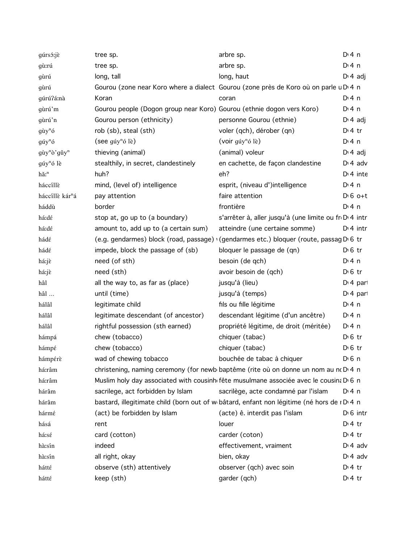| gúrsó:jè                                   | tree sp.                                                                             | arbre sp.                                                                                  | $Di$ 4 n              |
|--------------------------------------------|--------------------------------------------------------------------------------------|--------------------------------------------------------------------------------------------|-----------------------|
| gù:rú                                      | tree sp.                                                                             | arbre sp.                                                                                  | $Di$ 4 n              |
| gùrú                                       | long, tall                                                                           | long, haut                                                                                 | $D: 4$ adj            |
| gùrú                                       | Gourou (zone near Koro where a dialect Gourou (zone près de Koro où on parle u D 4 n |                                                                                            |                       |
| gúrú?á:nà                                  | Koran                                                                                | coran                                                                                      | $Di$ 4 n              |
| gùrú'm                                     | Gourou people (Dogon group near Koro) Gourou (ethnie dogon vers Koro)                |                                                                                            | $Dt$ 4 n              |
| gùrú'n                                     | Gourou person (ethnicity)                                                            | personne Gourou (ethnie)                                                                   | $D: 4$ adj            |
| $g\tilde{u}y^n\tilde{o}$                   | rob (sb), steal (sth)                                                                | voler (qch), dérober (qn)                                                                  | $Di4$ tr              |
| $g\acute{u}y^n\acute{o}$                   | (see $\text{gúy}^n\text{o}$ lè)                                                      | (voir $\text{gúy}^n\text{ó}$ lè)                                                           | $Di$ 4 n              |
| $g\grave{u}y^n\grave{o}$ 'gǔy <sup>n</sup> | thieving (animal)                                                                    | (animal) voleur                                                                            | $D: 4$ adj            |
| $g$ úy <sup>n</sup> ó lè                   | stealthily, in secret, clandestinely                                                 | en cachette, de façon clandestine                                                          | $D \cdot 4$ adv       |
| hǎ: <sup>n</sup>                           | huh?                                                                                 | eh?                                                                                        | $Di$ 4 inte           |
| háccíllè                                   | mind, (level of) intelligence                                                        | esprit, (niveau d')intelligence                                                            | $Di$ 4 n              |
| háccílle kár <sup>n</sup> á                | pay attention                                                                        | faire attention                                                                            | $D \cdot 6$ o+t       |
| háddù                                      | border                                                                               | frontière                                                                                  | D: 4n                 |
| há:dé                                      | stop at, go up to (a boundary)                                                       | s'arrêter à, aller jusqu'à (une limite ou fr D 4 intr                                      |                       |
| há:dé                                      | amount to, add up to (a certain sum)                                                 | atteindre (une certaine somme)                                                             | $Di$ 4 intr           |
| hádé                                       |                                                                                      | (e.g. gendarmes) block (road, passage) (gendarmes etc.) bloquer (route, passag D 6 tr      |                       |
| hádé                                       | impede, block the passage of (sb)                                                    | bloquer le passage de (qn)                                                                 | $D \n6$ tr            |
| há:jè                                      | need (of sth)                                                                        | besoin (de qch)                                                                            | $Di$ 4 n              |
| há:jè                                      | need (sth)                                                                           | avoir besoin de (qch)                                                                      | $D \cdot 6$ tr        |
| hâl                                        | all the way to, as far as (place)                                                    | jusqu'à (lieu)                                                                             | D <sub>1</sub> 4 part |
| hâl                                        | until (time)                                                                         | jusqu'à (temps)                                                                            | $D14$ part            |
| hálâl                                      | legitimate child                                                                     | fils ou fille légitime                                                                     | $Dt$ 4 n              |
| hálâl                                      | legitimate descendant (of ancestor)                                                  | descendant légitime (d'un ancêtre)                                                         | $Dt$ 4 n              |
| hálâl                                      | rightful possession (sth earned)                                                     | propriété légitime, de droit (méritée)                                                     | $Dt$ 4 n              |
| hámpá                                      | chew (tobacco)                                                                       | chiquer (tabac)                                                                            | $D \cdot 6$ tr        |
| hámpé                                      | chew (tobacco)                                                                       | chiquer (tabac)                                                                            | $D \n6$ tr            |
| hámpérè                                    | wad of chewing tobacco                                                               | bouchée de tabac à chiquer                                                                 | $D0$ 6 n              |
| há:râm                                     | christening, naming ceremony (for newb baptême (rite où on donne un nom au no D'4 n  |                                                                                            |                       |
| há:râm                                     |                                                                                      | Muslim holy day associated with cousinh fête musulmane associée avec le cousina D 6 n      |                       |
| hárâm                                      | sacrilege, act forbidden by Islam                                                    | sacrilège, acte condamné par l'islam                                                       | $Dt$ 4 n              |
| hárâm                                      |                                                                                      | bastard, illegitimate child (born out of w bâtard, enfant non légitime (né hors de r D 4 n |                       |
| hármé                                      | (act) be forbidden by Islam                                                          | (acte) ê. interdit pas l'islam                                                             | $D \cdot 6$ intr      |
| hásá                                       | rent                                                                                 | louer                                                                                      | $Dt$ 4 tr             |
| há:sé                                      | card (cotton)                                                                        | carder (coton)                                                                             | $Dt$ 4 tr             |
| hà:sín                                     | indeed                                                                               | effectivement, vraiment                                                                    | $D \cdot 4$ adv       |
| hà:sín                                     | all right, okay                                                                      | bien, okay                                                                                 | $D \cdot 4$ adv       |
| hátté                                      | observe (sth) attentively                                                            | observer (qch) avec soin                                                                   | $Dt$ 4 tr             |
| hátté                                      | keep (sth)                                                                           | garder (qch)                                                                               | $D:4$ tr              |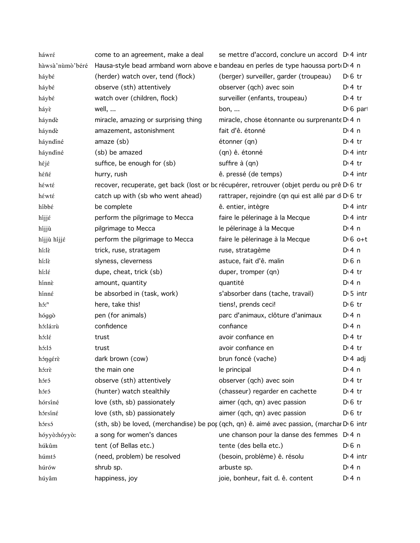| háwré            | come to an agreement, make a deal    | se mettre d'accord, conclure un accord D <sub>14</sub> intr                                |                   |
|------------------|--------------------------------------|--------------------------------------------------------------------------------------------|-------------------|
| hàwsà'nùmò'béré  |                                      | Hausa-style bead armband worn above e bandeau en perles de type haoussa port D 4 n         |                   |
| háybé            | (herder) watch over, tend (flock)    | (berger) surveiller, garder (troupeau)                                                     | $D \n6$ tr        |
| háybé            | observe (sth) attentively            | observer (qch) avec soin                                                                   | $Di4$ tr          |
| háybé            | watch over (children, flock)         | surveiller (enfants, troupeau)                                                             | $Di4$ tr          |
| háyè             | well,                                | bon, $\ldots$                                                                              | $D16$ part        |
| háyndè           | miracle, amazing or surprising thing | miracle, chose étonnante ou surprenante D <sub>'</sub> 4 n                                 |                   |
| háyndè           | amazement, astonishment              | fait d'ê. étonné                                                                           | $Di$ 4 n          |
| háyndíné         | amaze (sb)                           | étonner (qn)                                                                               | $Di4$ tr          |
| háyndíné         | (sb) be amazed                       | (qn) ê. étonné                                                                             | $Di$ 4 intr       |
| héjé             | suffice, be enough for (sb)          | suffire à (qn)                                                                             | $Di4$ tr          |
| héñé             | hurry, rush                          | ê. pressé (de temps)                                                                       | $Di$ 4 intr       |
| héwté            |                                      | recover, recuperate, get back (lost or bc récupérer, retrouver (objet perdu ou prê D 6 tr  |                   |
| héwté            | catch up with (sb who went ahead)    | rattraper, rejoindre (qn qui est allé par d D 6 tr                                         |                   |
| híbbé            | be complete                          | ê. entier, intègre                                                                         | $Di$ 4 intr       |
| híjjé            | perform the pilgrimage to Mecca      | faire le pélerinage à la Mecque                                                            | $Di$ 4 intr       |
| híjjù            | pilgrimage to Mecca                  | le pélerinage à la Mecque                                                                  | $Di$ 4 n          |
| híjjù híjjé      | perform the pilgrimage to Mecca      | faire le pèlerinage à la Mecque                                                            | $D \cdot 6$ o+t   |
| hi:lè            | trick, ruse, stratagem               | ruse, stratagème                                                                           | $Di$ 4 n          |
| hi:lè            | slyness, cleverness                  | astuce, fait d'ê. malin                                                                    | $D \n6$ n         |
| hí:lέ            | dupe, cheat, trick (sb)              | duper, tromper (qn)                                                                        | $Di4$ tr          |
| hínnè            | amount, quantity                     | quantité                                                                                   | $Di$ 4 n          |
| hínné            | be absorbed in (task, work)          | s'absorber dans (tache, travail)                                                           | $D \cdot 5$ intr  |
| hó: <sup>n</sup> | here, take this!                     | tiens!, prends ceci!                                                                       | $D0$ fr           |
| hóggò            | pen (for animals)                    | parc d'animaux, clôture d'animaux                                                          | $Di$ 4 n          |
| hó:lá:rù         | confidence                           | confiance                                                                                  | $Di$ 4 n          |
| hó:lé            | trust                                | avoir confiance en                                                                         | $Di4$ tr          |
| hó:ló            | trust                                | avoir confiance en                                                                         | $Di4$ tr          |
| hóngérè          | dark brown (cow)                     | brun foncé (vache)                                                                         | $D \cdot 4$ adj   |
| hó:rè            | the main one                         | le principal                                                                               | $Di$ 4 n          |
| hóró             | observe (sth) attentively            | observer (qch) avec soin                                                                   | $Di4$ tr          |
| hóró             | (hunter) watch stealthily            | (chasseur) regarder en cachette                                                            | $Di4$ tr          |
| hórsíné          | love (sth, sb) passionately          | aimer (qch, qn) avec passion                                                               | $D \n6$ tr        |
| hórsíné          | love (sth, sb) passionately          | aimer (qch, qn) avec passion                                                               | $D \n6$ tr        |
| hórsó            |                                      | (sth, sb) be loved, (merchandise) be por (qch, qn) ê. aimé avec passion, (marchar D 6 intr |                   |
| hóyyò:hóyyò:     | a song for women's dances            | une chanson pour la danse des femmes D <sub>14</sub> n                                     |                   |
| húkûm            | tent (of Bellas etc.)                | tente (des bella etc.)                                                                     | D <sub>1</sub> 6n |
| húmtó            | (need, problem) be resolved          | (besoin, problème) ê. résolu                                                               | $Di$ 4 intr       |
| húrów            | shrub sp.                            | arbuste sp.                                                                                | $Di$ 4 n          |
| húyâm            | happiness, joy                       | joie, bonheur, fait d. ê. content                                                          | D: 4 n            |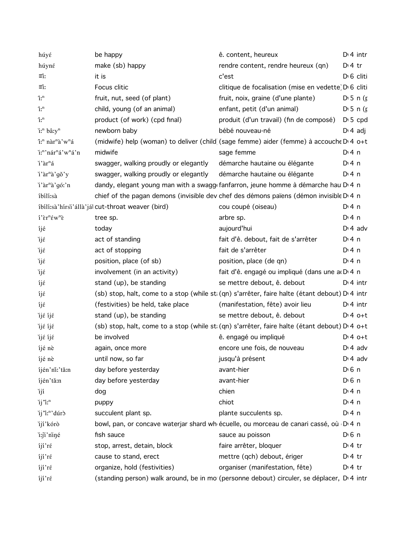| húyé                                                                 | be happy                                         | ê. content, heureux                                                                            | $Di$ 4 intr            |
|----------------------------------------------------------------------|--------------------------------------------------|------------------------------------------------------------------------------------------------|------------------------|
| húyné                                                                | make (sb) happy                                  | rendre content, rendre heureux (qn)                                                            | $D \cdot 4$ tr         |
| $\equiv$ i:                                                          | it is                                            | c'est                                                                                          | D <sub>1</sub> 6 cliti |
| $\equiv$ i:                                                          | Focus clitic                                     | clitique de focalisation (mise en vedette) D 6 cliti                                           |                        |
| $\tilde{1}$ .                                                        | fruit, nut, seed (of plant)                      | fruit, noix, graine (d'une plante)                                                             | $D \cdot 5 n$ (r       |
| $\tilde{1}$ .                                                        | child, young (of an animal)                      | enfant, petit (d'un animal)                                                                    | $D \cdot 5 n$ (f       |
| $\tilde{1}$ .                                                        | product (of work) (cpd final)                    | produit (d'un travail) (fin de composé)                                                        | $D \cdot 5$ cpd        |
| i: <sup>n</sup> bâ:y <sup>n</sup>                                    | newborn baby                                     | bébé nouveau-né                                                                                | $D \cdot 4$ adj        |
| î: <sup>n</sup> nàr <sup>n</sup> à'w <sup>n</sup> á                  |                                                  | (midwife) help (woman) to deliver (child (sage femme) aider (femme) à accouche D'4 o+t         |                        |
| i: <sup>n</sup> 'nár <sup>n</sup> á'w <sup>n</sup> á'n               | midwife                                          | sage femme                                                                                     | $Di$ 4 n               |
| i'àr <sup>n</sup> á                                                  | swagger, walking proudly or elegantly            | démarche hautaine ou élégante                                                                  | $Di$ 4 n               |
| i'àr <sup>n</sup> à'gǒ'y                                             | swagger, walking proudly or elegantly            | démarche hautaine ou élégante                                                                  | $Di$ 4 n               |
| i'àr <sup>n</sup> à'gó:'n                                            |                                                  | dandy, elegant young man with a swagg fanfarron, jeune homme à démarche hau D 4 n              |                        |
| íbílí:sà                                                             |                                                  | chief of the pagan demons (invisible dev chef des démons païens (démon invisible D'4 n         |                        |
|                                                                      | íbílí:sà'hírsi'állà'jál cut-throat weaver (bird) | cou coupé (oiseau)                                                                             | $Di$ 4 n               |
| $i$ ' $\epsilon r$ <sup>n</sup> $\epsilon w$ <sup>n</sup> $\epsilon$ | tree sp.                                         | arbre sp.                                                                                      | $Dt$ 4 n               |
| íjé                                                                  | today                                            | aujourd'hui                                                                                    | $Di$ 4 adv             |
| ìjέ                                                                  | act of standing                                  | fait d'ê. debout, fait de s'arrêter                                                            | $Di$ 4 n               |
| ìjέ                                                                  | act of stopping                                  | fait de s'arrêter                                                                              | $Di$ 4 n               |
| ìjέ                                                                  | position, place (of sb)                          | position, place (de qn)                                                                        | $Di$ 4 n               |
| ìjέ                                                                  | involvement (in an activity)                     | fait d'ê. engagé ou impliqué (dans une a D 4 n                                                 |                        |
| íjέ                                                                  | stand (up), be standing                          | se mettre debout, ê. debout                                                                    | $Di$ 4 intr            |
| íjέ                                                                  |                                                  | (sb) stop, halt, come to a stop (while st. (qn) s'arrêter, faire halte (étant debout) D'4 intr |                        |
| íjέ                                                                  | (festivities) be held, take place                | (manifestation, fête) avoir lieu                                                               | $Di$ 4 intr            |
| ìjέ íjέ                                                              | stand (up), be standing                          | se mettre debout, ê. debout                                                                    | $Dt 4 0+t$             |
| ìjέ íjέ                                                              |                                                  | (sb) stop, halt, come to a stop (while st: (qn) s'arrêter, faire halte (étant debout) D' 4 o+t |                        |
| ìjέ íjέ                                                              | be involved                                      | ê. engagé ou impliqué                                                                          | $Dt 4 0+t$             |
| íjé nè                                                               | again, once more                                 | encore une fois, de nouveau                                                                    | $Di$ 4 adv             |
| íjé nè                                                               | until now, so far                                | jusqu'à présent                                                                                | $Di 4$ adv             |
| íjén'ní:'tǎ:n                                                        | day before yesterday                             | avant-hier                                                                                     | $D \nvert 6 \nvert n$  |
| íjén'tă:n                                                            | day before yesterday                             | avant-hier                                                                                     | $D \nvert 6 \nvert n$  |
| ìjí                                                                  | dog                                              | chien                                                                                          | $Dt$ 4 n               |
| ij'i: <sup>n</sup>                                                   | puppy                                            | chiot                                                                                          | $Dt$ 4 n               |
| ij'i: <sup>n</sup> 'dúrò                                             | succulent plant sp.                              | plante succulents sp.                                                                          | $Di$ 4 n               |
| ijí'kórò                                                             |                                                  | bowl, pan, or concave waterjar shard wh écuelle, ou morceau de canari cassé, où D 4 n          |                        |
| i:ji'niné                                                            | fish sauce                                       | sauce au poisson                                                                               | $D \nvert 6 \nvert n$  |
| íjí'ré                                                               | stop, arrest, detain, block                      | faire arrêter, bloquer                                                                         | $D \cdot 4$ tr         |
| íjí'ré                                                               | cause to stand, erect                            | mettre (qch) debout, ériger                                                                    | $Di4$ tr               |
| íjí'ré                                                               | organize, hold (festivities)                     | organiser (manifestation, fête)                                                                | $D \cdot 4$ tr         |
| íjí'ré                                                               |                                                  | (standing person) walk around, be in mo (personne debout) circuler, se déplacer, D'4 intr      |                        |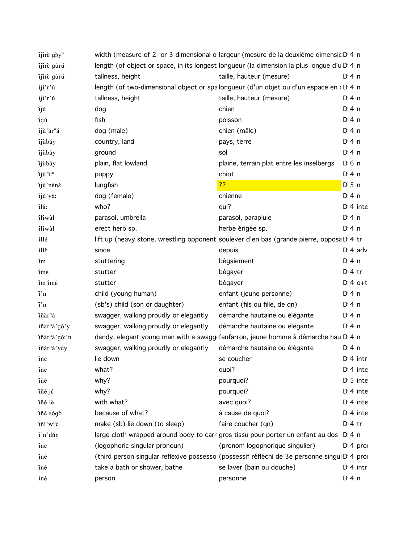| ijirè gšy <sup>n</sup>    |                                       | width (measure of 2- or 3-dimensional ollargeur (mesure de la deuxième dimensic D'4 n        |                       |
|---------------------------|---------------------------------------|----------------------------------------------------------------------------------------------|-----------------------|
| ijirè gùrú                |                                       | length (of object or space, in its longest longueur (la dimension la plus longue d'u D 4 n   |                       |
| ijirè gùrú                | tallness, height                      | taille, hauteur (mesure)                                                                     | $Di$ 4 n              |
| íjí'r'ú                   |                                       | length (of two-dimensional object or spalongueur (d'un objet ou d'un espace en dD 4 n        |                       |
| $1j1'r'$ ú                | tallness, height                      | taille, hauteur (mesure)                                                                     | $Di$ 4 n              |
| ìjú                       | dog                                   | chien                                                                                        | $Di$ 4 n              |
| i:jú                      | fish                                  | poisson                                                                                      | $Di$ 4 n              |
| ijù'àr <sup>n</sup> á     | dog (male)                            | chien (mâle)                                                                                 | $Di$ 4 n              |
| ijùbǎy                    | country, land                         | pays, terre                                                                                  | $Di$ 4 n              |
| ijùbǎy                    | ground                                | sol                                                                                          | $Di$ 4 n              |
| ijùbǎy                    | plain, flat lowland                   | plaine, terrain plat entre les inselbergs                                                    | $D \nvert 6 \nvert n$ |
| ijù "i:"                  | puppy                                 | chiot                                                                                        | $Di$ 4 n              |
| ijù'néné                  | lungfish                              | ??                                                                                           | $D \cdot 5$ n         |
| ijù'yǎ:                   | dog (female)                          | chienne                                                                                      | $Di$ 4 n              |
| ĭláː                      | who?                                  | qui?                                                                                         | $Di$ 4 inte           |
| iliwâl                    | parasol, umbrella                     | parasol, parapluie                                                                           | $Di$ 4 n              |
| iliwâl                    | erect herb sp.                        | herbe érigée sp.                                                                             | $Di$ 4 n              |
| íllé                      |                                       | lift up (heavy stone, wrestling opponent soulever d'en bas (grande pierre, opposa D.4 tr     |                       |
| illè                      | since                                 | depuis                                                                                       | $D \cdot 4$ adv       |
| îm                        | stuttering                            | bégaiement                                                                                   | $Di$ 4 n              |
| ímέ                       | stutter                               | bégayer                                                                                      | $Dt$ 4 tr             |
| îm ímé                    | stutter                               | bégayer                                                                                      | $Dt 4 0+t$            |
| i'n                       | child (young human)                   | enfant (jeune personne)                                                                      | $Di$ 4 n              |
| i'n                       | (sb's) child (son or daughter)        | enfant (fils ou fille, de qn)                                                                | $Di$ 4 n              |
| iñàr <sup>n</sup> á       | swagger, walking proudly or elegantly | démarche hautaine ou élégante                                                                | $Di$ 4 n              |
| iñàr <sup>n</sup> à'gǒ'y  | swagger, walking proudly or elegantly | démarche hautaine ou élégante                                                                | $Di$ 4 n              |
| iñàr <sup>n</sup> à'gó:'n |                                       | dandy, elegant young man with a swagg fanfarron, jeune homme à démarche hau D'4 n            |                       |
| iñàr <sup>n</sup> à'yéy   | swagger, walking proudly or elegantly | démarche hautaine ou élégante                                                                | $Di$ 4 n              |
| ìñé                       | lie down                              | se coucher                                                                                   | $Dt$ 4 intr           |
| ìñé                       | what?                                 | quoi?                                                                                        | $Di$ 4 inte           |
| ìñé                       | why?                                  | pourquoi?                                                                                    | $D \cdot 5$ inte      |
| iñé jέ                    | why?                                  | pourquoi?                                                                                    | $Di$ 4 inte           |
| iñé lè                    | with what?                            | avec quoi?                                                                                   | $Di$ 4 inte           |
| iñé sógò                  | because of what?                      | à cause de quoi?                                                                             | $Di$ 4 inte           |
| iñi'w <sup>n</sup> é      | make (sb) lie down (to sleep)         | faire coucher (qn)                                                                           | $D:4$ tr              |
| i'n'dǔn                   |                                       | large cloth wrapped around body to carr gros tissu pour porter un enfant au dos              | $Di$ 4 n              |
| iné                       | (logophoric singular pronoun)         | (pronom logophorique singulier)                                                              | $Di$ 4 pro            |
| iné                       |                                       | (third person singular reflexive possessoi (possessif réfléchi de 3e personne singul D'4 pro |                       |
| iné                       | take a bath or shower, bathe          | se laver (bain ou douche)                                                                    | $Di$ 4 intr           |
| íné                       | person                                | personne                                                                                     | $Di$ 4 n              |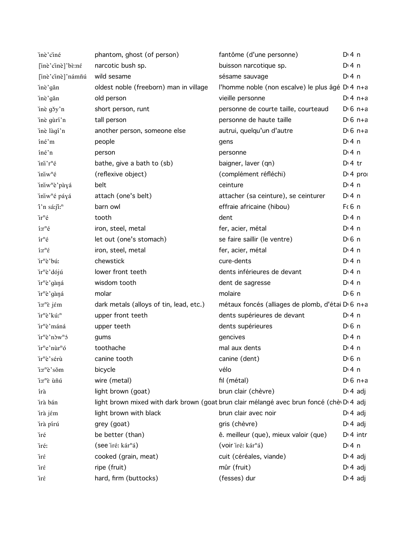| inè'ciné                                                              | phantom, ghost (of person)              | fantôme (d'une personne)                                                                | $Di$ 4 n             |
|-----------------------------------------------------------------------|-----------------------------------------|-----------------------------------------------------------------------------------------|----------------------|
| [inè'cinè]'bè:né                                                      | narcotic bush sp.                       | buisson narcotique sp.                                                                  | $Di$ 4 n             |
| [inè'cinè]'námñú                                                      | wild sesame                             | sésame sauvage                                                                          | D: 4n                |
| inè'gǎn                                                               | oldest noble (freeborn) man in village  | l'homme noble (non escalve) le plus âgé D <sub>'4</sub> n+a                             |                      |
| inè'gǎn                                                               | old person                              | vieille personne                                                                        | $Di 4 n+a$           |
| inè gšy'n                                                             | short person, runt                      | personne de courte taille, courteaud                                                    | $D \cdot 6$ n+a      |
| inè gùrí'n                                                            | tall person                             | personne de haute taille                                                                | $D \cdot 6$ n+a      |
| inè làgí'n                                                            | another person, someone else            | autrui, quelqu'un d'autre                                                               | $D \cdot 6$ n+a      |
| íné'm                                                                 | people                                  | gens                                                                                    | $Di$ 4 n             |
| íné'n                                                                 | person                                  | personne                                                                                | $Di$ 4 n             |
| ini'r <sup>n</sup> é                                                  | bathe, give a bath to (sb)              | baigner, laver (qn)                                                                     | $Dt$ 4 tr            |
| iniw <sup>n</sup> é                                                   | (reflexive object)                      | (complément réfléchi)                                                                   | D <sup>i</sup> 4 pro |
| iniw <sup>n</sup> è pàyá                                              | belt                                    | ceinture                                                                                | $Di$ 4 n             |
| iniw <sup>n</sup> é páyá                                              | attach (one's belt)                     | attacher (sa ceinture), se ceinturer                                                    | D: 4 n               |
| î'n sá:jî: <sup>n</sup>                                               | barn owl                                | effraie africaine (hibou)                                                               | F(6 n)               |
| ir <sup>n</sup> é                                                     | tooth                                   | dent                                                                                    | $Di$ 4 n             |
| $i:\mathbf{r}^n\acute{\mathbf{e}}$                                    | iron, steel, metal                      | fer, acier, métal                                                                       | D:4n                 |
| $ir^n \acute{e}$                                                      | let out (one's stomach)                 | se faire saillir (le ventre)                                                            | $D0$ n               |
| $\mathbf{\hat{i}}\mathbf{.}\mathbf{r}^n\acute{\boldsymbol{\epsilon}}$ | iron, steel, metal                      | fer, acier, métal                                                                       | $Di$ 4 n             |
| ir <sup>n</sup> è'bú:                                                 | chewstick                               | cure-dents                                                                              | D: 4 n               |
| ir <sup>n</sup> è'dójú                                                | lower front teeth                       | dents inférieures de devant                                                             | $Di$ 4 n             |
| ir <sup>n</sup> è'gàná                                                | wisdom tooth                            | dent de sagresse                                                                        | $Di$ 4 n             |
| ir <sup>n</sup> è'gàná                                                | molar                                   | molaire                                                                                 | $D0$ n               |
| $\lim_{n \to \infty}$ i $\lim_{n \to \infty}$                         | dark metals (alloys of tin, lead, etc.) | métaux foncés (alliages de plomb, d'étai D <sub>'6</sub> n+a                            |                      |
| ir <sup>n</sup> è'kú: <sup>n</sup>                                    | upper front teeth                       | dents supérieures de devant                                                             | $Di$ 4 n             |
| ir <sup>n</sup> è'máná                                                | upper teeth                             | dents supérieures                                                                       | D <sub>1</sub> 6n    |
| ir <sup>n</sup> è'nòw <sup>n</sup> ó                                  | gums                                    | gencives                                                                                | $Di$ 4 n             |
| ir <sup>n</sup> e'nùr <sup>n</sup> ó                                  | toothache                               | mal aux dents                                                                           | $Dt$ 4 n             |
| ĭr <sup>n</sup> è'sérù                                                | canine tooth                            | canine (dent)                                                                           | $D0$ 6 n             |
| i:r <sup>n</sup> è'sǒm                                                | bicycle                                 | vélo                                                                                    | $Di$ 4 n             |
| i:r <sup>n</sup> è ùñú                                                | wire (metal)                            | fil (métal)                                                                             | $D16 n+a$            |
| írà                                                                   | light brown (goat)                      | brun clair (chèvre)                                                                     | $D \cdot 4$ adj      |
| írà bán                                                               |                                         | light brown mixed with dark brown (goat brun clair mélangé avec brun foncé (chè D 4 adj |                      |
| irà jém                                                               | light brown with black                  | brun clair avec noir                                                                    | $D: 4$ adj           |
| irà pírú                                                              | grey (goat)                             | gris (chèvre)                                                                           | $D \cdot 4$ adj      |
| iré                                                                   | be better (than)                        | ê. meilleur (que), mieux valoir (que)                                                   | $Di$ 4 intr          |
| iré:                                                                  | (see `iré: kár <sup>n</sup> á)          | (voir `iré: kár <sup>n</sup> á)                                                         | $Di$ 4 n             |
| ìrέ                                                                   | cooked (grain, meat)                    | cuit (céréales, viande)                                                                 | $D \cdot 4$ adj      |
| ìrέ                                                                   | ripe (fruit)                            | mûr (fruit)                                                                             | $D \cdot 4$ adj      |
| ìrέ                                                                   | hard, firm (buttocks)                   | (fesses) dur                                                                            | $D \cdot 4$ adj      |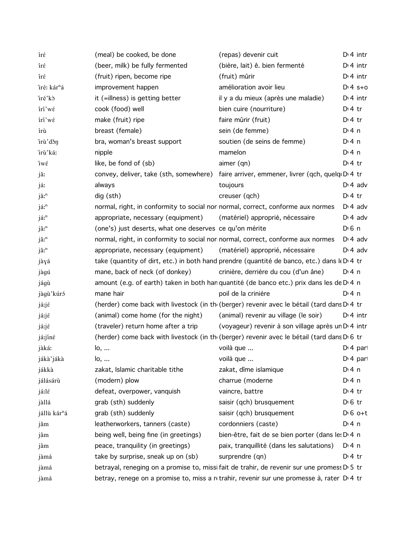| írέ                      | (meal) be cooked, be done                                                       | (repas) devenir cuit                                                                        | $Di$ 4 intr           |
|--------------------------|---------------------------------------------------------------------------------|---------------------------------------------------------------------------------------------|-----------------------|
| írέ                      | (beer, milk) be fully fermented                                                 | (bière, lait) ê. bien fermenté                                                              | $Di$ 4 intr           |
| írέ                      | (fruit) ripen, become ripe                                                      | (fruit) mûrir                                                                               | $Di$ 4 intr           |
| iré: kár <sup>n</sup> á  | improvement happen                                                              | amélioration avoir lieu                                                                     | $Di 4 s+0$            |
| iré'kò                   | it (=illness) is getting better                                                 | il y a du mieux (après une maladie)                                                         | $Di$ 4 intr           |
| iri'wέ                   | cook (food) well                                                                | bien cuire (nourriture)                                                                     | $Dt$ 4 tr             |
| iri'wέ                   | make (fruit) ripe                                                               | faire mûrir (fruit)                                                                         | $Di$ 4 tr             |
| írù                      | breast (female)                                                                 | sein (de femme)                                                                             | $Di$ 4 n              |
| irù'děn                  | bra, woman's breast support                                                     | soutien (de seins de femme)                                                                 | $Di$ 4 n              |
| irù'ká:                  | nipple                                                                          | mamelon                                                                                     | $Di$ 4 n              |
| ìwέ                      | like, be fond of (sb)                                                           | aimer (qn)                                                                                  | $Di4$ tr              |
| jă:                      |                                                                                 | convey, deliver, take (sth, somewhere) faire arriver, emmener, livrer (qch, quelq D 4 tr    |                       |
| já:                      | always                                                                          | toujours                                                                                    | $Di$ 4 adv            |
| jă: <sup>n</sup>         | dig (sth)                                                                       | creuser (qch)                                                                               | $Di4$ tr              |
| já: <sup>n</sup>         | normal, right, in conformity to social nor normal, correct, conforme aux normes |                                                                                             | $D \cdot 4$ adv       |
| já: <sup>n</sup>         | appropriate, necessary (equipment)                                              | (matériel) approprié, nécessaire                                                            | $D \n4$ adv           |
| jâ: <sup>n</sup>         | (one's) just deserts, what one deserves ce qu'on mérite                         |                                                                                             | $D \n6$ n             |
| jâ: <sup>n</sup>         | normal, right, in conformity to social nor normal, correct, conforme aux normes |                                                                                             | $D \cdot 4$ adv       |
| jâ: <sup>n</sup>         | appropriate, necessary (equipment)                                              | (matériel) approprié, nécessaire                                                            | $Di$ 4 adv            |
| jàyá                     |                                                                                 | take (quantity of dirt, etc.) in both hand prendre (quantité de banco, etc.) dans k D 4 tr  |                       |
| jàgú                     | mane, back of neck (of donkey)                                                  | crinière, derrière du cou (d'un âne)                                                        | D: 4n                 |
| jágù                     |                                                                                 | amount (e.g. of earth) taken in both han quantité (de banco etc.) prix dans les de D 4 n    |                       |
| jàgù'kúró                | mane hair                                                                       | poil de la crinière                                                                         | D: 4n                 |
| já:jé                    |                                                                                 | (herder) come back with livestock (in the (berger) revenir avec le bétail (tard dans D.4 tr |                       |
| já:jé                    | (animal) come home (for the night)                                              | (animal) revenir au village (le soir)                                                       | $Di$ 4 intr           |
| já:jé                    | (traveler) return home after a trip                                             | (voyageur) revenir à son village après un D <sub>'</sub> 4 intr                             |                       |
| já:jíné                  |                                                                                 | (herder) come back with livestock (in the (berger) revenir avec le bétail (tard dans De6 tr |                       |
| jàká:                    | lo,                                                                             | voilà que                                                                                   | $Di$ 4 part           |
| jákà'jákà                | lo,                                                                             | voilà que                                                                                   | D <sub>1</sub> 4 part |
| jákkà                    | zakat, Islamic charitable tithe                                                 | zakat, dîme islamique                                                                       | D: 4n                 |
| jálásárù                 | (modern) plow                                                                   | charrue (moderne                                                                            | $Di$ 4 n              |
| já:lé                    | defeat, overpower, vanquish                                                     | vaincre, battre                                                                             | $Di4$ tr              |
| jàllá                    | grab (sth) suddenly                                                             | saisir (qch) brusquement                                                                    | $D \n6$ tr            |
| jállù kár <sup>n</sup> á | grab (sth) suddenly                                                             | saisir (qch) brusquement                                                                    | $D \n6$ o+t           |
| jǎm                      | leatherworkers, tanners (caste)                                                 | cordonniers (caste)                                                                         | $Di$ 4 n              |
| jâm                      | being well, being fine (in greetings)                                           | bien-être, fait de se bien porter (dans le: D <sub>14</sub> n                               |                       |
| jâm                      | peace, tranquility (in greetings)                                               | paix, tranquillité (dans les salutations)                                                   | $Di$ 4 n              |
| jàmá                     | take by surprise, sneak up on (sb)                                              | surprendre (qn)                                                                             | $Di4$ tr              |
| jàmá                     |                                                                                 | betrayal, reneging on a promise to, missi fait de trahir, de revenir sur une promess D 5 tr |                       |
| jàmá                     |                                                                                 | betray, renege on a promise to, miss a retrahir, revenir sur une promesse à, rater D'4 tr   |                       |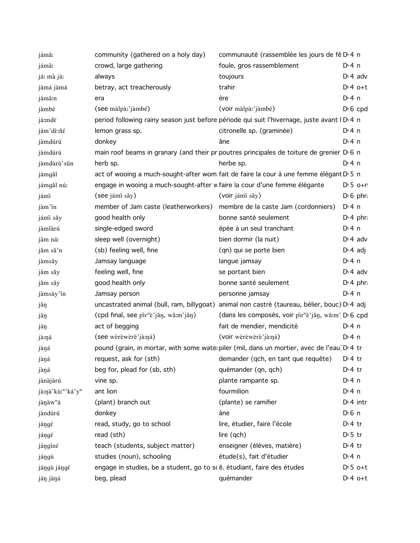| jámâ:                | community (gathered on a holy day)                                        | communauté (rassemblée les jours de fê D <sub>14</sub> n                                                |                  |
|----------------------|---------------------------------------------------------------------------|---------------------------------------------------------------------------------------------------------|------------------|
| jámâ:                | crowd, large gathering                                                    | foule, gros rassemblement                                                                               | $Di$ 4 n         |
| já: mà já:           | always                                                                    | toujours                                                                                                | $Di$ 4 adv       |
| jàmá jàmá            | betray, act treacherously                                                 | trahir                                                                                                  | $D:4$ o+t        |
| jámâ:n               | era                                                                       | ère                                                                                                     | $Di$ 4 n         |
| jàmbé                | (see màlpà:'jàmbé)                                                        | (voir màlpà:'jàmbé)                                                                                     | $D \nvert 6$ cpd |
| já:mdè               |                                                                           | period following rainy season just before période qui suit l'hivernage, juste avant ID <sup>1</sup> 4 n |                  |
| jám'dè:ñé            | lemon grass sp.                                                           | citronelle sp. (graminée)                                                                               | $Di$ 4 n         |
| jàmdúrú              | donkey                                                                    | âne                                                                                                     | $Di$ 4 n         |
| jàmdúrú              |                                                                           | main roof beams in granary (and their pr poutres principales de toiture de grenier D 6 n                |                  |
| jàmdùrù'sûn          | herb sp.                                                                  | herbe sp.                                                                                               | $Di$ 4 n         |
| jámgâl               |                                                                           | act of wooing a much-sought-after wom fait de faire la cour à une femme élégant D 5 n                   |                  |
| jámgâl nú:           | engage in wooing a much-sought-after w faire la cour d'une femme élégante |                                                                                                         | $D:5$ o+r        |
| jámi                 | (see jámi sǎy)                                                            | (voir jámi sǎy)                                                                                         | $D \cdot 6$ phr  |
| jàm'ín               | member of Jam caste (leatherworkers)                                      | membre de la caste Jam (cordonniers)                                                                    | $Di$ 4 n         |
| jámi sǎy             | good health only                                                          | bonne santé seulement                                                                                   | $Di$ 4 phr.      |
| jàmlàrú              | single-edged sword                                                        | épée à un seul tranchant                                                                                | $Di$ 4 n         |
| jâm ná:              | sleep well (overnight)                                                    | bien dormir (la nuit)                                                                                   | $Di$ 4 adv       |
| jâm sâ'n             | (sb) feeling well, fine                                                   | (qn) qui se porte bien                                                                                  | $D \n4$ adj      |
| jàmsǎy               | Jamsay language                                                           | langue jamsay                                                                                           | $Di$ 4 n         |
| jâm săy              | feeling well, fine                                                        | se portant bien                                                                                         | $Di$ 4 adv       |
| jâm săy              | good health only                                                          | bonne santé seulement                                                                                   | $Di$ 4 phr.      |
| jàmsày'ín            | Jamsay person                                                             | personne jamsay                                                                                         | $Di$ 4 n         |
| jǎŋ                  |                                                                           | uncastrated animal (bull, ram, billygoat) animal non castré (taureau, bélier, bouc) D' 4 adj            |                  |
| jǎŋ                  | (cpd final, see pir <sup>n</sup> è'jǎŋ, wǎːm'jǎŋ)                         | (dans les composés, voir pir <sup>n</sup> è'jǎn, wǎːm' D 6 cpd                                          |                  |
| jáŋ                  | act of begging                                                            | fait de mendier, mendicité                                                                              | $Dt$ 4 n         |
| jà:ŋá                | (see wèrèwèrè'jà:na)                                                      | (voir wèrèwèrè'jà:ná)                                                                                   | $Dt$ 4 n         |
| jàŋá                 |                                                                           | pound (grain, in mortar, with some waterpiler (mil, dans un mortier, avec de l'eau) D 4 tr              |                  |
| jàná                 | request, ask for (sth)                                                    | demander (qch, en tant que requête)                                                                     | $D:4$ tr         |
| jàŋá                 | beg for, plead for (sb, sth)                                              | quémander (qn, qch)                                                                                     | $Di4$ tr         |
| jànàjàrú             | vine sp.                                                                  | plante rampante sp.                                                                                     | $Dt$ 4 n         |
| jà:nà'kù:"'ká'y"     | ant lion                                                                  | fourmilion                                                                                              | $Dt$ 4 n         |
| jànàw <sup>n</sup> á | (plant) branch out                                                        | (plante) se ramifier                                                                                    | $Di$ 4 intr      |
| jàndúrú              | donkey                                                                    | âne                                                                                                     | $D0$ n           |
| jángé                | read, study, go to school                                                 | lire, étudier, faire l'école                                                                            | $Dt$ 4 tr        |
| jángé                | read (sth)                                                                | lire (qch)                                                                                              | $D \cdot 5$ tr   |
| jángíné              | teach (students, subject matter)                                          | enseigner (élèves, matière)                                                                             | $Di4$ tr         |
| jángù                | studies (noun), schooling                                                 | étude(s), fait d'étudier                                                                                | $Di$ 4 n         |
| jángù jángé          | engage in studies, be a student, go to scê. étudiant, faire des études    |                                                                                                         | $D:5$ o+t        |
| ján jàná             | beg, plead                                                                | quémander                                                                                               | $Dt 4 0+t$       |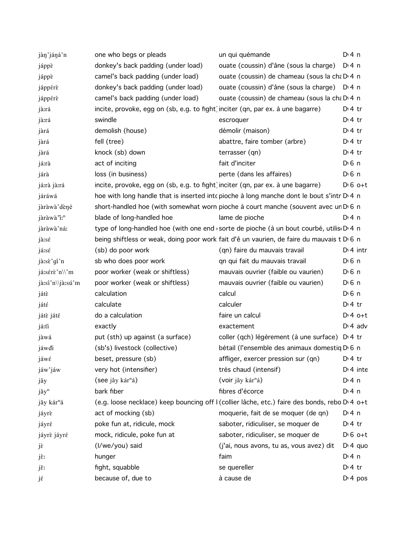| jàn'jáná'n              | one who begs or pleads                                                          | un qui quémande                                                                               | D:4n               |
|-------------------------|---------------------------------------------------------------------------------|-----------------------------------------------------------------------------------------------|--------------------|
| jáppè                   | donkey's back padding (under load)                                              | ouate (coussin) d'âne (sous la charge)                                                        | $Di$ 4 n           |
| jáppè                   | camel's back padding (under load)                                               | ouate (coussin) de chameau (sous la cha D 4 n                                                 |                    |
| jáppérè                 | donkey's back padding (under load)                                              | ouate (coussin) d'âne (sous la charge) D 4 n                                                  |                    |
| jáppérè                 | camel's back padding (under load)                                               | ouate (coussin) de chameau (sous la cha D 4 n                                                 |                    |
| jà:rá                   | incite, provoke, egg on (sb, e.g. to fight) inciter (qn, par ex. à une bagarre) |                                                                                               | $D:4$ tr           |
| jà:rá                   | swindle                                                                         | escroquer                                                                                     | $Di4$ tr           |
| jàrá                    | demolish (house)                                                                | démolir (maison)                                                                              | $Di4$ tr           |
| jàrá                    | fell (tree)                                                                     | abattre, faire tomber (arbre)                                                                 | $Di4$ tr           |
| jàrá                    | knock (sb) down                                                                 | terrasser (qn)                                                                                | $Di4$ tr           |
| já:rà                   | act of inciting                                                                 | fait d'inciter                                                                                | D <sup>i</sup> 6 n |
| járà                    | loss (in business)                                                              | perte (dans les affaires)                                                                     | D <sup>i</sup> 6 n |
| já:rà jà:rá             | incite, provoke, egg on (sb, e.g. to fight) inciter (qn, par ex. à une bagarre) |                                                                                               | $D:6$ o+t          |
| járáwá                  |                                                                                 | hoe with long handle that is inserted into pioche à long manche dont le bout s'intr D'4 n     |                    |
| jàràwà' dèné            |                                                                                 | short-handled hoe (with somewhat worn pioche à court manche (souvent avec un D 6 n            |                    |
| jàràwà "i: <sup>n</sup> | blade of long-handled hoe                                                       | lame de pioche                                                                                | $Di$ 4 n           |
| jàràwà'ná:              |                                                                                 | type of long-handled hoe (with one end (sorte de pioche (à un bout courbé, utilis D 4 n       |                    |
| jà:sé                   |                                                                                 | being shiftless or weak, doing poor work fait d'ê un vaurien, de faire du mauvais t D 6 n     |                    |
| já:sé                   | (sb) do poor work                                                               | (qn) faire du mauvais travail                                                                 | $Di$ 4 intr        |
| jà:sè'gí'n              | sb who does poor work                                                           | qn qui fait du mauvais travail                                                                | D <sup>i</sup> 6 n |
| já:sérè'n\\'m           | poor worker (weak or shiftless)                                                 | mauvais ouvrier (faible ou vaurien)                                                           | D <sup>i</sup> 6 n |
| jà:sí'n\\jà:sú'm        | poor worker (weak or shiftless)                                                 | mauvais ouvrier (faible ou vaurien)                                                           | $D0$ 6 n           |
| játè                    | calculation                                                                     | calcul                                                                                        | $D0$ n             |
| játé                    | calculate                                                                       | calculer                                                                                      | $Di4$ tr           |
| játè játé               | do a calculation                                                                | faire un calcul                                                                               | $D:4$ o+t          |
| já:ti                   | exactly                                                                         | exactement                                                                                    | $D \cdot 4$ adv    |
| jàwá                    | put (sth) up against (a surface)                                                | coller (qch) légèrement (à une surface) D <sub>1</sub> 4 tr                                   |                    |
| jáwdi                   | (sb's) livestock (collective)                                                   | bétail (l'ensemble des animaux domestiq D <sub>0</sub> 6 n                                    |                    |
| jáwé                    | beset, pressure (sb)                                                            | affliger, exercer pression sur (qn)                                                           | $D \cdot 4$ tr     |
| jáw'jáw                 | very hot (intensifier)                                                          | très chaud (intensif)                                                                         | $Di$ 4 inte        |
| jây                     | (see jây kár <sup>n</sup> á)                                                    | (voir jây kár <sup>n</sup> á)                                                                 | $Dt$ 4 n           |
| jǎy <sup>n</sup>        | bark fiber                                                                      | fibres d'écorce                                                                               | $Di$ 4 n           |
| jây kár <sup>n</sup> á  |                                                                                 | (e.g. loose necklace) keep bouncing off I (collier lâche, etc.) faire des bonds, rebo D 4 o+t |                    |
| jáyrè                   | act of mocking (sb)                                                             | moquerie, fait de se moquer (de qn)                                                           | D:4n               |
| jáyré                   | poke fun at, ridicule, mock                                                     | saboter, ridiculiser, se moquer de                                                            | $Di4$ tr           |
| jáyrè jáyré             | mock, ridicule, poke fun at                                                     | saboter, ridiculiser, se moquer de                                                            | $D \nvert 6$ o+t   |
| jε                      | (I/we/you) said                                                                 | (j'ai, nous avons, tu as, vous avez) dit                                                      | $Di 4$ quo         |
| jě:                     | hunger                                                                          | faim                                                                                          | $Di$ 4 n           |
| jě:                     | fight, squabble                                                                 | se quereller                                                                                  | $Di4$ tr           |
| jέ                      | because of, due to                                                              | à cause de                                                                                    | $D: 4$ pos         |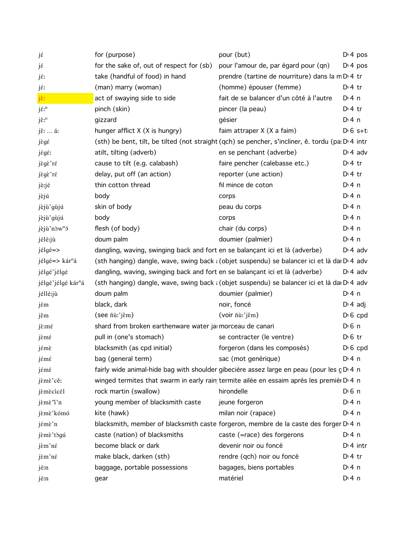| jέ                                    | for (purpose)                                                                | pour (but)                                                                                               | D <sup>t</sup> 4 pos |
|---------------------------------------|------------------------------------------------------------------------------|----------------------------------------------------------------------------------------------------------|----------------------|
| jέ                                    | for the sake of, out of respect for (sb)                                     | pour l'amour de, par égard pour (qn)                                                                     | D <sup>i</sup> 4 pos |
| jé:                                   | take (handful of food) in hand                                               | prendre (tartine de nourriture) dans la mD <sub>1</sub> 4 tr                                             |                      |
| jé:                                   | (man) marry (woman)                                                          | (homme) épouser (femme)                                                                                  | $Di4$ tr             |
| jê:                                   | act of swaying side to side                                                  | fait de se balancer d'un côté à l'autre                                                                  | D:4n                 |
| $j$ $\acute{\epsilon}$ ; <sup>n</sup> | pinch (skin)                                                                 | pincer (la peau)                                                                                         | $Dt$ 4 tr            |
| jê: <sup>n</sup>                      | gizzard                                                                      | gésier                                                                                                   | $Di$ 4 n             |
| jě:  á:                               | hunger afflict X (X is hungry)                                               | faim attraper X (X a faim)                                                                               | $D \cdot 6$ s+t      |
| jègé                                  |                                                                              | (sth) be bent, tilt, be tilted (not straight (qch) se pencher, s'incliner, ê. tordu (pa: D: 4 intr       |                      |
| jégé:                                 | atilt, tilting (adverb)                                                      | en se penchant (adverbe)                                                                                 | $D \cdot 4$ adv      |
| jègè'ré                               | cause to tilt (e.g. calabash)                                                | faire pencher (calebasse etc.)                                                                           | $D:4$ tr             |
| jègè'ré                               | delay, put off (an action)                                                   | reporter (une action)                                                                                    | $Di4$ tr             |
| jè:jé                                 | thin cotton thread                                                           | fil mince de coton                                                                                       | D:4n                 |
| jèjú                                  | body                                                                         | corps                                                                                                    | $Di$ 4 n             |
| jèjù'gùjú                             | skin of body                                                                 | peau du corps                                                                                            | $Di$ 4 n             |
| jèjù'gùjú                             | body                                                                         | corps                                                                                                    | D:4n                 |
| jèjù'nòw <sup>n</sup> ó               | flesh (of body)                                                              | chair (du corps)                                                                                         | $Dt$ 4 n             |
| jélé:jù                               | doum palm                                                                    | doumier (palmier)                                                                                        | $Di$ 4 n             |
| jélgé=>                               | dangling, waving, swinging back and fort en se balançant ici et là (adverbe) |                                                                                                          | $D \cdot 4$ adv      |
| jélgé=> kár <sup>n</sup> á            |                                                                              | (sth hanging) dangle, wave, swing back : (objet suspendu) se balancer ici et là dai D <sub>1</sub> 4 adv |                      |
| jélgé'jélgé                           | dangling, waving, swinging back and fort en se balançant ici et là (adverbe) |                                                                                                          | $D \cdot 4$ adv      |
| jélgé'jélgé kár <sup>n</sup> á        |                                                                              | (sth hanging) dangle, wave, swing back : (objet suspendu) se balancer ici et là dai D' 4 adv             |                      |
| jéllé:jù                              | doum palm                                                                    | doumier (palmier)                                                                                        | $Di$ 4 n             |
| jém                                   | black, dark                                                                  | noir, foncé                                                                                              | $D \cdot 4$ adj      |
| jêm                                   | $($ see $ñ\`u$ :' $j\hat{\epsilon}$ m $)$                                    | (voir ñù:'jêm)                                                                                           | $D16$ cpd            |
| jè:mé                                 | shard from broken earthenware water jamorceau de canari                      |                                                                                                          | D <sup>i</sup> 6 n   |
| jèmé                                  | pull in (one's stomach)                                                      | se contracter (le ventre)                                                                                | $D \nvert 6$ tr      |
| jémè                                  | blacksmith (as cpd initial)                                                  | forgeron (dans les composés)                                                                             | $D \nvert 6$ cpd     |
| jémé                                  | bag (general term)                                                           | sac (mot genérique)                                                                                      | $Dt$ 4 n             |
| jémé                                  |                                                                              | fairly wide animal-hide bag with shoulder gibecière assez large en peau (pour les c D 4 n                |                      |
| jèmè'cě:                              |                                                                              | winged termites that swarm in early rain termite ailée en essaim après les premièr D 4 n                 |                      |
| jèmècicél                             | rock martin (swallow)                                                        | hirondelle                                                                                               | D <sup>i</sup> 6 n   |
| jèmè <sup>n</sup> 'n                  | young member of blacksmith caste                                             | jeune forgeron                                                                                           | $Di$ 4 n             |
| jèmè'kómó                             | kite (hawk)                                                                  | milan noir (rapace)                                                                                      | $Di$ 4 n             |
| jémè'n                                |                                                                              | blacksmith, member of blacksmith caste forgeron, membre de la caste des forger D 4 n                     |                      |
| jèmè'tògú                             | caste (nation) of blacksmiths                                                | caste (=race) des forgerons                                                                              | D:4n                 |
| jèm'né                                | become black or dark                                                         | devenir noir ou foncé                                                                                    | $Di$ 4 intr          |
| jèm'né                                | make black, darken (sth)                                                     | rendre (qch) noir ou foncé                                                                               | $Di$ 4 tr            |
| jé:n                                  | baggage, portable possessions                                                | bagages, biens portables                                                                                 | $Di$ 4 n             |
| jé:n                                  | gear                                                                         | matériel                                                                                                 | $Di$ 4 n             |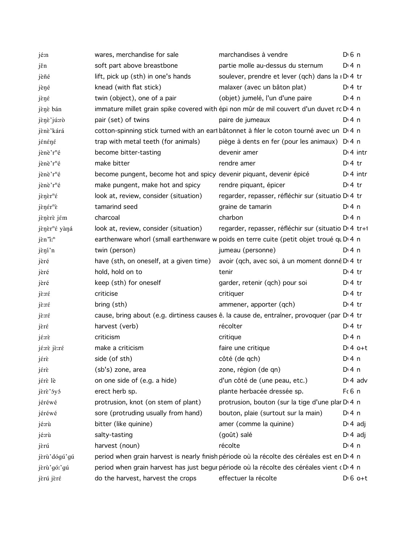| jé:n                                                | wares, merchandise for sale                                                                | marchandises à vendre                                                                                  | D <sup>i</sup> 6 n |
|-----------------------------------------------------|--------------------------------------------------------------------------------------------|--------------------------------------------------------------------------------------------------------|--------------------|
| jěn                                                 | soft part above breastbone                                                                 | partie molle au-dessus du sternum                                                                      | $Di$ 4 n           |
| jèñé                                                | lift, pick up (sth) in one's hands                                                         | soulever, prendre et lever (qch) dans la i DI4 tr                                                      |                    |
| jèné                                                | knead (with flat stick)                                                                    | malaxer (avec un bâton plat)                                                                           | $D:4$ tr           |
| jèné                                                | twin (object), one of a pair                                                               | (objet) jumelé, l'un d'une paire                                                                       | $Dt$ n             |
| jènè bán                                            | immature millet grain spike covered with épi non mûr de mil couvert d'un duvet rc D' 4 n   |                                                                                                        |                    |
| jènè'jú:rò                                          | pair (set) of twins                                                                        | paire de jumeaux                                                                                       | $Di$ 4 n           |
| jènè'kárá                                           |                                                                                            | cotton-spinning stick turned with an eart bâtonnet à filer le coton tourné avec un D <sub>14</sub> n   |                    |
| jénéné                                              | trap with metal teeth (for animals)                                                        | piège à dents en fer (pour les animaux) D <sub>14</sub> n                                              |                    |
| jènè'r <sup>n</sup> é                               | become bitter-tasting                                                                      | devenir amer                                                                                           | $Dt$ 4 intr        |
| jènè'r <sup>n</sup> é                               | make bitter                                                                                | rendre amer                                                                                            | $D:4$ tr           |
| jènè'r <sup>n</sup> é                               | become pungent, become hot and spicy devenir piquant, devenir épicé                        |                                                                                                        | $Di$ 4 intr        |
| jènè'r <sup>n</sup> é                               | make pungent, make hot and spicy                                                           | rendre piquant, épicer                                                                                 | $D:4$ tr           |
| $j$ $\epsilon$ n $\epsilon$ <sup>n</sup> $\epsilon$ | look at, review, consider (situation)                                                      | regarder, repasser, réfléchir sur (situatio D 4 tr                                                     |                    |
| jènér <sup>n</sup> è                                | tamarind seed                                                                              | graine de tamarin                                                                                      | $Dt$ 4 n           |
| jenere jém                                          | charcoal                                                                                   | charbon                                                                                                | $Di$ 4 n           |
| jènèr <sup>n</sup> é yàná                           | look at, review, consider (situation)                                                      | regarder, repasser, réfléchir sur (situatio D 4 tr+1                                                   |                    |
| jèn "i: <sup>n</sup>                                |                                                                                            | earthenware whorl (small earthenware w poids en terre cuite (petit objet troué qu D 4 n                |                    |
| jèní'n                                              | twin (person)                                                                              | jumeau (personne)                                                                                      | $Dt$ n             |
| jèré                                                | have (sth, on oneself, at a given time)                                                    | avoir (qch, avec soi, à un moment donné D <sub>14</sub> tr                                             |                    |
| jèré                                                | hold, hold on to                                                                           | tenir                                                                                                  | $Dt$ + tr          |
| jèré                                                | keep (sth) for oneself                                                                     | garder, retenir (qch) pour soi                                                                         | $D:4$ tr           |
| jè:ré                                               | criticise                                                                                  | critiquer                                                                                              | $D:4$ tr           |
| jè:ré                                               | bring (sth)                                                                                | ammener, apporter (qch)                                                                                | $Di4$ tr           |
| $j\hat{\epsilon}$ :r $\hat{\epsilon}$               | cause, bring about (e.g. dirtiness causes ê. la cause de, entraîner, provoquer (par D 4 tr |                                                                                                        |                    |
| jèré                                                | harvest (verb)                                                                             | récolter                                                                                               | $Dt$ + tr          |
| jé:rè                                               | criticism                                                                                  | critique                                                                                               | $Di$ 4 n           |
| jé:rè jè:ré                                         | make a criticism                                                                           | faire une critique                                                                                     | $Dt 4 0+t$         |
| jérè                                                | side (of sth)                                                                              | côté (de qch)                                                                                          | $Di$ 4 n           |
| jérè                                                | (sb's) zone, area                                                                          | zone, région (de qn)                                                                                   | $Di$ 4 n           |
| jérè lè                                             | on one side of (e.g. a hide)                                                               | d'un côté de (une peau, etc.)                                                                          | $Di$ 4 adv         |
| jere' óyó                                           | erect herb sp.                                                                             | plante herbacée dressée sp.                                                                            | $F6$ n             |
| jéréwé                                              | protrusion, knot (on stem of plant)                                                        | protrusion, bouton (sur la tige d'une plar D 4 n                                                       |                    |
| jéréwé                                              | sore (protruding usually from hand)                                                        | bouton, plaie (surtout sur la main)                                                                    | $Di$ 4 n           |
| jé:rù                                               | bitter (like quinine)                                                                      | amer (comme la quinine)                                                                                | $D \cdot 4$ adj    |
| jé:rù                                               | salty-tasting                                                                              | (goût) salé                                                                                            | $D \cdot 4$ adj    |
| jèrú                                                | harvest (noun)                                                                             | récolte                                                                                                | $Di$ 4 n           |
| jèrù'dógú'gú                                        |                                                                                            | period when grain harvest is nearly finish période où la récolte des céréales est en D <sub>14</sub> n |                    |
| jèrù'gó:'gú                                         |                                                                                            | period when grain harvest has just begur période où la récolte des céréales vient (DI4 n               |                    |
| jèrú jèré                                           | do the harvest, harvest the crops                                                          | effectuer la récolte                                                                                   | $D \nvert 6$ o+t   |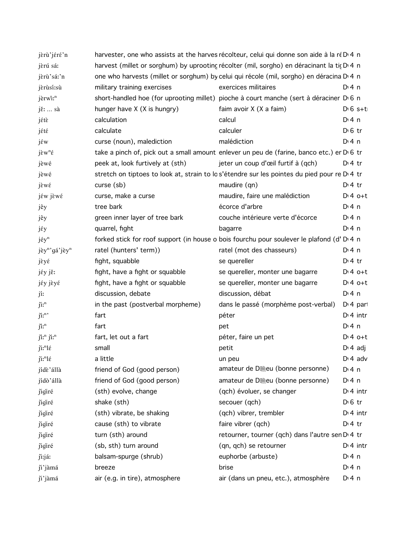| jèrù'jéré'n                            | harvester, one who assists at the harves récolteur, celui qui donne son aide à la ré D 4 n |                                                                                             |                 |
|----------------------------------------|--------------------------------------------------------------------------------------------|---------------------------------------------------------------------------------------------|-----------------|
| jèrú sá:                               | harvest (millet or sorghum) by uprooting récolter (mil, sorgho) en déracinant la tig D 4 n |                                                                                             |                 |
| jèrù'sáː'n                             | one who harvests (millet or sorghum) by celui qui récole (mil, sorgho) en déracina D 4 n   |                                                                                             |                 |
| jèrùsí:sù                              | military training exercises                                                                | exercices militaires                                                                        | D: 4 n          |
| jèrwî: <sup>n</sup>                    |                                                                                            | short-handled hoe (for uprooting millet) pioche à court manche (sert à déraciner D 6 n      |                 |
| jě:  sà                                | hunger have X (X is hungry)                                                                | faim avoir X (X a faim)                                                                     | $D \cdot 6$ s+t |
| jétè                                   | calculation                                                                                | calcul                                                                                      | $Di$ 4 n        |
| jété                                   | calculate                                                                                  | calculer                                                                                    | $D \n6$ tr      |
| jέw                                    | curse (noun), malediction                                                                  | malédiction                                                                                 | $Di$ 4 n        |
| $j\tilde{\epsilon}w^n\tilde{\epsilon}$ |                                                                                            | take a pinch of, pick out a small amount enlever un peu de (farine, banco etc.) er D 6 tr   |                 |
| jèwé                                   | peek at, look furtively at (sth)                                                           | jeter un coup d'œil furtif à (qch)                                                          | $D \cdot 4$ tr  |
| jèwé                                   |                                                                                            | stretch on tiptoes to look at, strain to los'étendre sur les pointes du pied pour re D'4 tr |                 |
| jèwé                                   | $curse$ $(sb)$                                                                             | maudire (qn)                                                                                | $D \cdot 4$ tr  |
| jéw jèwé                               | curse, make a curse                                                                        | maudire, faire une malédiction                                                              | $Dt 4 0+t$      |
| jêy                                    | tree bark                                                                                  | écorce d'arbre                                                                              | $Di$ 4 n        |
| jêy                                    | green inner layer of tree bark                                                             | couche intérieure verte d'écorce                                                            | $Di$ 4 n        |
| jέy                                    | quarrel, fight                                                                             | bagarre                                                                                     | $Di$ 4 n        |
| jéy <sup>n</sup>                       |                                                                                            | forked stick for roof support (in house o bois fourchu pour soulever le plafond (d' D 4 n   |                 |
| jèy <sup>n</sup> 'gá'jèy <sup>n</sup>  | ratel (hunters' term))                                                                     | ratel (mot des chasseurs)                                                                   | $Di$ 4 n        |
| jèyé                                   | fight, squabble                                                                            | se quereller                                                                                | $D \cdot 4$ tr  |
| jéy jě:                                | fight, have a fight or squabble                                                            | se quereller, monter une bagarre                                                            | $Dt 4 0+t$      |
| jéy jèyé                               | fight, have a fight or squabble                                                            | se quereller, monter une bagarre                                                            | $Dt 4 0+t$      |
| jí:                                    | discussion, debate                                                                         | discussion, débat                                                                           | $Di$ 4 n        |
| $j$ i: $n$                             | in the past (postverbal morpheme)                                                          | dans le passé (morphème post-verbal)                                                        | $Di$ 4 part     |
| $\tilde{\mu}^n$                        | fart                                                                                       | péter                                                                                       | $Di$ 4 intr     |
| jî: <sup>n</sup>                       | fart                                                                                       | pet                                                                                         | $Di$ 4 n        |
| ji:" ji:"                              | fart, let out a fart                                                                       | péter, faire un pet                                                                         | $D:4$ o+t       |
| $j$ i:" $l$                            | small                                                                                      | petit                                                                                       | $D \cdot 4$ adj |
| $j$ i:" $l \in$                        | a little                                                                                   | un peu                                                                                      | $D \cdot 4$ adv |
| jídè'állà                              | friend of God (good person)                                                                | amateur de D .eu (bonne personne)                                                           | D: 4 n          |
| jídò'állà                              | friend of God (good person)                                                                | amateur de D .eu (bonne personne)                                                           | $Dt$ 4 n        |
| jigiré                                 | (sth) evolve, change                                                                       | (qch) évoluer, se changer                                                                   | $D:4$ intr      |
| jigiré                                 | shake (sth)                                                                                | secouer (qch)                                                                               | $D \n6$ tr      |
| jigiré                                 | (sth) vibrate, be shaking                                                                  | (qch) vibrer, trembler                                                                      | $D:4$ intr      |
| jigiré                                 | cause (sth) to vibrate                                                                     | faire vibrer (qch)                                                                          | $Di4$ tr        |
| jigiré                                 | turn (sth) around                                                                          | retourner, tourner (qch) dans l'autre sen D <sub>1</sub> 4 tr                               |                 |
| jigiré                                 | (sb, sth) turn around                                                                      | (qn, qch) se retourner                                                                      | $Di$ 4 intr     |
| ji:jáː                                 | balsam-spurge (shrub)                                                                      | euphorbe (arbuste)                                                                          | $Di$ 4 n        |
| ji'jàmá                                | breeze                                                                                     | brise                                                                                       | $Di$ 4 n        |
| ji'jàmá                                | air (e.g. in tire), atmosphere                                                             | air (dans un pneu, etc.), atmosphère                                                        | $Di$ 4 n        |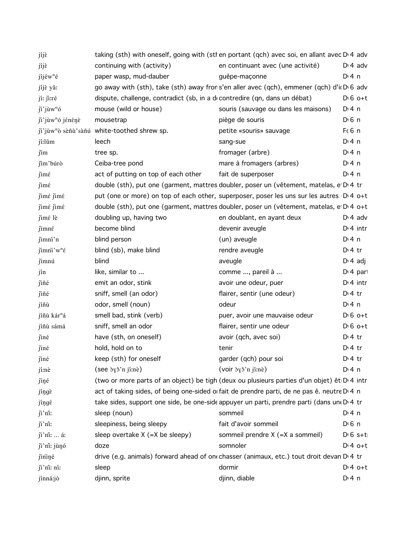| jíjè                         |                                                                           | taking (sth) with oneself, going with (stl en portant (qch) avec soi, en allant avec D'4 adv             |                  |
|------------------------------|---------------------------------------------------------------------------|----------------------------------------------------------------------------------------------------------|------------------|
| jíjè                         | continuing with (activity)                                                | en continuant avec (une activité)                                                                        | $D: 4$ adv       |
| jíjéw <sup>n</sup> é         | paper wasp, mud-dauber                                                    | guêpe-maçonne                                                                                            | $Di$ 4 n         |
| jíjè yǎ:                     |                                                                           | go away with (sth), take (sth) away frons'en aller avec (qch), emmener (qch) d'i D 6 adv                 |                  |
| jí: ji:ré                    | dispute, challenge, contradict (sb, in a decontredire (qn, dans un débat) |                                                                                                          | $D \nvert 6$ o+t |
| ji'jùw <sup>n</sup> ó        | mouse (wild or house)                                                     | souris (sauvage ou dans les maisons)                                                                     | $Di$ 4 n         |
| ji'jùw <sup>n</sup> ó jénénè | mousetrap                                                                 | piège de souris                                                                                          | $D \n6$ n        |
|                              | ji'jùw <sup>n</sup> ò sèñù'sàñú white-toothed shrew sp.                   | petite «souris» sauvage                                                                                  | Fc6n             |
| jí:lŭm                       | leech                                                                     | sang-sue                                                                                                 | $Di$ 4 n         |
| jím                          | tree sp.                                                                  | fromager (arbre)                                                                                         | $Di$ 4 n         |
| jím'búrò                     | Ceiba-tree pond                                                           | mare à fromagers (arbres)                                                                                | $Di$ 4 n         |
| $\lim_{\epsilon}$            | act of putting on top of each other                                       | fait de superposer                                                                                       | $Di$ 4 n         |
| jimé                         |                                                                           | double (sth), put one (garment, mattres doubler, poser un (vêtement, matelas, e D 4 tr                   |                  |
| jimé jimé                    |                                                                           | put (one or more) on top of each other, superposer, poser les uns sur les autres D <sub>1</sub> 4 o+t    |                  |
| jimé jimé                    |                                                                           | double (sth), put one (garment, mattres doubler, poser un (vêtement, matelas, e D 4 o+t                  |                  |
| jimé lè                      | doubling up, having two                                                   | en doublant, en ayant deux                                                                               | $D \cdot 4$ adv  |
| jimné                        | become blind                                                              | devenir aveugle                                                                                          | $Di$ 4 intr      |
| jimní'n                      | blind person                                                              | (un) aveugle                                                                                             | $Di$ 4 n         |
| $\limsup^n w^n \in$          | blind (sb), make blind                                                    | rendre aveugle                                                                                           | $D \cdot 4$ tr   |
| jimnú                        | blind                                                                     | aveugle                                                                                                  | $D: 4$ adj       |
| jín                          | like, similar to                                                          | comme , pareil à                                                                                         | $Di$ 4 part      |
| jiñé                         | emit an odor, stink                                                       | avoir une odeur, puer                                                                                    | $Di$ 4 intr      |
| jiñé                         | sniff, smell (an odor)                                                    | flairer, sentir (une odeur)                                                                              | $Di4$ tr         |
| jíñù                         | odor, smell (noun)                                                        | odeur                                                                                                    | $Di$ 4 n         |
| jíñù kár <sup>n</sup> á      | smell bad, stink (verb)                                                   | puer, avoir une mauvaise odeur                                                                           | $D \cdot 6$ o+t  |
| jíñù sámá                    | sniff, smell an odor                                                      | flairer, sentir une odeur                                                                                | $D \cdot 6$ o+t  |
| jiné                         | have (sth, on oneself)                                                    | avoir (qch, avec soi)                                                                                    | $Di4$ tr         |
| jiné                         | hold, hold on to                                                          | tenir                                                                                                    | $Dt$ 4 tr        |
| jiné                         | keep (sth) for oneself                                                    | garder (qch) pour soi                                                                                    | $Di 4$ tr        |
| jí:nè                        | (see byš'n jí:nè)                                                         | (voir <i>by</i> <sup>3</sup> 'n jí:nè)                                                                   | $Di$ 4 n         |
| jiné                         |                                                                           | (two or more parts of an object) be tigh (deux ou plusieurs parties d'un objet) êt D <sub>'</sub> 4 intr |                  |
| jíngè                        |                                                                           | act of taking sides, of being one-sided oi fait de prendre parti, de ne pas ê. neutre D'4 n              |                  |
| jíngé                        |                                                                           | take sides, support one side, be one-side appuyer un parti, prendre parti (dans une D'4 tr               |                  |
| ji'ni:                       | sleep (noun)                                                              | sommeil                                                                                                  | $Di$ 4 n         |
| ji'ni:                       | sleepiness, being sleepy                                                  | fait d'avoir sommeil                                                                                     | $D \n6$ n        |
| $ji'$ ni:  á:                | sleep overtake $X (=X$ be sleepy)                                         | sommeil prendre X (=X a sommeil)                                                                         | $D \nvert 6 s+t$ |
| ji'ni: jùnó                  | doze                                                                      | somnoler                                                                                                 | $Di4$ o+t        |
| jininé                       |                                                                           | drive (e.g. animals) forward ahead of on chasser (animaux, etc.) tout droit devan D 4 tr                 |                  |
| ji'ni: ní:                   | sleep                                                                     | dormir                                                                                                   | $D:4$ o+t        |
| jínná:jò                     | djinn, sprite                                                             | djinn, diable                                                                                            | $Dt$ 4 n         |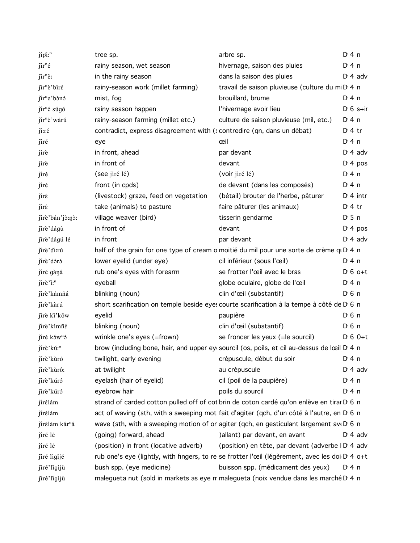| jípî: <sup>n</sup>                    | tree sp.                                                               | arbre sp.                                                                                                 | $Di$ 4 n              |
|---------------------------------------|------------------------------------------------------------------------|-----------------------------------------------------------------------------------------------------------|-----------------------|
| $\tilde{\text{I}}$ ir <sup>n</sup> é  | rainy season, wet season                                               | hivernage, saison des pluies                                                                              | $Di$ 4 n              |
| $\tilde{\text{I}}$ ir <sup>n</sup> ê: | in the rainy season                                                    | dans la saison des pluies                                                                                 | $D \cdot 4$ adv       |
| jir <sup>n</sup> è'biré               | rainy-season work (millet farming)                                     | travail de saison pluvieuse (culture du mi D <sub>14</sub> n                                              |                       |
| jir <sup>n</sup> e'bònó               | mist, fog                                                              | brouillard, brume                                                                                         | $Di$ 4 n              |
| jir <sup>n</sup> é súgó               | rainy season happen                                                    | l'hivernage avoir lieu                                                                                    | $D \cdot 6$ s+ir      |
| jir <sup>n</sup> è'wárú               | rainy-season farming (millet etc.)                                     | culture de saison pluvieuse (mil, etc.)                                                                   | $Di$ 4 n              |
| ji:ré                                 | contradict, express disagreement with (scontredire (qn, dans un débat) |                                                                                                           | $Di4$ tr              |
| jiré                                  | eye                                                                    | œil                                                                                                       | $Di$ 4 n              |
| jírè                                  | in front, ahead                                                        | par devant                                                                                                | $D \cdot 4$ adv       |
| jírè                                  | in front of                                                            | devant                                                                                                    | $Di$ 4 pos            |
| jíré                                  | (see jíré lé)                                                          | (voir jíré lé)                                                                                            | $Di$ 4 n              |
| jíré                                  | front (in cpds)                                                        | de devant (dans les composés)                                                                             | $Dt$ 4 n              |
| jiré                                  | (livestock) graze, feed on vegetation                                  | (bétail) brouter de l'herbe, pâturer                                                                      | $Di$ 4 intr           |
| jirέ                                  | take (animals) to pasture                                              | faire pâturer (les animaux)                                                                               | $Di4$ tr              |
| jirè'bán'jò:nò:                       | village weaver (bird)                                                  | tisserin gendarme                                                                                         | $D \cdot 5$ n         |
| jirè'dágù                             | in front of                                                            | devant                                                                                                    | $Di$ 4 pos            |
| jirè'dágú lé                          | in front                                                               | par devant                                                                                                | $D \cdot 4$ adv       |
| jirè'di:rú                            |                                                                        | half of the grain for one type of cream o moitié du mil pour une sorte de crème qu D 4 n                  |                       |
| jirè'dóró                             | lower eyelid (under eye)                                               | cil inférieur (sous l'œil)                                                                                | $Di$ 4 n              |
| jiré gàná                             | rub one's eyes with forearm                                            | se frotter l'œil avec le bras                                                                             | $D \cdot 6$ o+t       |
| $\tilde{\text{I}}$ irè "i:"           | eyeball                                                                | globe oculaire, globe de l'œil                                                                            | $Di$ 4 n              |
| jirè'kámñá                            | blinking (noun)                                                        | clin d'œil (substantif)                                                                                   | $D \n6$ n             |
| jirè'kàrú                             |                                                                        | short scarification on temple beside eyes courte scarification à la tempe à côté de D 6 n                 |                       |
| jirè ki'kǒw                           | eyelid                                                                 | paupière                                                                                                  | $D \n6$ n             |
| jirè'kimñé                            | blinking (noun)                                                        | clin d'œil (substantif)                                                                                   | $D \nvert 6 \nvert n$ |
| jiré ków <sup>n</sup> ó               | wrinkle one's eyes (=frown)                                            | se froncer les yeux (= le sourcil)                                                                        | $D \cdot 6$ $0+t$     |
| jirè'kú: <sup>n</sup>                 |                                                                        | brow (including bone, hair, and upper eye sourcil (os, poils, et cil au-dessus de lœil D 4 n              |                       |
| jirè'kùró                             | twilight, early evening example and the crépuscule, début du soir      |                                                                                                           | $Di$ 4 n              |
| jirè'kùrô:                            | at twilight                                                            | au crépuscule                                                                                             | $D \cdot 4$ adv       |
| jirè'kúró                             | eyelash (hair of eyelid)                                               | cil (poil de la paupière)                                                                                 | $Dt$ 4 n              |
| jirè'kúró                             | eyebrow hair                                                           | poils du sourcil                                                                                          | $Di$ 4 n              |
| jírélám                               |                                                                        | strand of carded cotton pulled off of cot brin de coton cardé qu'on enlève en tirar D 6 n                 |                       |
| jírélám                               |                                                                        | act of waving (sth, with a sweeping motifait d'agiter (qch, d'un côté à l'autre, en D 6 n                 |                       |
| jírélám kár <sup>n</sup> á            |                                                                        | wave (sth, with a sweeping motion of on agiter (gch, en gesticulant largement ave D 6 n                   |                       |
| jíré lé                               | (going) forward, ahead                                                 | ) allant) par devant, en avant                                                                            | $D: 4$ adv            |
| jíré lé                               | (position) in front (locative adverb)                                  | (position) en tête, par devant (adverbe ID <sup>1</sup> 4 adv                                             |                       |
| jiré lígíjé                           |                                                                        | rub one's eye (lightly, with fingers, to re se frotter l'œil (légèrement, avec les doi D <sub>140+t</sub> |                       |
| jiré'ligíjù                           | bush spp. (eye medicine)                                               | buisson spp. (médicament des yeux)                                                                        | D:4n                  |
| jiré'ligíjù                           |                                                                        | malegueta nut (sold in markets as eye m malegueta (noix vendue dans les marché D'4 n                      |                       |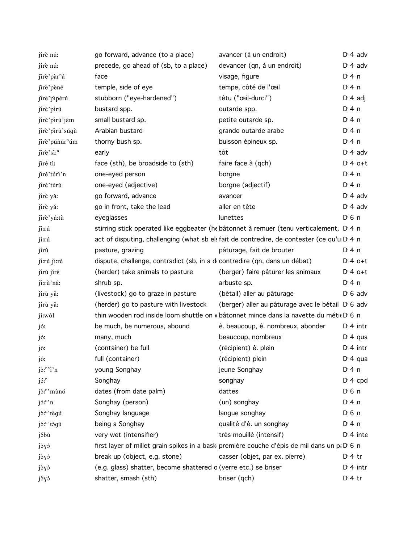| jírè nú:                                         | go forward, advance (to a place)                                          | avancer (à un endroit)                                                                      | $D \cdot 4$ adv       |
|--------------------------------------------------|---------------------------------------------------------------------------|---------------------------------------------------------------------------------------------|-----------------------|
| jírè nú:                                         | precede, go ahead of (sb, to a place)                                     | devancer (qn, à un endroit)                                                                 | $D \cdot 4$ adv       |
| jirè'pàr <sup>n</sup> á                          | face                                                                      | visage, figure                                                                              | $Di$ 4 n              |
| jirè'pèné                                        | temple, side of eye                                                       | tempe, côté de l'œil                                                                        | $Di$ 4 n              |
| jirè'pipèrú                                      | stubborn ("eye-hardened")                                                 | têtu ("œil-durci")                                                                          | $Di 4$ adj            |
| jirè'pirú                                        | bustard spp.                                                              | outarde spp.                                                                                | $Di$ 4 n              |
| jirè'pirù'jém                                    | small bustard sp.                                                         | petite outarde sp.                                                                          | $Di$ 4 n              |
| jirè'pirù'súgù                                   | Arabian bustard                                                           | grande outarde arabe                                                                        | $Di$ 4 n              |
| jirè'púñúr <sup>n</sup> úm                       | thorny bush sp.                                                           | buisson épineux sp.                                                                         | $Di$ 4 n              |
| jirè'si: <sup>n</sup>                            | early                                                                     | tôt                                                                                         | $D \cdot 4$ adv       |
| jiré tí:                                         | face (sth), be broadside to (sth)                                         | faire face à (qch)                                                                          | $Dt 4 0+t$            |
| jiré'túri'n                                      | one-eyed person                                                           | borgne                                                                                      | $Di$ 4 n              |
| jiré'túrù                                        | one-eyed (adjective)                                                      | borgne (adjectif)                                                                           | $Di$ 4 n              |
| jírè yǎ:                                         | go forward, advance                                                       | avancer                                                                                     | $Di$ 4 adv            |
| jírè yǎ:                                         | go in front, take the lead                                                | aller en tête                                                                               | $Di$ 4 adv            |
| jirè'yá:tù                                       | eyeglasses                                                                | lunettes                                                                                    | $D \n6$ n             |
| ji:rú                                            |                                                                           | stirring stick operated like eggbeater (he bâtonnet à remuer (tenu verticalement, D.4 n     |                       |
| jí:rú                                            |                                                                           | act of disputing, challenging (what sb els fait de contredire, de contester (ce qu'u D 4 n  |                       |
| jírù                                             | pasture, grazing                                                          | pâturage, fait de brouter                                                                   | $Di$ 4 n              |
| jí:rú ji:ré                                      | dispute, challenge, contradict (sb, in a decontredire (qn, dans un débat) |                                                                                             | $Dt 4 0+t$            |
| jírù jiré                                        | (herder) take animals to pasture                                          | (berger) faire pâturer les animaux                                                          | $Dt 4 0+t$            |
| ji:rù'ná:                                        | shrub sp.                                                                 | arbuste sp.                                                                                 | $Di$ 4 n              |
| jírù yǎ:                                         | (livestock) go to graze in pasture                                        | (bétail) aller au pâturage                                                                  | $D \cdot 6$ adv       |
| jírù yǎ:                                         | (herder) go to pasture with livestock                                     | (berger) aller au pâturage avec le bétail D 6 adv                                           |                       |
| jí:wôl                                           |                                                                           | thin wooden rod inside loom shuttle on v bâtonnet mince dans la navette du métie D 6 n      |                       |
| jó:                                              | be much, be numerous, abound                                              | ê. beaucoup, ê. nombreux, abonder                                                           | $Di$ 4 intr           |
| jó:                                              | many, much                                                                | beaucoup, nombreux                                                                          | $Di$ 4 qua            |
| jó:                                              | (container) be full                                                       | (récipient) ê. plein                                                                        | $Di$ 4 intr           |
| jó:                                              | full (container)                                                          | (récipient) plein                                                                           | $Di$ 4 qua            |
| $j\delta$ <sup>n</sup> $\gamma$ <sup>n</sup> $n$ | young Songhay                                                             | jeune Songhay                                                                               | $Di$ 4 n              |
| $j5r^n$                                          | Songhay                                                                   | songhay                                                                                     | $Di 4$ cpd            |
| jò: <sup>n</sup> 'mùnó                           | dates (from date palm)                                                    | dattes                                                                                      | $D \nvert 6 \nvert n$ |
| $j$ $\mathfrak{I}$ : $n$ $\mathfrak{I}$          | Songhay (person)                                                          | (un) songhay                                                                                | $Di$ 4 n              |
| jò:"'tègú                                        | Songhay language                                                          | langue songhay                                                                              | $D \nvert 6 \nvert n$ |
| jò: <sup>n</sup> 'tògú                           | being a Songhay                                                           | qualité d'ê. un songhay                                                                     | $Di$ 4 n              |
| jóbù                                             | very wet (intensifier)                                                    | très mouillé (intensif)                                                                     | $Di$ 4 inte           |
| jòyó                                             |                                                                           | first layer of millet grain spikes in a bask première couche d'épis de mil dans un p. D 6 n |                       |
| jòyó                                             | break up (object, e.g. stone)                                             | casser (objet, par ex. pierre)                                                              | $D:4$ tr              |
| jòyó                                             | (e.g. glass) shatter, become shattered o (verre etc.) se briser           |                                                                                             | $Di$ 4 intr           |
| jòyó                                             | shatter, smash (sth)                                                      | briser (qch)                                                                                | $Di4$ tr              |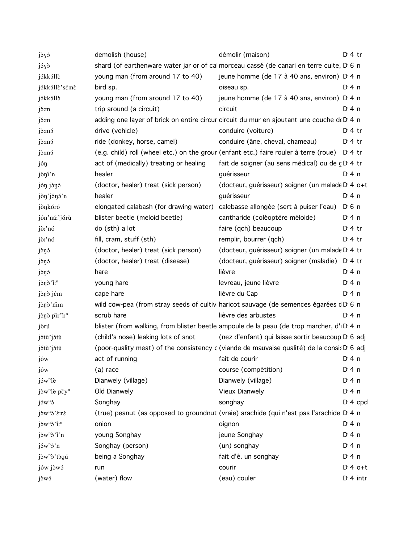| jòyó                               | demolish (house)                       | démolir (maison)                                                                                       | D <sup>i</sup> 4 tr |
|------------------------------------|----------------------------------------|--------------------------------------------------------------------------------------------------------|---------------------|
| jóyò                               |                                        | shard (of earthenware water jar or of cal morceau cassé (de canari en terre cuite, D 6 n               |                     |
| jókkóllè                           | young man (from around 17 to 40)       | jeune homme (de 17 à 40 ans, environ) D <sub>14</sub> n                                                |                     |
| jókkóllè'sé:nè                     | bird sp.                               | oiseau sp.                                                                                             | D:4n                |
| jókkólló                           | young man (from around 17 to 40)       | jeune homme (de 17 à 40 ans, environ) D <sub>1</sub> 4 n                                               |                     |
| jš:m                               | trip around (a circuit)                | circuit                                                                                                | D:4n                |
| jš:m                               |                                        | adding one layer of brick on entire circur circuit du mur en ajoutant une couche de D 4 n              |                     |
| $j\$ {cm}                          | drive (vehicle)                        | conduire (voiture)                                                                                     | $D:4$ tr            |
| j <sub>o</sub> m <sub>5</sub>      | ride (donkey, horse, camel)            | conduire (âne, cheval, chameau)                                                                        | $D \cdot 4$ tr      |
| j <sub>o</sub> m <sub>5</sub>      |                                        | (e.g. child) roll (wheel etc.) on the grour (enfant etc.) faire rouler à terre (roue) D.4 tr           |                     |
| jóŋ                                | act of (medically) treating or healing | fait de soigner (au sens médical) ou de c D 4 tr                                                       |                     |
| jòní'n                             | healer                                 | guérisseur                                                                                             | D:4n                |
| jón jònó                           | (doctor, healer) treat (sick person)   | (docteur, guérisseur) soigner (un malade D' 4 o+t                                                      |                     |
| jòn'jónó'n                         | healer                                 | guérisseur                                                                                             | D: 4n               |
| jònkóró                            | elongated calabash (for drawing water) | calebasse allongée (sert à puiser l'eau)                                                               | $D0$ n              |
| jón'ná:'jórù                       | blister beetle (meloid beetle)         | cantharide (coléoptère méloide)                                                                        | $Di$ 4 n            |
| jò:'nó                             | do (sth) a lot                         | faire (qch) beaucoup                                                                                   | $D \cdot 4$ tr      |
| jò:'nó                             | fill, cram, stuff (sth)                | remplir, bourrer (qch)                                                                                 | $D \cdot 4$ tr      |
| jòŋó                               | (doctor, healer) treat (sick person)   | (docteur, guérisseur) soigner (un malade D 4 tr                                                        |                     |
| jòŋó                               | (doctor, healer) treat (disease)       | (docteur, guérisseur) soigner (maladie) D 4 tr                                                         |                     |
| jòŋó                               | hare                                   | lièvre                                                                                                 | $Di$ 4 n            |
| jòn<br>d'in                        | young hare                             | levreau, jeune lièvre                                                                                  | $Di$ 4 n            |
| jònò jém                           | cape hare                              | lièvre du Cap                                                                                          | D:4n                |
| jònò'nim                           |                                        | wild cow-pea (from stray seeds of cultivi haricot sauvage (de semences égarées cDG n                   |                     |
| jònò pir"i: <sup>n</sup>           | scrub hare                             | lièvre des arbustes                                                                                    | D:4n                |
| jòrú                               |                                        | blister (from walking, from blister beetle ampoule de la peau (de trop marcher, d'IDI4 n               |                     |
| jótù'jótù                          | (child's nose) leaking lots of snot    | (nez d'enfant) qui laisse sortir beaucoup D 6 adj                                                      |                     |
| jótù'jótù                          |                                        | (poor-quality meat) of the consistency c (viande de mauvaise qualité) de la consis D <sub>'6</sub> adj |                     |
| jów                                | act of running                         | fait de courir                                                                                         | D:4n                |
| jów                                | (a) race                               | course (compétition)                                                                                   | $Dt$ 4 n            |
| jów <sup>n</sup> lè                | Dianwely (village)                     | Dianwely (village)                                                                                     | $Di$ 4 n            |
| $j\partial w^n$ lè pěyn            | Old Dianwely                           | <b>Vieux Dianwely</b>                                                                                  | $Di$ 4 n            |
| $j$ 5 $w$ <sup>n</sup> 5           | Songhay                                | songhay                                                                                                | $Di$ 4 cpd          |
| jòw <sup>n</sup> ò' ε: ré          |                                        | (true) peanut (as opposed to groundnut (vraie) arachide (qui n'est pas l'arachide D.4 n                |                     |
| jòw <sup>n</sup> ò'i: <sup>n</sup> | onion                                  | oignon                                                                                                 | $Di$ 4 n            |
| jòw <sup>n</sup> ò'i'n             | young Songhay                          | jeune Songhay                                                                                          | $Dt$ 4 n            |
| $j$ own $5$ 'n                     | Songhay (person)                       | (un) songhay                                                                                           | $Di$ 4 n            |
| jòw <sup>n</sup> ò'tògú            | being a Songhay                        | fait d'ê. un songhay                                                                                   | $Di$ 4 n            |
| jów jòwó                           | run                                    | courir                                                                                                 | $Dt 4 0+t$          |
| jòwó                               | (water) flow                           | (eau) couler                                                                                           | $D:4$ intr          |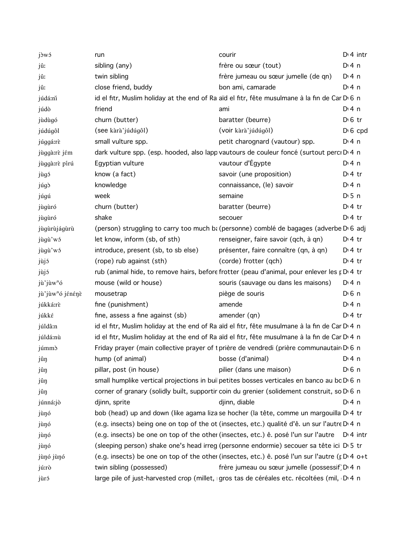| jòwó                         | run                                 | courir                                                                                          | $Di$ 4 intr           |
|------------------------------|-------------------------------------|-------------------------------------------------------------------------------------------------|-----------------------|
| jû:                          | sibling (any)                       | frère ou sœur (tout)                                                                            | $Dt$ 4 n              |
| jû:                          | twin sibling                        | frère jumeau ou sœur jumelle (de qn)                                                            | $Di$ 4 n              |
| jû:                          | close friend, buddy                 | bon ami, camarade                                                                               | $Di$ 4 n              |
| júdá:ni                      |                                     | id el fitr, Muslim holiday at the end of Ra aïd el fitr, fête musulmane à la fin de Car D 6 n   |                       |
| júdò                         | friend                              | ami                                                                                             | $Di$ 4 n              |
| jùdùgó                       | churn (butter)                      | baratter (beurre)                                                                               | $D \n6$ tr            |
| júdúgôl                      | (see kàrà'júdúgôl)                  | (voir kàrà'júdúgôl)                                                                             | $D \nvert 6$ cpd      |
| júggá:rè                     | small vulture spp.                  | petit charognard (vautour) spp.                                                                 | $Di$ 4 n              |
| jùggà:rè jém                 |                                     | dark vulture spp. (esp. hooded, also lapp vautours de couleur foncé (surtout perci D 4 n        |                       |
| jùggà:rè pírú                | Egyptian vulture                    | vautour d'Égypte                                                                                | $Di$ 4 n              |
| jùgó                         | know (a fact)                       | savoir (une proposition)                                                                        | $Di4$ tr              |
| júgð                         | knowledge                           | connaissance, (le) savoir                                                                       | $Di$ 4 n              |
| júgú                         | week                                | semaine                                                                                         | $D \cdot 5$ n         |
| jùgùró                       | churn (butter)                      | baratter (beurre)                                                                               | $Dt$ 4 tr             |
| jùgùró                       | shake                               | secouer                                                                                         | $Dt$ 4 tr             |
| jùgùrùjágùrù                 |                                     | (person) struggling to carry too much b: (personne) comblé de bagages (adverbe D 6 adj          |                       |
| jùgù'wó                      | let know, inform (sb, of sth)       | renseigner, faire savoir (qch, à qn)                                                            | $Di4$ tr              |
| jùgù'wó                      | introduce, present (sb, to sb else) | présenter, faire connaître (qn, à qn)                                                           | $D:4$ tr              |
| jùjó                         | (rope) rub against (sth)            | (corde) frotter (qch)                                                                           | $Di4$ tr              |
| jùjó                         |                                     | rub (animal hide, to remove hairs, before frotter (peau d'animal, pour enlever les p D 4 tr     |                       |
| jù'jùw <sup>n</sup> ó        | mouse (wild or house)               | souris (sauvage ou dans les maisons)                                                            | $Di$ 4 n              |
| jù'jùw <sup>n</sup> ó jénénè | mousetrap                           | piège de souris                                                                                 | $D0$ 6 n              |
| júkká:rè                     | fine (punishment)                   | amende                                                                                          | $Di$ 4 n              |
| júkké                        | fine, assess a fine against (sb)    | amender (qn)                                                                                    | $Di4$ tr              |
| júldâ:n                      |                                     | id el fitr, Muslim holiday at the end of Ra aïd el fitr, fête musulmane à la fin de Car D 4 n   |                       |
| júldá:nù                     |                                     | id el fitr, Muslim holiday at the end of Ra aïd el fitr, fête musulmane à la fin de Car D 4 n   |                       |
| júmmó                        |                                     | Friday prayer (main collective prayer of t prière de vendredi (prière communautair D 6 n        |                       |
| jûŋ                          | hump (of animal)                    | bosse (d'animal)                                                                                | D:4n                  |
| jûŋ                          | pillar, post (in house)             | pilier (dans une maison)                                                                        | $D \nvert 6 \nvert n$ |
| jûŋ                          |                                     | small humplike vertical projections in buil petites bosses verticales en banco au bc D 6 n      |                       |
| jûŋ                          |                                     | corner of granary (solidly built, supportir coin du grenier (solidement construit, so D 6 n     |                       |
| júnná:jò                     | djinn, sprite                       | djinn, diable                                                                                   | $Di$ 4 n              |
| jùŋó                         |                                     | bob (head) up and down (like agama liza se hocher (la tête, comme un margouilla D.4 tr          |                       |
| jùŋó                         |                                     | (e.g. insects) being one on top of the ot (insectes, etc.) qualité d'ê. un sur l'autre D 4 n    |                       |
| jùŋó                         |                                     | (e.g. insects) be one on top of the other (insectes, etc.) ê. posé l'un sur l'autre D'4 intr    |                       |
| jùŋó                         |                                     | (sleeping person) shake one's head irreg (personne endormie) secouer sa tête ici D 5 tr         |                       |
| jùnó jùnó                    |                                     | (e.g. insects) be one on top of the other (insectes, etc.) ê. posé l'un sur l'autre (p D 4 o+t) |                       |
| jú:rò                        | twin sibling (possessed)            | frère jumeau ou sœur jumelle (possessif) D 4 n                                                  |                       |
| jùró                         |                                     | large pile of just-harvested crop (millet, gros tas de céréales etc. récoltées (mil, D 4 n      |                       |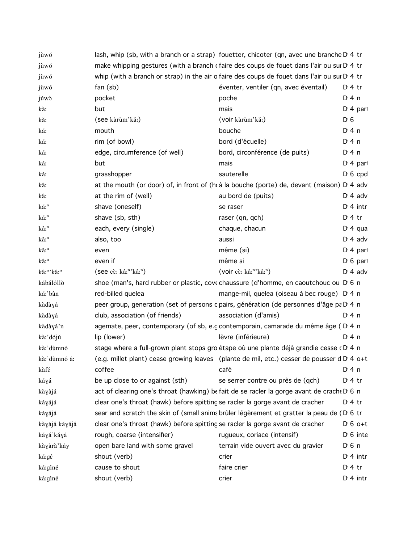| jùwó                               | lash, whip (sb, with a branch or a strap) fouetter, chicoter (qn, avec une branche $D14$ tr         |                                                |                       |
|------------------------------------|-----------------------------------------------------------------------------------------------------|------------------------------------------------|-----------------------|
| jùwó                               | make whipping gestures (with a branch c faire des coups de fouet dans l'air ou sur D 4 tr           |                                                |                       |
| jùwó                               | whip (with a branch or strap) in the air o faire des coups de fouet dans l'air ou sur $D14$ tr      |                                                |                       |
| jùwó                               | $fan$ (sb)                                                                                          | éventer, ventiler (qn, avec éventail)          | $D:4$ tr              |
| júwò                               | pocket                                                                                              | poche                                          | $Dt$ 4 n              |
| kà:                                | but                                                                                                 | mais                                           | $Dt$ 4 part           |
| kǎ:                                | (see kàrùm'kǎ:)                                                                                     | (voir kàrùm'kǎ:)                               | $D \ 6$               |
| ká:                                | mouth                                                                                               | bouche                                         | $Di$ 4 n              |
| ká:                                | rim (of bowl)                                                                                       | bord (d'écuelle)                               | $Di$ 4 n              |
| ká:                                | edge, circumference (of well)                                                                       | bord, circonférence (de puits)                 | $Di$ 4 n              |
| ká:                                | but                                                                                                 | mais                                           | D <sub>1</sub> 4 part |
| ká:                                | grasshopper                                                                                         | sauterelle                                     | $D \nvert 6$ cpd      |
| kâ:                                | at the mouth (or door) of, in front of (h à la bouche (porte) de, devant (maison) D 4 adv           |                                                |                       |
| kâ:                                | at the rim of (well)                                                                                | au bord de (puits)                             | $D \cdot 4$ adv       |
| ká: <sup>n</sup>                   | shave (oneself)                                                                                     | se raser                                       | $Dt$ 4 intr           |
| ká: <sup>n</sup>                   | shave (sb, sth)                                                                                     | raser (qn, qch)                                | $D:4$ tr              |
| kâ: <sup>n</sup>                   | each, every (single)                                                                                | chaque, chacun                                 | $Di$ 4 qua            |
| kâ: <sup>n</sup>                   | also, too                                                                                           | aussi                                          | $D \cdot 4$ adv       |
| kâ:"                               | even                                                                                                | même (si)                                      | $Dt$ 4 part           |
| kâ: <sup>n</sup>                   | even if                                                                                             | même si                                        | $D \nvert 6$ part     |
| kâ: <sup>n</sup> 'kâ: <sup>n</sup> | $($ see cè: kâ: <sup>n</sup> 'kâ: <sup>n</sup> )                                                    | (voir cè: kâ: <sup>n</sup> 'kâ: <sup>n</sup> ) | $D \cdot 4$ adv       |
| kábálóllò                          | shoe (man's, hard rubber or plastic, cove chaussure (d'homme, en caoutchouc ou D 6 n                |                                                |                       |
| ká:'bân                            | red-billed quelea                                                                                   | mange-mil, quelea (oiseau à bec rouge) D 4 n   |                       |
| kàdàyá                             | peer group, generation (set of persons c pairs, génération (de personnes d'âge pa D 4 n             |                                                |                       |
| kàdàyá                             | club, association (of friends)                                                                      | association (d'amis)                           | $Di$ 4 n              |
| kàdàyá'n                           | agemate, peer, contemporary (of sb, e.g contemporain, camarade du même âge (DI4 n                   |                                                |                       |
| kà:'dójú                           | lip (lower)                                                                                         | lèvre (inférieure)                             | $Di$ 4 n              |
| kà:'dùmnó                          | stage where a full-grown plant stops gro étape où une plante déjà grandie cesse (D <sup>1</sup> 4 n |                                                |                       |
| kà:'dùmnó á:                       | (e.g. millet plant) cease growing leaves (plante de mil, etc.) cesser de pousser d D 4 o+t          |                                                |                       |
| kàfé                               | coffee                                                                                              | café                                           | $Di$ 4 n              |
| káyá                               | be up close to or against (sth)                                                                     | se serrer contre ou près de (qch)              | $Dt$ 4 tr             |
| kàyàjá                             | act of clearing one's throat (hawking) be fait de se racler la gorge avant de crache D 6 n          |                                                |                       |
| káyájá                             | clear one's throat (hawk) before spitting se racler la gorge avant de cracher                       |                                                | $D:4$ tr              |
| káyájá                             | sear and scratch the skin of (small animabrûler légèrement et gratter la peau de (D 6 tr            |                                                |                       |
| kàyàjá káyájá                      | clear one's throat (hawk) before spitting se racler la gorge avant de cracher                       |                                                | $D:6$ o+t             |
| káyá'káyá                          | rough, coarse (intensifier)                                                                         | rugueux, coriace (intensif)                    | $D \cdot 6$ inte      |
| kàyàrà'káy                         | open bare land with some gravel                                                                     | terrain vide ouvert avec du gravier            | $D \nvert 6 \nvert n$ |
| ká:gé                              | shout (verb)                                                                                        | crier                                          | $Dt$ 4 intr           |
| ká:gíné                            | cause to shout                                                                                      | faire crier                                    | $Di4$ tr              |
| ká:gíné                            | shout (verb)                                                                                        | crier                                          | $Dt$ 4 intr           |
|                                    |                                                                                                     |                                                |                       |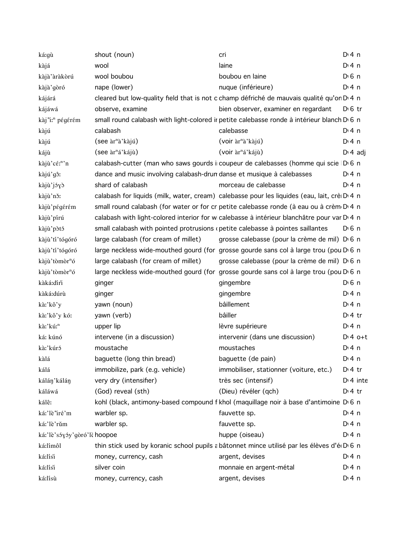| ká:gù                        | shout (noun)                                                                   | cri                                                                                               | $Dt$ 4 n              |
|------------------------------|--------------------------------------------------------------------------------|---------------------------------------------------------------------------------------------------|-----------------------|
| kàjá                         | wool                                                                           | laine                                                                                             | $Di$ 4 n              |
| kàjà'àràkòrú                 | wool boubou                                                                    | boubou en laine                                                                                   | $D \nvert 6 \nvert n$ |
| kàjà'gòró                    | nape (lower)                                                                   | nuque (inférieure)                                                                                | $Dt$ 4 n              |
| kájárá                       |                                                                                | cleared but low-quality field that is not c champ défriché de mauvais qualité qu'on D'4 n         |                       |
| kájáwá                       | observe, examine                                                               | bien observer, examiner en regardant                                                              | $D \, 6 \,$ tr        |
| kàj''i: <sup>n</sup> pégérém |                                                                                | small round calabash with light-colored ir petite calebasse ronde à intérieur blanch D 6 n        |                       |
| kàjú                         | calabash                                                                       | calebasse                                                                                         | $Di$ 4 n              |
| kàjú                         | (see àr <sup>n</sup> à'kàjú)                                                   | (voir àr <sup>n</sup> à' kàjú)                                                                    | $Di$ 4 n              |
| kájù                         | (see àr <sup>n</sup> á'kájù)                                                   | (voir àr <sup>n</sup> á'kájù)                                                                     | $D \cdot 4$ adj       |
| kàjù'cé:"'n                  |                                                                                | calabash-cutter (man who saws gourds i coupeur de calebasses (homme qui scie D 6 n                |                       |
| kàjú'gô:                     | dance and music involving calabash-drun danse et musique à calebasses          |                                                                                                   | $Di$ 4 n              |
| kàjù'jóyò                    | shard of calabash                                                              | morceau de calebasse                                                                              | $Di$ 4 n              |
| kàjù'nǒ:                     |                                                                                | calabash for liquids (milk, water, cream) calebasse pour les liquides (eau, lait, crè D 4 n       |                       |
| kàjù'pégérém                 |                                                                                | small round calabash (for water or for cr petite calebasse ronde (à eau ou à crèm D 4 n           |                       |
| kàjù'pírú                    |                                                                                | calabash with light-colored interior for wicalebasse à intérieur blanchâtre pour var D 4 n        |                       |
| kàjù'pòtó                    | small calabash with pointed protrusions (petite calebasse à pointes saillantes |                                                                                                   | $D0$ 6 n              |
| kàjù'tí'tógóró               | large calabash (for cream of millet)                                           | grosse calebasse (pour la crème de mil) D <sub>0</sub> n                                          |                       |
| kàjù'tí'tógóró               |                                                                                | large neckless wide-mouthed gourd (for grosse gourde sans col à large trou (pou D <sub>16</sub> n |                       |
| kàjù'tòmòr <sup>n</sup> ó    | large calabash (for cream of millet)                                           | grosse calebasse (pour la crème de mil) D <sub>0</sub> n                                          |                       |
| kàjù'tòmòr <sup>n</sup> ó    |                                                                                | large neckless wide-mouthed gourd (for grosse gourde sans col à large trou (pou D <sub>16</sub> n |                       |
| kàká:díri                    | ginger                                                                         | gingembre                                                                                         | $D \n6$ n             |
| kàká:dúrù                    | ginger                                                                         | gingembre                                                                                         | $Di$ 4 n              |
| kà:'kô'y                     | yawn (noun)                                                                    | bâillement                                                                                        | $Di$ 4 n              |
| kà:'kô'y kó:                 | yawn (verb)                                                                    | bâiller                                                                                           | $Di4$ tr              |
| kà:'kú: <sup>n</sup>         | upper lip                                                                      | lèvre supérieure                                                                                  | $Di$ 4 n              |
| ká: kúnó                     | intervene (in a discussion)                                                    | intervenir (dans une discussion)                                                                  | $D:4$ o+t             |
| kà:'kúró                     | moustache                                                                      | moustaches                                                                                        | $Dt$ 4 n              |
| kàlá                         | baguette (long thin bread)                                                     | baguette (de pain)                                                                                | $Di$ 4 n              |
| kálá                         | immobilize, park (e.g. vehicle)                                                | immobiliser, stationner (voiture, etc.)                                                           | $Di4$ tr              |
| kálán'kálán                  | very dry (intensifier)                                                         | très sec (intensif)                                                                               | $Dt$ 4 inte           |
| káláwá                       | (God) reveal (sth)                                                             | (Dieu) révéler (qch)                                                                              | $Dt$ 4 tr             |
| kálê:                        |                                                                                | kohl (black, antimony-based compound f khol (maquillage noir à base d'antimoine D 6 n             |                       |
| ká:'lè'iré'm                 | warbler sp.                                                                    | fauvette sp.                                                                                      | $Di$ 4 n              |
| ká:'lè'rǔm                   | warbler sp.                                                                    | fauvette sp.                                                                                      | $Di$ 4 n              |
| ká:'lè'sóyóy'gòró'lè hoopoe  |                                                                                | huppe (oiseau)                                                                                    | $Di$ 4 n              |
| ká:límôl                     |                                                                                | thin stick used by koranic school pupils a bâtonnet mince utilisé par les élèves d'éd D 6 n       |                       |
| ká:lísi                      | money, currency, cash                                                          | argent, devises                                                                                   | D: 4n                 |
| ká:lísi                      | silver coin                                                                    | monnaie en argent-métal                                                                           | $Di$ 4 n              |
| ká:lísù                      | money, currency, cash                                                          | argent, devises                                                                                   | $Di$ 4 n              |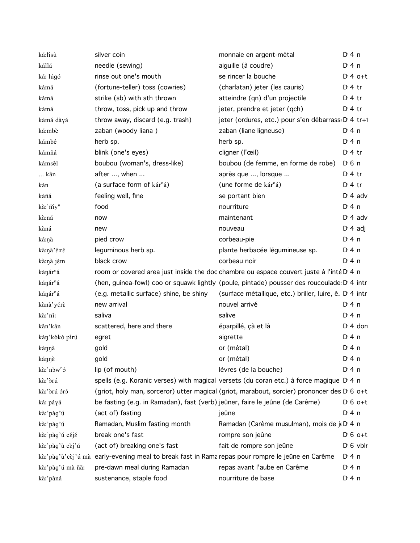| ká:lísù                | silver coin                                                                                      | monnaie en argent-métal                                                                                | $Di$ 4 n         |
|------------------------|--------------------------------------------------------------------------------------------------|--------------------------------------------------------------------------------------------------------|------------------|
| kállá                  | needle (sewing)                                                                                  | aiguille (à coudre)                                                                                    | $Dt$ 4 n         |
| ká: lúgó               | rinse out one's mouth                                                                            | se rincer la bouche                                                                                    | $Dt 4 0+t$       |
| kámá                   | (fortune-teller) toss (cowries)                                                                  | (charlatan) jeter (les cauris)                                                                         | $Di4$ tr         |
| kámá                   | strike (sb) with sth thrown                                                                      | atteindre (qn) d'un projectile                                                                         | $Di4$ tr         |
| kámá                   | throw, toss, pick up and throw                                                                   | jeter, prendre et jeter (qch)                                                                          | $Di4$ tr         |
| kámá dàyá              | throw away, discard (e.g. trash)                                                                 | jeter (ordures, etc.) pour s'en débarrass D <sub>1</sub> 4 tr+1                                        |                  |
| ká:mbè                 | zaban (woody liana)                                                                              | zaban (liane ligneuse)                                                                                 | $Di$ 4 n         |
| kámbé                  | herb sp.                                                                                         | herb sp.                                                                                               | $Di$ 4 n         |
| kámñá                  | blink (one's eyes)                                                                               | cligner (l'œil)                                                                                        | $Dt$ 4 tr        |
| kámsêl                 | boubou (woman's, dress-like)                                                                     | boubou (de femme, en forme de robe)                                                                    | $D \n6$ n        |
| kân                    | after , when                                                                                     | après que , lorsque                                                                                    | $Di4$ tr         |
| kán                    | (a surface form of kár <sup>n</sup> á)                                                           | (une forme de kár <sup>n</sup> á)                                                                      | $Di4$ tr         |
| káñá                   | feeling well, fine                                                                               | se portant bien                                                                                        | $Di$ 4 adv       |
| kà:'ñiy <sup>n</sup>   | food                                                                                             | nourriture                                                                                             | $Di$ 4 n         |
| kà:ná                  | now                                                                                              | maintenant                                                                                             | $Di$ 4 adv       |
| kàná                   | new                                                                                              | nouveau                                                                                                | $D \cdot 4$ adj  |
| ká:ŋà                  | pied crow                                                                                        | corbeau-pie                                                                                            | $Di$ 4 n         |
| kà:ŋà'é:ré             | leguminous herb sp.                                                                              | plante herbacée légumineuse sp.                                                                        | $Di$ 4 n         |
| kà:nà jém              | black crow                                                                                       | corbeau noir                                                                                           | $Di$ 4 n         |
| kánár <sup>n</sup> á   |                                                                                                  | room or covered area just inside the doc chambre ou espace couvert juste à l'inté D <sub>14</sub> n    |                  |
| kánár <sup>n</sup> á   |                                                                                                  | (hen, guinea-fowl) coo or squawk lightly (poule, pintade) pousser des roucoulade D'4 intr              |                  |
| kánár <sup>n</sup> á   | (e.g. metallic surface) shine, be shiny                                                          | (surface métallique, etc.) briller, luire, ê. D. 4 intr                                                |                  |
| kànà'yérè              | new arrival                                                                                      | nouvel arrivé                                                                                          | $Dt$ 4 n         |
| kà:'ní:                | saliva                                                                                           | salive                                                                                                 | $Di$ 4 n         |
| kân'kân                | scattered, here and there                                                                        | éparpillé, çà et là                                                                                    | $Di$ 4 don       |
| kán'kòkò pírú          | egret                                                                                            | aigrette                                                                                               | $Di$ 4 n         |
| káŋŋà                  | gold                                                                                             | or (métal)                                                                                             | $Dt$ 4 n         |
| kánnè                  | gold                                                                                             | or (métal)                                                                                             | $Di$ 4 n         |
| kà:'nòw <sup>n</sup> ó | lip (of mouth)                                                                                   | lèvres (de la bouche)                                                                                  | D: 4 n           |
| kà:'òrú                |                                                                                                  | spells (e.g. Koranic verses) with magical versets (du coran etc.) à force magique D'4 n                |                  |
| kà:'òrú óró            |                                                                                                  | (griot, holy man, sorceror) utter magical (griot, marabout, sorcier) prononcer des D <sub>16</sub> o+t |                  |
| ká: páyá               | be fasting (e.g. in Ramadan), fast (verb) jeûner, faire le jeûne (de Carême)                     |                                                                                                        | $D \nvert 6$ o+t |
| kà:'pàg'ú              | (act of) fasting                                                                                 | jeûne                                                                                                  | D: 4 n           |
| kà:'pàg'ú              | Ramadan, Muslim fasting month                                                                    | Ramadan (Carême musulman), mois de ji D 4 n                                                            |                  |
| kà:'pàg'ú céjé         | break one's fast                                                                                 | rompre son jeûne                                                                                       | $D \nvert 6$ o+t |
| kà:'pàg'ù cèj'ú        | (act of) breaking one's fast                                                                     | fait de rompre son jeûne                                                                               | $D \cdot 6$ vblr |
|                        | kà:'pàg'ù'cèj'ú mà early-evening meal to break fast in Rama repas pour rompre le jeûne en Carême |                                                                                                        | D: 4 n           |
| kà:'pàg'ú mà ñǎː       | pre-dawn meal during Ramadan                                                                     | repas avant l'aube en Carême                                                                           | $Di$ 4 n         |
| kà:'pàná               | sustenance, staple food                                                                          | nourriture de base                                                                                     | $Di$ 4 n         |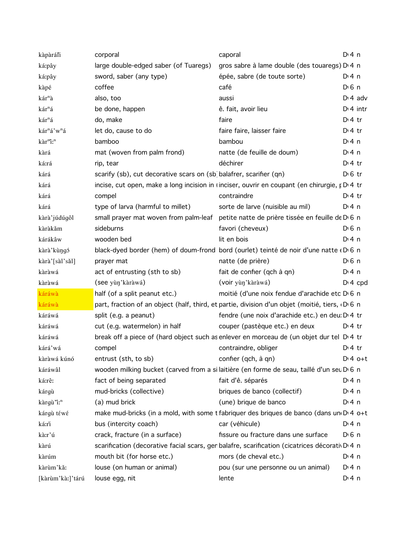| kàpàráli                            | corporal                                                            | caporal                                                                                             | $Di$ 4 n    |
|-------------------------------------|---------------------------------------------------------------------|-----------------------------------------------------------------------------------------------------|-------------|
| ká:pây                              | large double-edged saber (of Tuaregs)                               | gros sabre à lame double (des touaregs) D <sub>14</sub> n                                           |             |
| ká:pây                              | sword, saber (any type)                                             | épée, sabre (de toute sorte)                                                                        | $Di$ 4 n    |
| kàpé                                | coffee                                                              | café                                                                                                | $D \n6$ n   |
| kár <sup>n</sup> à                  | also, too                                                           | aussi                                                                                               | $Dt$ adv    |
| kár <sup>n</sup> á                  | be done, happen                                                     | ê. fait, avoir lieu                                                                                 | $Di$ 4 intr |
| kár <sup>n</sup> á                  | do, make                                                            | faire                                                                                               | $Di4$ tr    |
| kár <sup>n</sup> á'w <sup>n</sup> á | let do, cause to do                                                 | faire faire, laisser faire                                                                          | $D:4$ tr    |
| kàr <sup>m</sup> i: <sup>n</sup>    | bamboo                                                              | bambou                                                                                              | $Di$ 4 n    |
| kàrá                                | mat (woven from palm frond)                                         | natte (de feuille de doum)                                                                          | $Di$ 4 n    |
| ká:rá                               | rip, tear                                                           | déchirer                                                                                            | $Di4$ tr    |
| kárá                                | scarify (sb), cut decorative scars on (sb) balafrer, scarifier (qn) |                                                                                                     | $D \n6$ tr  |
| kárá                                |                                                                     | incise, cut open, make a long incision in (inciser, ouvrir en coupant (en chirurgie, p D 4 tr       |             |
| kárá                                | compel                                                              | contraindre                                                                                         | $Di4$ tr    |
| kárá                                | type of larva (harmful to millet)                                   | sorte de larve (nuisible au mil)                                                                    | $Di$ 4 n    |
| kàrà'júdúgôl                        |                                                                     | small prayer mat woven from palm-leaf petite natte de prière tissée en feuille de D <sub>16</sub> n |             |
| kàràkǎm                             | sideburns                                                           | favori (cheveux)                                                                                    | $D0$ n      |
| kárákâw                             | wooden bed                                                          | lit en bois                                                                                         | $Di$ 4 n    |
| kàrà'kùngó                          |                                                                     | black-dyed border (hem) of doum-frond bord (ourlet) teinté de noir d'une natte « D 6 n              |             |
| kàrà'[sàl'sǎl]                      | prayer mat                                                          | natte (de prière)                                                                                   | $D \n6$ n   |
| kàràwá                              | act of entrusting (sth to sb)                                       | fait de confier (qch à qn)                                                                          | $Dt$ 4 n    |
| kàràwá                              | (see yùn'kàràwá)                                                    | (voir yùn'kàràwá)                                                                                   | $Di$ 4 cpd  |
| káráwà                              | half (of a split peanut etc.)                                       | moitié (d'une noix fendue d'arachide etc D 6 n                                                      |             |
| káráwà                              |                                                                     | part, fraction of an object (half, third, et partie, division d'un objet (moitié, tiers, D 6 n      |             |
| káráwá                              | split (e.g. a peanut)                                               | fendre (une noix d'arachide etc.) en deu: D <sub>1</sub> 4 tr                                       |             |
| káráwá                              | cut (e.g. watermelon) in half                                       | couper (pastèque etc.) en deux                                                                      | $Dt$ 4 tr   |
| káráwá                              |                                                                     | break off a piece of (hard object such as enlever en morceau de (un objet dur tel DI4 tr            |             |
| kárá'wá                             | compel                                                              | contraindre, obliger                                                                                | $Di4$ tr    |
| kàràwá kúnó                         | entrust (sth, to sb)                                                | confier (qch, à qn)                                                                                 | $D:4$ o+t   |
| káráwâl                             |                                                                     | wooden milking bucket (carved from a si laitière (en forme de seau, taillé d'un seu D'6 n           |             |
| ká:rê:                              | fact of being separated                                             | fait d'ê. séparés                                                                                   | $Di$ 4 n    |
| kárgù                               | mud-bricks (collective)                                             | briques de banco (collectif)                                                                        | $Di$ 4 n    |
| kàrgù "i: <sup>n</sup>              | (a) mud brick                                                       | (une) brique de banco                                                                               | $Di$ 4 n    |
| kárgù téwé                          |                                                                     | make mud-bricks (in a mold, with some t fabriquer des briques de banco (dans un D 4 o+t             |             |
| ká:rì                               | bus (intercity coach)                                               | car (véhicule)                                                                                      | $Di$ 4 n    |
| kà:r'ú                              | crack, fracture (in a surface)                                      | fissure ou fracture dans une surface                                                                | $D0$ 6 n    |
| kàrú                                |                                                                     | scarification (decorative facial scars, gen balafre, scarification (cicatrices décorative) 4 n      |             |
| kàrúm                               | mouth bit (for horse etc.)                                          | mors (de cheval etc.)                                                                               | $Di$ 4 n    |
| kàrùm'kǎ:                           | louse (on human or animal)                                          | pou (sur une personne ou un animal)                                                                 | $Di$ 4 n    |
| [kàrùm'kà:]'tárú                    | louse egg, nit                                                      | lente                                                                                               | $Di$ 4 n    |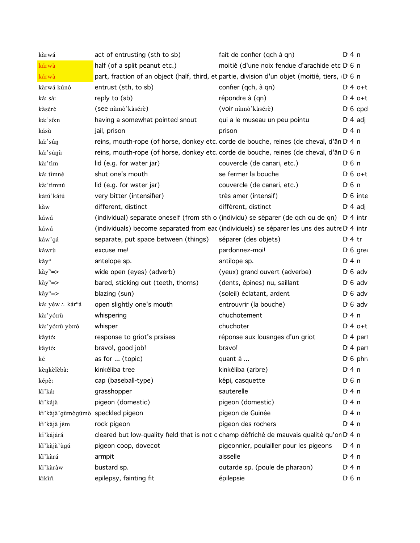| kàrwá                            | act of entrusting (sth to sb)        | fait de confier (qch à qn)                                                                     | $Di$ 4 n              |  |
|----------------------------------|--------------------------------------|------------------------------------------------------------------------------------------------|-----------------------|--|
| kárwà                            | half (of a split peanut etc.)        | moitié (d'une noix fendue d'arachide etc D 6 n                                                 |                       |  |
| kárwà                            |                                      | part, fraction of an object (half, third, et partie, division d'un objet (moitié, tiers, D 6 n |                       |  |
| kàrwá kúnó                       | entrust (sth, to sb)                 | confier (qch, à qn)                                                                            | $D:4$ o+t             |  |
| ká: sá:                          | reply to (sb)                        | répondre à (qn)                                                                                | $Dt 4 0+t$            |  |
| kàsérè                           | (see nùmò' kàsérè)                   | (voir nùmò' kàsérè)                                                                            | $D16$ cpd             |  |
| ká:'sô:n                         | having a somewhat pointed snout      | qui a le museau un peu pointu                                                                  | $D \cdot 4$ adj       |  |
| kásù                             | jail, prison                         | prison                                                                                         | $Di$ 4 n              |  |
| ká:'sûŋ                          |                                      | reins, mouth-rope (of horse, donkey etc. corde de bouche, reines (de cheval, d'ân D'4 n        |                       |  |
| ká:'súŋù                         |                                      | reins, mouth-rope (of horse, donkey etc. corde de bouche, reines (de cheval, d'ân D'6 n        |                       |  |
| kà:'tím                          | lid (e.g. for water jar)             | couvercle (de canari, etc.)                                                                    | D <sub>1</sub> 6n     |  |
| ká: tímné                        | shut one's mouth                     | se fermer la bouche                                                                            | $D \cdot 6$ o+t       |  |
| kà:'tímnú                        | lid (e.g. for water jar)             | couvercle (de canari, etc.)                                                                    | $D \nvert 6 \nvert n$ |  |
| kátú'kátú                        | very bitter (intensifier)            | très amer (intensif)                                                                           | $D \cdot 6$ inte      |  |
| kăw                              | different, distinct                  | différent, distinct                                                                            | $D \cdot 4$ adj       |  |
| káwá                             |                                      | (individual) separate oneself (from sth o (individu) se séparer (de qch ou de qn) D'4 intr     |                       |  |
| káwá                             |                                      | (individuals) become separated from eac (individuels) se séparer les uns des autre D'4 intr    |                       |  |
| káw'gá                           | separate, put space between (things) | séparer (des objets)                                                                           | $Di4$ tr              |  |
| káwrù                            | excuse me!                           | pardonnez-moi!                                                                                 | $D \nvert 6$ gre      |  |
| kǎy <sup>n</sup>                 | antelope sp.                         | antilope sp.                                                                                   | $Di$ 4 n              |  |
| $k\check{a}y^n = \gt$            | wide open (eyes) (adverb)            | (yeux) grand ouvert (adverbe)                                                                  | $D \cdot 6$ adv       |  |
| $k\check{a}y^n = \succ$          | bared, sticking out (teeth, thorns)  | (dents, épines) nu, saillant                                                                   | $D \cdot 6$ adv       |  |
| $k\check{a}y^n = \succ$          | blazing (sun)                        | (soleil) éclatant, ardent                                                                      | $D \cdot 6$ adv       |  |
| ká: yéw∴ kár <sup>n</sup> á      | open slightly one's mouth            | entrouvrir (la bouche)                                                                         | $D \nvert 6$ adv      |  |
| kà:'yó:rù                        | whispering                           | chuchotement                                                                                   | $Di$ 4 n              |  |
| kà:'yó:rù yò:ró                  | whisper                              | chuchoter                                                                                      | $D:4$ o+t             |  |
| kâytó:                           | response to griot's praises          | réponse aux louanges d'un griot                                                                | D <sup>t</sup> 4 par  |  |
| kâytó:                           | bravo!, good job!                    | bravo!                                                                                         | $D14$ part            |  |
| ké                               | as for  (topic)                      | quant à                                                                                        | $D \nvert 6$ phr      |  |
| kènkèlèbâ:                       | kinkéliba tree                       | kinkéliba (arbre)                                                                              | $Dt$ 4 n              |  |
| képê:                            | cap (baseball-type)                  | képi, casquette                                                                                | D <sub>1</sub> 6n     |  |
| ki'ká:                           | grasshopper                          | sauterelle                                                                                     | $Di$ 4 n              |  |
| ki'kájà                          | pigeon (domestic)                    | pigeon (domestic)                                                                              | $Di$ 4 n              |  |
| ki'kàjà'gùmògúmò speckled pigeon |                                      | pigeon de Guinée                                                                               | $Di$ 4 n              |  |
| ki'kàjà jém                      | rock pigeon                          | pigeon des rochers                                                                             | $Di$ 4 n              |  |
| kí'kájárá                        |                                      | cleared but low-quality field that is not c champ défriché de mauvais qualité qu'on D 4 n      |                       |  |
| ki'kàjà'ùgú                      | pigeon coop, dovecot                 | pigeonnier, poulailler pour les pigeons                                                        | $Di$ 4 n              |  |
| ki'kàrá                          | armpit                               | aisselle                                                                                       | $Di$ 4 n              |  |
| ki'kàrâw                         | bustard sp.                          | outarde sp. (poule de pharaon)                                                                 | $Di$ 4 n              |  |
| kikíri                           | epilepsy, fainting fit               | épilepsie                                                                                      | D <sub>1</sub> 6n     |  |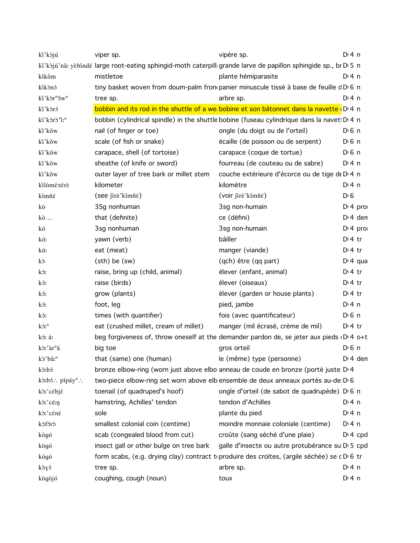| ki'kòjú                             | viper sp.                               | vipère sp.                                                                                                      | $Di$ 4 n            |
|-------------------------------------|-----------------------------------------|-----------------------------------------------------------------------------------------------------------------|---------------------|
|                                     |                                         | ki'kòjú'nâ: yèbíndé large root-eating sphingid-moth caterpill: grande larve de papillon sphingide sp., br D 5 n |                     |
| kíkôm                               | mistletoe                               | plante hémiparasite                                                                                             | D:4n                |
| kikònó                              |                                         | tiny basket woven from doum-palm from panier minuscule tissé à base de feuille dD 6 n                           |                     |
| ki'kòr <sup>n</sup> ôw <sup>n</sup> | tree sp.                                | arbre sp.                                                                                                       | $Di$ 4 n            |
| ki'kòró                             |                                         | bobbin and its rod in the shuttle of a we bobine et son bâtonnet dans la navette (D 4 n                         |                     |
| ki'kòrò'i: <sup>n</sup>             |                                         | bobbin (cylindrical spindle) in the shuttle bobine (fuseau cylindrique dans la navet D 4 n                      |                     |
| ki'kŏw                              | nail (of finger or toe)                 | ongle (du doigt ou de l'orteil)                                                                                 | $D0$ 6 n            |
| ki'kŏw                              | scale (of fish or snake)                | écaille (de poisson ou de serpent)                                                                              | $D \n6$ n           |
| ki'kŏw                              | carapace, shell (of tortoise)           | carapace (coque de tortue)                                                                                      | $D0$ 6 n            |
| ki'kŏw                              | sheathe (of knife or sword)             | fourreau (de couteau ou de sabre)                                                                               | $Di$ 4 n            |
| ki'kǒw                              | outer layer of tree bark or millet stem | couche extérieure d'écorce ou de tige de D <sub>14</sub> n                                                      |                     |
| kilòmé:térè                         | kilometer                               | kilomètre                                                                                                       | $Di$ 4 n            |
| kímñé                               | (see jirè'kímñé)                        | (voir jirè'kímñé)                                                                                               | $D \ 6$             |
| kò                                  | 3Sg nonhuman                            | 3sg non-humain                                                                                                  | $Di$ 4 pro          |
| kò                                  | that (definite)                         | ce (défini)                                                                                                     | $D: 4$ den          |
| kó                                  | 3sg nonhuman                            | 3sg non-humain                                                                                                  | $Di$ 4 pro          |
| kó:                                 | yawn (verb)                             | bâiller                                                                                                         | $D \cdot 4$ tr      |
| kó:                                 | eat (meat)                              | manger (viande)                                                                                                 | $D \cdot 4$ tr      |
| kò                                  | $(sth)$ be $(sw)$                       | (qch) être (qq part)                                                                                            | $Di$ 4 qua          |
| kó:                                 | raise, bring up (child, animal)         | élever (enfant, animal)                                                                                         | D <sup>i</sup> 4 tr |
| kó:                                 | raise (birds)                           | élever (oiseaux)                                                                                                | $Di4$ tr            |
| kó:                                 | grow (plants)                           | élever (garden or house plants)                                                                                 | $D \cdot 4$ tr      |
| kó:                                 | foot, leg                               | pied, jambe                                                                                                     | $Di$ 4 n            |
| kó:                                 | times (with quantifier)                 | fois (avec quantificateur)                                                                                      | $D \n6$ n           |
| $k5$ : $n$                          | eat (crushed millet, cream of millet)   | manger (mil écrasé, crème de mil)                                                                               | $D \cdot 4$ tr      |
| kó: áː                              |                                         | beg forgiveness of, throw oneself at the demander pardon de, se jeter aux pieds D 4 o+t                         |                     |
| kò:'àr <sup>n</sup> á               | big toe                                 | gros orteil                                                                                                     | $D \n6$ n           |
| kò'bâ: <sup>n</sup>                 | that (same) one (human)                 | le (même) type (personne)                                                                                       | $Di$ 4 den          |
| kò:bó                               |                                         | bronze elbow-ring (worn just above elbo anneau de coude en bronze (porté juste D <sub>1</sub> 4                 |                     |
| kò:bó: pípáy <sup>n</sup> :         |                                         | two-piece elbow-ring set worn above elb ensemble de deux anneaux portés au-de D'6                               |                     |
| kò:'cébjé                           | toenail (of quadruped's hoof)           | ongle d'orteil (de sabot de quadrupède) D 6 n                                                                   |                     |
| kò:'cé:n                            | hamstring, Achilles' tendon             | tendon d'Achilles                                                                                               | $Di$ 4 n            |
| kò:'céné                            | sole                                    | plante du pied                                                                                                  | $Di$ 4 n            |
| kófórð                              | smallest colonial coin (centime)        | moindre monnaie coloniale (centime)                                                                             | $Di$ 4 n            |
| kògó                                | scab (congealed blood from cut)         | croûte (sang séché d'une plaie)                                                                                 | $Di$ 4 cpd          |
| kògó                                | insect gall or other bulge on tree bark | galle d'insecte ou autre protubérance su D 5 cpd                                                                |                     |
| kógó                                |                                         | form scabs, (e.g. drying clay) contract to produire des croïtes, (argile séchée) se c D 6 tr                    |                     |
| kòyó                                | tree sp.                                | arbre sp.                                                                                                       | $Di$ 4 n            |
| kògòjó                              | coughing, cough (noun)                  | toux                                                                                                            | $Di$ 4 n            |
|                                     |                                         |                                                                                                                 |                     |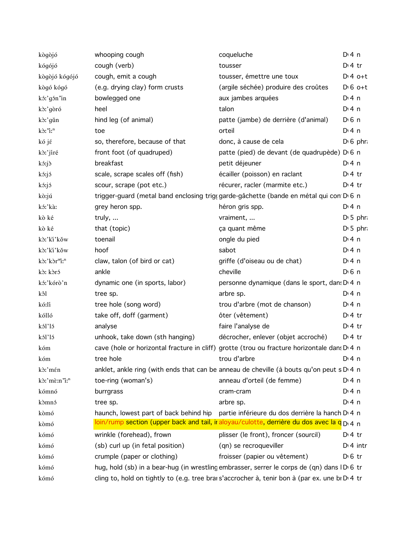| kògòjó                   | whooping cough                         | coqueluche                                                                                                     | $Dt$ 4 n              |  |
|--------------------------|----------------------------------------|----------------------------------------------------------------------------------------------------------------|-----------------------|--|
| kógójó                   | cough (verb)                           | tousser                                                                                                        | $Dt$ 4 tr             |  |
| kògòjó kógójó            | cough, emit a cough                    | tousser, émettre une toux                                                                                      | $Dt 4 0+t$            |  |
| kògó kógó                | (e.g. drying clay) form crusts         | (argile séchée) produire des croûtes                                                                           | $D \cdot 6$ o+t       |  |
| kó:'gón'in               | bowlegged one                          | aux jambes arquées                                                                                             | $Di$ 4 n              |  |
| kò:'gòró                 | heel                                   | talon                                                                                                          | $Di$ 4 n              |  |
| kò:'gǔn                  | hind leg (of animal)                   | patte (jambe) de derrière (d'animal)                                                                           | $D \nvert 6 \nvert n$ |  |
| kò:"i:"                  | toe                                    | orteil                                                                                                         | $Di$ 4 n              |  |
| kó jé                    | so, therefore, because of that         | donc, à cause de cela                                                                                          | $D \cdot 6$ phr:      |  |
| kò:'jíré                 | front foot (of quadruped)              | patte (pied) de devant (de quadrupède) D <sub>'6</sub> n                                                       |                       |  |
| kó:jò                    | breakfast                              | petit déjeuner                                                                                                 | $Di$ 4 n              |  |
| kó:jó                    | scale, scrape scales off (fish)        | écailler (poisson) en raclant                                                                                  | $Di4$ tr              |  |
| kó:jó                    | scour, scrape (pot etc.)               | récurer, racler (marmite etc.)                                                                                 | $D:4$ tr              |  |
| kò:jú                    |                                        | trigger-guard (metal band enclosing trig(garde-gâchette (bande en métal qui con D 6 n                          |                       |  |
| kó:'kàː                  | grey heron spp.                        | héron gris spp.                                                                                                | D:4n                  |  |
| kò ké                    | truly,                                 | vraiment,                                                                                                      | $D:5$ phr             |  |
| kò ké                    | that (topic)                           | ça quant même                                                                                                  | $D \cdot 5$ phr.      |  |
| kò:'kì'kǒw               | toenail                                | ongle du pied                                                                                                  | $Di$ 4 n              |  |
| kò:'ki'kǒw               | hoof                                   | sabot                                                                                                          | $Di$ 4 n              |  |
| kò:'kòr"i:"              | claw, talon (of bird or cat)           | griffe (d'oiseau ou de chat)                                                                                   | $Di$ 4 n              |  |
| kò: kòró                 | ankle                                  | cheville                                                                                                       | $D \n6$ n             |  |
| kó:'kórò'n               | dynamic one (in sports, labor)         | personne dynamique (dans le sport, dans D 4 n                                                                  |                       |  |
| kôl                      | tree sp.                               | arbre sp.                                                                                                      | $Di$ 4 n              |  |
| kó:lí                    | tree hole (song word)                  | trou d'arbre (mot de chanson)                                                                                  | $Di$ 4 n              |  |
| kólló                    | take off, doff (garment)               | ôter (vêtement)                                                                                                | $Di4$ tr              |  |
| kól'ló                   | analyse                                | faire l'analyse de                                                                                             | $D:4$ tr              |  |
| kól'ló                   | unhook, take down (sth hanging)        | décrocher, enlever (objet accroché)                                                                            | $D:4$ tr              |  |
| kóm                      |                                        | cave (hole or horizontal fracture in cliff) grotte (trou ou fracture horizontale dans D 4 n                    |                       |  |
| kóm                      | tree hole                              | trou d'arbre qui province de la province de la provincia de la provincia de la provincia de la provincia de la | D: 4 n                |  |
| kò:'mén                  |                                        | anklet, ankle ring (with ends that can be anneau de cheville (à bouts qu'on peut s D'4 n                       |                       |  |
| kò:'mè:n'i: <sup>n</sup> | toe-ring (woman's)                     | anneau d'orteil (de femme)                                                                                     | D: 4 n                |  |
| kómnó                    | burrgrass                              | cram-cram                                                                                                      | $Di$ 4 n              |  |
| kòmnó                    | tree sp.                               | arbre sp.                                                                                                      | $Di$ 4 n              |  |
| kòmó                     | haunch, lowest part of back behind hip | partie inférieure du dos derrière la hanch D <sub>14</sub> n                                                   |                       |  |
| kòmó                     |                                        | loin/rump section (upper back and tail, ir aloyau/culotte, derrière du dos avec la q D <sub>14</sub> n         |                       |  |
| kómó                     | wrinkle (forehead), frown              | plisser (le front), froncer (sourcil)                                                                          | $Di4$ tr              |  |
| kómó                     | (sb) curl up (in fetal position)       | (qn) se recroqueviller                                                                                         | $Di$ 4 intr           |  |
| kómó                     | crumple (paper or clothing)            | froisser (papier ou vêtement)                                                                                  | $D0$ tr               |  |
| kómó                     |                                        | hug, hold (sb) in a bear-hug (in wrestling embrasser, serrer le corps de (qn) dans IDG tr                      |                       |  |
| kómó                     |                                        | cling to, hold on tightly to (e.g. tree brai s'accrocher à, tenir bon à (par ex. une bi D'4 tr                 |                       |  |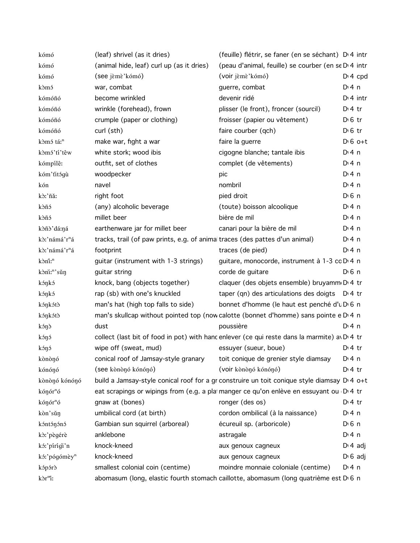| kómó                      | (leaf) shrivel (as it dries)                                                 | (feuille) flétrir, se faner (en se séchant) D <sub>'</sub> 4 intr                               |                       |
|---------------------------|------------------------------------------------------------------------------|-------------------------------------------------------------------------------------------------|-----------------------|
| kómó                      | (animal hide, leaf) curl up (as it dries)                                    | (peau d'animal, feuille) se courber (en se D'4 intr                                             |                       |
| kómó                      | (see jèmè'kómó)                                                              | (voir jèmè'kómó)                                                                                | $D: 4$ cpd            |
| kòmó                      | war, combat                                                                  | guerre, combat                                                                                  | $Dt$ 4 n              |
| kómóñó                    | become wrinkled                                                              | devenir ridé                                                                                    | $Di$ 4 intr           |
| kómóñó                    | wrinkle (forehead), frown                                                    | plisser (le front), froncer (sourcil)                                                           | $Di4$ tr              |
| kómóñó                    | crumple (paper or clothing)                                                  | froisser (papier ou vêtement)                                                                   | $D \, 6$ tr           |
| kómóñó                    | curl (sth)                                                                   | faire courber (qch)                                                                             | $D \cdot 6$ tr        |
| kòmó tá: <sup>n</sup>     | make war, fight a war                                                        | faire la guerre                                                                                 | $D \nvert 6$ o+t      |
| kòmó'tí'têw               | white stork; wood ibis                                                       | cigogne blanche; tantale ibis                                                                   | D:4n                  |
| kómpílê:                  | outfit, set of clothes                                                       | complet (de vêtements)                                                                          | D:4n                  |
| kóm' titógù               | woodpecker                                                                   | pic                                                                                             | $Di$ 4 n              |
| kón                       | navel                                                                        | nombril                                                                                         | D:4n                  |
| kòː'ñǎː                   | right foot                                                                   | pied droit                                                                                      | D <sup>i</sup> 6 n    |
| kòñó                      | (any) alcoholic beverage                                                     | (toute) boisson alcoolique                                                                      | $Di$ 4 n              |
| kòñó                      | millet beer                                                                  | bière de mil                                                                                    | $Di$ 4 n              |
| kòñò'dá:ná                | earthenware jar for millet beer                                              | canari pour la bière de mil                                                                     | D:4n                  |
| kò:'námá'r <sup>n</sup> á | tracks, trail (of paw prints, e.g. of animal traces (des pattes d'un animal) |                                                                                                 | $Di$ 4 n              |
| kò:'námá'r <sup>n</sup> á | footprint                                                                    | traces (de pied)                                                                                | D:4n                  |
| kòni: <sup>n</sup>        | guitar (instrument with 1-3 strings)                                         | guitare, monocorde, instrument à 1-3 cc D 4 n                                                   |                       |
| kòni: <sup>n</sup> 'sǔn   | guitar string                                                                | corde de guitare                                                                                | $D0$ n                |
| kóŋkó                     | knock, bang (objects together)                                               | claquer (des objets ensemble) bruyamm D' 4 tr                                                   |                       |
| kóŋkó                     | rap (sb) with one's knuckled                                                 | taper (qn) des articulations des doigts D.4 tr                                                  |                       |
| kóŋkótò                   | man's hat (high top falls to side)                                           | bonnet d'homme (le haut est penché d'u D 6 n                                                    |                       |
| kóŋkótò                   |                                                                              | man's skullcap without pointed top (now calotte (bonnet d'homme) sans pointe e D <sub>1</sub> n |                       |
| kónð                      | dust                                                                         | poussière                                                                                       | $Di$ 4 n              |
| kóŋó                      |                                                                              | collect (last bit of food in pot) with hancenlever (ce qui reste dans la marmite) av D.4 tr     |                       |
| kóŋó                      | wipe off (sweat, mud)                                                        | essuyer (sueur, boue)                                                                           | $Di4$ tr              |
| kònònó                    |                                                                              | conical roof of Jamsay-style granary toit conique de grenier style diamsay                      | $Di$ 4 n              |
| kónónó                    | (see kònònó kónónó)                                                          | (voir kònònó kónónó)                                                                            | $D:4$ tr              |
| kònònó kónónó             |                                                                              | build a Jamsay-style conical roof for a gr construire un toit conique style diamsay D'4 o+t     |                       |
| kóŋór <sup>n</sup> ó      |                                                                              | eat scrapings or wipings from (e.g. a platmanger ce qu'on enlève en essuyant ou D.4 tr          |                       |
| kóŋór <sup>n</sup> ó      | gnaw at (bones)                                                              | ronger (des os)                                                                                 | $D:4$ tr              |
| kòn'sǔŋ                   | umbilical cord (at birth)                                                    | cordon ombilical (à la naissance)                                                               | $Di$ 4 n              |
| kóntónónó                 | Gambian sun squirrel (arboreal)                                              | écureuil sp. (arboricole)                                                                       | $D \nvert 6 \nvert n$ |
| kò:'pègérè                | anklebone                                                                    | astragale                                                                                       | D:4n                  |
| kó:'pírígi'n              | knock-kneed                                                                  | aux genoux cagneux                                                                              | $D: 4$ adj            |
| kó:'pógómèy <sup>n</sup>  | knock-kneed                                                                  | aux genoux cagneux                                                                              | $D \nvert 6$ adj      |
| kópórò                    | smallest colonial coin (centime)                                             | moindre monnaie coloniale (centime)                                                             | $Dt$ 4 n              |
| kòr <sup>m</sup> i:       |                                                                              | abomasum (long, elastic fourth stomach caillotte, abomasum (long quatrième est D 6 n            |                       |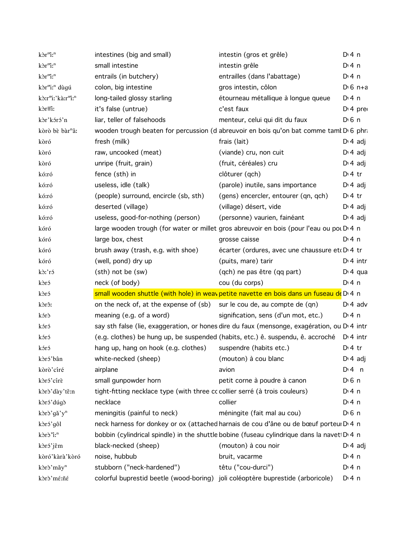| kòr <sup>m</sup> i: <sup>n</sup>                       | intestines (big and small)                                                      | intestin (gros et grêle)                                                                    | $Di$ 4 n              |
|--------------------------------------------------------|---------------------------------------------------------------------------------|---------------------------------------------------------------------------------------------|-----------------------|
| kòr <sup>m</sup> i: <sup>n</sup>                       | small intestine                                                                 | intestin grêle                                                                              | $Di$ 4 n              |
| kòr <sup>m</sup> i: <sup>n</sup>                       | entrails (in butchery)                                                          | entrailles (dans l'abattage)                                                                | $Dt$ 4 n              |
| kòr <sup>n</sup> i: <sup>n</sup> dùgú                  | colon, big intestine                                                            | gros intestin, côlon                                                                        | $D \cdot 6$ n+a       |
| kò:r <sup>m</sup> i:'kà:r <sup>m</sup> i: <sup>n</sup> | long-tailed glossy starling                                                     | étourneau métallique à longue queue                                                         | $Dt$ 4 n              |
| kòr≡i:                                                 | it's false (untrue)                                                             | c'est faux                                                                                  | $Di$ 4 pre            |
| kòr'kóró'n                                             | liar, teller of falsehoods                                                      | menteur, celui qui dit du faux                                                              | $D \nvert 6 \nvert n$ |
| kòrò bè bàr <sup>n</sup> â:                            |                                                                                 | wooden trough beaten for percussion (d abreuvoir en bois qu'on bat comme tam! D'6 phr       |                       |
| kòró                                                   | fresh (milk)                                                                    | frais (lait)                                                                                | $D \cdot 4$ adj       |
| kòró                                                   | raw, uncooked (meat)                                                            | (viande) cru, non cuit                                                                      | $D \cdot 4$ adj       |
| kòró                                                   | unripe (fruit, grain)                                                           | (fruit, céréales) cru                                                                       | $D \cdot 4$ adj       |
| kó:ró                                                  | fence (sth) in                                                                  | clôturer (qch)                                                                              | $Dt$ 4 tr             |
| kó:ró                                                  | useless, idle (talk)                                                            | (parole) inutile, sans importance                                                           | $D \cdot 4$ adj       |
| kó:ró                                                  | (people) surround, encircle (sb, sth)                                           | (gens) encercler, entourer (qn, qch)                                                        | $Dt$ 4 tr             |
| kó:ró                                                  | deserted (village)                                                              | (village) désert, vide                                                                      | $D \cdot 4$ adj       |
| kó:ró                                                  | useless, good-for-nothing (person)                                              | (personne) vaurien, fainéant                                                                | $D \cdot 4$ adj       |
| kóró                                                   |                                                                                 | large wooden trough (for water or millet gros abreuvoir en bois (pour l'eau ou pot D'4 n    |                       |
| kóró                                                   | large box, chest                                                                | grosse caisse                                                                               | D:4n                  |
| kóró                                                   | brush away (trash, e.g. with shoe)                                              | écarter (ordures, avec une chaussure et DI 4 tr                                             |                       |
| kóró                                                   | (well, pond) dry up                                                             | (puits, mare) tarir                                                                         | $Di$ 4 intr           |
| kò:'ró                                                 | (sth) not be (sw)                                                               | (qch) ne pas être (qq part)                                                                 | $Di$ 4 qua            |
| kòró                                                   | neck (of body)                                                                  | cou (du corps)                                                                              | $Di$ 4 n              |
| kòró                                                   |                                                                                 | small wooden shuttle (with hole) in weav petite navette en bois dans un fuseau de D 4 n     |                       |
| kòrô:                                                  | on the neck of, at the expense of (sb) sur le cou de, au compte de (qn)         |                                                                                             | $Di$ 4 adv            |
| kórð                                                   | meaning (e.g. of a word)                                                        | signification, sens (d'un mot, etc.)                                                        | $Di$ 4 n              |
| kóró                                                   |                                                                                 | say sth false (lie, exaggeration, or hones dire du faux (mensonge, exagération, ou D'4 intr |                       |
| kóró                                                   |                                                                                 | (e.g. clothes) be hung up, be suspended (habits, etc.) ê. suspendu, ê. accroché             | $Dt$ 4 intr           |
| kóró                                                   | hang up, hang on hook (e.g. clothes)                                            | suspendre (habits etc.)                                                                     | $Dt$ 4 tr             |
| kòró'bân                                               | white-necked (sheep) (mouton) à cou blanc                                       |                                                                                             | $D \cdot 4$ adj       |
| kòrò'círé                                              | airplane                                                                        | avion                                                                                       | $Di$ 4 n              |
| kòró'círè                                              | small gunpowder horn                                                            | petit corne à poudre à canon                                                                | $D0$ n                |
| kòrò'dày'tě:n                                          | tight-fitting necklace type (with three cc collier serré (à trois couleurs)     |                                                                                             | $Di$ 4 n              |
| kòró'dúgò                                              | necklace                                                                        | collier                                                                                     | $Dt$ 4 n              |
| kòrò'gǎ'y <sup>n</sup>                                 | meningitis (painful to neck)                                                    | méningite (fait mal au cou)                                                                 | $D0$ n                |
| kòró'gôl                                               |                                                                                 | neck harness for donkey or ox (attached harnais de cou d'âne ou de bœuf porteur D'4 n       |                       |
| kòrò "i: <sup>n</sup>                                  |                                                                                 | bobbin (cylindrical spindle) in the shuttle bobine (fuseau cylindrique dans la navet D 4 n  |                       |
| kòró'jêm                                               | black-necked (sheep)                                                            | (mouton) à cou noir                                                                         | $D \cdot 4$ adj       |
| kòró'kàrà'kòró                                         | noise, hubbub                                                                   | bruit, vacarme                                                                              | $Di$ 4 n              |
| kòrò'mǎy <sup>n</sup>                                  | stubborn ("neck-hardened")                                                      | têtu ("cou-durci")                                                                          | $Di$ 4 n              |
| kòrò'mé:ñé                                             | colorful buprestid beetle (wood-boring) joli coléoptère buprestide (arboricole) |                                                                                             | $Di$ 4 n              |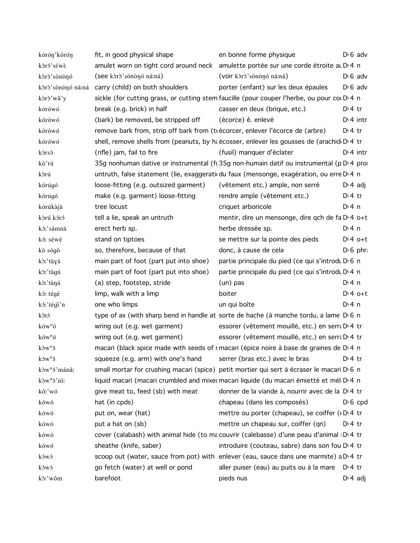| kórón'kórón              | fit, in good physical shape                                                                      | en bonne forme physique                                      | $D \nvert 6$ adv  |
|--------------------------|--------------------------------------------------------------------------------------------------|--------------------------------------------------------------|-------------------|
| kòró'séwè                | amulet worn on tight cord around neck amulette portée sur une corde étroite at D <sub>14</sub> n |                                                              |                   |
| kòrò'sònònó              | (see kòrò'sònònó ná:ná)                                                                          | (voir kòrò'sònònó ná:ná)                                     | $D \nvert 6$ adv  |
| kòrò'sònònó ná:ná        | carry (child) on both shoulders                                                                  | porter (enfant) sur les deux épaules                         | $D \nvert 6$ adv  |
| kòrò'wǎ'y                | sickle (for cutting grass, or cutting stem faucille (pour couper l'herbe, ou pour cou D 4 n      |                                                              |                   |
| kórówó                   | break (e.g. brick) in half                                                                       | casser en deux (brique, etc.)                                | $D:4$ tr          |
| kórówó                   | (bark) be removed, be stripped off                                                               | (écorce) ê. enlevé                                           | $D \cdot 4$ intr  |
| kórówó                   | remove bark from, strip off bark from (ti écorcer, enlever l'écorce de (arbre)                   |                                                              | $Dt$ tr           |
| kórówó                   | shell, remove shells from (peanuts, by ha écosser, enlever les gousses de (arachid D 4 tr        |                                                              |                   |
| kórsó                    | (rifle) jam, fail to fire                                                                        | (fusil) manquer d'éclater                                    | $D:4$ intr        |
| kò'rú                    | 3Sg nonhuman dative or instrumental (fc 3Sg non-humain datif ou instrumental (p D 4 pro          |                                                              |                   |
| kòrú                     | untruth, false statement (lie, exaggeratic du faux (mensonge, exagération, ou erre D 4 n         |                                                              |                   |
| kórúgó                   | loose-fitting (e.g. outsized garment)                                                            | (vêtement etc.) ample, non serré                             | $D \cdot 4$ adj   |
| kórúgó                   | make (e.g. garment) loose-fitting                                                                | rendre ample (vêtement etc.)                                 | $D:4$ tr          |
| kórúkàjà                 | tree locust                                                                                      | criquet arboricole                                           | D:4n              |
| kòrú kóró                | tell a lie, speak an untruth                                                                     | mentir, dire un mensonge, dire qch de fa D 4 o+t             |                   |
| kó:'sámnà                | erect herb sp.                                                                                   | herbe dressée sp.                                            | D:4n              |
| kó: séwé                 | stand on tiptoes                                                                                 | se mettre sur la pointe des pieds                            | $Dt 4 0+t$        |
| kò sógò                  | so, therefore, because of that                                                                   | donc, à cause de cela                                        | $D \nvert 6$ phr. |
| kò:'tàyá                 | main part of foot (part put into shoe)                                                           | partie principale du pied (ce qui s'introdu D 6 n            |                   |
| kò:'tàgú                 | main part of foot (part put into shoe)                                                           | partie principale du pied (ce qui s'introdu D 4 n            |                   |
| kò:'tàná                 | (a) step, footstep, stride                                                                       | (un) pas                                                     | D:4n              |
| kó: tégé                 | limp, walk with a limp                                                                           | boiter                                                       | $D:4$ o+t         |
| kó:'tégi'n               | one who limps                                                                                    | un qui boîte                                                 | $Di$ 4 n          |
| kòtó                     | type of ax (with sharp bend in handle at sorte de hache (à manche tordu, a lame D 6 n            |                                                              |                   |
| $k$ ów <sup>n</sup> ó    | wring out (e.g. wet garment)                                                                     | essorer (vêtement mouillé, etc.) en serra D 4 tr             |                   |
| $k$ ów <sup>n</sup> ó    | wring out (e.g. wet garment)                                                                     | essorer (vêtement mouillé, etc.) en serra D' 4 tr            |                   |
| $k\delta w^n$            | macari (black spice made with seeds of r macari (épice noire à base de graines de D 4 n          |                                                              |                   |
| $k$ ów <sup>n</sup> ó    | squeeze (e.g. arm) with one's hand serrer (bras etc.) avec le bras D.4 tr                        |                                                              |                   |
| kòw <sup>n</sup> ó'mánâ: | small mortar for crushing macari (spice) petit mortier qui sert à écraser le macari D 6 n        |                                                              |                   |
| kòw <sup>n</sup> ò'ní:   | liquid macari (macari crumbled and mixe macari liquide (du macari émietté et mél D 4 n           |                                                              |                   |
| kó:'wó                   | give meat to, feed (sb) with meat                                                                | donner de la viande à, nourrir avec de la D <sub>14</sub> tr |                   |
| kówó                     | hat (in cpds)                                                                                    | chapeau (dans les composés)                                  | $D \nvert 6$ cpd  |
| kówó                     | put on, wear (hat)                                                                               | mettre ou porter (chapeau), se coiffer (D 4 tr               |                   |
| kówó                     | put a hat on (sb)                                                                                | mettre un chapeau sur, coiffer (qn)                          | $Dt$ tr           |
| kówó                     | cover (calabash) with animal hide (to ma couvrir (calebasse) d'une peau d'animal D 4 tr          |                                                              |                   |
| kówó                     | sheathe (knife, saber)                                                                           | introduire (couteau, sabre) dans son fou D <sub>1</sub> 4 tr |                   |
| kówó                     | scoop out (water, sauce from pot) with enlever (eau, sauce dans une marmite) a D 4 tr            |                                                              |                   |
| kówó                     | go fetch (water) at well or pond                                                                 | aller puiser (eau) au puits ou à la mare D 4 tr              |                   |
| kò:'wôm                  | barefoot                                                                                         | pieds nus                                                    | $D \cdot 4$ adj   |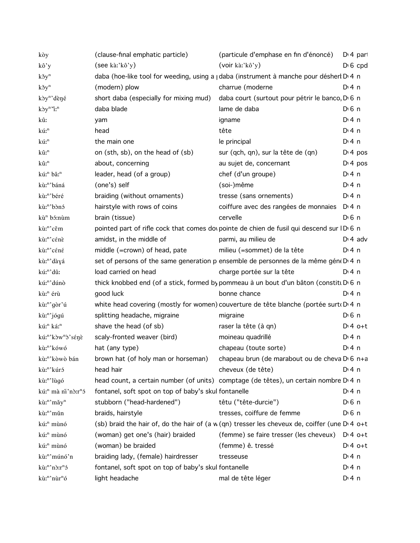| kòy                                        | (clause-final emphatic particle)                     | (particule d'emphase en fin d'énoncé)                                                                        | D <sub>'</sub> 4 part |
|--------------------------------------------|------------------------------------------------------|--------------------------------------------------------------------------------------------------------------|-----------------------|
| kô'y                                       | $($ see kà:'kô'y $)$                                 | (voir ka: kô'y)                                                                                              | $D \cdot 6$ cpd       |
| $k\delta y^n$                              |                                                      | daba (hoe-like tool for weeding, using a j daba (instrument à manche pour désherl D 4 n                      |                       |
| $k\delta y^n$                              | (modern) plow                                        | charrue (moderne                                                                                             | D:4n                  |
| kòy <sup>n</sup> 'dèné                     | short daba (especially for mixing mud)               | daba court (surtout pour pétrir le banco, D <sub>'6</sub> n                                                  |                       |
| $k\partial y^n$ "i:                        | daba blade                                           | lame de daba                                                                                                 | $D \nvert 6 \nvert n$ |
| kû:                                        | yam                                                  | igname                                                                                                       | $Di$ 4 n              |
| kú: <sup>n</sup>                           | head                                                 | tête                                                                                                         | $Di$ 4 n              |
| kú: <sup>n</sup>                           | the main one                                         | le principal                                                                                                 | $Di$ 4 n              |
| kû: <sup>n</sup>                           | on (sth, sb), on the head of (sb)                    | sur (qch, qn), sur la tête de (qn)                                                                           | D <sup>i</sup> 4 pos  |
| kû: <sup>n</sup>                           | about, concerning                                    | au sujet de, concernant                                                                                      | D <sup>i</sup> 4 pos  |
| kú: <sup>n</sup> bâ: <sup>n</sup>          | leader, head (of a group)                            | chef (d'un groupe)                                                                                           | $Di$ 4 n              |
| kù:"'báná                                  | (one's) self                                         | (soi-)même                                                                                                   | $Di$ 4 n              |
| kù:"'béré                                  | braiding (without ornaments)                         | tresse (sans ornements)                                                                                      | $Di$ 4 n              |
| kù: <sup>n</sup> 'bònó                     | hairstyle with rows of coins                         | coiffure avec des rangées de monnaies                                                                        | D:4n                  |
| kù <sup>n</sup> bó:nùm                     | brain (tissue)                                       | cervelle                                                                                                     | $D \nvert 6 \nvert n$ |
| kù: <sup>n</sup> 'cěm                      |                                                      | pointed part of rifle cock that comes do pointe de chien de fusil qui descend sur ID 6 n                     |                       |
| kù: <sup>n</sup> 'cénè                     | amidst, in the middle of                             | parmi, au milieu de                                                                                          | $D \cdot 4$ adv       |
| kù: <sup>n</sup> 'céné                     | middle (=crown) of head, pate                        | milieu (=sommet) de la tête                                                                                  | $Di$ 4 n              |
| kù:"'dàyá                                  |                                                      | set of persons of the same generation p ensemble de personnes de la même gén(D) 4 n                          |                       |
| kú: <sup>n</sup> 'dû:                      | load carried on head                                 | charge portée sur la tête                                                                                    | $Di$ 4 n              |
| kú: <sup>n</sup> 'dúnò                     |                                                      | thick knobbed end (of a stick, formed by pommeau à un bout d'un bâton (constitu D 6 n                        |                       |
| kù: <sup>n</sup> érù                       | good luck                                            | bonne chance                                                                                                 | D:4n                  |
| kù:"'gòr'ú                                 |                                                      | white head covering (mostly for women) couverture de tête blanche (portée surto D 4 n                        |                       |
| kù: <sup>n</sup> 'jógú                     | splitting headache, migraine                         | migraine                                                                                                     | $D \nvert 6 \nvert n$ |
| kú: <sup>n</sup> ká: <sup>n</sup>          | shave the head (of sb)                               | raser la tête (à qn)                                                                                         | $D:4$ o+t             |
| kú: <sup>n</sup> 'kòw <sup>n</sup> ò'sénè  | scaly-fronted weaver (bird)                          | moineau quadrillé                                                                                            | $Di$ 4 n              |
| kù: <sup>n</sup> 'kówó                     | hat (any type)                                       | chapeau (toute sorte)                                                                                        | $Dt$ 4 n              |
| kù: <sup>n</sup> 'kòwò bán                 |                                                      | brown hat (of holy man or horseman) chapeau brun (de marabout ou de cheva D <sub>16</sub> n+a                |                       |
| kù: <sup>n</sup> 'kúró                     | head hair                                            | cheveux (de tête)                                                                                            | $Dt$ 4 n              |
| kù: <sup>n</sup> 'lùgó                     |                                                      | head count, a certain number (of units) comptage (de têtes), un certain nombre D'4 n                         |                       |
| kú: <sup>n</sup> mà ni'nò:r <sup>n</sup> ó | fontanel, soft spot on top of baby's skul fontanelle |                                                                                                              | $Di$ 4 n              |
| kù:"'mǎy"                                  | stubborn ("head-hardened")                           | têtu ("tête-durcie")                                                                                         | $D0$ n                |
| kù: <sup>n</sup> 'mǔn                      | braids, hairstyle                                    | tresses, coiffure de femme                                                                                   | $D0$ n                |
| kú: <sup>n</sup> mùnó                      |                                                      | (sb) braid the hair of, do the hair of (a $w$ (qn) tresser les cheveux de, coiffer (une D $\overline{4}$ o+t |                       |
| kú: <sup>n</sup> mùnó                      | (woman) get one's (hair) braided                     | (femme) se faire tresser (les cheveux)                                                                       | $Dt 4 0+t$            |
| kú: <sup>n</sup> mùnó                      | (woman) be braided                                   | (femme) ê. tressé                                                                                            | $Dt 4 0+t$            |
| kù: <sup>n</sup> 'múnó'n                   | braiding lady, (female) hairdresser                  | tresseuse                                                                                                    | $Di$ 4 n              |
| kù: <sup>n</sup> 'nò:r <sup>n</sup> ó      | fontanel, soft spot on top of baby's skul fontanelle |                                                                                                              | $Dt$ 4 n              |
| kù:"'nùr"ó                                 | light headache                                       | mal de tête léger                                                                                            | $Dt$ 4 n              |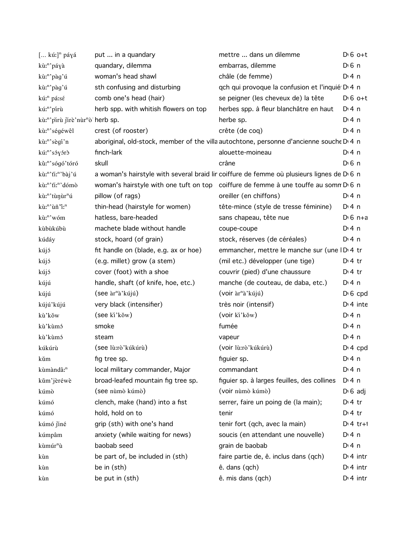| $[$ kú:] <sup>n</sup> páyá    | put  in a quandary                    | mettre  dans un dilemme                                                                   | $D \cdot 6$ o+t       |
|-------------------------------|---------------------------------------|-------------------------------------------------------------------------------------------|-----------------------|
| kù:"'páyà                     | quandary, dilemma                     | embarras, dilemme                                                                         | $D \nvert 6 \nvert n$ |
| kù:"'pàg'ú                    | woman's head shawl                    | châle (de femme)                                                                          | $Di$ 4 n              |
| kù:"'pàg'ú                    | sth confusing and disturbing          | qch qui provoque la confusion et l'inquié D <sub>14</sub> n                               |                       |
| kú: <sup>n</sup> pá:sé        | comb one's head (hair)                | se peigner (les cheveux de) la tête                                                       | $D \nvert 6$ o+t      |
| kú:"'pírù                     | herb spp. with whitish flowers on top | herbes spp. à fleur blanchâtre en haut                                                    | $Di$ 4 n              |
| kù:"'pirù jirè'nùr"ò herb sp. |                                       | herbe sp.                                                                                 | $Di$ 4 n              |
| kù:"'ségéwêl                  | crest (of rooster)                    | crête (de coq)                                                                            | $Di$ 4 n              |
| kù: <sup>n</sup> 'sègí'n      |                                       | aboriginal, old-stock, member of the villa autochtone, personne d'ancienne souche D'4 n   |                       |
| kú: <sup>n</sup> 'sóyórò      | finch-lark                            | alouette-moineau                                                                          | $Di$ 4 n              |
| kù:"'sógó'tóró                | skull                                 | crâne                                                                                     | $D \nvert 6 \nvert n$ |
| kù:"'ti:"'bàj'ú               |                                       | a woman's hairstyle with several braid lir coiffure de femme où plusieurs lignes de D 6 n |                       |
| kù:"'ti:"'dómò                |                                       | woman's hairstyle with one tuft on top coiffure de femme à une touffe au somm D'6 n       |                       |
| kù:"'tùnùr"ú                  | pillow (of rags)                      | oreiller (en chiffons)                                                                    | $Di$ 4 n              |
| kù:"'ùñ'ï:"                   | thin-head (hairstyle for women)       | tête-mince (style de tresse féminine)                                                     | $Dt$ 4 n              |
| kù: <sup>n</sup> 'wóm         | hatless, bare-headed                  | sans chapeau, tête nue                                                                    | $D \cdot 6$ n+a       |
| kùbùkúbù                      | machete blade without handle          | coupe-coupe                                                                               | $Di$ 4 n              |
| kúdáy                         | stock, hoard (of grain)               | stock, réserves (de céréales)                                                             | $Di$ 4 n              |
| kújó                          | fit handle on (blade, e.g. ax or hoe) | emmancher, mettre le manche sur (une ID 4 tr                                              |                       |
| kújó                          | (e.g. millet) grow (a stem)           | (mil etc.) développer (une tige)                                                          | $D \cdot 4$ tr        |
| kújó                          | cover (foot) with a shoe              | couvrir (pied) d'une chaussure                                                            | $D:4$ tr              |
| kújú                          | handle, shaft (of knife, hoe, etc.)   | manche (de couteau, de daba, etc.)                                                        | $Di$ 4 n              |
| kújú                          | (see àr <sup>n</sup> à'kújú)          | $($ voir àr <sup>n</sup> à' kújú)                                                         | $D \cdot 6$ cpd       |
| kújú'kújú                     | very black (intensifier)              | très noir (intensif)                                                                      | $Di$ 4 inte           |
| kù'kǒw                        | (see ki'kǒw)                          | (voir ki'kǒw)                                                                             | $Di$ 4 n              |
| kù'kùmó                       | smoke                                 | fumée                                                                                     | $Di$ 4 n              |
| kù'kùmó                       | steam                                 | vapeur                                                                                    | $Di$ 4 n              |
| kúkúrù                        | (see lù:rò'kúkúrù)                    | (voir lù:rò'kúkúrù)                                                                       | $Di 4$ cpd            |
| kŭm                           | fig tree sp.                          | figuier sp.                                                                               | $Di$ 4 n              |
| kùmàndâ: <sup>n</sup>         | local military commander, Major       | commandant                                                                                | $Di$ 4 n              |
| kům'jèréwè                    | broad-leafed mountain fig tree sp.    | figuier sp. à larges feuilles, des collines                                               | $Di$ 4 n              |
| kúmò                          | (see nùmò kúmò)                       | (voir nùmò kúmò)                                                                          | $D \nvert 6$ adj      |
| kúmó                          | clench, make (hand) into a fist       | serrer, faire un poing de (la main);                                                      | $Di4$ tr              |
| kúmó                          | hold, hold on to                      | tenir                                                                                     | $Di4$ tr              |
| kúmó jiné                     | grip (sth) with one's hand            | tenir fort (qch, avec la main)                                                            | $Di 4$ tr+1           |
| kúmpâm                        | anxiety (while waiting for news)      | soucis (en attendant une nouvelle)                                                        | $Di$ 4 n              |
| kùmúr <sup>n</sup> ù          | baobab seed                           | grain de baobab                                                                           | $Di$ 4 n              |
| kùn                           | be part of, be included in (sth)      | faire partie de, ê. inclus dans (qch)                                                     | $Di$ 4 intr           |
| kùn                           | be in (sth)                           | ê. dans (qch)                                                                             | $Dt$ 4 intr           |
| kùn                           | be put in (sth)                       | ê. mis dans (qch)                                                                         | $Di$ 4 intr           |
|                               |                                       |                                                                                           |                       |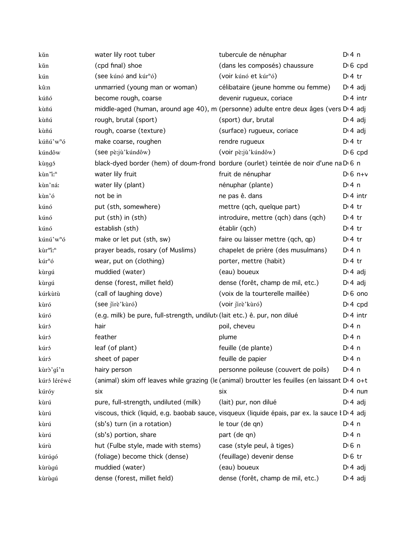| kǔn                              | water lily root tuber                                                     | tubercule de nénuphar                                                                                      | $Dt$ 4 n              |
|----------------------------------|---------------------------------------------------------------------------|------------------------------------------------------------------------------------------------------------|-----------------------|
| kŭn                              | (cpd final) shoe                                                          | (dans les composés) chaussure                                                                              | $D \nvert 6$ cpd      |
| kún                              | (see kúnó and kúr <sup>n</sup> ó)                                         | (voir kúnó et kúr <sup>n</sup> ó)                                                                          | $Di4$ tr              |
| kû:n                             | unmarried (young man or woman)                                            | célibataire (jeune homme ou femme)                                                                         | $D \cdot 4$ adj       |
| kúñó                             | become rough, coarse                                                      | devenir rugueux, coriace                                                                                   | $Dt$ 4 intr           |
| kùñú                             |                                                                           | middle-aged (human, around age 40), mi (personne) adulte entre deux âges (vers D 4 adj                     |                       |
| kùñú                             | rough, brutal (sport)                                                     | (sport) dur, brutal                                                                                        | $D \cdot 4$ adj       |
| kùñú                             | rough, coarse (texture)                                                   | (surface) rugueux, coriace                                                                                 | $D \nmid 4$ adj       |
| kúñú'w <sup>n</sup> ó            | make coarse, roughen                                                      | rendre rugueux                                                                                             | D <sup>i</sup> 4 tr   |
| kúndôw                           | (see pè:jù'kúndôw)                                                        | (voir pè:jù'kúndôw)                                                                                        | $D \nvert 6$ cpd      |
| kùŋgó                            |                                                                           | black-dyed border (hem) of doum-frond bordure (ourlet) teintée de noir d'une na D 6 n                      |                       |
| kùn'i: <sup>n</sup>              | water lily fruit                                                          | fruit de nénuphar                                                                                          | $Di 6 n+v$            |
| kùn'ná:                          | water lily (plant)                                                        | nénuphar (plante)                                                                                          | $Dt$ 4 n              |
| kùn'ó                            | not be in                                                                 | ne pas ê. dans                                                                                             | $Di$ 4 intr           |
| kúnó                             | put (sth, somewhere)                                                      | mettre (qch, quelque part)                                                                                 | $D:4$ tr              |
| kúnó                             | put (sth) in (sth)                                                        | introduire, mettre (qch) dans (qch)                                                                        | $Di4$ tr              |
| kúnó                             | establish (sth)                                                           | établir (qch)                                                                                              | $Dt$ 4 tr             |
| kúnú'w <sup>n</sup> ó            | make or let put (sth, sw)                                                 | faire ou laisser mettre (qch, qp)                                                                          | $Dt$ 4 tr             |
| kùr <sup>m</sup> i: <sup>n</sup> | prayer beads, rosary (of Muslims)                                         | chapelet de prière (des musulmans)                                                                         | $Di$ 4 n              |
| kúr <sup>n</sup> ó               | wear, put on (clothing)                                                   | porter, mettre (habit)                                                                                     | $Di4$ tr              |
| kùrgú                            | muddied (water)                                                           | (eau) boueux                                                                                               | $D \nmid 4$ adj       |
| kùrgú                            | dense (forest, millet field)                                              | dense (forêt, champ de mil, etc.)                                                                          | $D \cdot 4$ adj       |
| kúrkùtù                          | (call of laughing dove)                                                   | (voix de la tourterelle maillée)                                                                           | $D16$ one             |
| kùró                             | (see jirè'kùró)                                                           | (voir jirè'kùró)                                                                                           | $Di$ 4 cpd            |
| kúró                             | (e.g. milk) be pure, full-strength, undilut (lait etc.) ê. pur, non dilué |                                                                                                            | $Dt$ 4 intr           |
| kúró                             | hair                                                                      | poil, cheveu                                                                                               | $Di$ 4 n              |
| kúró                             | feather                                                                   | plume                                                                                                      | $Di$ 4 n              |
| kúró                             | leaf (of plant)                                                           | feuille (de plante)                                                                                        | $Dt$ 4 n              |
| kúró                             | sheet of paper                                                            | feuille de papier                                                                                          | $Di$ 4 n              |
| kùrò'gí'n                        | hairy person                                                              | personne poileuse (couvert de poils)                                                                       | D:4n                  |
| kúró léréwé                      |                                                                           | (animal) skim off leaves while grazing (le (animal) broutter les feuilles (en laissant D <sub>14</sub> o+t |                       |
| kúróy                            | six                                                                       | six                                                                                                        | $Di$ 4 nun            |
| kùrú                             | pure, full-strength, undiluted (milk)                                     | (lait) pur, non dilué                                                                                      | $D \cdot 4$ adj       |
| kùrú                             |                                                                           | viscous, thick (liquid, e.g. baobab sauce, visqueux (liquide épais, par ex. la sauce l D 4 adj             |                       |
| kùrú                             | (sb's) turn (in a rotation)                                               | le tour (de qn)                                                                                            | $Di$ 4 n              |
| kùrú                             | (sb's) portion, share                                                     | part (de qn)                                                                                               | $Dt$ 4 n              |
| kúrù                             | hut (Fulbe style, made with stems)                                        | case (style peul, à tiges)                                                                                 | $D \nvert 6 \nvert n$ |
| kúrúgó                           | (foliage) become thick (dense)                                            | (feuillage) devenir dense                                                                                  | $D \n6$ tr            |
| kùrùgú                           | muddied (water)                                                           | (eau) boueux                                                                                               | $D \cdot 4$ adj       |
| kùrùgú                           | dense (forest, millet field)                                              | dense (forêt, champ de mil, etc.)                                                                          | $D \cdot 4$ adj       |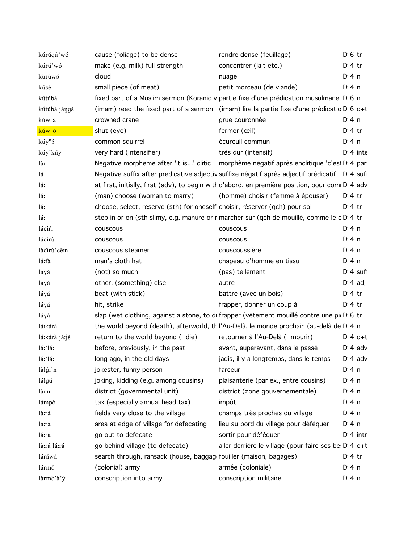| kúrúgú'wó          | cause (foliage) to be dense                                                | rendre dense (feuillage)                                                                             | $D \n6$ tr      |
|--------------------|----------------------------------------------------------------------------|------------------------------------------------------------------------------------------------------|-----------------|
| kúrú'wó            | make (e.g. milk) full-strength                                             | concentrer (lait etc.)                                                                               | $Di4$ tr        |
| kùrùwó             | cloud                                                                      | nuage                                                                                                | $Di$ 4 n        |
| kúsêl              | small piece (of meat)                                                      | petit morceau (de viande)                                                                            | $Di$ 4 n        |
| kútúbà             |                                                                            | fixed part of a Muslim sermon (Koranic v partie fixe d'une prédication musulmane D 6 n               |                 |
| kútúbà jángé       |                                                                            | (imam) read the fixed part of a sermon (imam) lire la partie fixe d'une prédicatio $D \cdot 6$ o+t   |                 |
| kùw <sup>n</sup> á | crowned crane                                                              | grue couronnée                                                                                       | $Di$ 4 n        |
| kúw <sup>n</sup> ó | shut (eye)                                                                 | fermer (œil)                                                                                         | $Di4$ tr        |
| kúy <sup>n</sup> ó | common squirrel                                                            | écureuil commun                                                                                      | $Di$ 4 n        |
| kúy'kúy            | very hard (intensifier)                                                    | très dur (intensif)                                                                                  | $Di$ 4 inte     |
| là:                |                                                                            | Negative morpheme after 'it is' clitic morphème négatif après enclitique 'c'est D <sub>'</sub> 4 par |                 |
| lá                 |                                                                            | Negative suffix after predicative adjectiv suffixe négatif après adjectif prédicatif D 4 suff        |                 |
| láː                |                                                                            | at first, initially, first (adv), to begin with d'abord, en première position, pour comi D'4 adv     |                 |
| láː                | (man) choose (woman to marry)                                              | (homme) choisir (femme à épouser)                                                                    | $Dt$ + tr       |
| láː                | choose, select, reserve (sth) for oneself choisir, réserver (qch) pour soi |                                                                                                      | $D:4$ tr        |
| láː                |                                                                            | step in or on (sth slimy, e.g. manure or r marcher sur (qch de mouillé, comme le c D 4 tr            |                 |
| lácíri             | couscous                                                                   | couscous                                                                                             | $Di$ 4 n        |
| lácírù             | couscous                                                                   | couscous                                                                                             | $Di$ 4 n        |
| làcirù'cě:n        | couscous steamer                                                           | couscoussière                                                                                        | $Di$ 4 n        |
| lá:fà              | man's cloth hat                                                            | chapeau d'homme en tissu                                                                             | $Di$ 4 n        |
| làyá               | (not) so much                                                              | (pas) tellement                                                                                      | $D14$ suff      |
| làyá               | other, (something) else                                                    | autre                                                                                                | $D \cdot 4$ adj |
| láyá               | beat (with stick)                                                          | battre (avec un bois)                                                                                | $Di4$ tr        |
| láyá               | hit, strike                                                                | frapper, donner un coup à                                                                            | $D \cdot 4$ tr  |
| láyá               |                                                                            | slap (wet clothing, against a stone, to dr frapper (vêtement mouillé contre une pieD 6 tr            |                 |
| lá:kárà            |                                                                            | the world beyond (death), afterworld, th l'Au-Delà, le monde prochain (au-delà de D <sub>'4</sub> n  |                 |
| lá:kárà já:jé      | return to the world beyond (=die)                                          | retourner à l'Au-Delà (=mourir)                                                                      | $D:4$ o+t       |
| lá:'lá:            | before, previously, in the past                                            | avant, auparavant, dans le passé                                                                     | $D \cdot 4$ adv |
| lá:'lá:            | long ago, in the old days                                                  | jadis, il y a longtemps, dans le temps                                                               | $Di 4$ adv      |
| làlgi'n            | jokester, funny person                                                     | farceur                                                                                              | $Di$ 4 n        |
| lálgú              | joking, kidding (e.g. among cousins)                                       | plaisanterie (par ex., entre cousins)                                                                | $Di$ 4 n        |
| lâ:m               | district (governmental unit)                                               | district (zone gouvernementale)                                                                      | $Di$ 4 n        |
| lámpò              | tax (especially annual head tax)                                           | impôt                                                                                                | $Di$ 4 n        |
| là:rá              | fields very close to the village                                           | champs très proches du village                                                                       | D: 4n           |
| là:rá              | area at edge of village for defecating                                     | lieu au bord du village pour déféquer                                                                | D: 4n           |
| lá:rá              | go out to defecate                                                         | sortir pour déféquer                                                                                 | $Di$ 4 intr     |
| là:rá lá:rá        | go behind village (to defecate)                                            | aller derrière le village (pour faire ses be: D 4 o+t                                                |                 |
| láráwá             | search through, ransack (house, baggag fouiller (maison, bagages)          |                                                                                                      | $Di4$ tr        |
| lármé              | (colonial) army                                                            | armée (coloniale)                                                                                    | D: 4n           |
| làrmè'à'ý          | conscription into army                                                     | conscription militaire                                                                               | $Di$ 4 n        |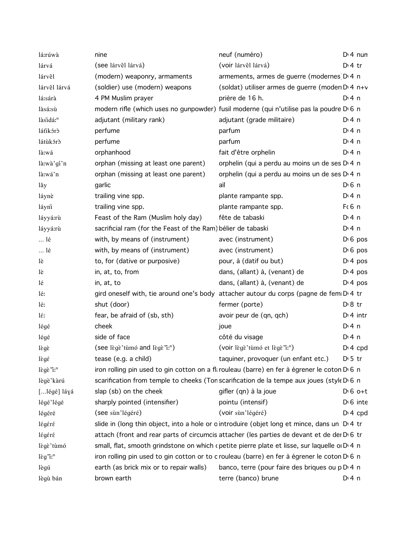| lá:rúwà              | nine                                                         | neuf (numéro)                                                                                           | $Di$ 4 nun            |
|----------------------|--------------------------------------------------------------|---------------------------------------------------------------------------------------------------------|-----------------------|
| lárvá                | (see lárvêl lárvá)                                           | (voir lárvêl lárvá)                                                                                     | $D \cdot 4$ tr        |
| lárvêl               | (modern) weaponry, armaments                                 | armements, armes de guerre (modernes D 4 n                                                              |                       |
| lárvêl lárvá         | (soldier) use (modern) weapons                               | (soldat) utiliser armes de guerre (moderi D <sub>1</sub> 4 n+v                                          |                       |
| lá:sárà              | 4 PM Muslim prayer                                           | prière de 16 h.                                                                                         | $Di$ 4 n              |
| làsá:sù              |                                                              | modern rifle (which uses no gunpowder) fusil moderne (qui n'utilise pas la poudre D 6 n                 |                       |
| làsidá: <sup>n</sup> | adjutant (military rank)                                     | adjutant (grade militaire)                                                                              | $Di$ 4 n              |
| látikóró             | perfume                                                      | parfum                                                                                                  | $Di$ 4 n              |
| látùkórð             | perfume                                                      | parfum                                                                                                  | $Di$ 4 n              |
| là:wá                | orphanhood                                                   | fait d'être orphelin                                                                                    | $Di$ 4 n              |
| là:wà'gí'n           | orphan (missing at least one parent)                         | orphelin (qui a perdu au moins un de ses D 4 n                                                          |                       |
| là:wá'n              | orphan (missing at least one parent)                         | orphelin (qui a perdu au moins un de ses D 4 n                                                          |                       |
| lăy                  | garlic                                                       | aïl                                                                                                     | $D \nvert 6 \nvert n$ |
| láynè                | trailing vine spp.                                           | plante rampante spp.                                                                                    | $Di$ 4 n              |
| láyni                | trailing vine spp.                                           | plante rampante spp.                                                                                    | $F6$ n                |
| láyyá:rù             | Feast of the Ram (Muslim holy day)                           | fête de tabaski                                                                                         | $Di$ 4 n              |
| láyyá:rù             | sacrificial ram (for the Feast of the Ram) bélier de tabaski |                                                                                                         | $Di$ 4 n              |
| lé                   | with, by means of (instrument)                               | avec (instrument)                                                                                       | $D \nvert 6$ pos      |
| lé                   | with, by means of (instrument)                               | avec (instrument)                                                                                       | $D \nvert 6$ pos      |
| lè                   | to, for (dative or purposive)                                | pour, à (datif ou but)                                                                                  | $Di$ 4 pos            |
| lè                   | in, at, to, from                                             | dans, (allant) à, (venant) de                                                                           | $Di$ 4 pos            |
| lé                   | in, at, to                                                   | dans, (allant) à, (venant) de                                                                           | $Di$ 4 pos            |
| lé:                  |                                                              | gird oneself with, tie around one's body attacher autour du corps (pagne de fem D'4 tr                  |                       |
| lé:                  | shut (door)                                                  | fermer (porte)                                                                                          | $D \ 8 \ tr$          |
| lέ:                  | fear, be afraid of (sb, sth)                                 | avoir peur de (qn, qch)                                                                                 | $Di$ 4 intr           |
| légé                 | cheek                                                        | joue                                                                                                    | $Di$ 4 n              |
| légé                 | side of face                                                 | côté du visage                                                                                          | $Di$ 4 n              |
| lègè                 | (see lègè'tùmó and lègè'i: <sup>n</sup> )                    | (voir lègè tùmó et lègè "i:")                                                                           | $Di$ 4 cpd            |
| lègé                 | tease (e.g. a child)                                         | taquiner, provoquer (un enfant etc.)                                                                    | $D \cdot 5$ tr        |
| lègè <sup>n</sup> :" |                                                              | iron rolling pin used to gin cotton on a fli rouleau (barre) en fer à égrener le coton D'6 n            |                       |
| lègè'kàrú            |                                                              | scarification from temple to cheeks (Ton scarification de la tempe aux joues (style D 6 n               |                       |
| [légé] láyá          | slap (sb) on the cheek                                       | gifler (qn) à la joue                                                                                   | $D \cdot 6$ o+t       |
| légé'légé            | sharply pointed (intensifier)                                | pointu (intensif)                                                                                       | $D \cdot 6$ inte      |
| légéré               | (see sùn'légéré)                                             | (voir sùn'légéré)                                                                                       | $Di$ 4 cpd            |
| légéré               |                                                              | slide in (long thin object, into a hole or o introduire (objet long et mince, dans un D.4 tr            |                       |
| légéré               |                                                              | attach (front and rear parts of circumcis attacher (les parties de devant et de dei D <sub>16</sub> tr  |                       |
| lègè'tùmó            |                                                              | small, flat, smooth grindstone on which (petite pierre plate et lisse, sur laquelle o D 4 n             |                       |
| $l$ $\gtrsim$ $q^r$  |                                                              | iron rolling pin used to gin cotton or to c rouleau (barre) en fer à égrener le coton D <sub>16</sub> n |                       |
| lègú                 | earth (as brick mix or to repair walls)                      | banco, terre (pour faire des briques ou p D 4 n                                                         |                       |
| lègù bán             | brown earth                                                  | terre (banco) brune                                                                                     | $Dt$ 4 n              |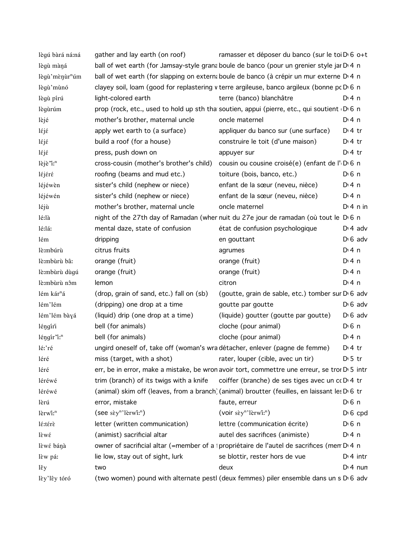| lègú bàrá ná:ná                     | gather and lay earth (on roof)                                                             | ramasser et déposer du banco (sur le toi D <sub>10</sub> o+t                                              |                  |
|-------------------------------------|--------------------------------------------------------------------------------------------|-----------------------------------------------------------------------------------------------------------|------------------|
| lègù màná                           |                                                                                            | ball of wet earth (for Jamsay-style granaboule de banco (pour un grenier style jar D 4 n                  |                  |
| lègù'mènùr <sup>n</sup> úm          |                                                                                            | ball of wet earth (for slapping on externa boule de banco (à crépir un mur externe D'4 n                  |                  |
| lègù'mùnó                           | clayey soil, loam (good for replastering v terre argileuse, banco argileux (bonne pc D 6 n |                                                                                                           |                  |
| lègù pírú                           | light-colored earth                                                                        | terre (banco) blanchâtre                                                                                  | $Di$ 4 n         |
| lègùrúm                             |                                                                                            | prop (rock, etc., used to hold up sth tha soutien, appui (pierre, etc., qui soutient D 6 n                |                  |
| lèjé                                | mother's brother, maternal uncle                                                           | oncle maternel                                                                                            | $Di$ 4 n         |
| léjé                                | apply wet earth to (a surface)                                                             | appliquer du banco sur (une surface)                                                                      | $D:4$ tr         |
| $l$ éjé                             | build a roof (for a house)                                                                 | construire le toit (d'une maison)                                                                         | $Di4$ tr         |
| léjé                                | press, push down on                                                                        | appuyer sur                                                                                               | $Di4$ tr         |
| lèjè "i: <sup>n</sup>               | cross-cousin (mother's brother's child)                                                    | cousin ou cousine croisé(e) (enfant de l'DG n                                                             |                  |
| léjéré                              | roofing (beams and mud etc.)                                                               | toiture (bois, banco, etc.)                                                                               | $D0$ n           |
| léjéwèn                             | sister's child (nephew or niece)                                                           | enfant de la sœur (neveu, nièce)                                                                          | $Di$ 4 n         |
| léjéwén                             | sister's child (nephew or niece)                                                           | enfant de la sœur (neveu, nièce)                                                                          | $Di$ 4 n         |
| léjù                                | mother's brother, maternal uncle                                                           | oncle maternel                                                                                            | $Dt$ 4 n in      |
| lé:là                               |                                                                                            | night of the 27th day of Ramadan (wher nuit du 27e jour de ramadan (où tout le D 6 n                      |                  |
| lé:lá:                              | mental daze, state of confusion                                                            | état de confusion psychologique                                                                           | $D \cdot 4$ adv  |
| lém                                 | dripping                                                                                   | en gouttant                                                                                               | $D \nvert 6$ adv |
| lè:mbúrù                            | citrus fruits                                                                              | agrumes                                                                                                   | $Di$ 4 n         |
| lè:mbùrù bâ:                        | orange (fruit)                                                                             | orange (fruit)                                                                                            | $Di$ 4 n         |
| lè:mbùrù dùgú                       | orange (fruit)                                                                             | orange (fruit)                                                                                            | $Di$ 4 n         |
| lè:mbùrù nôm                        | lemon                                                                                      | citron                                                                                                    | $Di$ 4 n         |
| lém kár <sup>n</sup> á              | (drop, grain of sand, etc.) fall on (sb)                                                   | (goutte, grain de sable, etc.) tomber sur DG adv                                                          |                  |
| lém'lém                             | (dripping) one drop at a time                                                              | goutte par goutte                                                                                         | $D \nvert 6$ adv |
| lém'lém bàyá                        | (liquid) drip (one drop at a time)                                                         | (liquide) goutter (goutte par goutte)                                                                     | $D \nvert 6$ adv |
| léngíri                             | bell (for animals)                                                                         | cloche (pour animal)                                                                                      | $D0$ n           |
| $l$ éngír $l$ : <sup>n</sup>        | bell (for animals)                                                                         | cloche (pour animal)                                                                                      | $Di$ 4 n         |
| lé:'ré                              | ungird oneself of, take off (woman's wra détacher, enlever (pagne de femme)                |                                                                                                           | $Di4$ tr         |
| léré                                | miss (target, with a shot)                                                                 | rater, louper (cible, avec un tir)                                                                        | $D \cdot 5$ tr   |
| léré                                |                                                                                            | err, be in error, make a mistake, be wron avoir tort, commettre une erreur, se tror D' 5 intr             |                  |
| léréwé                              |                                                                                            | trim (branch) of its twigs with a knife coiffer (branche) de ses tiges avec un $\alpha$ D 4 tr            |                  |
| léréwé                              |                                                                                            | (animal) skim off (leaves, from a branch) (animal) broutter (feuilles, en laissant les D <sub>'6</sub> tr |                  |
| lèrú                                | error, mistake                                                                             | faute, erreur                                                                                             | $D \n6$ n        |
| lèrwi: <sup>n</sup>                 | $($ see sɛ̀y <sup>n</sup> 'lèrwîː <sup>n</sup> $)$                                         | $(voir sèyn)$ lèrwî: <sup>n</sup> )                                                                       | $D \nvert 6$ cpd |
| lé:térè                             | letter (written communication)                                                             | lettre (communication écrite)                                                                             | $D \n6$ n        |
| $\hat{\epsilon}$ w $\hat{\epsilon}$ | (animist) sacrificial altar                                                                | autel des sacrifices (animiste)                                                                           | $Di$ 4 n         |
| lèwé bánà                           |                                                                                            | owner of sacrificial altar (=member of a propriétaire de l'autel de sacrifices (mem D 4 n                 |                  |
| lèw pá:                             | lie low, stay out of sight, lurk                                                           | se blottir, rester hors de vue                                                                            | $Dt$ 4 intr      |
| lěy                                 | two                                                                                        | deux                                                                                                      | $Di$ 4 nun       |
| lèy'lêy tóró                        |                                                                                            | (two women) pound with alternate pestl (deux femmes) piler ensemble dans un s D <sub>1</sub> 6 adv        |                  |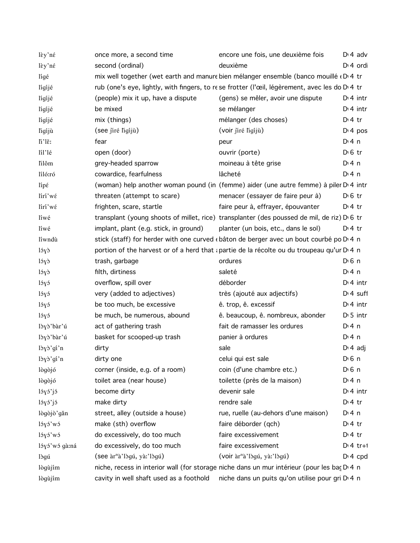| lèy'né        | once more, a second time                                                                      | encore une fois, une deuxième fois                           | $D \cdot 4$ adv       |
|---------------|-----------------------------------------------------------------------------------------------|--------------------------------------------------------------|-----------------------|
| lèy'né        | second (ordinal)                                                                              | deuxième                                                     | D <sub>1</sub> 4 ordi |
| lígé          | mix well together (wet earth and manure bien mélanger ensemble (banco mouillé (D) 4 tr        |                                                              |                       |
| lígíjé        | rub (one's eye, lightly, with fingers, to rese frotter (l'œil, légèrement, avec les do D'4 tr |                                                              |                       |
| lígíjé        | (people) mix it up, have a dispute                                                            | (gens) se mêler, avoir une dispute                           | $Di$ 4 intr           |
| lígíjé        | be mixed                                                                                      | se mélanger                                                  | $D \cdot 4$ intr      |
| lígíjé        | mix (things)                                                                                  | mélanger (des choses)                                        | $Di4$ tr              |
| ligíjù        | (see jiré ligijù)                                                                             | (voir jiré ligijù)                                           | $Di$ 4 pos            |
| li'lě:        | fear                                                                                          | peur                                                         | $Dt$ 4 n              |
| líl'lé        | open (door)                                                                                   | ouvrir (porte)                                               | $D0$ fr               |
| lilôm         | grey-headed sparrow                                                                           | moineau à tête grise                                         | $Dt$ 4 n              |
| líló:ró       | cowardice, fearfulness                                                                        | lâcheté                                                      | $Dt$ 4 n              |
| lípέ          | (woman) help another woman pound (in (femme) aider (une autre femme) à piler D'4 intr         |                                                              |                       |
| lírí'wé       | threaten (attempt to scare)                                                                   | menacer (essayer de faire peur à)                            | $D \n6$ tr            |
| lírí'wé       | frighten, scare, startle                                                                      | faire peur à, effrayer, épouvanter                           | $D:4$ tr              |
| líwé          | transplant (young shoots of millet, rice) transplanter (des poussed de mil, de riz) D 6 tr    |                                                              |                       |
| líwé          | implant, plant (e.g. stick, in ground)                                                        | planter (un bois, etc., dans le sol)                         | $D \cdot 4$ tr        |
| líwndù        | stick (staff) for herder with one curved (bâton de berger avec un bout courbé po D 4 n        |                                                              |                       |
| 15y           | portion of the harvest or of a herd that a partie de la récolte ou du troupeau qu'ur D 4 n    |                                                              |                       |
| lóyð          | trash, garbage                                                                                | ordures                                                      | $D \nvert 6 \nvert n$ |
| lóyð          | filth, dirtiness                                                                              | saleté                                                       | $Dt$ 4 n              |
| lóyó          | overflow, spill over                                                                          | déborder                                                     | $Di$ 4 intr           |
| lóyó          | very (added to adjectives)                                                                    | très (ajouté aux adjectifs)                                  | $Dt$ suff             |
| lóyó          | be too much, be excessive                                                                     | ê. trop, ê. excessif                                         | $Di$ 4 intr           |
| 15y5          | be much, be numerous, abound                                                                  | ê. beaucoup, ê. nombreux, abonder                            | $D \cdot 5$ intr      |
| lòyò'bàr'ú    | act of gathering trash                                                                        | fait de ramasser les ordures                                 | $Di$ 4 n              |
| lòyò'bàr'ú    | basket for scooped-up trash                                                                   | panier à ordures                                             | $Di$ 4 n              |
| lòyò'gí'n     | dirty                                                                                         | sale                                                         | $D \cdot 4$ adj       |
| lòyò'gí'n     | dirty one                                                                                     | celui qui est sale                                           | $D \nvert 6 \nvert n$ |
| lògòjó        | corner (inside, e.g. of a room)                                                               | coin (d'une chambre etc.)                                    | $D \nvert 6 \nvert n$ |
| lògòjó        | toilet area (near house)                                                                      | toilette (près de la maison)                                 | $Dt$ 4 n              |
| lóyó'jó       | become dirty                                                                                  | devenir sale                                                 | $D14$ intr            |
| 15y5'j5       | make dirty                                                                                    | rendre sale                                                  | $Di4$ tr              |
| lògòjò'gǎn    | street, alley (outside a house)                                                               | rue, ruelle (au-dehors d'une maison)                         | $Dt$ 4 n              |
| lóyó'wó       | make (sth) overflow                                                                           | faire déborder (qch)                                         | $D:4$ tr              |
| lóyó'wó       | do excessively, do too much                                                                   | faire excessivement                                          | $D:4$ tr              |
| lóyó'wó gà:ná | do excessively, do too much                                                                   | faire excessivement                                          | $Dt$ 4 tr+1           |
| lògú          | (see àr <sup>n</sup> à'lògú, yà:'lògú)                                                        | (voir àr <sup>n</sup> à'lògú, yà:'lògú)                      | $Di 4$ cpd            |
| lògùjím       | niche, recess in interior wall (for storage niche dans un mur intérieur (pour les baç D 4 n   |                                                              |                       |
| lògùjím       | cavity in well shaft used as a foothold                                                       | niche dans un puits qu'on utilise pour gri D <sub>14</sub> n |                       |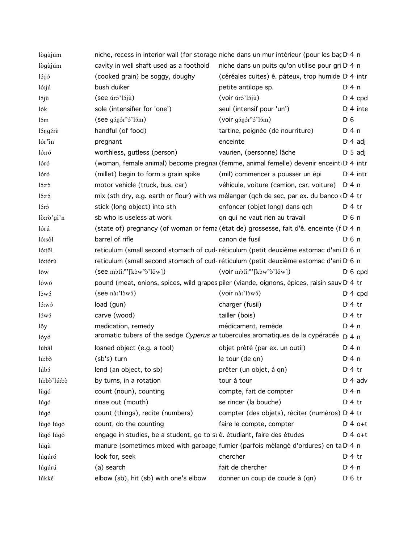| lògùjúm     | niche, recess in interior wall (for storage niche dans un mur intérieur (pour les bac D 4 n                                                                                                                                                                                                                                                                                                             |                                                                                                  |                       |
|-------------|---------------------------------------------------------------------------------------------------------------------------------------------------------------------------------------------------------------------------------------------------------------------------------------------------------------------------------------------------------------------------------------------------------|--------------------------------------------------------------------------------------------------|-----------------------|
| lògùjúm     | cavity in well shaft used as a foothold                                                                                                                                                                                                                                                                                                                                                                 | niche dans un puits qu'on utilise pour gri D <sub>14</sub> n                                     |                       |
| 15:j5       | (cooked grain) be soggy, doughy                                                                                                                                                                                                                                                                                                                                                                         | (céréales cuites) ê. pâteux, trop humide D <sub>'</sub> 4 intr                                   |                       |
| ló:jú       | bush duiker                                                                                                                                                                                                                                                                                                                                                                                             | petite antilope sp.                                                                              | $Di$ 4 n              |
| lójù        | (see úró'lójù)                                                                                                                                                                                                                                                                                                                                                                                          | (voir úró'lójù)                                                                                  | $Di 4$ cpd            |
| lók         | sole (intensifier for 'one')                                                                                                                                                                                                                                                                                                                                                                            | seul (intensif pour 'un')                                                                        | $Di$ 4 inte           |
| lóm         | $(see g\text{in}^n\text{S'}\text{lim})$                                                                                                                                                                                                                                                                                                                                                                 | (voir gśnśr <sup>n</sup> ś'lśm)                                                                  | D <sub>0</sub>        |
| lóngérè     | handful (of food)                                                                                                                                                                                                                                                                                                                                                                                       | tartine, poignée (de nourriture)                                                                 | $Di$ 4 n              |
| lór'in      | pregnant                                                                                                                                                                                                                                                                                                                                                                                                | enceinte                                                                                         | $D \cdot 4$ adj       |
| ló:ró       | worthless, gutless (person)                                                                                                                                                                                                                                                                                                                                                                             | vaurien, (personne) lâche                                                                        | $D \cdot 5$ adj       |
| lóró        |                                                                                                                                                                                                                                                                                                                                                                                                         | (woman, female animal) become pregnar (femme, animal femelle) devenir enceint D'4 intr           |                       |
| lóró        | (millet) begin to form a grain spike                                                                                                                                                                                                                                                                                                                                                                    | (mil) commencer a pousser un épi                                                                 | $Dt$ 4 intr           |
| ló:rò       | motor vehicle (truck, bus, car)                                                                                                                                                                                                                                                                                                                                                                         | véhicule, voiture (camion, car, voiture)                                                         | D:4n                  |
| ló:ró       |                                                                                                                                                                                                                                                                                                                                                                                                         | mix (sth dry, e.g. earth or flour) with wa mélanger (qch de sec, par ex. du banco (DI4 tr        |                       |
| lóró        | stick (long object) into sth                                                                                                                                                                                                                                                                                                                                                                            | enfoncer (objet long) dans qch                                                                   | $Di4$ tr              |
| lò:rò'gí'n  | sb who is useless at work                                                                                                                                                                                                                                                                                                                                                                               | qn qui ne vaut rien au travail                                                                   | $D0$ n                |
| lórú        |                                                                                                                                                                                                                                                                                                                                                                                                         | (state of) pregnancy (of woman or fema (état de) grossesse, fait d'ê. enceinte (f D 4 n          |                       |
| ló:sôl      | barrel of rifle                                                                                                                                                                                                                                                                                                                                                                                         | canon de fusil                                                                                   | $D \nvert 6 \nvert n$ |
| ló:tôl      |                                                                                                                                                                                                                                                                                                                                                                                                         | reticulum (small second stomach of cud-réticulum (petit deuxième estomac d'ani D 6 n             |                       |
| ló:tórù     |                                                                                                                                                                                                                                                                                                                                                                                                         | reticulum (small second stomach of cud-réticulum (petit deuxième estomac d'ani D 6 n             |                       |
| lŏw         | $(\text{see m\tilde{\iota}t\tilde{\iota}n\tilde{\iota}m\tilde{\iota}m\tilde{\iota}m\tilde{\iota}m\tilde{\iota}m\tilde{\iota}m\tilde{\iota}m\tilde{\iota}m\tilde{\iota}m\tilde{\iota}m\tilde{\iota}m\tilde{\iota}m\tilde{\iota}m\tilde{\iota}m\tilde{\iota}m\tilde{\iota}m\tilde{\iota}m\tilde{\iota}m\tilde{\iota}m\tilde{\iota}m\tilde{\iota}m\tilde{\iota}m\tilde{\iota}m\tilde{\iota}m\tilde{\iota}$ | $(voir mòt'i'n [kòwnò'lõw])$                                                                     | $D \cdot 6$ cpd       |
| lówó        |                                                                                                                                                                                                                                                                                                                                                                                                         | pound (meat, onions, spices, wild grapes piler (viande, oignons, épices, raisin sauv D 4 tr      |                       |
| lòwó        | (see <i>nà</i> : 'lòw <sub>5</sub> )                                                                                                                                                                                                                                                                                                                                                                    | (voir nà.'lòw'()                                                                                 | $Di$ 4 cpd            |
| ló:wó       | load (gun)                                                                                                                                                                                                                                                                                                                                                                                              | charger (fusil)                                                                                  | $Di4$ tr              |
| lówó        | carve (wood)                                                                                                                                                                                                                                                                                                                                                                                            | tailler (bois)                                                                                   | $Dt$ 4 tr             |
| lŏy         | medication, remedy                                                                                                                                                                                                                                                                                                                                                                                      | médicament, remède                                                                               | $Di$ 4 n              |
| lóyó        |                                                                                                                                                                                                                                                                                                                                                                                                         | aromatic tubers of the sedge Cyperus ar tubercules aromatiques de la cypéracée                   | $Dt$ 4 n              |
| lúbâl       | loaned object (e.g. a tool)                                                                                                                                                                                                                                                                                                                                                                             | objet prêté (par ex. un outil)                                                                   | $Dt$ 4 n              |
| lú:bò       | (sb's) turn                                                                                                                                                                                                                                                                                                                                                                                             | le tour (de qn)                                                                                  | $Dt$ 4 n              |
| lúbó        | lend (an object, to sb)                                                                                                                                                                                                                                                                                                                                                                                 | prêter (un objet, à qn)                                                                          | $Di4$ tr              |
| lú:bò'lú:bò | by turns, in a rotation                                                                                                                                                                                                                                                                                                                                                                                 | tour à tour                                                                                      | $Di$ 4 adv            |
| lùgó        | count (noun), counting                                                                                                                                                                                                                                                                                                                                                                                  | compte, fait de compter                                                                          | $Di$ 4 n              |
| lúgó        | rinse out (mouth)                                                                                                                                                                                                                                                                                                                                                                                       | se rincer (la bouche)                                                                            | $Dt$ 4 tr             |
| lúgó        | count (things), recite (numbers)                                                                                                                                                                                                                                                                                                                                                                        | compter (des objets), réciter (numéros) D <sub>'</sub> 4 tr                                      |                       |
| lùgó lúgó   | count, do the counting                                                                                                                                                                                                                                                                                                                                                                                  | faire le compte, compter                                                                         | $D:4$ o+t             |
| lùgó lúgó   | engage in studies, be a student, go to scê. étudiant, faire des études                                                                                                                                                                                                                                                                                                                                  |                                                                                                  | $D:4$ o+t             |
| lúgù        |                                                                                                                                                                                                                                                                                                                                                                                                         | manure (sometimes mixed with garbage) fumier (parfois mélangé d'ordures) en ta D <sub>14</sub> n |                       |
| lúgúró      | look for, seek                                                                                                                                                                                                                                                                                                                                                                                          | chercher                                                                                         | $Dt$ + tr             |
| lúgúrú      | (a) search                                                                                                                                                                                                                                                                                                                                                                                              | fait de chercher                                                                                 | $Di$ 4 n              |
| lúkké       | elbow (sb), hit (sb) with one's elbow                                                                                                                                                                                                                                                                                                                                                                   | donner un coup de coude à (qn)                                                                   | $D \n6$ tr            |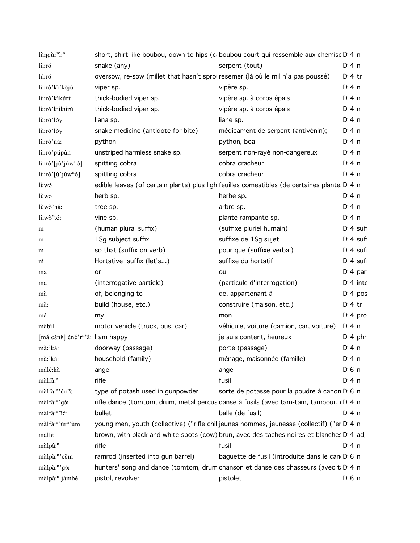| lùngùr <sup>m</sup> i: <sup>n</sup>         | short, shirt-like boubou, down to hips (caboubou court qui ressemble aux chemise D'4 n                |                                                 |                       |
|---------------------------------------------|-------------------------------------------------------------------------------------------------------|-------------------------------------------------|-----------------------|
| lù:ró                                       | snake (any)                                                                                           | serpent (tout)                                  | $Di$ 4 n              |
| lú:ró                                       | oversow, re-sow (millet that hasn't sprouresemer (là où le mil n'a pas poussé)                        |                                                 | $Di4$ tr              |
| lù:rò'ki'kòjú                               | viper sp.                                                                                             | vipère sp.                                      | $Di$ 4 n              |
| lù:rò'kíkúrù                                | thick-bodied viper sp.                                                                                | vipère sp. à corps épais                        | $Di$ 4 n              |
| lù:rò'kúkúrù                                | thick-bodied viper sp.                                                                                | vipère sp. à corps épais                        | $Di$ 4 n              |
| lù:rò'lǒy                                   | liana sp.                                                                                             | liane sp.                                       | $Di$ 4 n              |
| lù:rò'lǒy                                   | snake medicine (antidote for bite)                                                                    | médicament de serpent (antivénin);              | $Di$ 4 n              |
| lù:rò'ná:                                   | python                                                                                                | python, boa                                     | $Di$ 4 n              |
| lù:rò'púpûn                                 | unstriped harmless snake sp.                                                                          | serpent non-rayé non-dangereux                  | $Di$ 4 n              |
| lù:rò'[jù'jùw <sup>n</sup> ó]               | spitting cobra                                                                                        | cobra cracheur                                  | $Di$ 4 n              |
| $\hat{\mu}$ : rò'[ù'jùw <sup>n</sup> ó]     | spitting cobra                                                                                        | cobra cracheur                                  | $Di$ 4 n              |
| lùwó                                        | edible leaves (of certain plants) plus ligh feuilles comestibles (de certaines plante: D'4 n          |                                                 |                       |
| lùwó                                        | herb sp.                                                                                              | herbe sp.                                       | $Di$ 4 n              |
| lùwò'ná:                                    | tree sp.                                                                                              | arbre sp.                                       | $Di$ 4 n              |
| lùwò'tó:                                    | vine sp.                                                                                              | plante rampante sp.                             | $Di$ 4 n              |
| m                                           | (human plural suffix)                                                                                 | (suffixe pluriel humain)                        | $Dt 4$ suff           |
| m                                           | 1Sg subject suffix                                                                                    | suffixe de 1Sg sujet                            | $Di$ 4 suff           |
| m                                           | so that (suffix on verb)                                                                              | pour que (suffixe verbal)                       | $Dt 4$ suff           |
| m                                           | Hortative suffix (let's)                                                                              | suffixe du hortatif                             | $Dt 4$ suff           |
| ma                                          | or                                                                                                    | ou                                              | $Di$ 4 part           |
| ma                                          | (interrogative particle)                                                                              | (particule d'interrogation)                     | $Di$ 4 inte           |
| mà                                          | of, belonging to                                                                                      | de, appartenant à                               | D <sup>i</sup> 4 pos  |
| mă:                                         | build (house, etc.)                                                                                   | construire (maison, etc.)                       | D <sup>i</sup> 4 tr   |
| má                                          | my                                                                                                    | mon                                             | $Di$ 4 pro            |
| màbil                                       | motor vehicle (truck, bus, car)                                                                       | véhicule, voiture (camion, car, voiture)        | $Dt$ 4 n              |
| [má cénè] éné'r <sup>n</sup> 'â: l am happy |                                                                                                       | je suis content, heureux                        | $D \cdot 4$ phr:      |
| mà:'káː                                     | doorway (passage)                                                                                     | porte (passage)                                 | $Di$ 4 n              |
| mà:'ká:                                     | household (family)                                                                                    | ménage, maisonnée (famille)                     | $Di$ 4 n              |
| málé:kà                                     | angel                                                                                                 | ange                                            | D <sup>i</sup> 6 n    |
| màlfâ: <sup>n</sup>                         | rifle                                                                                                 | fusil                                           | $Di$ 4 n              |
| màlfà:"'é:r"è                               | type of potash used in gunpowder                                                                      | sorte de potasse pour la poudre à canon D 6 n   |                       |
| màlfà:"'gó:                                 | rifle dance (tomtom, drum, metal percus danse à fusils (avec tam-tam, tambour, (D.4 n                 |                                                 |                       |
| màlfà: <sup>n</sup> "i: <sup>n</sup>        | bullet                                                                                                | balle (de fusil)                                | $Di$ 4 n              |
| màlfà:"'úr"'ùm                              | young men, youth (collective) ("rifle chil jeunes hommes, jeunesse (collectif) ("er D <sub>'4</sub> n |                                                 |                       |
| mállè                                       | brown, with black and white spots (cow) brun, avec des taches noires et blanches D 4 adj              |                                                 |                       |
| màlpâ: <sup>n</sup>                         | rifle                                                                                                 | fusil                                           | $Di$ 4 n              |
| màlpà:"'cěm                                 | ramrod (inserted into gun barrel)                                                                     | baguette de fusil (introduite dans le can D 6 n |                       |
| màlpà:"'gó:                                 | hunters' song and dance (tomtom, drum chanson et danse des chasseurs (avec ti D 4 n                   |                                                 |                       |
| màlpà: <sup>n</sup> jàmbé                   | pistol, revolver                                                                                      | pistolet                                        | $D \nvert 6 \nvert n$ |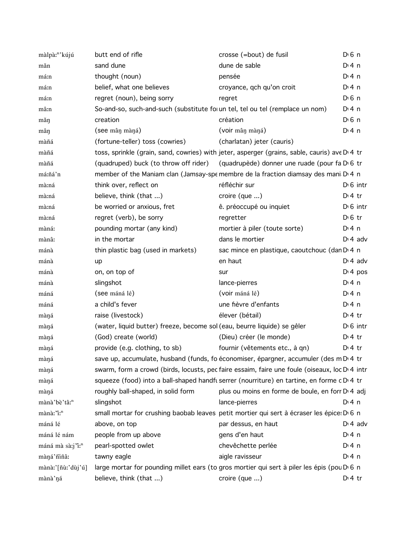| màlpà: <sup>n</sup> ' kújú   | butt end of rifle                                                             | crosse (=bout) de fusil                                                                       | D <sup>i</sup> 6 n   |
|------------------------------|-------------------------------------------------------------------------------|-----------------------------------------------------------------------------------------------|----------------------|
| măn                          | sand dune                                                                     | dune de sable                                                                                 | $Di$ 4 n             |
| má:n                         | thought (noun)                                                                | pensée                                                                                        | $Di$ 4 n             |
| má:n                         | belief, what one believes                                                     | croyance, qch qu'on croit                                                                     | $Di$ 4 n             |
| má:n                         | regret (noun), being sorry                                                    | regret                                                                                        | $D0$ 6 n             |
| mâ:n                         | So-and-so, such-and-such (substitute for un tel, tel ou tel (remplace un nom) |                                                                                               | $Dt$ 4 n             |
| mǎŋ                          | creation                                                                      | création                                                                                      | $D0$ 6 n             |
| mân                          | (see mân màná)                                                                | (voir mân màná)                                                                               | $Di$ 4 n             |
| màñá                         | (fortune-teller) toss (cowries)                                               | (charlatan) jeter (cauris)                                                                    |                      |
| màñá                         |                                                                               | toss, sprinkle (grain, sand, cowries) with jeter, asperger (grains, sable, cauris) ave D.4 tr |                      |
| màñá                         |                                                                               | (quadruped) buck (to throw off rider) (quadrupède) donner une ruade (pour fa D 6 tr           |                      |
| má:ñá'n                      |                                                                               | member of the Maniam clan (Jamsay-spemembre de la fraction diamsay des mani D 4 n             |                      |
| mà:ná                        | think over, reflect on                                                        | réfléchir sur                                                                                 | $D \cdot 6$ intr     |
| mà:ná                        | believe, think (that )                                                        | croire $(que \dots)$                                                                          | $D:4$ tr             |
| mà:ná                        | be worried or anxious, fret                                                   | ê. préoccupé ou inquiet                                                                       | $D16$ intr           |
| mà:ná                        | regret (verb), be sorry                                                       | regretter                                                                                     | $D \cdot 6$ tr       |
| màná:                        | pounding mortar (any kind)                                                    | mortier à piler (toute sorte)                                                                 | $Di$ 4 n             |
| mànâ:                        | in the mortar                                                                 | dans le mortier                                                                               | $D \cdot 4$ adv      |
| mánà                         | thin plastic bag (used in markets)                                            | sac mince en plastique, caoutchouc (dan D <sub>1</sub> 4 n                                    |                      |
| mánà                         | up                                                                            | en haut                                                                                       | $D \cdot 4$ adv      |
| mánà                         | on, on top of                                                                 | sur                                                                                           | D <sup>t</sup> 4 pos |
| mánà                         | slingshot                                                                     | lance-pierres                                                                                 | D: 4n                |
| máná                         | (see máná lé)                                                                 | (voir máná lé)                                                                                | $Di$ 4 n             |
| máná                         | a child's fever                                                               | une fièvre d'enfants                                                                          | $Di$ 4 n             |
| màná                         | raise (livestock)                                                             | élever (bétail)                                                                               | $Dt$ 4 tr            |
| màná                         | (water, liquid butter) freeze, become sol (eau, beurre liquide) se gêler      |                                                                                               | $D16$ intr           |
| màná                         | (God) create (world)                                                          | (Dieu) créer (le monde)                                                                       | $Dt$ tr              |
| màná                         | provide (e.g. clothing, to sb)                                                | fournir (vêtements etc., à qn)                                                                | $D:4$ tr             |
| màná                         |                                                                               | save up, accumulate, husband (funds, fo économiser, épargner, accumuler (des m D' 4 tr        |                      |
| màná                         |                                                                               | swarm, form a crowd (birds, locusts, pec faire essaim, faire une foule (oiseaux, loc D'4 intr |                      |
| màná                         |                                                                               | squeeze (food) into a ball-shaped handfu serrer (nourriture) en tartine, en forme c D 4 tr    |                      |
| màná                         | roughly ball-shaped, in solid form                                            | plus ou moins en forme de boule, en forr D 4 adj                                              |                      |
| mànà 'bè'tâ: <sup>n</sup>    | slingshot                                                                     | lance-pierres                                                                                 | $Di$ 4 n             |
| mànà: "i: <sup>n</sup>       |                                                                               | small mortar for crushing baobab leaves petit mortier qui sert à écraser les épice: D'6 n     |                      |
| máná lé                      | above, on top                                                                 | par dessus, en haut                                                                           | $D \n4$ adv          |
| máná lé nám                  | people from up above                                                          | gens d'en haut                                                                                | $Di$ 4 n             |
| máná mà sà:j'i: <sup>n</sup> | pearl-spotted owlet                                                           | chevêchette perlée                                                                            | $Di$ 4 n             |
| màná'niña:                   | tawny eagle                                                                   | aigle ravisseur                                                                               | $Di$ 4 n             |
| mànà:'[ñùː'dùj'ú]            |                                                                               | large mortar for pounding millet ears (to gros mortier qui sert à piler les épis (pou D 6 n   |                      |
| mànà'ná                      | believe, think (that )                                                        | croire (que )                                                                                 | $Dt$ 4 tr            |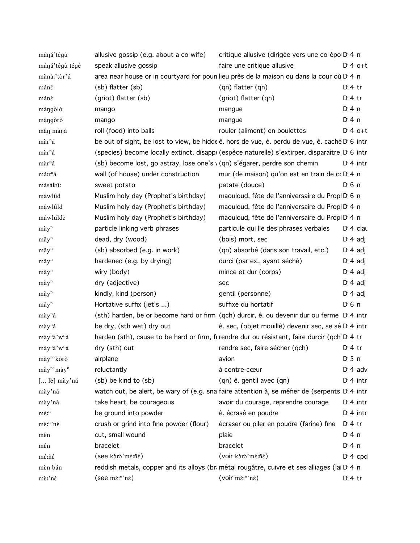| máná'tégù                            | allusive gossip (e.g. about a co-wife)                                     | critique allusive (dirigée vers une co-épo D <sub>14</sub> n                                               |                   |
|--------------------------------------|----------------------------------------------------------------------------|------------------------------------------------------------------------------------------------------------|-------------------|
| máná'tégù tégé                       | speak allusive gossip                                                      | faire une critique allusive                                                                                | $Di4$ o+t         |
| mànà:'tòr'ú                          |                                                                            | area near house or in courtyard for poun lieu près de la maison ou dans la cour où D 4 n                   |                   |
| máné                                 | (sb) flatter (sb)                                                          | (qn) flatter (qn)                                                                                          | $D:4$ tr          |
| $m$ áné                              | (griot) flatter (sb)                                                       | (griot) flatter (qn)                                                                                       | $Di4$ tr          |
| mángòlò                              | mango                                                                      | mangue                                                                                                     | $Di$ 4 n          |
| mángòrò                              | mango                                                                      | mangue                                                                                                     | $Di$ 4 n          |
| mân màná                             | roll (food) into balls                                                     | rouler (aliment) en boulettes                                                                              | $D:4$ o+t         |
| màr <sup>n</sup> á                   |                                                                            | be out of sight, be lost to view, be hidde ê. hors de vue, ê. perdu de vue, ê. caché D <sub>'</sub> 6 intr |                   |
| màr <sup>n</sup> á                   |                                                                            | (species) become locally extinct, disappe (espèce naturelle) s'extirper, disparaître D <sub>'6</sub> intr  |                   |
| màr <sup>n</sup> á                   | (sb) become lost, go astray, lose one's v (qn) s'égarer, perdre son chemin |                                                                                                            | $D \ 4$ intr      |
| má:r <sup>n</sup> á                  | wall (of house) under construction                                         | mur (de maison) qu'on est en train de cc D 4 n                                                             |                   |
| másákû:                              | sweet potato                                                               | patate (douce)                                                                                             | D <sub>1</sub> 6n |
| máwlûd                               | Muslim holy day (Prophet's birthday)                                       | maouloud, fête de l'anniversaire du Propl D 6 n                                                            |                   |
| máwlûld                              | Muslim holy day (Prophet's birthday)                                       | maouloud, fête de l'anniversaire du Propl D 4 n                                                            |                   |
| máwlúldè                             | Muslim holy day (Prophet's birthday)                                       | maouloud, fête de l'anniversaire du Propl D <sub>1</sub> 4 n                                               |                   |
| $m\grave{a}y^n$                      | particle linking verb phrases                                              | particule qui lie des phrases verbales                                                                     | $Di$ 4 clau       |
| $m\check{a}y^n$                      | dead, dry (wood)                                                           | (bois) mort, sec                                                                                           | $D \n4$ adj       |
| $m\check{a}y^n$                      | (sb) absorbed (e.g. in work)                                               | (qn) absorbé (dans son travail, etc.)                                                                      | $D \nvert 4$ adj  |
| $m\check{a}y^n$                      | hardened (e.g. by drying)                                                  | durci (par ex., ayant séché)                                                                               | $D \cdot 4$ adj   |
| $m\check{a}y^n$                      | wiry (body)                                                                | mince et dur (corps)                                                                                       | $D \cdot 4$ adj   |
| $m\check{a}y^n$                      | dry (adjective)                                                            | sec                                                                                                        | $D \cdot 4$ adj   |
| $m\check{a}y^n$                      | kindly, kind (person)                                                      | gentil (personne)                                                                                          | $D \cdot 4$ adj   |
| $m\hat{a}y^n$                        | Hortative suffix (let's )                                                  | suffixe du hortatif                                                                                        | $D \n6$ n         |
| mày <sup>n</sup> á                   |                                                                            | (sth) harden, be or become hard or firm (qch) durcir, ê. ou devenir dur ou ferme D'4 intr                  |                   |
| mày <sup>n</sup> á                   | be dry, (sth wet) dry out                                                  | ê. sec, (objet mouillé) devenir sec, se sé D <sub>1</sub> 4 intr                                           |                   |
| mày <sup>n</sup> à'w <sup>n</sup> á  |                                                                            | harden (sth), cause to be hard or firm, fi rendre dur ou résistant, faire durcir (qch D'4 tr               |                   |
| mày <sup>n</sup> à'w <sup>n</sup> á  | dry (sth) out                                                              | rendre sec, faire sécher (qch)                                                                             | $D:4$ tr          |
| mǎy <sup>n</sup> 'kórò               | airplane                                                                   | avion                                                                                                      | D:5n              |
| mǎy <sup>n</sup> 'mày <sup>n</sup>   | reluctantly                                                                | à contre-cœur                                                                                              | $Di$ 4 adv        |
| [ lè] mày'ná                         | (sb) be kind to (sb)                                                       | (qn) ê. gentil avec (qn)                                                                                   | $Di$ 4 intr       |
| mày'ná                               |                                                                            | watch out, be alert, be wary of (e.g. sna faire attention à, se méfier de (serpents D'4 intr               |                   |
| mày'ná                               | take heart, be courageous                                                  | avoir du courage, reprendre courage                                                                        | $Di$ 4 intr       |
| $m\acute{\epsilon}$ <sup>n</sup>     | be ground into powder                                                      | ê. écrasé en poudre                                                                                        | $Di$ 4 intr       |
| $m\tilde{\epsilon}$ <sup>n</sup> 'né | crush or grind into fine powder (flour)                                    | écraser ou piler en poudre (farine) fine                                                                   | $D:4$ tr          |
| měn                                  | cut, small wound                                                           | plaie                                                                                                      | $Di$ 4 n          |
| mén                                  | bracelet                                                                   | bracelet                                                                                                   | $Di$ 4 n          |
| mé:ñé                                | (see kòrò'mé:ñé)                                                           | (voir kòrò'mé:ñé)                                                                                          | $Di$ 4 cpd        |
| mèn bán                              |                                                                            | reddish metals, copper and its alloys (brametal rougatre, cuivre et ses alliages (lai D 4 n                |                   |
| mè:'né                               | (see $m\grave{\epsilon}$ <sup>n</sup> 'n $\acute{\epsilon}$ )              | (voir $m\tilde{\epsilon}$ <sup>n</sup> 'né)                                                                | $Di$ 4 tr         |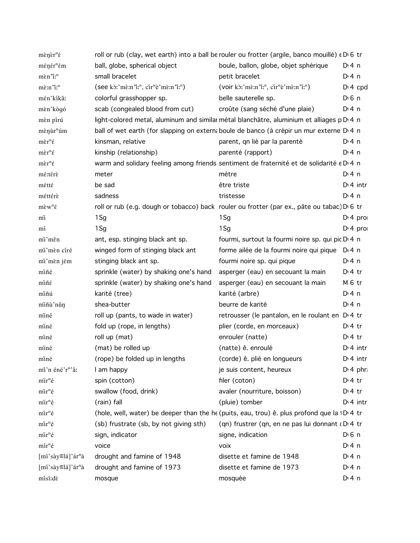| $m$ ền ề $r^n$ ế                                               |                                                                                      | roll or rub (clay, wet earth) into a ball be rouler ou frotter (argile, banco mouillé) $\epsilon$ D 6 tr |                       |  |
|----------------------------------------------------------------|--------------------------------------------------------------------------------------|----------------------------------------------------------------------------------------------------------|-----------------------|--|
| ménér <sup>n</sup> ém                                          | ball, globe, spherical object                                                        | boule, ballon, globe, objet sphérique                                                                    | $Di$ 4 n              |  |
| mèn "i: <sup>n</sup>                                           | small bracelet                                                                       | petit bracelet                                                                                           | $Di$ 4 n              |  |
| mè:n'i: <sup>n</sup>                                           | $(\text{see }k$ ; 'mề:n'i: <sup>n</sup> , cir <sup>n</sup> è 'mề:n'i: <sup>n</sup> ) | $(voir kð: mè: n'in, cirnè'mè: n'in)$                                                                    | $Di$ 4 cpd            |  |
| mén'kíkâ:                                                      | colorful grasshopper sp.                                                             | belle sauterelle sp.                                                                                     | $D \nvert 6 \nvert n$ |  |
| mèn'kògó                                                       | scab (congealed blood from cut)                                                      | croûte (sang séché d'une plaie)                                                                          | $Di$ 4 n              |  |
| mèn pírú                                                       |                                                                                      | light-colored metal, aluminum and similar métal blanchâtre, aluminium et alliages p D 4 n                |                       |  |
| mènur <sup>n</sup> úm                                          |                                                                                      | ball of wet earth (for slapping on externa boule de banco (à crépir un mur externe D.4 n                 |                       |  |
| $m\grave{\epsilon}r^n\acute{\epsilon}$                         | kinsman, relative                                                                    | parent, qn lié par la parenté                                                                            | D: 4n                 |  |
| $m\grave{\epsilon}r^n\acute{\epsilon}$                         | kinship (relationship)                                                               | parenté (rapport)                                                                                        | $Dt$ 4 n              |  |
| $m\grave{\epsilon}r^n\acute{\epsilon}$                         |                                                                                      | warm and solidary feeling among friends sentiment de fraternité et de solidarité e D 4 n                 |                       |  |
| mé:térè                                                        | meter                                                                                | mètre                                                                                                    | $Di$ 4 n              |  |
| métté                                                          | be sad                                                                               | être triste                                                                                              | $Di$ 4 intr           |  |
| méttérè                                                        | sadness                                                                              | tristesse                                                                                                | D: 4 n                |  |
| $m\grave{\epsilon}w^n\acute{\epsilon}$                         |                                                                                      | roll or rub (e.g. dough or tobacco) back rouler ou frotter (par ex., pâte ou tabac) D 6 tr               |                       |  |
| mì                                                             | 1Sg                                                                                  | $1$ Sg                                                                                                   | $Di$ 4 pro            |  |
| mí                                                             | 1Sg                                                                                  | $1$ Sg                                                                                                   | $Di$ 4 pro            |  |
| mi'měn                                                         | ant, esp. stinging black ant sp.                                                     | fourmi, surtout la fourmi noire sp. qui pic D <sub>1</sub> 4 n                                           |                       |  |
| mi'mèn círé                                                    | winged form of stinging black ant                                                    | forme ailée de la fourmi noire qui pique D 4 n                                                           |                       |  |
| mi'mèn jém                                                     | stinging black ant sp.                                                               | fourmi noire sp. qui pique                                                                               | $Di$ 4 n              |  |
| miñé                                                           | sprinkle (water) by shaking one's hand                                               | asperger (eau) en secouant la main                                                                       | $Di4$ tr              |  |
| miñé                                                           | sprinkle (water) by shaking one's hand                                               | asperger (eau) en secouant la main                                                                       | M <sub>6</sub> tr     |  |
| miñú                                                           | karité (tree)                                                                        | karité (arbre)                                                                                           | $Di$ 4 n              |  |
| miñù'nǔn                                                       | shea-butter                                                                          | beurre de karité                                                                                         | $Di$ 4 n              |  |
| miné                                                           | roll up (pants, to wade in water)                                                    | retrousser (le pantalon, en le roulant en D <sub>1</sub> 4 tr                                            |                       |  |
| miné                                                           | fold up (rope, in lengths)                                                           | plier (corde, en morceaux)                                                                               | D <sup>i</sup> 4 tr   |  |
| miné                                                           | roll up (mat)                                                                        | enrouler (natte)                                                                                         | $Di4$ tr              |  |
| miné                                                           | (mat) be rolled up                                                                   | (natte) ê. enroulé                                                                                       | $D:4$ intr            |  |
| miné                                                           | (rope) be folded up in lengths                                                       | (corde) ê. plié en longueurs                                                                             | $Di$ 4 intr           |  |
| mi'n éné'r <sup>n</sup> 'â:                                    | I am happy                                                                           | je suis content, heureux                                                                                 | $D \cdot 4$ phr.      |  |
| $\text{mir}^{\text{n}}\hat{\text{e}}$                          | spin (cotton)                                                                        | filer (coton)                                                                                            | $Di4$ tr              |  |
| mir <sup>n</sup> é                                             | swallow (food, drink)                                                                | avaler (nourriture, boisson)                                                                             | $Dt$ 4 tr             |  |
| mir <sup>n</sup> é                                             | (rain) fall                                                                          | (pluie) tomber                                                                                           | $Di$ 4 intr           |  |
| mir <sup>n</sup> é                                             |                                                                                      | (hole, well, water) be deeper than the he (puits, eau, trou) ê. plus profond que la 1D 4 tr              |                       |  |
| mir <sup>n</sup> é                                             | (sb) frustrate (sb, by not giving sth)                                               | (qn) frustrer (qn, en ne pas lui donnant (DI4 tr                                                         |                       |  |
| mir <sup>n</sup> é                                             | sign, indicator                                                                      | signe, indication                                                                                        | $D \n6$ n             |  |
| $m\hat{i}r^n\hat{e}$                                           | voice                                                                                | voix                                                                                                     | $Dt$ 4 n              |  |
| [mí'sày≡lá]'ár <sup>n</sup> à                                  | drought and famine of 1948                                                           | disette et famine de 1948                                                                                | $Dt$ 4 n              |  |
| $\lceil \text{mi's\`{a}y \equiv l\`{a}'} \rceil \`{a}r^n\`{a}$ | drought and famine of 1973                                                           | disette et famine de 1973                                                                                | $Di$ 4 n              |  |
| mísí:dè                                                        | mosque                                                                               | mosquée                                                                                                  | $Di$ 4 n              |  |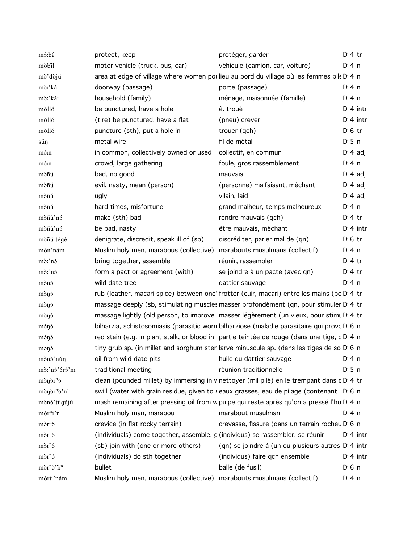| mó:bé                             | protect, keep                                                                                           | protéger, garder                                                 | $Di4$ tr              |
|-----------------------------------|---------------------------------------------------------------------------------------------------------|------------------------------------------------------------------|-----------------------|
| mòbil                             | motor vehicle (truck, bus, car)                                                                         | véhicule (camion, car, voiture)                                  | $Di$ 4 n              |
| mò'dòjú                           | area at edge of village where women pot lieu au bord du village où les femmes pile D'4 n                |                                                                  |                       |
| mò:'káː                           | doorway (passage)                                                                                       | porte (passage)                                                  | $Di$ 4 n              |
| mò:'ká:                           | household (family)                                                                                      | ménage, maisonnée (famille)                                      | $Di$ 4 n              |
| mòlló                             | be punctured, have a hole                                                                               | ê. troué                                                         | $Dt$ 4 intr           |
| mòlló                             | (tire) be punctured, have a flat                                                                        | (pneu) crever                                                    | $Dt$ 4 intr           |
| mòlló                             | puncture (sth), put a hole in                                                                           | trouer (qch)                                                     | $D \n6$ tr            |
| sǔŋ                               | metal wire                                                                                              | fil de métal                                                     | $D \cdot 5$ n         |
| mó:n                              | in common, collectively owned or used                                                                   | collectif, en commun                                             | $D \cdot 4$ adj       |
| mó:n                              | crowd, large gathering                                                                                  | foule, gros rassemblement                                        | $Di$ 4 n              |
| mòñú                              | bad, no good                                                                                            | mauvais                                                          | $D \cdot 4$ adj       |
| mòñú                              | evil, nasty, mean (person)                                                                              | (personne) malfaisant, méchant                                   | $D \n4$ adj           |
| mòñú                              | ugly                                                                                                    | vilain, laid                                                     | $D \cdot 4$ adj       |
| mòñú                              | hard times, misfortune                                                                                  | grand malheur, temps malheureux                                  | $Di$ 4 n              |
| mòñù'nó                           | make (sth) bad                                                                                          | rendre mauvais (qch)                                             | $Di4$ tr              |
| mòñù'nó                           | be bad, nasty                                                                                           | être mauvais, méchant                                            | $Dt$ 4 intr           |
| mòñú tégé                         | denigrate, discredit, speak ill of (sb)                                                                 | discréditer, parler mal de (qn)                                  | $D \n6$ tr            |
| môn'nám                           | Muslim holy men, marabous (collective)                                                                  | marabouts musulmans (collectif)                                  | $Di$ 4 n              |
| $m\delta$ :'ns                    | bring together, assemble                                                                                | réunir, rassembler                                               | $Di4$ tr              |
| $m\delta$ :'ns                    | form a pact or agreement (with)                                                                         | se joindre à un pacte (avec qn)                                  | $Di4$ tr              |
| mònó                              | wild date tree                                                                                          | dattier sauvage                                                  | $Di$ 4 n              |
| mònó                              | rub (leather, macari spice) between one' frotter (cuir, macari) entre les mains (po D <sub>1</sub> 4 tr |                                                                  |                       |
| mònó                              | massage deeply (sb, stimulating muscles masser profondément (qn, pour stimuler D <sub>1</sub> 4 tr      |                                                                  |                       |
| mònó                              | massage lightly (old person, to improve masser légèrement (un vieux, pour stimu D'4 tr                  |                                                                  |                       |
| mónd                              | bilharzia, schistosomiasis (parasitic worn bilharziose (maladie parasitaire qui provc D 6 n             |                                                                  |                       |
| mónd                              | red stain (e.g. in plant stalk, or blood in upartie teintée de rouge (dans une tige, dD 4 n             |                                                                  |                       |
| mónd                              | tiny grub sp. (in millet and sorghum sten larve minuscule sp. (dans les tiges de so D 6 n               |                                                                  |                       |
| mònò'nǔn                          | oil from wild-date pits huile du dattier sauvage                                                        |                                                                  | $Di$ 4 n              |
| mò:'nó'óró'm                      | traditional meeting                                                                                     | réunion traditionnelle                                           | D <sub>1</sub> 5n     |
| $m\delta n\delta r^n$             | clean (pounded millet) by immersing in w nettoyer (mil pilé) en le trempant dans dD 4 tr                |                                                                  |                       |
| mònòr <sup>n</sup> ò'ní:          | swill (water with grain residue, given to seaux grasses, eau de pilage (contenant D <sub>0</sub> 6 n    |                                                                  |                       |
| mònò'tùgújù                       | mash remaining after pressing oil from w pulpe qui reste après qu'on a pressé l'hu D <sub>14</sub> n    |                                                                  |                       |
| mór <sup>n</sup> i'n              | Muslim holy man, marabou                                                                                | marabout musulman                                                | $Di$ 4 n              |
| $m\delta r^n$                     | crevice (in flat rocky terrain)                                                                         | crevasse, fissure (dans un terrain rocheu D 6 n                  |                       |
| $m\delta r^n$                     | (individuals) come together, assemble, g (individus) se rassembler, se réunir                           |                                                                  | $Dt$ 4 intr           |
| $m\delta r^n$                     | (sb) join with (one or more others)                                                                     | (qn) se joindre à (un ou plusieurs autres) D <sub>'</sub> 4 intr |                       |
| $m\delta r^n$                     | (individuals) do sth together                                                                           | (individus) faire qch ensemble                                   | $Dt$ 4 intr           |
| $m\rightarrow r^n\rightarrow r^n$ | bullet                                                                                                  | balle (de fusil)                                                 | $D \nvert 6 \nvert n$ |
| mórù'nám                          | Muslim holy men, marabous (collective) marabouts musulmans (collectif)                                  |                                                                  | $Di$ 4 n              |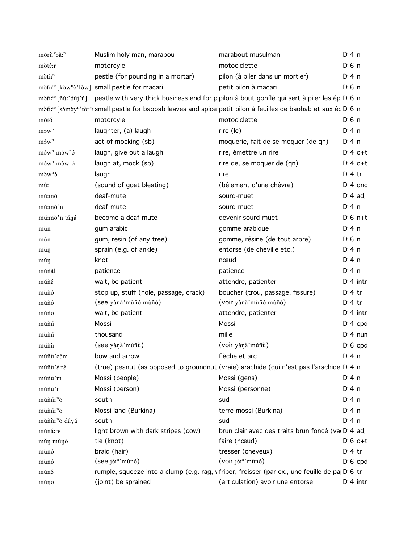| mórù'bâː <sup>n</sup>                     | Muslim holy man, marabou                                                                                        | marabout musulman                                                                                                      | $Di$ 4 n           |                 |
|-------------------------------------------|-----------------------------------------------------------------------------------------------------------------|------------------------------------------------------------------------------------------------------------------------|--------------------|-----------------|
| mòtê:r                                    | motorcyle                                                                                                       | motociclette                                                                                                           | $D0$ n             |                 |
| mòfi: <sup>n</sup>                        | pestle (for pounding in a mortar)                                                                               | pilon (à piler dans un mortier)                                                                                        | $Di$ 4 n           |                 |
|                                           | mòti:"'[kòw"b'lǒw] small pestle for macari                                                                      | petit pilon à macari                                                                                                   | D <sup>i</sup> 6 n |                 |
|                                           | mòti:"'[ñù:'dùj'ú] pestle with very thick business end for p pilon à bout gonflé qui sert à piler les épi D'6 n |                                                                                                                        |                    |                 |
|                                           | mòti:"'[sòmòy"'tòr': small pestle for baobab leaves and spice petit pilon à feuilles de baobab et aux ép D'6 n  |                                                                                                                        |                    |                 |
| mòtó                                      | motorcyle                                                                                                       | motociclette                                                                                                           | D <sup>i</sup> 6 n |                 |
| $m$ s  w <sup>n</sup>                     | laughter, (a) laugh                                                                                             | rire (le)                                                                                                              | $Dt$ 4 n           |                 |
| $m$ $\mathbf{w}^n$                        | act of mocking (sb)                                                                                             | moquerie, fait de se moquer (de qn)                                                                                    | $Di$ 4 n           |                 |
| $m$ 5w <sup>n</sup> $m$ 3w <sup>n</sup> 5 | laugh, give out a laugh                                                                                         | rire, émettre un rire                                                                                                  |                    | $Dt 4 0+t$      |
| $m$ 5w <sup>n</sup> $m$ 3w <sup>n</sup> 5 | laugh at, mock (sb)                                                                                             | rire de, se moquer de (qn)                                                                                             |                    | $Di4$ o+t       |
| $m\delta w^n$                             | laugh                                                                                                           | rire                                                                                                                   | $Di4$ tr           |                 |
| mû:                                       | (sound of goat bleating)                                                                                        | (bêlement d'une chèvre)                                                                                                |                    | $Di$ 4 one      |
| mú:mò                                     | deaf-mute                                                                                                       | sourd-muet                                                                                                             | $D14$ adj          |                 |
| mú:mò'n                                   | deaf-mute                                                                                                       | sourd-muet                                                                                                             | $Di$ 4 n           |                 |
| mú:mò'n táná                              | become a deaf-mute                                                                                              | devenir sourd-muet                                                                                                     |                    | $D \cdot 6$ n+t |
| mǔn                                       | gum arabic                                                                                                      | gomme arabique                                                                                                         | $Dt$ 4 n           |                 |
| mǔn                                       | gum, resin (of any tree)                                                                                        | gomme, résine (de tout arbre)                                                                                          | $D0$ n             |                 |
| mǔŋ                                       | sprain (e.g. of ankle)                                                                                          | entorse (de cheville etc.)                                                                                             | D:4n               |                 |
| mǔŋ                                       | knot                                                                                                            | nœud                                                                                                                   | $Dt$ 4 n           |                 |
| múñâl                                     | patience                                                                                                        | patience                                                                                                               | $Dt$ 4 n           |                 |
| múñé                                      | wait, be patient                                                                                                | attendre, patienter                                                                                                    |                    | $Di$ 4 intr     |
| mùñó                                      | stop up, stuff (hole, passage, crack)                                                                           | boucher (trou, passage, fissure)                                                                                       | $Di4$ tr           |                 |
| mùñó                                      | (see yànà'mùñó mùñó)                                                                                            | (voir yànà 'mùñó mùñó)                                                                                                 | $Di4$ tr           |                 |
| múñó                                      | wait, be patient                                                                                                | attendre, patienter                                                                                                    |                    | $D:4$ intr      |
| mùñú                                      | Mossi                                                                                                           | Mossi                                                                                                                  |                    | $Di$ 4 cpd      |
| mùñú                                      | thousand                                                                                                        | mille                                                                                                                  |                    | $Di$ 4 nun      |
| múñù                                      | (see yànà'múñù)                                                                                                 | (voir yànà'múñù)                                                                                                       |                    | $D16$ cpd       |
| mùñù'cěm                                  | bow and arrow                                                                                                   | flèche et arc                                                                                                          | $Di$ 4 n           |                 |
| mùñù'é:ré                                 |                                                                                                                 | (true) peanut (as opposed to groundnut (vraie) arachide (qui n'est pas l'arachide D <sub>'</sub> 4 n                   |                    |                 |
| mùñú'm                                    | Mossi (people)                                                                                                  | Mossi (gens)                                                                                                           | $Dt$ 4 n           |                 |
| mùñú'n                                    | Mossi (person)                                                                                                  | Mossi (personne)                                                                                                       | $Dt$ 4 n           |                 |
| mùñúr <sup>n</sup> ò                      | south                                                                                                           | sud                                                                                                                    | $Di$ 4 n           |                 |
| mùñúr <sup>n</sup> ò                      | Mossi land (Burkina)                                                                                            | terre mossi (Burkina)                                                                                                  | $Di$ 4 n           |                 |
| mùñùr <sup>n</sup> ò dáyá                 | south                                                                                                           | sud                                                                                                                    | $Dt$ 4 n           |                 |
| múná:rè                                   | light brown with dark stripes (cow)                                                                             | brun clair avec des traits brun foncé (va D 4 adj                                                                      |                    |                 |
| mǔn mùnó                                  | tie (knot)                                                                                                      | faire (nœud)                                                                                                           |                    | $D \cdot 6$ o+t |
| mùnó                                      | braid (hair)                                                                                                    | tresser (cheveux)                                                                                                      | $Di$ 4 tr          |                 |
| mùnó                                      | (see j'o <sup>n</sup> 'munó)                                                                                    | (voir jò: <sup>n</sup> 'mùnó)                                                                                          |                    | $D \cdot 6$ cpd |
| mùnó                                      |                                                                                                                 | rumple, squeeze into a clump (e.g. rag, v friper, froisser (par ex., une feuille de pa <sub>l</sub> D <sub>'6</sub> tr |                    |                 |
| mùŋó                                      | (joint) be sprained                                                                                             | (articulation) avoir une entorse                                                                                       |                    | $Di$ 4 intr     |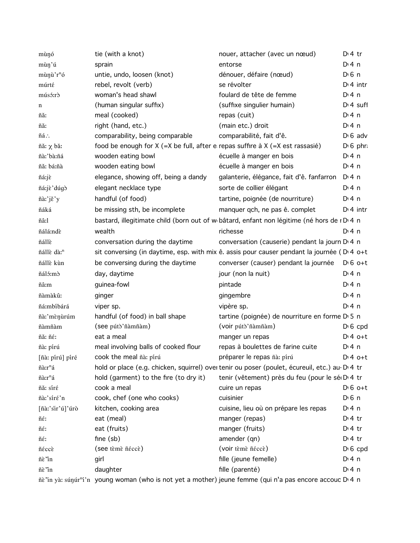| mùnó                   | tie (with a knot)                                                                       | nouer, attacher (avec un nœud)                                                                 | $Di4$ tr              |
|------------------------|-----------------------------------------------------------------------------------------|------------------------------------------------------------------------------------------------|-----------------------|
| mùn'ú                  | sprain                                                                                  | entorse                                                                                        | $Di$ 4 n              |
| mùnù'r <sup>n</sup> ó  | untie, undo, loosen (knot)                                                              | dénouer, défaire (nœud)                                                                        | $D \n6$ n             |
| múrté                  | rebel, revolt (verb)                                                                    | se révolter                                                                                    | $D:4$ intr            |
| músó:rò                | woman's head shawl                                                                      | foulard de tête de femme                                                                       | $Di$ 4 n              |
| n                      | (human singular suffix)                                                                 | (suffixe singulier humain)                                                                     | $Dt$ 4 suff           |
| ñă:                    | meal (cooked)                                                                           | repas (cuit)                                                                                   | $Di$ 4 n              |
| ñă:                    | right (hand, etc.)                                                                      | (main etc.) droit                                                                              | $Di$ 4 n              |
| ñá∴                    | comparability, being comparable                                                         | comparabilité, fait d'ê.                                                                       | $D \cdot 6$ adv       |
| ñǎ: χ bǎ:              | food be enough for $X$ (=X be full, after e repas suffire $\lambda$ X (=X est rassasié) |                                                                                                | $D \nvert 6$ phr.     |
| ñà:'bà:ñá              | wooden eating bowl                                                                      | écuelle à manger en bois                                                                       | $Dt$ 4 n              |
| ñă: bá:ñà              | wooden eating bowl                                                                      | écuelle à manger en bois                                                                       | $Di$ 4 n              |
| ñá:jè                  | elegance, showing off, being a dandy                                                    | galanterie, élégance, fait d'ê. fanfarron                                                      | $Di$ 4 n              |
| ñá:jè'dúgò             | elegant necklace type                                                                   | sorte de collier élégant                                                                       | $Di$ 4 n              |
| ñà:'jě'y               | handful (of food)                                                                       | tartine, poignée (de nourriture)                                                               | $Di$ 4 n              |
| ñáká                   | be missing sth, be incomplete                                                           | manquer qch, ne pas ê. complet                                                                 | $Dt$ 4 intr           |
| ñâːl                   |                                                                                         | bastard, illegitimate child (born out of w bâtard, enfant non légitime (né hors de rD 4 n      |                       |
| ñálá:ndè               | wealth                                                                                  | richesse                                                                                       | $Di$ 4 n              |
| ñállè                  | conversation during the daytime                                                         | conversation (causerie) pendant la journ D 4 n                                                 |                       |
| ñállè dà: <sup>n</sup> |                                                                                         | sit conversing (in daytime, esp. with mix ê. assis pour causer pendant la journée (D'4 o+t     |                       |
| ñállè kùn              | be conversing during the daytime                                                        | converser (causer) pendant la journée D <sub>16</sub> o+t                                      |                       |
| ñáló:mò                | day, daytime                                                                            | jour (non la nuit)                                                                             | $Di$ 4 n              |
| ñâ:m                   | guinea-fowl                                                                             | pintade                                                                                        | $Di$ 4 n              |
| ñàmàkû:                | ginger                                                                                  | gingembre                                                                                      | $Di$ 4 n              |
| ñá:mbíbárá             | viper sp.                                                                               | vipère sp.                                                                                     | $Di$ 4 n              |
| ñà:'mènùrúm            | handful (of food) in ball shape                                                         | tartine (poignée) de nourriture en forme D 5 n                                                 |                       |
| ñàmñàm                 | (see pútò'ñàmñàm)                                                                       | (voir pútò'ñàmñàm)                                                                             | $D \cdot 6$ cpd       |
| ñă: ñé:                | eat a meal                                                                              | manger un repas                                                                                | $Dt 4 0+t$            |
| ñà: pírú               | meal involving balls of cooked flour                                                    | repas à boulettes de farine cuite                                                              | $Di$ 4 n              |
| [ñà: pírú] píré        | cook the meal ñà: pírú                                                                  | préparer le repas ñà: pirú                                                                     | $Dt 4 0+t$            |
| ñà:r <sup>n</sup> á    |                                                                                         | hold or place (e.g. chicken, squirrel) over tenir ou poser (poulet, écureuil, etc.) au-D. 4 tr |                       |
| ñà:r <sup>n</sup> á    | hold (garment) to the fire (to dry it)                                                  | tenir (vêtement) près du feu (pour le sé D'4 tr                                                |                       |
| ñă: síré               | cook a meal                                                                             | cuire un repas                                                                                 | $D \cdot 6$ o+t       |
| ñà:'síré'n             | cook, chef (one who cooks)                                                              | cuisinier                                                                                      | $D \nvert 6 \nvert n$ |
| [ñàː'sir'ú]'úrò        | kitchen, cooking area                                                                   | cuisine, lieu où on prépare les repas                                                          | $Di$ 4 n              |
| ñé:                    | eat (meal)                                                                              | manger (repas)                                                                                 | $Di4$ tr              |
| ñé:                    | eat (fruits)                                                                            | manger (fruits)                                                                                | $Di4$ tr              |
| ñé:                    | fine $(sb)$                                                                             | amender (qn)                                                                                   | $Di4$ tr              |
| ñéccè                  | (see tèmè néccè)                                                                        | (voir tèmè ñéccè)                                                                              | $D \nvert 6$ cpd      |
| ñè'in                  | girl                                                                                    | fille (jeune femelle)                                                                          | $Di$ 4 n              |
| ñè'in                  | daughter                                                                                | fille (parenté)                                                                                | $Di$ 4 n              |
|                        |                                                                                         |                                                                                                |                       |

ñè "in yà: súŋúr<sup>n</sup>í 'n young woman (who is not yet a mother) jeune femme (qui n'a pas encore accouc D<sup>,</sup> 4 n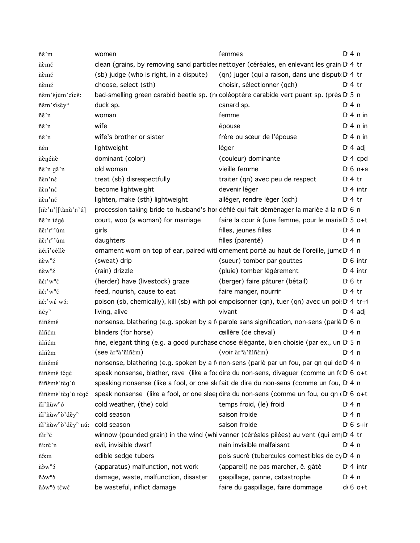| ñě'm                                                                           | women                                          | femmes                                                                                          | $Di$ 4 n         |
|--------------------------------------------------------------------------------|------------------------------------------------|-------------------------------------------------------------------------------------------------|------------------|
| ñèmé                                                                           |                                                | clean (grains, by removing sand particles nettoyer (céréales, en enlevant les grain D'4 tr      |                  |
| ñèmé                                                                           | (sb) judge (who is right, in a dispute)        | (qn) juger (qui a raison, dans une disput D 4 tr                                                |                  |
| ñèmé                                                                           | choose, select (sth)                           | choisir, sélectionner (qch)                                                                     | $D:4$ tr         |
| ñèm'èjúm'cícê:                                                                 |                                                | bad-smelling green carabid beetle sp. (ne coléoptère carabide vert puant sp. (près D'5 n        |                  |
| ñěm'sísêy <sup>n</sup>                                                         | duck sp.                                       | canard sp.                                                                                      | $Di$ 4 n         |
| ñě'n                                                                           | woman                                          | femme                                                                                           | $Di$ 4 n in      |
| ñě'n                                                                           | wife                                           | épouse                                                                                          | $Di$ 4 n in      |
| ñě'n                                                                           | wife's brother or sister                       | frère ou sœur de l'épouse                                                                       | $Di$ 4 n in      |
| ñén                                                                            | lightweight                                    | léger                                                                                           | $D \cdot 4$ adj  |
| ñènéñè                                                                         | dominant (color)                               | (couleur) dominante                                                                             | $D: 4$ cpd       |
| ñè'n gǎ'n                                                                      | old woman                                      | vieille femme                                                                                   | $D \cdot 6$ n+a  |
| ñèn'né                                                                         | treat (sb) disrespectfully                     | traiter (qn) avec peu de respect                                                                | $Di4$ tr         |
| ñèn'né                                                                         | become lightweight                             | devenir léger                                                                                   | $D1$ 4 intr      |
| ñèn'né                                                                         | lighten, make (sth) lightweight                | alléger, rendre léger (qch)                                                                     | $D:4$ tr         |
| $[\tilde{n}\tilde{\varepsilon}^n][\tilde{\varepsilon}^n\tilde{n}\tilde{n}^n]\$ |                                                | procession taking bride to husband's hor défilé qui fait déménager la mariée à la n D 6 n       |                  |
| ñě'n tégé                                                                      | court, woo (a woman) for marriage              | faire la cour à (une femme, pour le maria D' 5 o+t                                              |                  |
| ñě:'r <sup>n</sup> 'ùm                                                         | girls                                          | filles, jeunes filles                                                                           | D: 4n            |
| ñě:'r <sup>n</sup> 'ùm                                                         | daughters                                      | filles (parenté)                                                                                | $Dt$ 4 n         |
| ñéri'céllè                                                                     |                                                | ornament worn on top of ear, paired witl ornement porté au haut de l'oreille, jume D'4 n        |                  |
| $\tilde{n}\grave{\epsilon}w^n\acute{\epsilon}$                                 | (sweat) drip                                   | (sueur) tomber par gouttes                                                                      | $D \cdot 6$ intr |
| $\tilde{n}\grave{\epsilon}w^n\acute{\epsilon}$                                 | (rain) drizzle                                 | (pluie) tomber légèrement                                                                       | $Di$ 4 intr      |
| $\ \hat{\epsilon}$ :' $w$ <sup>n</sup> $\hat{\epsilon}$                        | (herder) have (livestock) graze                | (berger) faire pâturer (bétail)                                                                 | $D \n6$ tr       |
| $\ \hat{\epsilon}$ :'w" $\hat{\epsilon}$                                       | feed, nourish, cause to eat                    | faire manger, nourrir                                                                           | $D:4$ tr         |
| ñé:'wé wǒ:                                                                     |                                                | poison (sb, chemically), kill (sb) with poi: empoisonner (qn), tuer (qn) avec un poi: D' 4 tr+1 |                  |
| $n$ éy <sup>n</sup>                                                            | living, alive                                  | vivant                                                                                          | $D \cdot 4$ adj  |
| ñíñémé                                                                         |                                                | nonsense, blathering (e.g. spoken by a frparole sans signification, non-sens (parlé D 6 n       |                  |
| ñíñém                                                                          | blinders (for horse)                           | œillère (de cheval)                                                                             | $Di$ 4 n         |
| ñíñém                                                                          |                                                | fine, elegant thing (e.g. a good purchase chose élégante, bien choisie (par ex., un D 5 n       |                  |
| ñíñêm                                                                          | $($ see $\ar{n}$ à' ñin $\hat{\epsilon}$ m $)$ | (voir àr <sup>n</sup> à'ñíñêm)                                                                  | D: 4n            |
| ñíñémé                                                                         |                                                | nonsense, blathering (e.g. spoken by a frnon-sens (parlé par un fou, par qn qui dc D 4 n        |                  |
| ñíñémé tégé                                                                    |                                                | speak nonsense, blather, rave (like a focdire du non-sens, divaguer (comme un fc D $6$ o+t      |                  |
| ñiñèmè'tèg'ú                                                                   |                                                | speaking nonsense (like a fool, or one slefait de dire du non-sens (comme un fou, D'4 n         |                  |
| ñiñèmè'tèg'ú tégé                                                              |                                                | speak nonsense (like a fool, or one sleet dire du non-sens (comme un fou, ou qn (D) 6 o+t       |                  |
| ñi'ñùw <sup>n</sup> ó                                                          | cold weather, (the) cold                       | temps froid, (le) froid                                                                         | $Di$ 4 n         |
| ñi'ñùw"ò'děy"                                                                  | cold season                                    | saison froide                                                                                   | $Di$ 4 n         |
| ñi'ñùw <sup>n</sup> ò'děy <sup>n</sup> nú:                                     | cold season                                    | saison froide                                                                                   | $D \cdot 6$ s+ir |
| ñir <sup>n</sup> é                                                             |                                                | winnow (pounded grain) in the wind (whi vanner (céréales pilées) au vent (qui em $D^1$ 4 tr     |                  |
| ñí:rè'n                                                                        | evil, invisible dwarf                          | nain invisible malfaisant                                                                       | $Di$ 4 n         |
| ñô:m                                                                           | edible sedge tubers                            | pois sucré (tubercules comestibles de cy D <sub>14</sub> n                                      |                  |
| $ñ\delta w^n\delta$                                                            | (apparatus) malfunction, not work              | (appareil) ne pas marcher, ê. gâté                                                              | $Di$ 4 intr      |
| $ñ5w^n$                                                                        | damage, waste, malfunction, disaster           | gaspillage, panne, catastrophe                                                                  | $Di$ 4 n         |
| ñów <sup>n</sup> ò téwé                                                        | be wasteful, inflict damage                    | faire du gaspillage, faire dommage                                                              | $dG$ 6 $o+t$     |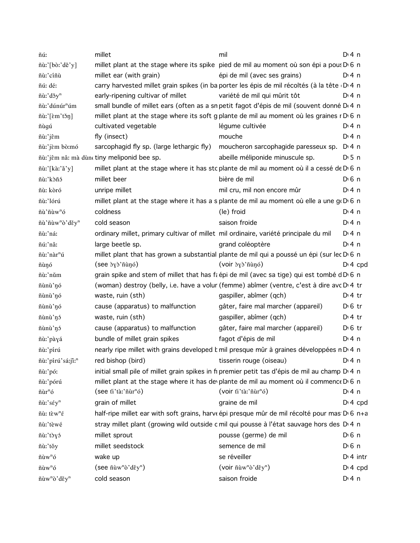| ñúː                               | millet                                                                               | mil                                                                                                     | $Di$ 4 n              |
|-----------------------------------|--------------------------------------------------------------------------------------|---------------------------------------------------------------------------------------------------------|-----------------------|
| ñù:'[bò:'dě'y]                    |                                                                                      | millet plant at the stage where its spike pied de mil au moment où son épi a pous D 6 n                 |                       |
| ñù:'cíñù                          | millet ear (with grain)                                                              | épi de mil (avec ses grains)                                                                            | $Dt$ 4 n              |
| ñú: dé:                           |                                                                                      | carry harvested millet grain spikes (in ba porter les épis de mil récoltés (à la tête D 4 n             |                       |
| ñù:'dǒy <sup>n</sup>              | early-ripening cultivar of millet                                                    | variété de mil qui mûrit tôt                                                                            | $Dt$ 4 n              |
| ñù:'dúnúr <sup>n</sup> úm         |                                                                                      | small bundle of millet ears (often as a sn petit fagot d'épis de mil (souvent donné D <sub>'</sub> 4 n  |                       |
| ñù:'[ɛ̀m'tɔ̌ŋ]                    |                                                                                      | millet plant at the stage where its soft g plante de mil au moment où les graines r D 6 n               |                       |
| ñùgú                              | cultivated vegetable                                                                 | légume cultivée                                                                                         | $Di$ 4 n              |
| ñù:'jêm                           | fly (insect)                                                                         | mouche                                                                                                  | $Di$ 4 n              |
| ñù:'jèm bò:mó                     | sarcophagid fly sp. (large lethargic fly)                                            | moucheron sarcophagide paresseux sp.                                                                    | D:4n                  |
|                                   | ñù:'jêm nâ: mà dùn tiny meliponid bee sp.                                            | abeille méliponide minuscule sp.                                                                        | D <sub>1</sub> 5n     |
| ñù:'[kàː'ǎ'y]                     |                                                                                      | millet plant at the stage where it has stc plante de mil au moment où il a cessé de D'6 n               |                       |
| ñù:'kòñó                          | millet beer                                                                          | bière de mil                                                                                            | $D \n6$ n             |
| ñù: kòró                          | unripe millet                                                                        | mil cru, mil non encore mûr                                                                             | $Di$ 4 n              |
| ñù:'lórú                          |                                                                                      | millet plant at the stage where it has a s plante de mil au moment où elle a une g(D) 6 n               |                       |
| ñù'ñùw <sup>n</sup> ó             | coldness                                                                             | (le) froid                                                                                              | $Di$ 4 n              |
| ñù'ñùw"ò'děy"                     | cold season                                                                          | saison froide                                                                                           | $Di$ 4 n              |
| ñù:'ná:                           | ordinary millet, primary cultivar of millet mil ordinaire, variété principale du mil |                                                                                                         | $Di$ 4 n              |
| ñú:'nâ:                           | large beetle sp.                                                                     | grand coléoptère                                                                                        | $Di$ 4 n              |
| ñù:'nàr <sup>n</sup> ú            |                                                                                      | millet plant that has grown a substantial plante de mil qui a poussé un épi (sur lec D'6 n              |                       |
| ñùŋó                              | (see byb'nunó)                                                                       | (voir $\gamma$ ) nunó)                                                                                  | $Di$ 4 cpd            |
| ñù:'nǔm                           |                                                                                      | grain spike and stem of millet that has faépi de mil (avec sa tige) qui est tombé d D 6 n               |                       |
| ñùnù'nó                           |                                                                                      | (woman) destroy (belly, i.e. have a volur (femme) abîmer (ventre, c'est à dire avc D'4 tr               |                       |
| ñùnù'nó                           | waste, ruin (sth)                                                                    | gaspiller, abîmer (qch)                                                                                 | $D \cdot 4$ tr        |
| ñùnù'nó                           | cause (apparatus) to malfunction                                                     | gâter, faire mal marcher (appareil)                                                                     | $D \n6$ tr            |
| ñùnù'nó                           | waste, ruin (sth)                                                                    | gaspiller, abîmer (qch)                                                                                 | D <sup>i</sup> 4 tr   |
| ñùnù'nó                           | cause (apparatus) to malfunction                                                     | gâter, faire mal marcher (appareil)                                                                     | $D \n6$ tr            |
| ñù:'pàyá                          | bundle of millet grain spikes                                                        | fagot d'épis de mil                                                                                     | $Di$ 4 n              |
| ñù:'pírú                          |                                                                                      | nearly ripe millet with grains developed k mil presque mûr à graines développées n D 4 n                |                       |
| ñù:'pírú'sá:jî:"                  | red bishop (bird)                                                                    | tisserin rouge (oiseau)                                                                                 | $Di$ 4 n              |
| ñù:'pó:                           |                                                                                      | initial small pile of millet grain spikes in fi premier petit tas d'épis de mil au champ D 4 n          |                       |
| ñù:'pórú                          |                                                                                      | millet plant at the stage where it has devplante de mil au moment où il commence Dv 6 n                 |                       |
| $\tilde{n}$ ùr $\tilde{n}$ ó      | (see fi'tà:'ñùr <sup>n</sup> ó)                                                      | (voir ti'tà:'ñùr <sup>n</sup> ó)                                                                        | $Di$ 4 n              |
| ñù:'séy <sup>n</sup>              | grain of millet                                                                      | graine de mil                                                                                           | $D: 4$ cpd            |
| $\tilde{n}$ u: tèw <sup>n</sup> é |                                                                                      | half-ripe millet ear with soft grains, harveépi presque mûr de mil récolté pour mas D <sub>16</sub> n+a |                       |
| ñù:'tèwé                          |                                                                                      | stray millet plant (growing wild outside c mil qui pousse à l'état sauvage hors des D'4 n               |                       |
| ñù:'tòyó                          | millet sprout                                                                        | pousse (germe) de mil                                                                                   | $D \nvert 6 \nvert n$ |
| ñù:'tǒy                           | millet seedstock                                                                     | semence de mil                                                                                          | $D \n6$ n             |
| $\tilde{n}$ ùw <sup>n</sup> ó     | wake up                                                                              | se réveiller                                                                                            | $Di$ 4 intr           |
| $\tilde{n}$ ùw <sup>n</sup> ó     | $(\text{see } \ \text{uw}^n\text{ò'}\text{d\check{e}}\text{y}^n)$                    |                                                                                                         | $Di$ 4 cpd            |
| ñùw"ò'děy"                        | cold season                                                                          | saison froide                                                                                           | $Di$ 4 n              |
|                                   |                                                                                      |                                                                                                         |                       |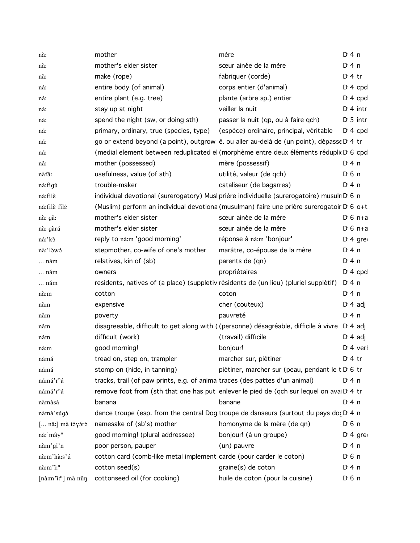| nă:                                                   | mother                                                                       | mère                                                                                                 | $Dt$ 4 n              |
|-------------------------------------------------------|------------------------------------------------------------------------------|------------------------------------------------------------------------------------------------------|-----------------------|
| nă:                                                   | mother's elder sister                                                        | sœur ainée de la mère                                                                                | $Di$ 4 n              |
| nă:                                                   | make (rope)                                                                  | fabriquer (corde)                                                                                    | $D:4$ tr              |
| ná:                                                   | entire body (of animal)                                                      | corps entier (d'animal)                                                                              | $Dt 4$ cpd            |
| ná:                                                   | entire plant (e.g. tree)                                                     | plante (arbre sp.) entier                                                                            | $Dt 4$ cpd            |
| ná:                                                   | stay up at night                                                             | veiller la nuit                                                                                      | $Dt$ 4 intr           |
| ná:                                                   | spend the night (sw, or doing sth)                                           | passer la nuit (qp, ou à faire qch)                                                                  | $D \cdot 5$ intr      |
| ná:                                                   | primary, ordinary, true (species, type)                                      | (espèce) ordinaire, principal, véritable                                                             | $D: 4$ cpd            |
| ná:                                                   |                                                                              | go or extend beyond (a point), outgrow ê. ou aller au-delà de (un point), dépasse D'4 tr             |                       |
| ná:                                                   |                                                                              | (medial element between reduplicated el (morphème entre deux éléments réduplic D 6 cpd               |                       |
| nâ:                                                   | mother (possessed)                                                           | mère (possessif)                                                                                     | $Di$ 4 n              |
| nàfà:                                                 | usefulness, value (of sth)                                                   | utilité, valeur (de qch)                                                                             | D <sub>0</sub> 6 n    |
| ná:figù                                               | trouble-maker                                                                | cataliseur (de bagarres)                                                                             | $Di$ 4 n              |
| ná:filè                                               |                                                                              | individual devotional (surerogatory) Musl prière individuelle (surerogatoire) musulr D 6 n           |                       |
| ná:filè filé                                          |                                                                              | (Muslim) perform an individual devotiona (musulman) faire une prière surerogatoir D <sub>'60+t</sub> |                       |
| nà: gǎ:                                               | mother's elder sister                                                        | sœur ainée de la mère                                                                                | $D \cdot 6$ n+a       |
| nà: gàrá                                              | mother's elder sister                                                        | sœur ainée de la mère                                                                                | $D16n+a$              |
| ná:'kò                                                | reply to ná:m 'good morning'                                                 | réponse à ná:m 'bonjour'                                                                             | $Dt$ 4 gre            |
| nà:'lòwó                                              | stepmother, co-wife of one's mother                                          | marâtre, co-épouse de la mère                                                                        | $Di$ 4 n              |
| nám                                                   | relatives, kin of (sb)                                                       | parents de (qn)                                                                                      | $Di$ 4 n              |
| nám                                                   | owners                                                                       | propriétaires                                                                                        | $DT$ 4 cpd            |
| nám                                                   |                                                                              | residents, natives of (a place) (suppletiv résidents de (un lieu) (pluriel supplétif)                | $Di$ 4 n              |
| nă:m                                                  | cotton                                                                       | coton                                                                                                | $Di$ 4 n              |
| năm                                                   | expensive                                                                    | cher (couteux)                                                                                       | $D \cdot 4$ adj       |
| năm                                                   | poverty                                                                      | pauvreté                                                                                             | $Di$ 4 n              |
| năm                                                   |                                                                              | disagreeable, difficult to get along with ((personne) désagréable, difficile à vivre D'4 adj         |                       |
| năm                                                   | difficult (work)                                                             | (travail) difficile                                                                                  | $D \cdot 4$ adj       |
| ná:m                                                  | good morning!                                                                | bonjour!                                                                                             | D <sub>1</sub> 4 verl |
| námá                                                  | tread on, step on, trampler                                                  | marcher sur, piétiner                                                                                | $Di4$ tr              |
| námá                                                  | stomp on (hide, in tanning)                                                  | piétiner, marcher sur (peau, pendant le t D <sub>'6</sub> tr                                         |                       |
| námá'r <sup>n</sup> á                                 | tracks, trail (of paw prints, e.g. of animal traces (des pattes d'un animal) |                                                                                                      | $Di$ 4 n              |
| námá'r <sup>n</sup> á                                 |                                                                              | remove foot from (sth that one has put enlever le pied de (qch sur lequel on avai D.4 tr             |                       |
| nàmàsá                                                | banana                                                                       | banane                                                                                               | D:4n                  |
| nàmà'súgó                                             |                                                                              | dance troupe (esp. from the central Dog troupe de danseurs (surtout du pays dot $D4$ n               |                       |
| $\left[\dots$ nâ: mà tóyớrò                           | namesake of (sb's) mother                                                    | homonyme de la mère (de qn)                                                                          | $D \n6$ n             |
| ná:'mây <sup>n</sup>                                  | good morning! (plural addressee)                                             | bonjour! (à un groupe)                                                                               | $D14$ gre             |
| nàm'gí'n                                              | poor person, pauper                                                          | (un) pauvre                                                                                          | $Di$ 4 n              |
| nà:m'hà:s'ú                                           | cotton card (comb-like metal implement carde (pour carder le coton)          |                                                                                                      | $D \nvert 6 \nvert n$ |
| nà:m'i: <sup>n</sup>                                  | cottom seed(s)                                                               | graine(s) de coton                                                                                   | D:4n                  |
| $[n\text{à}:\text{m}\text{'i}:$ <sup>n</sup> ] mà nǔn | cottonseed oil (for cooking)                                                 | huile de coton (pour la cuisine)                                                                     | $D \nvert 6 \nvert n$ |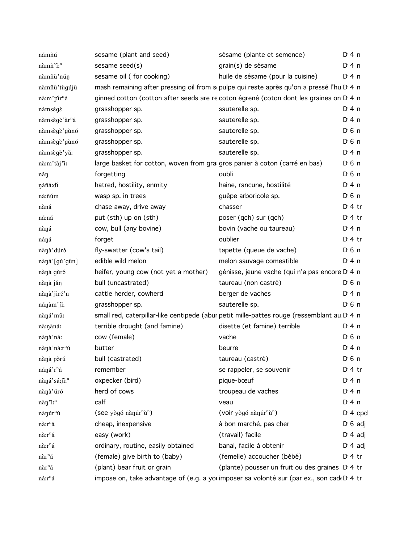| námñú                     | sesame (plant and seed)                                                     | sésame (plante et semence)                                                                             | $Di$ 4 n              |
|---------------------------|-----------------------------------------------------------------------------|--------------------------------------------------------------------------------------------------------|-----------------------|
| nàmñ'i: <sup>n</sup>      | sesame seed(s)                                                              | grain(s) de sésame                                                                                     | D:4n                  |
| nàmñù'nǔn                 | sesame oil (for cooking)                                                    | huile de sésame (pour la cuisine)                                                                      | D <sup>i</sup> 4n     |
| nàmñù'tùgújù              |                                                                             | mash remaining after pressing oil from supulpe qui reste après qu'on a pressé l'hu D <sub>14</sub> n   |                       |
| nà:m'pir <sup>n</sup> é   |                                                                             | ginned cotton (cotton after seeds are recoton égrené (coton dont les graines on D 4 n                  |                       |
| námségè                   | grasshopper sp.                                                             | sauterelle sp.                                                                                         | $Di$ 4 n              |
| nàmsègè'àr <sup>n</sup> á | grasshopper sp.                                                             | sauterelle sp.                                                                                         | D <sup>i</sup> 4 n    |
| nàmsègè'gùnó              | grasshopper sp.                                                             | sauterelle sp.                                                                                         | D <sup>i</sup> 6 n    |
| nàmsègè'gùnó              | grasshopper sp.                                                             | sauterelle sp.                                                                                         | D <sup>i</sup> 6 n    |
| nàmsègè'yǎ:               | grasshopper sp.                                                             | sauterelle sp.                                                                                         | D:4n                  |
| nà:m'tàj'i:               | large basket for cotton, woven from gra: gros panier à coton (carré en bas) |                                                                                                        | D <sup>i</sup> 6 n    |
| năn                       | forgetting                                                                  | oubli                                                                                                  | D <sup>i</sup> 6 n    |
| náñá:di                   | hatred, hostility, enmity                                                   | haine, rancune, hostilité                                                                              | D <sup>i</sup> 4 n    |
| ná:ñúm                    | wasp sp. in trees                                                           | guêpe arboricole sp.                                                                                   | D <sup>i</sup> 6 n    |
| nàná                      | chase away, drive away                                                      | chasser                                                                                                | $Dt$ 4 tr             |
| ná:ná                     | put (sth) up on (sth)                                                       | poser (qch) sur (qch)                                                                                  | $Dt$ 4 tr             |
| nàná                      | cow, bull (any bovine)                                                      | bovin (vache ou taureau)                                                                               | D:4n                  |
| náŋá                      | forget                                                                      | oublier                                                                                                | $Dt$ 4 tr             |
| nànà' dúró                | fly-swatter (cow's tail)                                                    | tapette (queue de vache)                                                                               | D <sup>i</sup> 6 n    |
| nàná'[gú'gûn]             | edible wild melon                                                           | melon sauvage comestible                                                                               | D <sup>i</sup> 4 n    |
| nànà gùró                 | heifer, young cow (not yet a mother)                                        | génisse, jeune vache (qui n'a pas encore D <sub>14</sub> n                                             |                       |
| nànà jăn                  | bull (uncastrated)                                                          | taureau (non castré)                                                                                   | $D0$ n                |
| nànà jíré 'n              | cattle herder, cowherd                                                      | berger de vaches                                                                                       | $Di$ 4 n              |
| nánàm'ji:                 | grasshopper sp.                                                             | sauterelle sp.                                                                                         | $D0$ n                |
| nàná'mû:                  |                                                                             | small red, caterpillar-like centipede (abur petit mille-pattes rouge (ressemblant au D <sub>14</sub> n |                       |
| nà:nàná:                  | terrible drought (and famine)                                               | disette (et famine) terrible                                                                           | $Di$ 4 n              |
| nànà'ná:                  | cow (female)                                                                | vache                                                                                                  | D <sup>i</sup> 6 n    |
| nànà nà:r <sup>n</sup> ú  | butter                                                                      | beurre                                                                                                 | $Di$ 4 n              |
| nànà pòrú                 | bull (castrated)                                                            | taureau (castré)                                                                                       | $D \nvert 6 \nvert n$ |
| náná'r <sup>n</sup> á     | remember                                                                    | se rappeler, se souvenir                                                                               | D <sup>i</sup> 4 tr   |
| nàná'sá:ji: <sup>n</sup>  | oxpecker (bird)                                                             | pique-bœuf                                                                                             | D:4n                  |
| nànà'úró                  | herd of cows                                                                | troupeau de vaches                                                                                     | $Di$ 4 n              |
| nàn "i:n                  | calf                                                                        | veau                                                                                                   | D:4n                  |
| nànúr <sup>n</sup> ù      | (see yògó nànúr <sup>n</sup> ù <sup>n</sup> )                               | (voir yògó nànúr <sup>n</sup> ù <sup>n</sup> )                                                         | $D: 4$ cpd            |
| nà:r <sup>n</sup> á       | cheap, inexpensive                                                          | à bon marché, pas cher                                                                                 | $D \cdot 6$ adj       |
| nà:r <sup>n</sup> á       | easy (work)                                                                 | (travail) facile                                                                                       | $D \cdot 4$ adj       |
| nà:r <sup>n</sup> á       | ordinary, routine, easily obtained                                          | banal, facile à obtenir                                                                                | $D \cdot 4$ adj       |
| nàr <sup>n</sup> á        | (female) give birth to (baby)                                               | (femelle) accoucher (bébé)                                                                             | $Dt$ 4 tr             |
| nàr <sup>n</sup> á        | (plant) bear fruit or grain                                                 | (plante) pousser un fruit ou des graines D.4 tr                                                        |                       |
| $n$ á:<br><br>r $\hat{a}$ |                                                                             | impose on, take advantage of (e.g. a you imposer sa volonté sur (par ex., son cad(D) 4 tr              |                       |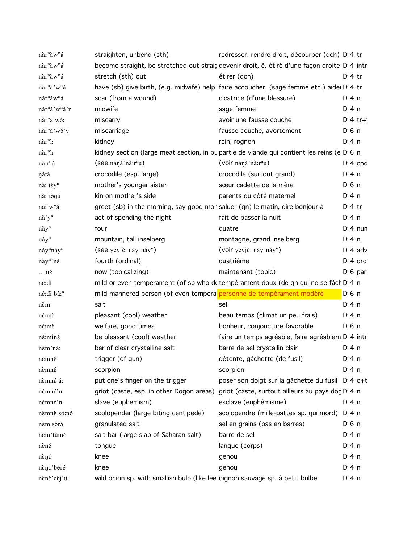| nàr <sup>n</sup> àw <sup>n</sup> á    | straighten, unbend (sth)                                                      | redresser, rendre droit, décourber (qch) D' 4 tr                                                          |                       |
|---------------------------------------|-------------------------------------------------------------------------------|-----------------------------------------------------------------------------------------------------------|-----------------------|
| $n\grave{a}r^n\grave{a}w^n\acute{a}$  |                                                                               | become straight, be stretched out straig devenir droit, ê. étiré d'une façon droite D <sub>'</sub> 4 intr |                       |
| $n\grave{a}r^n\grave{a}w^n\acute{a}$  | stretch (sth) out                                                             | étirer (qch)                                                                                              | $Di4$ tr              |
| nàr <sup>n</sup> à'w <sup>n</sup> á   |                                                                               | have (sb) give birth, (e.g. midwife) help faire accoucher, (sage femme etc.) aider D'4 tr                 |                       |
| nár <sup>n</sup> áw <sup>n</sup> á    | scar (from a wound)                                                           | cicatrice (d'une blessure)                                                                                | $Di$ 4 n              |
| nár <sup>n</sup> á'w <sup>n</sup> á'n | midwife                                                                       | sage femme                                                                                                | $Di$ 4 n              |
| nàr <sup>n</sup> á wǒ:                | miscarry                                                                      | avoir une fausse couche                                                                                   | $Dt$ 4 tr+1           |
| nàr <sup>n</sup> à'wǒ'y               | miscarriage                                                                   | fausse couche, avortement                                                                                 | $D0$ 6 n              |
| nàr <sup>m</sup> i:                   | kidney                                                                        | rein, rognon                                                                                              | $Di$ 4 n              |
| nàr <sup>m</sup> i:                   |                                                                               | kidney section (large meat section, in bupartie de viande qui contient les reins (e D 6 n                 |                       |
| nà:r <sup>n</sup> ú                   | (see nànà nà:r <sup>n</sup> ú)                                                | (voir nàna'na:r <sup>n</sup> ú)                                                                           | $Di$ 4 cpd            |
| nátà                                  | crocodile (esp. large)                                                        | crocodile (surtout grand)                                                                                 | $Di$ 4 n              |
| nà: téy <sup>n</sup>                  | mother's younger sister                                                       | sœur cadette de la mère                                                                                   | $D \nvert 6 \nvert n$ |
| nà:'tògú                              | kin on mother's side                                                          | parents du côté maternel                                                                                  | $Di$ 4 n              |
| ná:'w <sup>n</sup> á                  | greet (sb) in the morning, say good mor saluer (qn) le matin, dire bonjour à  |                                                                                                           | $D:4$ tr              |
| nă'y <sup>n</sup>                     | act of spending the night                                                     | fait de passer la nuit                                                                                    | $Di$ 4 n              |
| nǎy <sup>n</sup>                      | four                                                                          | quatre                                                                                                    | $Di$ 4 nun            |
| náy <sup>n</sup>                      | mountain, tall inselberg                                                      | montagne, grand inselberg                                                                                 | D: 4n                 |
| náy <sup>n</sup> náy <sup>n</sup>     | (see yèyjè: náy <sup>n</sup> náy <sup>n</sup> )                               | (voir yèyjè: náy <sup>n</sup> náy <sup>n</sup> )                                                          | $Di$ 4 adv            |
| này <sup>n</sup> 'né                  | fourth (ordinal)                                                              | quatrième                                                                                                 | $Di$ 4 ordi           |
| $\ldots$ nè                           | now (topicalizing)                                                            | maintenant (topic)                                                                                        | $D16$ part            |
| né:di                                 |                                                                               | mild or even temperament (of sb who dc tempérament doux (de qn qui ne se fâch D 4 n                       |                       |
| né:di bâ: <sup>n</sup>                | mild-mannered person (of even temperal personne de tempérament modéré         |                                                                                                           | $D0$ 6 n              |
| něm                                   | salt                                                                          | sel                                                                                                       | $Di$ 4 n              |
| né:mà                                 | pleasant (cool) weather                                                       | beau temps (climat un peu frais)                                                                          | $Di$ 4 n              |
| né:mè                                 | welfare, good times                                                           | bonheur, conjoncture favorable                                                                            | $D0$ 6 n              |
| né:míné                               | be pleasant (cool) weather                                                    | faire un temps agréable, faire agréablem D <sub>'</sub> 4 intr                                            |                       |
| nèm'ná:                               | bar of clear crystalline salt                                                 | barre de sel crystallin clair                                                                             | $Di$ 4 n              |
| nèmné                                 | trigger (of gun)                                                              | détente, gâchette (de fusil)                                                                              | $Di$ 4 n              |
| nèmné                                 | scorpion                                                                      | scorpion                                                                                                  | $Di$ 4 n              |
| nèmné á:                              | put one's finger on the trigger                                               | poser son doigt sur la gâchette du fusil D <sub>1</sub> 4 o+t                                             |                       |
| némné'n                               | griot (caste, esp. in other Dogon areas)                                      | griot (caste, surtout ailleurs au pays dog D 4 n                                                          |                       |
| némné'n                               | slave (euphemism)                                                             | esclave (euphémisme)                                                                                      | $Dt$ 4 n              |
| nèmnè só:nó                           | scolopender (large biting centipede)                                          | scolopendre (mille-pattes sp. qui mord)                                                                   | $Di$ 4 n              |
| nèm sórò                              | granulated salt                                                               | sel en grains (pas en barres)                                                                             | $D \n6$ n             |
| nèm'tùmó                              | salt bar (large slab of Saharan salt)                                         | barre de sel                                                                                              | $Di$ 4 n              |
| $n \in \mathbb{R}$                    | tongue                                                                        | langue (corps)                                                                                            | $Di$ 4 n              |
| $n \epsilon$                          | knee                                                                          | genou                                                                                                     | $Di$ 4 n              |
| nènè'béré                             | knee                                                                          | genou                                                                                                     | $Di$ 4 n              |
| nènè'cèj'ú                            | wild onion sp. with smallish bulb (like leel oignon sauvage sp. à petit bulbe |                                                                                                           | $Di$ 4 n              |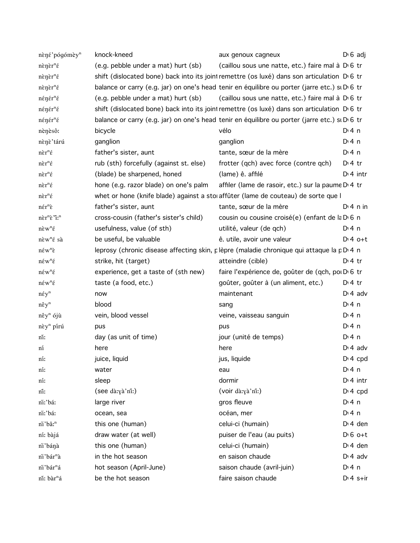| nèné'pógómèy <sup>n</sup>                                                  | knock-kneed                             | aux genoux cagneux                                                                                         | $D \cdot 6$ adj  |
|----------------------------------------------------------------------------|-----------------------------------------|------------------------------------------------------------------------------------------------------------|------------------|
| $n$ ền ề $r^n$ ế                                                           | (e.g. pebble under a mat) hurt (sb)     | (caillou sous une natte, etc.) faire mal à D <sub>'6</sub> tr                                              |                  |
| $n\grave{\epsilon}$ n $\grave{\epsilon}$ r <sup>n</sup> $\acute{\epsilon}$ |                                         | shift (dislocated bone) back into its joint remettre (os luxé) dans son articulation D 6 tr                |                  |
| $n\grave{\epsilon}$ n $\grave{\epsilon}$ r <sup>n</sup> $\acute{\epsilon}$ |                                         | balance or carry (e.g. jar) on one's head tenir en équilibre ou porter (jarre etc.) si D <sub>1</sub> 6 tr |                  |
| nénér <sup>n</sup> é                                                       | (e.g. pebble under a mat) hurt (sb)     | (caillou sous une natte, etc.) faire mal à D <sub>1</sub> 6 tr                                             |                  |
| $n \epsilon \eta \epsilon r^n \epsilon$                                    |                                         | shift (dislocated bone) back into its joint remettre (os luxé) dans son articulation D 6 tr                |                  |
| nénér <sup>n</sup> é                                                       |                                         | balance or carry (e.g. jar) on one's head tenir en équilibre ou porter (jarre etc.) su D 6 tr              |                  |
| nènèsô:                                                                    | bicycle                                 | vélo                                                                                                       | D: 4 n           |
| nènè'tárú                                                                  | ganglion                                | ganglion                                                                                                   | $Di$ 4 n         |
| $n\grave{\epsilon}r^n\acute{\epsilon}$                                     | father's sister, aunt                   | tante, sœur de la mère                                                                                     | D: 4 n           |
| $n\grave{\epsilon}r^n\acute{\epsilon}$                                     | rub (sth) forcefully (against st. else) | frotter (qch) avec force (contre qch)                                                                      | $Di4$ tr         |
| $n\grave{\epsilon}r^n\acute{\epsilon}$                                     | (blade) be sharpened, honed             | (lame) ê. affilé                                                                                           | $Di$ 4 intr      |
| $n\grave{\epsilon}r^n\acute{\epsilon}$                                     | hone (e.g. razor blade) on one's palm   | affiler (lame de rasoir, etc.) sur la paume D <sub>1</sub> 4 tr                                            |                  |
| $n\grave{\epsilon}r^n\acute{\epsilon}$                                     |                                         | whet or hone (knife blade) against a storaffûter (lame de couteau) de sorte que l                          |                  |
| $n \hat{\epsilon} r^n \hat{\epsilon}$                                      | father's sister, aunt                   | tante, sœur de la mère                                                                                     | $Di$ 4 n in      |
| nèr <sup>n</sup> è "i: <sup>n</sup>                                        | cross-cousin (father's sister's child)  | cousin ou cousine croisé(e) (enfant de la D'6 n                                                            |                  |
| $n\grave{\epsilon}w^n\acute{\epsilon}$                                     | usefulness, value (of sth)              | utilité, valeur (de qch)                                                                                   | D:4n             |
| nèw <sup>n</sup> é sà                                                      | be useful, be valuable                  | ê. utile, avoir une valeur                                                                                 | $D:4$ o+t        |
| $n \in W^n \gtrsim$                                                        |                                         | leprosy (chronic disease affecting skin, plèpre (maladie chronique qui attaque la pD 4 n                   |                  |
| $n \in W^{n} \in$                                                          | strike, hit (target)                    | atteindre (cible)                                                                                          | $Di4$ tr         |
| $n \in W^{n} \in$                                                          | experience, get a taste of (sth new)    | faire l'expérience de, goûter de (qch, poi Di 6 tr                                                         |                  |
| $n \acute{\epsilon} w^n \acute{\epsilon}$                                  | taste (a food, etc.)                    | goûter, goûter à (un aliment, etc.)                                                                        | $Di4$ tr         |
| $n \in y^n$                                                                | now                                     | maintenant                                                                                                 | $Di$ 4 adv       |
| $n\hat{\epsilon}y^n$                                                       | blood                                   | sang                                                                                                       | $Di$ 4 n         |
| $n \hat{\epsilon} y^n$ ójù                                                 | vein, blood vessel                      | veine, vaisseau sanguin                                                                                    | D: 4 n           |
| nèy <sup>n</sup> pírú                                                      | pus                                     | pus                                                                                                        | $Di$ 4 n         |
| nı:                                                                        | day (as unit of time)                   | jour (unité de temps)                                                                                      | $Di$ 4 n         |
| ní                                                                         | here                                    | here                                                                                                       | $Di$ 4 adv       |
| ní:                                                                        | juice, liquid                           | jus, liquide                                                                                               | $Dt 4$ cpd       |
| ní:                                                                        | water                                   | eau                                                                                                        | $Dt$ 4 n         |
| ní:                                                                        | sleep                                   | dormir                                                                                                     | $Di$ 4 intr      |
| nî:                                                                        | (see dà:yà'nî:)                         | (voir dà:yà'nî:)                                                                                           | $D: 4$ cpd       |
| ni:'báː                                                                    | large river                             | gros fleuve                                                                                                | $Di$ 4 n         |
| ni:'bá:                                                                    | ocean, sea                              | océan, mer                                                                                                 | $Dt$ 4 n         |
| ni'bâ: <sup>n</sup>                                                        | this one (human)                        | celui-ci (humain)                                                                                          | $Di$ 4 den       |
| ní: bàjá                                                                   | draw water (at well)                    | puiser de l'eau (au puits)                                                                                 | $D \nvert 6$ o+t |
| ni'bánà                                                                    | this one (human)                        | celui-ci (humain)                                                                                          | $Di$ 4 den       |
| ni'bár <sup>n</sup> à                                                      | in the hot season                       | en saison chaude                                                                                           | $D \cdot 4$ adv  |
| ni'bár <sup>n</sup> á                                                      | hot season (April-June)                 | saison chaude (avril-juin)                                                                                 | $Dt$ 4 n         |
| ní: bàr <sup>n</sup> á                                                     | be the hot season                       | faire saison chaude                                                                                        | $D: 4 s + ir$    |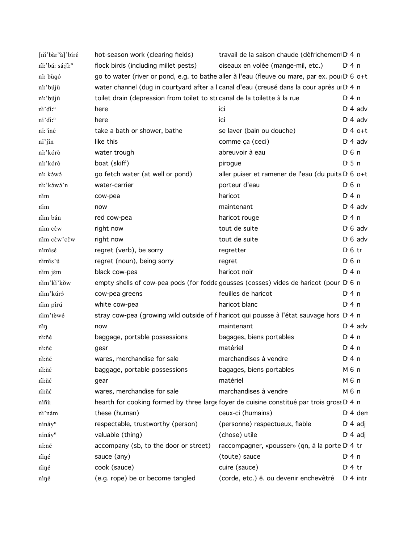| [ni'bàr <sup>n</sup> à]'bíré | hot-season work (clearing fields)                                                          | travail de la saison chaude (défrichemen D 4 n                                                |                   |  |  |  |  |
|------------------------------|--------------------------------------------------------------------------------------------|-----------------------------------------------------------------------------------------------|-------------------|--|--|--|--|
| ni:'bá: sá:ji:"              | flock birds (including millet pests)                                                       | oiseaux en volée (mange-mil, etc.)                                                            | D:4n              |  |  |  |  |
| ní: bùgó                     |                                                                                            | go to water (river or pond, e.g. to bathe aller à l'eau (fleuve ou mare, par ex. poul D 6 o+t |                   |  |  |  |  |
| ní:'bújù                     | water channel (dug in courtyard after a I canal d'eau (creusé dans la cour après ui Di 4 n |                                                                                               |                   |  |  |  |  |
| ní:'bújù                     | toilet drain (depression from toilet to str canal de la toilette à la rue                  |                                                                                               | D:4n              |  |  |  |  |
| ni'di: <sup>n</sup>          | here                                                                                       | ici                                                                                           | $D: 4$ adv        |  |  |  |  |
| ní'di: <sup>n</sup>          | here                                                                                       | ici                                                                                           | $Di$ 4 adv        |  |  |  |  |
| ní: iné                      | take a bath or shower, bathe                                                               | se laver (bain ou douche)                                                                     | $D:4$ o+t         |  |  |  |  |
| $ni'$ jin                    | like this                                                                                  | comme ça (ceci)                                                                               | $Di$ 4 adv        |  |  |  |  |
| ní:'kórò                     | water trough                                                                               | abreuvoir à eau                                                                               | $D \n6$ n         |  |  |  |  |
| ní:'kórò                     | boat (skiff)                                                                               | pirogue                                                                                       | $D \cdot 5$ n     |  |  |  |  |
| ní: kówó                     | go fetch water (at well or pond)                                                           | aller puiser et ramener de l'eau (du puits D <sub>'60+t</sub>                                 |                   |  |  |  |  |
| ni:'kówó'n                   | water-carrier                                                                              | porteur d'eau                                                                                 | D <sub>1</sub> 6n |  |  |  |  |
| nım                          | cow-pea                                                                                    | haricot                                                                                       | $Di$ 4 n          |  |  |  |  |
| nîm                          | now                                                                                        | maintenant                                                                                    | $Di$ 4 adv        |  |  |  |  |
| nim bán                      | red cow-pea                                                                                | haricot rouge                                                                                 | $Di$ 4 n          |  |  |  |  |
| nîm cêw                      | right now                                                                                  | tout de suite                                                                                 | $D \nvert 6$ adv  |  |  |  |  |
| nîm cêw'cêw                  | right now                                                                                  | tout de suite                                                                                 | $D \cdot 6$ adv   |  |  |  |  |
| nímísé                       | regret (verb), be sorry                                                                    | regretter                                                                                     | $D \n6$ tr        |  |  |  |  |
| nimis'ú                      | regret (noun), being sorry                                                                 | regret                                                                                        | D <sub>1</sub> 6n |  |  |  |  |
| nim jém                      | black cow-pea                                                                              | haricot noir                                                                                  | $Di$ 4 n          |  |  |  |  |
| nim'ki'kǒw                   |                                                                                            | empty shells of cow-pea pods (for fodde gousses (cosses) vides de haricot (pour D 6 n         |                   |  |  |  |  |
| nim'kúró                     | cow-pea greens                                                                             | feuilles de haricot                                                                           | $Di$ 4 n          |  |  |  |  |
| nim pírú                     | white cow-pea                                                                              | haricot blanc                                                                                 | $Di$ 4 n          |  |  |  |  |
| nim'tèwé                     |                                                                                            | stray cow-pea (growing wild outside of f haricot qui pousse à l'état sauvage hors D'4 n       |                   |  |  |  |  |
| niŋ                          | now                                                                                        | maintenant                                                                                    | $D \n4$ adv       |  |  |  |  |
| ni:ñé                        | baggage, portable possessions                                                              | bagages, biens portables                                                                      | $Di$ 4 n          |  |  |  |  |
| ni:ñé                        | gear                                                                                       | matériel                                                                                      | $Dt$ 4 n          |  |  |  |  |
| ni:ñé                        | wares, merchandise for sale                                                                | marchandises à vendre                                                                         | $Dt$ 4 n          |  |  |  |  |
| ni:ñé                        | baggage, portable possessions                                                              | bagages, biens portables                                                                      | M 6 n             |  |  |  |  |
| ni:ñé                        | gear                                                                                       | matériel                                                                                      | M 6 n             |  |  |  |  |
| ni:ñé                        | wares, merchandise for sale                                                                | marchandises à vendre                                                                         | M 6 n             |  |  |  |  |
| níñù                         |                                                                                            | hearth for cooking formed by three large foyer de cuisine constitué par trois gross D 4 n     |                   |  |  |  |  |
| ni'nám                       | these (human)                                                                              | ceux-ci (humains)                                                                             | $Di$ 4 den        |  |  |  |  |
| nínáy <sup>n</sup>           | respectable, trustworthy (person)                                                          | (personne) respectueux, fiable                                                                | $D \n4$ adj       |  |  |  |  |
| nínáy <sup>n</sup>           | valuable (thing)                                                                           | (chose) utile                                                                                 | $D \n4$ adj       |  |  |  |  |
| ní:né                        | accompany (sb, to the door or street)                                                      | raccompagner, «pousser» (qn, à la porte D'4 tr                                                |                   |  |  |  |  |
| niné                         | sauce (any)                                                                                | (toute) sauce                                                                                 | $Di$ 4 n          |  |  |  |  |
| niné                         | cook (sauce)                                                                               | cuire (sauce)                                                                                 | $D:4$ tr          |  |  |  |  |
| níné                         | (e.g. rope) be or become tangled                                                           | (corde, etc.) ê. ou devenir enchevêtré                                                        | $Di$ 4 intr       |  |  |  |  |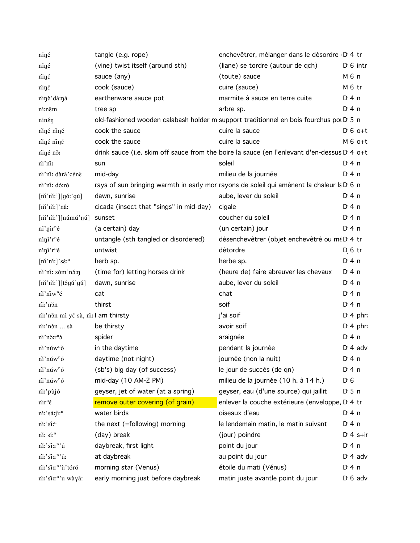| níné                                            | tangle (e.g. rope)                      | enchevêtrer, mélanger dans le désordre D 4 tr                                                |                      |
|-------------------------------------------------|-----------------------------------------|----------------------------------------------------------------------------------------------|----------------------|
| níné                                            | (vine) twist itself (around sth)        | (liane) se tordre (autour de qch)                                                            | $D \nvert 6$ intr    |
| niné                                            | sauce (any)                             | (toute) sauce                                                                                | M 6 n                |
| niné                                            | cook (sauce)                            | cuire (sauce)                                                                                | M 6 tr               |
| ninè'dá:ná                                      | earthenware sauce pot                   | marmite à sauce en terre cuite                                                               | $Di$ 4 n             |
| ní:nêm                                          | tree sp                                 | arbre sp.                                                                                    | D:4n                 |
| nínén                                           |                                         | old-fashioned wooden calabash holder m support traditionnel en bois fourchus poi D 5 n       |                      |
| niné niné                                       | cook the sauce                          | cuire la sauce                                                                               | $D \cdot 6$ o+t      |
| niné niné                                       | cook the sauce                          | cuire la sauce                                                                               | $M_6$ o+t            |
| niné ně:                                        |                                         | drink sauce (i.e. skim off sauce from the boire la sauce (en l'enlevant d'en-dessus D' 4 o+t |                      |
| ni'ni:                                          | sun                                     | soleil                                                                                       | $Dt$ 4 n             |
| ni'ni: dàrà'cénè                                | mid-day                                 | milieu de la journée                                                                         | $Di$ 4 n             |
| ni'ni: dó:rò                                    |                                         | rays of sun bringing warmth in early mor rayons de soleil qui amènent la chaleur la D 6 n    |                      |
| $[ni'ni']$ [góː'gú]                             | dawn, sunrise                           | aube, lever du soleil                                                                        | $Di$ 4 n             |
| [ni'ni!]'nâ:                                    | cicada (insect that "sings" in mid-day) | cigale                                                                                       | $Di$ 4 n             |
| $[ni'ni']$ [númú'ŋú]                            | sunset                                  | coucher du soleil                                                                            | $Di$ 4 n             |
| $n'_1$ ' $n'_1$ ' $n'_2$                        | (a certain) day                         | (un certain) jour                                                                            | $Di$ 4 n             |
| $n'$ inj' $r^n$ é                               | untangle (sth tangled or disordered)    | désenchevêtrer (objet enchevêtré ou mé D 4 tr                                                |                      |
| $n'$ inj' $r^n$ é                               | untwist                                 | détordre                                                                                     | $D$ 6 tr             |
| $[ni'ni!]$ 's $\acute{\epsilon}$ r <sup>n</sup> | herb sp.                                | herbe sp.                                                                                    | $Di$ 4 n             |
| ni'ni: sòm'nó:n                                 | (time for) letting horses drink         | (heure de) faire abreuver les chevaux                                                        | D:4n                 |
| $[ni'ni']$ [tɔ́gú'gú]                           | dawn, sunrise                           | aube, lever du soleil                                                                        | $Di$ 4 n             |
| ni'niw <sup>n</sup> é                           | cat                                     | chat                                                                                         | $Di$ 4 n             |
| ni:'něn                                         | thirst                                  | soif                                                                                         | $Di$ 4 n             |
| ni:'něn mí yé sà, ni: l am thirsty              |                                         | j'ai soif                                                                                    | D <sup>t</sup> 4 phr |
| ni:'něn  sà                                     | be thirsty                              | avoir soif                                                                                   | $Dt$ 4 phr           |
| ni'nd:r <sup>n</sup> 5                          | spider                                  | araignée                                                                                     | $Di$ 4 n             |
| ni'núw <sup>n</sup> ò                           | in the daytime                          | pendant la journée                                                                           | $D \cdot 4$ adv      |
| ni'núw <sup>n</sup> ó                           | daytime (not night)                     | journée (non la nuit)                                                                        | D:4n                 |
| ni'núw <sup>n</sup> ó                           | (sb's) big day (of success)             | le jour de succès (de qn)                                                                    | $Di$ 4 n             |
| $n$ 'núw <sup>n</sup> ó                         | mid-day (10 AM-2 PM)                    | milieu de la journée (10 h. à 14 h.)                                                         | D <sub>0</sub>       |
| ni:'pùjó                                        | geyser, jet of water (at a spring)      | geyser, eau (d'une source) qui jaillit                                                       | $D \cdot 5$ n        |
| $n\ddot{i}r^n\acute{\epsilon}$                  | remove outer covering (of grain)        | enlever la couche extérieure (enveloppe, D <sub>'4</sub> tr                                  |                      |
| ní:'sá:jî:"                                     | water birds                             | oiseaux d'eau                                                                                | $Di$ 4 n             |
| ni:'si:"                                        | the next (=following) morning           | le lendemain matin, le matin suivant                                                         | $Di$ 4 n             |
| ni: sí: <sup>n</sup>                            | (day) break                             | (jour) poindre                                                                               | $Dt 4 s+ir$          |
| ni:'si:r <sup>n</sup> 'ú                        | daybreak, first light                   | point du jour                                                                                | $Di$ 4 n             |
| ni:'si:r <sup>n</sup> 'û:                       | at daybreak                             | au point du jour                                                                             | $D \cdot 4$ adv      |
| ni:'si:r <sup>n</sup> 'ù'tóró                   | morning star (Venus)                    | étoile du mati (Vénus)                                                                       | $Di$ 4 n             |
| ni:'si:r"'u wàyâ:                               | early morning just before daybreak      | matin juste avantle point du jour                                                            | $D \nvert 6$ adv     |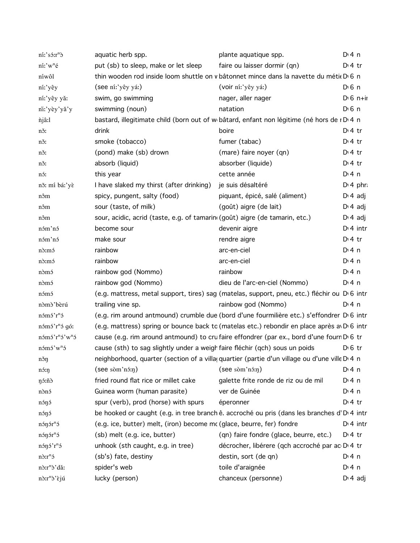| $n'i'$ só: $r^n\delta$                 | aquatic herb spp.                                                           | plante aquatique spp.                                                                                   | $Di$ 4 n              |
|----------------------------------------|-----------------------------------------------------------------------------|---------------------------------------------------------------------------------------------------------|-----------------------|
| ní:'w <sup>n</sup> é                   | put (sb) to sleep, make or let sleep                                        | faire ou laisser dormir (qn)                                                                            | $Di4$ tr              |
| níwôl                                  |                                                                             | thin wooden rod inside loom shuttle on v bâtonnet mince dans la navette du métie D 6 n                  |                       |
| ní:'yêy                                | (see ní:'yêy yá:)                                                           | (voir ní:'yêy yá:)                                                                                      | $D \nvert 6 \nvert n$ |
| ní:'yêy yǎ:                            | swim, go swimming                                                           | nager, aller nager                                                                                      | $Di$ 6 n+ii           |
| ni:'yèy'yǎ'y                           | swimming (noun)                                                             | natation                                                                                                | $D \nvert 6 \nvert n$ |
| <i>njâ:l</i>                           |                                                                             | bastard, illegitimate child (born out of w bâtard, enfant non légitime (né hors de i D 4 n              |                       |
| nš:                                    | drink                                                                       | boire                                                                                                   | $Di4$ tr              |
| nš:                                    | smoke (tobacco)                                                             | fumer (tabac)                                                                                           | $Di4$ tr              |
| nš:                                    | (pond) make (sb) drown                                                      | (mare) faire noyer (qn)                                                                                 | $D \cdot 4$ tr        |
| nš:                                    | absorb (liquid)                                                             | absorber (liquide)                                                                                      | $Dt$ 4 tr             |
| nó:                                    | this year                                                                   | cette année                                                                                             | $Di$ 4 n              |
| nõ: mí bá:'yè                          | I have slaked my thirst (after drinking)                                    | je suis désaltéré                                                                                       | $Di$ 4 phr.           |
| nôm                                    | spicy, pungent, salty (food)                                                | piquant, épicé, salé (aliment)                                                                          | $D \cdot 4$ adj       |
| nôm                                    | sour (taste, of milk)                                                       | (goût) aigre (de lait)                                                                                  | $D \nmid 4$ adj       |
| nôm                                    | sour, acidic, acrid (taste, e.g. of tamarin (goût) aigre (de tamarin, etc.) |                                                                                                         | $D \cdot 4$ adj       |
| nóm'nó                                 | become sour                                                                 | devenir aigre                                                                                           | $Di$ 4 intr           |
| nóm'nó                                 | make sour                                                                   | rendre aigre                                                                                            | $Di4$ tr              |
| n <sub>3</sub> :m <sub>5</sub>         | rainbow                                                                     | arc-en-ciel                                                                                             | $Di$ 4 n              |
| n <sub>3</sub> :m <sub>5</sub>         | rainbow                                                                     | arc-en-ciel                                                                                             | $Di$ 4 n              |
| nòmó                                   | rainbow god (Nommo)                                                         | rainbow                                                                                                 | $Di$ 4 n              |
| nòmó                                   | rainbow god (Nommo)                                                         | dieu de l'arc-en-ciel (Nommo)                                                                           | $Dt$ 4 n              |
| nómó                                   |                                                                             | (e.g. mattress, metal support, tires) sag (matelas, support, pneu, etc.) fléchir ou D 6 intr            |                       |
| nòmò'bèrú                              | trailing vine sp.                                                           | rainbow god (Nommo)                                                                                     | $Di$ 4 n              |
| nómó'r <sup>n</sup> ó                  |                                                                             | (e.g. rim around antmound) crumble due (bord d'une fourmilière etc.) s'effondrer D 6 intr               |                       |
| námá'r <sup>n</sup> á gó:              |                                                                             | (e.g. mattress) spring or bounce back to (matelas etc.) rebondir en place après a D 6 intr              |                       |
| nómó'r <sup>n</sup> ó'w <sup>n</sup> ó |                                                                             | cause (e.g. rim around antmound) to cru faire effondrer (par ex., bord d'une fourn D <sub>1</sub> 6 tr  |                       |
| nómó'w <sup>n</sup> ó                  | cause (sth) to sag slightly under a weigh faire fléchir (qch) sous un poids |                                                                                                         | $D \, 6 \, tr$        |
| něn                                    |                                                                             | neighborhood, quarter (section of a villa quartier (partie d'un village ou d'une ville D 4 n            |                       |
| nó:ŋ                                   | $($ see sòm'n $5:$ n $)$                                                    | $($ see sòm'nó:n $)$                                                                                    | $Di$ 4 n              |
| ŋóːñò                                  | fried round flat rice or millet cake                                        | galette frite ronde de riz ou de mil                                                                    | $Di$ 4 n              |
| nònó                                   | Guinea worm (human parasite)                                                | ver de Guinée                                                                                           | $Di$ 4 n              |
| nónó                                   | spur (verb), prod (horse) with spurs                                        | éperonner                                                                                               | $Di4$ tr              |
| nónó                                   |                                                                             | be hooked or caught (e.g. in tree branch ê. accroché ou pris (dans les branches d'D <sup>1</sup> 4 intr |                       |
| $n \delta \eta \delta r^n \delta$      | (e.g. ice, butter) melt, (iron) become mc (glace, beurre, fer) fondre       |                                                                                                         | $Di$ 4 intr           |
| nónór <sup>n</sup> ó                   | (sb) melt (e.g. ice, butter)                                                | (qn) faire fondre (glace, beurre, etc.)                                                                 | $D \cdot 4$ tr        |
| $n5n5$ ' $rn5$                         | unhook (sth caught, e.g. in tree)                                           | décrocher, libérere (qch accroché par ac D'4 tr                                                         |                       |
| $n\delta r^n$                          | (sb's) fate, destiny                                                        | destin, sort (de qn)                                                                                    | $Di$ 4 n              |
| nò:r <sup>n</sup> ò'dǎ:                | spider's web                                                                | toile d'araignée                                                                                        | $Di$ 4 n              |
| nd:r <sup>n</sup> d'èjú                | lucky (person)                                                              | chanceux (personne)                                                                                     | $D \cdot 4$ adj       |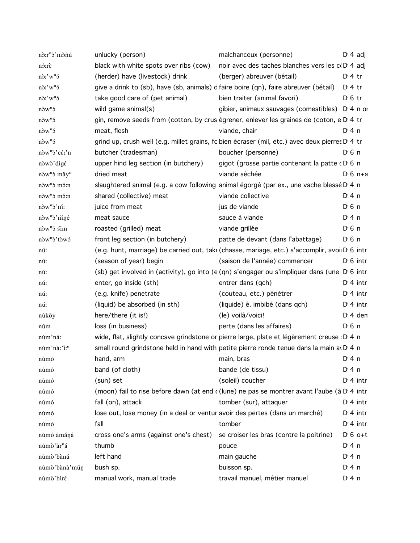| nò:r <sup>n</sup> ò'mòñú             | unlucky (person)                                                                               | malchanceux (personne)                                                                                          | $D: 4$ adj         |                  |
|--------------------------------------|------------------------------------------------------------------------------------------------|-----------------------------------------------------------------------------------------------------------------|--------------------|------------------|
| nó:rè                                | black with white spots over ribs (cow)                                                         | noir avec des taches blanches vers les c(D) 4 adj                                                               |                    |                  |
| $n\delta$ :' $w^n\delta$             | (herder) have (livestock) drink                                                                | (berger) abreuver (bétail)                                                                                      | $Di4$ tr           |                  |
| $n\delta$ :' $w^n\delta$             | give a drink to (sb), have (sb, animals) d faire boire (qn), faire abreuver (bétail)           |                                                                                                                 | $D:4$ tr           |                  |
| $n\delta$ :' $w^n\delta$             | take good care of (pet animal)                                                                 | bien traiter (animal favori)                                                                                    | $D \, 6$ tr        |                  |
| $n\delta w^n$                        | wild game animal(s)                                                                            | gibier, animaux sauvages (comestibles) D 4 n or                                                                 |                    |                  |
| $n\delta w^n$                        | gin, remove seeds from (cotton, by crus égrener, enlever les graines de (coton, e D 4 tr       |                                                                                                                 |                    |                  |
| $n\delta w^n$                        | meat, flesh                                                                                    | viande, chair                                                                                                   | D: 4 n             |                  |
| $n\delta w^n$                        | grind up, crush well (e.g. millet grains, fo bien écraser (mil, etc.) avec deux pierres D 4 tr |                                                                                                                 |                    |                  |
| nòw <sup>n</sup> ò'cé:'n             | butcher (tradesman)                                                                            | boucher (personne)                                                                                              | D <sup>i</sup> 6 n |                  |
| nòwò' dígé                           | upper hind leg section (in butchery)                                                           | gigot (grosse partie contenant la patte cDG n                                                                   |                    |                  |
| $n\delta w^n\delta$ mǎy <sup>n</sup> | dried meat                                                                                     | viande séchée                                                                                                   |                    | $D \cdot 6$ n+a  |
| nòw <sup>n</sup> ò mó:n              | slaughtered animal (e.g. a cow following animal égorgé (par ex., une vache blessé D'4 n        |                                                                                                                 |                    |                  |
| nòw <sup>n</sup> ò mó:n              | shared (collective) meat                                                                       | viande collective                                                                                               | $Di$ 4 n           |                  |
| nòw <sup>n</sup> ò'ní:               | juice from meat                                                                                | jus de viande                                                                                                   | D <sup>i</sup> 6 n |                  |
| nòw <sup>n</sup> ò'nìné              | meat sauce                                                                                     | sauce à viande                                                                                                  | $Di$ 4 n           |                  |
| nòw <sup>n</sup> ō sim               | roasted (grilled) meat                                                                         | viande grillée                                                                                                  | D <sup>i</sup> 6 n |                  |
| nòw <sup>n</sup> ò'tòwó              | front leg section (in butchery)                                                                | patte de devant (dans l'abattage)                                                                               | D <sup>i</sup> 6 n |                  |
| nú:                                  |                                                                                                | (e.g. hunt, marriage) be carried out, tak (chasse, mariage, etc.) s'accomplir, avoi D 6 intr                    |                    |                  |
| nú:                                  | (season of year) begin                                                                         | (saison de l'année) commencer                                                                                   |                    | $D \cdot 6$ intr |
| nú:                                  |                                                                                                | (sb) get involved in (activity), go into (e (qn) s'engager ou s'impliquer dans (une D <sub>'6</sub> intr        |                    |                  |
| nú:                                  | enter, go inside (sth)                                                                         | entrer dans (qch)                                                                                               |                    | $Di$ 4 intr      |
| nú:                                  | (e.g. knife) penetrate                                                                         | (couteau, etc.) pénétrer                                                                                        |                    | $Di$ 4 intr      |
| nú:                                  | (liquid) be absorbed (in sth)                                                                  | (liquide) ê. imbibé (dans qch)                                                                                  |                    | $Di$ 4 intr      |
| nùkǒy                                | here/there (it is!)                                                                            | (le) voilà/voici!                                                                                               |                    | $Di$ 4 den       |
| nŭm                                  | loss (in business)                                                                             | perte (dans les affaires)                                                                                       | $D0$ n             |                  |
| nùm'ná:                              | wide, flat, slightly concave grindstone or pierre large, plate et légèrement creuse : D 4 n    |                                                                                                                 |                    |                  |
| nùm'nà:"i:"                          | small round grindstone held in hand with petite pierre ronde tenue dans la main av D.4 n       |                                                                                                                 |                    |                  |
| nùmó                                 | hand, arm                                                                                      | main, brase and the main, brase and the main state of the main state of the main state of the main state of the | $Di$ 4 n           |                  |
| nùmó                                 | band (of cloth)                                                                                | bande (de tissu)                                                                                                | $Di$ 4 n           |                  |
| nùmó                                 | (sun) set                                                                                      | (soleil) coucher                                                                                                |                    | $Di$ 4 intr      |
| nùmó                                 |                                                                                                | (moon) fail to rise before dawn (at end c (lune) ne pas se montrer avant l'aube (à D 4 intr                     |                    |                  |
| nùmó                                 | fall (on), attack                                                                              | tomber (sur), attaquer                                                                                          |                    | $Di$ 4 intr      |
| nùmó                                 | lose out, lose money (in a deal or ventur avoir des pertes (dans un marché)                    |                                                                                                                 |                    | $Di$ 4 intr      |
| nùmó                                 | fall                                                                                           | tomber                                                                                                          |                    | $Dt$ 4 intr      |
| nùmó ámáná                           | cross one's arms (against one's chest)                                                         | se croiser les bras (contre la poitrine)                                                                        |                    | $D \cdot 6$ o+t  |
| nùmò'àr <sup>n</sup> á               | thumb                                                                                          | pouce                                                                                                           | $Di$ 4 n           |                  |
| nùmò'bàná                            | left hand                                                                                      | main gauche                                                                                                     | $Di$ 4 n           |                  |
| nùmò'bànà'mǔn                        | bush sp.                                                                                       | buisson sp.                                                                                                     | $Di$ 4 n           |                  |
| nùmò'bíré                            | manual work, manual trade                                                                      | travail manuel, métier manuel                                                                                   | $Dt$ 4 n           |                  |
|                                      |                                                                                                |                                                                                                                 |                    |                  |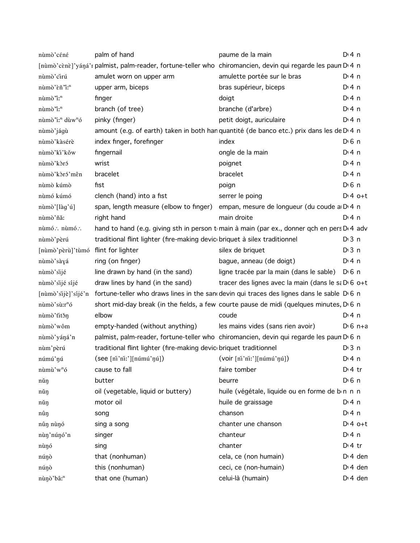| nùmò'céné                               | palm of hand                                                                                                  | paume de la main                                                                                        | $Dt$ 4 n          |
|-----------------------------------------|---------------------------------------------------------------------------------------------------------------|---------------------------------------------------------------------------------------------------------|-------------------|
|                                         | [nùmò'cènè]'yáná'r palmist, palm-reader, fortune-teller who chiromancien, devin qui regarde les paun D'4 n    |                                                                                                         |                   |
| nùmò'cirú                               | amulet worn on upper arm                                                                                      | amulette portée sur le bras                                                                             | D:4n              |
| nùmò'èñ'i: <sup>n</sup>                 | upper arm, biceps                                                                                             | bras supérieur, biceps                                                                                  | D:4n              |
| nùmò'i: <sup>n</sup>                    | finger                                                                                                        | doigt                                                                                                   | D:4n              |
| nùmò "i: <sup>n</sup>                   | branch (of tree)                                                                                              | branche (d'arbre)                                                                                       | $Dt$ 4 n          |
| nùmò"i: <sup>n</sup> dùw <sup>n</sup> ó | pinky (finger)                                                                                                | petit doigt, auriculaire                                                                                | D:4n              |
| nùmò'jágù                               |                                                                                                               | amount (e.g. of earth) taken in both han quantité (de banco etc.) prix dans les de D 4 n                |                   |
| nùmò'kàsérè                             | index finger, forefinger                                                                                      | index                                                                                                   | $D \n6$ n         |
| nùmò'ki'kǒw                             | fingernail                                                                                                    | ongle de la main                                                                                        | D:4n              |
| nùmò'kòró                               | wrist                                                                                                         | poignet                                                                                                 | $Di$ 4 n          |
| nùmò'kòró'mên                           | bracelet                                                                                                      | bracelet                                                                                                | $Di$ 4 n          |
| nùmò kúmò                               | fist                                                                                                          | poign                                                                                                   | $D0$ n            |
| nùmó kúmó                               | clench (hand) into a fist                                                                                     | serrer le poing                                                                                         | $D:4$ o+t         |
| nùmò'[làg'ú]                            |                                                                                                               | span, length measure (elbow to finger) empan, mesure de longueur (du coude a D 4 n                      |                   |
| nùmò'ñă:                                | right hand                                                                                                    | main droite                                                                                             | $Dt$ 4 n          |
| nùmó∴ nùmó∴                             |                                                                                                               | hand to hand (e.g. giving sth in person t main à main (par ex., donner qch en pers D <sub>1</sub> 4 adv |                   |
| nùmò'pèrú                               | traditional flint lighter (fire-making devic briquet à silex traditionnel                                     |                                                                                                         | $Di$ 3 n          |
| [nùmò'pèrù]'tùmó flint for lighter      |                                                                                                               | silex de briquet                                                                                        | D <sup>i</sup> 3n |
| nùmò'sàyá                               | ring (on finger)                                                                                              | bague, anneau (de doigt)                                                                                | $Di$ 4 n          |
| nùmò'sijé                               | line drawn by hand (in the sand)                                                                              | ligne tracée par la main (dans le sable) DG n                                                           |                   |
| nùmò'sijé síjé                          | draw lines by hand (in the sand)                                                                              | tracer des lignes avec la main (dans le sa D 6 0+t                                                      |                   |
|                                         | [nùmò'sijè]'síjé'n fortune-teller who draws lines in the sand devin qui traces des lignes dans le sable D'6 n |                                                                                                         |                   |
| nùmò'sù:r <sup>n</sup> ó                |                                                                                                               | short mid-day break (in the fields, a few courte pause de midi (quelques minutes, D 6 n                 |                   |
| nùmò' titěn                             | elbow                                                                                                         | coude                                                                                                   | D:4n              |
| nùmò'wôm                                | empty-handed (without anything)                                                                               | les mains vides (sans rien avoir)                                                                       | $D \cdot 6$ n+a   |
| nùmò'yáná'n                             |                                                                                                               | palmist, palm-reader, fortune-teller who chiromancien, devin qui regarde les paun D 6 n                 |                   |
| nùm'pèrú                                | traditional flint lighter (fire-making devic briquet traditionnel                                             |                                                                                                         | $Di$ 3 n          |
| númú'nú                                 | (see [ni'ni:'][númú'ŋú]) (voir [ni'ni:'][númú'ŋú])                                                            |                                                                                                         | $Dt$ 4 n          |
| nùmù'w <sup>n</sup> ó                   | cause to fall                                                                                                 | faire tomber                                                                                            | $Di4$ tr          |
| nǔŋ                                     | butter                                                                                                        | beurre                                                                                                  | $D0$ n            |
| nǔŋ                                     | oil (vegetable, liquid or buttery)                                                                            | huile (végétale, liquide ou en forme de b n n n                                                         |                   |
| nǔŋ                                     | motor oil                                                                                                     | huile de graissage                                                                                      | $Di$ 4 n          |
| nûŋ                                     | song                                                                                                          | chanson                                                                                                 | $Dt$ 4 n          |
| nûn nùnó                                | sing a song                                                                                                   | chanter une chanson                                                                                     | $Dt 4 0+t$        |
| nùn'núnó'n                              | singer                                                                                                        | chanteur                                                                                                | $Di$ 4 n          |
| nùnó                                    | sing                                                                                                          | chanter                                                                                                 | $Di4$ tr          |
| núnò                                    | that (nonhuman)                                                                                               | cela, ce (non humain)                                                                                   | $Di$ 4 den        |
| núŋò                                    | this (nonhuman)                                                                                               | ceci, ce (non-humain)                                                                                   | $Di$ 4 den        |
| nùnò'bâ: <sup>n</sup>                   | that one (human)                                                                                              | celui-là (humain)                                                                                       | $D: 4$ den        |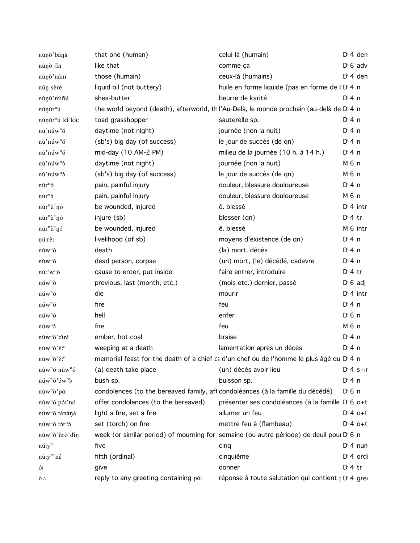| nùnò'bánà                                                | that one (human)                                                               | celui-là (humain)                                                                                   | $Dt$ 4 den            |
|----------------------------------------------------------|--------------------------------------------------------------------------------|-----------------------------------------------------------------------------------------------------|-----------------------|
| nùnò jín                                                 | like that                                                                      | comme ça                                                                                            | $D \cdot 6$ adv       |
| nùnò'nám                                                 | those (humain)                                                                 | ceux-là (humains)                                                                                   | $Di$ 4 den            |
| nùn sèré                                                 | liquid oil (not buttery)                                                       | huile en forme liquide (pas en forme de k D <sub>14</sub> n                                         |                       |
| nùnù'miñú                                                | shea-butter                                                                    | beurre de karité                                                                                    | D: 4n                 |
| núnúr <sup>n</sup> ú                                     |                                                                                | the world beyond (death), afterworld, th l'Au-Delà, le monde prochain (au-delà de D <sub>'4</sub> n |                       |
| núnúr <sup>n</sup> ú'kí'kâ:                              | toad grasshopper                                                               | sauterelle sp.                                                                                      | $Di$ 4 n              |
| nù'núw <sup>n</sup> ó                                    | daytime (not night)                                                            | journée (non la nuit)                                                                               | $Di$ 4 n              |
| nù'núw <sup>n</sup> ó                                    | (sb's) big day (of success)                                                    | le jour de succès (de qn)                                                                           | $Di$ 4 n              |
| nù'núw <sup>n</sup> ó                                    | mid-day (10 AM-2 PM)                                                           | milieu de la journée (10 h. à 14 h.)                                                                | $Di$ 4 n              |
| nù'núw <sup>n</sup> ó                                    | daytime (not night)                                                            | journée (non la nuit)                                                                               | M 6 n                 |
| nù'núw <sup>n</sup> ó                                    | (sb's) big day (of success)                                                    | le jour de succès (de qn)                                                                           | M 6 n                 |
| $n\hat{u}r^n$ ó                                          | pain, painful injury                                                           | douleur, blessure douloureuse                                                                       | $Di$ 4 n              |
| $n\tilde{u}r^n$                                          | pain, painful injury                                                           | douleur, blessure douloureuse                                                                       | M 6 n                 |
| nùr <sup>n</sup> ù'nó                                    | be wounded, injured                                                            | ê. blessé                                                                                           | $Di$ 4 intr           |
| nùr <sup>n</sup> ù'nó                                    | injure (sb)                                                                    | blesser (qn)                                                                                        | $Di4$ tr              |
| nùr <sup>n</sup> ù'nó                                    | be wounded, injured                                                            | ê. blessé                                                                                           | M 6 intr              |
| nú:rê:                                                   | livelihood (of sb)                                                             | moyens d'existence (de qn)                                                                          | $Di$ 4 n              |
| $n\grave{u}w^n\acute{o}$                                 | death                                                                          | (la) mort, décès                                                                                    | $Di$ 4 n              |
| $n\grave{u}w^n\acute{o}$                                 | dead person, corpse                                                            | (un) mort, (le) décédé, cadavre                                                                     | $Dt$ 4 n              |
| nú:'w <sup>n</sup> ó                                     | cause to enter, put inside                                                     | faire entrer, introduire                                                                            | $Di4$ tr              |
| $n$ úw <sup>n</sup> ò                                    | previous, last (month, etc.)                                                   | (mois etc.) dernier, passé                                                                          | $D \cdot 6$ adj       |
| $n$ úw <sup>n</sup> ó                                    | die                                                                            | mourir                                                                                              | $Di$ 4 intr           |
| $n$ úw <sup>n</sup> ó                                    | fire                                                                           | feu                                                                                                 | $Di$ 4 n              |
| $n$ úw <sup>n</sup> ó                                    | hell                                                                           | enfer                                                                                               | D <sup>i</sup> 6 n    |
| $n$ úw <sup>n</sup> ó                                    | fire                                                                           | feu                                                                                                 | M 6 n                 |
| nùw <sup>n</sup> ò'ciré                                  | ember, hot coal                                                                | braise                                                                                              | $Dt$ 4 n              |
| nùw <sup>n</sup> ò'é: <sup>n</sup>                       | weeping at a death                                                             | lamentation après un décès                                                                          | $Di$ 4 n              |
| $n\grave{u}w^n\grave{o}'\acute{\epsilon}$ : <sup>n</sup> |                                                                                | memorial feast for the death of a chief cs d'un chef ou de l'homme le plus âgé du D 4 n             |                       |
| nùw <sup>n</sup> ó núw <sup>n</sup> ó                    | (a) death take place                                                           | (un) décès avoir lieu                                                                               | $Dt 4 s+ir$           |
| $n$ úw <sup>n</sup> ó' $5w^n$ $\delta$                   | bush sp.                                                                       | buisson sp.                                                                                         | $Dt$ 4 n              |
| nùw <sup>n</sup> ò'pǒ:                                   | condolences (to the bereaved family, aft condoléances (à la famille du décédé) |                                                                                                     | $D0$ n                |
| nùw <sup>n</sup> ó pó:'nó                                | offer condolences (to the bereaved)                                            | présenter ses condoléances (à la famille D'6 o+t                                                    |                       |
| núw <sup>n</sup> ó tánáná                                | light a fire, set a fire                                                       | allumer un feu                                                                                      | $Dt 4 0+t$            |
| núw <sup>n</sup> ó tór <sup>n</sup> ó                    | set (torch) on fire                                                            | mettre feu à (flambeau)                                                                             | $Dt 4 0+t$            |
| nùw <sup>n</sup> ò'ùrò'din                               |                                                                                | week (or similar period) of mourning for semaine (ou autre période) de deuil pour D 6 n             |                       |
| $n\check{u}$ :y <sup>n</sup>                             | five                                                                           | cing                                                                                                | $Di$ 4 nun            |
| nù:y <sup>n</sup> 'né                                    | fifth (ordinal)                                                                | cinquième                                                                                           | D <sub>1</sub> 4 ordi |
| ó:                                                       | give                                                                           | donner                                                                                              | $Di4$ tr              |
| $6$ :                                                    | reply to any greeting containing pǒ:                                           | réponse à toute salutation qui contient r D 4 gre                                                   |                       |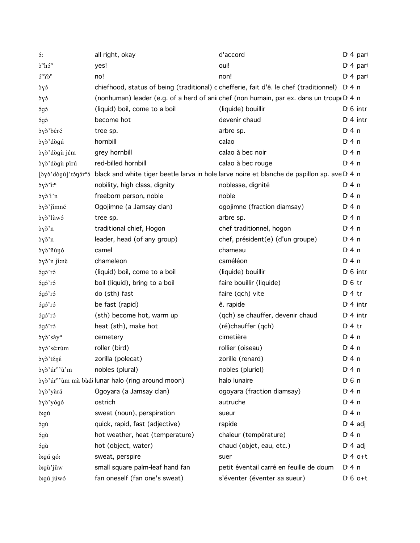| ó:                                                                 | all right, okay                                                 | d'accord                                                                                    | $Di$ 4 part      |
|--------------------------------------------------------------------|-----------------------------------------------------------------|---------------------------------------------------------------------------------------------|------------------|
| $\delta^n h \delta^n$                                              | yes!                                                            | oui!                                                                                        | $Di 4$ part      |
| $5^n$ ? $\mathfrak{d}^n$                                           | no!                                                             | non!                                                                                        | $Di$ 4 part      |
| òyó                                                                |                                                                 | chiefhood, status of being (traditional) c chefferie, fait d'ê. le chef (traditionnel)      | D:4n             |
| òyó                                                                |                                                                 | (nonhuman) leader (e.g. of a herd of anii chef (non humain, par ex. dans un troup(D) 4 n    |                  |
| ógó                                                                | (liquid) boil, come to a boil                                   | (liquide) bouillir                                                                          | $D \cdot 6$ intr |
| ógó                                                                | become hot                                                      | devenir chaud                                                                               | $Di$ 4 intr      |
| òyò'béré                                                           | tree sp.                                                        | arbre sp.                                                                                   | $Di$ 4 n         |
| dyd'dogú                                                           | hornbill                                                        | calao                                                                                       | $Di$ 4 n         |
| dyd'dogù jém                                                       | grey hornbill                                                   | calao à bec noir                                                                            | $Di$ 4 n         |
| dyd'dogù pírú                                                      | red-billed hornbill                                             | calao à bec rouge                                                                           | $Di$ 4 n         |
| $[\partial y \partial' d\partial g \hat{u}]'$ tón $\partial r^n$ ó |                                                                 | black and white tiger beetle larva in hole larve noire et blanche de papillon sp. ave D 4 n |                  |
| $\partial y \partial^n i^n$                                        | nobility, high class, dignity                                   | noblesse, dignité                                                                           | $Di$ 4 n         |
| dyd i'n                                                            | freeborn person, noble                                          | noble                                                                                       | $Di$ 4 n         |
| dyd'jimné                                                          | Ogojimne (a Jamsay clan)                                        | ogojimne (fraction diamsay)                                                                 | $Di$ 4 n         |
| òyò'lùwó                                                           | tree sp.                                                        | arbre sp.                                                                                   | $Di$ 4 n         |
| òγš'n                                                              | traditional chief, Hogon                                        | chef traditionnel, hogon                                                                    | $Di$ 4 n         |
| byš'n                                                              | leader, head (of any group)                                     | chef, président(e) (d'un groupe)                                                            | $Di$ 4 n         |
| òγò'ñùŋó                                                           | camel                                                           | chameau                                                                                     | $Di$ 4 n         |
| òyǒ'n jí:nè                                                        | chameleon                                                       | caméléon                                                                                    | $Di$ 4 n         |
| ógó'ró                                                             | (liquid) boil, come to a boil                                   | (liquide) bouillir                                                                          | $D \cdot 6$ intr |
| ógó'ró                                                             | boil (liquid), bring to a boil                                  | faire bouillir (liquide)                                                                    | $D0$ fr          |
| ógó'ró                                                             | do (sth) fast                                                   | faire (qch) vite                                                                            | $Di4$ tr         |
| ógó'ró                                                             | be fast (rapid)                                                 | ê. rapide                                                                                   | $Di$ 4 intr      |
| ógó'ró                                                             | (sth) become hot, warm up                                       | (qch) se chauffer, devenir chaud                                                            | $Di$ 4 intr      |
| ógó'ró                                                             | heat (sth), make hot                                            | (ré)chauffer (qch)                                                                          | $Di4$ tr         |
| dyd'săy <sup>n</sup>                                               | cemetery                                                        | cimetière                                                                                   | $Di$ 4 n         |
| òγó'sé:rùm                                                         | roller (bird)                                                   | rollier (oiseau)                                                                            | $Di$ 4 n         |
| òγò' téné                                                          | zorilla (polecat)                                               | zorille (renard)                                                                            | $Di$ 4 n         |
| òγò'úr <sup>n</sup> 'ù'm                                           | nobles (plural)                                                 | nobles (pluriel)                                                                            | $Di$ 4 n         |
|                                                                    | δγδ' úr <sup>n</sup> ' ùm mà bàdi lunar halo (ring around moon) | halo lunaire                                                                                | $D \n6$ n        |
| dyd'yàrá                                                           | Ogoyara (a Jamsay clan)                                         | ogoyara (fraction diamsay)                                                                  | $Di$ 4 n         |
| òγò'yógó                                                           | ostrich                                                         | autruche                                                                                    | $Di$ 4 n         |
| ò:gú                                                               | sweat (noun), perspiration                                      | sueur                                                                                       | $Di$ 4 n         |
| ógù                                                                | quick, rapid, fast (adjective)                                  | rapide                                                                                      | $D \cdot 4$ adj  |
| ógù                                                                | hot weather, heat (temperature)                                 | chaleur (température)                                                                       | $Di$ 4 n         |
| ógù                                                                | hot (object, water)                                             | chaud (objet, eau, etc.)                                                                    | $D \cdot 4$ adj  |
| ò:gú gó:                                                           | sweat, perspire                                                 | suer                                                                                        | $Dt 4 0+t$       |
| ò:gù'jǔw                                                           | small square palm-leaf hand fan                                 | petit éventail carré en feuille de doum                                                     | $Di$ 4 n         |
| ò:gú júwó                                                          | fan oneself (fan one's sweat)                                   | s'éventer (éventer sa sueur)                                                                | $D \nvert 6$ o+t |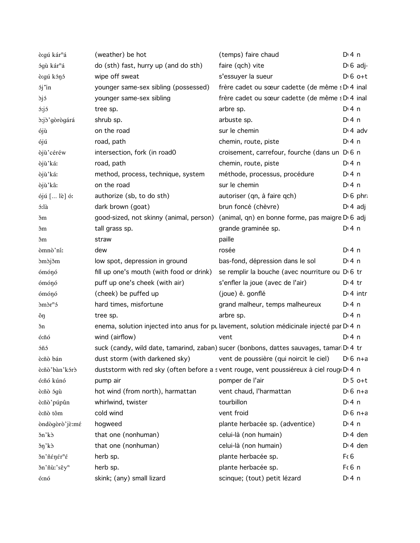| ò:gú kár <sup>n</sup> á                     | (weather) be hot                                                       | (temps) faire chaud                                                                                  | $Di$ 4 n        |                   |
|---------------------------------------------|------------------------------------------------------------------------|------------------------------------------------------------------------------------------------------|-----------------|-------------------|
| ógù kár <sup>n</sup> á                      | do (sth) fast, hurry up (and do sth)                                   | faire (qch) vite                                                                                     |                 | $D \cdot 6$ adj-  |
| ò: qú kónó                                  | wipe off sweat                                                         | s'essuyer la sueur                                                                                   |                 | $D \cdot 6$ o+t   |
| <i>sj</i> 'in                               | younger same-sex sibling (possessed)                                   | frère cadet ou sœur cadette (de même : D 4 inal                                                      |                 |                   |
| <sub>dj</sub> ó                             | younger same-sex sibling                                               | frère cadet ou sœur cadette (de même : D' 4 inal                                                     |                 |                   |
| <i>ó:jó</i>                                 | tree sp.                                                               | arbre sp.                                                                                            | $Di$ 4 n        |                   |
| d:jd'gòrògárá                               | shrub sp.                                                              | arbuste sp.                                                                                          | $Di$ 4 n        |                   |
| ójù                                         | on the road                                                            | sur le chemin                                                                                        |                 | $D \cdot 4$ adv   |
| ójú                                         | road, path                                                             | chemin, route, piste                                                                                 | $Di$ 4 n        |                   |
| òjù'céréw                                   | intersection, fork (in road0                                           | croisement, carrefour, fourche (dans un DG n                                                         |                 |                   |
| òjù'ká:                                     | road, path                                                             | chemin, route, piste                                                                                 | $Di$ 4 n        |                   |
| òjù'ká:                                     | method, process, technique, system                                     | méthode, processus, procédure                                                                        | $Di$ 4 n        |                   |
| òjù'kâ:                                     | on the road                                                            | sur le chemin                                                                                        | $Di$ 4 n        |                   |
| ójú [ lè] ó:                                | authorize (sb, to do sth)                                              | autoriser (qn, à faire qch)                                                                          |                 | $D \nvert 6$ phr. |
| ó:là                                        | dark brown (goat)                                                      | brun foncé (chèvre)                                                                                  |                 | $D \cdot 4$ adj   |
| эm                                          |                                                                        | good-sized, not skinny (animal, person) (animal, qn) en bonne forme, pas maigre D 6 adj              |                 |                   |
| эm                                          | tall grass sp.                                                         | grande graminée sp.                                                                                  | $Di$ 4 n        |                   |
| эm                                          | straw                                                                  | paille                                                                                               |                 |                   |
| òmnò'ní:                                    | dew                                                                    | rosée                                                                                                | $Di$ 4 n        |                   |
| <i>omoj</i> om                              | low spot, depression in ground                                         | bas-fond, dépression dans le sol                                                                     | $Di$ 4 n        |                   |
| ómónó                                       | fill up one's mouth (with food or drink)                               | se remplir la bouche (avec nourriture ou DG tr                                                       |                 |                   |
| ómónó                                       | puff up one's cheek (with air)                                         | s'enfler la joue (avec de l'air)                                                                     | $Di4$ tr        |                   |
| ómónó                                       | (cheek) be puffed up                                                   | (joue) ê. gonflé                                                                                     |                 | $Di$ 4 intr       |
| $\delta$ m $\delta$ r <sup>n</sup> $\delta$ | hard times, misfortune                                                 | grand malheur, temps malheureux                                                                      | $Di$ 4 n        |                   |
| ŏŋ                                          | tree sp.                                                               | arbre sp.                                                                                            | $Di$ 4 n        |                   |
| ðn                                          |                                                                        | enema, solution injected into anus for pulavement, solution médicinale injecté par D <sub>14</sub> n |                 |                   |
| ó:ñó                                        | wind (airflow)                                                         | vent                                                                                                 | $Di$ 4 n        |                   |
| óñó                                         |                                                                        | suck (candy, wild date, tamarind, zaban) sucer (bonbons, dattes sauvages, tamar D 4 tr               |                 |                   |
| ò:ñò bán                                    | dust storm (with darkened sky) vent de poussière (qui noircit le ciel) |                                                                                                      |                 | $D \cdot 6$ n+a   |
| ò:ñò'bàn'kórò                               |                                                                        | duststorm with red sky (often before a svent rouge, vent poussiéreux à ciel roug D 4 n               |                 |                   |
| ó:ñó kúnó                                   | pump air                                                               | pomper de l'air                                                                                      |                 | $D \cdot 5$ o+t   |
| ò:ñò ógù                                    | hot wind (from north), harmattan                                       | vent chaud, l'harmattan                                                                              |                 | $D \cdot 6$ n+a   |
| ò:ñò'púpûn                                  | whirlwind, twister                                                     | tourbillon                                                                                           | $Di$ 4 n        |                   |
| ò:ñò tôm                                    | cold wind                                                              | vent froid                                                                                           |                 | $D \cdot 6$ n+a   |
| òndògòrò'jè:mé                              | hogweed                                                                | plante herbacée sp. (adventice)                                                                      | $Di$ 4 n        |                   |
| šn'kò                                       | that one (nonhuman)                                                    | celui-là (non humain)                                                                                |                 | $Di$ 4 den        |
| δη'k <sub>δ</sub>                           | that one (nonhuman)                                                    | celui-là (non humain)                                                                                |                 | $Di$ 4 den        |
| δn' ñέηέτ <sup>n</sup> έ                    | herb sp.                                                               | plante herbacée sp.                                                                                  | Fc <sub>6</sub> |                   |
| ðn'ñù:'sěy <sup>n</sup>                     | herb sp.                                                               | plante herbacée sp.                                                                                  | $F6$ n          |                   |
| ó:nó                                        | skink; (any) small lizard                                              | scinque; (tout) petit lézard                                                                         | $Di$ 4 n        |                   |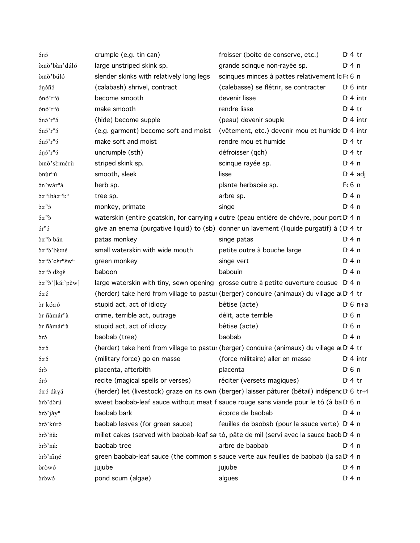| <i><b>óŋó</b></i>                                   | crumple (e.g. tin can)                                                                        | froisser (boîte de conserve, etc.)                           | $D:4$ tr              |
|-----------------------------------------------------|-----------------------------------------------------------------------------------------------|--------------------------------------------------------------|-----------------------|
| ò:nò'bàn'dúló                                       | large unstriped skink sp.                                                                     | grande scinque non-rayée sp.                                 | $Di$ 4 n              |
| ò:nò'búló                                           | slender skinks with relatively long legs                                                      | scinques minces à pattes relativement lc Fc 6 n              |                       |
| <i><b>ónóñó</b></i>                                 | (calabash) shrivel, contract                                                                  | (calebasse) se flétrir, se contracter                        | $D \nvert 6$ intr     |
| ónó'r <sup>n</sup> ó                                | become smooth                                                                                 | devenir lisse                                                | $D:4$ intr            |
| ónó'r <sup>n</sup> ó                                | make smooth                                                                                   | rendre lisse                                                 | $Di4$ tr              |
| $5n5$ ' $rn5$                                       | (hide) become supple                                                                          | (peau) devenir souple                                        | $Di$ 4 intr           |
| $5n5$ ' $rn5$                                       | (e.g. garment) become soft and moist                                                          | (vêtement, etc.) devenir mou et humide D <sub>'</sub> 4 intr |                       |
| $5n5$ ' $rn5$                                       | make soft and moist                                                                           | rendre mou et humide                                         | $D:4$ tr              |
| $5\eta 5'r^n5$                                      | uncrumple (sth)                                                                               | défroisser (qch)                                             | $D:4$ tr              |
| ò:nò'sè:mérù                                        | striped skink sp.                                                                             | scinque rayée sp.                                            | $Di$ 4 n              |
| ònùr <sup>n</sup> ú                                 | smooth, sleek                                                                                 | lisse                                                        | $D \cdot 4$ adj       |
| $\mathbin{\dot{\mathfrak{M}}}$ 'wár"<br>á           | herb sp.                                                                                      | plante herbacée sp.                                          | F(6 n)                |
| d:r"ibà:r"i:"                                       | tree sp.                                                                                      | arbre sp.                                                    | $Di$ 4 n              |
| $\delta$ : $r^n$ $\delta$                           | monkey, primate                                                                               | singe                                                        | $Di$ 4 n              |
| $\delta r^n$                                        | waterskin (entire goatskin, for carrying v outre (peau entière de chèvre, pour port D 4 n     |                                                              |                       |
| $5r^{n}5$                                           | give an enema (purgative liquid) to (sb) donner un lavement (liquide purgatif) à (D.4 tr      |                                                              |                       |
| ò:r <sup>n</sup> ò bán                              | patas monkey                                                                                  | singe patas                                                  | $Di$ 4 n              |
| d:r <sup>n</sup> d'bè:né                            | small waterskin with wide mouth                                                               | petite outre à bouche large                                  | $Dt$ n                |
| d:r <sup>n</sup> d'cèr <sup>n</sup> êw <sup>n</sup> | green monkey                                                                                  | singe vert                                                   | $Di$ 4 n              |
| $\delta x^n \delta d\epsilon g \epsilon$            | baboon                                                                                        | babouin                                                      | $Di$ 4 n              |
| ò:r <sup>n</sup> ò'[káː'pêw]                        | large waterskin with tiny, sewn opening grosse outre à petite ouverture cousue D.4 n          |                                                              |                       |
| $5:\Gamma\acute{\epsilon}$                          | (herder) take herd from village to pastur (berger) conduire (animaux) du village at D'4 tr    |                                                              |                       |
| òr kó:ró                                            | stupid act, act of idiocy                                                                     | bêtise (acte)                                                | $D \cdot 6$ n+a       |
| òr ñàmár <sup>n</sup> à                             | crime, terrible act, outrage                                                                  | délit, acte terrible                                         | D <sup>i</sup> 6 n    |
| òr ñàmár <sup>n</sup> à                             | stupid act, act of idiocy                                                                     | bêtise (acte)                                                | $D0$ 6 n              |
| òró                                                 | baobab (tree)                                                                                 | baobab                                                       | $Di$ 4 n              |
| 5:15                                                | (herder) take herd from village to pastur (berger) conduire (animaux) du village at D'4 tr    |                                                              |                       |
| ó:ró                                                | (military force) go en masse (force militaire) aller en masse D'4 intr                        |                                                              |                       |
| $\delta$ rð                                         | placenta, afterbith                                                                           | placenta                                                     | $D \nvert 6 \nvert n$ |
| $\delta$ ró                                         | recite (magical spells or verses)                                                             | réciter (versets magiques)                                   | $Dt$ 4 tr             |
| ó:ró dàyá                                           | (herder) let (livestock) graze on its own (berger) laisser pâturer (bétail) indépenc D'6 tr+1 |                                                              |                       |
| òrò'dòrú                                            | sweet baobab-leaf sauce without meat f sauce rouge sans viande pour le tô (à ba D 6 n         |                                                              |                       |
| òrò'jǎy <sup>n</sup>                                | baobab bark                                                                                   | écorce de baobab                                             | D: 4n                 |
| òrò'kúró                                            | baobab leaves (for green sauce)                                                               | feuilles de baobab (pour la sauce verte) D <sub>14</sub> n   |                       |
| òrò'ñǎ:                                             | millet cakes (served with baobab-leaf sartô, pâte de mil (servi avec la sauce baob D 4 n      |                                                              |                       |
| òrò'ná:                                             | baobab tree                                                                                   | arbre de baobab                                              | $Di$ 4 n              |
| òrò'niné                                            | green baobab-leaf sauce (the common s sauce verte aux feuilles de baobab (la sa D 4 n         |                                                              |                       |
| òròwó                                               | jujube                                                                                        | jujube                                                       | $Dt$ 4 n              |
| drowó                                               | pond scum (algae)                                                                             | algues                                                       | $Dt$ 4 n              |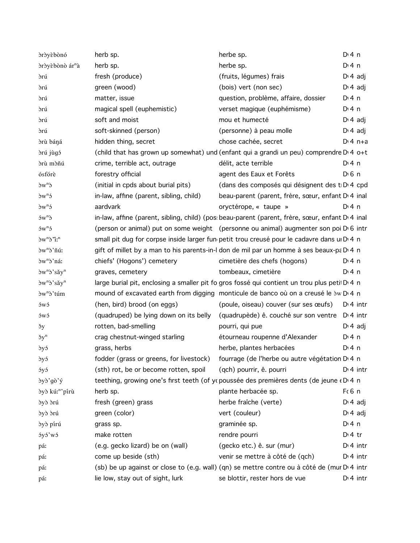| dróyèbònó                     | herb sp.                                | herbe sp.                                                                                          | $Di$ 4 n              |
|-------------------------------|-----------------------------------------|----------------------------------------------------------------------------------------------------|-----------------------|
| òròyèbònò ár <sup>n</sup> à   | herb sp.                                | herbe sp.                                                                                          | $Di$ 4 n              |
| drú                           | fresh (produce)                         | (fruits, légumes) frais                                                                            | $D \cdot 4$ adj       |
| drú                           | green (wood)                            | (bois) vert (non sec)                                                                              | $D \cdot 4$ adj       |
| drú                           | matter, issue                           | question, problème, affaire, dossier                                                               | $Di$ 4 n              |
| ðrú                           | magical spell (euphemistic)             | verset magique (euphémisme)                                                                        | $Di$ 4 n              |
| drú                           | soft and moist                          | mou et humecté                                                                                     | $D \n4$ adj           |
| ðrú                           | soft-skinned (person)                   | (personne) à peau molle                                                                            | $D \cdot 4$ adj       |
| òrù báná                      | hidden thing, secret                    | chose cachée, secret                                                                               | $Di$ 4 n+a            |
| drú jùgó                      |                                         | (child that has grown up somewhat) und (enfant qui a grandi un peu) comprendre D <sub>14</sub> o+t |                       |
| òrù mòñú                      | crime, terrible act, outrage            | délit, acte terrible                                                                               | $Dt$ 4 n              |
| ósfórè                        | forestry official                       | agent des Eaux et Forêts                                                                           | $D \nvert 6 \nvert n$ |
| $\delta w^n$                  | (initial in cpds about burial pits)     | (dans des composés qui désignent des t D 4 cpd                                                     |                       |
| $\delta w^n$                  | in-law, affine (parent, sibling, child) | beau-parent (parent, frère, sœur, enfant D <sub>'</sub> 4 inal                                     |                       |
| $\delta w^n$                  | aardvark                                | oryctérope, « taupe »                                                                              | $Di$ 4 n              |
| $5w^n$                        |                                         | in-law, affine (parent, sibling, child) (pos: beau-parent (parent, frère, sœur, enfant D'4 inal    |                       |
| $5w^n5$                       |                                         | (person or animal) put on some weight (personne ou animal) augmenter son poi D 6 intr              |                       |
| $\partial w^n \partial^n l^n$ |                                         | small pit dug for corpse inside larger fun petit trou creusé pour le cadavre dans u D 4 n          |                       |
| òw <sup>n</sup> ò' ñú:        |                                         | gift of millet by a man to his parents-in-I don de mil par un homme à ses beaux-pa D'4 n           |                       |
| dw <sup>n</sup> d'ná:         | chiefs' (Hogons') cemetery              | cimetière des chefs (hogons)                                                                       | D:4n                  |
| dw"d'săy"                     | graves, cemetery                        | tombeaux, cimetière                                                                                | $Di$ 4 n              |
| dw"d'săy"                     |                                         | large burial pit, enclosing a smaller pit fo gros fossé qui contient un trou plus peti D 4 n       |                       |
| òw <sup>n</sup> ò'túm         |                                         | mound of excavated earth from digging monticule de banco où on a creusé le 3w D' 4 n               |                       |
| ówó                           | (hen, bird) brood (on eggs)             | (poule, oiseau) couver (sur ses œufs)                                                              | $D:4$ intr            |
| 5w5                           | (quadruped) be lying down on its belly  | (quadrupède) ê. couché sur son ventre D <sub>'</sub> 4 intr                                        |                       |
| $\check{y}$                   | rotten, bad-smelling                    | pourri, qui pue                                                                                    | $D \n4$ adj           |
| $\check{\sigma}y^n$           | crag chestnut-winged starling           | étourneau roupenne d'Alexander                                                                     | $Di$ 4 n              |
| òyó                           | grass, herbs                            | herbe, plantes herbacées                                                                           | $Dt$ 4 n              |
| dyó                           | fodder (grass or greens, for livestock) | fourrage (de l'herbe ou autre végétation D <sub>14</sub> n                                         |                       |
| óyó                           | (sth) rot, be or become rotten, spoil   | (qch) pourrir, ê. pourri                                                                           | $Di$ 4 intr           |
| òyò'gò'ý                      |                                         | teething, growing one's first teeth (of ycpoussée des premières dents (de jeune « D' 4 n           |                       |
| òyò kú: <sup>n</sup> 'pírù    | herb sp.                                | plante herbacée sp.                                                                                | $F6$ n                |
| dyd drú                       | fresh (green) grass                     | herbe fraîche (verte)                                                                              | $D \cdot 4$ adj       |
| dyd drú                       | green (color)                           | vert (couleur)                                                                                     | $D \cdot 4$ adj       |
| dyd pírú                      | grass sp.                               | graminée sp.                                                                                       | $Di$ 4 n              |
| óyó'wó                        | make rotten                             | rendre pourri                                                                                      | $Di4$ tr              |
| pá:                           | (e.g. gecko lizard) be on (wall)        | (gecko etc.) ê. sur (mur)                                                                          | $Di$ 4 intr           |
| pá:                           | come up beside (sth)                    | venir se mettre à côté de (qch)                                                                    | $Di$ 4 intr           |
| pá:                           |                                         | (sb) be up against or close to (e.g. wall) (qn) se mettre contre ou à côté de (mur D'4 intr        |                       |
| pá:                           | lie low, stay out of sight, lurk        | se blottir, rester hors de vue                                                                     | $D:4$ intr            |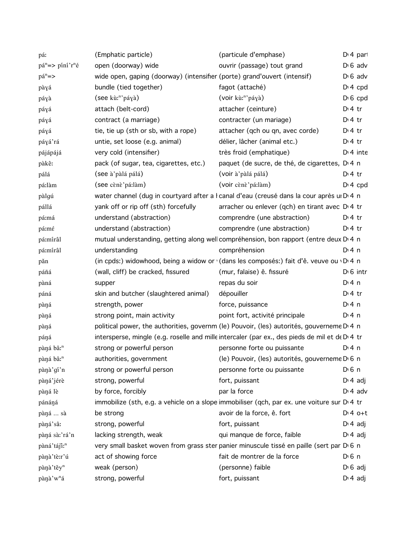| pá:                     | (Emphatic particle)                                                      | (particule d'emphase)                                                                          | D <sub>1</sub> 4 part |
|-------------------------|--------------------------------------------------------------------------|------------------------------------------------------------------------------------------------|-----------------------|
| $pán = > píní'rné$      | open (doorway) wide                                                      | ouvrir (passage) tout grand                                                                    | $D \cdot 6$ adv       |
| $pán =$                 | wide open, gaping (doorway) (intensifier (porte) grand'ouvert (intensif) |                                                                                                | $D \cdot 6$ adv       |
| pàyá                    | bundle (tied together)                                                   | fagot (attaché)                                                                                | $D: 4$ cpd            |
| páyà                    | (see kù: <sup>n</sup> 'páyà)                                             | (voir kù: <sup>n</sup> 'páyà)                                                                  | $D \setminus 6$ cpd   |
| páyá                    | attach (belt-cord)                                                       | attacher (ceinture)                                                                            | $Di4$ tr              |
| páyá                    | contract (a marriage)                                                    | contracter (un mariage)                                                                        | $Di4$ tr              |
| páyá                    | tie, tie up (sth or sb, with a rope)                                     | attacher (qch ou qn, avec corde)                                                               | $Di4$ tr              |
| páyá'rá                 | untie, set loose (e.g. animal)                                           | délier, lâcher (animal etc.)                                                                   | $Di4$ tr              |
| pájápájá                | very cold (intensifier)                                                  | très froid (emphatique)                                                                        | $Di$ 4 inte           |
| pàkê:                   | pack (of sugar, tea, cigarettes, etc.)                                   | paquet (de sucre, de thé, de cigarettes, D.4 n                                                 |                       |
| pálá                    | (see à'pàlá pálá)                                                        | (voir à'pàlá pálá)                                                                             | $Di4$ tr              |
| pá:làm                  | (see cènè'pá:làm)                                                        | (voir cènè'pá:làm)                                                                             | $Di 4$ cpd            |
| pàlgú                   |                                                                          | water channel (dug in courtyard after a l canal d'eau (creusé dans la cour après un D 4 n      |                       |
| pállá                   | yank off or rip off (sth) forcefully                                     | arracher ou enlever (qch) en tirant avec D 4 tr                                                |                       |
| pá:má                   | understand (abstraction)                                                 | comprendre (une abstraction)                                                                   | $D:4$ tr              |
| pá:mé                   | understand (abstraction)                                                 | comprendre (une abstraction)                                                                   | $D \cdot 4$ tr        |
| pá:mírâl                |                                                                          | mutual understanding, getting along well compréhension, bon rapport (entre deux D 4 n          |                       |
| pá:mírâl                | understanding                                                            | compréhension                                                                                  | $Di$ 4 n              |
| păn                     |                                                                          | (in cpds:) widowhood, being a widow or (dans les composés:) fait d'ê. veuve ou · D·4 n         |                       |
| páñá                    | (wall, cliff) be cracked, fissured                                       | (mur, falaise) ê. fissuré                                                                      | $D \cdot 6$ intr      |
| pàná                    | supper                                                                   | repas du soir                                                                                  | $Di$ 4 n              |
| páná                    | skin and butcher (slaughtered animal)                                    | dépouiller                                                                                     | $Di4$ tr              |
| pàŋá                    | strength, power                                                          | force, puissance                                                                               | $Dt$ 4 n              |
| pàŋá                    | strong point, main activity                                              | point fort, activité principale                                                                | $Di$ 4 n              |
| pàŋá                    |                                                                          | political power, the authorities, governm (le) Pouvoir, (les) autorités, gouverneme D'4 n      |                       |
| páná                    |                                                                          | intersperse, mingle (e.g. roselle and mille intercaler (par ex., des pieds de mil et de D 4 tr |                       |
| pàná bâ: <sup>n</sup>   | strong or powerful person                                                | personne forte ou puissante                                                                    | $Di$ 4 n              |
| pàná bâ: <sup>n</sup>   | authorities, government                                                  | (le) Pouvoir, (les) autorités, gouverneme D 6 n                                                |                       |
| pànà'gí'n               | strong or powerful person                                                | personne forte ou puissante                                                                    | $D \n6$ n             |
| pàná'jérè               | strong, powerful                                                         | fort, puissant                                                                                 | $D \cdot 4$ adj       |
| pàná lè                 | by force, forcibly                                                       | par la force                                                                                   | $D \cdot 4$ adv       |
| pánáná                  |                                                                          | immobilize (sth, e.g. a vehicle on a slope immobiliser (qch, par ex. une voiture sur D 4 tr    |                       |
| pàná  sà                | be strong                                                                | avoir de la force, ê. fort                                                                     | $Dt 4 0+t$            |
| pàná'sâ:                | strong, powerful                                                         | fort, puissant                                                                                 | $D \cdot 4$ adj       |
| pàná sà:'rá'n           | lacking strength, weak                                                   | qui manque de force, faible                                                                    | $D \cdot 4$ adj       |
| pàná'táji: <sup>n</sup> |                                                                          | very small basket woven from grass ster panier minuscule tissé en paille (sert par D 6 n       |                       |
| pànà'tè:r'ú             | act of showing force                                                     | fait de montrer de la force                                                                    | $D \nvert 6 \nvert n$ |
| pànà'těy <sup>n</sup>   | weak (person)                                                            | (personne) faible                                                                              | $D \cdot 6$ adj       |
| pànà'w <sup>n</sup> á   | strong, powerful                                                         | fort, puissant                                                                                 | $D \cdot 4$ adj       |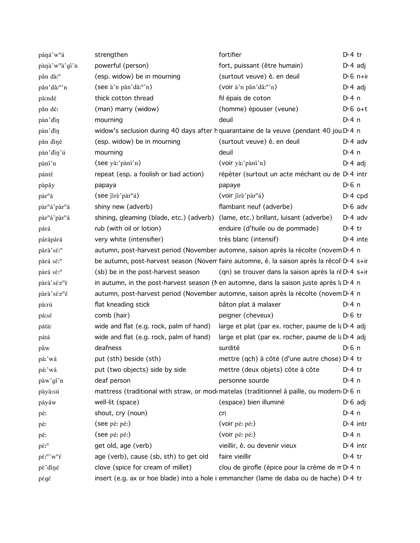| páná'w <sup>n</sup> á                                                       | strengthen                                                                        | fortifier                                                                                  | $D \cdot 4$ tr        |
|-----------------------------------------------------------------------------|-----------------------------------------------------------------------------------|--------------------------------------------------------------------------------------------|-----------------------|
| pànà'w <sup>n</sup> à'gí'n                                                  | powerful (person)                                                                 | fort, puissant (être humain)                                                               | $D \cdot 4$ adj       |
| păn dà: <sup>n</sup>                                                        | (esp. widow) be in mourning                                                       | (surtout veuve) ê. en deuil                                                                | $D \cdot 6$ n+ir      |
| păn'dâ: <sup>n</sup> 'n                                                     | (see à'n păn'dâ:"'n)                                                              | (voir à'n păn'dâ: <sup>n</sup> 'n)                                                         | $D \cdot 4$ adj       |
| pà:ndé                                                                      | thick cotton thread                                                               | fil épais de coton                                                                         | $Di$ 4 n              |
| păn dé:                                                                     | (man) marry (widow)                                                               | (homme) épouser (veune)                                                                    | $D \cdot 6$ o+t       |
| pàn' din                                                                    | mourning                                                                          | deuil                                                                                      | $Di$ 4 n              |
| pàn' din                                                                    |                                                                                   | widow's seclusion during 40 days after h quarantaine de la veuve (pendant 40 jou D 4 n     |                       |
| păn diné                                                                    | (esp. widow) be in mourning                                                       | (surtout veuve) ê. en deuil                                                                | $D \cdot 4$ adv       |
| pàn'din'ú                                                                   | mourning                                                                          | deuil                                                                                      | $Di$ 4 n              |
| pàní'n                                                                      | (see yà:'pàní'n)                                                                  | (voir yà:'pàní'n)                                                                          | $D \n4$ adj           |
| pánté                                                                       | repeat (esp. a foolish or bad action)                                             | répéter (surtout un acte méchant ou de D <sub>'4</sub> intr                                |                       |
| pàpăy                                                                       | papaya                                                                            | papaye                                                                                     | $D \nvert 6 \nvert n$ |
| pàr <sup>n</sup> á                                                          | (see jirè'pàr <sup>n</sup> á)                                                     | (voir jirè' pair <sup>n</sup> á)                                                           | $Di$ 4 cpd            |
| pàr <sup>n</sup> á'pàr <sup>n</sup> á                                       | shiny new (adverb)                                                                | flambant neuf (adverbe)                                                                    | $D \cdot 6$ adv       |
| pàr <sup>n</sup> á'pàr <sup>n</sup> á                                       | shining, gleaming (blade, etc.) (adverb) (lame, etc.) brillant, luisant (adverbe) |                                                                                            | $D \cdot 4$ adv       |
| párá                                                                        | rub (with oil or lotion)                                                          | enduire (d'huile ou de pommade)                                                            | $D \cdot 4$ tr        |
| párápárá                                                                    | very white (intensifier)                                                          | très blanc (intensif)                                                                      | $Di$ 4 inte           |
| pàrà'sé: <sup>n</sup>                                                       |                                                                                   | autumn, post-harvest period (November automne, saison après la récolte (novem D'4 n        |                       |
| pàrá sé: <sup>n</sup>                                                       |                                                                                   | be autumn, post-harvest season (Novem faire automne, ê. la saison après la récol DI 4 s+ir |                       |
| pàrá sé: <sup>n</sup>                                                       | (sb) be in the post-harvest season                                                | (qn) se trouver dans la saison après la ré D <sub>14</sub> s+ir                            |                       |
| pàrà'sé:r <sup>n</sup> è                                                    |                                                                                   | in autumn, in the post-harvest season (N en automne, dans la saison juste après la D 4 n   |                       |
| pàrà'sé:r <sup>n</sup> é                                                    |                                                                                   | autumn, post-harvest period (November automne, saison après la récolte (novem D'4 n        |                       |
| pà:rú                                                                       | flat kneading stick                                                               | bâton plat à malaxer                                                                       | D: 4n                 |
| pá:sé                                                                       | comb (hair)                                                                       | peigner (cheveux)                                                                          | $D \, 6$ tr           |
| pátà:                                                                       | wide and flat (e.g. rock, palm of hand)                                           | large et plat (par ex. rocher, paume de la D 4 adj                                         |                       |
| pátá                                                                        | wide and flat (e.g. rock, palm of hand)                                           | large et plat (par ex. rocher, paume de la D 4 adj                                         |                       |
| pâw                                                                         | deafness                                                                          | surdité                                                                                    | $D \n6$ n             |
| pá:'wá                                                                      | put (sth) beside (sth)                                                            | mettre (qch) à côté (d'une autre chose) D <sub>14</sub> tr                                 |                       |
| pá:'wá                                                                      | put (two objects) side by side                                                    | mettre (deux objets) côte à côte                                                           | $D \cdot 4$ tr        |
| pàw'gí'n                                                                    | deaf person                                                                       | personne sourde                                                                            | $Dt$ 4 n              |
| pàyà:sú                                                                     |                                                                                   | mattress (traditional with straw, or mode matelas (traditionnel à paille, ou modern D 6 n  |                       |
| páyáw                                                                       | well-lit (space)                                                                  | (espace) bien illuminé                                                                     | $D \nvert 6$ adj      |
| pé:                                                                         | shout, cry (noun)                                                                 | cri                                                                                        | $Di$ 4 n              |
| pé:                                                                         | (see pé: pé:)                                                                     | (voir pé: pé:)                                                                             | $Di$ 4 intr           |
| pé:                                                                         | (see pé: pé:)                                                                     | (voir pé: pé:)                                                                             | $Dt$ 4 n              |
| $p\acute{\varepsilon}$ : <sup>n</sup>                                       | get old, age (verb)                                                               | vieillir, ê. ou devenir vieux                                                              | $Di$ 4 intr           |
| $p\acute{\varepsilon}$ : <sup>n</sup> 'w <sup>n</sup> $\acute{\varepsilon}$ | age (verb), cause (sb, sth) to get old                                            | faire vieillir                                                                             | $Dt$ 4 tr             |
| pè'diné                                                                     | clove (spice for cream of millet)                                                 | clou de girofle (épice pour la crème de n D 4 n                                            |                       |
| pégé                                                                        |                                                                                   | insert (e.g. ax or hoe blade) into a hole i emmancher (lame de daba ou de hache) D 4 tr    |                       |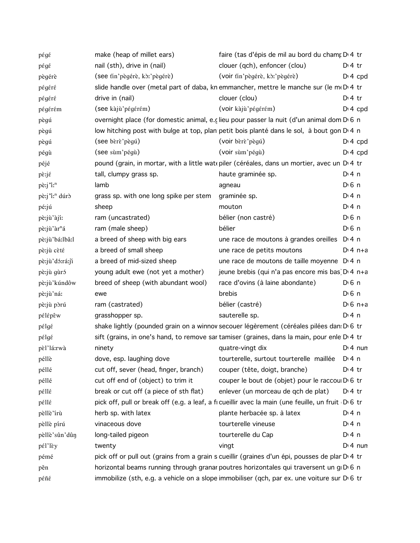| pégé                      | make (heap of millet ears)             | faire (tas d'épis de mil au bord du cham D 4 tr                                                          |                    |
|---------------------------|----------------------------------------|----------------------------------------------------------------------------------------------------------|--------------------|
| pégé                      | nail (sth), drive in (nail)            | clouer (qch), enfoncer (clou)                                                                            | $D:4$ tr           |
| pègérè                    | (see tin'pègérè, kò:'pègérè)           | (voir tin'pègérè, kò:'pègérè)                                                                            | $Dt 4$ cpd         |
| pégéré                    |                                        | slide handle over (metal part of daba, kn emmancher, mettre le manche sur (le m( $D$ ) 4 tr              |                    |
| pégéré                    | drive in (nail)                        | clouer (clou)                                                                                            | $D:4$ tr           |
| pégérém                   | (see kàjù'pégérém)                     | (voir kàjù'pégérém)                                                                                      | $Di$ 4 cpd         |
| pègú                      |                                        | overnight place (for domestic animal, e.c lieu pour passer la nuit (d'un animal dom D 6 n                |                    |
| pègú                      |                                        | low hitching post with bulge at top, plan petit bois planté dans le sol, à bout gon D'4 n                |                    |
| pègú                      | (see bèrè'pègú)                        | (voir bèrè'pègú)                                                                                         | $D: 4$ cpd         |
| pégù                      | (see sùm'pégù)                         | (voir sùm'pégù)                                                                                          | $Dt 4$ cpd         |
| péjé                      |                                        | pound (grain, in mortar, with a little wat ppiler (céréales, dans un mortier, avec un D'4 tr             |                    |
| pè:jé                     | tall, clumpy grass sp.                 | haute graminée sp.                                                                                       | $Di$ 4 n           |
| pè:j'i: <sup>n</sup>      | lamb                                   | agneau                                                                                                   | D <sup>i</sup> 6 n |
| pè:j'i: <sup>n</sup> dúrò | grass sp. with one long spike per stem | graminée sp.                                                                                             | $Di$ 4 n           |
| pé:jú                     | sheep                                  | mouton                                                                                                   | $Di$ 4 n           |
| pè:jù'àjíː                | ram (uncastrated)                      | bélier (non castré)                                                                                      | D <sup>i</sup> 6 n |
| pè:jù'àr <sup>n</sup> á   | ram (male sheep)                       | bélier                                                                                                   | D <sup>i</sup> 6 n |
| pè:jù'bá:lbâ:l            | a breed of sheep with big ears         | une race de moutons à grandes oreilles D <sub>14</sub> n                                                 |                    |
| pè:jù cèté                | a breed of small sheep                 | une race de petits moutons                                                                               | $D \cdot 4$ n+a    |
| pè:jù'dó:rá:ji            | a breed of mid-sized sheep             | une race de moutons de taille moyenne D <sub>14</sub> n                                                  |                    |
| pè:jù gùró                | young adult ewe (not yet a mother)     | jeune brebis (qui n'a pas encore mis bas D 4 n+a                                                         |                    |
| pè:jù'kúndôw              | breed of sheep (with abundant wool)    | race d'ovins (à laine abondante)                                                                         | $D \n6$ n          |
| pè:jù'ná:                 | ewe                                    | brebis                                                                                                   | $D0$ n             |
| pè:jù pòrú                | ram (castrated)                        | bélier (castré)                                                                                          | $D \cdot 6$ n+a    |
| pélépêw                   | grasshopper sp.                        | sauterelle sp.                                                                                           | $Di$ 4 n           |
| pélgé                     |                                        | shake lightly (pounded grain on a winnov secouer légèrement (céréales pilées dan D 6 tr                  |                    |
| pélgé                     |                                        | sift (grains, in one's hand, to remove sar tamiser (graines, dans la main, pour enle D <sub>1</sub> 4 tr |                    |
| pèl'lá:rwà                | ninety                                 | quatre-vingt dix                                                                                         | $Di$ 4 nun         |
| péllè                     | dove, esp. laughing dove               | tourterelle, surtout tourterelle maillée D <sub>14</sub> n                                               |                    |
| péllé                     | cut off, sever (head, finger, branch)  | couper (tête, doigt, branche)                                                                            | $Dt$ 4 tr          |
| péllé                     | cut off end of (object) to trim it     | couper le bout de (objet) pour le raccou D'6 tr                                                          |                    |
| péllé                     | break or cut off (a piece of sth flat) | enlever (un morceau de qch de plat)                                                                      | $D:4$ tr           |
| péllé                     |                                        | pick off, pull or break off (e.g. a leaf, a ficueillir avec la main (une feuille, un fruit DG tr         |                    |
| pèllè'irù                 | herb sp. with latex                    | plante herbacée sp. à latex                                                                              | $Di$ 4 n           |
| pèllè pírú                | vinaceous dove                         | tourterelle vineuse                                                                                      | D: 4 n             |
| pèllè'sûn'dûn             | long-tailed pigeon                     | tourterelle du Cap                                                                                       | $Di$ 4 n           |
| pél'lèy                   | twenty                                 | vingt                                                                                                    | $Di$ 4 nun         |
| pémé                      |                                        | pick off or pull out (grains from a grain s cueillir (graines d'un épi, pousses de plar D'4 tr           |                    |
| pěn                       |                                        | horizontal beams running through granar poutres horizontales qui traversent un g D 6 n                   |                    |
| péñé                      |                                        | immobilize (sth, e.g. a vehicle on a slope immobiliser (qch, par ex. une voiture sur D 6 tr              |                    |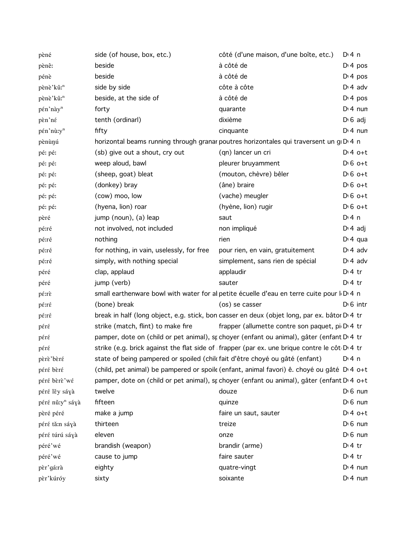| pèné                        | side (of house, box, etc.)                | côté (d'une maison, d'une boîte, etc.)                                                               | $Di$ 4 n            |
|-----------------------------|-------------------------------------------|------------------------------------------------------------------------------------------------------|---------------------|
| pènê:                       | beside                                    | à côté de                                                                                            | $Di$ 4 pos          |
| pénè                        | beside                                    | à côté de                                                                                            | $Di$ 4 pos          |
| pènè'kû: <sup>n</sup>       | side by side                              | côte à côte                                                                                          | $D \cdot 4$ adv     |
| pènè'kû: <sup>n</sup>       | beside, at the side of                    | à côté de                                                                                            | $Di$ 4 pos          |
| pén'này <sup>n</sup>        | forty                                     | quarante                                                                                             | $Dt$ 4 nun          |
| pèn'né                      | tenth (ordinarl)                          | dixième                                                                                              | $D \cdot 6$ adj     |
| pén'nù:y <sup>n</sup>       | fifty                                     | cinquante                                                                                            | $Dt$ 4 nun          |
| pènùnú                      |                                           | horizontal beams running through granar poutres horizontales qui traversent un g D 4 n               |                     |
| pé: pé:                     | (sb) give out a shout, cry out            | (qn) lancer un cri                                                                                   | $D:4$ o+t           |
| pé: pé:                     | weep aloud, bawl                          | pleurer bruyamment                                                                                   | $D \nvert 6$ o+t    |
| pé: pé:                     | (sheep, goat) bleat                       | (mouton, chèvre) bêler                                                                               | $D \nvert 6$ o+t    |
| pé: pé:                     | (donkey) bray                             | (âne) braire                                                                                         | $D \nvert 6$ o+t    |
| pé: pé:                     | (cow) moo, low                            | (vache) meugler                                                                                      | $D \nvert 6$ o+t    |
| pé: pé:                     | (hyena, lion) roar                        | (hyène, lion) rugir                                                                                  | $D \nvert 6$ o+t    |
| pèré                        | jump (noun), (a) leap                     | saut                                                                                                 | $Di$ 4 n            |
| pé:ré                       | not involved, not included                | non impliqué                                                                                         | $D \cdot 4$ adj     |
| pé:ré                       | nothing                                   | rien                                                                                                 | $Di$ 4 qua          |
| pé:ré                       | for nothing, in vain, uselessly, for free | pour rien, en vain, gratuitement                                                                     | $D \cdot 4$ adv     |
| pé:ré                       | simply, with nothing special              | simplement, sans rien de spécial                                                                     | $D \cdot 4$ adv     |
| péré                        | clap, applaud                             | applaudir                                                                                            | $D:4$ tr            |
| péré                        | jump (verb)                               | sauter                                                                                               | $Dt$ tr             |
| pé:rè                       |                                           | small earthenware bowl with water for al petite écuelle d'eau en terre cuite pour l <sub>0</sub> 4 n |                     |
| pé:ré                       | (bone) break                              | (os) se casser                                                                                       | $D \n 6$ intr       |
| pé:ré                       |                                           | break in half (long object, e.g. stick, bon casser en deux (objet long, par ex. bâtor D' 4 tr        |                     |
| péré                        | strike (match, flint) to make fire        | frapper (allumette contre son paquet, pi D <sub>1</sub> 4 tr                                         |                     |
| péré                        |                                           | pamper, dote on (child or pet animal), st choyer (enfant ou animal), gâter (enfant D'4 tr            |                     |
| péré                        |                                           | strike (e.g. brick against the flat side of frapper (par ex. une brique contre le côt D 4 tr         |                     |
| pèrè'bèré                   |                                           | state of being pampered or spoiled (chilc fait d'être choyé ou gâté (enfant) D'4 n                   |                     |
| péré bèré                   |                                           | (child, pet animal) be pampered or spoile (enfant, animal favori) ê. choyé ou gâté DI4 o+t           |                     |
| péré bèrè'wé                |                                           | pamper, dote on (child or pet animal), st choyer (enfant ou animal), gâter (enfant D'4 o+t           |                     |
| péré lěy sáyà               | twelve                                    | douze                                                                                                | $D \setminus 6$ nun |
| péré nǔ:y <sup>n</sup> sáyà | fifteen                                   | quinze                                                                                               | $D \setminus 6$ nun |
| pèré péré                   | make a jump                               | faire un saut, sauter                                                                                | $D:4$ o+t           |
| péré tă:n sáyà              | thirteen                                  | treize                                                                                               | $D \setminus 6$ nun |
| péré túrú sáyà              | eleven                                    | onze                                                                                                 | $D \setminus 6$ nun |
| péré'wé                     | brandish (weapon)                         | brandir (arme)                                                                                       | $D:4$ tr            |
| péré'wé                     | cause to jump                             | faire sauter                                                                                         | $D \cdot 4$ tr      |
| pèr'gá:rà                   | eighty                                    | quatre-vingt                                                                                         | $Di$ 4 nun          |
| pèr'kúróy                   | sixty                                     | soixante                                                                                             | $Di$ 4 nun          |
|                             |                                           |                                                                                                      |                     |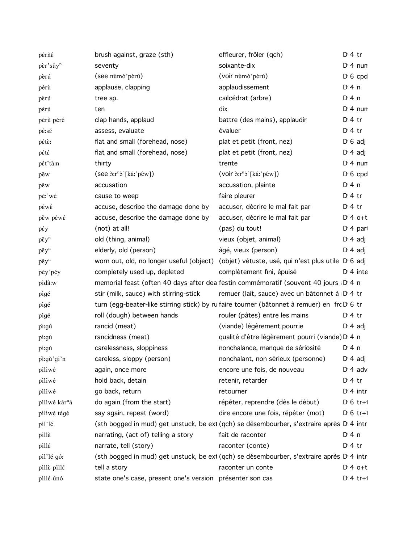| pérñé                     | brush against, graze (sth)                                      | effleurer, frôler (qch)                                                                     | $Di4$ tr         |
|---------------------------|-----------------------------------------------------------------|---------------------------------------------------------------------------------------------|------------------|
| pèr'sûy <sup>n</sup>      | seventy                                                         | soixante-dix                                                                                | $Di$ 4 nun       |
| pèrú                      | (see nùmò'pèrú)                                                 | (voir nùmò'pèrú)                                                                            | $D \nvert 6$ cpd |
| pérù                      | applause, clapping                                              | applaudissement                                                                             | $Di$ 4 n         |
| pèrú                      | tree sp.                                                        | caïlcédrat (arbre)                                                                          | $Di$ 4 n         |
| pérú                      | ten                                                             | dix                                                                                         | $Di$ 4 nun       |
| pérù péré                 | clap hands, applaud                                             | battre (des mains), applaudir                                                               | $Di4$ tr         |
| pé:sé                     | assess, evaluate                                                | évaluer                                                                                     | $D \cdot 4$ tr   |
| pétè:                     | flat and small (forehead, nose)                                 | plat et petit (front, nez)                                                                  | $D \cdot 6$ adj  |
| pété                      | flat and small (forehead, nose)                                 | plat et petit (front, nez)                                                                  | $D \cdot 4$ adj  |
| pét'tà:n                  | thirty                                                          | trente                                                                                      | $Di$ 4 nun       |
| pêw                       | $(\text{see } \text{`or} \text{`s'}[\text{k\'a'} \text{`pêw}])$ | $(voir \n\delta x^n \delta'[ká'] \n\delta w])$                                              | $D \nvert 6$ cpd |
| pěw                       | accusation                                                      | accusation, plainte                                                                         | $Di$ 4 n         |
| pé:'wé                    | cause to weep                                                   | faire pleurer                                                                               | $Di4$ tr         |
| péwé                      | accuse, describe the damage done by                             | accuser, décrire le mal fait par                                                            | $D \cdot 4$ tr   |
| pěw péwé                  | accuse, describe the damage done by                             | accuser, décrire le mal fait par                                                            | $D:4$ o+t        |
| pέy                       | (not) at all!                                                   | (pas) du tout!                                                                              | $Di$ 4 part      |
| $p \check{\epsilon} y^n$  | old (thing, animal)                                             | vieux (objet, animal)                                                                       | $D \cdot 4$ adj  |
| $p \check{\epsilon} y^n$  | elderly, old (person)                                           | âgé, vieux (person)                                                                         | $D \cdot 4$ adj  |
| $p \check{\epsilon} y^n$  | worn out, old, no longer useful (object)                        | (objet) vétuste, usé, qui n'est plus utile D <sub>'6</sub> adj                              |                  |
| péy'péy                   | completely used up, depleted                                    | complètement fini, épuisé                                                                   | $D:4$ inte       |
| pídâ:w                    |                                                                 | memorial feast (often 40 days after dea festin commémoratif (souvent 40 jours : D 4 n       |                  |
| pígé                      | stir (milk, sauce) with stirring-stick                          | remuer (lait, sauce) avec un bâtonnet à D <sub>1</sub> 4 tr                                 |                  |
| pígé                      |                                                                 | turn (egg-beater-like stirring stick) by ru faire tourner (bâtonnet à remuer) en frc D'6 tr |                  |
| pígé                      | roll (dough) between hands                                      | rouler (pâtes) entre les mains                                                              | $D \cdot 4$ tr   |
| pi:gú                     | rancid (meat)                                                   | (viande) légèrement pourrie                                                                 | $D \nvert 4$ adj |
| pí:gù                     | rancidness (meat)                                               | qualité d'être légèrement pourri (viande) D <sub>14</sub> n                                 |                  |
| pí:gù                     | carelessness, sloppiness                                        | nonchalance, manque de sériosité                                                            | $Dt$ 4 n         |
| pi:gù'gí'n                | careless, sloppy (person)                                       | nonchalant, non sérieux (personne)                                                          | $D \cdot 4$ adj  |
| pílíwé                    | again, once more                                                | encore une fois, de nouveau                                                                 | $D \cdot 4$ adv  |
| pílíwé                    | hold back, detain                                               | retenir, retarder                                                                           | $Di4$ tr         |
| pílíwé                    | go back, return                                                 | retourner                                                                                   | $Di$ 4 intr      |
| pílíwé kár <sup>n</sup> á | do again (from the start)                                       | répéter, reprendre (dès le début)                                                           | $D \cdot 6$ tr+1 |
| pílíwé tégé               | say again, repeat (word)                                        | dire encore une fois, répéter (mot)                                                         | $D \cdot 6$ tr+1 |
| píl'lé                    |                                                                 | (sth bogged in mud) get unstuck, be ext (qch) se désembourber, s'extraire après D'4 intr    |                  |
| pille                     | narrating, (act of) telling a story                             | fait de raconter                                                                            | $Di$ 4 n         |
| píllé                     | narrate, tell (story)                                           | raconter (conte)                                                                            | $Di4$ tr         |
| píl'lé gó:                |                                                                 | (sth bogged in mud) get unstuck, be ext (qch) se désembourber, s'extraire après D'4 intr    |                  |
| pillè pillé               | tell a story                                                    | raconter un conte                                                                           | $Dt 4 0+t$       |
| píllé únó                 | state one's case, present one's version présenter son cas       |                                                                                             | $Di 4 tr+1$      |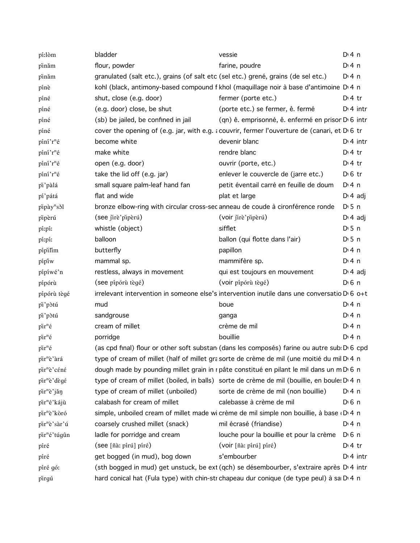| pí:lòm                     | bladder                             | vessie                                                                                                  | $Dt$ 4 n              |
|----------------------------|-------------------------------------|---------------------------------------------------------------------------------------------------------|-----------------------|
| pinăm                      | flour, powder                       | farine, poudre                                                                                          | $Di$ 4 n              |
| pinăm                      |                                     | granulated (salt etc.), grains (of salt etc (sel etc.) grené, grains (de sel etc.)                      | $Di$ 4 n              |
| pínè                       |                                     | kohl (black, antimony-based compound f khol (maquillage noir à base d'antimoine D'4 n                   |                       |
| píné                       | shut, close (e.g. door)             | fermer (porte etc.)                                                                                     | $Di4$ tr              |
| píné                       | (e.g. door) close, be shut          | (porte etc.) se fermer, ê. fermé                                                                        | $Di$ 4 intr           |
| píné                       | (sb) be jailed, be confined in jail | (qn) ê. emprisonné, ê. enfermé en prisor D 6 intr                                                       |                       |
| píné                       |                                     | cover the opening of (e.g. jar, with e.g. a couvrir, fermer l'ouverture de (canari, et D 6 tr           |                       |
| píní'r <sup>n</sup> é      | become white                        | devenir blanc                                                                                           | $Dt$ 4 intr           |
| píní'r <sup>n</sup> é      | make white                          | rendre blanc                                                                                            | $Di4$ tr              |
| píní'r <sup>n</sup> é      | open (e.g. door)                    | ouvrir (porte, etc.)                                                                                    | $Di4$ tr              |
| píní'r <sup>n</sup> é      | take the lid off (e.g. jar)         | enlever le couvercle de (jarre etc.)                                                                    | $D \n6$ tr            |
| pi'pàlá                    | small square palm-leaf hand fan     | petit éventail carré en feuille de doum                                                                 | $Dt$ 4 n              |
| pí'pátá                    | flat and wide                       | plat et large                                                                                           | $Di 4$ adj            |
| pipày <sup>n</sup> s 51    |                                     | bronze elbow-ring with circular cross-sec anneau de coude à cironférence ronde                          | $D \cdot 5$ n         |
| pipèrú                     | (see jirè'pipèrú)                   | (voir jire'piperú)                                                                                      | $D \cdot 4$ adj       |
| pí:pí:                     | whistle (object)                    | sifflet                                                                                                 | $D \cdot 5$ n         |
| pí:pí:                     | balloon                             | ballon (qui flotte dans l'air)                                                                          | $D \cdot 5$ n         |
| pípilim                    | butterfly                           | papillon                                                                                                | $Di$ 4 n              |
| pípiw                      | mammal sp.                          | mammifère sp.                                                                                           | $Dt$ 4 n              |
| pípíwé'n                   | restless, always in movement        | qui est toujours en mouvement                                                                           | $D \cdot 4$ adj       |
| pípórù                     | (see pípórù tègé)                   | (voir pípórù tègé)                                                                                      | $D0$ n                |
| pípórù tègé                |                                     | irrelevant intervention in someone else's intervention inutile dans une conversatio D <sub>'6</sub> o+t |                       |
| pi'pòtú                    | mud                                 | boue                                                                                                    | $Di$ 4 n              |
| pi'pòtú                    | sandgrouse                          | ganga                                                                                                   | D:4n                  |
| $\pi^n \acute{\mathrm{e}}$ | cream of millet                     | crème de mil                                                                                            | $Di$ 4 n              |
| $\pi^n \acute{\mathrm{e}}$ | porridge                            | bouillie                                                                                                | $Di$ 4 n              |
| $\pi^n \acute{\mathrm{e}}$ |                                     | (as cpd final) flour or other soft substan (dans les composés) farine ou autre sub D 6 cpd              |                       |
| pir <sup>n</sup> è'àrá     |                                     | type of cream of millet (half of millet gra sorte de crème de mil (une moitié du mil D 4 n              |                       |
| pir <sup>n</sup> è'céné    |                                     | dough made by pounding millet grain in r pâte constitué en pilant le mil dans un m D 6 n                |                       |
| pir <sup>n</sup> è'dègé    |                                     | type of cream of millet (boiled, in balls) sorte de crème de mil (bouillie, en boule: D.4 n             |                       |
| pir <sup>n</sup> è'jăn     | type of cream of millet (unboiled)  | sorte de crème de mil (non bouillie)                                                                    | D:4n                  |
| pir <sup>n</sup> é'kájù    | calabash for cream of millet        | calebasse à crème de mil                                                                                | $D \nvert 6 \nvert n$ |
| pir <sup>n</sup> è'kòró    |                                     | simple, unboiled cream of millet made wi crème de mil simple non bouillie, à base (D+4 n                |                       |
| pir <sup>n</sup> è'sàr'ú   | coarsely crushed millet (snack)     | mil écrasé (friandise)                                                                                  | $Di$ 4 n              |
| pir <sup>n</sup> é'túgûn   | ladle for porridge and cream        | louche pour la bouillie et pour la crème                                                                | D <sup>i</sup> 6 n    |
| píré                       | (see [ñà: pírú] píré)               | (voir [ñà: pírú] píré)                                                                                  | $Di4$ tr              |
| píré                       | get bogged (in mud), bog down       | s'embourber                                                                                             | $Di$ 4 intr           |
| píré gó:                   |                                     | (sth bogged in mud) get unstuck, be ext (qch) se désembourber, s'extraire après D'4 intr                |                       |
| pirgú                      |                                     | hard conical hat (Fula type) with chin-str chapeau dur conique (de type peul) à sa D <sub>1</sub> n     |                       |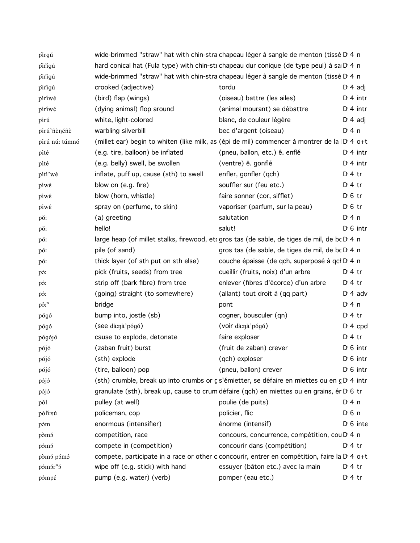| pirgú                          |                                        | wide-brimmed "straw" hat with chin-stra chapeau léger à sangle de menton (tissé D 4 n                    |                       |
|--------------------------------|----------------------------------------|----------------------------------------------------------------------------------------------------------|-----------------------|
| pirigú                         |                                        | hard conical hat (Fula type) with chin-str chapeau dur conique (de type peul) à sa D 4 n                 |                       |
| pirigú                         |                                        | wide-brimmed "straw" hat with chin-stra chapeau léger à sangle de menton (tissé D'4 n                    |                       |
| pirigú                         | crooked (adjective)                    | tordu                                                                                                    | $D \cdot 4$ adj       |
| píríwé                         | (bird) flap (wings)                    | (oiseau) battre (les ailes)                                                                              | $Dt$ 4 intr           |
| píríwé                         | (dying animal) flop around             | (animal mourant) se débattre                                                                             | $Di$ 4 intr           |
| pírú                           | white, light-colored                   | blanc, de couleur légère                                                                                 | $D \cdot 4$ adj       |
| pírú'ñènéñè                    | warbling silverbill                    | bec d'argent (oiseau)                                                                                    | $Di$ 4 n              |
| pírú nú: túmnó                 |                                        | (millet ear) begin to whiten (like milk, as (épi de mil) commencer à montrer de la D 4 o+t               |                       |
| píté                           | (e.g. tire, balloon) be inflated       | (pneu, ballon, etc.) ê. enflé                                                                            | $Di$ 4 intr           |
| píté                           | (e.g. belly) swell, be swollen         | (ventre) ê. gonflé                                                                                       | $Dt$ 4 intr           |
| pítí wé                        | inflate, puff up, cause (sth) to swell | enfler, gonfler (qch)                                                                                    | $Dt$ 4 tr             |
| píwέ                           | blow on (e.g. fire)                    | souffler sur (feu etc.)                                                                                  | $Dt$ 4 tr             |
| píwέ                           | blow (horn, whistle)                   | faire sonner (cor, sifflet)                                                                              | $D \n6$ tr            |
| píwέ                           | spray on (perfume, to skin)            | vaporiser (parfum, sur la peau)                                                                          | $D \cdot 6$ tr        |
| pǒ:                            | (a) greeting                           | salutation                                                                                               | $Dt$ 4 n              |
| pǒ:                            | hello!                                 | salut!                                                                                                   | $D \cdot 6$ intr      |
| pó:                            |                                        | large heap (of millet stalks, firewood, etc gros tas (de sable, de tiges de mil, de bc D 4 n             |                       |
| pó:                            | pile (of sand)                         | gros tas (de sable, de tiges de mil, de bc D 4 n                                                         |                       |
| pó:                            | thick layer (of sth put on sth else)   | couche épaisse (de qch, superposé à qcl D 4 n                                                            |                       |
| pó:                            | pick (fruits, seeds) from tree         | cueillir (fruits, noix) d'un arbre                                                                       | $Dt$ 4 tr             |
| pó:                            | strip off (bark fibre) from tree       | enlever (fibres d'écorce) d'un arbre                                                                     | $Dt$ 4 tr             |
| pó:                            | (going) straight (to somewhere)        | (allant) tout droit à (qq part)                                                                          | $D \cdot 4$ adv       |
| $p\hat{\sigma}$ : <sup>n</sup> | bridge                                 | pont                                                                                                     | $Dt$ 4 n              |
| pógó                           | bump into, jostle (sb)                 | cogner, bousculer (qn)                                                                                   | $Dt$ 4 tr             |
| pógó                           | (see dà:nà'pógó)                       | (voir dà:nà'pógó)                                                                                        | $Di$ 4 cpd            |
| pógójó                         | cause to explode, detonate             | faire exploser                                                                                           | $D \cdot 4$ tr        |
| pójó                           | (zaban fruit) burst                    | (fruit de zaban) crever                                                                                  | $D0$ intr             |
| pójó                           | (sth) explode                          | (qch) exploser                                                                                           | $D0$ intr             |
| pójó                           | (tire, balloon) pop                    | (pneu, ballon) crever                                                                                    | $D1 6$ intr           |
| pójó                           |                                        | (sth) crumble, break up into crumbs or gs'émietter, se défaire en miettes ou en c D 4 intr               |                       |
| pójó                           |                                        | granulate (sth), break up, cause to crum défaire (qch) en miettes ou en grains, ér D 6 tr                |                       |
| pŏl                            | pulley (at well)                       | poulie (de puits)                                                                                        | $Di$ 4 n              |
| pòli:sú                        | policeman, cop                         | policier, flic                                                                                           | $D \nvert 6 \nvert n$ |
| póm                            | enormous (intensifier)                 | énorme (intensif)                                                                                        | $D \cdot 6$ inte      |
| pòmó                           | competition, race                      | concours, concurrence, compétition, cou D'4 n                                                            |                       |
| pómó                           | compete in (competition)               | concourir dans (compétition)                                                                             | $D:4$ tr              |
| pòmó pómó                      |                                        | compete, participate in a race or other c concourir, entrer en compétition, faire la D <sub>14</sub> o+t |                       |
| pómór <sup>n</sup> ó           | wipe off (e.g. stick) with hand        | essuyer (bâton etc.) avec la main                                                                        | D <sup>i</sup> 4 tr   |
| pómpé                          | pump (e.g. water) (verb)               | pomper (eau etc.)                                                                                        | $Dt$ 4 tr             |
|                                |                                        |                                                                                                          |                       |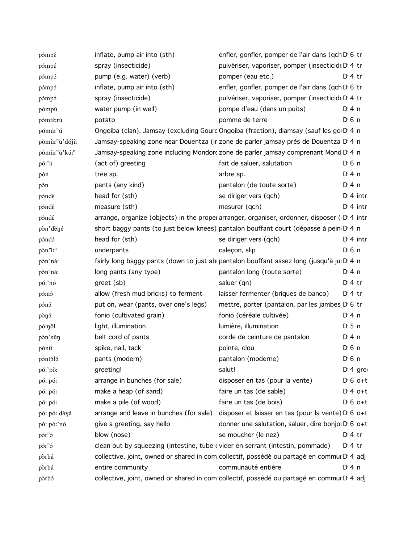| pómpé                                 | inflate, pump air into (sth)                                                                   | enfler, gonfler, pomper de l'air dans (qch D 6 tr                                                      |                       |
|---------------------------------------|------------------------------------------------------------------------------------------------|--------------------------------------------------------------------------------------------------------|-----------------------|
| pómpé                                 | spray (insecticide)                                                                            | pulvériser, vaporiser, pomper (insecticide D <sub>14</sub> tr                                          |                       |
| pómpó                                 | pump (e.g. water) (verb)                                                                       | pomper (eau etc.)                                                                                      | $Dt$ 4 tr             |
| pómpó                                 | inflate, pump air into (sth)                                                                   | enfler, gonfler, pomper de l'air dans (qch D'6 tr                                                      |                       |
| pómpó                                 | spray (insecticide)                                                                            | pulvériser, vaporiser, pomper (insecticide D' 4 tr                                                     |                       |
| pómpù                                 | water pump (in well)                                                                           | pompe d'eau (dans un puits)                                                                            | $Di$ 4 n              |
| pómté:rù                              | potato                                                                                         | pomme de terre                                                                                         | $D \n6$ n             |
| pómúr <sup>n</sup> ú                  | Ongoiba (clan), Jamsay (excluding Gourc Ongoiba (fraction), diamsay (sauf les go D 4 n         |                                                                                                        |                       |
| pòmùr <sup>n</sup> ù' dójù            | Jamsay-speaking zone near Douentza (ir zone de parler jamsay près de Douentza D'4 n            |                                                                                                        |                       |
| pòmùr <sup>n</sup> ù'kú: <sup>n</sup> | Jamsay-speaking zone including Mondorc zone de parler jamsay comprenant Mond D <sub>14</sub> n |                                                                                                        |                       |
| pǒ:'n                                 | (act of) greeting                                                                              | fait de saluer, salutation                                                                             | $D \n6$ n             |
| pon                                   | tree sp.                                                                                       | arbre sp.                                                                                              | $Di$ 4 n              |
| pšn                                   | pants (any kind)                                                                               | pantalon (de toute sorte)                                                                              | $Di$ 4 n              |
| póndé                                 | head for (sth)                                                                                 | se diriger vers (qch)                                                                                  | $Di$ 4 intr           |
| póndé                                 | measure (sth)                                                                                  | mesurer (qch)                                                                                          | $Di$ 4 intr           |
| póndé                                 | arrange, organize (objects) in the proper arranger, organiser, ordonner, disposer (D.4 intr    |                                                                                                        |                       |
| pòn'dèné                              | short baggy pants (to just below knees) pantalon bouffant court (dépasse à pein D 4 n          |                                                                                                        |                       |
| póndó                                 | head for (sth)                                                                                 | se diriger vers (qch)                                                                                  | $Di$ 4 intr           |
| $p\delta n$ <sup>n</sup> :            | underpants                                                                                     | caleçon, slip                                                                                          | $D \n6$ n             |
| pòn'ná:                               | fairly long baggy pants (down to just ab pantalon bouffant assez long (jusqu'à ju: D'4 n       |                                                                                                        |                       |
| pòn'ná:                               | long pants (any type)                                                                          | pantalon long (toute sorte)                                                                            | $Di$ 4 n              |
| pó:'nó                                | greet (sb)                                                                                     | saluer (qn)                                                                                            | $Di4$ tr              |
| pó:nó                                 | allow (fresh mud bricks) to ferment                                                            | laisser fermenter (briques de banco)                                                                   | $D \cdot 4$ tr        |
| pónó                                  | put on, wear (pants, over one's legs)                                                          | mettre, porter (pantalon, par les jambes D 6 tr                                                        |                       |
| pònó                                  | fonio (cultivated grain)                                                                       | fonio (céréale cultivée)                                                                               | $Di$ 4 n              |
| pó:nôl                                | light, illumination                                                                            | lumière, illumination                                                                                  | $D \cdot 5$ n         |
| pòn'sǔn                               | belt cord of pants                                                                             | corde de ceinture de pantalon                                                                          | $Di$ 4 n              |
| pónfi                                 | spike, nail, tack                                                                              | pointe, clou                                                                                           | $D \nvert 6 \nvert n$ |
| póntóló                               | pants (modern)                                                                                 | pantalon (moderne)                                                                                     | $D0$ 6 n              |
| pǒː'pǒː                               | greeting!                                                                                      | salut!                                                                                                 | D <sub>1</sub> 4 gre  |
| pó: pó:                               | arrange in bunches (for sale)                                                                  | disposer en tas (pour la vente)                                                                        | $D \nvert 6$ o+t      |
| pó: pó:                               | make a heap (of sand)                                                                          | faire un tas (de sable)                                                                                | $D:4$ o+t             |
| pó: pó:                               | make a pile (of wood)                                                                          | faire un tas (de bois)                                                                                 | $D \cdot 6$ o+t       |
| pó: pó: dàyá                          | arrange and leave in bunches (for sale)                                                        | disposer et laisser en tas (pour la vente) D' 6 o+t                                                    |                       |
| pǒ: pó:'nó                            | give a greeting, say hello                                                                     | donner une salutation, saluer, dire bonjoi D' 6 o+t                                                    |                       |
| $p5r^n5$                              | blow (nose)                                                                                    | se moucher (le nez)                                                                                    | $Di4$ tr              |
| $p5r^n5$                              | clean out by squeezing (intestine, tube cvider en serrant (intestin, pommade)                  |                                                                                                        | $D:4$ tr              |
| pòrbá                                 |                                                                                                | collective, joint, owned or shared in com collectif, possédé ou partagé en commur D 4 adj              |                       |
| pòrbá                                 | entire community                                                                               | communauté entière                                                                                     | $Di$ 4 n              |
| pòrbó                                 |                                                                                                | collective, joint, owned or shared in com collectif, possédé ou partagé en commur D <sub>1</sub> 4 adj |                       |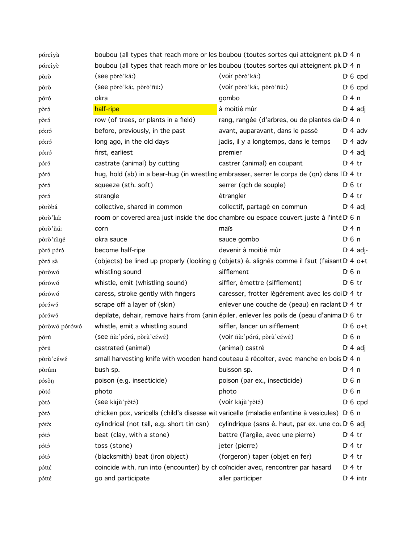| pórcíyà       |                                            | boubou (all types that reach more or les boubou (toutes sortes qui atteignent plu D 4 n      |                  |
|---------------|--------------------------------------------|----------------------------------------------------------------------------------------------|------------------|
| pórcíyè       |                                            | boubou (all types that reach more or les boubou (toutes sortes qui atteignent plu D 4 n      |                  |
| pòrò          | (see pòrò'ká:)                             | (voir pòrò'ká:)                                                                              | $D \cdot 6$ cpd  |
| pòrò          | (see pòrò'ká:, pòrò'ñú:)                   | (voir pòrò'ká:, pòrò'ñú:)                                                                    | $D \nvert 6$ cpd |
| póró          | okra                                       | gombo                                                                                        | $Di$ 4 n         |
| pòró          | half-ripe                                  | à moitié mûr                                                                                 | $Di 4$ adj       |
| pòró          | row (of trees, or plants in a field)       | rang, rangée (d'arbres, ou de plantes da D 4 n                                               |                  |
| pó:ró         | before, previously, in the past            | avant, auparavant, dans le passé                                                             | $D \cdot 4$ adv  |
| pó:ró         | long ago, in the old days                  | jadis, il y a longtemps, dans le temps                                                       | $Di$ 4 adv       |
| pó:ró         | first, earliest                            | premier                                                                                      | $D \cdot 4$ adj  |
| póró          | castrate (animal) by cutting               | castrer (animal) en coupant                                                                  | $Di4$ tr         |
| póró          |                                            | hug, hold (sb) in a bear-hug (in wrestling embrasser, serrer le corps de (qn) dans ID 4 tr   |                  |
| póró          | squeeze (sth. soft)                        | serrer (qch de souple)                                                                       | $D0$ fr          |
| póró          | strangle                                   | étrangler                                                                                    | $Di4$ tr         |
| pòròbá        | collective, shared in common               | collectif, partagé en commun                                                                 | $D \cdot 4$ adj  |
| pòrò'ká:      |                                            | room or covered area just inside the doc chambre ou espace couvert juste à l'inté D 6 n      |                  |
| pòrò'ñú:      | corn                                       | maïs                                                                                         | $Di$ 4 n         |
| pòrò'niné     | okra sauce                                 | sauce gombo                                                                                  | $D \n6$ n        |
| pòró póró     | become half-ripe                           | devenir à moitié mûr                                                                         | $D \cdot 4$ adj- |
| pòró sà       |                                            | (objects) be lined up properly (looking g (objets) ê. alignés comme il faut (faisant D 4 o+t |                  |
| pòròwó        | whistling sound                            | sifflement                                                                                   | $D \n6$ n        |
| pórówó        | whistle, emit (whistling sound)            | siffler, émettre (sifflement)                                                                | $D \n6$ tr       |
| pórówó        | caress, stroke gently with fingers         | caresser, frotter légèrement avec les doi D <sub>1</sub> 4 tr                                |                  |
| pórówó        | scrape off a layer of (skin)               | enlever une couche de (peau) en raclant D' 4 tr                                              |                  |
| pórówó        |                                            | depilate, dehair, remove hairs from (anin épiler, enlever les poils de (peau d'anima D'6 tr  |                  |
| pòròwó pórówó | whistle, emit a whistling sound            | siffler, lancer un sifflement                                                                | $D \cdot 6$ o+t  |
| pórú          | (see ñù:'pórú, pòrù'céwé)                  | (voir ñù:'pórú, pòrù'céwé)                                                                   | $D \n6$ n        |
| pòrú          | castrated (animal)                         | (animal) castré                                                                              | $D \cdot 4$ adj  |
| pòrù'céwé     |                                            | small harvesting knife with wooden hand couteau à récolter, avec manche en bois D' 4 n       |                  |
| pòrûm         | bush sp.                                   | buisson sp.                                                                                  | $Di$ 4 n         |
| pósôn         | poison (e.g. insecticide)                  | poison (par ex., insecticide)                                                                | $D0$ n           |
| pòtó          | photo                                      | photo                                                                                        | $D0$ n           |
| pòtó          | (see kàjù'pòtó)                            | (voir kàjù'pòtó)                                                                             | $D \cdot 6$ cpd  |
| pòtó          |                                            | chicken pox, varicella (child's disease wit varicelle (maladie enfantine à vesicules) D 6 n  |                  |
| pótò:         | cylindrical (not tall, e.g. short tin can) | cylindrique (sans ê. haut, par ex. une cou D 6 adj                                           |                  |
| pótó          | beat (clay, with a stone)                  | battre (l'argile, avec une pierre)                                                           | $Dt$ 4 tr        |
| pótó          | toss (stone)                               | jeter (pierre)                                                                               | $Dt$ 4 tr        |
| pótó          | (blacksmith) beat (iron object)            | (forgeron) taper (objet en fer)                                                              | $Dt$ 4 tr        |
| pótté         |                                            | coincide with, run into (encounter) by ch coïncider avec, rencontrer par hasard              | $Dt$ 4 tr        |
| pótté         | go and participate                         | aller participer                                                                             | $D:4$ intr       |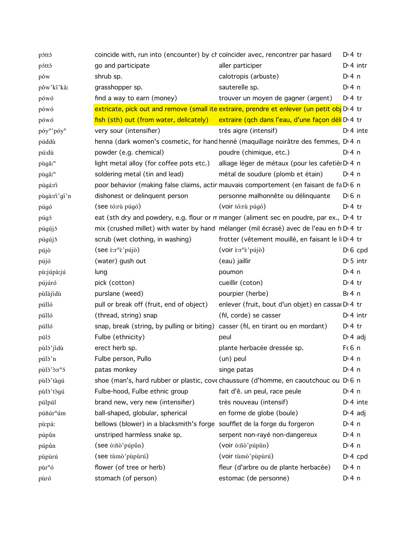| póttó                              | coincide with, run into (encounter) by ch coïncider avec, rencontrer par hasard  |                                                                                                       | $D:4$ tr         |
|------------------------------------|----------------------------------------------------------------------------------|-------------------------------------------------------------------------------------------------------|------------------|
| póttó                              | go and participate                                                               | aller participer                                                                                      | $D:4$ intr       |
| pǒw                                | shrub sp.                                                                        | calotropis (arbuste)                                                                                  | $Di$ 4 n         |
| pǒw'kí'kâ:                         | grasshopper sp.                                                                  | sauterelle sp.                                                                                        | $Di$ 4 n         |
| pówó                               | find a way to earn (money)                                                       | trouver un moyen de gagner (argent)                                                                   | $Dt$ 4 tr        |
| pówó                               |                                                                                  | extricate, pick out and remove (small ite extraire, prendre et enlever (un petit obj D'4 tr           |                  |
| pówó                               |                                                                                  | fish (sth) out (from water, delicately) extraire (qch dans l'eau, d'une façon déli D <sub>14</sub> tr |                  |
| póy <sup>n</sup> 'póy <sup>n</sup> | very sour (intensifier)                                                          | très aigre (intensif)                                                                                 | $Di$ 4 inte      |
| púddù                              |                                                                                  | henna (dark women's cosmetic, for hand henné (maquillage noirâtre des femmes, D 4 n                   |                  |
| pú:dù                              | powder (e.g. chemical)                                                           | poudre (chimique, etc.)                                                                               | $Di$ 4 n         |
| pùgâ: <sup>n</sup>                 | light metal alloy (for coffee pots etc.)                                         | alliage léger de métaux (pour les cafetièr D <sub>14</sub> n                                          |                  |
| pùgâ: <sup>n</sup>                 | soldering metal (tin and lead)                                                   | métal de soudure (plomb et étain)                                                                     | $Dt$ n           |
| púgá:rì                            |                                                                                  | poor behavior (making false claims, actin mauvais comportement (en faisant de fa D 6 n                |                  |
| pùgà:rì'gí'n                       | dishonest or delinquent person                                                   | personne malhonnête ou délinquante                                                                    | $D0$ n           |
| púgó                               | (see tó:rù púgó)                                                                 | (voir tó:rù púgó)                                                                                     | $D:4$ tr         |
| púgó                               |                                                                                  | eat (sth dry and powdery, e.g. flour or m manger (aliment sec en poudre, par ex., D.4 tr              |                  |
| púgújó                             |                                                                                  | mix (crushed millet) with water by hand mélanger (mil écrasé) avec de l'eau en fi D'4 tr              |                  |
| púgújó                             | scrub (wet clothing, in washing)                                                 | frotter (vêtement mouillé, en faisant le li D <sub>1</sub> 4 tr                                       |                  |
| pújò                               | $($ see $\epsilon$ : $r^n\epsilon$ 'pújò)                                        | (voir $\epsilon$ :r <sup>n</sup> $\epsilon$ 'pújò)                                                    | $D \nvert 6$ cpd |
| pújó                               | (water) gush out                                                                 | (eau) jaillir                                                                                         | $D \cdot 5$ intr |
| pù:júpà:jú                         | lung                                                                             | poumon                                                                                                | $Di$ 4 n         |
| pújúró                             | pick (cotton)                                                                    | cueillir (coton)                                                                                      | $D:4$ tr         |
| pùlàjídù                           | purslane (weed)                                                                  | pourpier (herbe)                                                                                      | $BI$ 4 n         |
| púlló                              | pull or break off (fruit, end of object)                                         | enlever (fruit, bout d'un objet) en cassar D 4 tr                                                     |                  |
| púlló                              | (thread, string) snap                                                            | (fil, corde) se casser                                                                                | $Dt$ 4 intr      |
| púlló                              | snap, break (string, by pulling or biting) casser (fil, en tirant ou en mordant) |                                                                                                       | $D:4$ tr         |
| púló                               | Fulbe (ethnicity)                                                                | peul                                                                                                  | $D \cdot 4$ adj  |
| pùlò'jídù                          | erect herb sp.                                                                   | plante herbacée dressée sp.                                                                           | Fc6n             |
| púlò'n                             | Fulbe person, Pullo                                                              | (un) peul                                                                                             | $Di$ 4 n         |
| pùlò'ò:r <sup>n</sup> ó            | patas monkey                                                                     | singe patas                                                                                           | $Di$ 4 n         |
| pùlò'tàgú                          |                                                                                  | shoe (man's, hard rubber or plastic, cove chaussure (d'homme, en caoutchouc ou D 6 n                  |                  |
| pùlò'tògú                          | Fulbe-hood, Fulbe ethnic group                                                   | fait d'ê. un peul, race peule                                                                         | $Di$ 4 n         |
| púlpúl                             | brand new, very new (intensifier)                                                | très nouveau (intensif)                                                                               | $Di$ 4 inte      |
| púñúr <sup>n</sup> úm              | ball-shaped, globular, spherical                                                 | en forme de globe (boule)                                                                             | $Di$ 4 adj       |
| pù:páː                             | bellows (blower) in a blacksmith's forge soufflet de la forge du forgeron        |                                                                                                       | $Di$ 4 n         |
| púpûn                              | unstriped harmless snake sp.                                                     | serpent non-rayé non-dangereux                                                                        | $Di$ 4 n         |
| púpûn                              | (see ò:ñò'púpûn)                                                                 | (voir ò:ñò'púpûn)                                                                                     | $Di$ 4 n         |
| pùpùrú                             | (see tùmò'pùpùrú)                                                                | (voir tùmò' pùpùrú)                                                                                   | $D: 4$ cpd       |
| pùr <sup>n</sup> ó                 | flower (of tree or herb)                                                         | fleur (d'arbre ou de plante herbacée)                                                                 | $Di$ 4 n         |
| pùró                               | stomach (of person)                                                              | estomac (de personne)                                                                                 | $Di$ 4 n         |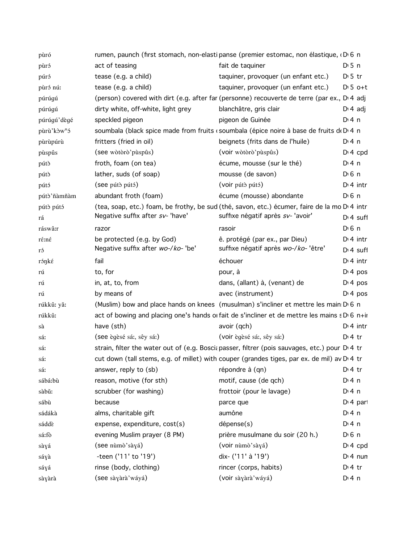| pùró                    |                                    | rumen, paunch (first stomach, non-elasti panse (premier estomac, non élastique, D 6 n          |                       |
|-------------------------|------------------------------------|------------------------------------------------------------------------------------------------|-----------------------|
| pùró                    | act of teasing                     | fait de taquiner                                                                               | $D \cdot 5$ n         |
| púró                    | tease (e.g. a child)               | taquiner, provoquer (un enfant etc.)                                                           | $D \cdot 5$ tr        |
| pùró nú:                | tease (e.g. a child)               | taquiner, provoquer (un enfant etc.)                                                           | $D \cdot 5$ o+t       |
| púrúgú                  |                                    | (person) covered with dirt (e.g. after far (personne) recouverte de terre (par ex., D 4 adj    |                       |
| púrúgú                  | dirty white, off-white, light grey | blanchâtre, gris clair                                                                         | $D \cdot 4$ adj       |
| púrúgú'dègé             | speckled pigeon                    | pigeon de Guinée                                                                               | $Di$ 4 n              |
| pùrù'kòw <sup>n</sup> ó |                                    | soumbala (black spice made from fruits (soumbala (épice noire à base de fruits d(D) 4 n        |                       |
| pùrùpúrù                | fritters (fried in oil)            | beignets (frits dans de l'huile)                                                               | D: 4 n                |
| pùspûs                  | (see wòtòrò' pùspûs)               | (voir wòtòrò'pùspûs)                                                                           | $D: 4$ cpd            |
| pútò                    | froth, foam (on tea)               | écume, mousse (sur le thé)                                                                     | $Di$ 4 n              |
| pútò                    | lather, suds (of soap)             | mousse (de savon)                                                                              | $D \nvert 6 \nvert n$ |
| pútó                    | (see pútò pútó)                    | (voir pútò pútó)                                                                               | $Di$ 4 intr           |
| pútò'ñàmñàm             | abundant froth (foam)              | écume (mousse) abondante                                                                       | $D \nvert 6 \nvert n$ |
| pútò pútó               |                                    | (tea, soap, etc.) foam, be frothy, be sud (thé, savon, etc.) écumer, faire de la mo D'4 intr   |                       |
| rá                      | Negative suffix after sv- 'have'   | suffixe négatif après sv- 'avoir'                                                              | $Dt$ 4 suff           |
| ráswâ:r                 | razor                              | rasoir                                                                                         | $D \nvert 6 \nvert n$ |
| ré:né                   | be protected (e.g. by God)         | ê. protégé (par ex., par Dieu)                                                                 | $Di$ 4 intr           |
| ró                      | Negative suffix after wo-/ko- 'be' | suffixe négatif après wo-/ko-'être'                                                            | $Di$ 4 suff           |
| róŋké                   | fail                               | échouer                                                                                        | $Di$ 4 intr           |
| rú                      | to, for                            | pour, à                                                                                        | $Di$ 4 pos            |
| rú                      | in, at, to, from                   | dans, (allant) à, (venant) de                                                                  | $Di$ 4 pos            |
| rú                      | by means of                        | avec (instrument)                                                                              | $Di$ 4 pos            |
| rúkkû: yǎ:              |                                    | (Muslim) bow and place hands on knees (musulman) s'incliner et mettre les main D 6 n           |                       |
| rúkkû:                  |                                    | act of bowing and placing one's hands or fait de s'incliner et de mettre les mains s D 6 n+ir  |                       |
| sà                      | have (sth)                         | avoir (qch)                                                                                    | $D:4$ intr            |
| sá:                     | (see ègèsé sá:, sêy sá:)           | (voir ègèsé sá:, sêy sá:)                                                                      | $D \cdot 4$ tr        |
| sá:                     |                                    | strain, filter the water out of (e.g. Boscia passer, filtrer (pois sauvages, etc.) pour D.4 tr |                       |
| sá:                     |                                    | cut down (tall stems, e.g. of millet) with couper (grandes tiges, par ex. de mil) av D 4 tr    |                       |
| sá:                     | answer, reply to (sb)              | répondre à (qn)                                                                                | $D \cdot 4$ tr        |
| sábá:bù                 | reason, motive (for sth)           | motif, cause (de qch)                                                                          | $Dt$ 4 n              |
| sàbǔ:                   | scrubber (for washing)             | frottoir (pour le lavage)                                                                      | $Dt$ 4 n              |
| sábù                    | because                            | parce que                                                                                      | D <sub>1</sub> 4 part |
| sádákà                  | alms, charitable gift              | aumône                                                                                         | $Di$ 4 n              |
| sáddè                   | expense, expenditure, cost(s)      | dépense(s)                                                                                     | $Dt$ 4 n              |
| sá:fò                   | evening Muslim prayer (8 PM)       | prière musulmane du soir (20 h.)                                                               | D <sub>1</sub> 6n     |
| sàyá                    | (see nùmò'sàyá)                    | (voir nùmò'sàyá)                                                                               | $Di 4$ cpd            |
| sáyà                    | -teen ('11' to '19')               | dix- ('11' à '19')                                                                             | $Di$ 4 nun            |
| sáyá                    | rinse (body, clothing)             | rincer (corps, habits)                                                                         | D <sup>i</sup> 4 tr   |
| sàyàrà                  | (see sàyàrà'wáyá)                  | (voir sàyàrà' wáyá)                                                                            | $Di$ 4 n              |
|                         |                                    |                                                                                                |                       |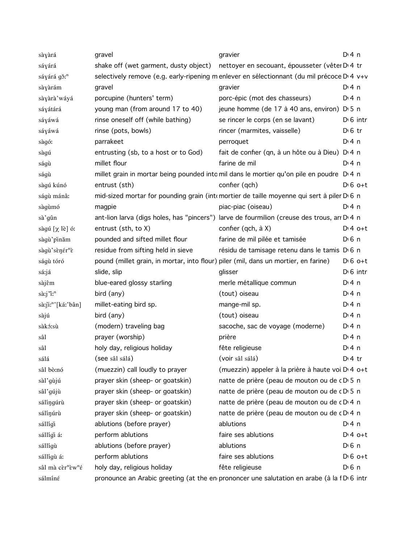| sàyàrá                                    | gravel                                                                              | gravier                                                                                     | $Dt$ 4 n          |
|-------------------------------------------|-------------------------------------------------------------------------------------|---------------------------------------------------------------------------------------------|-------------------|
| sáyárá                                    | shake off (wet garment, dusty object)                                               | nettoyer en secouant, épousseter (vêter D <sub>14</sub> tr                                  |                   |
| sáyárá gǒ: <sup>n</sup>                   |                                                                                     | selectively remove (e.g. early-ripening m enlever en sélectionnant (du mil précoce D'4 v+v  |                   |
| sàyàrám                                   | gravel                                                                              | gravier                                                                                     | D:4n              |
| sàyàrà'wáyá                               | porcupine (hunters' term)                                                           | porc-épic (mot des chasseurs)                                                               | $Di$ 4 n          |
| sáyátárá                                  | young man (from around 17 to 40)                                                    | jeune homme (de 17 à 40 ans, environ) D 5 n                                                 |                   |
| sáyáwá                                    | rinse oneself off (while bathing)                                                   | se rincer le corps (en se lavant)                                                           | $D0$ intr         |
| sáyáwá                                    | rinse (pots, bowls)                                                                 | rincer (marmites, vaisselle)                                                                | $D \n6$ tr        |
| sàgó:                                     | parrakeet                                                                           | perroquet                                                                                   | $Di$ 4 n          |
| sàgú                                      | entrusting (sb, to a host or to God)                                                | fait de confier (qn, à un hôte ou à Dieu) D <sub>14</sub> n                                 |                   |
| ságù                                      | millet flour                                                                        | farine de mil                                                                               | $Di$ 4 n          |
| ságù                                      |                                                                                     | millet grain in mortar being pounded into mil dans le mortier qu'on pile en poudre D'4 n    |                   |
| sàgú kúnó                                 | entrust (sth)                                                                       | confier (qch)                                                                               | $D \nvert 6$ o+t  |
| ságù mánâ:                                |                                                                                     | mid-sized mortar for pounding grain (inte mortier de taille moyenne qui sert à piler D 6 n  |                   |
| sàgùmó                                    | magpie                                                                              | piac-piac (oiseau)                                                                          | $Di$ 4 n          |
| sà'gûn                                    |                                                                                     | ant-lion larva (digs holes, has "pincers") larve de fourmilion (creuse des trous, arr D 4 n |                   |
| sàgú [χ lè] ó:                            | entrust (sth, to X)                                                                 | confier (qch, à X)                                                                          | $D:4$ o+t         |
| sàgù'pinăm                                | pounded and sifted millet flour                                                     | farine de mil pilée et tamisée                                                              | D <sub>1</sub> 6n |
| sàgù'sènér <sup>n</sup> è                 | residue from sifting held in sieve                                                  | résidu de tamisage retenu dans le tamis D 6 n                                               |                   |
| ságù tóró                                 | pound (millet grain, in mortar, into flour) piler (mil, dans un mortier, en farine) |                                                                                             | $D \cdot 6$ o+t   |
| sá:já                                     | slide, slip                                                                         | glisser                                                                                     | $D0$ intr         |
| sàjêm                                     | blue-eared glossy starling                                                          | merle métallique commun                                                                     | $Di$ 4 n          |
| sà:j'i: <sup>n</sup>                      | bird (any)                                                                          | (tout) oiseau                                                                               | $Di$ 4 n          |
| sà:ji:"'[ká:'bân]                         | millet-eating bird sp.                                                              | mange-mil sp.                                                                               | $Di$ 4 n          |
| sàjú                                      | bird (any)                                                                          | (tout) oiseau                                                                               | $Di$ 4 n          |
| sàkó:sù                                   | (modern) traveling bag                                                              | sacoche, sac de voyage (moderne)                                                            | $Di$ 4 n          |
| sâl                                       | prayer (worship)                                                                    | prière                                                                                      | $Di$ 4 n          |
| sâl                                       | holy day, religious holiday                                                         | fête religieuse                                                                             | $Di$ 4 n          |
| sálá                                      | (see sâl sálá)                                                                      | (voir sâl sálá)                                                                             | $Dt$ 4 tr         |
| sâl bò:nó                                 | (muezzin) call loudly to prayer                                                     | (muezzin) appeler à la prière à haute voi D 4 o+t                                           |                   |
| sàl'gùjú                                  | prayer skin (sheep- or goatskin)                                                    | natte de prière (peau de mouton ou de cD 5 n                                                |                   |
| sâl'gújù                                  | prayer skin (sheep- or goatskin)                                                    | natte de prière (peau de mouton ou de cD 5 n                                                |                   |
| sálíngúrù                                 | prayer skin (sheep- or goatskin)                                                    | natte de prière (peau de mouton ou de cD 4 n                                                |                   |
| sálínúrù                                  | prayer skin (sheep- or goatskin)                                                    | natte de prière (peau de mouton ou de cD 4 n                                                |                   |
| sállígi                                   | ablutions (before prayer)                                                           | ablutions                                                                                   | $Di$ 4 n          |
| sállígi á:                                | perform ablutions                                                                   | faire ses ablutions                                                                         | $Dt 4 0+t$        |
| sállígù                                   | ablutions (before prayer)                                                           | ablutions                                                                                   | $D0$ n            |
| sállígù á:                                | perform ablutions                                                                   | faire ses ablutions                                                                         | $D \nvert 6$ o+t  |
| sâl mà cèr <sup>n</sup> èw <sup>n</sup> é | holy day, religious holiday                                                         | fête religieuse                                                                             | $D \n6$ n         |
| sálmíné                                   |                                                                                     | pronounce an Arabic greeting (at the en prononcer une salutation en arabe (à la f D 6 intr  |                   |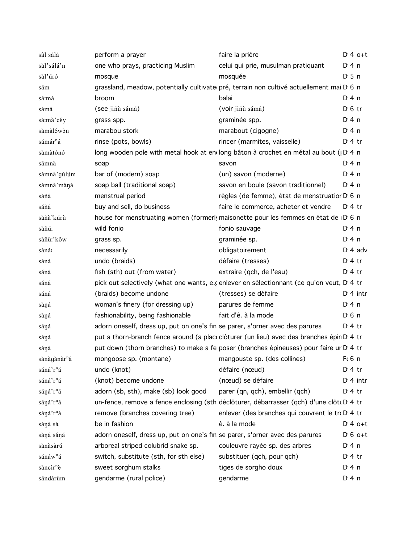| sâl sálá                 | perform a prayer                                                                          | faire la prière                                  | $Di4$ o+t         |
|--------------------------|-------------------------------------------------------------------------------------------|--------------------------------------------------|-------------------|
| sàl'sálá'n               | one who prays, practicing Muslim                                                          | celui qui prie, musulman pratiquant              | $Di$ 4 n          |
| sàl'úró                  | mosque                                                                                    | mosquée                                          | D <sub>1</sub> 5n |
| sám                      | grassland, meadow, potentially cultivate pré, terrain non cultivé actuellement mai D 6 n  |                                                  |                   |
| sá:má                    | broom                                                                                     | balai                                            | $Dt$ 4 n          |
| sámá                     | (see jíñù sámá)                                                                           | (voir jíñù sámá)                                 | $D \n6$ tr        |
| sà:mà'cěy                | grass spp.                                                                                | graminée spp.                                    | $Di$ 4 n          |
| sàmàlówòn                | marabou stork                                                                             | marabout (cigogne)                               | $Di$ 4 n          |
| sámár <sup>n</sup> á     | rinse (pots, bowls)                                                                       | rincer (marmites, vaisselle)                     | $D: 4$ tr         |
| sàmàtónó                 | long wooden pole with metal hook at enclong bâton à crochet en métal au bout ( D 4 n      |                                                  |                   |
| sămnà                    | soap                                                                                      | savon                                            | $Di$ 4 n          |
| sàmnà' gúlúm             | bar of (modern) soap                                                                      | (un) savon (moderne)                             | $Di$ 4 n          |
| sàmnà màna               | soap ball (traditional soap)                                                              | savon en boule (savon traditionnel)              | $Di$ 4 n          |
| sàñá                     | menstrual period                                                                          | règles (de femme), état de menstruatior D 6 n    |                   |
| sáñá                     | buy and sell, do business                                                                 | faire le commerce, acheter et vendre             | $D:4$ tr          |
| sàñà'kúrù                | house for menstruating women (formerly maisonette pour les femmes en état de ID 6 n       |                                                  |                   |
| sàñú:                    | wild fonio                                                                                | fonio sauvage                                    | $Dt$ 4 n          |
| sàñù:'kôw                | grass sp.                                                                                 | graminée sp.                                     | $Di$ 4 n          |
| sàná:                    | necessarily                                                                               | obligatoirement                                  | $D \cdot 4$ adv   |
| sáná                     | undo (braids)                                                                             | défaire (tresses)                                | $Di4$ tr          |
| sáná                     | fish (sth) out (from water)                                                               | extraire (qch, de l'eau)                         | $D:4$ tr          |
| sáná                     | pick out selectively (what one wants, e.c enlever en sélectionnant (ce qu'on veut, D.4 tr |                                                  |                   |
| sáná                     | (braids) become undone                                                                    | (tresses) se défaire                             | $Di$ 4 intr       |
| sàŋá                     | woman's finery (for dressing up)                                                          | parures de femme                                 | $Di$ 4 n          |
| sàná                     | fashionability, being fashionable                                                         | fait d'ê. à la mode                              | $D0$ 6 n          |
| sáŋá                     | adorn oneself, dress up, put on one's finise parer, s'orner avec des parures              |                                                  | $Di4$ tr          |
| sáŋá                     | put a thorn-branch fence around (a place clôturer (un lieu) avec des branches épin D'4 tr |                                                  |                   |
| sáŋá                     | put down (thorn branches) to make a fe poser (branches épineuses) pour faire ur D 4 tr    |                                                  |                   |
| sànàgànàr <sup>n</sup> á | mongoose sp. (montane) mangouste sp. (des collines)                                       |                                                  | Fc6 n             |
| sáná'r <sup>n</sup> á    | undo (knot)                                                                               | défaire (nœud)                                   | $Di4$ tr          |
| sáná'r <sup>n</sup> á    | (knot) become undone                                                                      | (nœud) se défaire                                | $Dt$ 4 intr       |
| sáná'r <sup>n</sup> á    | adorn (sb, sth), make (sb) look good                                                      | parer (qn, qch), embellir (qch)                  | $D:4$ tr          |
| sáná'r <sup>n</sup> á    | un-fence, remove a fence enclosing (sth déclôturer, débarrasser (qch) d'une clôti D'4 tr  |                                                  |                   |
| sáná'r <sup>n</sup> á    | remove (branches covering tree)                                                           | enlever (des branches qui couvrent le tro D 4 tr |                   |
| sàná sà                  | be in fashion                                                                             | ê. à la mode                                     | $Di 4$ o+t        |
| sàná sáná                | adorn oneself, dress up, put on one's finise parer, s'orner avec des parures              |                                                  | $D \nvert 6$ o+t  |
| sànàsàrú                 | arboreal striped colubrid snake sp.                                                       | couleuvre rayée sp. des arbres                   | $Di$ 4 n          |
| sánáw <sup>n</sup> á     | switch, substitute (sth, for sth else)                                                    | substituer (qch, pour qch)                       | $Di4$ tr          |
| sàncír <sup>n</sup> è    | sweet sorghum stalks                                                                      | tiges de sorgho doux                             | $Dt$ 4 n          |
| sándárùm                 | gendarme (rural police)                                                                   | gendarme                                         | $Dt$ 4 n          |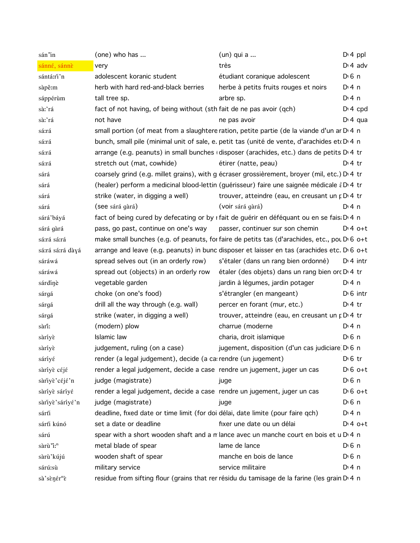| sán'in                  | (one) who has                                                                   | $(un)$ qui a                                                                                             | $Dt 4$ ppl            |
|-------------------------|---------------------------------------------------------------------------------|----------------------------------------------------------------------------------------------------------|-----------------------|
| sánné, sánnè            | very                                                                            | très                                                                                                     | $D \cdot 4$ adv       |
| sántá:rì'n              | adolescent koranic student                                                      | étudiant coranique adolescent                                                                            | $D \n6$ n             |
| sàpê:m                  | herb with hard red-and-black berries                                            | herbe à petits fruits rouges et noirs                                                                    | $Di$ 4 n              |
| sáppérùm                | tall tree sp.                                                                   | arbre sp.                                                                                                | $Di$ 4 n              |
| sà:'rá                  | fact of not having, of being without (sth fait de ne pas avoir (qch)            |                                                                                                          | $Di$ 4 cpd            |
| sà:'rá                  | not have                                                                        | ne pas avoir                                                                                             | $Di$ 4 gua            |
| sá:rá                   |                                                                                 | small portion (of meat from a slaughtere ration, petite partie (de la viande d'un ar D <sub>14</sub> n   |                       |
| sá:rá                   |                                                                                 | bunch, small pile (minimal unit of sale, e. petit tas (unité de vente, d'arachides et D 4 n              |                       |
| sá:rá                   |                                                                                 | arrange (e.g. peanuts) in small bunches (disposer (arachides, etc.) dans de petits D'4 tr                |                       |
| sá:rá                   | stretch out (mat, cowhide)                                                      | étirer (natte, peau)                                                                                     | $D:4$ tr              |
| sárá                    |                                                                                 | coarsely grind (e.g. millet grains), with g écraser grossièrement, broyer (mil, etc.) D 4 tr             |                       |
| sárá                    |                                                                                 | (healer) perform a medicinal blood-lettin (guérisseur) faire une saignée médicale à D'4 tr               |                       |
| sárá                    | strike (water, in digging a well)                                               | trouver, atteindre (eau, en creusant un p D 4 tr                                                         |                       |
| sárá                    | (see sárá gàrá)                                                                 | (voir sárá gàrá)                                                                                         | $Di$ 4 n              |
| sárá'báyá               |                                                                                 | fact of being cured by defecating or by r fait de guérir en déféquant ou en se fais: D 4 n               |                       |
| sárá gàrá               | pass, go past, continue on one's way                                            | passer, continuer sur son chemin                                                                         | $D:4$ o+t             |
| sá:rá sá:rá             |                                                                                 | make small bunches (e.g. of peanuts, for faire de petits tas (d'arachides, etc., pou D <sub>16</sub> o+t |                       |
| sá:rá sá:rá dàyá        |                                                                                 | arrange and leave (e.g. peanuts) in bunc disposer et laisser en tas (arachides etc. D 6 o+t              |                       |
| sáráwá                  | spread selves out (in an orderly row)                                           | s'étaler (dans un rang bien ordonné)                                                                     | $Di$ 4 intr           |
| sáráwá                  | spread out (objects) in an orderly row                                          | étaler (des objets) dans un rang bien orc D <sub>1</sub> 4 tr                                            |                       |
| sárdínè                 | vegetable garden                                                                | jardin à légumes, jardin potager                                                                         | D: 4 n                |
| sárgá                   | choke (on one's food)                                                           | s'étrangler (en mangeant)                                                                                | $D \cdot 6$ intr      |
| sárgá                   | drill all the way through (e.g. wall)                                           | percer en forant (mur, etc.)                                                                             | $D \cdot 4$ tr        |
| sárgá                   | strike (water, in digging a well)                                               | trouver, atteindre (eau, en creusant un p D 4 tr                                                         |                       |
| sàrî:                   | (modern) plow                                                                   | charrue (moderne                                                                                         | $Di$ 4 n              |
| sàriyè                  | Islamic law                                                                     | charia, droit islamique                                                                                  | $D \nvert 6 \nvert n$ |
| sàriyè                  | judgement, ruling (on a case)                                                   | jugement, disposition (d'un cas judiciare D'6 n                                                          |                       |
| sáríyé                  | render (a legal judgement), decide (a carrendre (un jugement)                   |                                                                                                          | $D \n6$ tr            |
| sàriyè céjé             | render a legal judgement, decide a case rendre un jugement, juger un cas        |                                                                                                          | $D \nvert 6$ o+t      |
| sàriyè'céjé'n           | judge (magistrate)                                                              | juge                                                                                                     | $D \n6$ n             |
| sàríyè sáríyé           | render a legal judgement, decide a case rendre un jugement, juger un cas        |                                                                                                          | $D \nvert 6$ o+t      |
| sàriyè'sáriyé'n         | judge (magistrate)                                                              | juge                                                                                                     | $D \n6$ n             |
| sárti                   | deadline, fixed date or time limit (for doi délai, date limite (pour faire qch) |                                                                                                          | $Dt$ 4 n              |
| sárti kúnó              | set a date or deadline                                                          | fixer une date ou un délai                                                                               | $Dt 4 0+t$            |
| sárú                    |                                                                                 | spear with a short wooden shaft and a m lance avec un manche court en bois et u D 4 n                    |                       |
| sàrù "i: <sup>n</sup>   | metal blade of spear                                                            | lame de lance                                                                                            | $D0$ n                |
| sàrù'kújú               | wooden shaft of spear                                                           | manche en bois de lance                                                                                  | $D \n6$ n             |
| sárú:sù                 | military service                                                                | service militaire                                                                                        | $Di$ 4 n              |
| sà'sènér <sup>n</sup> è |                                                                                 | residue from sifting flour (grains that rer résidu du tamisage de la farine (les grain D' 4 n            |                       |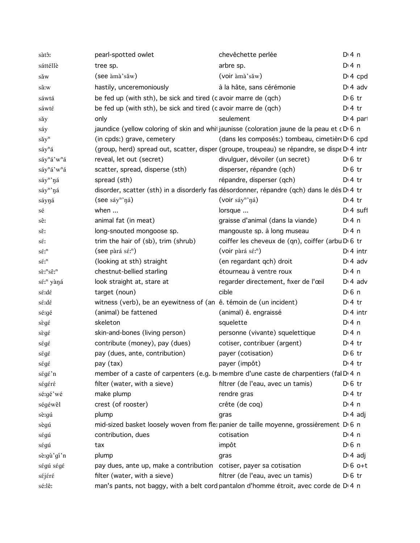| sàtô:                                       | pearl-spotted owlet                                                                               | chevêchette perlée                                | $Dt$ 4 n         |
|---------------------------------------------|---------------------------------------------------------------------------------------------------|---------------------------------------------------|------------------|
| sáttéllè                                    | tree sp.                                                                                          | arbre sp.                                         | $Dt$ 4 n         |
| săw                                         | (see àmà'sǎw)                                                                                     | (voir àmà'sǎw)                                    | $Dt 4$ cpd       |
| sâ:w                                        | hastily, unceremoniously                                                                          | à la hâte, sans cérémonie                         | $D \cdot 4$ adv  |
| sáwtá                                       | be fed up (with sth), be sick and tired (c avoir marre de (qch)                                   |                                                   | $D \nvert 6$ tr  |
| sáwté                                       | be fed up (with sth), be sick and tired (c avoir marre de (qch)                                   |                                                   | $Di4$ tr         |
| sǎy                                         | only                                                                                              | seulement                                         | $Dt$ 4 part      |
| sáy                                         | jaundice (yellow coloring of skin and whit jaunisse (coloration jaune de la peau et cD 6 n        |                                                   |                  |
| sǎy <sup>n</sup>                            | (in cpds:) grave, cemetery                                                                        | (dans les composés:) tombeau, cimetière D 6 cpd   |                  |
| $s$ áy <sup>n</sup> á                       | (group, herd) spread out, scatter, disper (groupe, troupeau) se répandre, se dispe D'4 intr       |                                                   |                  |
| sáy <sup>n</sup> á'w <sup>n</sup> á         | reveal, let out (secret)                                                                          | divulguer, dévoiler (un secret)                   | $D \n6$ tr       |
| sáy <sup>n</sup> á'w <sup>n</sup> á         | scatter, spread, disperse (sth)                                                                   | disperser, répandre (qch)                         | $D \n6$ tr       |
| sáy <sup>n</sup> 'ná                        | spread (sth)                                                                                      | répandre, disperser (qch)                         | $D:4$ tr         |
|                                             |                                                                                                   |                                                   |                  |
| $\mathrm{s\acute{a}y^{n}}$ ŋá               | disorder, scatter (sth) in a disorderly fas désordonner, répandre (qch) dans le dés D'4 tr        |                                                   |                  |
| sáyŋá                                       | (see $\sin^n \eta$ á)                                                                             | (voir sáy <sup>n</sup> 'ná)                       | $D:4$ tr         |
| sé                                          | when                                                                                              | lorsque                                           | $Dt 4$ suff      |
| sê:                                         | animal fat (in meat)                                                                              | graisse d'animal (dans la viande)                 | $Di$ 4 n         |
| sě:                                         | long-snouted mongoose sp.                                                                         | mangouste sp. à long museau                       | $Di$ 4 n         |
| sέ:                                         | trim the hair of (sb), trim (shrub)                                                               | coiffer les cheveux de (qn), coiffer (arbu D 6 tr |                  |
| $s \acute{\varepsilon}$ :                   | (see pàrá s $\acute{\epsilon}$ <sup>n</sup> )                                                     | (voir pàrá sé: <sup>n</sup> )                     | $Dt$ 4 intr      |
| $s \acute{\epsilon} \mathfrak{x}^n$         | (looking at sth) straight                                                                         | (en regardant qch) droit                          | $D \cdot 4$ adv  |
| $s\grave{\epsilon}$ :" $s\hat{\epsilon}$ :" | chestnut-bellied starling                                                                         | étourneau à ventre roux                           | $Di$ 4 n         |
| sé: <sup>n</sup> yàná                       | look straight at, stare at                                                                        | regarder directement, fixer de l'œil              | $D \cdot 4$ adv  |
| sé:dé                                       | target (noun)                                                                                     | cible                                             | $D0$ 6 n         |
| sé:dé                                       | witness (verb), be an eyewitness of (an $\hat{e}$ . témoin de (un incident)                       |                                                   | $D:4$ tr         |
| sé:gé                                       | (animal) be fattened                                                                              | (animal) ê. engraissé                             | $Dt$ 4 intr      |
| sègé                                        | skeleton                                                                                          | squelette                                         | D: 4n            |
| sègé                                        | skin-and-bones (living person)                                                                    | personne (vivante) squelettique                   | $Di$ 4 n         |
| ségé                                        | contribute (money), pay (dues)                                                                    | cotiser, contribuer (argent)                      | $D \cdot 4$ tr   |
| ségé                                        | pay (dues, ante, contribution)                                                                    | payer (cotisation)                                | $D \nvert 6$ tr  |
| ségé                                        | pay (tax)                                                                                         | payer (impôt)                                     | $Dt$ 4 tr        |
| ségé'n                                      | member of a caste of carpenters (e.g. bomembre d'une caste de charpentiers (fal D.4 n             |                                                   |                  |
| ségéré                                      | filter (water, with a sieve)                                                                      | filtrer (de l'eau, avec un tamis)                 | $D \n6$ tr       |
| sé:gé'wé                                    | make plump                                                                                        | rendre gras                                       | $Dt$ 4 tr        |
| ségéwêl                                     | crest (of rooster)                                                                                | crête (de coq)                                    | $Di$ 4 n         |
| sè:gú                                       | plump                                                                                             | gras                                              | $D \nmid 4$ adj  |
| sègú                                        | mid-sized basket loosely woven from fle: panier de taille moyenne, grossièrement D 6 n            |                                                   |                  |
| ségú                                        | contribution, dues                                                                                | cotisation                                        | $Di$ 4 n         |
|                                             | tax                                                                                               | impôt                                             | $D0$ 6 n         |
| ségú                                        | plump                                                                                             |                                                   | $D \cdot 4$ adj  |
| sè:gù'gí'n                                  |                                                                                                   | gras                                              | $D \nvert 6$ o+t |
| ségú ségé                                   | pay dues, ante up, make a contribution cotiser, payer sa cotisation                               |                                                   |                  |
| séjéré                                      | filter (water, with a sieve)                                                                      | filtrer (de l'eau, avec un tamis)                 | $D \n6$ tr       |
| sé:lê:                                      | man's pants, not baggy, with a belt cord pantalon d'homme étroit, avec corde de D <sub>14</sub> n |                                                   |                  |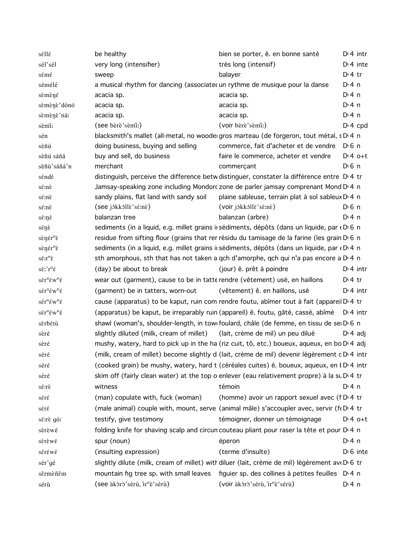| séllé                                                     | be healthy                                                                  | bien se porter, ê. en bonne santé                                                                        |                | $Di$ 4 intr          |
|-----------------------------------------------------------|-----------------------------------------------------------------------------|----------------------------------------------------------------------------------------------------------|----------------|----------------------|
| sél'sél                                                   | very long (intensifier)                                                     | très long (intensif)                                                                                     |                | $Di$ 4 inte          |
| sémé                                                      | sweep                                                                       | balayer                                                                                                  | $Di4$ tr       |                      |
| sémélé                                                    | a musical rhythm for dancing (associated un rythme de musique pour la danse |                                                                                                          | $Di$ 4 n       |                      |
| sèmèné                                                    | acacia sp.                                                                  | acacia sp.                                                                                               | $Di$ 4 n       |                      |
| sèmènè'dónó                                               | acacia sp.                                                                  | acacia sp.                                                                                               | $Di$ 4 n       |                      |
| sèmènè'ná:                                                | acacia sp.                                                                  | acacia sp.                                                                                               | $Di$ 4 n       |                      |
| sèmi:                                                     | (see bèrè'sèmi!)                                                            | (voir bèrè'sèmi:)                                                                                        |                | $Di$ 4 cpd           |
| sén                                                       |                                                                             | blacksmith's mallet (all-metal, no woode gros marteau (de forgeron, tout métal, sD 4 n                   |                |                      |
| sèñú                                                      | doing business, buying and selling                                          | commerce, fait d'acheter et de vendre                                                                    | $D0$ n         |                      |
| sèñú sáñá                                                 | buy and sell, do business                                                   | faire le commerce, acheter et vendre                                                                     |                | $D:4$ o+t            |
| sèñù'sáñá'n                                               | merchant                                                                    | commerçant                                                                                               | $D0$ 6 n       |                      |
| séndé                                                     |                                                                             | distinguish, perceive the difference betw distinguer, constater la différence entre D'4 tr               |                |                      |
| sé:nè                                                     |                                                                             | Jamsay-speaking zone including Mondorc zone de parler jamsay comprenant Mond D 4 n                       |                |                      |
| sé:nè                                                     | sandy plains, flat land with sandy soil                                     | plaine sableuse, terrain plat à sol sableux D 4 n                                                        |                |                      |
| sé:nè                                                     | (see jákkálle'sé:nè)                                                        | (voir jókkóllè'sé:nè)                                                                                    | $D0$ n         |                      |
| sé:ŋé                                                     | balanzan tree                                                               | balanzan (arbre)                                                                                         | $Di$ 4 n       |                      |
| sénè                                                      |                                                                             | sediments (in a liquid, e.g. millet grains in sédiments, dépôts (dans un liquide, par « D 6 n            |                |                      |
| sènér <sup>n</sup> è                                      |                                                                             | residue from sifting flour (grains that rer résidu du tamisage de la farine (les grain D 6 n             |                |                      |
| sènér <sup>n</sup> è                                      |                                                                             | sediments (in a liquid, e.g. millet grains in sédiments, dépôts (dans un liquide, par « D 4 n            |                |                      |
| $s\acute{\epsilon}:\r{r}^n\grave{\epsilon}$               |                                                                             | sth amorphous, sth that has not taken a gch d'amorphe, gch qui n'a pas encore a D <sub>'</sub> 4 n       |                |                      |
| $s\acute{\epsilon}$ :' $r^n\acute{\epsilon}$              | (day) be about to break                                                     | (jour) ê. prêt à poindre                                                                                 |                | $Dt$ 4 intr          |
| $s\acute{\epsilon}r^n\acute{\epsilon}w^n\acute{\epsilon}$ | wear out (garment), cause to be in tatte rendre (vêtement) usé, en haillons |                                                                                                          | $D \cdot 4$ tr |                      |
| $s\acute{\epsilon}r^n\acute{\epsilon}w^n\acute{\epsilon}$ | (garment) be in tatters, worn-out                                           | (vêtement) ê. en haillons, usé                                                                           |                | $Dt$ 4 intr          |
| $s\acute{\epsilon}r^n\acute{\epsilon}w^n\acute{\epsilon}$ |                                                                             | cause (apparatus) to be kaput, ruin com rendre foutu, abîmer tout à fait (apparei D 4 tr                 |                |                      |
| $s\acute{\epsilon}r^n\acute{\epsilon}w^n\acute{\epsilon}$ |                                                                             | (apparatus) be kaput, be irreparably ruin (appareil) ê. foutu, gâté, cassé, abîmé D'4 intr               |                |                      |
| sèrbétù                                                   |                                                                             | shawl (woman's, shoulder-length, in tow foulard, châle (de femme, en tissu de sei D 6 n                  |                |                      |
| sèré                                                      | slightly diluted (milk, cream of millet) (lait, crème de mil) un peu dilué  |                                                                                                          |                | D <sub>'</sub> 4 adi |
| sèré                                                      |                                                                             | mushy, watery, hard to pick up in the ha (riz cuit, tô, etc.) boueux, aqueux, en bo D <sub>1</sub> 4 adj |                |                      |
| séré                                                      |                                                                             | (milk, cream of millet) become slightly di (lait, crème de mil) devenir légèrement c D 4 intr            |                |                      |
| séré                                                      |                                                                             | (cooked grain) be mushy, watery, hard t (céréales cuites) ê. boueux, aqueux, en l D 4 intr               |                |                      |
| séré                                                      |                                                                             | skim off (fairly clean water) at the top o enlever (eau relativement propre) à la su Dv4 tr              |                |                      |
| $s$ έ: rε                                                 | witness                                                                     | témoin                                                                                                   | $Di$ 4 n       |                      |
| séré                                                      | (man) copulate with, fuck (woman)                                           | (homme) avoir un rapport sexuel avec (f D <sub>1</sub> 4 tr                                              |                |                      |
| séré                                                      |                                                                             | (male animal) couple with, mount, serve (animal mâle) s'accoupler avec, servir (f(D) 4 tr                |                |                      |
| sé:rè gó:                                                 | testify, give testimony                                                     | témoigner, donner un témoignage                                                                          |                | $D:4$ o+t            |
| sèrèwé                                                    |                                                                             | folding knife for shaving scalp and circun couteau pliant pour raser la tête et pour D 4 n               |                |                      |
| sèrèwé                                                    | spur (noun)                                                                 | éperon                                                                                                   | $Di$ 4 n       |                      |
| séréwé                                                    | (insulting expression)                                                      | (terme d'insulte)                                                                                        |                | $D \cdot 6$ inte     |
|                                                           |                                                                             | slightly dilute (milk, cream of millet) with diluer (lait, crème de mil) légèrement aveD 6 tr            |                |                      |
| sér'gé                                                    |                                                                             |                                                                                                          |                |                      |
| sěrmèñêm                                                  | mountain fig tree sp. with small leaves                                     | figuier sp. des collines à petites feuilles D.4 n                                                        |                |                      |
| sérù                                                      | (see àkòrò'sérù, ir <sup>n</sup> è'sérù)                                    | (voir àkòrò'sérù, ir <sup>n</sup> è'sérù)                                                                | $Di$ 4 n       |                      |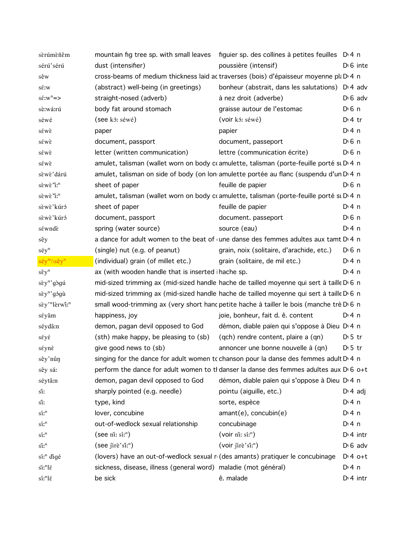| sèrúmèñêm                             | mountain fig tree sp. with small leaves figuier sp. des collines à petites feuilles D.4 n |                                                                                                    |                  |
|---------------------------------------|-------------------------------------------------------------------------------------------|----------------------------------------------------------------------------------------------------|------------------|
| sérú'sérú                             | dust (intensifier)                                                                        | poussière (intensif)                                                                               | $D \cdot 6$ inte |
| sěw                                   |                                                                                           | cross-beams of medium thickness laid ac traverses (bois) d'épaisseur moyenne pla D 4 n             |                  |
| sé:w                                  | (abstract) well-being (in greetings)                                                      | bonheur (abstrait, dans les salutations) D <sub>1</sub> 4 adv                                      |                  |
| $s\acute{\epsilon}:w^{n}=\rangle$     | straight-nosed (adverb)                                                                   | à nez droit (adverbe)                                                                              | $D \nvert 6$ adv |
| sè:wá:rú                              | body fat around stomach                                                                   | graisse autour de l'estomac                                                                        | $D \cdot 6$ n    |
| séwé                                  | (see kó: séwé)                                                                            | (voir kó: séwé)                                                                                    | $Di4$ tr         |
| sέwε                                  | paper                                                                                     | papier                                                                                             | D: 4n            |
| sέwε                                  | document, passport                                                                        | document, passeport                                                                                | $D0$ n           |
| séwè                                  | letter (written communication)                                                            | lettre (communication écrite)                                                                      | $D0$ n           |
| séwè                                  |                                                                                           | amulet, talisman (wallet worn on body coamulette, talisman (porte-feuille porté su D.4 n           |                  |
| sèwè'dárú                             |                                                                                           | amulet, talisman on side of body (on lon amulette portée au flanc (suspendu d'un D 4 n             |                  |
| sèwè "i: <sup>n</sup>                 | sheet of paper                                                                            | feuille de papier                                                                                  | $D0$ n           |
| sèwè "i: <sup>n</sup>                 |                                                                                           | amulet, talisman (wallet worn on body coamulette, talisman (porte-feuille porté su D.4 n           |                  |
| sèwè'kúró                             | sheet of paper                                                                            | feuille de papier                                                                                  | $Di$ 4 n         |
| sèwè'kúró                             | document, passport                                                                        | document. passeport                                                                                | $D0$ n           |
| séwndè                                | spring (water source)                                                                     | source (eau)                                                                                       | $Di$ 4 n         |
| sêy                                   |                                                                                           | a dance for adult women to the beat of une danse des femmes adultes aux tamt D'4 n                 |                  |
| séy <sup>n</sup>                      | (single) nut (e.g. of peanut)                                                             | grain, noix (solitaire, d'arachide, etc.)                                                          | $D0$ n           |
| séy <sup>n</sup> \\sěy <sup>n</sup>   | (individual) grain (of millet etc.)                                                       | grain (solitaire, de mil etc.)                                                                     | D:4n             |
| $s\hat{\epsilon}y^n$                  | ax (with wooden handle that is inserted i hache sp.                                       |                                                                                                    | D:4n             |
| sèy <sup>n</sup> 'gògú                | mid-sized trimming ax (mid-sized handle hache de tailled moyenne qui sert à taille D 6 n  |                                                                                                    |                  |
| sèy" gógù                             | mid-sized trimming ax (mid-sized handle hache de tailled moyenne qui sert à taille D 6 n  |                                                                                                    |                  |
| sèy' <sup>n</sup> lèrwî: <sup>n</sup> |                                                                                           | small wood-trimming ax (very short hanc petite hache à tailler le bois (manche trè D 6 n           |                  |
| séyâm                                 | happiness, joy                                                                            | joie, bonheur, fait d. ê. content                                                                  | $Di$ 4 n         |
| séydâ:n                               | demon, pagan devil opposed to God                                                         | démon, diable païen qui s'oppose à Dieu D <sub>'</sub> 4 n                                         |                  |
| séyé                                  | (sth) make happy, be pleasing to (sb)                                                     | (qch) rendre content, plaire a (qn)                                                                | $D \cdot 5$ tr   |
| séyné                                 | give good news to (sb)                                                                    | annoncer une bonne nouvelle à (qn)                                                                 | $D \cdot 5$ tr   |
| sêy'nûŋ                               |                                                                                           | singing for the dance for adult women to chanson pour la danse des femmes adult D <sub>14</sub> n  |                  |
| sêy sá:                               |                                                                                           | perform the dance for adult women to th danser la danse des femmes adultes aux D <sub>'6</sub> o+t |                  |
| séytâ:n                               | demon, pagan devil opposed to God                                                         | démon, diable païen qui s'oppose à Dieu D <sub>14</sub> n                                          |                  |
| sí:                                   | sharply pointed (e.g. needle)                                                             | pointu (aiguille, etc.)                                                                            | $D \nmid 4$ adj  |
| sî:                                   | type, kind                                                                                | sorte, espèce                                                                                      | $Di$ 4 n         |
| $\sin^n$                              | lover, concubine                                                                          | $amant(e)$ , concubin $(e)$                                                                        | D: 4n            |
| $\sin^n$                              | out-of-wedlock sexual relationship                                                        | concubinage                                                                                        | D:4n             |
| $\sin^n$                              | (see ni: $\sin^n$ )                                                                       | (voir n'i: s'i <sup>n</sup> )                                                                      | $D \cdot 4$ intr |
| $\sin^n$                              | $(see$ jire'si: <sup>n</sup> )                                                            | (voir jirè'si: <sup>n</sup> )                                                                      | $D \nvert 6$ adv |
| sí: <sup>n</sup> digé                 |                                                                                           | (lovers) have an out-of-wedlock sexual r (des amants) pratiquer le concubinage                     | $Di4$ o+t        |
| $\sin^n\theta$                        | sickness, disease, illness (general word) maladie (mot général)                           |                                                                                                    | $Di$ 4 n         |
| $\sin^n\!\mathrm{l}\varepsilon$       | be sick                                                                                   | ê. malade                                                                                          | $Dt$ 4 intr      |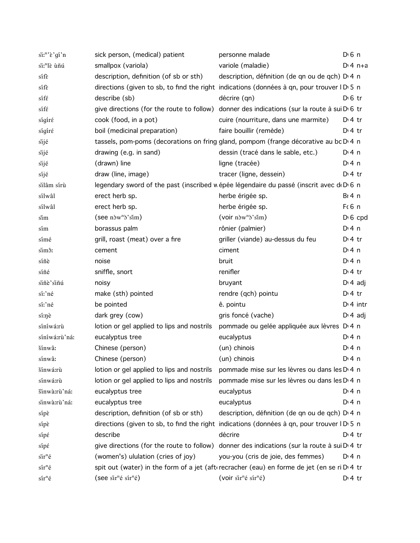| $\sin^n \hat{\epsilon}$ gi'n | sick person, (medical) patient                      | personne malade                                                                                          | $D \n6$ n       |
|------------------------------|-----------------------------------------------------|----------------------------------------------------------------------------------------------------------|-----------------|
| si: <sup>n</sup> lè ùñú      | smallpox (variola)                                  | variole (maladie)                                                                                        | $Di 4 n+a$      |
| sífè                         | description, definition (of sb or sth)              | description, définition (de qn ou de qch) D 4 n                                                          |                 |
| sífe                         |                                                     | directions (given to sb, to find the right indications (données à qn, pour trouver ID 5 n                |                 |
| sífé                         | describe (sb)                                       | décrire (qn)                                                                                             | $D \n6$ tr      |
| sífé                         |                                                     | give directions (for the route to follow) donner des indications (sur la route à sui $D$ 6 tr            |                 |
| sígíré                       | cook (food, in a pot)                               | cuire (nourriture, dans une marmite)                                                                     | $Dt$ 4 tr       |
| sígíré                       | boil (medicinal preparation)                        | faire bouillir (remède)                                                                                  | $Di4$ tr        |
| sijé                         |                                                     | tassels, pom-poms (decorations on fring gland, pompom (frange décorative au bc D 4 n                     |                 |
| sijé                         | drawing (e.g. in sand)                              | dessin (tracé dans le sable, etc.)                                                                       | $Di$ 4 n        |
| sijé                         | (drawn) line                                        | ligne (tracée)                                                                                           | $Di$ 4 n        |
| síjé                         | draw (line, image)                                  | tracer (ligne, dessein)                                                                                  | $Di4$ tr        |
| silâm sírù                   |                                                     | legendary sword of the past (inscribed w épée légendaire du passé (inscrit avec de De 6 n                |                 |
| sílwâl                       | erect herb sp.                                      | herbe érigée sp.                                                                                         | Br4n            |
| sílwâl                       | erect herb sp.                                      | herbe érigée sp.                                                                                         | $F6$ n          |
| sım                          | $($ see n $\frac{\partial w^n}{\partial s}$ sim $)$ | $(voir n\)w^n\delta' \sin)$                                                                              | $D \cdot 6$ cpd |
| sím                          | borassus palm                                       | rônier (palmier)                                                                                         | $Di$ 4 n        |
| símé                         | grill, roast (meat) over a fire                     | griller (viande) au-dessus du feu                                                                        | $Di4$ tr        |
| sim <sub>3</sub> :           | cement                                              | ciment                                                                                                   | $Di$ 4 n        |
| síñè                         | noise                                               | bruit                                                                                                    | $Di$ 4 n        |
| síñé                         | sniffle, snort                                      | renifler                                                                                                 | $Di4$ tr        |
| siñè'siñú                    | noisy                                               | bruyant                                                                                                  | $D: 4$ adj      |
| sí:'né                       | make (sth) pointed                                  | rendre (qch) pointu                                                                                      | $Di4$ tr        |
| sí:'né                       | be pointed                                          | ê. pointu                                                                                                | $Di$ 4 intr     |
| sí:nè                        | dark grey (cow)                                     | gris foncé (vache)                                                                                       | $D \cdot 4$ adj |
| síníwá:rù                    | lotion or gel applied to lips and nostrils          | pommade ou gelée appliquée aux lèvres D <sub>14</sub> n                                                  |                 |
| síníwá:rù'ná:                | eucalyptus tree                                     | eucalyptus                                                                                               | $Di$ 4 n        |
| šínwâ:                       | Chinese (person)                                    | (un) chinois                                                                                             | $Di$ 4 n        |
| sínwâ:                       | Chinese (person)                                    | (un) chinois                                                                                             | $Di$ 4 n        |
| šínwá:rù                     | lotion or gel applied to lips and nostrils          | pommade mise sur les lèvres ou dans les D <sub>14</sub> n                                                |                 |
| sínwá:rù                     | lotion or gel applied to lips and nostrils          | pommade mise sur les lèvres ou dans les D <sub>14</sub> n                                                |                 |
| šinwà:rù'ná:                 | eucalyptus tree                                     | eucalyptus                                                                                               | $Di$ 4 n        |
| sinwà:rù'ná:                 | eucalyptus tree                                     | eucalyptus                                                                                               | $Dt$ 4 n        |
| sípè                         | description, definition (of sb or sth)              | description, définition (de qn ou de qch) D 4 n                                                          |                 |
| sípè                         |                                                     | directions (given to sb, to find the right indications (données à qn, pour trouver ID 5 n                |                 |
| sípé                         | describe                                            | décrire                                                                                                  | $Di4$ tr        |
| $\sin \xi$                   | give directions (for the route to follow)           | donner des indications (sur la route à sui D 4 tr                                                        |                 |
| $\sin^n \theta$              | (women's) ululation (cries of joy)                  | you-you (cris de joie, des femmes)                                                                       | D:4n            |
| $\sin^n \theta$              |                                                     | spit out (water) in the form of a jet (afterecracher (eau) en forme de jet (en se ri D $\overline{4}$ tr |                 |
| $s\acute{a}r^n\acute{e}$     | (see sir <sup>n</sup> é sír <sup>n</sup> é)         | (voir sir <sup>n</sup> é sír <sup>n</sup> é)                                                             | $Di4$ tr        |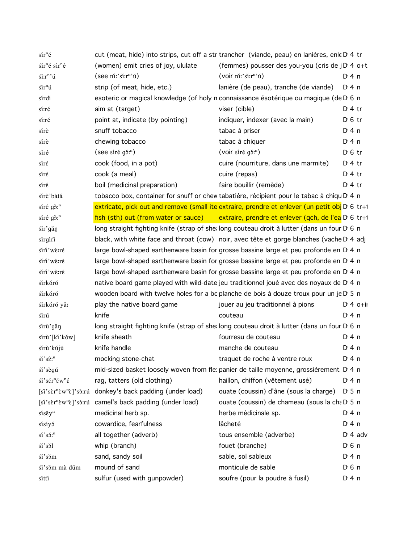| $s\acute{a}r^n\acute{e}$                               |                                                                   | cut (meat, hide) into strips, cut off a str trancher (viande, peau) en lanières, enle D'4 tr         |                    |
|--------------------------------------------------------|-------------------------------------------------------------------|------------------------------------------------------------------------------------------------------|--------------------|
| sir <sup>n</sup> é sír <sup>n</sup> é                  | (women) emit cries of joy, ululate                                | (femmes) pousser des you-you (cris de jD 4 o+t                                                       |                    |
| si:r <sup>n</sup> 'ú                                   | $($ see ni:'si: $r^n$ 'ú)                                         | $($ voir ni:' $\sin^n$ 'ú)                                                                           | $Di$ 4 n           |
| $\sin^n \theta$                                        | strip (of meat, hide, etc.)                                       | lanière (de peau), tranche (de viande)                                                               | D: 4n              |
| sírdi                                                  |                                                                   | esoteric or magical knowledge (of holy n connaissance ésotérique ou magique (de D 6 n                |                    |
| sí:ré                                                  | aim at (target)                                                   | viser (cible)                                                                                        | $Dt$ 4 tr          |
| sí:ré                                                  | point at, indicate (by pointing)                                  | indiquer, indexer (avec la main)                                                                     | $D \cdot 6$ tr     |
| sírè                                                   | snuff tobacco                                                     | tabac à priser                                                                                       | $Di$ 4 n           |
| sírè                                                   | chewing tobacco                                                   | tabac à chiquer                                                                                      | $Di$ 4 n           |
| síré                                                   | (see síré g $\delta$ <sup>n</sup> )                               | (voir síré g <sub>3</sub> <sup>n</sup> )                                                             | $D \cdot 6$ tr     |
| síré                                                   | cook (food, in a pot)                                             | cuire (nourriture, dans une marmite)                                                                 | $Di4$ tr           |
| síré                                                   | cook (a meal)                                                     | cuire (repas)                                                                                        | $Dt$ 4 tr          |
| sírέ                                                   | boil (medicinal preparation)                                      | faire bouillir (remède)                                                                              | $Dt$ 4 tr          |
| sirè'bàtá                                              |                                                                   | tobacco box, container for snuff or chew tabatière, récipient pour le tabac à chiqu D 4 n            |                    |
| síré gǒ: <sup>n</sup>                                  |                                                                   | extricate, pick out and remove (small ite extraire, prendre et enlever (un petit obj D 6 tr+1        |                    |
| $\sin \theta$ g $\sin$ <sup>n</sup>                    |                                                                   | fish (sth) out (from water or sauce) extraire, prendre et enlever (qch, de l'ea D <sub>16</sub> tr+1 |                    |
| sir'gǎŋ                                                |                                                                   | long straight fighting knife (strap of shealing couteau droit à lutter (dans un four D 6 n           |                    |
| sírgíri                                                |                                                                   | black, with white face and throat (cow) noir, avec tête et gorge blanches (vache D'4 adj             |                    |
| siri'wè:ré                                             |                                                                   | large bowl-shaped earthenware basin for grosse bassine large et peu profonde en D 4 n                |                    |
| siri'wè:ré                                             |                                                                   | large bowl-shaped earthenware basin for grosse bassine large et peu profonde en D 4 n                |                    |
| siri'wè:ré                                             |                                                                   | large bowl-shaped earthenware basin for grosse bassine large et peu profonde en D 4 n                |                    |
| sirkóró                                                |                                                                   | native board game played with wild-date jeu traditionnel joué avec des noyaux de D 4 n               |                    |
| sirkóró                                                |                                                                   | wooden board with twelve holes for a boplanche de bois à douze troux pour un je D 5 n                |                    |
|                                                        |                                                                   |                                                                                                      | $D:4$ o+ii         |
| sirkóró yǎ:                                            | play the native board game                                        | jouer au jeu traditionnel à pions                                                                    |                    |
| sirú                                                   | knife                                                             | couteau                                                                                              | $Di$ 4 n           |
| sirù'gǎŋ                                               |                                                                   | long straight fighting knife (strap of shealing couteau droit à lutter (dans un four D 6 n           |                    |
| sirù'[ki'kǒw]                                          | knife sheath                                                      | fourreau de couteau                                                                                  | D:4n               |
| sirù'kújú                                              | knife handle                                                      | manche de couteau                                                                                    | $Di$ 4 n           |
| $\ddot{\text{Si}}$ 's $\hat{\epsilon}$ r <sup>n</sup>  | mocking stone-chat                                                | traquet de roche à ventre roux                                                                       | $Dt$ 4 n           |
| si'sègú                                                |                                                                   | mid-sized basket loosely woven from flex panier de taille moyenne, grossièrement D <sub>1</sub> 4 n  |                    |
| $\sin$ 's $\sin$ <sup>n</sup> $\sin$ ' $\sin$ ' $\sin$ | rag, tatters (old clothing)                                       | haillon, chiffon (vêtement usé)                                                                      | $Di$ 4 n           |
| $[si's\`ern\`evn\`e]$ 'sò:rú                           | donkey's back padding (under load)                                | ouate (coussin) d'âne (sous la charge)                                                               | D 5 n              |
|                                                        | $[si's\`er"\`ew"\`e]'s\`or u \ncamel's back padding (under load)$ | ouate (coussin) de chameau (sous la cha D 5 n                                                        |                    |
| $s$ is $\hat{\epsilon}$ y <sup>n</sup>                 | medicinal herb sp.                                                | herbe médicinale sp.                                                                                 | $Di$ 4 n           |
| sísíyó                                                 | cowardice, fearfulness                                            | lâcheté                                                                                              | D: 4n              |
| $\sin$ 'són                                            | all together (adverb)                                             | tous ensemble (adverbe)                                                                              | $D \cdot 4$ adv    |
| si's si                                                | whip (branch)                                                     | fouet (branche)                                                                                      | D <sup>i</sup> 6 n |
| si'som                                                 | sand, sandy soil                                                  | sable, sol sableux                                                                                   | $Di$ 4 n           |
|                                                        |                                                                   |                                                                                                      |                    |
| si's<br>sim mà dùm                                     | mound of sand                                                     | monticule de sable                                                                                   | $D0$ 6 n           |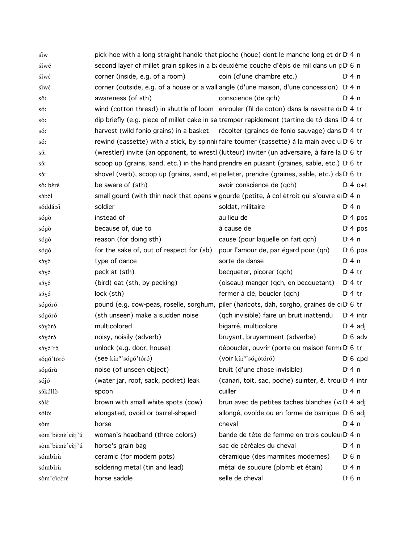| sîw             |                                          | pick-hoe with a long straight handle that pioche (houe) dont le manche long et dr D 4 n                   |                       |
|-----------------|------------------------------------------|-----------------------------------------------------------------------------------------------------------|-----------------------|
| siwé            |                                          | second layer of millet grain spikes in a ba deuxième couche d'épis de mil dans un p D 6 n                 |                       |
| $\sin \theta$   | corner (inside, e.g. of a room)          | coin (d'une chambre etc.)                                                                                 | $Di$ 4 n              |
| siwέ            |                                          | corner (outside, e.g. of a house or a wall angle (d'une maison, d'une concession) D.4 n                   |                       |
| sŏ:             | awareness (of sth)                       | conscience (de qch)                                                                                       | $Di$ 4 n              |
| só:             |                                          | wind (cotton thread) in shuttle of loom enrouler (fil de coton) dans la navette di $D4$ tr                |                       |
| só:             |                                          | dip briefly (e.g. piece of millet cake in sa tremper rapidement (tartine de tô dans ID: 4 tr              |                       |
| só:             |                                          | harvest (wild fonio grains) in a basket récolter (graines de fonio sauvage) dans D <sub>1</sub> 4 tr      |                       |
| só:             |                                          | rewind (cassette) with a stick, by spinnir faire tourner (cassette) à la main avec u D 6 tr               |                       |
| só:             |                                          | (wrestler) invite (an opponent, to wrestl (lutteur) inviter (un adversaire, à faire la D <sub>'6</sub> tr |                       |
| só:             |                                          | scoop up (grains, sand, etc.) in the hand prendre en puisant (graines, sable, etc.) D 6 tr                |                       |
| só:             |                                          | shovel (verb), scoop up (grains, sand, et pelleter, prendre (graines, sable, etc.) da D 6 tr              |                       |
| sŏ: bèré        | be aware of (sth)                        | avoir conscience de (qch)                                                                                 | $Dt4$ o+t             |
| sòbŏl           |                                          | small gourd (with thin neck that opens w gourde (petite, à col étroit qui s'ouvre e D 4 n                 |                       |
| sóddá:si        | soldier                                  | soldat, militaire                                                                                         | $Di$ 4 n              |
| sógò            | instead of                               | au lieu de                                                                                                | $Di$ 4 pos            |
| sógò            | because of, due to                       | à cause de                                                                                                | $Di$ 4 pos            |
| sógò            | reason (for doing sth)                   | cause (pour laquelle on fait qch)                                                                         | $Di$ 4 n              |
| sógò            | for the sake of, out of respect for (sb) | pour l'amour de, par égard pour (qn)                                                                      | $D \nvert 6$ pos      |
| s5y             | type of dance                            | sorte de danse                                                                                            | $Di$ 4 n              |
| sóyó            | peck at (sth)                            | becqueter, picorer (qch)                                                                                  | $Di4$ tr              |
| sóyó            | (bird) eat (sth, by pecking)             | (oiseau) manger (qch, en becquetant)                                                                      | $Di4$ tr              |
| sóyó            | lock (sth)                               | fermer à clé, boucler (qch)                                                                               | $Di4$ tr              |
| sógóró          |                                          | pound (e.g. cow-peas, roselle, sorghum, piler (haricots, dah, sorgho, graines de cD 6 tr                  |                       |
| sógóró          | (sth unseen) make a sudden noise         | (qch invisible) faire un bruit inattendu                                                                  | $Di$ 4 intr           |
| sòyòró          | multicolored                             | bigarré, multicolore                                                                                      | $D \cdot 4$ adj       |
| sóyóró          | noisy, noisily (adverb)                  | bruyant, bruyamment (adverbe)                                                                             | $D \cdot 6$ adv       |
| sóyó'ró         | unlock (e.g. door, house)                | déboucler, ouvrir (porte ou maison ferme D 6 tr                                                           |                       |
| sógó'tóró       | (see kù: <sup>n</sup> 'sógó'tóró)        | (voir kù: <sup>n</sup> 'sógótóró)                                                                         | $D \nvert 6$ cpd      |
| sógúrù          | noise (of unseen object)                 | bruit (d'une chose invisible)                                                                             | $Di$ 4 n              |
| sójó            | (water jar, roof, sack, pocket) leak     | (canari, toit, sac, poche) suinter, ê. trou D' 4 intr                                                     |                       |
| sókólló         | spoon                                    | cuiller                                                                                                   | $Di$ 4 n              |
| sólè            | brown with small white spots (cow)       | brun avec de petites taches blanches (va DI4 adj                                                          |                       |
| sólò:           | elongated, ovoid or barrel-shaped        | allongé, ovoïde ou en forme de barrique D 6 adj                                                           |                       |
| sŏm             | horse                                    | cheval                                                                                                    | $Di$ 4 n              |
| sòm'bè:nè'cèj'ú | woman's headband (three colors)          | bande de tête de femme en trois couleu D 4 n                                                              |                       |
| sòm'bè:nè'cèj'ú | horse's grain bag                        | sac de céréales du cheval                                                                                 | $Di$ 4 n              |
| sómbírù         | ceramic (for modern pots)                | céramique (des marmites modernes)                                                                         | $D0$ 6 n              |
| sómbírù         | soldering metal (tin and lead)           | métal de soudure (plomb et étain)                                                                         | $Di$ 4 n              |
| sòm'cícéré      | horse saddle                             | selle de cheval                                                                                           | $D \nvert 6 \nvert n$ |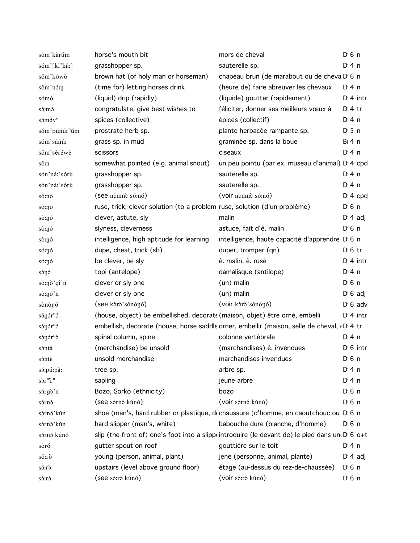| sòm'kàrúm                        | horse's mouth bit                                                           | mors de cheval                                                                                   | $D \nvert 6 \nvert n$ |
|----------------------------------|-----------------------------------------------------------------------------|--------------------------------------------------------------------------------------------------|-----------------------|
| sŏm'[kí'kâː]                     | grasshopper sp.                                                             | sauterelle sp.                                                                                   | $Di$ 4 n              |
| sŏm'kówò                         | brown hat (of holy man or horseman)                                         | chapeau brun (de marabout ou de cheva D <sub>'6</sub> n                                          |                       |
| sòm'nó:n                         | (time for) letting horses drink                                             | (heure de) faire abreuver les chevaux                                                            | $Di$ 4 n              |
| sómó                             | (liquid) drip (rapidly)                                                     | (liquide) goutter (rapidement)                                                                   | $Dt$ 4 intr           |
| só:mó                            | congratulate, give best wishes to                                           | féliciter, donner ses meilleurs vœux à                                                           | $Dt$ tr               |
| sómôy <sup>n</sup>               | spices (collective)                                                         | épices (collectif)                                                                               | $Di$ 4 n              |
| sǒm'púñúr <sup>n</sup> úm        | prostrate herb sp.                                                          | plante herbacée rampante sp.                                                                     | $D \cdot 5$ n         |
| sŏm'sáñû:                        | grass sp. in mud                                                            | graminée sp. dans la boue                                                                        | $BI$ 4 n              |
| sŏm'séréwè                       | scissors                                                                    | ciseaux                                                                                          | $Di$ 4 n              |
| sô:n                             | somewhat pointed (e.g. animal snout)                                        | un peu pointu (par ex. museau d'animal) D 4 cpd                                                  |                       |
| són'ná:'sórù                     | grasshopper sp.                                                             | sauterelle sp.                                                                                   | $Di$ 4 n              |
| són'ná:'sórù                     | grasshopper sp.                                                             | sauterelle sp.                                                                                   | $Di$ 4 n              |
| só:nó                            | (see nèmnè só:nó)                                                           | (voir němně só:nó)                                                                               | $DT$ 4 cpd            |
| sò:ŋó                            | ruse, trick, clever solution (to a problem ruse, solution (d'un problème)   |                                                                                                  | $D0$ n                |
| sò:ŋó                            | clever, astute, sly                                                         | malin                                                                                            | $D \cdot 4$ adj       |
| sò:nó                            | slyness, cleverness                                                         | astuce, fait d'ê. malin                                                                          | $D0$ 6 n              |
| sò:ŋó                            | intelligence, high aptitude for learning                                    | intelligence, haute capacité d'apprendre D <sub>'6</sub> n                                       |                       |
| só:ŋó                            | dupe, cheat, trick (sb)                                                     | duper, tromper (qn)                                                                              | $D \n6$ tr            |
| só:ŋó                            | be clever, be sly                                                           | ê. malin, ê. rusé                                                                                | $Dt$ 4 intr           |
| sònó                             | topi (antelope)                                                             | damalisque (antilope)                                                                            | D: 4n                 |
| sò:nò'gí'n                       | clever or sly one                                                           | (un) malin                                                                                       | $D \cdot 6$ n         |
| sò:nó'n                          | clever or sly one                                                           | (un) malin                                                                                       | $D \cdot 6$ adj       |
| sònònó                           | (see kòrò'sònònó)                                                           | (voir kòrò'sònònó)                                                                               | $D \nvert 6$ adv      |
| sónór <sup>n</sup> ó             | (house, object) be embellished, decorate (maison, objet) être orné, embelli |                                                                                                  | $Di$ 4 intr           |
| sónór <sup>n</sup> ó             |                                                                             | embellish, decorate (house, horse saddle orner, embellir (maison, selle de cheval, «D'4 tr       |                       |
| sònór <sup>n</sup> ò             | spinal column, spine                                                        | colonne vertébrale                                                                               | $Di$ 4 n              |
| sóntá                            | (merchandise) be unsold                                                     | (marchandises) ê. invendues                                                                      | $D16$ intr            |
| sóntè                            | unsold merchandise                                                          | marchandises invendues                                                                           | $D0$ n                |
| só:pú:pâ:                        | tree sp.                                                                    | arbre sp.                                                                                        | $Di$ 4 n              |
| sòr <sup>m</sup> i: <sup>n</sup> | sapling                                                                     | jeune arbre                                                                                      | $Di$ 4 n              |
| sórgò'n                          | Bozo, Sorko (ethnicity)                                                     | bozo                                                                                             | D <sup>i</sup> 6 n    |
| sórnó                            | (see sórnó kúnó)                                                            | (voir sórnó kúnó)                                                                                | $D \nvert 6 \nvert n$ |
| sòrnò'kǔn                        |                                                                             | shoe (man's, hard rubber or plastique, dochaussure (d'homme, en caoutchouc ou D 6 n              |                       |
| sòrnò'kǔn                        | hard slipper (man's, white)                                                 | babouche dure (blanche, d'homme)                                                                 | $D \, 6 \, n$         |
| sórnó kúnó                       |                                                                             | slip (the front of) one's foot into a slippe introduire (le devant de) le pied dans une De 6 o+t |                       |
| sòró                             | gutter spout on roof                                                        | gouttière sur le toit                                                                            | $Di$ 4 n              |
| sŏ:rò                            | young (person, animal, plant)                                               | jene (personne, animal, plante)                                                                  | $D \nmid 4$ adj       |
| $s$ $\delta$ : $r$ $\delta$      | upstairs (level above ground floor)                                         | étage (au-dessus du rez-de-chaussée)                                                             | $D0$ n                |
| só:ró                            | (see só:ró kúnó)                                                            | (voir só:ró kúnó)                                                                                | $D \nvert 6 \nvert n$ |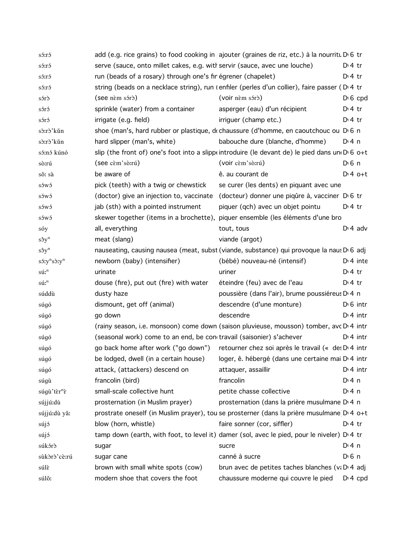| sórró                                      |                                                                            | add (e.g. rice grains) to food cooking in ajouter (graines de riz, etc.) à la nourritu D 6 tr  |                  |
|--------------------------------------------|----------------------------------------------------------------------------|------------------------------------------------------------------------------------------------|------------------|
| só:ró                                      | serve (sauce, onto millet cakes, e.g. with servir (sauce, avec une louche) |                                                                                                | $D \cdot 4$ tr   |
| só:ró                                      | run (beads of a rosary) through one's fin égrener (chapelet)               |                                                                                                | $D \cdot 4$ tr   |
| só:ró                                      |                                                                            | string (beads on a necklace string), run (enfiler (perles d'un collier), faire passer (D 4 tr  |                  |
| sórð                                       | (see nem sóró)                                                             | (voir nèm sórò)                                                                                | $D \nvert 6$ cpd |
| sóró                                       | sprinkle (water) from a container                                          | asperger (eau) d'un récipient                                                                  | $D \cdot 4$ tr   |
| sóró                                       | irrigate (e.g. field)                                                      | irriguer (champ etc.)                                                                          | $D \cdot 4$ tr   |
| sò:rò'kǔn                                  |                                                                            | shoe (man's, hard rubber or plastique, dochaussure (d'homme, en caoutchouc ou D 6 n            |                  |
| sò:rò'kǔn                                  | hard slipper (man's, white)                                                | babouche dure (blanche, d'homme)                                                               | $Dt$ 4 n         |
| só:nó kúnó                                 |                                                                            | slip (the front of) one's foot into a slippointroduire (le devant de) le pied dans une D 6 o+t |                  |
| sò:rú                                      | (see cèm'sò:rú)                                                            | (voir cèm'sò:rú)                                                                               | $D0$ n           |
| sŏ: sà                                     | be aware of                                                                | ê. au courant de                                                                               | $Dt 4 0+t$       |
| sówó                                       | pick (teeth) with a twig or chewstick                                      | se curer (les dents) en piquant avec une                                                       |                  |
| sówó                                       | (doctor) give an injection to, vaccinate                                   | (docteur) donner une piqûre à, vacciner D 6 tr                                                 |                  |
| sówó                                       | jab (sth) with a pointed instrument                                        | piquer (qch) avec un objet pointu                                                              | $D:4$ tr         |
| sówó                                       |                                                                            | skewer together (items in a brochette), piquer ensemble (les éléments d'une bro                |                  |
| sóy                                        | all, everything                                                            | tout, tous                                                                                     | $D \n4$ adv      |
| $s\hat{\sigma}y^n$                         | meat (slang)                                                               | viande (argot)                                                                                 |                  |
| $s\hat{\sigma}y^n$                         |                                                                            | nauseating, causing nausea (meat, subst (viande, substance) qui provoque la nau: D 6 adj       |                  |
| $s$ 5:y <sup>n</sup> s $s$ :y <sup>n</sup> | newborn (baby) (intensifier)                                               | (bébé) nouveau-né (intensif)                                                                   | $Di$ 4 inte      |
| $s\acute{u}:$ <sup>n</sup>                 | urinate                                                                    | uriner                                                                                         | $Di4$ tr         |
| $s\acute{u}:$ <sup>n</sup>                 | douse (fire), put out (fire) with water                                    | éteindre (feu) avec de l'eau                                                                   | $D:4$ tr         |
| súddù                                      | dusty haze                                                                 | poussière (dans l'air), brume poussiéreus D <sub>14</sub> n                                    |                  |
| súgó                                       | dismount, get off (animal)                                                 | descendre (d'une monture)                                                                      | $D \cdot 6$ intr |
| súgó                                       | go down                                                                    | descendre                                                                                      | $Di$ 4 intr      |
| súgó                                       |                                                                            | (rainy season, i.e. monsoon) come down (saison pluvieuse, mousson) tomber, avc D'4 intr        |                  |
| súgó                                       | (seasonal work) come to an end, be con travail (saisonier) s'achever       |                                                                                                | $Di$ 4 intr      |
| súgó                                       |                                                                            | go back home after work ("go down") retourner chez soi après le travail (« de: D'4 intr        |                  |
| súgó                                       |                                                                            | be lodged, dwell (in a certain house) loger, ê. hébergé (dans une certaine mai D'4 intr        |                  |
| súgó                                       | attack, (attackers) descend on                                             | attaquer, assaillir                                                                            | $Dt$ 4 intr      |
| súgù                                       | francolin (bird)                                                           | francolin                                                                                      | $Di$ 4 n         |
| súgù'tèr <sup>n</sup> è                    | small-scale collective hunt                                                | petite chasse collective                                                                       | $Di$ 4 n         |
| sújjú:dù                                   | prosternation (in Muslim prayer)                                           | prosternation (dans la prière musulmane D <sub>14</sub> n                                      |                  |
| sújjú:dù yǎ:                               |                                                                            | prostrate oneself (in Muslim prayer), tou se prosterner (dans la prière musulmane D 4 o+t      |                  |
| sújó                                       | blow (horn, whistle)                                                       | faire sonner (cor, siffler)                                                                    | $Di4$ tr         |
| sújó                                       |                                                                            | tamp down (earth, with foot, to level it) damer (sol, avec le pied, pour le niveler) D 4 tr    |                  |
| súkórð                                     | sugar                                                                      | sucre                                                                                          | $Di$ 4 n         |
| sùkòrò'cè:rú                               | sugar cane                                                                 | canné à sucre                                                                                  | $D0$ n           |
| súlè                                       | brown with small white spots (cow)                                         | brun avec de petites taches blanches (v: DI4 adj                                               |                  |
| súlô:                                      | modern shoe that covers the foot                                           | chaussure moderne qui couvre le pied                                                           | $D: 4$ cpd       |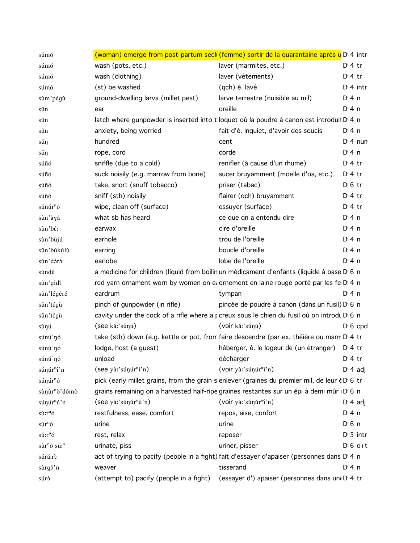| súmó                                |                                         | (woman) emerge from post-partum secli (femme) sortir de la quarantaine après u D <sup>, 4</sup> intr |                       |
|-------------------------------------|-----------------------------------------|------------------------------------------------------------------------------------------------------|-----------------------|
| súmó                                | wash (pots, etc.)                       | laver (marmites, etc.)                                                                               | $Di4$ tr              |
| súmó                                | wash (clothing)                         | laver (vêtements)                                                                                    | $Di4$ tr              |
| súmó                                | (st) be washed                          | (qch) ê. lavé                                                                                        | $Dt$ 4 intr           |
| sùm'pégù                            | ground-dwelling larva (millet pest)     | larve terrestre (nuisible au mil)                                                                    | $Di$ 4 n              |
| sûn                                 | ear                                     | oreille                                                                                              | $Di$ 4 n              |
| sûn                                 |                                         | latch where gunpowder is inserted into t loquet où la poudre à canon est introduit D <sub>14</sub> n |                       |
| sûn                                 | anxiety, being worried                  | fait d'ê. inquiet, d'avoir des soucis                                                                | $Di$ 4 n              |
| sǔŋ                                 | hundred                                 | cent                                                                                                 | $Di$ 4 nun            |
| sǔŋ                                 | rope, cord                              | corde                                                                                                | $Di$ 4 n              |
| súñó                                | sniffle (due to a cold)                 | renifler (à cause d'un rhume)                                                                        | $Di4$ tr              |
| súñó                                | suck noisily (e.g. marrow from bone)    | sucer bruyamment (moelle d'os, etc.)                                                                 | $Di4$ tr              |
| súñó                                | take, snort (snuff tobacco)             | priser (tabac)                                                                                       | $D \n6$ tr            |
| súñó                                | sniff (sth) noisily                     | flairer (qch) bruyamment                                                                             | $Di4$ tr              |
| súñúr <sup>n</sup> ó                | wipe, clean off (surface)               | essuyer (surface)                                                                                    | $Di4$ tr              |
| sùn'àyá                             | what sb has heard                       | ce que qn a entendu dire                                                                             | $Di$ 4 n              |
| sùn'bé:                             | earwax                                  | cire d'oreille                                                                                       | $Di$ 4 n              |
| sùn'bùjú                            | earhole                                 | trou de l'oreille                                                                                    | $Di$ 4 n              |
| sûn'búkúlù                          | earring                                 | boucle d'oreille                                                                                     | $Di$ 4 n              |
| sùn'dóró                            | earlobe                                 | lobe de l'oreille                                                                                    | $Di$ 4 n              |
| súndù                               |                                         | a medicine for children (liquid from boilin un médicament d'enfants (liquide à base D 6 n            |                       |
| sùn'gídi                            |                                         | red yarn ornament worn by women on et ornement en laine rouge porté par les fe D'4 n                 |                       |
| sùn'légéré                          | eardrum                                 | tympan                                                                                               | $Di$ 4 n              |
| sûn'tégù                            | pinch of gunpowder (in rifle)           | pincée de poudre à canon (dans un fusil) D 6 n                                                       |                       |
| sûn'tégù                            |                                         | cavity under the cock of a rifle where a <i>k</i> creux sous le chien du fusil où on introdu D 6 n   |                       |
| sùŋú                                | (see ká:'súnù)                          | (voir ká:'súnù)                                                                                      | $D \, 6$ cpd          |
| súnú'nó                             |                                         | take (sth) down (e.g. kettle or pot, from faire descendre (par ex. théière ou marm D'4 tr            |                       |
| súnú'nó                             | lodge, host (a guest)                   | héberger, ê. le logeur de (un étranger) D <sub>14</sub> tr                                           |                       |
| súnú'nó                             | unload                                  | décharger                                                                                            | $Dt$ 4 tr             |
| súnúr <sup>n</sup> í'n              | (see yà:'súnut <sup>n</sup> i'n)        | (voir yà:'súnur <sup>n</sup> í'n)                                                                    | $D: 4$ adj            |
| súŋúr <sup>n</sup> ó                |                                         | pick (early millet grains, from the grain s enlever (graines du premier mil, de leur é D 6 tr        |                       |
| sùnùr <sup>n</sup> ò' dómò          |                                         | grains remaining on a harvested half-ripe graines restantes sur un épi à demi mûr D 6 n              |                       |
| súŋúr <sup>n</sup> ú'n              | (see yà:'súŋúr <sup>n</sup> ú'n)        | (voir yà:'súŋúr <sup>n</sup> í'n)                                                                    | $D \cdot 4$ adj       |
| $s\tilde{u}$ : $r^n\tilde{o}$       | restfulness, ease, comfort              | repos, aise, confort                                                                                 | $Di$ 4 n              |
| $s\tilde{u}r^n$ ó                   | urine                                   | urine                                                                                                | $D \nvert 6 \nvert n$ |
| $s$ ú: $r^n$ ó                      | rest, relax                             | reposer                                                                                              | $D \cdot 5$ intr      |
| sùr <sup>n</sup> ó sú: <sup>n</sup> | urinate, piss                           | uriner, pisser                                                                                       | $D \cdot 6$ o+t       |
| súrá:rè                             |                                         | act of trying to pacify (people in a fight) fait d'essayer d'apaiser (personnes dans D 4 n           |                       |
| sùrgð'n                             | weaver                                  | tisserand                                                                                            | $Di$ 4 n              |
| súró                                | (attempt to) pacify (people in a fight) | (essayer d') apaiser (personnes dans un D 4 tr                                                       |                       |
|                                     |                                         |                                                                                                      |                       |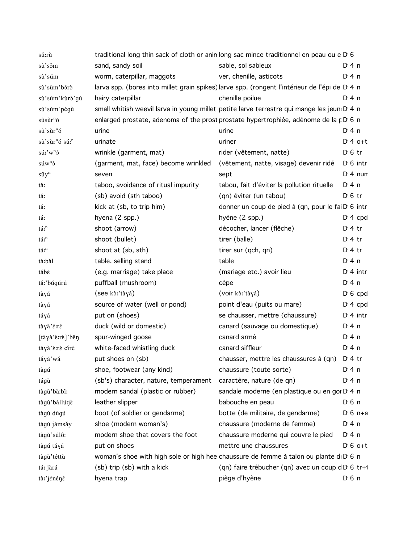| sŭ:rù                                        |                                       | traditional long thin sack of cloth or anin long sac mince traditionnel en peau ou e D 6                  |                       |
|----------------------------------------------|---------------------------------------|-----------------------------------------------------------------------------------------------------------|-----------------------|
| sù'sŏm                                       | sand, sandy soil                      | sable, sol sableux                                                                                        | $Di$ 4 n              |
| sù'súm                                       | worm, caterpillar, maggots            | ver, chenille, asticots                                                                                   | $Di$ 4 n              |
| sù'sùm'bórò                                  |                                       | larva spp. (bores into millet grain spikes) larve spp. (rongent l'intérieur de l'épi de D <sub>14</sub> n |                       |
| sù'sùm'kùrò'gú                               | hairy caterpillar                     | chenille poilue                                                                                           | $Di$ 4 n              |
| sù'sùm'pégù                                  |                                       | small whitish weevil larva in young millet petite larve terrestre qui mange les jeun D 4 n                |                       |
| $s\grave{u}s\grave{u}r^n\acute{o}$           |                                       | enlarged prostate, adenoma of the prost prostate hypertrophiée, adénome de la p D 6 n                     |                       |
| sù'sùr <sup>n</sup> ó                        | urine                                 | urine                                                                                                     | D: 4 n                |
| sù'sùr <sup>n</sup> ó sú: <sup>n</sup>       | urinate                               | uriner                                                                                                    | $D:4$ o+t             |
| $s\acute{u}$ :' $w$ <sup>n</sup> $\acute{0}$ | wrinkle (garment, mat)                | rider (vêtement, natte)                                                                                   | $D \n6$ tr            |
| $s$ úw <sup>n</sup> $\delta$                 | (garment, mat, face) become wrinkled  | (vêtement, natte, visage) devenir ridé                                                                    | $D \n 6$ intr         |
| $s\hat{u}y^n$                                | seven                                 | sept                                                                                                      | $Di$ 4 nun            |
| tă:                                          | taboo, avoidance of ritual impurity   | tabou, fait d'éviter la pollution rituelle                                                                | D:4n                  |
| tá:                                          | (sb) avoid (sth taboo)                | (qn) éviter (un tabou)                                                                                    | $D \n6$ tr            |
| tá:                                          | kick at (sb, to trip him)             | donner un coup de pied à (qn, pour le fai D 6 intr                                                        |                       |
| tá:                                          | hyena (2 spp.)                        | hyène (2 spp.)                                                                                            | $D: 4$ cpd            |
| tá: <sup>n</sup>                             | shoot (arrow)                         | décocher, lancer (flêche)                                                                                 | $Dt$ 4 tr             |
| tá: <sup>n</sup>                             | shoot (bullet)                        | tirer (balle)                                                                                             | $Dt$ 4 tr             |
| tá: <sup>n</sup>                             | shoot at (sb, sth)                    | tirer sur (qch, qn)                                                                                       | $Dt$ 4 tr             |
| tà:bǎl                                       | table, selling stand                  | table                                                                                                     | $Di$ 4 n              |
| tábé                                         | (e.g. marriage) take place            | (mariage etc.) avoir lieu                                                                                 | $D:4$ intr            |
| tá:'búgúrú                                   | puffball (mushroom)                   | cèpe                                                                                                      | $Di$ 4 n              |
| tàyá                                         | (see kò:'tàyá)                        | (voir kò:'tàyá)                                                                                           | $D \nvert 6$ cpd      |
| tàyá                                         | source of water (well or pond)        | point d'eau (puits ou mare)                                                                               | D <sup>i</sup> 4 cpd  |
| táyá                                         | put on (shoes)                        | se chausser, mettre (chaussure)                                                                           | $Dt$ 4 intr           |
| tàyà'é:ré                                    | duck (wild or domestic)               | canard (sauvage ou domestique)                                                                            | $Di$ 4 n              |
| [tàyà'ɛ̀:rɛ̀]'bɛ̃ŋ                           | spur-winged goose                     | canard armé                                                                                               | $Di$ 4 n              |
| tàyà'è:rè círé                               | white-faced whistling duck            | canard siffleur                                                                                           | $Di$ 4 n              |
| táyá'wá                                      | put shoes on (sb)                     | chausser, mettre les chaussures à (qn) D'4 tr                                                             |                       |
| tàgú                                         | shoe, footwear (any kind)             | chaussure (toute sorte)                                                                                   | $Di$ 4 n              |
| tágù                                         | (sb's) character, nature, temperament | caractère, nature (de qn)                                                                                 | $Di$ 4 n              |
| tàgù'bà:biː                                  | modern sandal (plastic or rubber)     | sandale moderne (en plastique ou en gor D 4 n                                                             |                       |
| tàgù'bállú:jè                                | leather slipper                       | babouche en peau                                                                                          | $D \nvert 6 \nvert n$ |
| tàgù dùgú                                    | boot (of soldier or gendarme)         | botte (de militaire, de gendarme)                                                                         | $D \cdot 6$ n+a       |
| tàgù jàmsǎy                                  | shoe (modern woman's)                 | chaussure (moderne de femme)                                                                              | $Di$ 4 n              |
| tàgù'súlô:                                   | modern shoe that covers the foot      | chaussure moderne qui couvre le pied                                                                      | $Di$ 4 n              |
| tàgú táyá                                    | put on shoes                          | mettre une chaussures                                                                                     | $D \cdot 6$ o+t       |
| tàgù'téttù                                   |                                       | woman's shoe with high sole or high hee chaussure de femme à talon ou plante di D <sub>1</sub> 6 n        |                       |
| tá: jàrá                                     | (sb) trip (sb) with a kick            | (qn) faire trébucher (qn) avec un coup dD 6 tr+1                                                          |                       |
| tà:'jénéné                                   | hyena trap                            | piège d'hyène                                                                                             | $D \nvert 6 \nvert n$ |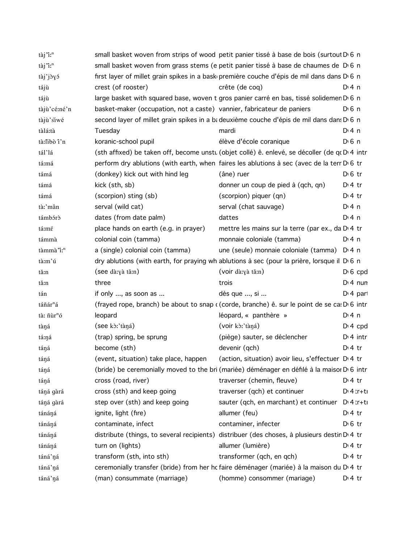| tàj'i: <sup>n</sup>               |                                                                        | small basket woven from strips of wood petit panier tissé à base de bois (surtout D 6 n                |                       |
|-----------------------------------|------------------------------------------------------------------------|--------------------------------------------------------------------------------------------------------|-----------------------|
| tàj'i:"                           |                                                                        | small basket woven from grass stems (e petit panier tissé à base de chaumes de D <sub>0</sub> n        |                       |
| tàj'jòyó                          |                                                                        | first layer of millet grain spikes in a bask première couche d'épis de mil dans dans D 6 n             |                       |
| tájù                              | crest (of rooster)                                                     | crête (de cog)                                                                                         | $Dt$ n                |
| tájù                              |                                                                        | large basket with squared base, woven t gros panier carré en bas, tissé solidemen D 6 n                |                       |
| tàjù'cé:né'n                      | basket-maker (occupation, not a caste) vannier, fabricateur de paniers |                                                                                                        | $D0$ n                |
| tàjù'siwé                         |                                                                        | second layer of millet grain spikes in a badeuxième couche d'épis de mil dans dans D 6 n               |                       |
| tàlá:tà                           | Tuesday                                                                | mardi                                                                                                  | $Di$ 4 n              |
| tà:libò î'n                       | koranic-school pupil                                                   | élève d'école coranique                                                                                | $D \nvert 6 \nvert n$ |
| tál'lá                            |                                                                        | (sth affixed) be taken off, become unstu (objet collé) ê. enlevé, se décoller (de qu D 4 intr          |                       |
| tá:má                             |                                                                        | perform dry ablutions (with earth, when faires les ablutions à sec (avec de la terr D <sub>16</sub> tr |                       |
| támá                              | (donkey) kick out with hind leg                                        | (âne) ruer                                                                                             | $D \n6$ tr            |
| támá                              | kick (sth, sb)                                                         | donner un coup de pied à (qch, qn)                                                                     | $Dt$ tr               |
| támá                              | (scorpion) sting (sb)                                                  | (scorpion) piquer (qn)                                                                                 | $D:4$ tr              |
| tàː'mân                           | serval (wild cat)                                                      | serval (chat sauvage)                                                                                  | $Di$ 4 n              |
| támbórð                           | dates (from date palm)                                                 | dattes                                                                                                 | $Di$ 4 n              |
| tá:mé                             | place hands on earth (e.g. in prayer)                                  | mettre les mains sur la terre (par ex., da D 4 tr                                                      |                       |
| támmà                             | colonial coin (tamma)                                                  | monnaie coloniale (tamma)                                                                              | $Di$ 4 n              |
| tàmmà "iː <sup>n</sup>            | a (single) colonial coin (tamma)                                       | une (seule) monnaie coloniale (tamma)                                                                  | D: 4n                 |
| tà:m'ú                            |                                                                        | dry ablutions (with earth, for praying wh ablutions à sec (pour la prière, lorsque il D 6 n            |                       |
| tă:n                              | (see dà:yà tǎ:n)                                                       | (voir dà:yà tă:n)                                                                                      | $D \nvert 6$ cpd      |
| tă:n                              | three                                                                  | trois                                                                                                  | $Di$ 4 nun            |
| tán                               | if only , as soon as                                                   | dès que , si                                                                                           | D <sub>1</sub> 4 part |
| táñár <sup>n</sup> á              |                                                                        | (frayed rope, branch) be about to snap ((corde, branche) ê. sur le point de se ca: D'6 intr            |                       |
| tà: $\tilde{n}$ ùr <sup>n</sup> ó | leopard                                                                | léopard, « panthère »                                                                                  | $Di$ 4 n              |
| tàná                              | (see kò:'tàná)                                                         | (voir kò:'tàná)                                                                                        | $D: 4$ cpd            |
| tá:ŋá                             | (trap) spring, be sprung                                               | (piège) sauter, se déclencher                                                                          | $Dt$ 4 intr           |
| táná                              | become (sth)                                                           | devenir (qch)                                                                                          | $D:4$ tr              |
| táŋá                              | (event, situation) take place, happen                                  | (action, situation) avoir lieu, s'effectuer D <sub>'</sub> 4 tr                                        |                       |
| táŋá                              |                                                                        | (bride) be ceremonially moved to the bri (mariée) déménager en défilé à la maisor D 6 intr             |                       |
| táŋá                              | cross (road, river)                                                    | traverser (chemin, fleuve)                                                                             | $Di4$ tr              |
| táná gàrá                         | cross (sth) and keep going                                             | traverser (qch) et continuer                                                                           | $Dt$ 4 tr+ti          |
| táná gàrá                         | step over (sth) and keep going                                         | sauter (qch, en marchant) et continuer                                                                 | $Di$ 4 tr+ti          |
| tánáná                            | ignite, light (fire)                                                   | allumer (feu)                                                                                          | $D:4$ tr              |
| tánáná                            | contaminate, infect                                                    | contaminer, infecter                                                                                   | $D \n6$ tr            |
| tánáná                            |                                                                        | distribute (things, to several recipients) distribuer (des choses, à plusieurs destin D'4 tr           |                       |
| tánáná                            | turn on (lights)                                                       | allumer (lumière)                                                                                      | $D:4$ tr              |
| táná'ná                           | transform (sth, into sth)                                              | transformer (qch, en qch)                                                                              | $Dt4$ tr              |
| táná'ná                           |                                                                        | ceremonially transfer (bride) from her hc faire déménager (mariée) à la maison du D <sub>14</sub> tr   |                       |
| táná'ná                           | (man) consummate (marriage)                                            | (homme) consommer (mariage)                                                                            | $Di4$ tr              |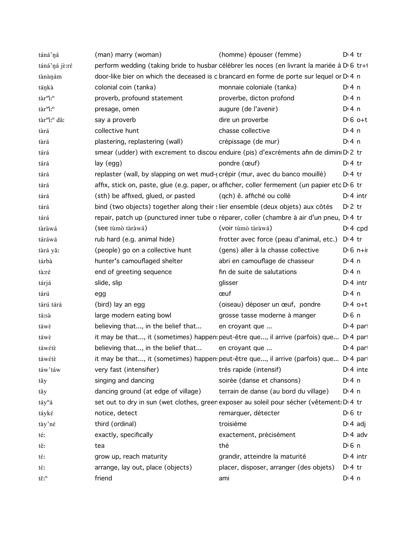| táná'ná                            | (man) marry (woman)                                                            | (homme) épouser (femme)                                                                       | $Dt$ 4 tr             |
|------------------------------------|--------------------------------------------------------------------------------|-----------------------------------------------------------------------------------------------|-----------------------|
| táná'ná jè:ré                      |                                                                                | perform wedding (taking bride to husbar célébrer les noces (en livrant la mariée à D'6 tr+1   |                       |
| tànànám                            |                                                                                | door-like bier on which the deceased is c brancard en forme de porte sur lequel or D 4 n      |                       |
| tánkà                              | colonial coin (tanka)                                                          | monnaie coloniale (tanka)                                                                     | D:4n                  |
| tàr <sup>m</sup> i: <sup>n</sup>   | proverb, profound statement                                                    | proverbe, dicton profond                                                                      | $Di$ 4 n              |
| tàr <sup>m</sup> i: <sup>n</sup>   | presage, omen                                                                  | augure (de l'avenir)                                                                          | $Di$ 4 n              |
| tàr"i: <sup>n</sup> dă:            | say a proverb                                                                  | dire un proverbe                                                                              | $D \cdot 6$ o+t       |
| tàrá                               | collective hunt                                                                | chasse collective                                                                             | $Di$ 4 n              |
| tàrá                               | plastering, replastering (wall)                                                | crépissage (de mur)                                                                           | $Di$ 4 n              |
| tárá                               |                                                                                | smear (udder) with excrement to discou enduire (pis) d'excréments afin de dimini D 2 tr       |                       |
| tárá                               | lay (egg)                                                                      | pondre (œuf)                                                                                  | $Di4$ tr              |
| tárá                               | replaster (wall, by slapping on wet mud-(crépir (mur, avec du banco mouillé)   |                                                                                               | $Di4$ tr              |
| tárá                               |                                                                                | affix, stick on, paste, glue (e.g. paper, or afficher, coller fermement (un papier etc D 6 tr |                       |
| tárá                               | (sth) be affixed, glued, or pasted                                             | (qch) ê. affiché ou collé                                                                     | $Di$ 4 intr           |
| tárá                               | bind (two objects) together along their slier ensemble (deux objets) aux côtés |                                                                                               | $D2$ tr               |
| tárá                               |                                                                                | repair, patch up (punctured inner tube o réparer, coller (chambre à air d'un pneu, D.4 tr     |                       |
| tàràwá                             | (see tùmò tàràwá)                                                              | (voir tùmò tàràwá)                                                                            | $Di$ 4 cpd            |
| táráwá                             | rub hard (e.g. animal hide)                                                    | frotter avec force (peau d'animal, etc.)                                                      | $D:4$ tr              |
| tàrá yǎ:                           | (people) go on a collective hunt                                               | (gens) aller à la chasse collective                                                           | $D \cdot 6$ n+ii      |
| tárbà                              | hunter's camouflaged shelter                                                   | abri en camouflage de chasseur                                                                | $Di$ 4 n              |
| tà:ré                              | end of greeting sequence                                                       | fin de suite de salutations                                                                   | $Di$ 4 n              |
| tárjá                              | slide, slip                                                                    | glisser                                                                                       | $Di$ 4 intr           |
| tárú                               | egg                                                                            | œuf                                                                                           | $Di$ 4 n              |
| tárú tárá                          | (bird) lay an egg                                                              | (oiseau) déposer un œuf, pondre                                                               | $D:4$ o+t             |
| tá:sà                              | large modern eating bowl                                                       | grosse tasse moderne à manger                                                                 | $D \n6$ n             |
| táwè                               | believing that, in the belief that                                             | en croyant que                                                                                | D <sub>1</sub> 4 part |
| táwè                               |                                                                                | it may be that, it (sometimes) happen: peut-être que, il arrive (parfois) que D'4 pari        |                       |
| táwétè                             | believing that, in the belief that                                             | en croyant que                                                                                | $Di$ 4 part           |
| táwétè                             |                                                                                | it may be that, it (sometimes) happen: peut-être que, il arrive (parfois) que D'4 par         |                       |
| táw'táw                            | very fast (intensifier)                                                        | très rapide (intensif)                                                                        | $Di$ 4 inte           |
| tǎy                                | singing and dancing                                                            | soirée (danse et chansons)                                                                    | $Di$ 4 n              |
| tăy                                | dancing ground (at edge of village)                                            | terrain de danse (au bord du village)                                                         | D:4n                  |
| táy <sup>n</sup> á                 |                                                                                | set out to dry in sun (wet clothes, green exposer au soleil pour sécher (vêtement: D.4 tr     |                       |
| táyké                              | notice, detect                                                                 | remarquer, détecter                                                                           | $D0$ fr               |
| tày'né                             | third (ordinal)                                                                | troisième                                                                                     | $D \cdot 4$ adj       |
| té:                                | exactly, specifically                                                          | exactement, précisément                                                                       | $Di$ 4 adv            |
| tê:                                | tea                                                                            | thé                                                                                           | $D \n6$ n             |
| té:                                | grow up, reach maturity                                                        | grandir, atteindre la maturité                                                                | $Di$ 4 intr           |
| té:                                | arrange, lay out, place (objects)                                              | placer, disposer, arranger (des objets)                                                       | $Di4$ tr              |
| $t\check{\epsilon}$ : <sup>n</sup> | friend                                                                         | ami                                                                                           | $Di$ 4 n              |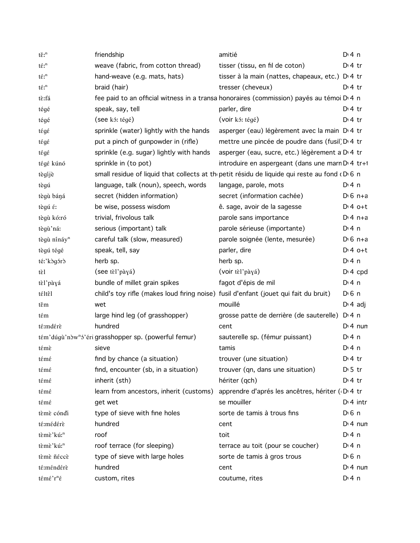| $t\check{\epsilon}$ : <sup>n</sup> | friendship                                                                           | amitié                                                                                               | $Di$ 4 n              |
|------------------------------------|--------------------------------------------------------------------------------------|------------------------------------------------------------------------------------------------------|-----------------------|
| $t\acute{\epsilon}$ : ${}^{\rm n}$ | weave (fabric, from cotton thread)                                                   | tisser (tissu, en fil de coton)                                                                      | $D \cdot 4$ tr        |
| $t\acute{\epsilon}$ : <sup>n</sup> | hand-weave (e.g. mats, hats)                                                         | tisser à la main (nattes, chapeaux, etc.) D <sub>1</sub> 4 tr                                        |                       |
| $t\hat{\epsilon}$ : <sup>n</sup>   | braid (hair)                                                                         | tresser (cheveux)                                                                                    | $Di4$ tr              |
| tè:fá                              |                                                                                      | fee paid to an official witness in a transa honoraires (commission) payés au témoi D 4 n             |                       |
| tégé                               | speak, say, tell                                                                     | parler, dire                                                                                         | $Dt$ 4 tr             |
| tégé                               | (see kó: tégé)                                                                       | (voir kó: tégé)                                                                                      | $Di4$ tr              |
| tégé                               | sprinkle (water) lightly with the hands                                              | asperger (eau) légèrement avec la main D 4 tr                                                        |                       |
| tégé                               | put a pinch of gunpowder in (rifle)                                                  | mettre une pincée de poudre dans (fusil) D' 4 tr                                                     |                       |
| tégé                               | sprinkle (e.g. sugar) lightly with hands                                             | asperger (eau, sucre, etc.) légèrement a D <sub>1</sub> 4 tr                                         |                       |
| tégé kúnó                          | sprinkle in (to pot)                                                                 | introduire en aspergeant (dans une marn D' 4 tr+1                                                    |                       |
| tègijè                             |                                                                                      | small residue of liquid that collects at the petit résidu de liquide qui reste au fond $(D \ 6 \ n)$ |                       |
| tègú                               | language, talk (noun), speech, words                                                 | langage, parole, mots                                                                                | $Di$ 4 n              |
| tègù báná                          | secret (hidden information)                                                          | secret (information cachée)                                                                          | $D \cdot 6$ n+a       |
| tègú é:                            | be wise, possess wisdom                                                              | ê. sage, avoir de la sagesse                                                                         | $Dt 4 0+t$            |
| tègù kó:ró                         | trivial, frivolous talk                                                              | parole sans importance                                                                               | $Di 4 n+a$            |
| tègù'ná:                           | serious (important) talk                                                             | parole sérieuse (importante)                                                                         | $Di$ 4 n              |
| tègù nínáy <sup>n</sup>            | careful talk (slow, measured)                                                        | parole soignée (lente, mesurée)                                                                      | $D \cdot 6$ n+a       |
| tègú tégé                          | speak, tell, say                                                                     | parler, dire                                                                                         | $D:4$ o+t             |
| té:'kògórò                         | herb sp.                                                                             | herb sp.                                                                                             | $Di$ 4 n              |
| tèl                                | (see tèl'pàyá)                                                                       | (voir tèl'pàyá)                                                                                      | $Di$ 4 cpd            |
| tèl'pàyá                           | bundle of millet grain spikes                                                        | fagot d'épis de mil                                                                                  | $Di$ 4 n              |
| téltêl                             | child's toy rifle (makes loud firing noise) fusil d'enfant (jouet qui fait du bruit) |                                                                                                      | $D \n6$ n             |
| těm                                | wet                                                                                  | mouillé                                                                                              | $D \cdot 4$ adj       |
| tέm                                | large hind leg (of grasshopper)                                                      | grosse patte de derrière (de sauterelle)                                                             | D <sup>i</sup> 4n     |
| té:mdérè                           | hundred                                                                              | cent                                                                                                 | $Di$ 4 nun            |
|                                    | tém'dúgù'nòw <sup>n</sup> ó'éri grasshopper sp. (powerful femur)                     | sauterelle sp. (fémur puissant)                                                                      | $Di$ 4 n              |
| témè                               | sieve                                                                                | tamis                                                                                                | $Di$ 4 n              |
| témé                               | find by chance (a situation)                                                         | trouver (une situation)                                                                              | $Di4$ tr              |
| témé                               | find, encounter (sb, in a situation)                                                 | trouver (qn, dans une situation)                                                                     | $D \cdot 5$ tr        |
| témé                               | inherit (sth)                                                                        | hériter (qch)                                                                                        | $Dt$ 4 tr             |
| témé                               | learn from ancestors, inherit (customs)                                              | apprendre d'aprés les ancêtres, hériter (D 4 tr                                                      |                       |
| témé                               | get wet                                                                              | se mouiller                                                                                          | $Di$ 4 intr           |
| tèmè cóndi                         | type of sieve with fine holes                                                        | sorte de tamis à trous fins                                                                          | $D0$ 6 n              |
| té:médérè                          | hundred                                                                              | cent                                                                                                 | $Di$ 4 nun            |
| tèmè'kú: <sup>n</sup>              | roof                                                                                 | toit                                                                                                 | $Di$ 4 n              |
| tèmè'kú: <sup>n</sup>              | roof terrace (for sleeping)                                                          | terrace au toit (pour se coucher)                                                                    | $Di$ 4 n              |
| tèmè ñéccè                         | type of sieve with large holes                                                       | sorte de tamis à gros trous                                                                          | $D \nvert 6 \nvert n$ |
| té:méndérè                         | hundred                                                                              | cent                                                                                                 | $Di$ 4 nun            |
| témé'r <sup>n</sup> é              | custom, rites                                                                        | coutume, rites                                                                                       | $Di$ 4 n              |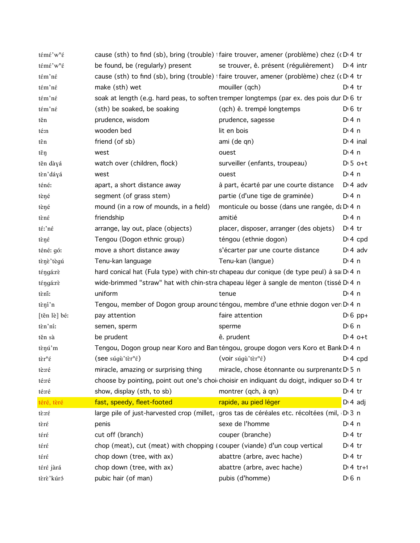| témé'w <sup>n</sup> é                  |                                                                           | cause (sth) to find (sb), bring (trouble) +faire trouver, amener (problème) chez (cD+4 tr            |                       |                  |
|----------------------------------------|---------------------------------------------------------------------------|------------------------------------------------------------------------------------------------------|-----------------------|------------------|
| témé'w <sup>n</sup> é                  | be found, be (regularly) present                                          | se trouver, ê. présent (régulièrement)                                                               |                       | $D:4$ intr       |
| tém'né                                 |                                                                           | cause (sth) to find (sb), bring (trouble)   faire trouver, amener (problème) chez (cD 4 tr           |                       |                  |
| tém'né                                 | make (sth) wet                                                            | mouiller (qch)                                                                                       | $Di4$ tr              |                  |
| tém'né                                 |                                                                           | soak at length (e.g. hard peas, to soften tremper longtemps (par ex. des pois dur D <sub>'6</sub> tr |                       |                  |
| tém'né                                 | (sth) be soaked, be soaking                                               | (qch) ê. trempé longtemps                                                                            | $D \n6$ tr            |                  |
| těn                                    | prudence, wisdom                                                          | prudence, sagesse                                                                                    | $Di$ 4 n              |                  |
| té:n                                   | wooden bed                                                                | lit en bois                                                                                          | $Di$ 4 n              |                  |
| tên                                    | friend (of sb)                                                            | ami (de qn)                                                                                          |                       | $Dt$ 4 inal      |
| těŋ                                    | west                                                                      | ouest                                                                                                | $Di$ 4 n              |                  |
| těn dàyá                               | watch over (children, flock)                                              | surveiller (enfants, troupeau)                                                                       |                       | $D \cdot 5$ o+t  |
| tèn'dáyá                               | west                                                                      | ouest                                                                                                | $Di$ 4 n              |                  |
| téné:                                  | apart, a short distance away                                              | à part, écarté par une courte distance                                                               |                       | $Di$ 4 adv       |
| tèné                                   | segment (of grass stem)                                                   | partie (d'une tige de graminée)                                                                      | D: 4n                 |                  |
| tèné                                   | mound (in a row of mounds, in a field)                                    | monticule ou bosse (dans une rangée, da D 4 n                                                        |                       |                  |
| tèné                                   | friendship                                                                | amitié                                                                                               | $Di$ 4 n              |                  |
| té:'né                                 | arrange, lay out, place (objects)                                         | placer, disposer, arranger (des objets)                                                              | $D:4$ tr              |                  |
| tèné                                   | Tengou (Dogon ethnic group)                                               | téngou (ethnie dogon)                                                                                |                       | $Di$ 4 cpd       |
| téné: gó:                              | move a short distance away                                                | s'écarter par une courte distance                                                                    |                       | $D \cdot 4$ adv  |
| tènè'tègú                              | Tenu-kan language                                                         | Tenu-kan (langue)                                                                                    | D: 4n                 |                  |
| téngá:rè                               |                                                                           | hard conical hat (Fula type) with chin-str chapeau dur conique (de type peul) à sa D'4 n             |                       |                  |
| téngá:rè                               |                                                                           | wide-brimmed "straw" hat with chin-stra chapeau léger à sangle de menton (tissé D' 4 n               |                       |                  |
| tèni:                                  | uniform                                                                   | tenue                                                                                                | D:4n                  |                  |
| tèní'n                                 |                                                                           | Tengou, member of Dogon group around téngou, membre d'une ethnie dogon ver D'4 n                     |                       |                  |
| [těn lè] bé:                           | pay attention                                                             | faire attention                                                                                      |                       | $D \nvert 6 pp+$ |
| tèn'ni:                                | semen, sperm                                                              | sperme                                                                                               | D <sub>1</sub> 6n     |                  |
| těn sà                                 | be prudent                                                                | ê. prudent                                                                                           |                       | $Di4$ o+t        |
| tènú'm                                 |                                                                           | Tengou, Dogon group near Koro and Ban téngou, groupe dogon vers Koro et Bank D' 4 n                  |                       |                  |
| $t\grave{\epsilon}r^n\acute{\epsilon}$ | (see súgù'tèr <sup>n</sup> é) (voir súgù'tèr <sup>n</sup> é)              |                                                                                                      |                       | $D \n4$ cpd      |
| tè:ré                                  | miracle, amazing or surprising thing                                      | miracle, chose étonnante ou surprenante D 5 n                                                        |                       |                  |
| té:ré                                  |                                                                           | choose by pointing, point out one's choir choisir en indiquant du doigt, indiquer so D'4 tr          |                       |                  |
| té:ré                                  | show, display (sth, to sb)                                                | montrer (qch, à qn)                                                                                  | $Di4$ tr              |                  |
| téré, tèré                             | fast, speedy, fleet-footed                                                | rapide, au pied léger                                                                                |                       | $D \cdot 4$ adj  |
| tè:ré                                  |                                                                           | large pile of just-harvested crop (millet, gros tas de céréales etc. récoltées (mil, D 3 n           |                       |                  |
| tèré                                   | penis                                                                     | sexe de l'homme                                                                                      | D: 4n                 |                  |
| téré                                   | cut off (branch)                                                          | couper (branche)                                                                                     | $Di4$ tr              |                  |
| téré                                   | chop (meat), cut (meat) with chopping (couper (viande) d'un coup vertical |                                                                                                      | $Di$ 4 tr             |                  |
| téré                                   | chop down (tree, with ax)                                                 | abattre (arbre, avec hache)                                                                          | $Di4$ tr              |                  |
| téré jàrá                              | chop down (tree, with ax)                                                 | abattre (arbre, avec hache)                                                                          |                       | $Di 4$ tr+1      |
| tèrè'kúró                              | pubic hair (of man)                                                       | pubis (d'homme)                                                                                      | $D \nvert 6 \nvert n$ |                  |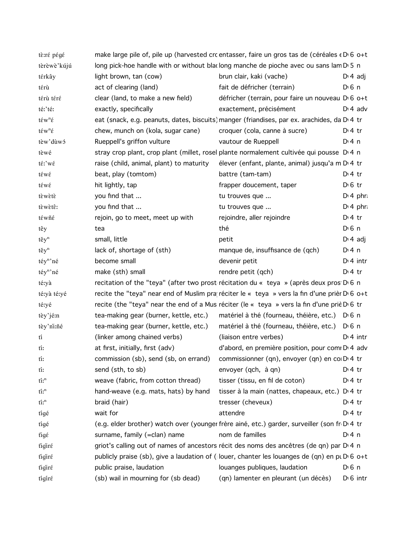| tè:ré pégé                                                            |                                          | make large pile of, pile up (harvested crc entasser, faire un gros tas de (céréales « D' 6 o+t           |                       |
|-----------------------------------------------------------------------|------------------------------------------|----------------------------------------------------------------------------------------------------------|-----------------------|
| tèrèwè'kújú                                                           |                                          | long pick-hoe handle with or without blaclong manche de pioche avec ou sans lam D 5 n                    |                       |
| térkây                                                                | light brown, tan (cow)                   | brun clair, kaki (vache)                                                                                 | $D: 4$ adj            |
| térù                                                                  | act of clearing (land)                   | fait de défricher (terrain)                                                                              | $D \nvert 6 \nvert n$ |
| térù téré                                                             | clear (land, to make a new field)        | défricher (terrain, pour faire un nouveau D 6 o+t                                                        |                       |
| té:'té:                                                               | exactly, specifically                    | exactement, précisément                                                                                  | $D \cdot 4$ adv       |
| $t \in w^n \in$                                                       |                                          | eat (snack, e.g. peanuts, dates, biscuits) manger (friandises, par ex. arachides, da D 4 tr              |                       |
| $\mathfrak{t}\acute{\epsilon}\mathrm{w}^{\mathrm{n}}\acute{\epsilon}$ | chew, munch on (kola, sugar cane)        | croquer (cola, canne à sucre)                                                                            | $Di4$ tr              |
| tèw'dùwó                                                              | Rueppell's griffon vulture               | vautour de Rueppell                                                                                      | $Dt$ 4 n              |
| tèwé                                                                  |                                          | stray crop plant, crop plant (millet, rosel plante normalement cultivée qui pousse D'4 n                 |                       |
| té:'wé                                                                | raise (child, animal, plant) to maturity | élever (enfant, plante, animal) jusqu'a m D <sub>'</sub> 4 tr                                            |                       |
| téwé                                                                  | beat, play (tomtom)                      | battre (tam-tam)                                                                                         | $D:4$ tr              |
| téwé                                                                  | hit lightly, tap                         | frapper doucement, taper                                                                                 | $D \n6$ tr            |
| tèwètè                                                                | you find that                            | tu trouves que                                                                                           | $D \cdot 4$ phr:      |
| tèwètê:                                                               | you find that                            | tu trouves que                                                                                           | $Di$ 4 phr.           |
| téwñé                                                                 | rejoin, go to meet, meet up with         | rejoindre, aller rejoindre                                                                               | $Di4$ tr              |
| têy                                                                   | tea                                      | thé                                                                                                      | D <sup>i</sup> 6 n    |
| $t \check{e} y^n$                                                     | small, little                            | petit                                                                                                    | $D: 4$ adj            |
| $t \check{e} y^n$                                                     | lack of, shortage of (sth)               | manque de, insuffisance de (qch)                                                                         | $Di$ 4 n              |
| téy <sup>n</sup> 'né                                                  | become small                             | devenir petit                                                                                            | $Di$ 4 intr           |
| téy <sup>n</sup> 'né                                                  | make (sth) small                         | rendre petit (qch)                                                                                       | $Dt$ 4 tr             |
| té:yà                                                                 |                                          | recitation of the "teya" (after two prost récitation du « teya » (après deux pros D <sub>'6</sub> n      |                       |
| té:yà té:yé                                                           |                                          | recite the "teya" near end of Muslim pra réciter le « teya » vers la fin d'une prièr D <sub>'6</sub> o+t |                       |
| té:yé                                                                 |                                          | recite (the "teya" near the end of a Mus réciter (le « teya » vers la fin d'une priè D 6 tr              |                       |
| tèy'jé:n                                                              |                                          | tea-making gear (burner, kettle, etc.) matériel à thé (fourneau, théière, etc.) D 6 n                    |                       |
| tèy'ni:ñé                                                             | tea-making gear (burner, kettle, etc.)   | matériel à thé (fourneau, théière, etc.) DG n                                                            |                       |
| tí                                                                    | (linker among chained verbs)             | (liaison entre verbes)                                                                                   | $Dt$ 4 intr           |
| tí:                                                                   | at first, initially, first (adv)         | d'abord, en première position, pour com D'4 adv                                                          |                       |
| tí:                                                                   |                                          | commission (sb), send (sb, on errand) commissionner (qn), envoyer (qn) en co D'4 tr                      |                       |
| tí:                                                                   | send (sth, to sb)                        | envoyer (qch, à qn)                                                                                      | $Di4$ tr              |
| $\operatorname{ti}^{\operatorname{n}}$                                | weave (fabric, from cotton thread)       | tisser (tissu, en fil de coton)                                                                          | $Di4$ tr              |
| $\operatorname{ti}^n$                                                 | hand-weave (e.g. mats, hats) by hand     | tisser à la main (nattes, chapeaux, etc.)                                                                | $Di4$ tr              |
| $\operatorname{ti}^{\operatorname{n}}$                                | braid (hair)                             | tresser (cheveux)                                                                                        | $Di4$ tr              |
| tigé                                                                  | wait for                                 | attendre                                                                                                 | $Dt$ 4 tr             |
| tigé                                                                  |                                          | (e.g. elder brother) watch over (younger frère ainé, etc.) garder, surveiller (son fr D 4 tr             |                       |
| tigέ                                                                  | surname, family (=clan) name             | nom de familles                                                                                          | $Di$ 4 n              |
| tigiré                                                                |                                          | griot's calling out of names of ancestors récit des noms des ancêtres (de qn) par D 4 n                  |                       |
| tigiré                                                                |                                          | publicly praise (sb), give a laudation of (louer, chanter les louanges de (qn) en pt $D \cdot 6$ o+t     |                       |
| tigiré                                                                | public praise, laudation                 | louanges publiques, laudation                                                                            | $D \nvert 6 \nvert n$ |
| tigiré                                                                | (sb) wail in mourning for (sb dead)      | (qn) lamenter en pleurant (un décès)                                                                     | $D \setminus 6$ intr  |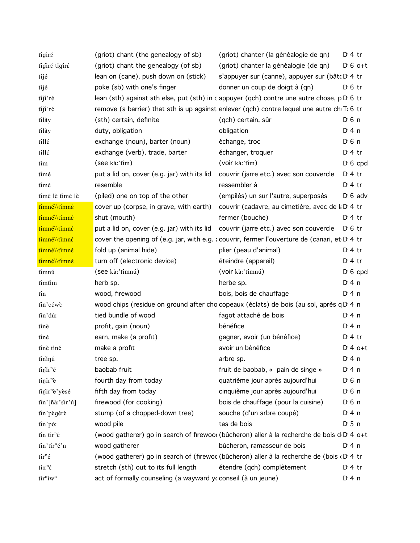| tigiré                                                  | (griot) chant (the genealogy of sb)                          | (griot) chanter (la généalogie de qn)                                                         | $D \cdot 4$ tr        |
|---------------------------------------------------------|--------------------------------------------------------------|-----------------------------------------------------------------------------------------------|-----------------------|
| tigiré tigiré                                           | (griot) chant the genealogy (of sb)                          | (griot) chanter la généalogie (de qn)                                                         | $D \cdot 6$ o+t       |
| tíjé                                                    | lean on (cane), push down on (stick)                         | s'appuyer sur (canne), appuyer sur (bât D 4 tr                                                |                       |
| tíjé                                                    | poke (sb) with one's finger                                  | donner un coup de doigt à (qn)                                                                | $D \n6$ tr            |
| tijí ré                                                 |                                                              | lean (sth) against sth else, put (sth) in c appuyer (qch) contre une autre chose, p D 6 tr    |                       |
| tíjí'ré                                                 |                                                              | remove (a barrier) that sth is up against enlever (qch) contre lequel une autre ch $Ti 6$ tr  |                       |
| tílây                                                   | (sth) certain, definite                                      | (qch) certain, sûr                                                                            | $D0$ n                |
| tílây                                                   | duty, obligation                                             | obligation                                                                                    | $Dt$ 4 n              |
| tillé                                                   | exchange (noun), barter (noun)                               | échange, troc                                                                                 | $D \n6$ n             |
| tillé                                                   | exchange (verb), trade, barter                               | échanger, troquer                                                                             | $D:4$ tr              |
| tím                                                     | (see kà:'tím)                                                | (voir kà:'tím)                                                                                | $D \nvert 6$ cpd      |
| tímé                                                    | put a lid on, cover (e.g. jar) with its lid                  | couvrir (jarre etc.) avec son couvercle                                                       | $D \cdot 4$ tr        |
| tímé                                                    | resemble                                                     | ressembler à                                                                                  | $D \cdot 4$ tr        |
| timé lè timé lè                                         | (piled) one on top of the other                              | (empilés) un sur l'autre, superposés                                                          | $D \cdot 6$ adv       |
| tímné\\tímné                                            | cover up (corpse, in grave, with earth)                      | couvrir (cadavre, au cimetière, avec de la D <sub>1</sub> 4 tr                                |                       |
| tímné\\tímné                                            | shut (mouth)                                                 | fermer (bouche)                                                                               | $Dt$ 4 tr             |
| tímné\\tímné                                            |                                                              | put a lid on, cover (e.g. jar) with its lid couvrir (jarre etc.) avec son couvercle           | D <sub>0</sub> 6 tr   |
| tímné\\tímné                                            |                                                              | cover the opening of (e.g. jar, with e.g. a couvrir, fermer l'ouverture de (canari, et D.4 tr |                       |
| tímné\\tímné                                            | fold up (animal hide)                                        | plier (peau d'animal)                                                                         | $Dt$ 4 tr             |
| tímné\\tímné                                            | turn off (electronic device)                                 | éteindre (appareil)                                                                           | $D \cdot 4$ tr        |
| tímnú                                                   | (see kà:'tímnú)                                              | (voir kà:'tímnú)                                                                              | $D \cdot 6$ cpd       |
| tímfim                                                  | herb sp.                                                     | herbe sp.                                                                                     | $Di$ 4 n              |
| tín                                                     | wood, firewood                                               | bois, bois de chauffage                                                                       | $Di$ 4 n              |
| tin'cέwè                                                |                                                              | wood chips (residue on ground after cho copeaux (éclats) de bois (au sol, après q D 4 n       |                       |
| tin'dú:                                                 | tied bundle of wood                                          | fagot attaché de bois                                                                         | $Di$ 4 n              |
| tínè                                                    | profit, gain (noun)                                          | bénéfice                                                                                      | $Di$ 4 n              |
| tíné                                                    | earn, make (a profit)                                        | gagner, avoir (un bénéfice)                                                                   | D <sup>i</sup> 4 tr   |
| tínè tíné                                               | make a profit                                                | avoir un bénéfice                                                                             | $D:4$ o+t             |
| tininú                                                  | tree sp.                                                     | arbre sp.                                                                                     | $Dt$ 4 n              |
| $t$ in'ir <sup>n</sup> é                                | baobab fruit                                                 | fruit de baobab, « pain de singe »                                                            | $Di$ 4 n              |
| $t$ inir <sup>n</sup> è                                 | fourth day from today                                        | quatrième jour après aujourd'hui                                                              | $D \nvert 6 \nvert n$ |
| tinir <sup>n</sup> è'yèsé                               | fifth day from today                                         | cinquième jour après aujourd'hui                                                              | $D \nvert 6 \nvert n$ |
| tin'[ñàː'sir'ú]                                         | firewood (for cooking)                                       | bois de chauffage (pour la cuisine)                                                           | $D \nvert 6 \nvert n$ |
| tin'pègérè                                              | stump (of a chopped-down tree)                               | souche (d'un arbre coupé)                                                                     | $Di$ 4 n              |
| tin'pó:                                                 | wood pile                                                    | tas de bois                                                                                   | $D \cdot 5$ n         |
| tin tir <sup>n</sup> é                                  |                                                              | (wood gatherer) go in search of firewoo( (bûcheron) aller à la recherche de bois d D 4 o+t    |                       |
| tin'tir <sup>n</sup> é'n                                | wood gatherer                                                | bûcheron, ramasseur de bois                                                                   | $Di$ 4 n              |
| $t$ ír <sup>n</sup> é                                   |                                                              | (wood gatherer) go in search of (firewoc (bûcheron) aller à la recherche de (bois (DI4 tr     |                       |
| $\lim_{\varepsilon}$                                    | stretch (sth) out to its full length                         | étendre (qch) complètement                                                                    | $D:4$ tr              |
| $\operatorname{tir}^n \hspace{-1pt}\operatorname{iw}^n$ | act of formally counseling (a wayward ycconseil (à un jeune) |                                                                                               | $Di$ 4 n              |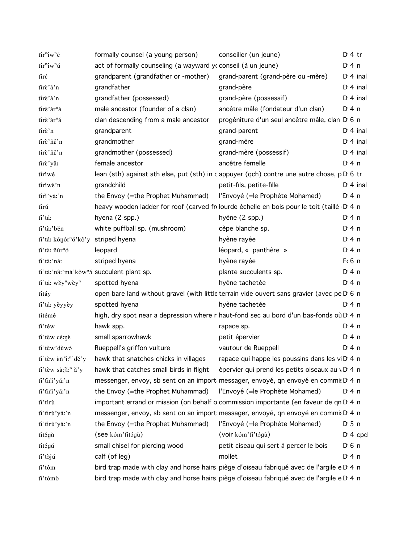| tír <sup>n</sup> íw <sup>n</sup> é       | formally counsel (a young person)                                          | conseiller (un jeune)                                                                                  | $D \cdot 4$ tr |
|------------------------------------------|----------------------------------------------------------------------------|--------------------------------------------------------------------------------------------------------|----------------|
| tír <sup>n</sup> íw <sup>n</sup> ú       | act of formally counseling (a wayward ycconseil (à un jeune)               |                                                                                                        | $Di$ 4 n       |
| tirέ                                     | grandparent (grandfather or -mother)                                       | grand-parent (grand-père ou -mère)                                                                     | $D1$ 4 inal    |
| tirè'ǎ'n                                 | grandfather                                                                | grand-père                                                                                             | $D1$ 4 inal    |
| tírè'ǎ'n                                 | grandfather (possessed)                                                    | grand-père (possessif)                                                                                 | $D14$ inal     |
| tirè'àr <sup>n</sup> á                   | male ancestor (founder of a clan)                                          | ancêtre mâle (fondateur d'un clan)                                                                     | D: 4 n         |
| tirè'àr <sup>n</sup> á                   | clan descending from a male ancestor                                       | progéniture d'un seul ancêtre mâle, clan D 6 n                                                         |                |
| tírè'n                                   | grandparent                                                                | grand-parent                                                                                           | $Dt$ 4 inal    |
| tirè'ñě'n                                | grandmother                                                                | grand-mère                                                                                             | $Di$ 4 inal    |
| tírè'ñě'n                                | grandmother (possessed)                                                    | grand-mère (possessif)                                                                                 | $Di$ 4 inal    |
| tirè'yǎ:                                 | female ancestor                                                            | ancêtre femelle                                                                                        | $Di$ 4 n       |
| tíríwé                                   |                                                                            | lean (sth) against sth else, put (sth) in c appuyer (qch) contre une autre chose, p D 6 tr             |                |
| tíríwè'n                                 | grandchild                                                                 | petit-fils, petite-fille                                                                               | $Di$ 4 inal    |
| tiri'yá:'n                               | the Envoy (=the Prophet Muhammad)                                          | l'Envoyé (= le Prophète Mohamed)                                                                       | $Di$ 4 n       |
| tirú                                     |                                                                            | heavy wooden ladder for roof (carved frolourde échelle en bois pour le toit (taillé D'4 n              |                |
| ti'tá:                                   | hyena (2 spp.)                                                             | hyène (2 spp.)                                                                                         | $Di$ 4 n       |
| ti'tà:'běn                               | white puffball sp. (mushroom)                                              | cèpe blanche sp.                                                                                       | $Di$ 4 n       |
| ti'tá: kónór"ó'kô'y striped hyena        |                                                                            | hyène rayée                                                                                            | $Di$ 4 n       |
| ti'tà: ñùr <sup>n</sup> ó                | leopard                                                                    | léopard, « panthère »                                                                                  | $Dt$ 4 n       |
| ti'tà:'náː                               | striped hyena                                                              | hyène rayée                                                                                            | $F6$ n         |
|                                          | ti'tá:'nâ:'mà'kòw <sup>n</sup> ó succulent plant sp.                       | plante succulents sp.                                                                                  | $Di$ 4 n       |
| ti'tá: wěy <sup>n</sup> wèy <sup>n</sup> | spotted hyena                                                              | hyène tachetée                                                                                         | $Dt$ 4 n       |
| títáy                                    |                                                                            | open bare land without gravel (with little terrain vide ouvert sans gravier (avec pe D 6 n             |                |
| ti'tá: yěyyèy                            | spotted hyena                                                              | hyène tachetée                                                                                         | $Di$ 4 n       |
| títémé                                   |                                                                            | high, dry spot near a depression where r haut-fond sec au bord d'un bas-fonds où D 4 n                 |                |
| ti'téw                                   | hawk spp.                                                                  | rapace sp.                                                                                             | $Di$ 4 n       |
| ti'tèw cé:nè                             | small sparrowhawk                                                          | petit épervier                                                                                         | $Di$ 4 n       |
| ťi'tèw'dùwó                              | Rueppell's griffon vulture                                                 | vautour de Rueppell                                                                                    | D: 4 n         |
|                                          | fi'tèw $\tilde{\epsilon}$ n'i:"'dě'y hawk that snatches chicks in villages | rapace qui happe les poussins dans les vi D <sub>1</sub> 4 n                                           |                |
| ti'tèw sà:ji: <sup>n</sup> ǎ'y           | hawk that catches small birds in flight                                    | épervier qui prend les petits oiseaux au vD 4 n                                                        |                |
| ti'tiri'yá:'n                            |                                                                            | messenger, envoy, sb sent on an import messager, envoyé, qn envoyé en commis D 4 n                     |                |
| ti'tiri'yá:'n                            | the Envoy (=the Prophet Muhammad)                                          | l'Envoyé (= le Prophète Mohamed)                                                                       | $Di$ 4 n       |
| ti'tirù                                  |                                                                            | important errand or mission (on behalf o commission importante (en faveur de qn D 4 n                  |                |
| ti'tirù'yá:'n                            |                                                                            | messenger, envoy, sb sent on an import messager, envoyé, qn envoyé en commis D 4 n                     |                |
| ti'tirù'yá:'n                            | the Envoy (=the Prophet Muhammad)                                          | l'Envoyé (= le Prophète Mohamed)                                                                       | $D \cdot 5$ n  |
| titógù                                   | (see kóm' fitógù)                                                          | (voir kóm'ti'tógù)                                                                                     | $Di$ 4 cpd     |
| títógú                                   | small chisel for piercing wood                                             | petit ciseau qui sert à percer le bois                                                                 | $D \n6$ n      |
| ti'tòjú                                  | calf (of leg)                                                              | mollet                                                                                                 | $Dt$ 4 n       |
| ti'tôm                                   |                                                                            | bird trap made with clay and horse hairs piège d'oiseau fabriqué avec de l'argile e D <sub>'</sub> 4 n |                |
| ti'tómò                                  |                                                                            | bird trap made with clay and horse hairs piège d'oiseau fabriqué avec de l'argile e D <sub>'</sub> 4 n |                |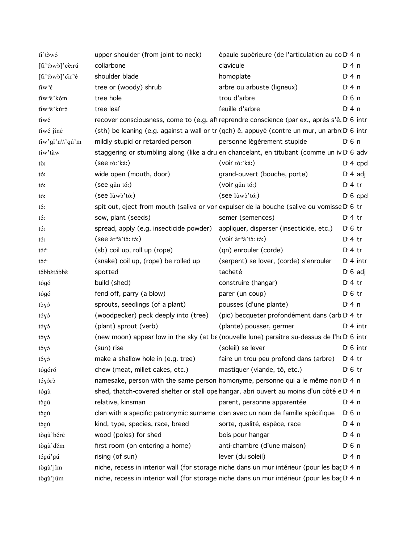| ti'tòwó                                                       | upper shoulder (from joint to neck)     | épaule supérieure (de l'articulation au co D <sub>14</sub> n                                           |                       |                 |
|---------------------------------------------------------------|-----------------------------------------|--------------------------------------------------------------------------------------------------------|-----------------------|-----------------|
| [ti'tòwò]'cè:rú                                               | collarbone                              | clavicule                                                                                              | $Di$ 4 n              |                 |
| [ti'tòwò]'cir <sup>n</sup> é                                  | shoulder blade                          | homoplate                                                                                              | $Dt$ 4 n              |                 |
| $\mathrm{t\ddot{u}}\mathrm{w}^{\mathrm{n}}\mathrm{\acute{e}}$ | tree or (woody) shrub                   | arbre ou arbuste (ligneux)                                                                             | $Di$ 4 n              |                 |
| tiw <sup>n</sup> è'kóm                                        | tree hole                               | trou d'arbre                                                                                           | $D \nvert 6 \nvert n$ |                 |
| tiw <sup>n</sup> è'kúró                                       | tree leaf                               | feuille d'arbre                                                                                        | $Di$ 4 n              |                 |
| tíwé                                                          |                                         | recover consciousness, come to (e.g. aft reprendre conscience (par ex., après s'ê. D'6 intr            |                       |                 |
| tiwé jiné                                                     |                                         | (sth) be leaning (e.g. against a wall or tr (qch) $\hat{e}$ . appuyé (contre un mur, un arbre D 6 intr |                       |                 |
| tiw'gi'n\\'gú'm                                               | mildly stupid or retarded person        | personne légèrement stupide                                                                            | $Di$ 6 n              |                 |
| tiw'tàw                                                       |                                         | staggering or stumbling along (like a dru en chancelant, en titubant (comme un iv D <sub>'</sub> 6 adv |                       |                 |
| tò:                                                           | (see tò:'ká:)                           | (voir tò.'ká!)                                                                                         |                       | $Di 4$ cpd      |
| tó:                                                           | wide open (mouth, door)                 | grand-ouvert (bouche, porte)                                                                           |                       | $D \n4$ adj     |
| tó:                                                           | (see gǔn tó:)                           | (voir gǔn tó:)                                                                                         | $Di4$ tr              |                 |
| tó:                                                           | $(see luw\delta' t\delta)$              | (see lùwò'tó:)                                                                                         |                       | $D \cdot 6$ cpd |
| tó:                                                           |                                         | spit out, eject from mouth (saliva or von expulser de la bouche (salive ou vomisse D'6 tr              |                       |                 |
| tó:                                                           | sow, plant (seeds)                      | semer (semences)                                                                                       | $Di4$ tr              |                 |
| tó:                                                           | spread, apply (e.g. insecticide powder) | appliquer, disperser (insecticide, etc.)                                                               | $D \n6$ tr            |                 |
| tó:                                                           | $($ see àr <sup>n</sup> à'tó: tó: $)$   | (voir àr <sup>n</sup> à'tó: tó:)                                                                       | $D \cdot 4$ tr        |                 |
| $t5$ <sup>n</sup>                                             | (sb) coil up, roll up (rope)            | (qn) enrouler (corde)                                                                                  | $D \cdot 4$ tr        |                 |
| $\mathfrak{t}\mathfrak{I}\mathfrak{x}^n$                      | (snake) coil up, (rope) be rolled up    | (serpent) se lover, (corde) s'enrouler                                                                 |                       | $Dt$ 4 intr     |
| tóbbètóbbè                                                    | spotted                                 | tacheté                                                                                                |                       | $D \cdot 6$ adj |
| tógó                                                          | build (shed)                            | construire (hangar)                                                                                    | $Di4$ tr              |                 |
| tógó                                                          | fend off, parry (a blow)                | parer (un coup)                                                                                        | $D \n6$ tr            |                 |
| tòyó                                                          | sprouts, seedlings (of a plant)         | pousses (d'une plante)                                                                                 | $Di$ 4 n              |                 |
| tóyó                                                          | (woodpecker) peck deeply into (tree)    | (pic) becqueter profondément dans (arb D <sub>1</sub> 4 tr                                             |                       |                 |
| tóyó                                                          | (plant) sprout (verb)                   | (plante) pousser, germer                                                                               |                       | $Di$ 4 intr     |
| tóyó                                                          |                                         | (new moon) appear low in the sky (at be (nouvelle lune) paraître au-dessus de l'ho D 6 intr            |                       |                 |
| tóyó                                                          | (sun) rise                              | (soleil) se lever                                                                                      |                       | $D0$ 6 intr     |
| tóyó                                                          | make a shallow hole in (e.g. tree)      | faire un trou peu profond dans (arbre) D 4 tr                                                          |                       |                 |
| tógóró                                                        | chew (meat, millet cakes, etc.)         | mastiquer (viande, tô, etc.)                                                                           | $D \n6$ tr            |                 |
| tóyórò                                                        |                                         | namesake, person with the same person homonyme, personne qui a le même non D' 4 n                      |                       |                 |
| tógù                                                          |                                         | shed, thatch-covered shelter or stall ope hangar, abri ouvert au moins d'un côté e D'4 n               |                       |                 |
| tògú                                                          | relative, kinsman                       | parent, personne apparentée                                                                            | $Di$ 4 n              |                 |
| tògú                                                          |                                         | clan with a specific patronymic surname clan avec un nom de famille spécifique                         | D <sup>i</sup> 6 n    |                 |
| tògú                                                          | kind, type, species, race, breed        | sorte, qualité, espèce, race                                                                           | $Dt$ 4 n              |                 |
| tògù'béré                                                     | wood (poles) for shed                   | bois pour hangar                                                                                       | $Di$ 4 n              |                 |
| tògù' děm                                                     | first room (on entering a home)         | anti-chambre (d'une maison)                                                                            | D <sub>1</sub> 6n     |                 |
| tógú'gú                                                       | rising (of sun)                         | lever (du soleil)                                                                                      | $Di$ 4 n              |                 |
| tògù'jím                                                      |                                         | niche, recess in interior wall (for storage niche dans un mur intérieur (pour les baç D 4 n            |                       |                 |
| tògù'júm                                                      |                                         | niche, recess in interior wall (for storage niche dans un mur intérieur (pour les baç D 4 n            |                       |                 |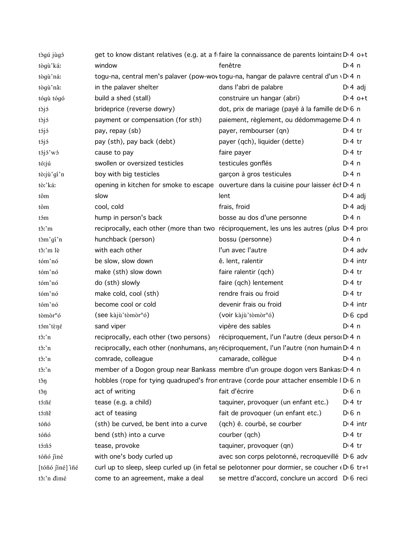| tògú jùgó            |                                        | get to know distant relatives (e.g. at a fifaire la connaissance de parents lointains D <sub>1</sub> 4 o+t |                       |
|----------------------|----------------------------------------|------------------------------------------------------------------------------------------------------------|-----------------------|
| tògù'ká:             | window                                 | fenêtre                                                                                                    | $Di$ 4 n              |
| tògù'ná:             |                                        | togu-na, central men's palaver (pow-wov togu-na, hangar de palavre central d'un vD 4 n                     |                       |
| tògù'nâ:             | in the palaver shelter                 | dans l'abri de palabre                                                                                     | $D \ 4$ adj           |
| tógù tógó            | build a shed (stall)                   | construire un hangar (abri)                                                                                | $D:4$ o+t             |
| tòjó                 | brideprice (reverse dowry)             | dot, prix de mariage (payé à la famille de D 6 n                                                           |                       |
| tòjó                 | payment or compensation (for sth)      | paiement, règlement, ou dédommageme D <sub>14</sub> n                                                      |                       |
| tójó                 | pay, repay (sb)                        | payer, rembourser (qn)                                                                                     | $Dt$ 4 tr             |
| tójó                 | pay (sth), pay back (debt)             | payer (qch), liquider (dette)                                                                              | $Dt$ tr               |
| tójó'wó              | cause to pay                           | faire payer                                                                                                | $Dt$ 4 tr             |
| tó:jú                | swollen or oversized testicles         | testicules gonflés                                                                                         | $Di$ 4 n              |
| tò:jù'gí'n           | boy with big testicles                 | garçon à gros testicules                                                                                   | $Dt$ 4 n              |
| tò:'káː              |                                        | opening in kitchen for smoke to escape ouverture dans la cuisine pour laisser écl D 4 n                    |                       |
| tôm                  | slow                                   | lent                                                                                                       | $D \cdot 4$ adj       |
| tôm                  | cool, cold                             | frais, froid                                                                                               | $D \nmid 4$ adj       |
| tóm                  | hump in person's back                  | bosse au dos d'une personne                                                                                | $Di$ 4 n              |
| tô:'m                |                                        | reciprocally, each other (more than two réciproquement, les uns les autres (plus D'4 pro                   |                       |
| tòm'gí'n             | hunchback (person)                     | bossu (personne)                                                                                           | $Di$ 4 n              |
| tô:'m lè             | with each other                        | I'un avec l'autre                                                                                          | $Dt$ 4 adv            |
| tóm'nó               | be slow, slow down                     | ê. lent, ralentir                                                                                          | $Di$ 4 intr           |
| tóm'nó               | make (sth) slow down                   | faire ralentir (qch)                                                                                       | $D:4$ tr              |
| tóm'nó               | do (sth) slowly                        | faire (qch) lentement                                                                                      | $D:4$ tr              |
| tóm'nó               | make cold, cool (sth)                  | rendre frais ou froid                                                                                      | $D:4$ tr              |
| tóm'nó               | become cool or cold                    | devenir frais ou froid                                                                                     | $Dt$ 4 intr           |
| tòmòr <sup>n</sup> ó | (see kàjù'tòmòr <sup>n</sup> ó)        | (voir kàjù'tòmòr <sup>n</sup> ó)                                                                           | $D \nvert 6$ cpd      |
| tóm'tèné             | sand viper                             | vipère des sables                                                                                          | $Dt$ 4 n              |
| $t\hat{c}$ : n       | reciprocally, each other (two persons) | réciproquement, l'un l'autre (deux persoi D <sub>14</sub> n                                                |                       |
| tô:'n                |                                        | reciprocally, each other (nonhumans, any réciproquement, l'un l'autre (non humain D <sub>14</sub> n        |                       |
| tô:'n                | comrade, colleague                     | camarade, collègue                                                                                         | D: 4n                 |
| tô:'n                |                                        | member of a Dogon group near Bankass membre d'un groupe dogon vers Bankas: D' 4 n                          |                       |
| těŋ                  |                                        | hobbles (rope for tying quadruped's fron entrave (corde pour attacher ensemble I D 6 n                     |                       |
| těŋ                  | act of writing                         | fait d'écrire                                                                                              | $D \nvert 6 \nvert n$ |
| tó:ñé                | tease (e.g. a child)                   | taquiner, provoquer (un enfant etc.)                                                                       | $D:4$ tr              |
| tó:ñě                | act of teasing                         | fait de provoquer (un enfant etc.)                                                                         | $D0$ 6 n              |
| tóñó                 | (sth) be curved, be bent into a curve  | (qch) ê. courbé, se courber                                                                                | $Di$ 4 intr           |
| tóñó                 | bend (sth) into a curve                | courber (qch)                                                                                              | $Di4$ tr              |
| tó:ñó                | tease, provoke                         | taquiner, provoquer (qn)                                                                                   | $Dt$ 4 tr             |
| tóñó jiné            | with one's body curled up              | avec son corps pelotonné, recroquevillé D <sub>'6</sub> adv                                                |                       |
| [tóñó jiné] iñé      |                                        | curl up to sleep, sleep curled up (in fetal se pelotonner pour dormier, se coucher (D) 6 tr+1              |                       |
| tô:'n dimé           | come to an agreement, make a deal      | se mettre d'accord, conclure un accord D <sub>'6</sub> reci                                                |                       |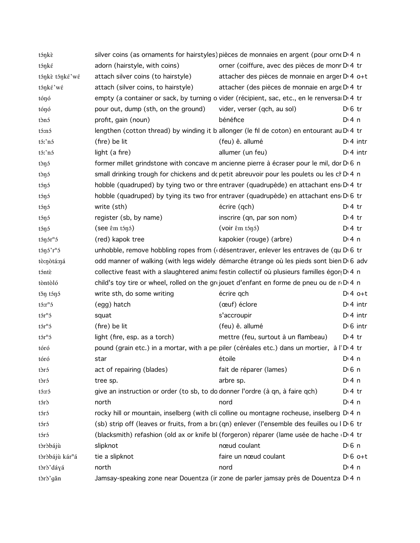| tónké<br>tónkè tónké'wé<br>tónké wé<br>tónó<br>tónó<br>tònó<br>tó:nó<br>tó:'nó<br>tó:'nó<br>tòŋó<br>tònó<br>tónó<br>tónó<br>tónó<br>tónó<br>tónó<br>$t$ on $\sin$ on $\sin$ of $t$ | adorn (hairstyle, with coins)<br>attach silver coins (to hairstyle)<br>attach (silver coins, to hairstyle)<br>pour out, dump (sth, on the ground)<br>profit, gain (noun)<br>(fire) be lit<br>light (a fire)<br>write (sth)<br>register (sb, by name)<br>$($ see $\hat{\epsilon}$ m tónó $)$ | orner (coiffure, avec des pièces de monr D <sub>14</sub> tr<br>attacher des pièces de monnaie en arger D 4 o+t<br>attacher (des pièces de monnaie en arge D' 4 tr<br>empty (a container or sack, by turning o vider (récipient, sac, etc., en le renversa D 4 tr<br>vider, verser (qch, au sol)<br>bénéfice<br>lengthen (cotton thread) by winding it b allonger (le fil de coton) en entourant au D <sub>1</sub> 4 tr<br>(feu) ê. allumé<br>allumer (un feu)<br>former millet grindstone with concave m ancienne pierre à écraser pour le mil, dor D 6 n<br>small drinking trough for chickens and dc petit abreuvoir pour les poulets ou les ch D.4 n<br>hobble (quadruped) by tying two or thre entraver (quadrupède) en attachant ens D 4 tr<br>hobble (quadruped) by tying its two fror entraver (quadrupède) en attachant ens D 6 tr<br>écrire (qch)<br>inscrire (qn, par son nom) | $D \n6$ tr<br>$Di$ 4 n<br>$Dt$ 4 intr<br>$Dt$ 4 intr<br>$Dt$ 4 tr |
|------------------------------------------------------------------------------------------------------------------------------------------------------------------------------------|---------------------------------------------------------------------------------------------------------------------------------------------------------------------------------------------------------------------------------------------------------------------------------------------|------------------------------------------------------------------------------------------------------------------------------------------------------------------------------------------------------------------------------------------------------------------------------------------------------------------------------------------------------------------------------------------------------------------------------------------------------------------------------------------------------------------------------------------------------------------------------------------------------------------------------------------------------------------------------------------------------------------------------------------------------------------------------------------------------------------------------------------------------------------------------------------|-------------------------------------------------------------------|
|                                                                                                                                                                                    |                                                                                                                                                                                                                                                                                             |                                                                                                                                                                                                                                                                                                                                                                                                                                                                                                                                                                                                                                                                                                                                                                                                                                                                                          |                                                                   |
|                                                                                                                                                                                    |                                                                                                                                                                                                                                                                                             |                                                                                                                                                                                                                                                                                                                                                                                                                                                                                                                                                                                                                                                                                                                                                                                                                                                                                          |                                                                   |
|                                                                                                                                                                                    |                                                                                                                                                                                                                                                                                             |                                                                                                                                                                                                                                                                                                                                                                                                                                                                                                                                                                                                                                                                                                                                                                                                                                                                                          |                                                                   |
|                                                                                                                                                                                    |                                                                                                                                                                                                                                                                                             |                                                                                                                                                                                                                                                                                                                                                                                                                                                                                                                                                                                                                                                                                                                                                                                                                                                                                          |                                                                   |
|                                                                                                                                                                                    |                                                                                                                                                                                                                                                                                             |                                                                                                                                                                                                                                                                                                                                                                                                                                                                                                                                                                                                                                                                                                                                                                                                                                                                                          |                                                                   |
|                                                                                                                                                                                    |                                                                                                                                                                                                                                                                                             |                                                                                                                                                                                                                                                                                                                                                                                                                                                                                                                                                                                                                                                                                                                                                                                                                                                                                          |                                                                   |
|                                                                                                                                                                                    |                                                                                                                                                                                                                                                                                             |                                                                                                                                                                                                                                                                                                                                                                                                                                                                                                                                                                                                                                                                                                                                                                                                                                                                                          |                                                                   |
|                                                                                                                                                                                    |                                                                                                                                                                                                                                                                                             |                                                                                                                                                                                                                                                                                                                                                                                                                                                                                                                                                                                                                                                                                                                                                                                                                                                                                          |                                                                   |
|                                                                                                                                                                                    |                                                                                                                                                                                                                                                                                             |                                                                                                                                                                                                                                                                                                                                                                                                                                                                                                                                                                                                                                                                                                                                                                                                                                                                                          |                                                                   |
|                                                                                                                                                                                    |                                                                                                                                                                                                                                                                                             |                                                                                                                                                                                                                                                                                                                                                                                                                                                                                                                                                                                                                                                                                                                                                                                                                                                                                          |                                                                   |
|                                                                                                                                                                                    |                                                                                                                                                                                                                                                                                             |                                                                                                                                                                                                                                                                                                                                                                                                                                                                                                                                                                                                                                                                                                                                                                                                                                                                                          |                                                                   |
|                                                                                                                                                                                    |                                                                                                                                                                                                                                                                                             |                                                                                                                                                                                                                                                                                                                                                                                                                                                                                                                                                                                                                                                                                                                                                                                                                                                                                          |                                                                   |
|                                                                                                                                                                                    |                                                                                                                                                                                                                                                                                             |                                                                                                                                                                                                                                                                                                                                                                                                                                                                                                                                                                                                                                                                                                                                                                                                                                                                                          |                                                                   |
|                                                                                                                                                                                    |                                                                                                                                                                                                                                                                                             |                                                                                                                                                                                                                                                                                                                                                                                                                                                                                                                                                                                                                                                                                                                                                                                                                                                                                          |                                                                   |
|                                                                                                                                                                                    |                                                                                                                                                                                                                                                                                             |                                                                                                                                                                                                                                                                                                                                                                                                                                                                                                                                                                                                                                                                                                                                                                                                                                                                                          | $Dt4$ tr                                                          |
|                                                                                                                                                                                    |                                                                                                                                                                                                                                                                                             |                                                                                                                                                                                                                                                                                                                                                                                                                                                                                                                                                                                                                                                                                                                                                                                                                                                                                          |                                                                   |
|                                                                                                                                                                                    |                                                                                                                                                                                                                                                                                             | $(voir \hat{\epsilon}m \tan \theta)$                                                                                                                                                                                                                                                                                                                                                                                                                                                                                                                                                                                                                                                                                                                                                                                                                                                     | $Dt$ 4 tr                                                         |
|                                                                                                                                                                                    | (red) kapok tree                                                                                                                                                                                                                                                                            | kapokier (rouge) (arbre)                                                                                                                                                                                                                                                                                                                                                                                                                                                                                                                                                                                                                                                                                                                                                                                                                                                                 | $Di$ 4 n                                                          |
| $t \circ \eta \circ r^n \circ$                                                                                                                                                     |                                                                                                                                                                                                                                                                                             | unhobble, remove hobbling ropes from ((désentraver, enlever les entraves de (qu D) 6 tr                                                                                                                                                                                                                                                                                                                                                                                                                                                                                                                                                                                                                                                                                                                                                                                                  |                                                                   |
| tò:nòtá:ná                                                                                                                                                                         |                                                                                                                                                                                                                                                                                             | odd manner of walking (with legs widely démarche étrange où les pieds sont bien D <sub>'6</sub> adv                                                                                                                                                                                                                                                                                                                                                                                                                                                                                                                                                                                                                                                                                                                                                                                      |                                                                   |
| tóntè                                                                                                                                                                              |                                                                                                                                                                                                                                                                                             | collective feast with a slaughtered animatestin collectif où plusieurs familles égori D 4 n                                                                                                                                                                                                                                                                                                                                                                                                                                                                                                                                                                                                                                                                                                                                                                                              |                                                                   |
| tòntòló                                                                                                                                                                            |                                                                                                                                                                                                                                                                                             | child's toy tire or wheel, rolled on the grijouet d'enfant en forme de pneu ou de ri Di 4 n                                                                                                                                                                                                                                                                                                                                                                                                                                                                                                                                                                                                                                                                                                                                                                                              |                                                                   |
| těn téné                                                                                                                                                                           | write sth, do some writing                                                                                                                                                                                                                                                                  | écrire qch                                                                                                                                                                                                                                                                                                                                                                                                                                                                                                                                                                                                                                                                                                                                                                                                                                                                               | $Di4$ o+t                                                         |
| $t$ $\sin$ <sup>n</sup> $\sin$                                                                                                                                                     | (egg) hatch                                                                                                                                                                                                                                                                                 | (œuf) éclore                                                                                                                                                                                                                                                                                                                                                                                                                                                                                                                                                                                                                                                                                                                                                                                                                                                                             | $Dt$ 4 intr                                                       |
| $t$ or $n$ <sup>5</sup>                                                                                                                                                            | squat                                                                                                                                                                                                                                                                                       | s'accroupir                                                                                                                                                                                                                                                                                                                                                                                                                                                                                                                                                                                                                                                                                                                                                                                                                                                                              | $Dt$ 4 intr                                                       |
| $t$ $\delta r$ <sup>n</sup> $\delta$                                                                                                                                               | (fire) be lit                                                                                                                                                                                                                                                                               | (feu) ê. allumé                                                                                                                                                                                                                                                                                                                                                                                                                                                                                                                                                                                                                                                                                                                                                                                                                                                                          | $D1 6$ intr                                                       |
| $t$ or $n$ <sup>5</sup>                                                                                                                                                            | light (fire, esp. as a torch)                                                                                                                                                                                                                                                               | mettre (feu, surtout à un flambeau)                                                                                                                                                                                                                                                                                                                                                                                                                                                                                                                                                                                                                                                                                                                                                                                                                                                      | $D:4$ tr                                                          |
| tóró                                                                                                                                                                               |                                                                                                                                                                                                                                                                                             | pound (grain etc.) in a mortar, with a pe piler (céréales etc.) dans un mortier, à l'D 4 tr                                                                                                                                                                                                                                                                                                                                                                                                                                                                                                                                                                                                                                                                                                                                                                                              |                                                                   |
| tóró                                                                                                                                                                               | star                                                                                                                                                                                                                                                                                        | étoile                                                                                                                                                                                                                                                                                                                                                                                                                                                                                                                                                                                                                                                                                                                                                                                                                                                                                   | D:4n                                                              |
| tòró                                                                                                                                                                               | act of repairing (blades)                                                                                                                                                                                                                                                                   | fait de réparer (lames)                                                                                                                                                                                                                                                                                                                                                                                                                                                                                                                                                                                                                                                                                                                                                                                                                                                                  | $D \cdot 6$ n                                                     |
| tòró                                                                                                                                                                               | tree sp.                                                                                                                                                                                                                                                                                    | arbre sp.                                                                                                                                                                                                                                                                                                                                                                                                                                                                                                                                                                                                                                                                                                                                                                                                                                                                                | $Di$ 4 n                                                          |
| tó:ró                                                                                                                                                                              |                                                                                                                                                                                                                                                                                             | give an instruction or order (to sb, to do donner l'ordre (à qn, à faire qch)                                                                                                                                                                                                                                                                                                                                                                                                                                                                                                                                                                                                                                                                                                                                                                                                            | $Dt$ 4 tr                                                         |
| tórò                                                                                                                                                                               | north                                                                                                                                                                                                                                                                                       | nord                                                                                                                                                                                                                                                                                                                                                                                                                                                                                                                                                                                                                                                                                                                                                                                                                                                                                     | $Di$ 4 n                                                          |
| tóró                                                                                                                                                                               |                                                                                                                                                                                                                                                                                             | rocky hill or mountain, inselberg (with cli colline ou montagne rocheuse, inselberg D.4 n                                                                                                                                                                                                                                                                                                                                                                                                                                                                                                                                                                                                                                                                                                                                                                                                |                                                                   |
| tóró                                                                                                                                                                               |                                                                                                                                                                                                                                                                                             | (sb) strip off (leaves or fruits, from a br; (qn) enlever (l'ensemble des feuilles ou I D 6 tr                                                                                                                                                                                                                                                                                                                                                                                                                                                                                                                                                                                                                                                                                                                                                                                           |                                                                   |
| tóró                                                                                                                                                                               |                                                                                                                                                                                                                                                                                             | (blacksmith) refashion (old ax or knife bl (forgeron) réparer (lame usée de hache D 4 tr                                                                                                                                                                                                                                                                                                                                                                                                                                                                                                                                                                                                                                                                                                                                                                                                 |                                                                   |
| tòròbájù                                                                                                                                                                           | slipknot                                                                                                                                                                                                                                                                                    | nœud coulant                                                                                                                                                                                                                                                                                                                                                                                                                                                                                                                                                                                                                                                                                                                                                                                                                                                                             | $D \cdot 6$ n                                                     |
| tòròbájù kár <sup>n</sup> á                                                                                                                                                        | tie a slipknot                                                                                                                                                                                                                                                                              | faire un nœud coulant                                                                                                                                                                                                                                                                                                                                                                                                                                                                                                                                                                                                                                                                                                                                                                                                                                                                    | $D \nvert 6$ o+t                                                  |
|                                                                                                                                                                                    |                                                                                                                                                                                                                                                                                             |                                                                                                                                                                                                                                                                                                                                                                                                                                                                                                                                                                                                                                                                                                                                                                                                                                                                                          | $Dt$ 4 n                                                          |
| tòrò'dáyá<br>tòrò'gǎn                                                                                                                                                              | north                                                                                                                                                                                                                                                                                       | nord<br>Jamsay-speaking zone near Douentza (ir zone de parler jamsay près de Douentza D'4 n                                                                                                                                                                                                                                                                                                                                                                                                                                                                                                                                                                                                                                                                                                                                                                                              |                                                                   |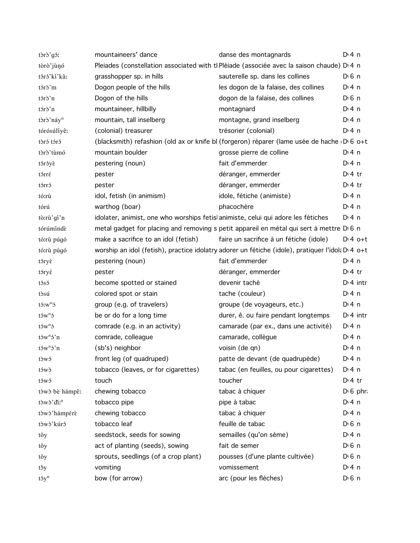| tòrò'gó:                  | mountaineers' dance                                                              | danse des montagnards                                                                                        | $Di$ 4 n           |
|---------------------------|----------------------------------------------------------------------------------|--------------------------------------------------------------------------------------------------------------|--------------------|
| tòrò'jùnó                 |                                                                                  | Pleiades (constellation associated with tl Pléiade (associée avec la saison chaude) D'4 n                    |                    |
| tóró'kí'kâ:               | grasshopper sp. in hills                                                         | sauterelle sp. dans les collines                                                                             | $D0$ n             |
| tórò'm                    | Dogon people of the hills                                                        | les dogon de la falaise, des collines                                                                        | $Di$ 4 n           |
| tórò'n                    | Dogon of the hills                                                               | dogon de la falaise, des collines                                                                            | $D0$ 6 n           |
| tórò'n                    | mountaineer, hillbilly                                                           | montagnard                                                                                                   | $Di$ 4 n           |
| tòrò'náy <sup>n</sup>     | mountain, tall inselberg                                                         | montagne, grand inselberg                                                                                    | $Di$ 4 n           |
| tórósúlíyê:               | (colonial) treasurer                                                             | trésorier (colonial)                                                                                         | $Di$ 4 n           |
| tòró tóró                 |                                                                                  | (blacksmith) refashion (old ax or knife bl (forgeron) réparer (lame usée de hache D 6 o+t                    |                    |
| tòrò'tùmó                 | mountain boulder                                                                 | grosse pierre de colline                                                                                     | $Di$ 4 n           |
| tóróyè                    | pestering (noun)                                                                 | fait d'emmerder                                                                                              | $Di$ 4 n           |
| tórré                     | pester                                                                           | déranger, emmerder                                                                                           | $D:4$ tr           |
| tórró                     | pester                                                                           | déranger, emmerder                                                                                           | $D:4$ tr           |
| tó:rù                     | idol, fetish (in animism)                                                        | idole, fétiche (animiste)                                                                                    | $Di$ 4 n           |
| tórú                      | warthog (boar)                                                                   | phacochère                                                                                                   | $Di$ 4 n           |
| tò:rù'gí'n                | idolater, animist, one who worships fetislanimiste, celui qui adore les fétiches |                                                                                                              | $Di$ 4 n           |
| tórúmíndè                 |                                                                                  | metal gadget for placing and removing s petit appareil en métal qui sert à mettre D 6 n                      |                    |
| tó:rù púgó                | make a sacrifice to an idol (fetish)                                             | faire un sacrifice à un fétiche (idole)                                                                      | $Dt4$ o+t          |
| tó:rù púgó                |                                                                                  | worship an idol (fetish), practice idolatry adorer un fétiche (idole), pratiquer l'idol: D <sub>'4 o+t</sub> |                    |
| tóryè                     | pestering (noun)                                                                 | fait d'emmerder                                                                                              | $Di$ 4 n           |
| tóryé                     | pester                                                                           | déranger, emmerder                                                                                           | $Di4$ tr           |
| tósó                      | become spotted or stained                                                        | devenir taché                                                                                                | $Di$ 4 intr        |
| tòsú                      | colored spot or stain                                                            | tache (couleur)                                                                                              | $Di$ 4 n           |
| $t$ 5: $w$ <sup>n</sup> 5 | group (e.g. of travelers)                                                        | groupe (de voyageurs, etc.)                                                                                  | $Di$ 4 n           |
| $t5w^n5$                  | be or do for a long time                                                         | durer, ê. ou faire pendant longtemps                                                                         | $Dt$ 4 intr        |
| t5w <sup>n</sup> 5        | comrade (e.g. in an activity)                                                    | camarade (par ex., dans une activité)                                                                        | $Di$ 4 n           |
| $t5w^n5'n$                | comrade, colleague                                                               | camarade, collègue                                                                                           | $Di$ 4 n           |
| $t5w^n5'n$                | (sb's) neighbor                                                                  | voisin (de qn)                                                                                               | $Di$ 4 n           |
| tòwó                      | front leg (of quadruped)                                                         | patte de devant (de quadrupède)                                                                              | $Dt$ 4 n           |
| tówò                      | tobacco (leaves, or for cigarettes)                                              | tabac (en feuilles, ou pour cigarettes)                                                                      | $Di$ 4 n           |
| tówó                      | touch                                                                            | toucher                                                                                                      | $Dt$ 4 tr          |
| tòwò bè hámpê:            | chewing tobacco                                                                  | tabac à chiquer                                                                                              | $D \nvert 6$ phr   |
| tòwò'di: <sup>n</sup>     | tobacco pipe                                                                     | pipe à tabac                                                                                                 | $Di$ 4 n           |
| tòwò'hámpérè              | chewing tobacco                                                                  | tabac à chiquer                                                                                              | $Di$ 4 n           |
| tòwò'kúró                 | tobacco leaf                                                                     | feuille de tabac                                                                                             | D <sup>i</sup> 6 n |
| tŏy                       | seedstock, seeds for sowing                                                      | semailles (qu'on sème)                                                                                       | $Di$ 4 n           |
| těy                       | act of planting (seeds), sowing                                                  | fait de semer                                                                                                | $D0$ 6 n           |
| těy                       | sprouts, seedlings (of a crop plant)                                             | pousses (d'une plante cultivée)                                                                              | D <sub>1</sub> 6n  |
| tšy                       | vomiting                                                                         | vomissement                                                                                                  | $Di$ 4 n           |
| $t5y^n$                   | bow (for arrow)                                                                  | arc (pour les flèches)                                                                                       | D <sub>1</sub> 6n  |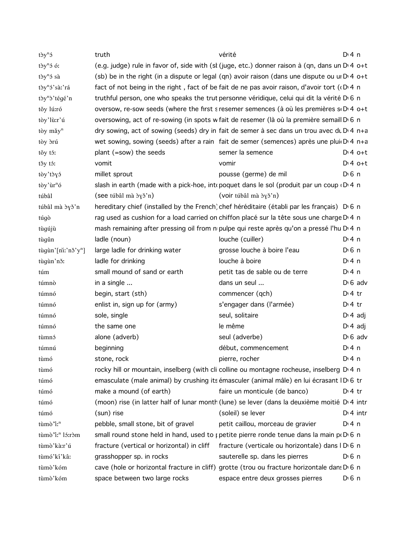| tòy <sup>n</sup> ó             | truth                                             | vérité                                                                                                         | $Di$ 4 n              |
|--------------------------------|---------------------------------------------------|----------------------------------------------------------------------------------------------------------------|-----------------------|
| tòy <sup>n</sup> ó ó:          |                                                   | (e.g. judge) rule in favor of, side with (st (juge, etc.) donner raison à (qn, dans un D <sub>14</sub> o+t     |                       |
| $t\partial y^n\delta$ sà       |                                                   | (sb) be in the right (in a dispute or legal (qn) avoir raison (dans une dispute ou un $D \cdot 4$ o+t          |                       |
| tòy <sup>n</sup> ó'sàː'rá      |                                                   | fact of not being in the right, fact of be fait de ne pas avoir raison, d'avoir tort ( $(D \nvert 4 \nvert n)$ |                       |
| tòy <sup>n</sup> ò'tégé'n      |                                                   | truthful person, one who speaks the trut personne véridique, celui qui dit la vérité D <sub>16</sub> n         |                       |
| tǒy lú:ró                      |                                                   | oversow, re-sow seeds (where the first s resemer semences (à où les premières si Di 4 o+t                      |                       |
| tòy'lù:r'ú                     |                                                   | oversowing, act of re-sowing (in spots w fait de resemer (là où la première semail D 6 n                       |                       |
| tòy mǎy <sup>n</sup>           |                                                   | dry sowing, act of sowing (seeds) dry in fait de semer à sec dans un trou avec du D 4 n+a                      |                       |
| tòy <i>d</i> rú                |                                                   | wet sowing, sowing (seeds) after a rain fait de semer (semences) après une plui D <sub>14</sub> n+a            |                       |
| těy tó:                        | plant (=sow) the seeds                            | semer la semence                                                                                               | $Dt 4 0+t$            |
| tšy tś:                        | vomit                                             | vomir                                                                                                          | $Dt 4 0+t$            |
| tòy' tò y ó                    | millet sprout                                     | pousse (germe) de mil                                                                                          | $D0$ 6 n              |
| tòy'ùr <sup>n</sup> ó          |                                                   | slash in earth (made with a pick-hoe, intepoquet dans le sol (produit par un coup $(D \cdot 4 \text{ n})$      |                       |
| túbâl                          | $($ see túbâl mà $\gamma$ $\gamma$ $\gamma$ n $)$ | (voir túbâl mà byð'n)                                                                                          |                       |
| túbâl mà dyð'n                 |                                                   | hereditary chief (installed by the French) chef héréditaire (établi par les français) D 6 n                    |                       |
| túgò                           |                                                   | rag used as cushion for a load carried on chiffon placé sur la tête sous une charge D'4 n                      |                       |
| tùgújù                         |                                                   | mash remaining after pressing oil from no pulpe qui reste après qu'on a pressé l'hu D <sub>14</sub> n          |                       |
| tùgûn                          | ladle (noun)                                      | louche (cuiller)                                                                                               | $Di$ 4 n              |
| tùgùn'[niː'nǒ'y <sup>n</sup> ] | large ladle for drinking water                    | grosse louche à boire l'eau                                                                                    | $D \nvert 6 \nvert n$ |
| tùgùn'nǒ:                      | ladle for drinking                                | louche à boire                                                                                                 | $Di$ 4 n              |
| túm                            | small mound of sand or earth                      | petit tas de sable ou de terre                                                                                 | $Di$ 4 n              |
| túmnò                          | in a single                                       | dans un seul                                                                                                   | $D \nvert 6$ adv      |
| túmnó                          | begin, start (sth)                                | commencer (qch)                                                                                                | $D:4$ tr              |
| túmnó                          | enlist in, sign up for (army)                     | s'engager dans (l'armée)                                                                                       | $D:4$ tr              |
| túmnó                          | sole, single                                      | seul, solitaire                                                                                                | $D: 4$ adj            |
| túmnó                          | the same one                                      | le même                                                                                                        | $D \cdot 4$ adj       |
| tùmnó                          | alone (adverb)                                    | seul (adverbe)                                                                                                 | $D \cdot 6$ adv       |
| túmnú                          | beginning                                         | début, commencement                                                                                            | $Di$ 4 n              |
| tùmó                           | stone, rock                                       | pierre, rocher                                                                                                 | $Di$ 4 n              |
| tùmó                           |                                                   | rocky hill or mountain, inselberg (with cli colline ou montagne rocheuse, inselberg D.4 n                      |                       |
| túmó                           |                                                   | emasculate (male animal) by crushing its émasculer (animal mâle) en lui écrasant ID 6 tr                       |                       |
| túmó                           | make a mound (of earth)                           | faire un monticule (de banco)                                                                                  | $Dt$ 4 tr             |
| túmó                           |                                                   | (moon) rise (in latter half of lunar month (lune) se lever (dans la deuxième moitié D'4 intr                   |                       |
| túmó                           | (sun) rise                                        | (soleil) se lever                                                                                              | $D1$ 4 intr           |
| tùmò "i: <sup>n</sup>          | pebble, small stone, bit of gravel                | petit caillou, morceau de gravier                                                                              | $Dt$ 4 n              |
| tùmò "i: <sup>n</sup> lá:ròm   |                                                   | small round stone held in hand, used to pretite pierre ronde tenue dans la main po $D_6$ n                     |                       |
| tùmò'kà:r'ú                    | fracture (vertical or horizontal) in cliff        | fracture (verticale ou horizontale) dans I D 6 n                                                               |                       |
| tùmó'kí'kâ:                    | grasshopper sp. in rocks                          | sauterelle sp. dans les pierres                                                                                | $D \nvert 6 \nvert n$ |
| tùmò'kóm                       |                                                   | cave (hole or horizontal fracture in cliff) grotte (trou ou fracture horizontale dans D 6 n                    |                       |
| tùmò'kóm                       | space between two large rocks                     | espace entre deux grosses pierres                                                                              | D <sup>i</sup> 6 n    |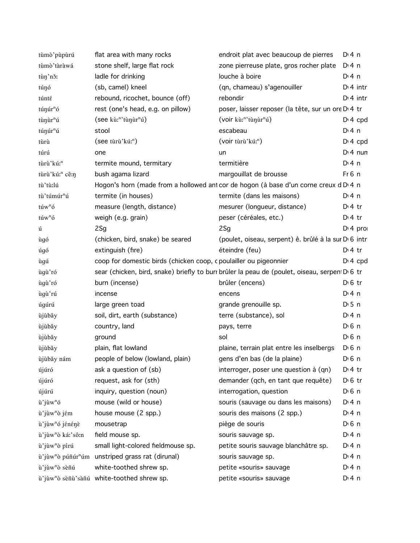| tùmò'pùpùrú                   | flat area with many rocks                                                | endroit plat avec beaucoup de pierres                                                        | D: 4n              |
|-------------------------------|--------------------------------------------------------------------------|----------------------------------------------------------------------------------------------|--------------------|
| tùmò'tàràwá                   | stone shelf, large flat rock                                             | zone pierreuse plate, gros rocher plate                                                      | D:4n               |
| tùn'nǒ:                       | ladle for drinking                                                       | louche à boire                                                                               | $Di$ 4 n           |
| túŋó                          | (sb, camel) kneel                                                        | (qn, chameau) s'agenouiller                                                                  | $Dt$ 4 intr        |
| túnté                         | rebound, ricochet, bounce (off)                                          | rebondir                                                                                     | $Dt$ 4 intr        |
| túnúr <sup>n</sup> ó          | rest (one's head, e.g. on pillow)                                        | poser, laisser reposer (la tête, sur un ore D <sub>1</sub> 4 tr                              |                    |
| tùnur <sup>n</sup> ú          | (see kù: <sup>n</sup> 'tùnur <sup>n</sup> ú)                             | (voir kù: <sup>n</sup> 'tùŋùr <sup>n</sup> ú)                                                | $Dt 4$ cpd         |
| túŋúr <sup>n</sup> ú          | stool                                                                    | escabeau                                                                                     | $Di$ 4 n           |
| tùrù                          | (see tùrù'kú: <sup>n</sup> )                                             | (voir tùrù'kú: <sup>n</sup> )                                                                | $Dt 4$ cpd         |
| túrú                          | one                                                                      | un                                                                                           | $Di$ 4 nun         |
| tùrù'kú: <sup>n</sup>         | termite mound, termitary                                                 | termitière                                                                                   | D:4n               |
| tùrù'kú: <sup>n</sup> cê:n    | bush agama lizard                                                        | margouillat de brousse                                                                       | Fr6 n              |
| tù'tù:lú                      |                                                                          | Hogon's horn (made from a hollowed ant cor de hogon (à base d'un corne creux d D 4 n         |                    |
| tù'túmúr <sup>n</sup> ú       | termite (in houses)                                                      | termite (dans les maisons)                                                                   | $Di$ 4 n           |
| túw <sup>n</sup> ó            | measure (length, distance)                                               | mesurer (longueur, distance)                                                                 | $D:4$ tr           |
| túw <sup>n</sup> ó            | weigh (e.g. grain)                                                       | peser (céréales, etc.)                                                                       | $Dt$ 4 tr          |
| ú                             | 2Sg                                                                      | 2Sg                                                                                          | $Di$ 4 pro         |
| ùgó                           | (chicken, bird, snake) be seared                                         | (poulet, oiseau, serpent) ê. brûlé à la sur D 6 intr                                         |                    |
| úgó                           | extinguish (fire)                                                        | éteindre (feu)                                                                               | $Dt$ tr            |
| ùgú                           | coop for domestic birds (chicken coop, c poulailler ou pigeonnier        |                                                                                              | $Dt 4$ cpd         |
| ùgù'ró                        |                                                                          | sear (chicken, bird, snake) briefly to burr brûler la peau de (poulet, oiseau, serpen D 6 tr |                    |
| ùgù'ró                        | burn (incense)                                                           | brûler (encens)                                                                              | $D \cdot 6$ tr     |
| ùgù'rú                        | incense                                                                  | encens                                                                                       | D:4n               |
| úgúrú                         | large green toad                                                         | grande grenouille sp.                                                                        | D:5n               |
| ùjùbǎy                        | soil, dirt, earth (substance)                                            | terre (substance), sol                                                                       | D:4n               |
| ùjùbǎy                        | country, land                                                            | pays, terre                                                                                  | $D0$ n             |
| ùjùbǎy                        | ground                                                                   | sol                                                                                          | D <sup>i</sup> 6 n |
| ùjùbǎy                        | plain, flat lowland                                                      | plaine, terrain plat entre les inselbergs                                                    | D <sup>i</sup> 6 n |
| ùjùbǎy nám                    | people of below (lowland, plain)                                         | gens d'en bas (de la plaine)                                                                 | $D \n6$ n          |
| újúró                         | ask a question of (sb)                                                   | interroger, poser une question à (qn)                                                        | $D:4$ tr           |
| újúró                         | request, ask for (sth)                                                   | demander (qch, en tant que requête)                                                          | $D0$ tr            |
| újúrú                         | inquiry, question (noun)                                                 | interrogation, question                                                                      | D <sup>i</sup> 6 n |
| ù'jùw <sup>n</sup> ó          | mouse (wild or house)                                                    | souris (sauvage ou dans les maisons)                                                         | $Di$ 4 n           |
| ù'jùw <sup>n</sup> ò jém      | house mouse (2 spp.)                                                     | souris des maisons (2 spp.)                                                                  | $Di$ 4 n           |
| ù'jùw <sup>n</sup> ó jénénè   | mousetrap                                                                | piège de souris                                                                              | D <sup>i</sup> 6 n |
| ù'jùw <sup>n</sup> ò ká:'sô:n | field mouse sp.                                                          | souris sauvage sp.                                                                           | $Di$ 4 n           |
| ù'jùw <sup>n</sup> ò pírú     | small light-colored fieldmouse sp.                                       | petite souris sauvage blanchâtre sp.                                                         | $Di$ 4 n           |
|                               | ù'jùw <sup>n</sup> ò púñúr <sup>n</sup> úm unstriped grass rat (dirunal) | souris sauvage sp.                                                                           | $Di$ 4 n           |
| ù'jùw <sup>n</sup> ò sèñú     | white-toothed shrew sp.                                                  | petite «souris» sauvage                                                                      | $Di$ 4 n           |
|                               | ù'jùw <sup>n</sup> ò sèñù'sàñú white-toothed shrew sp.                   | petite «souris» sauvage                                                                      | $Di$ 4 n           |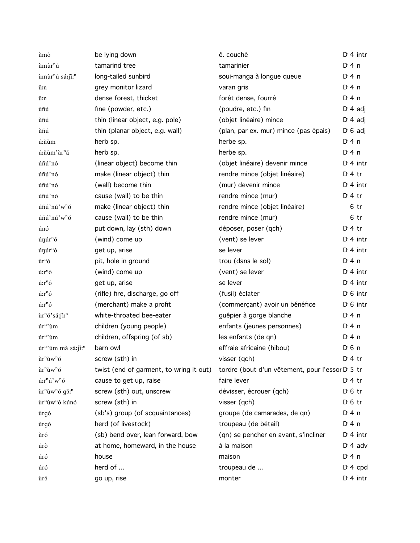| ùmò                                                | be lying down                           | ê. couché                                       | $D: 4$ intr          |        |
|----------------------------------------------------|-----------------------------------------|-------------------------------------------------|----------------------|--------|
| ùmùr <sup>n</sup> ú                                | tamarind tree                           | tamarinier                                      | $Di$ 4 n             |        |
| ùmùr <sup>n</sup> ú sá:ji: <sup>n</sup>            | long-tailed sunbird                     | soui-manga à longue queue                       | $Di$ 4 n             |        |
| ŭ:n                                                | grey monitor lizard                     | varan gris                                      | $Di$ 4 n             |        |
| û:n                                                | dense forest, thicket                   | forêt dense, fourré                             | $Di$ 4 n             |        |
| ùñú                                                | fine (powder, etc.)                     | (poudre, etc.) fin                              | $D \cdot 4$ adj      |        |
| ùñú                                                | thin (linear object, e.g. pole)         | (objet linéaire) mince                          | $D \cdot 4$ adj      |        |
| ùñú                                                | thin (planar object, e.g. wall)         | (plan, par ex. mur) mince (pas épais)           | $D \cdot 6$ adj      |        |
| ú:ñùm                                              | herb sp.                                | herbe sp.                                       | $Dt$ 4 n             |        |
| ú:ñùm'àr <sup>n</sup> á                            | herb sp.                                | herbe sp.                                       | D: 4 n               |        |
| úñú'nó                                             | (linear object) become thin             | (objet linéaire) devenir mince                  | $Di$ 4 intr          |        |
| úñú'nó                                             | make (linear object) thin               | rendre mince (objet linéaire)                   | $Di4$ tr             |        |
| úñú'nó                                             | (wall) become thin                      | (mur) devenir mince                             | $Di$ 4 intr          |        |
| úñú'nó                                             | cause (wall) to be thin                 | rendre mince (mur)                              | $Di4$ tr             |        |
| úñú'nú'w <sup>n</sup> ó                            | make (linear object) thin               | rendre mince (objet linéaire)                   |                      | 6 tr   |
| úñú'nú'w <sup>n</sup> ó                            | cause (wall) to be thin                 | rendre mince (mur)                              |                      | $6$ tr |
| únó                                                | put down, lay (sth) down                | déposer, poser (qch)                            | $Di4$ tr             |        |
| únúr <sup>n</sup> ó                                | (wind) come up                          | (vent) se lever                                 | $Di$ 4 intr          |        |
| únúr <sup>n</sup> ó                                | get up, arise                           | se lever                                        | $Di$ 4 intr          |        |
| ùr <sup>n</sup> ó                                  | pit, hole in ground                     | trou (dans le sol)                              | $Di$ 4 n             |        |
| ú:r <sup>n</sup> ó                                 | (wind) come up                          | (vent) se lever                                 | $Di$ 4 intr          |        |
| ú:r <sup>n</sup> ó                                 | get up, arise                           | se lever                                        | $Di$ 4 intr          |        |
| ú:r <sup>n</sup> ó                                 | (rifle) fire, discharge, go off         | (fusil) éclater                                 | $D \setminus 6$ intr |        |
| ú:r <sup>n</sup> ó                                 | (merchant) make a profit                | (commerçant) avoir un bénéfice                  | $D \cdot 6$ intr     |        |
| ùr <sup>n</sup> ó'sá:jî: <sup>n</sup>              | white-throated bee-eater                | quêpier à gorge blanche                         | $Di$ 4 n             |        |
| úr <sup>n</sup> 'ùm                                | children (young people)                 | enfants (jeunes personnes)                      | D: 4 n               |        |
| úr <sup>n</sup> 'ùm                                | children, offspring (of sb)             | les enfants (de qn)                             | $Di$ 4 n             |        |
| úr <sup>n</sup> 'ùm mà sá:ji: <sup>n</sup>         | barn owl                                | effraie africaine (hibou)                       | D <sub>1</sub> 6n    |        |
| ùr <sup>n</sup> ùw <sup>n</sup> ó                  | screw (sth) in                          | visser (qch)                                    | $Di4$ tr             |        |
| ùr <sup>n</sup> ùw <sup>n</sup> ó                  | twist (end of garment, to wring it out) | tordre (bout d'un vêtement, pour l'essor D 5 tr |                      |        |
| ú:r <sup>n</sup> ú'w <sup>n</sup> ó                | cause to get up, raise                  | faire lever                                     | $Di4$ tr             |        |
| ùr <sup>n</sup> ùw <sup>n</sup> ó gǒ: <sup>n</sup> | screw (sth) out, unscrew                | dévisser, écrouer (qch)                         | $D \n6$ tr           |        |
| ùr <sup>n</sup> ùw <sup>n</sup> ó kúnó             | screw (sth) in                          | visser (qch)                                    | $D0$ tr              |        |
| ùrgó                                               | (sb's) group (of acquaintances)         | groupe (de camarades, de qn)                    | $Di$ 4 n             |        |
| ùrgó                                               | herd (of livestock)                     | troupeau (de bétail)                            | $Di$ 4 n             |        |
| ùró                                                | (sb) bend over, lean forward, bow       | (qn) se pencher en avant, s'incliner            | $Di$ 4 intr          |        |
| úrò                                                | at home, homeward, in the house         | à la maison                                     | $Di$ 4 adv           |        |
| úró                                                | house                                   | maison                                          | $Di$ 4 n             |        |
| úró                                                | herd of                                 | troupeau de                                     | $D: 4$ cpd           |        |
| ùró                                                | go up, rise                             | monter                                          | $Di$ 4 intr          |        |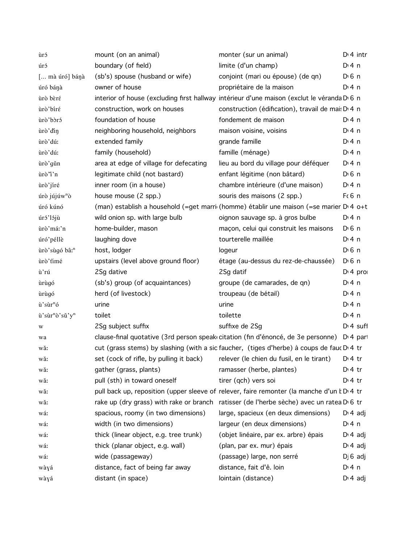| ùró                                    | mount (on an animal)                                                              | monter (sur un animal)                                                                                 | $Di$ 4 intr           |
|----------------------------------------|-----------------------------------------------------------------------------------|--------------------------------------------------------------------------------------------------------|-----------------------|
| úró                                    | boundary (of field)                                                               | limite (d'un champ)                                                                                    | $Di$ 4 n              |
| [ mà úró] bánà                         | (sb's) spouse (husband or wife)                                                   | conjoint (mari ou épouse) (de qn)                                                                      | $D \nvert 6 \nvert n$ |
| úró bánà                               | owner of house                                                                    | propriétaire de la maison                                                                              | $Di$ 4 n              |
| ùrò bèré                               |                                                                                   | interior of house (excluding first hallway intérieur d'une maison (exclut le véranda D <sub>16</sub> n |                       |
| ùrò'biré                               | construction, work on houses                                                      | construction (édification), travail de mai: D <sub>14</sub> n                                          |                       |
| ùrò'bòró                               | foundation of house                                                               | fondement de maison                                                                                    | $Di$ 4 n              |
| ùrò'din                                | neighboring household, neighbors                                                  | maison voisine, voisins                                                                                | $Di$ 4 n              |
| ùrò'dú:                                | extended family                                                                   | grande famille                                                                                         | $Di$ 4 n              |
| ùrò'dú:                                | family (household)                                                                | famille (ménage)                                                                                       | D:4n                  |
| ùrò'gǔn                                | area at edge of village for defecating                                            | lieu au bord du village pour déféquer                                                                  | D:4n                  |
| ùrò "ì'n                               | legitimate child (not bastard)                                                    | enfant légitime (non bâtard)                                                                           | $D \nvert 6 \nvert n$ |
| ùrò'jíré                               | inner room (in a house)                                                           | chambre intérieure (d'une maison)                                                                      | $Dt$ 4 n              |
| úrò jújúw <sup>n</sup> ò               | house mouse (2 spp.)                                                              | souris des maisons (2 spp.)                                                                            | $F6$ n                |
| úró kúnó                               |                                                                                   | (man) establish a household (=get marri (homme) établir une maison (=se marier D 4 o+t                 |                       |
| úró'lójù                               | wild onion sp. with large bulb                                                    | oignon sauvage sp. à gros bulbe                                                                        | D <sup>i</sup> 4n     |
| ùrò'máː'n                              | home-builder, mason                                                               | maçon, celui qui construit les maisons                                                                 | $D \nvert 6 \nvert n$ |
| úró'péllè                              | laughing dove                                                                     | tourterelle maillée                                                                                    | $Di$ 4 n              |
| ùrò'sùgó bâ: <sup>n</sup>              | host, lodger                                                                      | logeur                                                                                                 | $D0$ 6 n              |
| ùrò'timé                               | upstairs (level above ground floor)                                               | étage (au-dessus du rez-de-chaussée)                                                                   | $D \nvert 6 \nvert n$ |
| ù'rú                                   | 2Sg dative                                                                        | 2Sg datif                                                                                              | $Di$ 4 pro            |
| ùrùgó                                  | (sb's) group (of acquaintances)                                                   | groupe (de camarades, de qn)                                                                           | $Di$ 4 n              |
| ùrùgó                                  | herd (of livestock)                                                               | troupeau (de bétail)                                                                                   | $Di$ 4 n              |
| ù'sùr <sup>n</sup> ó                   | urine                                                                             | urine                                                                                                  | $Di$ 4 n              |
| ù'sùr <sup>n</sup> ò'sǔ'y <sup>n</sup> | toilet                                                                            | toilette                                                                                               | $Di$ 4 n              |
| W                                      | 2Sg subject suffix                                                                | suffixe de 2Sg                                                                                         | $Dt 4$ suff           |
| wa                                     |                                                                                   | clause-final quotative (3rd person speak citation (fin d'énoncé, de 3e personne) D'4 par               |                       |
| wǎ:                                    |                                                                                   | cut (grass stems) by slashing (with a sic faucher, (tiges d'herbe) à coups de fauc D'4 tr              |                       |
| wǎ:                                    | set (cock of rifle, by pulling it back) relever (le chien du fusil, en le tirant) |                                                                                                        | D <sub>1</sub> 4 tr   |
| wǎ:                                    | gather (grass, plants)                                                            | ramasser (herbe, plantes)                                                                              | $D \cdot 4$ tr        |
| wǎ:                                    | pull (sth) in toward oneself                                                      | tirer (qch) vers soi                                                                                   | $Dt$ 4 tr             |
| wǎ:                                    |                                                                                   | pull back up, reposition (upper sleeve of relever, faire remonter (la manche d'un k D'4 tr             |                       |
| wăː                                    |                                                                                   | rake up (dry grass) with rake or branch ratisser (de l'herbe sèche) avec un ratea D <sub>'</sub> 6 tr  |                       |
| wá:                                    | spacious, roomy (in two dimensions)                                               | large, spacieux (en deux dimensions)                                                                   | $D \cdot 4$ adj       |
| wá:                                    | width (in two dimensions)                                                         | largeur (en deux dimensions)                                                                           | $Di$ 4 n              |
| wá:                                    | thick (linear object, e.g. tree trunk)                                            | (objet linéaire, par ex. arbre) épais                                                                  | $D \cdot 4$ adj       |
| wá:                                    | thick (planar object, e.g. wall)                                                  | (plan, par ex. mur) épais                                                                              | $D \cdot 4$ adj       |
| wá:                                    | wide (passageway)                                                                 | (passage) large, non serré                                                                             | $D$ 6 adj             |
| wàyá                                   | distance, fact of being far away                                                  | distance, fait d'ê. loin                                                                               | $Di$ 4 n              |
| wàyá                                   | distant (in space)                                                                | lointain (distance)                                                                                    | $D \cdot 4$ adj       |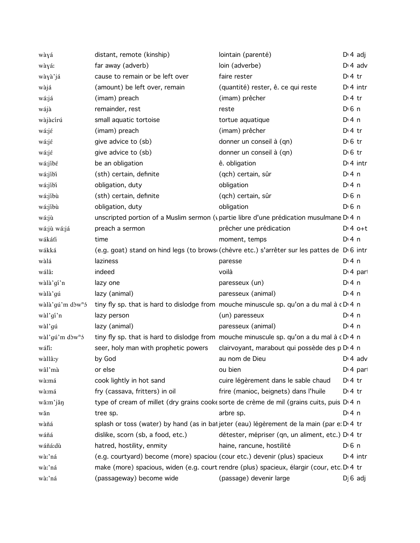| wàyá                         | distant, remote (kinship)                                                  | lointain (parenté)                                                                                             | $D \cdot 4$ adj       |
|------------------------------|----------------------------------------------------------------------------|----------------------------------------------------------------------------------------------------------------|-----------------------|
| wàyá:                        | far away (adverb)                                                          | loin (adverbe)                                                                                                 | $D \cdot 4$ adv       |
| wàyà'já                      | cause to remain or be left over                                            | faire rester                                                                                                   | $Di4$ tr              |
| wàjá                         | (amount) be left over, remain                                              | (quantité) rester, ê. ce qui reste                                                                             | $Di$ 4 intr           |
| wá:já                        | (imam) preach                                                              | (imam) prêcher                                                                                                 | $Di4$ tr              |
| wájà                         | remainder, rest                                                            | reste                                                                                                          | $D0$ n                |
| wàjàcírú                     | small aquatic tortoise                                                     | tortue aquatique                                                                                               | $Dt$ 4 n              |
| wá:jé                        | (imam) preach                                                              | (imam) prêcher                                                                                                 | $Di4$ tr              |
| wá:jé                        | give advice to (sb)                                                        | donner un conseil à (qn)                                                                                       | $D \nvert 6$ tr       |
| wá:jé                        | give advice to (sb)                                                        | donner un conseil à (qn)                                                                                       | $D0$ fr               |
| wá:jíbé                      | be an obligation                                                           | ê. obligation                                                                                                  | $Di$ 4 intr           |
| wá:jíbi                      | (sth) certain, definite                                                    | (qch) certain, sûr                                                                                             | $Di$ 4 n              |
| wá:jíbi                      | obligation, duty                                                           | obligation                                                                                                     | $Di$ 4 n              |
| wá:jíbù                      | (sth) certain, definite                                                    | (qch) certain, sûr                                                                                             | $D0$ n                |
| wá:jíbù                      | obligation, duty                                                           | obligation                                                                                                     | $D0$ n                |
| wá:jù                        |                                                                            | unscripted portion of a Muslim sermon (vpartie libre d'une prédication musulmane D'4 n                         |                       |
| wá:jù wá:já                  | preach a sermon                                                            | prêcher une prédication                                                                                        | $Dt 4 0+t$            |
| wákáťi                       | time                                                                       | moment, temps                                                                                                  | $Di$ 4 n              |
| wákká                        |                                                                            | (e.g. goat) stand on hind legs (to brows (chèvre etc.) s'arrêter sur les pattes de D 6 intr                    |                       |
| wàlá                         | laziness                                                                   | paresse                                                                                                        | $Di$ 4 n              |
| wálâ:                        | indeed                                                                     | voilà                                                                                                          | D <sub>1</sub> 4 part |
| wàlà'gí'n                    | lazy one                                                                   | paresseux (un)                                                                                                 | $Dt$ 4 n              |
| wàlà'gú                      | lazy (animal)                                                              | paresseux (animal)                                                                                             | D: 4n                 |
| wàlà'gú'm dòw <sup>n</sup> ó |                                                                            | tiny fly sp. that is hard to dislodge from mouche minuscule sp. qu'on a du mal à c D 4 n                       |                       |
| wàl'gí'n                     | lazy person                                                                | (un) paresseux                                                                                                 | $Dt$ 4 n              |
| wàl'gú                       | lazy (animal)                                                              | paresseux (animal)                                                                                             | D: 4n                 |
| wàl'gú'm dòw <sup>n</sup> ó  |                                                                            | tiny fly sp. that is hard to dislodge from mouche minuscule sp. qu'on a du mal à cD 4 n                        |                       |
| wáľi:                        | seer, holy man with prophetic powers                                       | clairvoyant, marabout qui possède des p D 4 n                                                                  |                       |
| wàllâ:y                      | by God                                                                     | au nom de Dieu and a Dieu and Dieu and Dieu and Dieu and Dieu and Dieu and Dieu and Dieu and Dieu and Dieu and |                       |
| wâl'mà                       | or else                                                                    | ou bien                                                                                                        | $Di$ 4 part           |
| wà:má                        | cook lightly in hot sand                                                   | cuire légèrement dans le sable chaud                                                                           | $Di4$ tr              |
| wà:má                        | fry (cassava, fritters) in oil                                             | frire (manioc, beignets) dans l'huile                                                                          | $D \cdot 4$ tr        |
| wă:m'jăŋ                     |                                                                            | type of cream of millet (dry grains cooke sorte de crème de mil (grains cuits, puis D'4 n                      |                       |
| wǎn                          | tree sp.                                                                   | arbre sp.                                                                                                      | $Dt$ 4 n              |
| wàñá                         |                                                                            | splash or toss (water) by hand (as in bat jeter (eau) légèrement de la main (par e: D <sup>,</sup> 4 tr        |                       |
| wáñá                         | dislike, scorn (sb, a food, etc.)                                          | détester, mépriser (qn, un aliment, etc.) D 4 tr                                                               |                       |
| wáñá:dù                      | hatred, hostility, enmity                                                  | haine, rancune, hostilité                                                                                      | $D0$ n                |
| wà:'ná                       | (e.g. courtyard) become (more) spaciou (cour etc.) devenir (plus) spacieux |                                                                                                                | $Di$ 4 intr           |
| wà:'ná                       |                                                                            | make (more) spacious, widen (e.g. court rendre (plus) spacieux, élargir (cour, etc. D.4 tr                     |                       |
| wà:'ná                       | (passageway) become wide                                                   | (passage) devenir large                                                                                        | $D$ 6 adj             |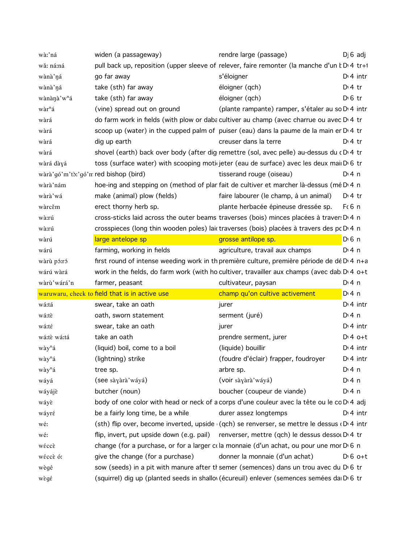| wà:'ná                               | widen (a passageway)                                                                            | rendre large (passage)                                                                           | $D \mid 6$ adj  |
|--------------------------------------|-------------------------------------------------------------------------------------------------|--------------------------------------------------------------------------------------------------|-----------------|
| wǎ: ná:ná                            | pull back up, reposition (upper sleeve of relever, faire remonter (la manche d'un k D 4 tr+1    |                                                                                                  |                 |
| wànà'ná                              | go far away                                                                                     | s'éloigner                                                                                       | $Di$ 4 intr     |
| wànà ná                              | take (sth) far away                                                                             | éloigner (qch)                                                                                   | $Dt$ 4 tr       |
| wànànà'w <sup>n</sup> á              | take (sth) far away                                                                             | éloigner (qch)                                                                                   | $D \n6$ tr      |
| wàr <sup>n</sup> á                   | (vine) spread out on ground                                                                     | (plante rampante) ramper, s'étaler au so D <sub>'</sub> 4 intr                                   |                 |
| wàrá                                 | do farm work in fields (with plow or daba cultiver au champ (avec charrue ou avec D 4 tr        |                                                                                                  |                 |
| wàrá                                 | scoop up (water) in the cupped palm of puiser (eau) dans la paume de la main er $D14$ tr        |                                                                                                  |                 |
| wàrá                                 | dig up earth                                                                                    | creuser dans la terre                                                                            | $D:4$ tr        |
| wàrá                                 | shovel (earth) back over body (after dig remettre (sol, avec pelle) au-dessus du cD.4 tr        |                                                                                                  |                 |
| wàrá dàyá                            | toss (surface water) with scooping motic jeter (eau de surface) avec les deux mail D 6 tr       |                                                                                                  |                 |
| wàrà'gó'm'tò:'gó'm red bishop (bird) |                                                                                                 | tisserand rouge (oiseau)                                                                         | D: 4n           |
| wàrà'nám                             | hoe-ing and stepping on (method of plar fait de cultiver et marcher là-dessus (mé D 4 n         |                                                                                                  |                 |
| wàrà'wá                              | make (animal) plow (fields)                                                                     | faire labourer (le champ, à un animal)                                                           | $Dt$ 4 tr       |
| wàrcěm                               | erect thorny herb sp.                                                                           | plante herbacée épineuse dressée sp.                                                             | $F6$ n          |
| wà:rú                                | cross-sticks laid across the outer beams traverses (bois) minces placées à traver: D 4 n        |                                                                                                  |                 |
| wà:rú                                | crosspieces (long thin wooden poles) lait traverses (bois) placées à travers des pt D 4 n       |                                                                                                  |                 |
| wàrú                                 | large antelope sp                                                                               | grosse antilope sp.                                                                              | $D0$ n          |
| wárú                                 | farming, working in fields                                                                      | agriculture, travail aux champs                                                                  | D:4n            |
| wàrù pó:ró                           | first round of intense weeding work in th première culture, première période de dé D 4 n+a      |                                                                                                  |                 |
| wárú wàrá                            | work in the fields, do farm work (with ho cultiver, travailler aux champs (avec dab $D4$ o+t    |                                                                                                  |                 |
| wàrù'wárá'n                          | farmer, peasant                                                                                 | cultivateur, paysan                                                                              | $Di$ 4 n        |
|                                      | waruwaru, check to field that is in active use                                                  | champ qu'on cultive activement                                                                   | $Di$ 4 n        |
| wá:tá                                | swear, take an oath                                                                             | jurer                                                                                            | $Dt$ 4 intr     |
| wá:tè                                | oath, sworn statement                                                                           | serment (juré)                                                                                   | $Di$ 4 n        |
| wá:té                                | swear, take an oath                                                                             | jurer                                                                                            | $Di$ 4 intr     |
| wá:tè wá:tá                          | take an oath                                                                                    | prendre serment, jurer                                                                           | $Di 4$ o+t      |
| wày <sup>n</sup> á                   | (liquid) boil, come to a boil                                                                   | (liquide) bouillir                                                                               | $Dt$ intr       |
| wày <sup>n</sup> á                   | (lightning) strike                                                                              | (foudre d'éclair) frapper, foudroyer                                                             | $Di$ 4 intr     |
| wày <sup>n</sup> á                   | tree sp.                                                                                        | arbre sp.                                                                                        | D:4n            |
| wáyá                                 | (see sàyàrà'wáyá)                                                                               | (voir sàyàrà' wáyá)                                                                              | $Di$ 4 n        |
| wáyájè                               | butcher (noun)                                                                                  | boucher (coupeur de viande)                                                                      | $Di$ 4 n        |
| wáyè                                 | body of one color with head or neck of a corps d'une couleur avec la tête ou le co D 4 adj      |                                                                                                  |                 |
| wáyré                                | be a fairly long time, be a while                                                               | durer assez longtemps                                                                            | $Di$ 4 intr     |
| wé:                                  |                                                                                                 | (sth) flip over, become inverted, upside (qch) se renverser, se mettre le dessus (D $\beta$ intr |                 |
| wé:                                  | flip, invert, put upside down (e.g. pail) renverser, mettre (qch) le dessus dessol $D14$ tr     |                                                                                                  |                 |
| wéccè                                | change (for a purchase, or for a larger cola monnaie (d'un achat, ou pour une mor $D \cdot 6$ n |                                                                                                  |                 |
| wéccè ó:                             | give the change (for a purchase)                                                                | donner la monnaie (d'un achat)                                                                   | $D \cdot 6$ o+t |
| wègé                                 |                                                                                                 | sow (seeds) in a pit with manure after th semer (semences) dans un trou avec du D 6 tr           |                 |
|                                      |                                                                                                 | (squirrel) dig up (planted seeds in shallov (écureuil) enlever (semences semées da Dv6 tr        |                 |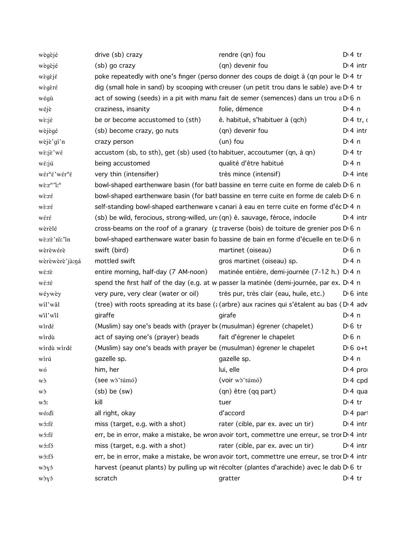| wègèjé                                    | drive (sb) crazy                                                                                                                                                                                                                                  | rendre (qn) fou                                                                                            | D <sup>i</sup> 4 tr   |
|-------------------------------------------|---------------------------------------------------------------------------------------------------------------------------------------------------------------------------------------------------------------------------------------------------|------------------------------------------------------------------------------------------------------------|-----------------------|
| wègèjé                                    | (sb) go crazy                                                                                                                                                                                                                                     | (qn) devenir fou                                                                                           | $Di$ 4 intr           |
| wègèjé                                    |                                                                                                                                                                                                                                                   | poke repeatedly with one's finger (perso donner des coups de doigt à (qn pour le D 4 tr                    |                       |
| wègèré                                    |                                                                                                                                                                                                                                                   | dig (small hole in sand) by scooping with creuser (un petit trou dans le sable) ave D.4 tr                 |                       |
| wégù                                      |                                                                                                                                                                                                                                                   | act of sowing (seeds) in a pit with manulfait de semer (semences) dans un trou a $D \cdot 6$ n             |                       |
| wéjè                                      | craziness, insanity                                                                                                                                                                                                                               | folie, démence                                                                                             | D:4n                  |
| $w\grave{\epsilon}$ :j $\acute{\epsilon}$ | be or become accustomed to (sth)                                                                                                                                                                                                                  | ê. habitué, s'habituer à (qch)                                                                             | $D:4$ tr, o           |
| wèjègé                                    | (sb) become crazy, go nuts                                                                                                                                                                                                                        | (qn) devenir fou                                                                                           | $Di$ 4 intr           |
| wèjè'gí'n                                 | crazy person                                                                                                                                                                                                                                      | $(un)$ fou                                                                                                 | $Dt$ 4 n              |
| wè:jè'wé                                  | accustom (sb, to sth), get (sb) used (to habituer, accoutumer (qn, à qn)                                                                                                                                                                          |                                                                                                            | $Di4$ tr              |
| wé:jú                                     | being accustomed                                                                                                                                                                                                                                  | qualité d'être habitué                                                                                     | $Di$ 4 n              |
| wér <sup>n</sup> é'wér <sup>n</sup> é     | very thin (intensifier)                                                                                                                                                                                                                           | très mince (intensif)                                                                                      | $D1$ 4 inte           |
| $w\tilde{\epsilon}$ : $r^n$ 'i: $^n$      |                                                                                                                                                                                                                                                   | bowl-shaped earthenware basin (for batl bassine en terre cuite en forme de caleb D 6 n                     |                       |
| wè:ré                                     |                                                                                                                                                                                                                                                   | bowl-shaped earthenware basin (for batl bassine en terre cuite en forme de caleb D 6 n                     |                       |
| wè:ré                                     |                                                                                                                                                                                                                                                   | self-standing bowl-shaped earthenware v canari à eau en terre cuite en forme d'éc D 4 n                    |                       |
| wéré                                      | (sb) be wild, ferocious, strong-willed, un: (qn) ê. sauvage, féroce, indocile                                                                                                                                                                     |                                                                                                            | $D:4$ intr            |
| wèrèlé                                    |                                                                                                                                                                                                                                                   | cross-beams on the roof of a granary ( $\mu$ traverse (bois) de toiture de grenier pos D $\beta$ n         |                       |
| wè:rè'ni:'in                              |                                                                                                                                                                                                                                                   | bowl-shaped earthenware water basin fo bassine de bain en forme d'écuelle en te D 6 n                      |                       |
| wèrèwérè                                  | swift (bird)                                                                                                                                                                                                                                      | martinet (oiseau)                                                                                          | D <sup>i</sup> 6 n    |
| wèrèwèrè'jà:ná                            | mottled swift                                                                                                                                                                                                                                     | gros martinet (oiseau) sp.                                                                                 | D:4n                  |
| wé:tè                                     | entire morning, half-day (7 AM-noon)                                                                                                                                                                                                              | matinée entière, demi-journée (7-12 h.) D <sub>14</sub> n                                                  |                       |
| wé:té                                     |                                                                                                                                                                                                                                                   | spend the first half of the day (e.g. at w passer la matinée (demi-journée, par ex. D.4 n                  |                       |
| wéywèy                                    | very pure, very clear (water or oil)                                                                                                                                                                                                              | très pur, très clair (eau, huile, etc.)                                                                    | $D \cdot 6$ inte      |
| wil'wâl                                   |                                                                                                                                                                                                                                                   | (tree) with roots spreading at its base ( $\zeta$ (arbre) aux racines qui s'étalent au bas (D $\eta$ 4 adv |                       |
| wil'wil                                   | giraffe                                                                                                                                                                                                                                           | girafe                                                                                                     | $Di$ 4 n              |
| wirdé                                     | (Muslim) say one's beads with (prayer be (musulman) égrener (chapelet)                                                                                                                                                                            |                                                                                                            | $D \n6$ tr            |
| wirdù                                     | act of saying one's (prayer) beads                                                                                                                                                                                                                | fait d'égrener le chapelet                                                                                 | $D \nvert 6 \nvert n$ |
| wirdù wirdé                               | (Muslim) say one's beads with prayer be (musulman) égrener le chapelet                                                                                                                                                                            |                                                                                                            | $D \nvert 6$ o+t      |
| wírú                                      | gazelle sp.<br><b>Example 2018</b> Specific 2018 and 2019 and 2019 and 2019 and 2019 and 2019 and 2019 and 2019 and 2019 and 2019 and 2019 and 2019 and 2019 and 2019 and 2019 and 2019 and 2019 and 2019 and 2019 and 2019 and 2019 and 2019 and |                                                                                                            | $Dt$ 4 n              |
| wó                                        | him, her                                                                                                                                                                                                                                          | lui, elle                                                                                                  | $Di$ 4 pro            |
| wò                                        | (see wò'túmó)                                                                                                                                                                                                                                     | (voir wò'túmó)                                                                                             | $D: 4$ cpd            |
| wò                                        | $(sb)$ be $(sw)$                                                                                                                                                                                                                                  | (qn) être (qq part)                                                                                        | $Di 4$ qua            |
| wš:                                       | kill                                                                                                                                                                                                                                              | tuer                                                                                                       | D <sup>i</sup> 4 tr   |
| wó:di                                     | all right, okay                                                                                                                                                                                                                                   | d'accord                                                                                                   | $Di$ 4 part           |
| wó:fé                                     | miss (target, e.g. with a shot)                                                                                                                                                                                                                   | rater (cible, par ex. avec un tir)                                                                         | $Di$ 4 intr           |
| wó:fé                                     |                                                                                                                                                                                                                                                   | err, be in error, make a mistake, be wron avoir tort, commettre une erreur, se troi D <sub>1</sub> 4 intr  |                       |
| wó:fó                                     | miss (target, e.g. with a shot)                                                                                                                                                                                                                   | rater (cible, par ex. avec un tir)                                                                         | $Di$ 4 intr           |
| wó:fó                                     |                                                                                                                                                                                                                                                   | err, be in error, make a mistake, be wron avoir tort, commettre une erreur, se troi D'4 intr               |                       |
| wòyó                                      |                                                                                                                                                                                                                                                   | harvest (peanut plants) by pulling up wit récolter (plantes d'arachide) avec le dab D 6 tr                 |                       |
| wòyó                                      | scratch                                                                                                                                                                                                                                           | gratter                                                                                                    | $Di4$ tr              |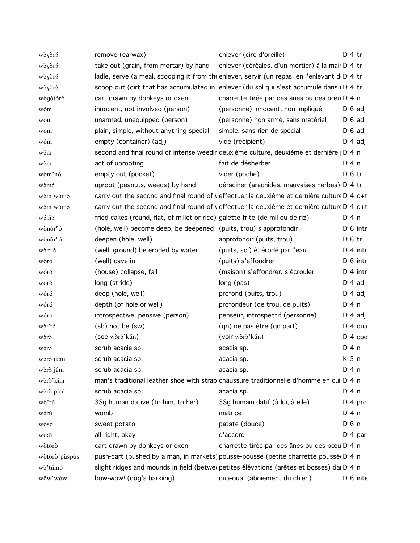| wòyòró               | remove (earwax)                                                               | enlever (cire d'oreille)                                                                               | $Dt$ 4 tr        |
|----------------------|-------------------------------------------------------------------------------|--------------------------------------------------------------------------------------------------------|------------------|
| wòyòró               | take out (grain, from mortar) by hand                                         | enlever (céréales, d'un mortier) à la mair D <sub>14</sub> tr                                          |                  |
| wòyòró               |                                                                               | ladle, serve (a meal, scooping it from the enlever, servir (un repas, en l'enlevant $d_1D_14$ tr       |                  |
| wòyòró               |                                                                               | scoop out (dirt that has accumulated in enlever (du sol qui s'est accumulé dans u D 4 tr               |                  |
| wògòtórò             | cart drawn by donkeys or oxen                                                 | charrette tirée par des ânes ou des bœu D <sub>14</sub> n                                              |                  |
| wóm                  | innocent, not involved (person)                                               | (personne) innocent, non impliqué                                                                      | $D \nvert 6$ adj |
| wóm                  | unarmed, unequipped (person)                                                  | (personne) non armé, sans matériel                                                                     | $D \nvert 6$ adj |
| wóm                  | plain, simple, without anything special                                       | simple, sans rien de spécial                                                                           | $D \cdot 6$ adj  |
| wóm                  | empty (container) (adj)                                                       | vide (récipient)                                                                                       | $D \cdot 4$ adj  |
| wšm                  |                                                                               | second and final round of intense weedin deuxième culture, deuxième et dernière   D 4 n                |                  |
| wšm                  | act of uprooting                                                              | fait de désherber                                                                                      | D: 4 n           |
| wòm'nó               | empty out (pocket)                                                            | vider (poche)                                                                                          | $D \n6$ tr       |
| wòmó                 | uproot (peanuts, weeds) by hand                                               | déraciner (arachides, mauvaises herbes) D 4 tr                                                         |                  |
| wǒm wòmó             |                                                                               | carry out the second and final round of veffectuer la deuxième et dernière culture D <sub>14</sub> o+t |                  |
| wǒm wòmó             |                                                                               | carry out the second and final round of veffectuer la deuxième et dernière culture D <sub>14</sub> o+t |                  |
| wó:ñò                | fried cakes (round, flat, of millet or rice) galette frite (de mil ou de riz) |                                                                                                        | D: 4 n           |
| wònòr <sup>n</sup> ó | (hole, well) become deep, be deepened (puits, trou) s'approfondir             |                                                                                                        | $D1 6$ intr      |
| wònòr <sup>n</sup> ó | deepen (hole, well)                                                           | approfondir (puits, trou)                                                                              | $D \n6$ tr       |
| $W\delta r^n$        | (well, ground) be eroded by water                                             | (puits, sol) ê. érodé par l'eau                                                                        | $Di$ 4 intr      |
| wòró                 | (well) cave in                                                                | (puits) s'effondrer                                                                                    | $D16$ intr       |
| wòró                 | (house) collapse, fall                                                        | (maison) s'effondrer, s'écrouler                                                                       | $Di$ 4 intr      |
| wóró                 | long (stride)                                                                 | long (pas)                                                                                             | $D \cdot 4$ adj  |
| wóró                 | deep (hole, well)                                                             | profond (puits, trou)                                                                                  | $D \cdot 4$ adj  |
| wóró                 | depth (of hole or well)                                                       | profondeur (de trou, de puits)                                                                         | $Di$ 4 n         |
| wóró                 | introspective, pensive (person)                                               | penseur, introspectif (personne)                                                                       | $D \cdot 4$ adj  |
| wò:'ró               | (sb) not be (sw)                                                              | (qn) ne pas être (qq part)                                                                             | $Di 4$ qua       |
| wòrò                 | (see woro'kǔn)                                                                | (voir wòrò'kǔn)                                                                                        | $Di$ 4 cpd       |
| wòró                 | scrub acacia sp.                                                              | acacia sp.                                                                                             | $Di$ 4 n         |
| wòrò gém             | scrub acacia sp.                                                              | acacia sp.                                                                                             | K <sub>5</sub> n |
| wòrò jém             | scrub acacia sp.                                                              | acacia sp.                                                                                             | $Di$ 4 n         |
| wòrò'kǔn             |                                                                               | man's traditional leather shoe with strap chaussure traditionnelle d'homme en cui D'4 n                |                  |
| wòrò pírú            | scrub acacia sp.                                                              | acacia sp.                                                                                             | $Di$ 4 n         |
| wò'rú                | 3Sg human dative (to him, to her)                                             | 3Sg humain datif (à lui, à elle)                                                                       | $Di$ 4 pro       |
| wórù                 | womb                                                                          | matrice                                                                                                | $Di$ 4 n         |
| wósó                 | sweet potato                                                                  | patate (douce)                                                                                         | $D0$ n           |
| wó:tì                | all right, okay                                                               | d'accord                                                                                               | $Di$ 4 part      |
| wòtórò               | cart drawn by donkeys or oxen                                                 | charrette tirée par des ânes ou des bœu D <sub>14</sub> n                                              |                  |
| wòtòrò'pùspûs        |                                                                               | push-cart (pushed by a man, in markets) pousse-pousse (petite charrette poussée D 4 n                  |                  |
| wò'túmó              |                                                                               | slight ridges and mounds in field (betwer petites élévations (arêtes et bosses) dai D <sub>14</sub> n  |                  |
| wôw'wôw              | bow-wow! (dog's barkiing)                                                     | oua-oua! (aboiement du chien)                                                                          | $D \cdot 6$ inte |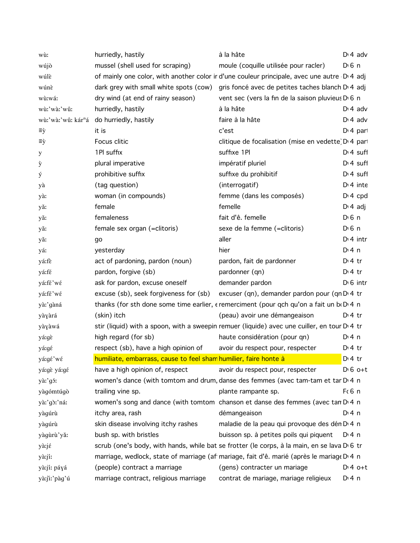| wù:                            | hurriedly, hastily                                               | à la hâte                                                                                    |                       | $Dt$ adv              |
|--------------------------------|------------------------------------------------------------------|----------------------------------------------------------------------------------------------|-----------------------|-----------------------|
| wújò                           | mussel (shell used for scraping)                                 | moule (coquille utilisée pour racler)                                                        | $D \nvert 6 \nvert n$ |                       |
| wúlè                           |                                                                  | of mainly one color, with another color ir d'une couleur principale, avec une autre D 4 adj  |                       |                       |
| wúnè                           |                                                                  | dark grey with small white spots (cow) gris foncé avec de petites taches blanch D'4 adj      |                       |                       |
| wù:wá:                         | dry wind (at end of rainy season)                                | vent sec (vers la fin de la saison pluvieus D 6 n                                            |                       |                       |
| wù:'wà:'wû:                    | hurriedly, hastily                                               | à la hâte                                                                                    |                       | $D \cdot 4$ adv       |
| wù:'wà:'wû: kár <sup>n</sup> á | do hurriedly, hastily                                            | faire à la hâte                                                                              |                       | $D14$ adv             |
| ≡ỳ                             | it is                                                            | c'est                                                                                        |                       | D <sub>1</sub> 4 part |
| ≡ỳ                             | Focus clitic                                                     | clitique de focalisation (mise en vedette) D <sub>1</sub> 4 par                              |                       |                       |
| У                              | 1Pl suffix                                                       | suffixe 1Pl                                                                                  |                       | $Di$ 4 suff           |
| ý                              | plural imperative                                                | impératif pluriel                                                                            |                       | $Dt$ suff             |
| ý                              | prohibitive suffix                                               | suffixe du prohibitif                                                                        |                       | $Di$ 4 suff           |
| уà                             | (tag question)                                                   | (interrogatif)                                                                               |                       | $Di$ 4 inte           |
| yà:                            | woman (in compounds)                                             | femme (dans les composés)                                                                    |                       | $Di$ 4 cpd            |
| yă:                            | female                                                           | femelle                                                                                      | $D: 4$ adj            |                       |
| yǎ:                            | femaleness                                                       | fait d'ê. femelle                                                                            | $D \nvert 6 \nvert n$ |                       |
| yă:                            | female sex organ (=clitoris)                                     | sexe de la femme (=clitoris)                                                                 | $D \nvert 6 \nvert n$ |                       |
| yă:                            | go                                                               | aller                                                                                        |                       | $Di$ 4 intr           |
| yá:                            | yesterday                                                        | hier                                                                                         | $Di$ 4 n              |                       |
| yá:fè                          | act of pardoning, pardon (noun)                                  | pardon, fait de pardonner                                                                    | $Di4$ tr              |                       |
| yá:fé                          | pardon, forgive (sb)                                             | pardonner (qn)                                                                               | $Di4$ tr              |                       |
| yá:fé'wé                       | ask for pardon, excuse oneself                                   | demander pardon                                                                              |                       | $D0$ intr             |
| yá:fé'wé                       | excuse (sb), seek forgiveness for (sb)                           | excuser (qn), demander pardon pour (qn D 4 tr                                                |                       |                       |
| yà:'gàná                       |                                                                  | thanks (for sth done some time earlier, e remerciment (pour qch qu'on a fait un be D 4 n     |                       |                       |
| yàyàrá                         | (skin) itch                                                      | (peau) avoir une démangeaison                                                                | $Di4$ tr              |                       |
| yàyàwá                         |                                                                  | stir (liquid) with a spoon, with a sweepin remuer (liquide) avec une cuiller, en tour D'4 tr |                       |                       |
| yá:gè                          | high regard (for sb)                                             | haute considération (pour qn)                                                                | $Di$ 4 n              |                       |
| yá:gé                          | respect (sb), have a high opinion of                             | avoir du respect pour, respecter                                                             | $Di4$ tr              |                       |
| yá:gé'wé                       | humiliate, embarrass, cause to feel sham humilier, faire honte à |                                                                                              | D <sub>1</sub> 4 tr   |                       |
| yá:gè yá:gé                    | have a high opinion of, respect                                  | avoir du respect pour, respecter                                                             |                       | $D \cdot 6$ o+t       |
| yà:'gó:                        |                                                                  | women's dance (with tomtom and drum, danse des femmes (avec tam-tam et tar D <sub>14</sub> n |                       |                       |
| yàgómtúgò                      | trailing vine sp.                                                | plante rampante sp.                                                                          | F(6 n)                |                       |
| yà:'gò:'ná:                    |                                                                  | women's song and dance (with tomtom chanson et danse des femmes (avec tan D <sub>14</sub> n  |                       |                       |
| yàgúrù                         | itchy area, rash                                                 | démangeaison                                                                                 | D: 4 n                |                       |
| yàgúrù                         | skin disease involving itchy rashes                              | maladie de la peau qui provoque des dén D <sub>14</sub> n                                    |                       |                       |
| yàgùrù'yǎ:                     | bush sp. with bristles                                           | buisson sp. à petites poils qui piquent D. 4 n                                               |                       |                       |
| yà:jé                          |                                                                  | scrub (one's body, with hands, while bat se frotter (le corps, à la main, en se lava D 6 tr  |                       |                       |
| yà:jí:                         |                                                                  | marriage, wedlock, state of marriage (af mariage, fait d'ê. marié (après le mariage D 4 n    |                       |                       |
| yà:jí: páyá                    | (people) contract a marriage                                     | (gens) contracter un mariage                                                                 |                       | $Dt 4 0+t$            |
| yà:jiː'pàg'ú                   | marriage contract, religious marriage                            | contrat de mariage, mariage religieux                                                        | D: 4n                 |                       |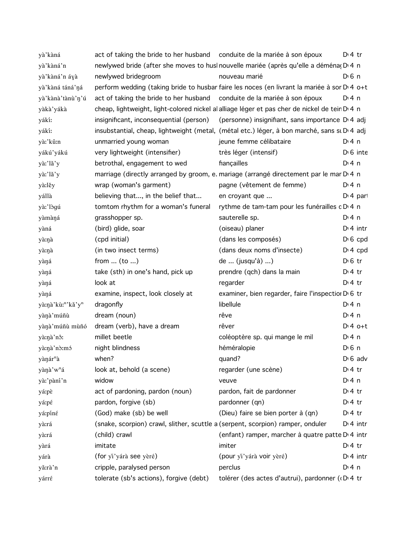| yà'kàná               | act of taking the bride to her husband conduite de la mariée à son époux        |                                                                                                         | $Di4$ tr              |
|-----------------------|---------------------------------------------------------------------------------|---------------------------------------------------------------------------------------------------------|-----------------------|
| yà'kàná'n             |                                                                                 | newlywed bride (after she moves to husl nouvelle mariée (après qu'elle a déména(D) 4 n                  |                       |
| yà'kàná'n áyà         | newlywed bridegroom                                                             | nouveau marié                                                                                           | $D \nvert 6 \nvert n$ |
| yà'kàná táná'ná       |                                                                                 | perform wedding (taking bride to husbar faire les noces (en livrant la mariée à sor D <sub>14 O+t</sub> |                       |
| yà'kànà'tànù'n'ú      | act of taking the bride to her husband conduite de la mariée à son époux        |                                                                                                         | D: 4n                 |
| yàkà'yákà             |                                                                                 | cheap, lightweight, light-colored nickel al alliage léger et pas cher de nickel de tein D 4 n           |                       |
| yákí:                 |                                                                                 | insignificant, inconsequential (person) (personne) insignifiant, sans importance D <sup>1</sup> adj     |                       |
| yákí:                 |                                                                                 | insubstantial, cheap, lightweight (metal, (métal etc.) léger, à bon marché, sans si D'4 adj             |                       |
| yà:'kû:n              | unmarried young woman                                                           | jeune femme célibataire                                                                                 | D:4n                  |
| yákú'yákú             | very lightweight (intensifier)                                                  | très léger (intensif)                                                                                   | $D \cdot 6$ inte      |
| yà:'lǎ'y              | betrothal, engagement to wed                                                    | fiançailles                                                                                             | $Di$ 4 n              |
| yà:'lǎ'y              |                                                                                 | marriage (directly arranged by groom, e. mariage (arrangé directement par le mar D 4 n                  |                       |
| yà:lěy                | wrap (woman's garment)                                                          | pagne (vêtement de femme)                                                                               | $Di$ 4 n              |
| yállà                 | believing that, in the belief that                                              | en croyant que                                                                                          | $Di$ 4 part           |
| yà:'lògú              | tomtom rhythm for a woman's funeral                                             | rythme de tam-tam pour les funérailles c D 4 n                                                          |                       |
| yàmàná                | grasshopper sp.                                                                 | sauterelle sp.                                                                                          | $Di$ 4 n              |
| yàná                  | (bird) glide, soar                                                              | (oiseau) planer                                                                                         | $Di$ 4 intr           |
| yà:ŋà                 | (cpd initial)                                                                   | (dans les composés)                                                                                     | $D \cdot 6$ cpd       |
| yà:ŋà                 | (in two insect terms)                                                           | (dans deux noms d'insecte)                                                                              | $Di$ 4 cpd            |
| yàná                  | from $(to )$                                                                    | de  (jusqu'à) )                                                                                         | $D \n6$ tr            |
| yàná                  | take (sth) in one's hand, pick up                                               | prendre (qch) dans la main                                                                              | $Di4$ tr              |
| yàŋá                  | look at                                                                         | regarder                                                                                                | $Di4$ tr              |
| yàná                  | examine, inspect, look closely at                                               | examiner, bien regarder, faire l'inspection D 6 tr                                                      |                       |
| yà:nà'kù:"'kǎ'y"      | dragonfly                                                                       | libellule                                                                                               | $Di$ 4 n              |
| yànà'múñù             | dream (noun)                                                                    | rêve                                                                                                    | $Di$ 4 n              |
| yànà'múñù mùñó        | dream (verb), have a dream                                                      | rêver                                                                                                   | $D:4$ o+t             |
| yà:nà'nô:             | millet beetle                                                                   | coléoptère sp. qui mange le mil                                                                         | $Di$ 4 n              |
| yà:nà'nò:mó           | night blindness                                                                 | héméralopie                                                                                             | D <sub>1</sub> 6n     |
| yànár <sup>n</sup> à  | when?                                                                           | quand?                                                                                                  | $D \nvert 6$ adv      |
| yànà'w <sup>n</sup> á | look at, behold (a scene)                                                       | regarder (une scène)                                                                                    | $Di4$ tr              |
| yà:'pàní'n            | widow                                                                           | veuve                                                                                                   | $Di$ 4 n              |
| yá:pè                 | act of pardoning, pardon (noun)                                                 | pardon, fait de pardonner                                                                               | $Di4$ tr              |
| yá:pé                 | pardon, forgive (sb)                                                            | pardonner (qn)                                                                                          | $Di4$ tr              |
| yá:píné               | (God) make (sb) be well                                                         | (Dieu) faire se bien porter à (qn)                                                                      | $Di4$ tr              |
| yà:rá                 | (snake, scorpion) crawl, slither, scuttle a (serpent, scorpion) ramper, onduler |                                                                                                         | $Di$ 4 intr           |
| yà:rá                 | (child) crawl                                                                   | (enfant) ramper, marcher à quatre patte D <sub>'</sub> 4 intr                                           |                       |
| yàrá                  | imitate                                                                         | imiter                                                                                                  | $Di4$ tr              |
| yárà                  | (for yi'yárà see yèré)                                                          | (pour yi'yárà voir yèré)                                                                                | $Di$ 4 intr           |
| yă:rà'n               | cripple, paralysed person                                                       | perclus                                                                                                 | $Di$ 4 n              |
| yárré                 | tolerate (sb's actions), forgive (debt)                                         | tolérer (des actes d'autrui), pardonner (D 4 tr                                                         |                       |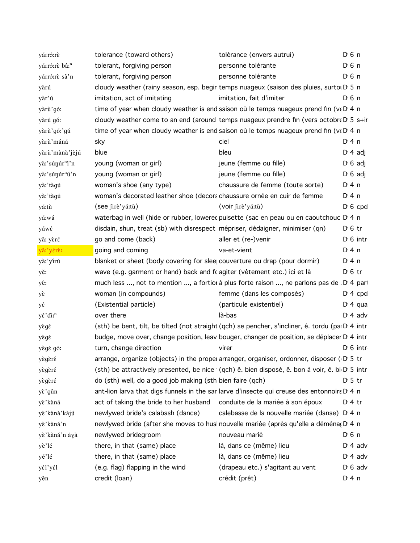| yárró:rè                   | tolerance (toward others)                                                                              | tolérance (envers autrui)                                 | $D \nvert 6 \nvert n$ |
|----------------------------|--------------------------------------------------------------------------------------------------------|-----------------------------------------------------------|-----------------------|
| yárró:rè bâ: <sup>n</sup>  | tolerant, forgiving person                                                                             | personne tolérante                                        | $D \n6$ n             |
| yárró:rè sâ'n              | tolerant, forgiving person                                                                             | personne tolérante                                        | $D \n6$ n             |
| yàrú                       | cloudy weather (rainy season, esp. begin temps nuageux (saison des pluies, surtor D' 5 n               |                                                           |                       |
| yàr'ú                      | imitation, act of imitating                                                                            | imitation, fait d'imiter                                  | $D \nvert 6 \nvert n$ |
| yàrù'gó:                   | time of year when cloudy weather is end saison où le temps nuageux prend fin (ve D'4 n                 |                                                           |                       |
| yàrú gó:                   | cloudy weather come to an end (around temps nuageux prendre fin (vers octobre D 5 s+ir                 |                                                           |                       |
| yàrù'gó:'gú                | time of year when cloudy weather is end saison où le temps nuageux prend fin ( $v \in D^4$ n           |                                                           |                       |
| yàrù'máná                  | sky                                                                                                    | ciel                                                      | $Di$ 4 n              |
| yàrù'mànà'jèjú             | blue                                                                                                   | bleu                                                      | $D \cdot 4$ adj       |
| yà:'súŋúr"í'n              | young (woman or girl)                                                                                  | jeune (femme ou fille)                                    | $D \cdot 6$ adj       |
| yà:'súnúr <sup>n</sup> ú'n | young (woman or girl)                                                                                  | jeune (femme ou fille)                                    | $D \cdot 6$ adj       |
| yà:'tàgú                   | woman's shoe (any type)                                                                                | chaussure de femme (toute sorte)                          | $Di$ 4 n              |
| yà:'tàgú                   | woman's decorated leather shoe (decorachaussure ornée en cuir de femme                                 |                                                           | $Di$ 4 n              |
| yá:tù                      | (see jirè'yá:tù)                                                                                       | (voir jirè'yá:tù)                                         | $D \cdot 6$ cpd       |
| yá:wá                      | waterbag in well (hide or rubber, lowerec puisette (sac en peau ou en caoutchouc D'4 n                 |                                                           |                       |
| yáwé                       | disdain, shun, treat (sb) with disrespect mépriser, dédaigner, minimiser (qn)                          |                                                           | $D0$ fr               |
| yǎ: yèré                   | go and come (back)                                                                                     | aller et (re-)venir                                       | $D \cdot 6$ intr      |
| yâ:'yérè:                  | going and coming                                                                                       | va-et-vient                                               | $Di$ 4 n              |
| yà:'yirú                   | blanket or sheet (body covering for slee couverture ou drap (pour dormir)                              |                                                           | $Di$ 4 n              |
| yě:                        | wave (e.g. garment or hand) back and fc agiter (vêtement etc.) ici et là                               |                                                           | $D \nvert 6$ tr       |
| yê:                        | much less , not to mention , a fortior à plus forte raison , ne parlons pas de . D. 4 par              |                                                           |                       |
| yέ                         | woman (in compounds)                                                                                   | femme (dans les composés)                                 | $Di$ 4 cpd            |
| yέ                         | (Existential particle)                                                                                 | (particule existentiel)                                   | $Di 4$ qua            |
| yέ'di: <sup>n</sup>        | over there                                                                                             | là-bas                                                    | $Di$ 4 adv            |
| yègé                       | (sth) be bent, tilt, be tilted (not straight (qch) se pencher, s'incliner, ê. tordu (pa: D: 4 intr     |                                                           |                       |
| yègé                       | budge, move over, change position, leav bouger, changer de position, se déplacer D'4 intr              |                                                           |                       |
| yègé gó:                   | turn, change direction                                                                                 | virer                                                     | $D \cdot 6$ intr      |
| yègèré                     | arrange, organize (objects) in the proper arranger, organiser, ordonner, disposer (D 5 tr              |                                                           |                       |
| yègèré                     | (sth) be attractively presented, be nice $\left($ qch) ê. bien disposé, ê. bon à voir, ê. bi D 5 intr  |                                                           |                       |
| yègèré                     | do (sth) well, do a good job making (sth bien faire (qch)                                              |                                                           | $D \cdot 5$ tr        |
| yè'gûn                     | ant-lion larva that digs funnels in the san larve d'insecte qui creuse des entonnoirs D <sub>1</sub> n |                                                           |                       |
| yè'kàná                    | act of taking the bride to her husband                                                                 | conduite de la mariée à son époux                         | $Di4$ tr              |
| yè'kànà'kàjú               | newlywed bride's calabash (dance)                                                                      | calebasse de la nouvelle mariée (danse) D <sub>14</sub> n |                       |
| yè'kàná'n                  | newlywed bride (after she moves to husl nouvelle mariée (après qu'elle a déména D 4 n                  |                                                           |                       |
| yè'kàná'n áyà              | newlywed bridegroom                                                                                    | nouveau marié                                             | $D \nvert 6 \nvert n$ |
| yè'lé                      | there, in that (same) place                                                                            | là, dans ce (même) lieu                                   | $D \cdot 4$ adv       |
| yé'lé                      | there, in that (same) place                                                                            | là, dans ce (même) lieu                                   | $D \cdot 4$ adv       |
| yél'yél                    | (e.g. flag) flapping in the wind                                                                       | (drapeau etc.) s'agitant au vent                          | $D \cdot 6$ adv       |
| yěn                        | credit (loan)                                                                                          | crédit (prêt)                                             | $Dt$ 4 n              |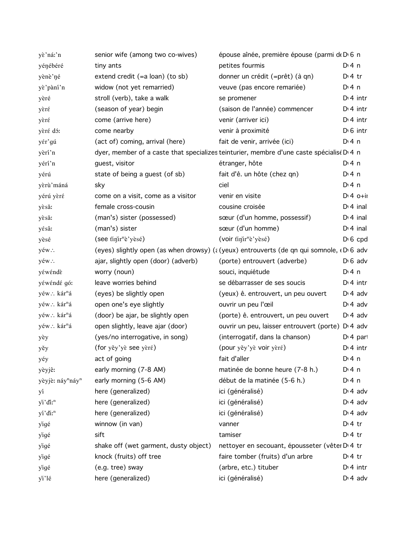| yè'ná:'n                                 | senior wife (among two co-wives)          | épouse aînée, première épouse (parmi de Dv6 n                                                                   |                    |
|------------------------------------------|-------------------------------------------|-----------------------------------------------------------------------------------------------------------------|--------------------|
| yénébéré                                 | tiny ants                                 | petites fourmis                                                                                                 | $Di$ 4 n           |
| yènè'né                                  | extend credit $(=a \text{ loan})$ (to sb) | donner un crédit (=prêt) (à qn)                                                                                 | $D:4$ tr           |
| yè'pàní'n                                | widow (not yet remarried)                 | veuve (pas encore remariée)                                                                                     | D:4n               |
| yèré                                     | stroll (verb), take a walk                | se promener                                                                                                     | $Di$ 4 intr        |
| yèré                                     | (season of year) begin                    | (saison de l'année) commencer                                                                                   | $Di$ 4 intr        |
| yèré                                     | come (arrive here)                        | venir (arriver ici)                                                                                             | $Di$ 4 intr        |
| yèré dó:                                 | come nearby                               | venir à proximité                                                                                               | $D0$ intr          |
| yér'gú                                   | (act of) coming, arrival (here)           | fait de venir, arrivée (ici)                                                                                    | $Di$ 4 n           |
| yèri'n                                   |                                           | dyer, member of a caste that specializes teinturier, membre d'une caste spécialisé D <sub>1</sub> n             |                    |
| yérí'n                                   | guest, visitor                            | étranger, hôte                                                                                                  | $Di$ 4 n           |
| yérú                                     | state of being a guest (of sb)            | fait d'ê. un hôte (chez qn)                                                                                     | $Di$ 4 n           |
| yèrù'máná                                | sky                                       | ciel                                                                                                            | $Di$ 4 n           |
| yérú yèré                                | come on a visit, come as a visitor        | venir en visite                                                                                                 | $Di$ 4 $O+ii$      |
| yèsǎ:                                    | female cross-cousin                       | cousine croisée                                                                                                 | $Dt$ 4 inal        |
| yèsǎ:                                    | (man's) sister (possessed)                | sœur (d'un homme, possessif)                                                                                    | $Di$ 4 inal        |
| yésâ:                                    | (man's) sister                            | sœur (d'un homme)                                                                                               | $Di$ 4 inal        |
| yèsé                                     | $($ see tinir <sup>n</sup> è'yèsé)        | (voir tinir <sup>n</sup> è'yèsé)                                                                                | $D \nvert 6$ cpd   |
| yéw∴                                     |                                           | (eyes) slightly open (as when drowsy) (a (yeux) entrouverts (de qn qui somnole, $\epsilon$ D <sub>1</sub> 6 adv |                    |
| yéw∴                                     | ajar, slightly open (door) (adverb)       | (porte) entrouvert (adverbe)                                                                                    | $D \cdot 6$ adv    |
| yéwéndè                                  | worry (noun)                              | souci, inquiétude                                                                                               | $Di$ 4 n           |
| yéwéndé gó:                              | leave worries behind                      | se débarrasser de ses soucis                                                                                    | $Di$ 4 intr        |
| yéw∴ kár <sup>n</sup> á                  | (eyes) be slightly open                   | (yeux) ê. entrouvert, un peu ouvert                                                                             | $D \cdot 4$ adv    |
| yéw∴ kár <sup>n</sup> á                  | open one's eye slightly                   | ouvrir un peu l'œil                                                                                             | $Di$ 4 adv         |
| yéw∴ kár <sup>n</sup> á                  | (door) be ajar, be slightly open          | (porte) ê. entrouvert, un peu ouvert                                                                            | $D \cdot 4$ adv    |
| yéw∴ kár <sup>n</sup> á                  | open slightly, leave ajar (door)          | ouvrir un peu, laisser entrouvert (porte) D <sub>'</sub> 4 adv                                                  |                    |
| yèy                                      | (yes/no interrogative, in song)           | (interrogatif, dans la chanson)                                                                                 | $Di$ 4 part        |
| yěy                                      | (for yěy'yè see yèré)                     | (pour yěy'yè voir yèré)                                                                                         | $Di$ 4 intr        |
| yéy                                      | act of going                              | fait d'aller                                                                                                    | D <sup>i</sup> 4 n |
| yèyjê:                                   | early morning (7-8 AM)                    | matinée de bonne heure (7-8 h.)                                                                                 | $Di$ 4 n           |
| yèyjè: náy <sup>n</sup> náy <sup>n</sup> | early morning (5-6 AM)                    | début de la matinée (5-6 h.)                                                                                    | $Di$ 4 n           |
| уí                                       | here (generalized)                        | ici (généralisé)                                                                                                | $D \cdot 4$ adv    |
| yi'di:"                                  | here (generalized)                        | ici (généralisé)                                                                                                | $Di$ 4 adv         |
| yí'di:"                                  | here (generalized)                        | ici (généralisé)                                                                                                | $Di$ 4 adv         |
| yigé                                     | winnow (in van)                           | vanner                                                                                                          | $D:4$ tr           |
| yigé                                     | sift                                      | tamiser                                                                                                         | $Di4$ tr           |
| yigé                                     | shake off (wet garment, dusty object)     | nettoyer en secouant, épousseter (vêter D 4 tr                                                                  |                    |
| yigé                                     | knock (fruits) off tree                   | faire tomber (fruits) d'un arbre                                                                                | $D: 4$ tr          |
| yigé                                     | (e.g. tree) sway                          | (arbre, etc.) tituber                                                                                           | $Di$ 4 intr        |
| yi'lé                                    | here (generalized)                        | ici (généralisé)                                                                                                | $D \cdot 4$ adv    |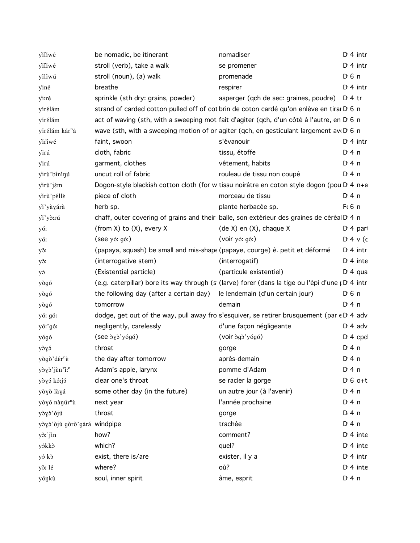| yiliwé                      | be nomadic, be itinerant                                                     | nomadiser                                                                                                   | $Dt$ 4 intr      |
|-----------------------------|------------------------------------------------------------------------------|-------------------------------------------------------------------------------------------------------------|------------------|
| yiliwé                      | stroll (verb), take a walk                                                   | se promener                                                                                                 | $D14$ intr       |
| yílíwú                      | stroll (noun), (a) walk                                                      | promenade                                                                                                   | $D0$ n           |
| yiné                        | breathe                                                                      | respirer                                                                                                    | $Di$ 4 intr      |
| yi:ré                       | sprinkle (sth dry: grains, powder)                                           | asperger (qch de sec: graines, poudre)                                                                      | $Di4$ tr         |
| yírélám                     |                                                                              | strand of carded cotton pulled off of cot brin de coton cardé qu'on enlève en tirar D 6 n                   |                  |
| yírélám                     |                                                                              | act of waving (sth, with a sweeping moti fait d'agiter (qch, d'un côté à l'autre, en D <sub>6</sub> n       |                  |
| yírélám kár <sup>n</sup> á  |                                                                              | wave (sth, with a sweeping motion of on agiter (qch, en gesticulant largement ave D 6 n                     |                  |
| yiriwé                      | faint, swoon                                                                 | s'évanouir                                                                                                  | $Di$ 4 intr      |
| yirú                        | cloth, fabric                                                                | tissu, étoffe                                                                                               | D:4n             |
| yirú                        | garment, clothes                                                             | vêtement, habits                                                                                            | $Di$ 4 n         |
| yirù'bininú                 | uncut roll of fabric                                                         | rouleau de tissu non coupé                                                                                  | $Di$ 4 n         |
| yirù'jém                    |                                                                              | Dogon-style blackish cotton cloth (for w tissu noirâtre en coton style dogon (pou D'4 n+a                   |                  |
| yirù'péllè                  | piece of cloth                                                               | morceau de tissu                                                                                            | $Dt$ 4 n         |
| yì'yàyárà                   | herb sp.                                                                     | plante herbacée sp.                                                                                         | $F6$ n           |
| yi'yà:rú                    |                                                                              | chaff, outer covering of grains and their balle, son extérieur des graines de céréal D <sub>14</sub> n      |                  |
| yó:                         | (from $X$ ) to $(X)$ , every $X$                                             | $(de X)$ en $(X)$ , chaque X                                                                                | $Di$ 4 part      |
| yó:                         | (see y6: g6.)                                                                | (voir yó: gó.)                                                                                              | $D:4 \vee (c)$   |
| yš:                         | (papaya, squash) be small and mis-shape (papaye, courge) ê. petit et déformé |                                                                                                             | $Dt$ 4 intr      |
| yš:                         | (interrogative stem)                                                         | (interrogatif)                                                                                              | $Di$ 4 inte      |
| уэ́                         | (Existential particle)                                                       | (particule existentiel)                                                                                     | $Di 4$ qua       |
| yògó                        |                                                                              | (e.g. caterpillar) bore its way through (s (larve) forer (dans la tige ou l'épi d'une $\beta$ = 1 and (e.g. |                  |
| yògó                        | the following day (after a certain day)                                      | le lendemain (d'un certain jour)                                                                            | $D \n6$ n        |
| yògó                        | tomorrow                                                                     | demain                                                                                                      | $Dt$ 4 n         |
| yó: gó:                     |                                                                              | dodge, get out of the way, pull away fro s'esquiver, se retirer brusquement (par $\epsilon$ D $\alpha$ adv  |                  |
| yó:'gó:                     | negligently, carelessly                                                      | d'une façon négligeante                                                                                     | $D \cdot 4$ adv  |
| yógó                        | $($ see $\partial y \partial y$ yógó $)$                                     | $(voir \n\delta g \n\delta' y \n\delta g \n\delta)$                                                         | $Di 4$ cpd       |
| yòyó                        | throat                                                                       | gorge                                                                                                       | $Dt$ 4 n         |
| yògò'dér <sup>n</sup> è     | the day after tomorrow                                                       | après-demain                                                                                                | $Di$ 4 n         |
| yòyò'jèn'i: <sup>n</sup>    | Adam's apple, larynx                                                         | pomme d'Adam                                                                                                | $Di$ 4 n         |
| yòyó kó:jó                  | clear one's throat                                                           | se racler la gorge                                                                                          | $D \nvert 6$ o+t |
| yòyò làyá                   | some other day (in the future)                                               | un autre jour (à l'avenir)                                                                                  | $Di$ 4 n         |
| yòyó nànúr <sup>n</sup> ù   | next year                                                                    | l'année prochaine                                                                                           | $Di$ 4 n         |
| yòyò'ójú                    | throat                                                                       | gorge                                                                                                       | $D \cdot 4$ n    |
| yòyò'òjù gòrò'gárá windpipe |                                                                              | trachée                                                                                                     | $Dt$ 4 n         |
| yš:'jin                     | how?                                                                         | comment?                                                                                                    | $Di$ 4 inte      |
| yókkò                       | which?                                                                       | quel?                                                                                                       | $Di$ 4 inte      |
| yó kò                       | exist, there is/are                                                          | exister, il y a                                                                                             | $Di$ 4 intr      |
| yš: lé                      | where?                                                                       | où?                                                                                                         | $Dt$ 4 inte      |
| yóŋkù                       | soul, inner spirit                                                           | âme, esprit                                                                                                 | $Di$ 4 n         |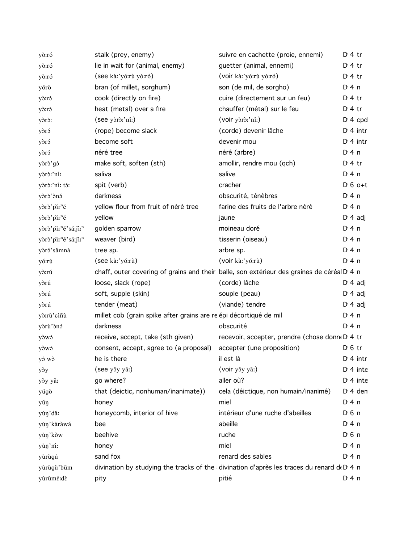| yò:ró                                       | stalk (prey, enemy)                                               | suivre en cachette (proie, ennemi)                                                                     | $D \cdot 4$ tr  |
|---------------------------------------------|-------------------------------------------------------------------|--------------------------------------------------------------------------------------------------------|-----------------|
| yò:ró                                       | lie in wait for (animal, enemy)                                   | guetter (animal, ennemi)                                                                               | $Di4$ tr        |
| yò:ró                                       | (see kà:'yó:rù yò:ró)                                             | (voir kà:'yó:rù yò:ró)                                                                                 | $Di4$ tr        |
| yórò                                        | bran (of millet, sorghum)                                         | son (de mil, de sorgho)                                                                                | $Di$ 4 n        |
| y <sub>d</sub> :ró                          | cook (directly on fire)                                           | cuire (directement sur un feu)                                                                         | $Di4$ tr        |
| y <sub>d</sub> :ró                          | heat (metal) over a fire                                          | chauffer (métal) sur le feu                                                                            | $D \cdot 4$ tr  |
| yòrò:                                       | (see yòrò:'níː)                                                   | (voir yòrò:'ní:)                                                                                       | $Di$ 4 cpd      |
| yòró                                        | (rope) become slack                                               | (corde) devenir lâche                                                                                  | $Di$ 4 intr     |
| yòró                                        | become soft                                                       | devenir mou                                                                                            | $Di$ 4 intr     |
| yðró                                        | néré tree                                                         | néré (arbre)                                                                                           | $Di$ 4 n        |
| yòrò'gó                                     | make soft, soften (sth)                                           | amollir, rendre mou (qch)                                                                              | $D \cdot 4$ tr  |
| yòrò:'ní:                                   | saliva                                                            | salive                                                                                                 | $Di$ 4 n        |
| yòrò:'ní: tó:                               | spit (verb)                                                       | cracher                                                                                                | $D \n6$ o+t     |
| yòrò'ònó                                    | darkness                                                          | obscurité, ténèbres                                                                                    | $Di$ 4 n        |
| yòrò'pir <sup>n</sup> é                     | yellow flour from fruit of néré tree                              | farine des fruits de l'arbre néré                                                                      | $Di$ 4 n        |
| yòrò'pir <sup>n</sup> é                     | yellow                                                            | jaune                                                                                                  | $D \cdot 4$ adj |
| yòrò'pir <sup>n</sup> é'sá:ji: <sup>n</sup> | golden sparrow                                                    | moineau doré                                                                                           | $Di$ 4 n        |
| yòrò'pir <sup>n</sup> é'sá:ji: <sup>n</sup> | weaver (bird)                                                     | tisserin (oiseau)                                                                                      | $Di$ 4 n        |
| yòró'sămnà                                  | tree sp.                                                          | arbre sp.                                                                                              | $Di$ 4 n        |
| yó:rù                                       | (see kà:'yó:rù)                                                   | (voir kà:'yó:rù)                                                                                       | $Di$ 4 n        |
| yò:rú                                       |                                                                   | chaff, outer covering of grains and their balle, son extérieur des graines de céréal D <sub>14</sub> n |                 |
| yòrú                                        | loose, slack (rope)                                               | (corde) lâche                                                                                          | $D \cdot 4$ adj |
| yòrú                                        | soft, supple (skin)                                               | souple (peau)                                                                                          | $D \cdot 4$ adj |
| yðrú                                        | tender (meat)                                                     | (viande) tendre                                                                                        | $D: 4$ adj      |
| yò:rù'cíñù                                  | millet cob (grain spike after grains are re épi décortiqué de mil |                                                                                                        | $Di$ 4 n        |
| yòrù'ònó                                    | darkness                                                          | obscurité                                                                                              | $Di$ 4 n        |
| yòwó                                        | receive, accept, take (sth given)                                 | recevoir, accepter, prendre (chose donn(D) 4 tr                                                        |                 |
| yòwó                                        | consent, accept, agree to (a proposal)                            | accepter (une proposition)                                                                             | $D0$ tr         |
| y s w s                                     | he is there                                                       | il est là                                                                                              | $Di$ 4 intr     |
| yšy                                         | (see yšy yǎ:)                                                     | (voir yšy yǎ:)                                                                                         | $Di$ 4 inte     |
| yšy yǎ:                                     | go where?                                                         | aller où?                                                                                              | $Di$ 4 inte     |
| yúgò                                        | that (deictic, nonhuman/inanimate))                               | cela (déictique, non humain/inanimé)                                                                   | $Di$ 4 den      |
| yǔŋ                                         | honey                                                             | miel                                                                                                   | $Di$ 4 n        |
| yùn'dǎ:                                     | honeycomb, interior of hive                                       | intérieur d'une ruche d'abeilles                                                                       | $D0$ n          |
| yùŋ'kàràwá                                  | bee                                                               | abeille                                                                                                | $Dt$ 4 n        |
| yùŋ'kǒw                                     | beehive                                                           | ruche                                                                                                  | $D \n6$ n       |
| yùn'ni:                                     | honey                                                             | miel                                                                                                   | $Di$ 4 n        |
| yùrùgú                                      | sand fox                                                          | renard des sables                                                                                      | D:4n            |
| yùrùgù'bǔm                                  |                                                                   | divination by studying the tracks of the : divination d'après les traces du renard de D 4 n            |                 |
| yùrùmé:dè                                   | pity                                                              | pitié                                                                                                  | $Di$ 4 n        |